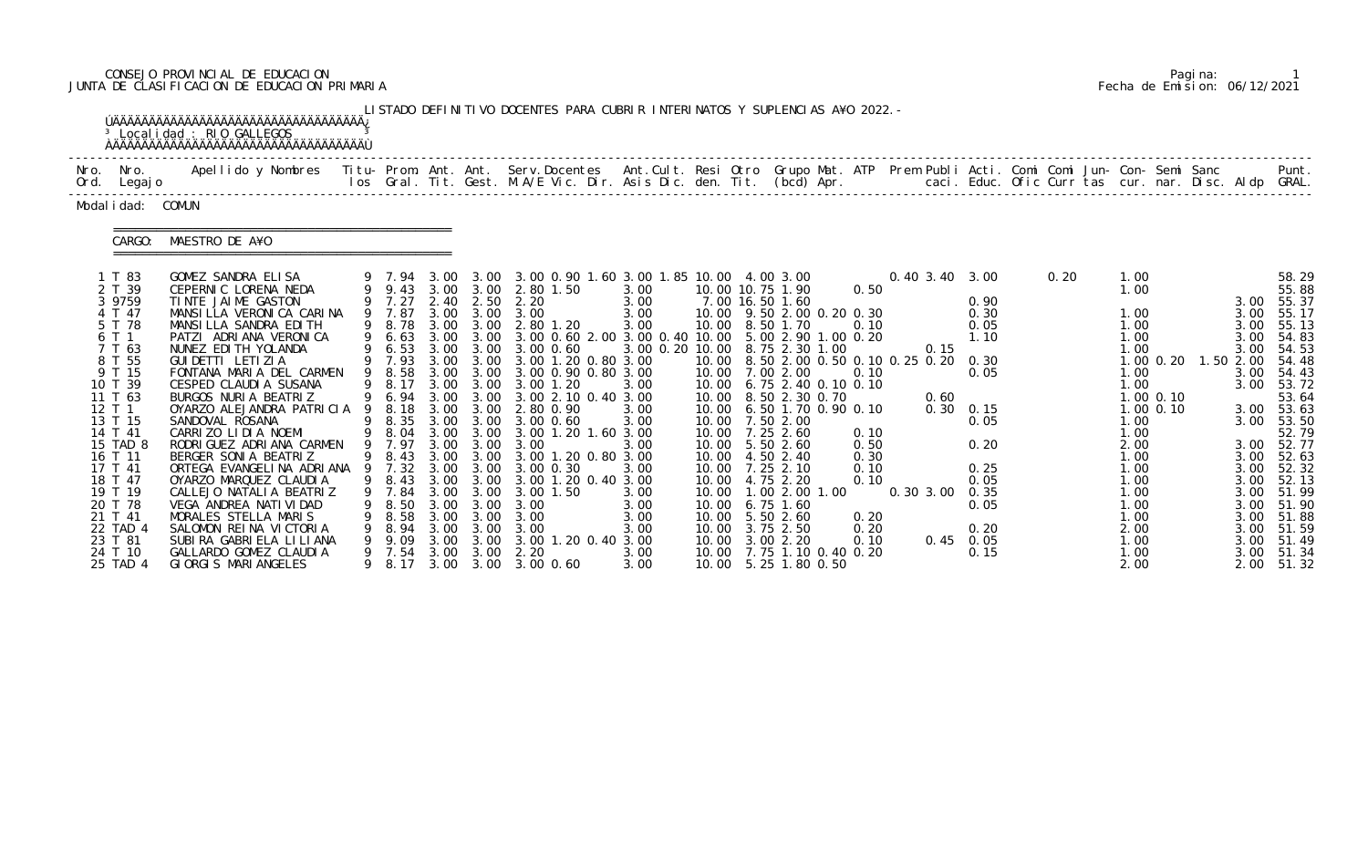# CONSEJO PROVINCIAL DE EDUCACION Pagina: 1 JUNTA DE CLASIFICACION DE EDUCACION PRIMARIA Fecha de Emision: 06/12/2021

|                                                                                                                                                                                                                                                                         | <sup>3</sup> Localidad : RIO GALLEGOS                                                                                                                                                                                                                                                                                                                                                                                                                                                                                                                                                                                                                             |              |                                                                                                                                                                                                   |                                                                                                      |                                                                                                              | LISTADO DEFINITIVO DOCENTES PARA CUBRIR INTERINATOS Y SUPLENCIAS A¥O 2022. -                                                                                                                                                                                                                                                                                                                                                                                                                                                                                                   |                                                                                                                                                        |  |                                                                                                                                                                                                                                                                                                                                                                                                                                                                                                                 |                                                                                      |                           |                                                                                                                                                                    |      |                                                                                                                                                                      |                                               |                                                                           |                                                                                                                                                                                                                                                                                           |
|-------------------------------------------------------------------------------------------------------------------------------------------------------------------------------------------------------------------------------------------------------------------------|-------------------------------------------------------------------------------------------------------------------------------------------------------------------------------------------------------------------------------------------------------------------------------------------------------------------------------------------------------------------------------------------------------------------------------------------------------------------------------------------------------------------------------------------------------------------------------------------------------------------------------------------------------------------|--------------|---------------------------------------------------------------------------------------------------------------------------------------------------------------------------------------------------|------------------------------------------------------------------------------------------------------|--------------------------------------------------------------------------------------------------------------|--------------------------------------------------------------------------------------------------------------------------------------------------------------------------------------------------------------------------------------------------------------------------------------------------------------------------------------------------------------------------------------------------------------------------------------------------------------------------------------------------------------------------------------------------------------------------------|--------------------------------------------------------------------------------------------------------------------------------------------------------|--|-----------------------------------------------------------------------------------------------------------------------------------------------------------------------------------------------------------------------------------------------------------------------------------------------------------------------------------------------------------------------------------------------------------------------------------------------------------------------------------------------------------------|--------------------------------------------------------------------------------------|---------------------------|--------------------------------------------------------------------------------------------------------------------------------------------------------------------|------|----------------------------------------------------------------------------------------------------------------------------------------------------------------------|-----------------------------------------------|---------------------------------------------------------------------------|-------------------------------------------------------------------------------------------------------------------------------------------------------------------------------------------------------------------------------------------------------------------------------------------|
| Nro. Nro.<br>Ord. Legajo                                                                                                                                                                                                                                                | Apellido y Nombres Titu- Prom. Ant. Ant. Serv.Docentes Ant.Cult. Resi Otro Grupo Mat. ATP Prem Publi Acti. Comi Comi Jun- Con- Semi Sanc                                                                                                                                                                                                                                                                                                                                                                                                                                                                                                                          |              |                                                                                                                                                                                                   |                                                                                                      |                                                                                                              | los Gral. Tit. Gest. M.A/E Vic. Dir. Asis Dic. den. Tit. (bcd) Apr.        caci. Educ. Ofic Curr tas cur. nar. Disc. Aldp GRAL.                                                                                                                                                                                                                                                                                                                                                                                                                                                |                                                                                                                                                        |  |                                                                                                                                                                                                                                                                                                                                                                                                                                                                                                                 |                                                                                      |                           |                                                                                                                                                                    |      |                                                                                                                                                                      |                                               |                                                                           | Punt.                                                                                                                                                                                                                                                                                     |
| Modal i dad: COMUN                                                                                                                                                                                                                                                      |                                                                                                                                                                                                                                                                                                                                                                                                                                                                                                                                                                                                                                                                   |              |                                                                                                                                                                                                   |                                                                                                      |                                                                                                              |                                                                                                                                                                                                                                                                                                                                                                                                                                                                                                                                                                                |                                                                                                                                                        |  |                                                                                                                                                                                                                                                                                                                                                                                                                                                                                                                 |                                                                                      |                           |                                                                                                                                                                    |      |                                                                                                                                                                      |                                               |                                                                           |                                                                                                                                                                                                                                                                                           |
| CARGO:                                                                                                                                                                                                                                                                  | MAESTRO DE A¥O                                                                                                                                                                                                                                                                                                                                                                                                                                                                                                                                                                                                                                                    |              |                                                                                                                                                                                                   |                                                                                                      |                                                                                                              |                                                                                                                                                                                                                                                                                                                                                                                                                                                                                                                                                                                |                                                                                                                                                        |  |                                                                                                                                                                                                                                                                                                                                                                                                                                                                                                                 |                                                                                      |                           |                                                                                                                                                                    |      |                                                                                                                                                                      |                                               |                                                                           |                                                                                                                                                                                                                                                                                           |
| 1 T 83<br>2 T 39<br>3 9759<br>4 T 47<br>5 T 78<br>6 T 1<br>7 T 63<br>8 T 55<br>9 T 15<br>10 T 39<br>11 T 63<br>12 T 1<br>13 T 15<br>14 T 41<br>15 TAD 8<br>16 T 11<br>17 T 41<br>18 T 47<br>19 T 19<br>20 T 78<br>21 T 41<br>22 TAD 4<br>23 T 81<br>24 T 10<br>25 TAD 4 | GOMEZ SANDRA ELISA<br>CEPERNIC LORENA NEDA<br>TINTE JAIME GASTON<br>MANSILLA VERONICA CARINA<br>MANSILLA SANDRA EDITH<br>PATZI ADRIANA VERONICA<br>NUNEZ EDI TH YOLANDA<br>GUI DETTI LETI ZI A<br>FONTANA MARIA DEL CARMEN<br>CESPED CLAUDI A SUSANA<br>BURGOS NURIA BEATRIZ<br>OYARZO ALEJANDRA PATRICIA<br>SANDOVAL ROSANA<br>CARRIZO LIDIA NOEMI<br>RODRI GUEZ ADRI ANA CARMEN<br>BERGER SONIA BEATRIZ<br>ORTEGA EVANGELINA ADRIANA 9 7.32 3.00<br>OYARZO MARQUEZ CLAUDIA<br>CALLEJO NATALI A BEATRIZ<br>VEGA ANDREA NATI VI DAD<br>MORALES STELLA MARIS<br>SALOMON REINA VICTORIA<br>SUBIRA GABRIELA LILIANA<br>GALLARDO GOMEZ CLAUDIA<br>GIORGIS MARIANGELES | 9<br>9.<br>9 | 9 9.43 3.00 3.00<br>9 7.27<br>9 7.87<br>9 8.78<br>9 7.93<br>9 8.58<br>9 8.17<br>9 6.94<br>9 8.18<br>9 8.35<br>9 8.04<br>9 7.97<br>9 8.43 3.00<br>7.84<br>8.50<br>8. 58<br>8. 94<br>9.09<br>9 7.54 | 3.00<br>3.00<br>3.00<br>3.00<br>3.00<br>3.00<br>3.00<br>3.00<br>3.00<br>3.00<br>3.00<br>3.00<br>3.00 | 3.00<br>3.00<br>3.00<br>3.00<br>3.00<br>3.00<br>3.00<br>3.00<br>3.00<br>3.00<br>3.00<br>3.00<br>3.00<br>3.00 | 9 7.94 3.00 3.00 3.00 0.90 1.60 3.00 1.85 10.00 4.00 3.00<br>2.80 1.50<br>2.40 2.50 2.20<br>3.00 3.00 3.00<br>2.80 1.20<br>9 6.63 3.00 3.00 3.00 0.60 2.00 3.00 0.40 10.00 5.00 2.90 1.00 0.20<br>9 6.53 3.00 3.00 3.00 0.60<br>3.00 1.20 0.80 3.00<br>3.00 0.90 0.80 3.00<br>3.00 3.00 3.00 1.20<br>3.00 2.10 0.40 3.00<br>2.80 0.90<br>3.00 3.00 3.00 0.60<br>3.00 1.20 1.60 3.00<br>3.00<br>9 8.43 3.00 3.00 3.00 1.20 0.80 3.00<br>3.00 0.30<br>3.00 3.00 1.20 0.40 3.00<br>3.00 1.50<br>3.00<br>3.00<br>3.00<br>3.00 1.20 0.40 3.00<br>2.20<br>9 8.17 3.00 3.00 3.00 0.60 | 3.00<br>3.00<br>3.00<br>3.00<br>3.00 0.20 10.00 8.75 2.30 1.00<br>3.00<br>3.00<br>3.00<br>3.00<br>3.00<br>3.00<br>3.00<br>3.00<br>3.00<br>3.00<br>3.00 |  | 10.00 10.75 1.90<br>7.00 16.50 1.60<br>10.00 9.50 2.00 0.20 0.30<br>10.00 8.50 1.70<br>10.00 8.50 2.00 0.50 0.10 0.25 0.20<br>10.00 7.00 2.00<br>10.00 6.75 2.40 0.10 0.10<br>10.00 8.50 2.30 0.70<br>10.00 6.50 1.70 0.90 0.10<br>10.00 7.50 2.00<br>10.00 7.25 2.60<br>10.00 5.50 2.60<br>10.00  4.50  2.40<br>10.00 7.25 2.10<br>10.00 4.75 2.20<br>10.00  1.00  2.00  1.00<br>10.00 6.75 1.60<br>10.00 5.50 2.60<br>10.00 3.75 2.50<br>10.00 3.00 2.20<br>10.00 7.75 1.10 0.40 0.20<br>10.00 5.25 1.80 0.50 | 0.50<br>0.10<br>0.10<br>0.10<br>0.50<br>0.30<br>0.10<br>0.10<br>0.20<br>0.20<br>0.10 | 0.15<br>0.60<br>0.30 3.00 | 0.40 3.40 3.00<br>0.90<br>0.30<br>0.05<br>1.10<br>0.30<br>0.05<br>$0.30 \quad 0.15$<br>0.05<br>0.20<br>0.25<br>0.05<br>0.35<br>0.05<br>0.20<br>$0.45$ 0.05<br>0.15 | 0.20 | 1.00<br>1.00<br>1.00<br>1.00<br>1.00<br>1.00<br>1.00<br>1.00<br>1.00<br>1.00<br>2.00<br>1.00<br>1.00<br>1.00<br>1.00<br>1.00<br>1.00<br>2.00<br>1.00<br>1.00<br>2.00 | $1.00$ $0.20$<br>$1.00$ 0.10<br>$1.00 \t0.10$ | 3.00<br>3.00<br>3.00<br>3.00<br>1.50 2.00<br>3.00<br>3.00<br>3.00<br>3.00 | 58.29<br>55.88<br>3.00 55.37<br>55.17<br>55.13<br>54.83<br>54.53<br>54.48<br>54.43<br>53.72<br>53.64<br>3.00 53.63<br>3.00 53.50<br>52.79<br>3.00 52.77<br>3.00 52.63<br>52.32<br>3.00 52.13<br>3.00 51.99<br>3.00 51.90<br>3.00 51.88<br>3.00 51.59<br>3.00 51.49<br>51.34<br>2.00 51.32 |

|  | Pagi na: |                              |
|--|----------|------------------------------|
|  |          | Fecha de Emision: 06/12/2021 |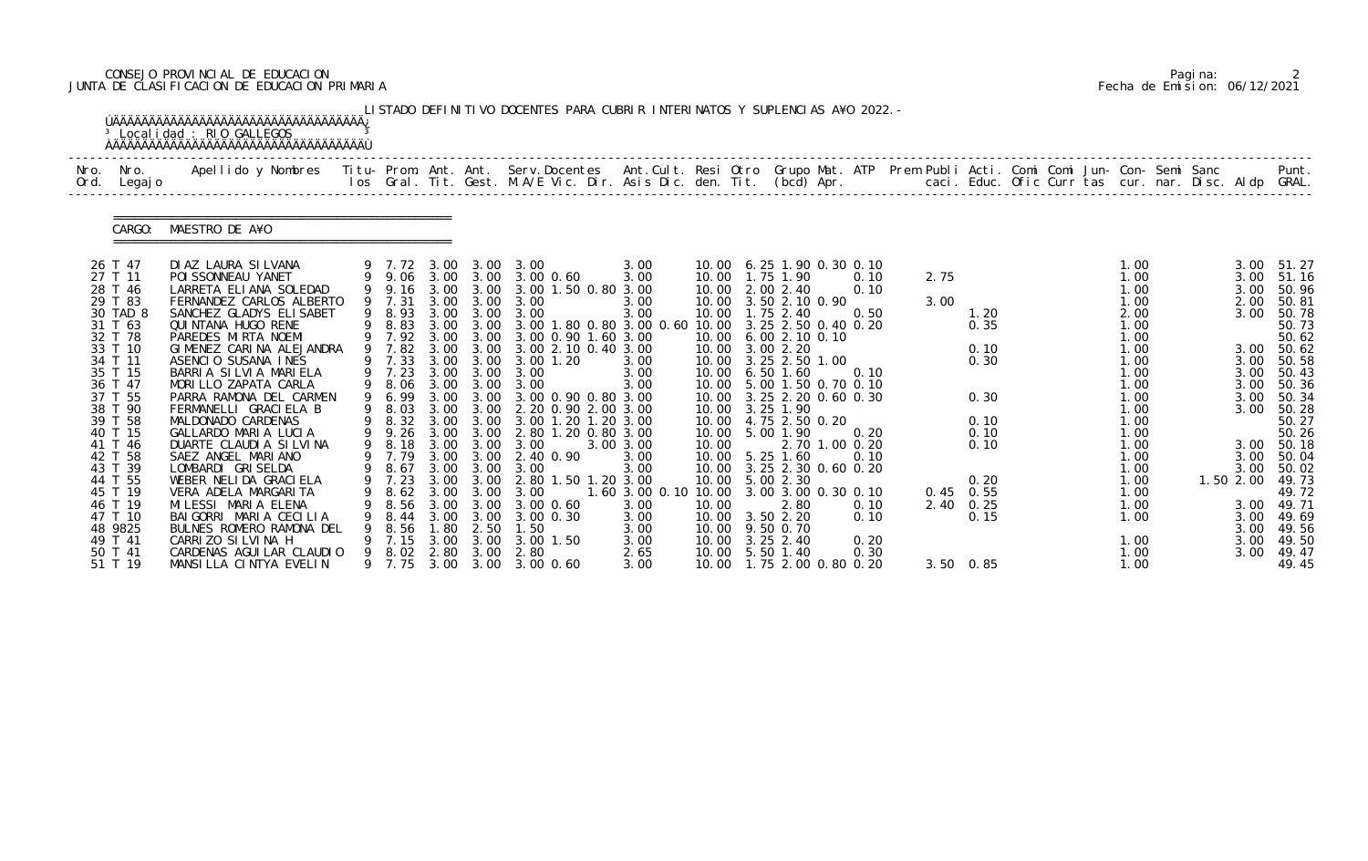# CONSEJO PROVINCIAL DE EDUCACION Pagina: 2 JUNTA DE CLASIFICACION DE EDUCACION PRIMARIA Fecha de Emision: 06/12/2021

|                                                                                                                                                                                                                | <sup>3</sup> Localidad : RIO GALLEGOS                                                                                                                                                                                                                                                                                                                                                                                                                                        |                                                                                                            |                              |                                           | LISTADO DEFINITIVO DOCENTES PARA CUBRIR INTERINATOS Y SUPLENCIAS A¥O 2022. -                                                                                                                                                                                                                                                                                                                                                                                                                                                                            |                                                                                                                               |       |                                                                                                                                                                                                                                                                                                                                                                                                 |                                                                |              |                                                                      |  |                                                                                                                                                      |  |                                                                              |                                                                                                                                                                                                                |
|----------------------------------------------------------------------------------------------------------------------------------------------------------------------------------------------------------------|------------------------------------------------------------------------------------------------------------------------------------------------------------------------------------------------------------------------------------------------------------------------------------------------------------------------------------------------------------------------------------------------------------------------------------------------------------------------------|------------------------------------------------------------------------------------------------------------|------------------------------|-------------------------------------------|---------------------------------------------------------------------------------------------------------------------------------------------------------------------------------------------------------------------------------------------------------------------------------------------------------------------------------------------------------------------------------------------------------------------------------------------------------------------------------------------------------------------------------------------------------|-------------------------------------------------------------------------------------------------------------------------------|-------|-------------------------------------------------------------------------------------------------------------------------------------------------------------------------------------------------------------------------------------------------------------------------------------------------------------------------------------------------------------------------------------------------|----------------------------------------------------------------|--------------|----------------------------------------------------------------------|--|------------------------------------------------------------------------------------------------------------------------------------------------------|--|------------------------------------------------------------------------------|----------------------------------------------------------------------------------------------------------------------------------------------------------------------------------------------------------------|
| Nro. Nro.<br>Ord. Legajo                                                                                                                                                                                       | Apellido y Nombres - Titu- Prom. Ant. Ant. Serv.Docentes - Ant.Cult. Resi Otro Grupo Mat. ATP Prem Publi Acti. Comi Comi Jun- Con- Semi Sanc - - - Punt.<br>Ios Gral. Tit. Gest. M.A/E Vic. Dir. Asis Dic. den. Tit. (bcd) Apr. -                                                                                                                                                                                                                                            |                                                                                                            |                              |                                           |                                                                                                                                                                                                                                                                                                                                                                                                                                                                                                                                                         |                                                                                                                               |       |                                                                                                                                                                                                                                                                                                                                                                                                 |                                                                |              |                                                                      |  |                                                                                                                                                      |  |                                                                              |                                                                                                                                                                                                                |
| CARGO:                                                                                                                                                                                                         | MAESTRO DE A¥O                                                                                                                                                                                                                                                                                                                                                                                                                                                               |                                                                                                            |                              |                                           |                                                                                                                                                                                                                                                                                                                                                                                                                                                                                                                                                         |                                                                                                                               |       |                                                                                                                                                                                                                                                                                                                                                                                                 |                                                                |              |                                                                      |  |                                                                                                                                                      |  |                                                                              |                                                                                                                                                                                                                |
| 26 T 47<br>27 T 11<br>28 T 46<br>29 T 83<br>30 TAD 8<br>31 T 63<br>32 T 78<br>33 T 10<br>34 T 11<br>35 T 15<br>36 T 47<br>37 T 55<br>38 T 90<br>39 T 58<br>40 T 15<br>41 T 46<br>42 T 58<br>43 T 39<br>44 T 55 | DI AZ LAURA SILVANA<br>POI SSONNEAU YANET<br>LARRETA ELIANA SOLEDAD<br>FERNANDEZ CARLOS ALBERTO<br>SANCHEZ GLADYS ELISABET<br>QUI NTANA HUGO RENE<br>PAREDES MIRTA NOEMI<br>GIMENEZ CARINA ALEJANDRA<br>ASENCIO SUSANA INES<br>BARRIA SILVIA MARIELA<br>MORILLO ZAPATA CARLA<br>PARRA RAMONA DEL CARMEN<br>FERMANELLI GRACIELA B<br>MALDONADO CARDENAS<br>GALLARDO MARIA LUCIA<br>DUARTE CLAUDIA SILVINA<br>SAEZ ANGEL MARIANO<br>LOMBARDI GRISELDA<br>WEBER NELIDA GRACIELA | 9 7.31<br>9 8.83<br>9 7.92<br>9 7.82<br>9 7.33<br>9 7.23<br>9 6.99<br>9 8.03<br>9 8.32<br>9 9.26<br>9 8.18 | 3.00<br>3.00<br>3.00<br>3.00 | 3.00 3.00<br>3.00<br>3.00<br>3.00<br>3.00 | 9 7.72 3.00 3.00 3.00<br>9 9.06 3.00 3.00 3.00 0.60<br>9 9.16 3.00 3.00 3.00 1.50 0.80 3.00<br>3.00 3.00 3.00<br>9 8.93 3.00 3.00 3.00<br>3.00 1.80 0.80 3.00 0.60 10.00 3.25 2.50 0.40 0.20<br>3.00 3.00 3.00 0.90 1.60 3.00<br>3.00 3.00 3.00 2.10 0.40 3.00<br>3.00 1.20<br>3.00 3.00 3.00<br>9 8.06 3.00 3.00 3.00<br>3.00 0.90 0.80 3.00<br>3.00 3.00 2.20 0.90 2.00 3.00<br>3.00 3.00 3.00 1.20 1.20 3.00<br>2.80 1.20 0.80 3.00<br>3.00 3.00 3.00<br>9 7.79 3.00 3.00 2.40 0.90<br>9 8.67 3.00 3.00 3.00<br>9 7.23 3.00 3.00 2.80 1.50 1.20 3.00 | 3.00<br>3.00<br>3.00<br>3.00<br>3.00<br>3.00<br>3.00<br>3.00 3.00<br>3.00<br>3.00<br>1.60 3.00 0.10 10.00 3.00 3.00 0.30 0.10 | 10.00 | 10.00 6.25 1.90 0.30 0.10<br>10.00  1.75  1.90<br>10.00 2.00 2.40<br>10.00 3.50 2.10 0.90<br>10.00  1.75  2.40<br>10.00 6.00 2.10 0.10<br>10.00 3.00 2.20<br>10.00 3.25 2.50 1.00<br>10.00 6.50 1.60<br>10.00 5.00 1.50 0.70 0.10<br>10.00 3.25 2.20 0.60 0.30<br>10.00 3.25 1.90<br>10.00 4.75 2.50 0.20<br>10.00 5.00 1.90<br>10.00 5.25 1.60<br>10.00 3.25 2.30 0.60 0.20<br>10.00 5.00 2.30 | 0.10<br>0.10<br>0.50<br>0.10<br>0.20<br>2.70 1.00 0.20<br>0.10 | 2.75<br>3.00 | 1.20<br>0.35<br>0.10<br>0.30<br>0.30<br>0.10<br>0.10<br>0.10<br>0.20 |  | 1.00<br>1.00<br>1.00<br>1.00<br>2.00<br>1.00<br>1.00<br>1.00<br>1.00<br>1.00<br>1.00<br>1.00<br>1.00<br>1.00<br>1.00<br>1.00<br>1.00<br>1.00<br>1.00 |  | 3.00<br>2.00<br>3.00<br>3.00<br>3.00<br>3.00<br>3.00<br>3.00<br>3.00<br>3.00 | 3.00 51.27<br>3.00 51.16<br>50.96<br>50.81<br>50.78<br>50.73<br>50.62<br>3.00 50.62<br>50.58<br>50.43<br>50.36<br>50.34<br>50.28<br>50.27<br>50.26<br>3.00 50.18<br>50.04<br>50.02<br>1.50 2.00 49.73<br>49.72 |
| 45 T 19<br>46 T 19<br>47 T 10<br>48 9825<br>49 T 41<br>50 T 41<br>51 T 19                                                                                                                                      | VERA ADELA MARGARITA<br>MILESSI MARIA ELENA<br>BAIGORRI MARIA CECILIA<br>BULNES ROMERO RAMONA DEL<br>CARRIZO SILVINA H<br>CARDENAS AGUI LAR CLAUDIO<br>MANSILLA CINTYA EVELIN                                                                                                                                                                                                                                                                                                | 8.62<br>8.56<br>8.44<br>8.56<br>7.15<br>9 8.02                                                             | 3.00<br>3.00                 | 3.00<br>$1.80$ $2.50$<br>3.00             | 3.00<br>3.00 0.60<br>3.00 3.00 3.00 0.30<br>1.50<br>3.00 1.50<br>2.80 3.00 2.80<br>9 7.75 3.00 3.00 3.00 0.60                                                                                                                                                                                                                                                                                                                                                                                                                                           | 3.00<br>3.00<br>3.00<br>3.00<br>2.65<br>3.00                                                                                  | 10.00 | 2.80<br>10.00 3.50 2.20<br>10.00 9.50 0.70<br>10.00 3.25 2.40<br>10.00 5.50 1.40<br>10.00  1.75  2.00  0.80  0.20                                                                                                                                                                                                                                                                               | 0.10<br>0.10<br>0.20<br>0.30                                   |              | $0.45$ 0.55<br>2.40 0.25<br>0.15<br>$3.50\quad 0.85$                 |  | 1.00<br>1.00<br>1.00<br>1.00<br>1.00<br>1.00                                                                                                         |  | 3.00<br>3.00<br>3.00<br>3.00<br>3.00                                         | 49.71<br>49.69<br>49.56<br>49.50<br>49.47<br>49.45                                                                                                                                                             |

|  | Pagi na: |                              |
|--|----------|------------------------------|
|  |          | Fecha de Emision: 06/12/2021 |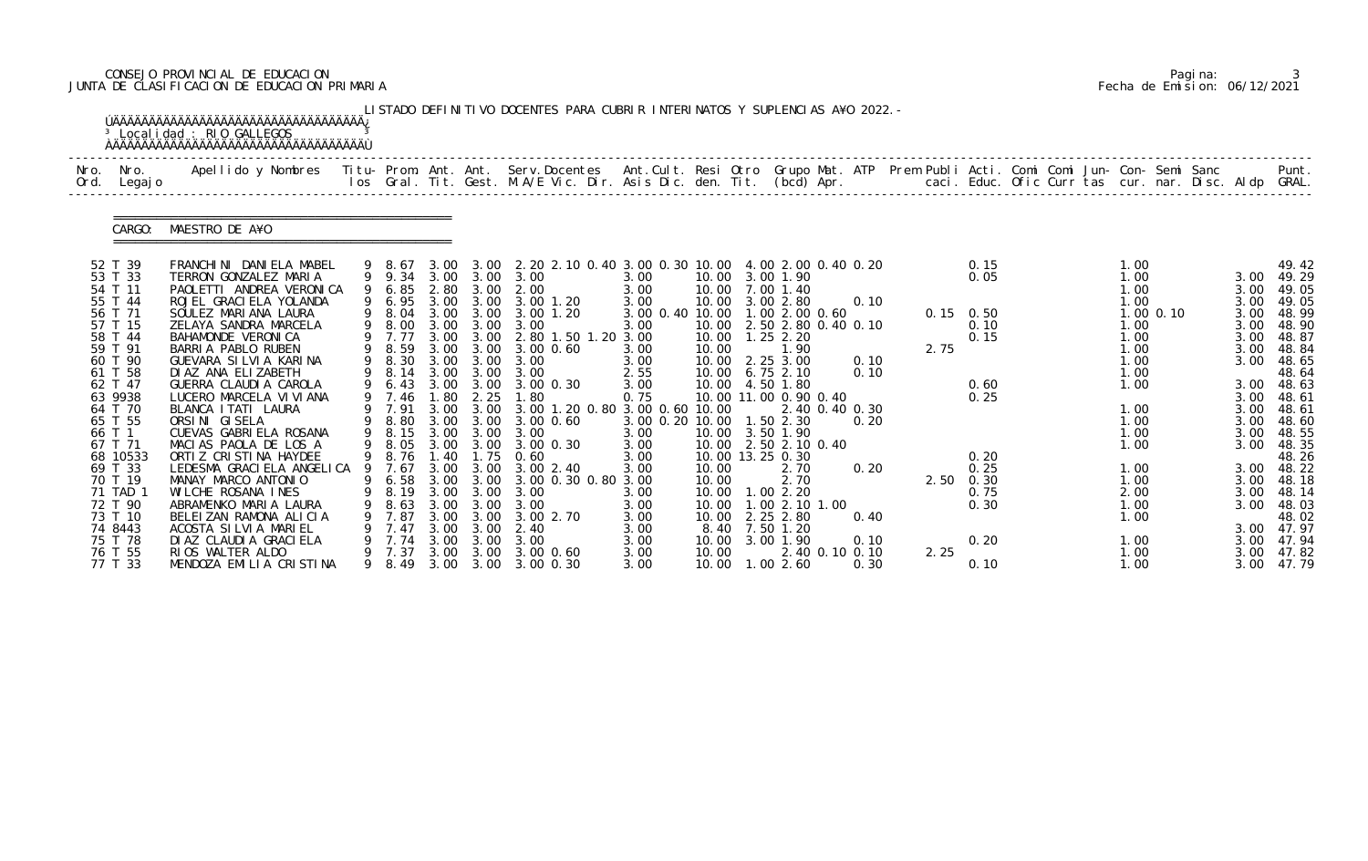# CONSEJO PROVINCIAL DE EDUCACION Pagina: 3 JUNTA DE CLASIFICACION DE EDUCACION PRIMARIA Fecha de Emision: 06/12/2021

|      |                                                                                                              | <sup>3</sup> Localidad : RIO GALLEGOS                                                                                                                                                                                                                         |                                                                              |                                              |                                                           | LISTADO DEFINITIVO DOCENTES PARA CUBRIR INTERINATOS Y SUPLENCIAS A¥O 2022. -                                                                                                                                     |                                                                           |                                  |                                                                                                                                                      |                                                |      |                                                           |  |                                                              |             |                                                      |                                                                                                                 |
|------|--------------------------------------------------------------------------------------------------------------|---------------------------------------------------------------------------------------------------------------------------------------------------------------------------------------------------------------------------------------------------------------|------------------------------------------------------------------------------|----------------------------------------------|-----------------------------------------------------------|------------------------------------------------------------------------------------------------------------------------------------------------------------------------------------------------------------------|---------------------------------------------------------------------------|----------------------------------|------------------------------------------------------------------------------------------------------------------------------------------------------|------------------------------------------------|------|-----------------------------------------------------------|--|--------------------------------------------------------------|-------------|------------------------------------------------------|-----------------------------------------------------------------------------------------------------------------|
| Nro. | Nro.<br>Ord. Legajo                                                                                          | Apellido y Nombres - Titu- Prom. Ant. Ant. Serv.Docentes - Ant.Cult. Resi Otro Grupo Mat. ATP Prem Publi Acti. Comi Comi Jun- Con- Semi Sanc - - - Punt.<br>Ios Gral. Tit. Gest. M.A/E Vic. Dir. Asis Dic. den. Tit. (bcd) Apr. -                             |                                                                              |                                              |                                                           |                                                                                                                                                                                                                  |                                                                           |                                  |                                                                                                                                                      |                                                |      |                                                           |  |                                                              |             |                                                      |                                                                                                                 |
|      | CARGO:                                                                                                       | MAESTRO DE A¥O                                                                                                                                                                                                                                                |                                                                              |                                              |                                                           |                                                                                                                                                                                                                  |                                                                           |                                  |                                                                                                                                                      |                                                |      |                                                           |  |                                                              |             |                                                      |                                                                                                                 |
|      | 52 T 39<br>53 T 33<br>54 T 11<br>55 T 44<br>56 T 71<br>57 T 15<br>58 T 44<br>59 T 91                         | FRANCHINI DANIELA MABEL<br>TERRON GONZALEZ MARIA<br>PAOLETTI ANDREA VERONICA<br>ROJEL GRACI ELA YOLANDA<br>SOULEZ MARIANA LAURA<br>ZELAYA SANDRA MARCELA<br>BAHAMONDE VERONICA<br>BARRIA PABLO RUBEN                                                          | 9 8.67<br>6.85<br>9 6.95<br>9 8.04<br>9 8.00<br>9 7.77<br>9 8.59             | 2.80<br>3.00                                 | 3.00                                                      | 3.00 3.00 2.20 2.10 0.40 3.00 0.30 10.00 4.00 2.00 0.40 0.20<br>9 9.34 3.00 3.00 3.00<br>3.00 2.00<br>3.00 3.00 3.00 1.20<br>3.00 3.00 3.00 1.20<br>3.00<br>3.00 3.00 2.80 1.50 1.20 3.00<br>3.00 3.00 3.00 0.60 | 3.00<br>3.00<br>3.00<br>3.00 0.40 10.00 1.00 2.00 0.60<br>3.00<br>3.00    | 10.00                            | 10.00 3.00 1.90<br>10.00 7.00 1.40<br>10.00 3.00 2.80<br>10.00  1.25  2.20<br>1.90                                                                   | 0.10<br>10.00 2.50 2.80 0.40 0.10              | 2.75 | 0.15<br>0.05<br>$0.15 \quad 0.50$<br>0.10<br>0.15         |  | 1.00<br>1.00<br>1.00<br>1.00<br>1.00<br>1.00<br>1.00         | $1.00$ 0.10 | 3.00<br>3.00<br>3.00<br>3.00<br>3.00<br>3.00<br>3.00 | 49.42<br>49.29<br>49.05<br>49.05<br>48.99<br>48.90<br>48.87<br>48.84                                            |
|      | 60 T 90<br>61 T 58<br>62 T 47<br>63 9938<br>64 T 70<br>65 T 55<br>66 T 1<br>67 T 71                          | GUEVARA SILVIA KARINA<br>DI AZ ANA ELIZABETH<br>GUERRA CLAUDI A CAROLA<br>LUCERO MARCELA VI VI ANA<br>BLANCA I TATI LAURA<br>ORSINI GISELA<br>CUEVAS GABRIELA ROSANA<br>MACIAS PAOLA DE LOS A                                                                 | 9 8.30<br>9 8.14<br>9 6.43<br>9 7.46<br>9 7.91<br>9 8.80<br>9 8.15<br>9 8.05 | 3.00<br>3.00<br>1.80<br>3.00                 | 3.00<br>3.00<br>2.25<br>3.00 3.00<br>3.00                 | 3.00<br>3.00<br>3.00 3.00 3.00 0.30<br>1.80<br>3.00 3.00 3.00 1.20 0.80 3.00 0.60 10.00<br>3.00 0.60<br>3.00<br>3.00 3.00 3.00 0.30                                                                              | 3.00<br>2.55<br>3.00<br>0.75<br>3.00 0.20 10.00 1.50 2.30<br>3.00<br>3.00 |                                  | 10.00 2.25 3.00<br>10.00 6.75 2.10<br>10.00  4.50  1.80<br>10.00 11.00 0.90 0.40<br>10.00 3.50 1.90<br>10.00 2.50 2.10 0.40                          | 0.10<br>0.10<br>2.40 0.40 0.30<br>0.20         |      | 0.60<br>0.25                                              |  | 1.00<br>1.00<br>1.00<br>1.00<br>1.00<br>1.00<br>1.00         |             | 3.00<br>3.00<br>3.00<br>3.00<br>3.00<br>3.00         | 48.65<br>48.64<br>3.00 48.63<br>48.61<br>48.61<br>48.60<br>48.55<br>48.35                                       |
|      | 68 10533<br>69 T 33<br>70 T 19<br>71 TAD 1<br>72 T 90<br>73 T 10<br>74 8443<br>75 T 78<br>76 T 55<br>77 T 33 | ORTIZ CRISTINA HAYDEE<br>LEDESMA GRACI ELA ANGELICA 9 7.67<br>MANAY MARCO ANTONIO<br>WILCHE ROSANA INES<br>ABRAMENKO MARIA LAURA<br>BELEIZAN RAMONA ALICIA<br>ACOSTA SILVIA MARIEL<br>DI AZ CLAUDI A GRACI ELA<br>RIOS WALTER ALDO<br>MENDOZA EMILIA CRISTINA | 8.19<br>8.63<br>7.87<br>7.47<br>7.74<br>7.37<br>9 8.49                       | 3.00<br>3.00<br>3.00<br>3.00<br>3.00<br>3.00 | 3.00 3.00<br>3.00<br>3.00<br>3.00<br>3.00<br>3.00<br>3.00 | 9 8.76 1.40 1.75 0.60<br>3.00 2.40<br>9 6.58 3.00 3.00 3.00 0.30 0.80 3.00<br>3.00<br>3.00<br>3.00 2.70<br>2.40<br>3.00<br>3.00 0.60<br>3.00 3.00 3.00 0.30                                                      | 3.00<br>3.00<br>3.00<br>3.00<br>3.00<br>3.00<br>3.00<br>3.00<br>3.00      | 10.00<br>10.00<br>10.00<br>10.00 | 10.00 13.25 0.30<br>2.70<br>2.70<br>10.00  1.00  2.20<br>10.00 1.00 2.10 1.00<br>10.00 2.25 2.80<br>8.40 7.50 1.20<br>3.00 1.90<br>10.00  1.00  2.60 | 0.20<br>0.40<br>0.10<br>2.40 0.10 0.10<br>0.30 | 2.25 | 0.20<br>0.25<br>2.50 0.30<br>0.75<br>0.30<br>0.20<br>0.10 |  | 1.00<br>1.00<br>2.00<br>1.00<br>1.00<br>1.00<br>1.00<br>1.00 |             | 3.00<br>3.00<br>3.00                                 | 48.26<br>3.00 48.22<br>3.00 48.18<br>48.14<br>48.03<br>48.02<br>3.00 47.97<br>47.94<br>3.00 47.82<br>3.00 47.79 |

|  | Pagi na: |                              |
|--|----------|------------------------------|
|  |          | Fecha de Emision: 06/12/2021 |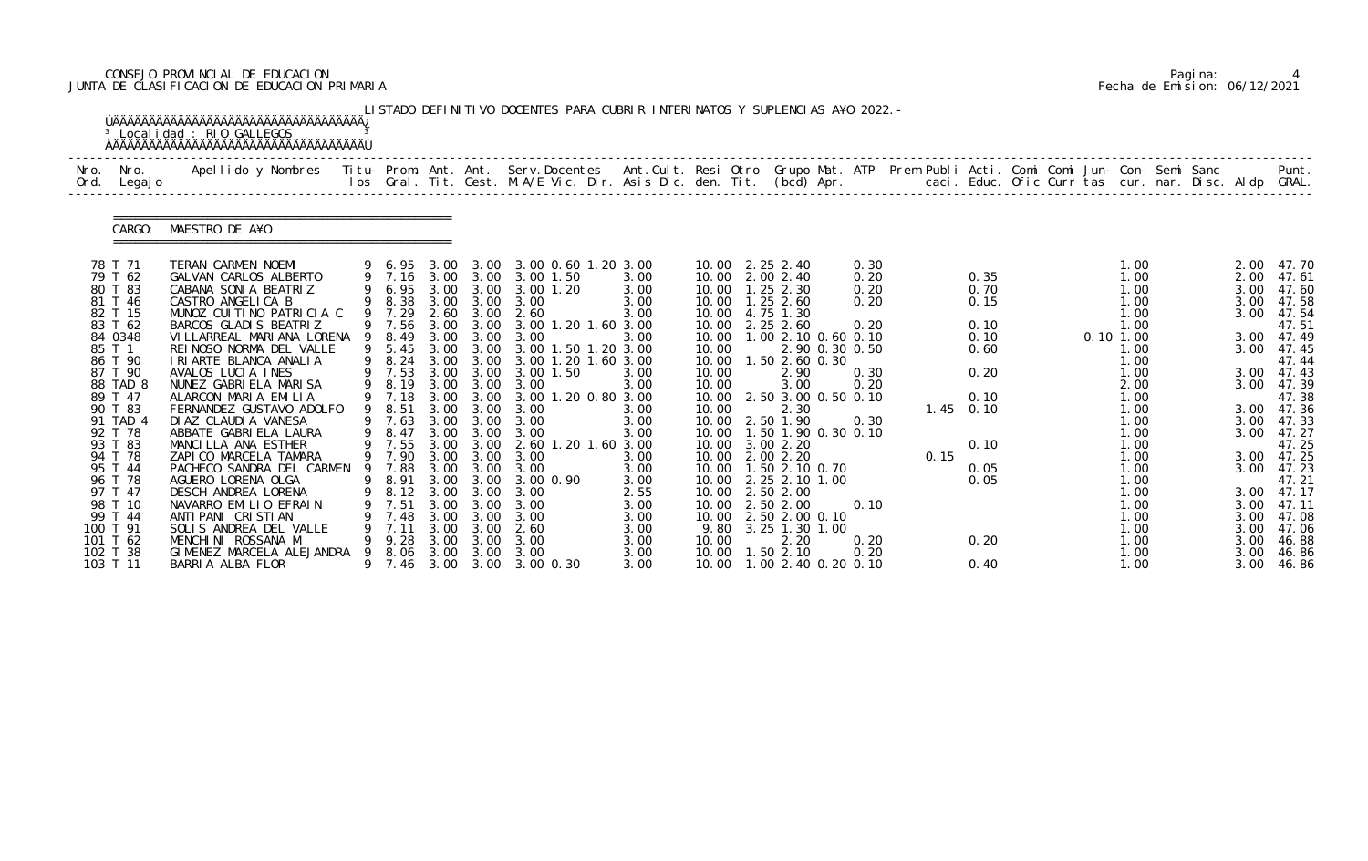# CONSEJO PROVINCIAL DE EDUCACION Pagina: 4 JUNTA DE CLASIFICACION DE EDUCACION PRIMARIA Fecha de Emision: 06/12/2021

|              |                     | <sup>3</sup> Localidad : RIO GALLEGOS                                                                                                          |                  |      |           |                                                                                                                                |              |                |                                        |              |      |              |  |              |  |              |                            |
|--------------|---------------------|------------------------------------------------------------------------------------------------------------------------------------------------|------------------|------|-----------|--------------------------------------------------------------------------------------------------------------------------------|--------------|----------------|----------------------------------------|--------------|------|--------------|--|--------------|--|--------------|----------------------------|
| Nro.<br>Ord. | Nro.<br>Legaj o     | Apellido y Nombres - Titu- Prom. Ant. Ant. Serv.Docentes - Ant.Cult. Resi Otro Grupo Mat. ATP - Prem Publi Acti. Comi Comi Jun- Con- Semi Sanc |                  |      |           | los Gral. Tit. Gest. M.A/E Vic. Dir. Asis Dic. den. Tit. (bcd) Apr.       caci. Educ. Ofic Curr tas cur. nar. Disc. Aldp GRAL. |              |                |                                        |              |      |              |  |              |  |              | Punt.                      |
|              | CARGO:              | MAESTRO DE A¥O                                                                                                                                 |                  |      |           |                                                                                                                                |              |                |                                        |              |      |              |  |              |  |              |                            |
|              | 78 T 71             | TERAN CARMEN NOEMI                                                                                                                             |                  |      |           | 9 6.95 3.00 3.00 3.00 0.60 1.20 3.00                                                                                           |              |                | 10.00 2.25 2.40                        | 0.30         |      |              |  | 1.00         |  |              | 2.00 47.70                 |
|              | 79 T 62             | GALVAN CARLOS ALBERTO                                                                                                                          |                  |      |           | 9 7.16 3.00 3.00 3.00 1.50                                                                                                     | 3.00         |                | 10.00 2.00 2.40                        | 0.20         |      | 0.35         |  | 1.00         |  | 2.00         | 47.61                      |
|              | 80 T 83<br>81 T 46  | CABANA SONIA BEATRIZ<br>CASTRO ANGELICA B                                                                                                      |                  |      |           | 9 6.95 3.00 3.00 3.00 1.20<br>9 8.38 3.00 3.00 3.00                                                                            | 3.00<br>3.00 |                | 10.00  1.25  2.30<br>10.00  1.25  2.60 | 0.20<br>0.20 |      | 0.70<br>0.15 |  | 1.00<br>1.00 |  | 3.00<br>3.00 | 47.60<br>47.58             |
|              | 82 T 15             | MUNOZ CUITINO PATRICIA C                                                                                                                       |                  |      |           | 9 7.29 2.60 3.00 2.60                                                                                                          | 3.00         |                | 10.00 4.75 1.30                        |              |      |              |  | 1.00         |  |              | 3.00 47.54                 |
|              | 83 T 62             | BARCOS GLADIS BEATRIZ                                                                                                                          | 9 7.56           |      |           | 3.00 3.00 3.00 1.20 1.60 3.00                                                                                                  |              |                | 10.00 2.25 2.60                        | 0.20         |      | 0.10         |  | 1.00         |  |              | 47.51                      |
|              | 84 0348             | VILLARREAL MARIANA LORENA 9 8.49                                                                                                               |                  |      | 3.00 3.00 | 3.00                                                                                                                           | 3.00         |                | 10.00 1.00 2.10 0.60 0.10              |              |      | 0.10         |  | 0.101.00     |  |              | 3.00 47.49                 |
| 85 T 1       |                     | REINOSO NORMA DEL VALLE                                                                                                                        | 9 5.45           |      |           | 3.00 3.00 3.00 1.50 1.20 3.00                                                                                                  |              | 10.00          | 2.90 0.30 0.50                         |              |      | 0.60         |  | 1.00         |  |              | 3.00 47.45                 |
|              | 86 T 90             | I RI ARTE BLANCA ANALIA                                                                                                                        | 9 8.24           |      | 3.00 3.00 | 3.00 1.20 1.60 3.00                                                                                                            |              | 10.00          | 1.50 2.60 0.30                         |              |      | 0.20         |  | 1.00         |  |              | 47.44                      |
|              | 87 T 90<br>88 TAD 8 | AVALOS LUCIA INES<br>NUNEZ GABRIELA MARISA                                                                                                     | 9 7.53<br>9 8.19 |      |           | 3.00 3.00 3.00 1.50<br>3.00 3.00 3.00                                                                                          | 3.00<br>3.00 | 10.00<br>10.00 | 2.90<br>3.00                           | 0.30<br>0.20 |      |              |  | 1.00<br>2.00 |  |              | $3.00$ 47.43<br>3.00 47.39 |
|              | 89 T 47             | ALARCON MARIA EMILIA                                                                                                                           | 9 7.18           | 3.00 | 3.00      | 3.00 1.20 0.80 3.00                                                                                                            |              |                | 10.00 2.50 3.00 0.50 0.10              |              |      | 0.10         |  | 1.00         |  |              | 47.38                      |
|              | 90 T 83             | FERNANDEZ GUSTAVO ADOLFO                                                                                                                       | 9 8.51           |      | 3.00 3.00 | 3.00                                                                                                                           | 3.00         | 10.00          | 2.30                                   |              |      | $1.45$ 0.10  |  | 1.00         |  |              | 3.00 47.36                 |
|              | 91 TAD 4            | DI AZ CLAUDI A VANESA                                                                                                                          | 9 7.63           |      | 3.00 3.00 | 3.00                                                                                                                           | 3.00         |                | 10.00 2.50 1.90                        | 0.30         |      |              |  | 1.00         |  |              | 3.00 47.33                 |
|              | 92 T 78             | ABBATE GABRIELA LAURA                                                                                                                          | 9 8.47           |      |           | 3.00 3.00 3.00                                                                                                                 | 3.00         |                | 10.00  1.50  1.90  0.30  0.10          |              |      |              |  | 1.00         |  | 3.00         | 47.27                      |
|              | 93 T 83<br>94 T 78  | MANCILLA ANA ESTHER                                                                                                                            | 9 7.55<br>9 7.90 |      | 3.00 3.00 | 3.00 3.00 2.60 1.20 1.60 3.00<br>3.00                                                                                          |              |                | 10.00 3.00 2.20<br>10.00 2.00 2.20     |              |      | 0.10         |  | 1.00         |  |              | 47.25                      |
|              | 95 T 44             | ZAPICO MARCELA TAMARA<br>PACHECO SANDRA DEL CARMEN                                                                                             | 9 7.88           |      | 3.00 3.00 | 3.00                                                                                                                           | 3.00<br>3.00 |                | 10.00  1.50  2.10  0.70                |              | 0.15 | 0.05         |  | 1.00<br>1.00 |  | 3.00         | 3.00 47.25<br>47.23        |
|              | 96 T 78             | AGUERO LORENA OLGA                                                                                                                             |                  |      |           | 9 8.91 3.00 3.00 3.00 0.90                                                                                                     | 3.00         |                | 10.00 2.25 2.10 1.00                   |              |      | 0.05         |  | 1.00         |  |              | 47.21                      |
|              | 97 T 47             | DESCH ANDREA LORENA                                                                                                                            | 8.12             | 3.00 | 3.00      | 3.00                                                                                                                           | 2.55         |                | 10.00 2.50 2.00                        |              |      |              |  | 1.00         |  |              | 3.00 47.17                 |
|              | 98 T 10             | NAVARRO EMILIO EFRAIN                                                                                                                          | 7.51             | 3.00 | 3.00      | 3.00                                                                                                                           | 3.00         |                | 10.00 2.50 2.00                        | 0.10         |      |              |  | 1.00         |  |              | $3.00$ 47.11               |
|              | 99 T 44             | ANTI PANI CRISTIAN                                                                                                                             | 7.48             | 3.00 | 3.00      | 3.00                                                                                                                           | 3.00         |                | 10.00 2.50 2.00 0.10                   |              |      |              |  | 1.00         |  |              | 3.00 47.08                 |
| 100 T 91     |                     | SOLIS ANDREA DEL VALLE                                                                                                                         | 7.11             | 3.00 | 3.00      | 2.60                                                                                                                           | 3.00         |                | 9.80 3.25 1.30 1.00                    |              |      |              |  | 1.00         |  |              | 3.00 47.06                 |
| 101 T 62     |                     | MENCHINI ROSSANA M                                                                                                                             | 9.28             | 3.00 | 3.00      | 3.00                                                                                                                           | 3.00         | 10.00          | 2.20                                   | 0.20         |      | 0.20         |  | 1.00         |  | 3.00         | 46.88                      |
| 102 T 38     | 103 T 11            | GIMENEZ MARCELA ALEJANDRA<br>BARRIA ALBA FLOR                                                                                                  | 8.06             | 3.00 | 3.00      | 3.00<br>9 7.46 3.00 3.00 3.00 0.30                                                                                             | 3.00<br>3.00 | 10.00          | 1.502.10<br>10.00 1.00 2.40 0.20 0.10  | 0.20         |      | 0.40         |  | 1.00<br>1.00 |  | 3.00<br>3.00 | 46.86<br>46.86             |

|  | Pagi na: |                              |
|--|----------|------------------------------|
|  |          | Fecha de Emision: 06/12/2021 |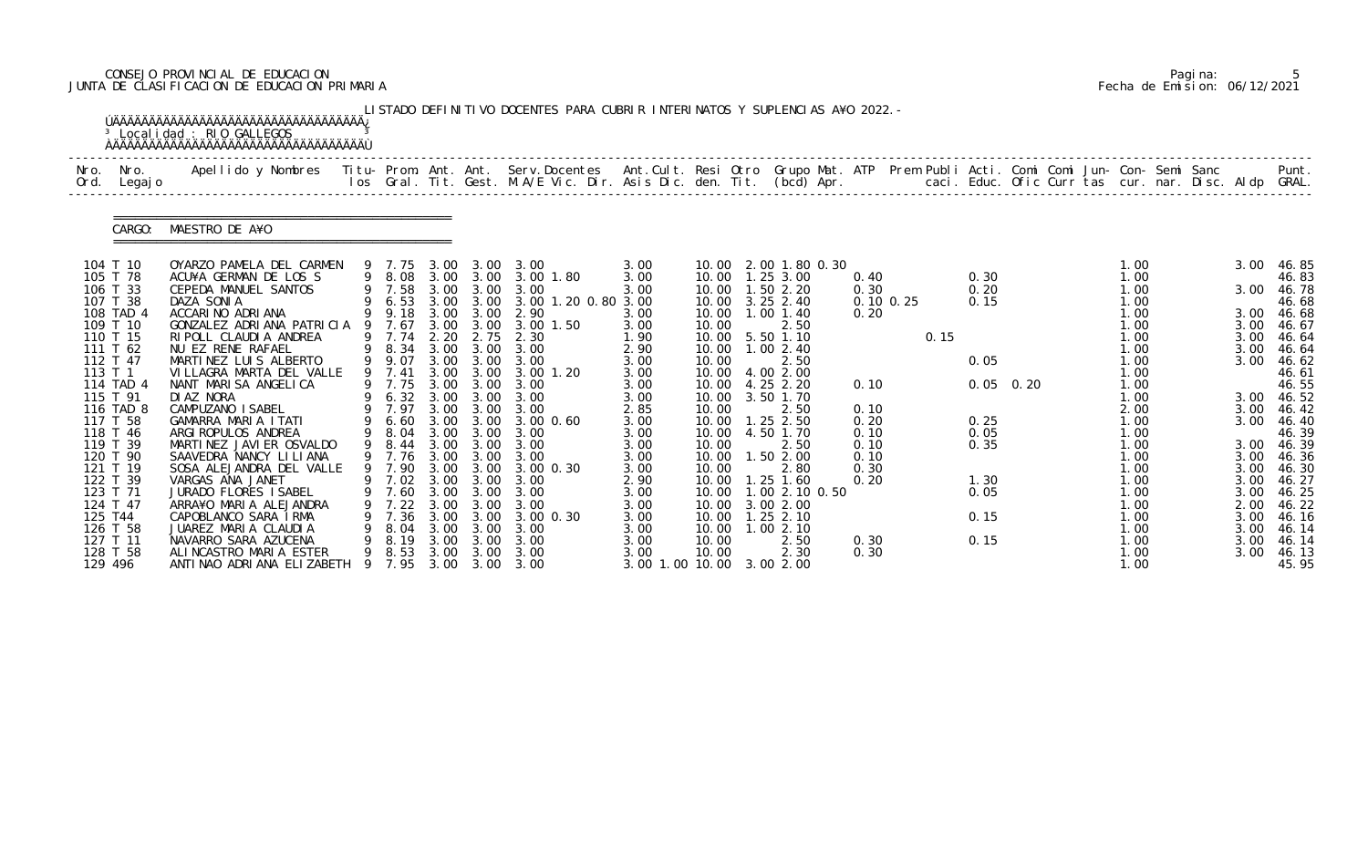# CONSEJO PROVINCIAL DE EDUCACION Pagina: 5 JUNTA DE CLASIFICACION DE EDUCACION PRIMARIA Fecha de Emision: 06/12/2021

|         |                          | <sup>3</sup> Localidad : RIO GALLEGOS                                                                                                                                                                                             |                  |              |                           | LISTADO DEFINITIVO DOCENTES PARA CUBRIR INTERINATOS Y SUPLENCIAS A¥O 2022. - |                 |                |                                  |              |               |      |             |  |                               |  |              |                |
|---------|--------------------------|-----------------------------------------------------------------------------------------------------------------------------------------------------------------------------------------------------------------------------------|------------------|--------------|---------------------------|------------------------------------------------------------------------------|-----------------|----------------|----------------------------------|--------------|---------------|------|-------------|--|-------------------------------|--|--------------|----------------|
|         | Nro. Nro.<br>Ord. Legajo | Apellido y Nombres  Titu- Prom. Ant. Ant.  Serv.Docentes  Ant.Cult. Resi Otro  Grupo Mat. ATP  Prem Publi Acti. Comi Comi Jun- Con- Semi Sanc              Punt.<br>Ios Gral. Tit. Gest. M.A/E Vic. Dir. Asis Dic. den. Tit. (bcd |                  |              |                           |                                                                              |                 |                |                                  |              |               |      |             |  |                               |  |              |                |
|         | CARGO:                   | MAESTRO DE A¥O                                                                                                                                                                                                                    |                  |              |                           |                                                                              |                 |                |                                  |              |               |      |             |  |                               |  |              |                |
|         | 104 T 10                 | OYARZO PAMELA DEL CARMEN                                                                                                                                                                                                          | 9 7.75           |              |                           | 3.00 3.00 3.00                                                               | 3.00            |                | 10.00 2.00 1.80 0.30             |              |               |      |             |  | 1.00                          |  | 3.00         | 46.85          |
|         | 105 T 78                 | ACU¥A GERMAN DE LOS S                                                                                                                                                                                                             |                  |              |                           | 9 8.08 3.00 3.00 3.00 1.80                                                   | 3.00            |                | 10.00  1.25  3.00                | 0.40         |               |      | 0.30        |  | 1.00                          |  |              | 46.83          |
|         | 106 T 33<br>107 T 38     | CEPEDA MANUEL SANTOS                                                                                                                                                                                                              | 9 7.58           |              | 3.00 3.00                 | 3.00<br>9 6.53 3.00 3.00 3.00 1.20 0.80 3.00                                 | 3.00            | 10.00          | $1.50$ $2.20$                    | 0.30         | $0.10$ $0.25$ |      | 0.20        |  | 1.00                          |  | 3.00         | 46.78          |
|         | 108 TAD 4                | DAZA SONIA<br>ACCARINO ADRIANA                                                                                                                                                                                                    | 9 9.18           |              |                           | 3.00 3.00 2.90                                                               | 3.00            | 10.00          | 10.00 3.25 2.40<br>$1.00$ $1.40$ | 0.20         |               |      | 0.15        |  | 1.00<br>1.00                  |  | 3.00         | 46.68<br>46.68 |
|         | 109 T 10                 | GONZALEZ ADRIANA PATRICIA 9 7.67                                                                                                                                                                                                  |                  | 3.00         | 3.00                      | 3.00 1.50                                                                    | 3.00            | 10.00          | 2.50                             |              |               |      |             |  | 1.00                          |  | 3.00         | 46.67          |
|         | 110 T 15                 | RIPOLL CLAUDIA ANDREA                                                                                                                                                                                                             | 9 7.74 2.20      |              | 2.75                      | 2.30                                                                         | 1.90            |                | 10.00 5.50 1.10                  |              |               | 0.15 |             |  | 1.00                          |  | 3.00         | 46.64          |
|         | 111 T 62                 | NU EZ RENE RAFAEL                                                                                                                                                                                                                 |                  |              |                           | 9 8.34 3.00 3.00 3.00                                                        | 2.90            |                | 10.00  1.00  2.40                |              |               |      |             |  | 1.00                          |  | 3.00         | 46.64          |
|         | 112 T 47                 | MARTINEZ LUIS ALBERTO                                                                                                                                                                                                             | 9 9.07           | 3.00         | 3.00                      | 3.00                                                                         | 3.00            | 10.00          | 2.50                             |              |               |      | 0.05        |  | 1.00                          |  | 3.00         | 46.62          |
| 113 T 1 |                          | VILLAGRA MARTA DEL VALLE                                                                                                                                                                                                          | 9 7.41           |              | 3.00 3.00                 | 3.00 1.20                                                                    | 3.00            |                | 10.00 4.00 2.00                  |              |               |      |             |  | 1.00                          |  |              | 46.61          |
|         | 114 TAD 4                | NANT MARISA ANGELICA                                                                                                                                                                                                              | 9 7.75           |              |                           | 3.00 3.00 3.00                                                               | 3.00            |                | 10.00 4.25 2.20                  | 0.10         |               |      | $0.05$ 0.20 |  | 1.00                          |  |              | 46.55          |
|         | 115 T 91                 | DI AZ NORA                                                                                                                                                                                                                        | 9 6.32 3.00      |              | 3.00                      | 3.00                                                                         | 3.00            | 10.00          | 3.50 1.70                        |              |               |      |             |  | 1.00                          |  | 3.00         | 46.52          |
|         | 116 TAD 8<br>117 T 58    | CAMPUZANO ISABEL<br>GAMARRA MARIA ITATI                                                                                                                                                                                           | 9 7.97<br>9 6.60 | 3.00         | 3.00<br>$3.00 \quad 3.00$ | 3.00<br>3.00 0.60                                                            | 2.85<br>3.00    | 10.00<br>10.00 | 2.50<br>$1.25$ $2.50$            | 0.10<br>0.20 |               |      | 0.25        |  | 2.00<br>1.00                  |  | 3.00<br>3.00 | 46.42<br>46.40 |
|         | 118 T 46                 | ARGI ROPULOS ANDREA                                                                                                                                                                                                               | 9 8.04           | 3.00         | 3.00                      | 3.00                                                                         | 3.00            | 10.00          | 4.50 1.70                        | 0.10         |               |      | 0.05        |  | 1.00                          |  |              | 46.39          |
|         | 119 T 39                 | MARTINEZ JAVIER OSVALDO                                                                                                                                                                                                           | 9 8.44           | 3.00         | 3.00                      | 3.00                                                                         | 3.00            | 10.00          | 2.50                             | 0.10         |               |      | 0.35        |  | 1.00                          |  | 3.00         | 46.39          |
|         | 120 T 90                 | SAAVEDRA NANCY LILIANA                                                                                                                                                                                                            |                  |              |                           | 9 7.76 3.00 3.00 3.00                                                        | 3.00            | 10.00          | 1.502.00                         | 0.10         |               |      |             |  | 1.00                          |  | 3.00         | 46.36          |
|         | 121 T 19                 | SOSA ALEJANDRA DEL VALLE                                                                                                                                                                                                          | 9 7.90           | 3.00         | 3.00                      | 3.00 0.30                                                                    | 3.00            | 10.00          | 2.80                             | 0.30         |               |      |             |  | 1.00                          |  | 3.00         | 46.30          |
|         | 122 T 39                 | VARGAS ANA JANET                                                                                                                                                                                                                  |                  |              |                           | 9 7.02 3.00 3.00 3.00                                                        | 2.90            |                | 10.00  1.25  1.60                | 0.20         |               |      | 1.30        |  | 1.00                          |  | 3.00         | 46.27          |
|         | 123 T 71                 | JURADO FLORES I SABEL                                                                                                                                                                                                             | 7.60             | 3.00         | 3.00                      | 3.00                                                                         | 3.00            |                | 10.00  1.00  2.10  0.50          |              |               |      | 0.05        |  | 1.00                          |  | 3.00         | 46.25          |
|         | 124 T 47                 | ARRA¥O MARIA ALEJANDRA                                                                                                                                                                                                            | 7.22             | 3.00         | 3.00                      | 3.00                                                                         | 3.00            | 10.00          | 3.00 2.00                        |              |               |      |             |  | $\overline{\phantom{0}}$ . 00 |  | 2.00         | 46.22          |
| 125 T44 |                          | CAPOBLANCO SARA IRMA                                                                                                                                                                                                              | 7.36             | 3.00         | 3.00                      | 3.00 0.30                                                                    | 3.00            | 10.00          | $1.25$ 2.10                      |              |               |      | 0.15        |  | 1.00                          |  | 3.00         | 46.16          |
|         | 126 T 58<br>127 T 11     | JUAREZ MARIA CLAUDIA<br>NAVARRO SARA AZUCENA                                                                                                                                                                                      | 8.04<br>8.19     | 3.00<br>3.00 | 3.00<br>3.00              | 3.00<br>3.00                                                                 | 3.00<br>3.00    | 10.00<br>10.00 | 1.002.10<br>2.50                 | 0.30         |               |      | 0.15        |  | 1.00<br>1.00                  |  | 3.00<br>3.00 | 46.14<br>46.14 |
|         | 128 T 58                 | ALINCASTRO MARIA ESTER                                                                                                                                                                                                            | 9 8.53           | 3.00         | 3.00                      | 3.00                                                                         | 3.00            | 10.00          | 2.30                             | 0.30         |               |      |             |  | 1.00                          |  | 3.00         | 46.13          |
| 129 496 |                          | ANTI NAO ADRI ANA ELIZABETH                                                                                                                                                                                                       | 9 7.95           |              |                           | 3.00 3.00 3.00                                                               | 3.00 1.00 10.00 |                | 3.00 2.00                        |              |               |      |             |  | 1.00                          |  |              | 45.95          |

|  | Pagi na: |                              |
|--|----------|------------------------------|
|  |          | Fecha de Emision: 06/12/2021 |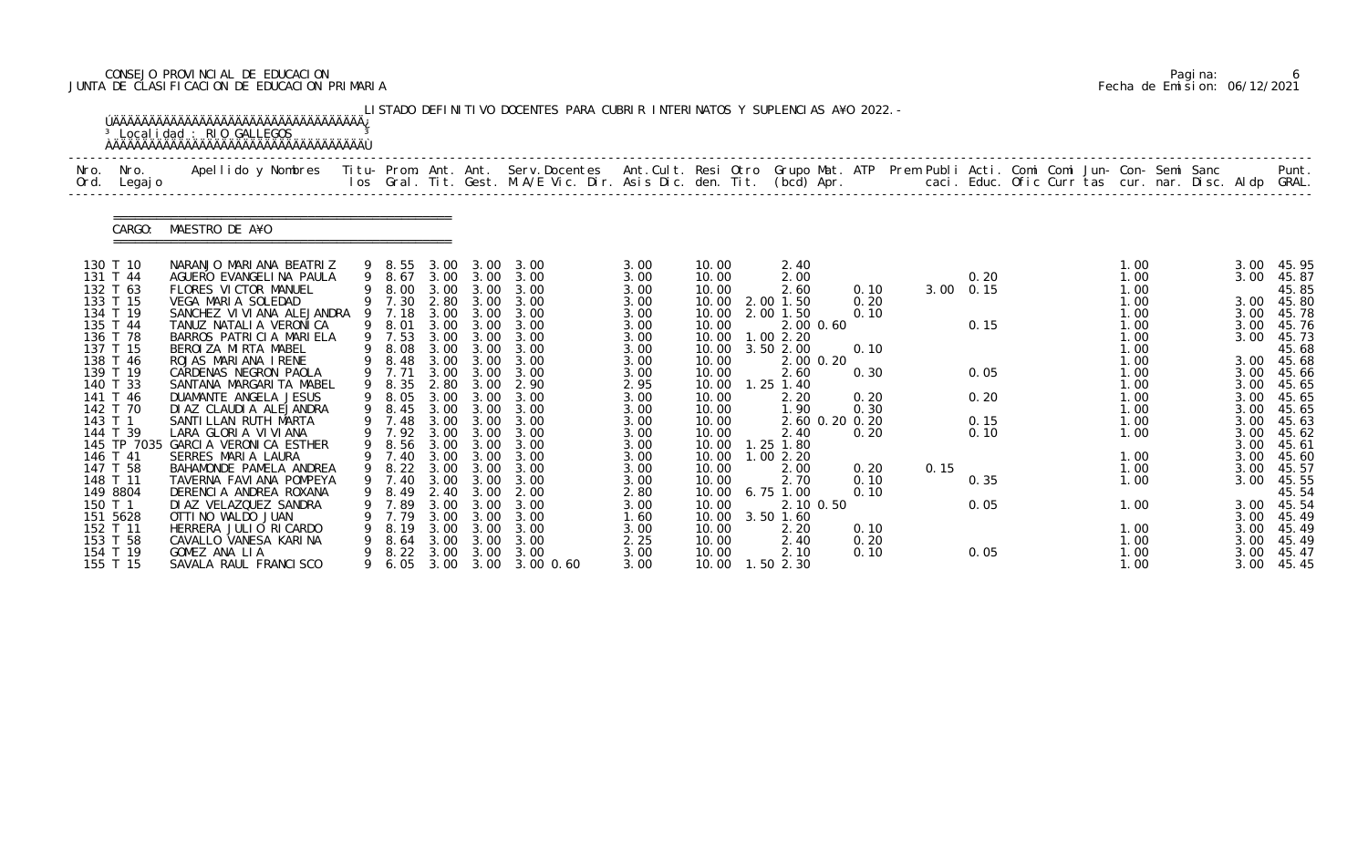# CONSEJO PROVINCIAL DE EDUCACION Pagina: 6 JUNTA DE CLASIFICACION DE EDUCACION PRIMARIA Fecha de Emision: 06/12/2021

|              |                      | <sup>3</sup> Localidad : RIO GALLEGOS                                                                                                                                                                                           |    |                  |              |              | LISTADO DEFINITIVO DOCENTES PARA CUBRIR INTERINATOS Y SUPLENCIAS A¥O 2022. - |              |                |                        |              |           |      |  |              |  |              |                |
|--------------|----------------------|---------------------------------------------------------------------------------------------------------------------------------------------------------------------------------------------------------------------------------|----|------------------|--------------|--------------|------------------------------------------------------------------------------|--------------|----------------|------------------------|--------------|-----------|------|--|--------------|--|--------------|----------------|
| Nro.<br>Ord. | Nro.<br>Legaj o      | Apellido y Nombres  Titu- Prom. Ant. Ant. Serv.Docentes  Ant.Cult. Resi Otro Grupo Mat. ATP Prem Publi Acti. Comi Comi Jun- Con- Semi Sanc         Punt.<br>Ios Gral. Tit. Gest. M.A/E Vic. Dir. Asis Dic. den. Tit. (bcd) Apr. |    |                  |              |              |                                                                              |              |                |                        |              |           |      |  |              |  |              |                |
|              | CARGO:               | MAESTRO DE A¥O                                                                                                                                                                                                                  |    |                  |              |              |                                                                              |              |                |                        |              |           |      |  |              |  |              |                |
|              | 130 T 10             | NARANJO MARIANA BEATRIZ                                                                                                                                                                                                         |    | 9 8.55           | 3.00         | 3.00         | 3.00                                                                         | 3.00         | 10.00          | 2.40                   |              |           |      |  | 1.00         |  | 3.00         | 45.95          |
|              | 131 T 44             | AGUERO EVANGELINA PAULA                                                                                                                                                                                                         |    | 9 8.67           |              | 3.00 3.00    | 3.00                                                                         | 3.00         | 10.00          | 2.00                   |              |           | 0.20 |  | 1.00         |  | 3.00         | 45.87          |
|              | 132 T 63             | FLORES VICTOR MANUEL                                                                                                                                                                                                            |    | 9 8.00           | 3.00         | 3.00         | 3.00                                                                         | 3.00         | 10.00          | 2.60                   | 0.10         | 3.00 0.15 |      |  | 1.00         |  |              | 45.85          |
|              | 133 T 15<br>134 T 19 | VEGA MARIA SOLEDAD<br>SANCHEZ VI VI ANA ALEJANDRA                                                                                                                                                                               |    | 9 7.30<br>9 7.18 | 2.80<br>3.00 | 3.00<br>3.00 | 3.00<br>3.00                                                                 | 3.00<br>3.00 | 10.00<br>10.00 | 2.00 1.50<br>2.00 1.50 | 0.20<br>0.10 |           |      |  | 1.00<br>1.00 |  | 3.00<br>3.00 | 45.80<br>45.78 |
|              | 135 T 44             | TANUZ NATALIA VERONICA                                                                                                                                                                                                          |    | 9 8.01           | 3.00         | 3.00         | 3.00                                                                         | 3.00         | 10.00          | 2.00 0.60              |              |           | 0.15 |  | 1.00         |  | 3.00         | 45.76          |
|              | 136 T 78             | BARROS PATRICIA MARIELA                                                                                                                                                                                                         |    | 9 7.53           | 3.00         | 3.00         | 3.00                                                                         | 3.00         | 10.00          | 1.002.20               |              |           |      |  | 1.00         |  | 3.00         | 45.73          |
|              | 137 T 15             | BEROIZA MIRTA MABEL                                                                                                                                                                                                             |    | 8.08             | 3.00         | 3.00         | 3.00                                                                         | 3.00         | 10.00          | 3.50 2.00              | 0.10         |           |      |  | 1.00         |  |              | 45.68          |
|              | 138 T 46             | ROJAS MARIANA IRENE                                                                                                                                                                                                             |    | 8.48             | 3.00         | 3.00         | 3.00                                                                         | 3.00         | 10.00          | 2.00 0.20              |              |           |      |  | 1.00         |  | 3.00         | 45.68          |
|              | 139 T 19             | CARDENAS NEGRON PAOLA                                                                                                                                                                                                           |    | 9 7.71           | 3.00         | 3.00         | 3.00                                                                         | 3.00         | 10.00          | 2.60                   | 0.30         |           | 0.05 |  | 1.00         |  | 3.00         | 45.66          |
|              | 140 T 33             | SANTANA MARGARI TA MABEL                                                                                                                                                                                                        |    | 9 8.35           | 2.80         | 3.00         | 2.90                                                                         | 2.95         | 10.00          | $1.25$ $1.40$          |              |           |      |  | 1.00         |  | 3.00         | 45.65          |
|              | 141 T 46<br>142 T 70 | DUAMANTE ANGELA JESUS<br>DI AZ CLAUDI A ALEJANDRA                                                                                                                                                                               |    | 9 8.05<br>9 8.45 | 3.00<br>3.00 | 3.00<br>3.00 | 3.00<br>3.00                                                                 | 3.00         | 10.00<br>10.00 | 2.20<br>1.90           | 0.20<br>0.30 |           | 0.20 |  | 1.00<br>1.00 |  | 3.00<br>3.00 | 45.65<br>45.65 |
| 143 T 1      |                      | SANTI LLAN RUTH MARTA                                                                                                                                                                                                           |    | 9 7.48           | 3.00         | 3.00         | 3.00                                                                         | 3.00<br>3.00 | 10.00          | 2.60 0.20 0.20         |              |           | 0.15 |  | 1.00         |  | 3.00         | 45.63          |
|              | 144 T 39             | LARA GLORIA VIVIANA                                                                                                                                                                                                             |    | 7.92             | 3.00         | 3.00         | 3.00                                                                         | 3.00         | 10.00          | 2.40                   | 0.20         |           | 0.10 |  | 1.00         |  | 3.00         | 45.62          |
|              | 145 TP 7035          | GARCIA VERONICA ESTHER                                                                                                                                                                                                          |    | 9 8.56           | 3.00         | 3.00         | 3.00                                                                         | 3.00         | 10.00          | 1.25 1.80              |              |           |      |  |              |  | 3.00         | 45.61          |
|              | 146 T 41             | SERRES MARIA LAURA                                                                                                                                                                                                              |    | 9 7.40           |              | 3.00 3.00    | 3.00                                                                         | 3.00         | 10.00          | 1.002.20               |              |           |      |  | 1.00         |  | 3.00         | 45.60          |
|              | 147 T 58             | BAHAMONDE PAMELA ANDREA                                                                                                                                                                                                         |    | 9 8.22           | 3.00         | 3.00         | 3.00                                                                         | 3.00         | 10.00          | 2.00                   | 0.20         | 0.15      |      |  | 1.00         |  | 3.00         | 45.57          |
|              | 148 T 11             | TAVERNA FAVIANA POMPEYA                                                                                                                                                                                                         |    | 9 7.40           | 3.00         | 3.00         | 3.00                                                                         | 3.00         | 10.00          | 2.70                   | 0.10         |           | 0.35 |  | 1.00         |  | 3.00         | 45.55          |
|              | 149 8804             | DERENCIA ANDREA ROXANA                                                                                                                                                                                                          | 9  | 8.49             | 2.40         | 3.00         | 2.00                                                                         | 2.80         | 10.00          | $6.75$ 1.00            | 0.10         |           |      |  |              |  |              | 45.54          |
| 150 T 1      |                      | DI AZ VELAZQUEZ SANDRA                                                                                                                                                                                                          |    | . 89             | 3.00         | 3.00         | 3.00                                                                         | 3.00         | 10.00          | 2.10 0.50              |              |           | 0.05 |  | 1.00         |  | 3.00         | 45.54          |
|              | 151 5628             | OTTI NO WALDO JUAN                                                                                                                                                                                                              |    | 7.79             | 3.00         | 3.00         | 3.00                                                                         | 1.60         | 10.00          | 3.50 1.60              |              |           |      |  |              |  | 3.00         | 45.49          |
|              | 152 T 11             | HERRERA JULIO RICARDO                                                                                                                                                                                                           |    | 8.19             | 3.00         | 3.00         | 3.00                                                                         | 3.00         | 10.00          | 2.20                   | 0.10         |           |      |  | 1.00         |  | 3.00         | 45.49          |
|              | 153 T 58<br>154 T 19 | CAVALLO VANESA KARINA<br>GOMEZ ANA LIA                                                                                                                                                                                          | 9. | 8.64<br>8.22     | 3.00<br>3.00 | 3.00<br>3.00 | 3.00<br>3.00                                                                 | 2.25<br>3.00 | 10.00<br>10.00 | 2.40<br>2.10           | 0.20<br>0.10 |           | 0.05 |  | 1.00<br>1.00 |  | 3.00<br>3.00 | 45.49<br>45.47 |
|              | 155 T 15             | SAVALA RAUL FRANCI SCO                                                                                                                                                                                                          |    | 9 6.05           |              |              | 3.00 3.00 3.00 0.60                                                          | 3.00         | 10.00          | $1.50$ $2.30$          |              |           |      |  | 1.00         |  | 3.00         | 45.45          |

|  | Pagi na: |                              |
|--|----------|------------------------------|
|  |          | Fecha de Emision: 06/12/2021 |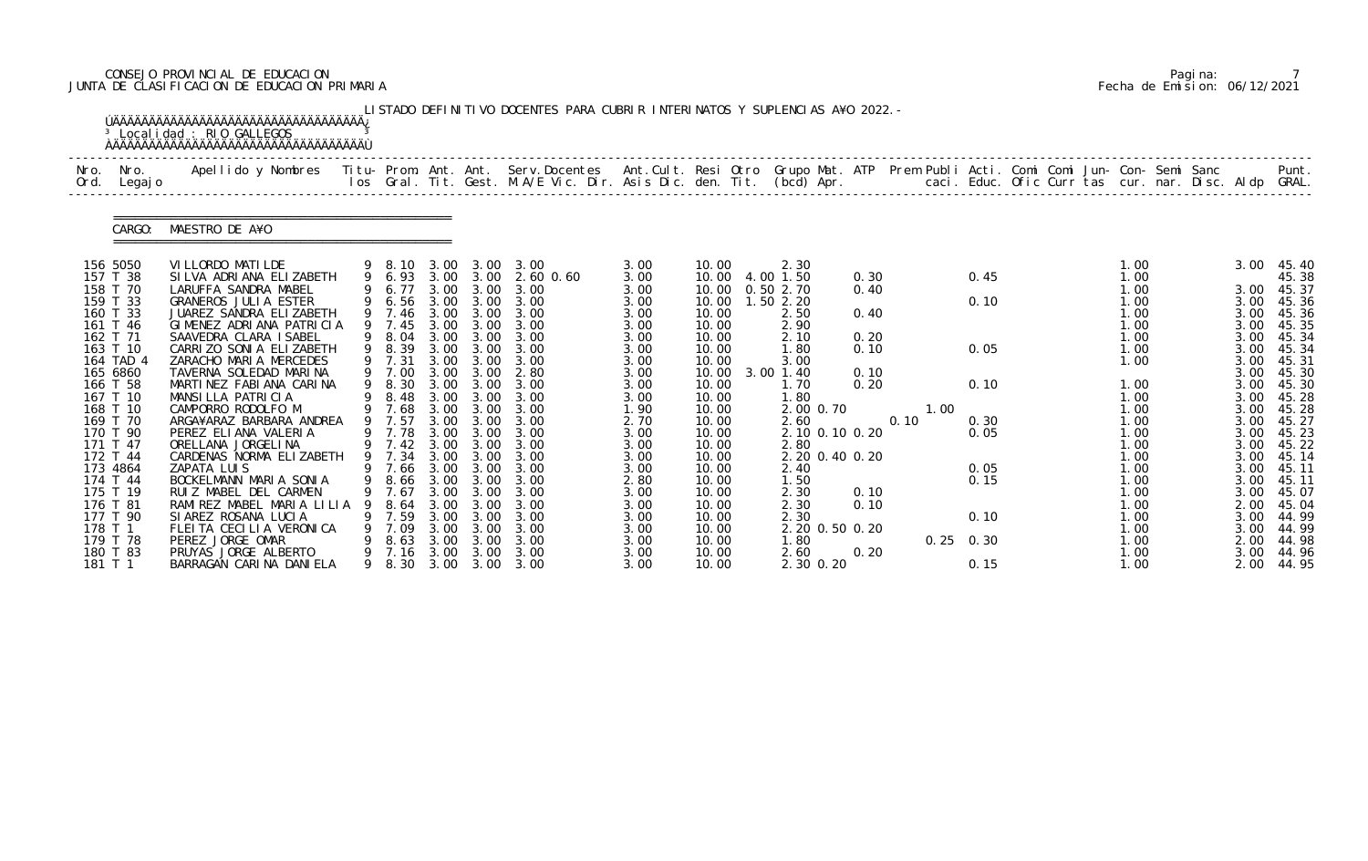# CONSEJO PROVINCIAL DE EDUCACION Pagina: 7 JUNTA DE CLASIFICACION DE EDUCACION PRIMARIA Fecha de Emision: 06/12/2021

| Nro.<br>Ord. | Nro.<br>Legaj o      | Apellido y Nombres  Titu- Prom. Ant. Ant. Serv.Docentes  Ant.Cult. Resi Otro Grupo Mat. ATP Prem Publi Acti. Comi Comi Jun- Con- Semi Sanc         Punt.<br>Ios Gral. Tit. Gest. M.A/E Vic. Dir. Asis Dic. den. Tit. (bcd) Apr. |    |                            |                        |                   |                       |              |                |                        |              |      |             |              |  |              |  |              |                |
|--------------|----------------------|---------------------------------------------------------------------------------------------------------------------------------------------------------------------------------------------------------------------------------|----|----------------------------|------------------------|-------------------|-----------------------|--------------|----------------|------------------------|--------------|------|-------------|--------------|--|--------------|--|--------------|----------------|
|              | CARGO:               | MAESTRO DE A¥O                                                                                                                                                                                                                  |    |                            |                        |                   |                       |              |                |                        |              |      |             |              |  |              |  |              |                |
|              | 156 5050             | VI LLORDO MATI LDE                                                                                                                                                                                                              |    |                            |                        |                   | 9 8.10 3.00 3.00 3.00 | 3.00         | 10.00          | 2.30                   |              |      |             |              |  | 1.00         |  | 3.00         | 45.40          |
|              | 157 T 38<br>158 T 70 | SILVA ADRIANA ELIZABETH<br>LARUFFA SANDRA MABEL                                                                                                                                                                                 |    | 9 6.93<br>9 6.77           | 3.00                   | 3.00 3.00<br>3.00 | 2.60 0.60<br>3.00     | 3.00<br>3.00 | 10.00<br>10.00 | 4.00 1.50<br>0.50 2.70 | 0.30<br>0.40 |      |             | 0.45         |  | 1.00<br>1.00 |  | 3.00         | 45.38<br>45.37 |
|              | 159 T 33             | GRANEROS JULIA ESTER                                                                                                                                                                                                            |    | 9 6.56                     | 3.00                   | 3.00              | 3.00                  | 3.00         | 10.00          | 1.50 2.20              |              |      |             | 0.10         |  | 1.00         |  | 3.00         | 45.36          |
|              | 160 T 33             | JUAREZ SANDRA ELIZABETH                                                                                                                                                                                                         |    | 9 7.46                     | 3.00                   |                   | 3.00 3.00             | 3.00         | 10.00          | 2.50                   | 0.40         |      |             |              |  | 1.00         |  | 3.00         | 45.36          |
|              | 161 T 46             | GIMENEZ ADRIANA PATRICIA                                                                                                                                                                                                        |    | 9 7.45                     | 3.00                   | 3.00              | 3.00                  | 3.00         | 10.00          | 2.90                   |              |      |             |              |  | 1.00         |  | 3.00         | 45.35          |
|              | 162 T 71<br>163 T 10 | SAAVEDRA CLARA ISABEL<br>CARRIZO SONIA ELIZABETH                                                                                                                                                                                |    | 9 8.04<br>9 8.39           | 3.00<br>3.00           | 3.00<br>3.00      | 3.00<br>3.00          | 3.00<br>3.00 | 10.00<br>10.00 | 2.10<br>1.80           | 0.20<br>0.10 |      |             | 0.05         |  | 1.00<br>1.00 |  | 3.00<br>3.00 | 45.34<br>45.34 |
|              | 164 TAD 4            | ZARACHO MARIA MERCEDES                                                                                                                                                                                                          |    | 9 7.31                     | 3.00                   | 3.00              | 3.00                  | 3.00         | 10.00          | 3.00                   |              |      |             |              |  | 1.00         |  | 3.00         | 45.31          |
|              | 165 6860             | TAVERNA SOLEDAD MARINA                                                                                                                                                                                                          |    | 9 7.00                     | 3.00                   | 3.00              | 2.80                  | 3.00         | 10.00          | 3.00 1.40              | 0.10         |      |             |              |  |              |  | 3.00         | 45.30          |
|              | 166 T 58             | MARTINEZ FABIANA CARINA                                                                                                                                                                                                         |    | 9 8.30                     | 3.00                   | 3.00              | 3.00                  | 3.00         | 10.00          | 1.70                   | 0.20         |      |             | 0.10         |  | 1.00         |  | 3.00         | 45.30          |
|              | 167 T 10<br>168 T 10 | MANSILLA PATRICIA<br>CAMPORRO RODOLFO M                                                                                                                                                                                         |    | 8.48<br>9 7.68             | 3.00<br>3.00           | 3.00<br>3.00      | 3.00<br>3.00          | 3.00<br>1.90 | 10.00<br>10.00 | 1.80<br>2.00 0.70      |              |      | 1.00        |              |  | 1.00<br>1.00 |  | 3.00<br>3.00 | 45.28<br>45.28 |
|              | 169 T 70             | ARGA¥ARAZ BARBARA ANDREA                                                                                                                                                                                                        |    | 9 7.57                     | 3.00                   | 3.00              | 3.00                  | 2.70         | 10.00          | 2.60                   |              | 0.10 |             | 0.30         |  | 1.00         |  | 3.00         | 45.27          |
|              | 170 T 90             | PEREZ ELIANA VALERIA                                                                                                                                                                                                            |    | 9 7.78                     | 3.00                   | 3.00              | 3.00                  | 3.00         | 10.00          | 2.10 0.10 0.20         |              |      |             | 0.05         |  | 1.00         |  | 3.00         | 45.23          |
|              | 171 T 47             | ORELLANA JORGELINA                                                                                                                                                                                                              |    | 9 7.42                     | 3.00                   | 3.00              | 3.00                  | 3.00         | 10.00          | 2.80                   |              |      |             |              |  | 1.00         |  | 3.00         | 45.22          |
|              | 172 T 44             | CARDENAS NORMA ELIZABETH                                                                                                                                                                                                        |    | 9 7.34 3.00 3.00           |                        |                   | 3.00                  | 3.00         | 10.00          | 2.20 0.40 0.20         |              |      |             |              |  | 1.00         |  | 3.00         | 45.14          |
|              | 173 4864<br>174 T 44 | ZAPATA LUIS<br>BOCKELMANN MARIA SONIA                                                                                                                                                                                           |    | 9 7.66<br>9 8.66 3.00 3.00 | 3.00                   | 3.00              | 3.00<br>3.00          | 3.00         | 10.00          | 2.40<br>1.50           |              |      |             | 0.05<br>0.15 |  | 1.00<br>1.00 |  | 3.00         | 45.11          |
|              | 175 T 19             | RUIZ MABEL DEL CARMEN                                                                                                                                                                                                           |    | . 67                       | 3.00                   | 3.00              | 3.00                  | 2.80<br>3.00 | 10.00<br>10.00 | 2.30                   | 0.10         |      |             |              |  | 1.00         |  | 3.00<br>3.00 | 45.11<br>45.07 |
|              | 176 T 81             | RAMIREZ MABEL MARIA LILIA                                                                                                                                                                                                       |    | 8.64                       | 3.00                   | 3.00              | 3.00                  | 3.00         | 10.00          | 2.30                   | 0.10         |      |             |              |  | 1.00         |  | 2.00         | 45.04          |
|              | 177 T 90             | SIAREZ ROSANA LUCIA                                                                                                                                                                                                             | 9. | 7.59                       | 3.00                   | 3.00              | 3.00                  | 3.00         | 10.00          | 2.30                   |              |      |             | 0.10         |  | 1.00         |  | 3.00         | 44.99          |
| 178 T 1      |                      | FLEITA CECILIA VERONICA                                                                                                                                                                                                         | 9  | 7.09                       | 3.00                   | 3.00              | 3.00                  | 3.00         | 10.00          | 2.20 0.50 0.20         |              |      |             |              |  | 1.00         |  | 3.00         | 44.99          |
|              | 179 T 78             | PEREZ JORGE OMAR                                                                                                                                                                                                                |    | 8.63                       | 3.00                   | 3.00              | 3.00                  | 3.00         | 10.00          | 1.80                   |              |      | $0.25$ 0.30 |              |  | 1.00         |  | 2.00         | 44.98          |
|              | 180 T 83<br>181 T 1  | PRUYAS JORGE ALBERTO<br>BARRAGAN CARINA DANIELA                                                                                                                                                                                 | 9  | 7. 16<br>9 8.30            | 3.00<br>3.00 3.00 3.00 | 3.00              | 3.00                  | 3.00         | 10.00          | 2.60                   | 0.20         |      |             |              |  | 1.00         |  | 3.00         | 44.96          |

|  | Pagi na: |                              |
|--|----------|------------------------------|
|  |          | Fecha de Emision: 06/12/2021 |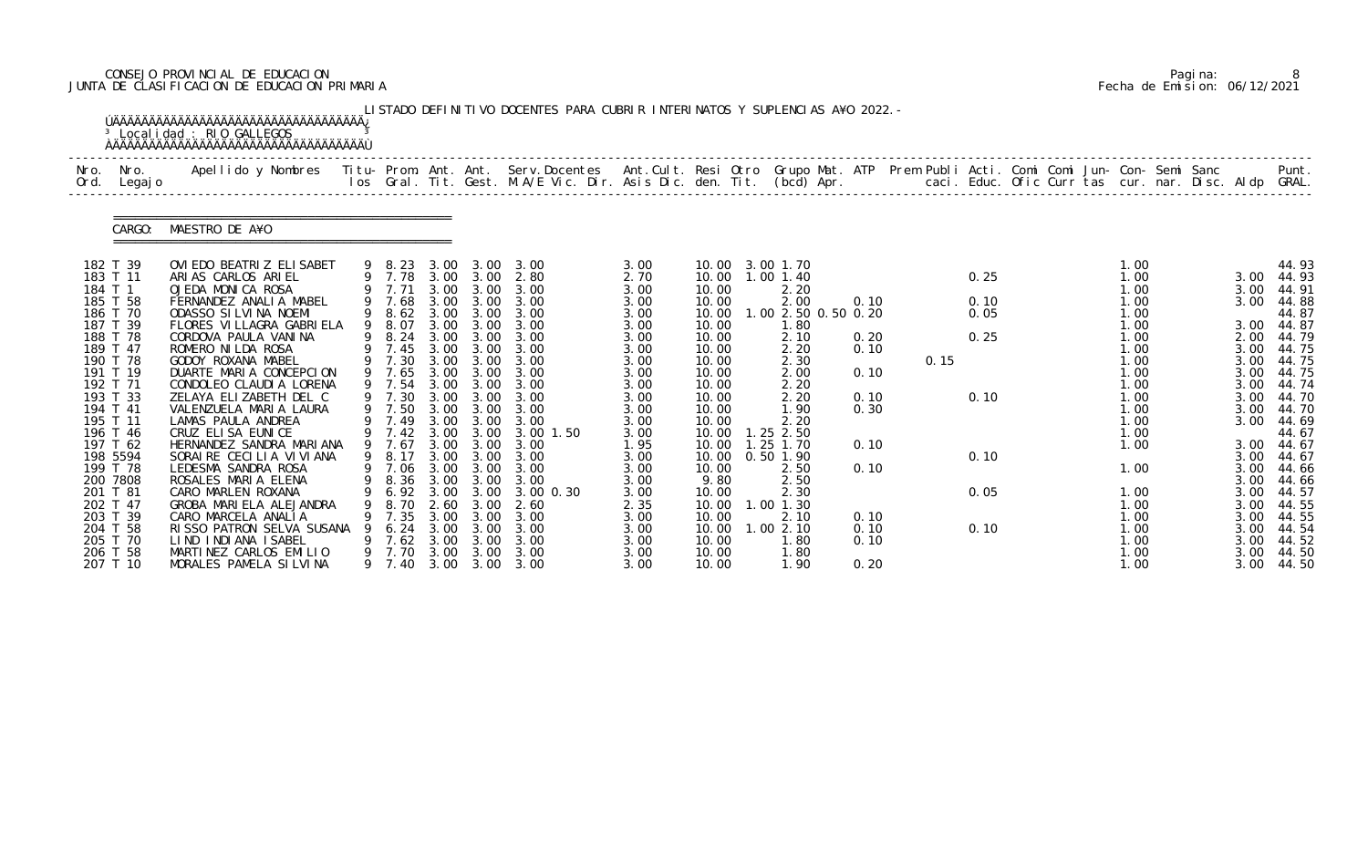# CONSEJO PROVINCIAL DE EDUCACION Pagina: 8 JUNTA DE CLASIFICACION DE EDUCACION PRIMARIA Fecha de Emision: 06/12/2021

|                      |                 | <sup>3</sup> Localidad : RIO GALLEGOS                                                                                                    |   |                            |              |                   | LISTADO DEFINITIVO DOCENTES PARA CUBRIR INTERINATOS Y SUPLENCIAS A¥O 2022. -                                             |              |                |                              |      |      |              |  |              |  |              |                     |
|----------------------|-----------------|------------------------------------------------------------------------------------------------------------------------------------------|---|----------------------------|--------------|-------------------|--------------------------------------------------------------------------------------------------------------------------|--------------|----------------|------------------------------|------|------|--------------|--|--------------|--|--------------|---------------------|
| Nro.<br>Ord.         | Nro.<br>Legaj o | Apellido y Nombres Titu- Prom. Ant. Ant. Serv.Docentes Ant.Cult. Resi Otro Grupo Mat. ATP Prem Publi Acti. Comi Comi Jun- Con- Semi Sanc |   |                            |              |                   | los Gral. Tit. Gest. M.A/E Vic. Dir. Asis Dic. den. Tit. (bcd) Apr. caci. Educ. Ofic Curr tas cur. nar. Disc. Aldp GRAL. |              |                |                              |      |      |              |  |              |  |              | Punt.               |
|                      | CARGO:          | MAESTRO DE A¥O                                                                                                                           |   |                            |              |                   |                                                                                                                          |              |                |                              |      |      |              |  |              |  |              |                     |
| 182 T 39<br>183 T 11 |                 | OVI EDO BEATRI Z ELI SABET<br>ARIAS CARLOS ARIEL                                                                                         |   |                            |              |                   | 9 8.23 3.00 3.00 3.00                                                                                                    | 3.00<br>2.70 | 10.00          | 10.00 3.00 1.70<br>1.00 1.40 |      |      | 0.25         |  | 1.00<br>1.00 |  | 3.00         | 44.93<br>44.93      |
| 184 T 1              |                 | OJEDA MONICA ROSA                                                                                                                        |   |                            |              |                   | 9 7.78 3.00 3.00 2.80<br>9 7.71 3.00 3.00 3.00                                                                           | 3.00         | 10.00          | 2.20                         |      |      |              |  | 1.00         |  | 3.00         | 44.91               |
| 185 T 58<br>186 T 70 |                 | FERNANDEZ ANALIA MABEL<br>ODASSO SI LVI NA NOEMI                                                                                         |   | 9 7.68<br>9 8.62           | 3.00         | 3.00              | 3.00<br>3.00 3.00 3.00                                                                                                   | 3.00<br>3.00 | 10.00<br>10.00 | 2.00<br>.002.500.500.20      | 0.10 |      | 0.10<br>0.05 |  | 1.00<br>1.00 |  | 3.00         | 44.88<br>44.87      |
| 187 T 39             |                 | FLORES VI LLAGRA GABRI ELA                                                                                                               |   | 9 8.07                     | 3.00         | 3.00              | 3.00                                                                                                                     | 3.00         | 10.00          | 1. 80                        |      |      |              |  | 1.00         |  | 3.00         | 44.87               |
| 188 T 78             |                 | CORDOVA PAULA VANINA                                                                                                                     |   | 9 8.24                     | 3.00         | 3.00              | 3.00                                                                                                                     | 3.00         | 10.00          | 2.10                         | 0.20 |      | 0.25         |  | 1.00         |  |              | 2.00 44.79          |
| 189 T 47<br>190 T 78 |                 | ROMERO NI LDA ROSA                                                                                                                       |   | 9 7.45<br>9 7.30           | 3.00         | 3.00 3.00<br>3.00 | 3.00<br>3.00                                                                                                             | 3.00         | 10.00<br>10.00 | 2.20<br>2.30                 | 0.10 | 0.15 |              |  | 1.00<br>1.00 |  | 3.00<br>3.00 | 44.75<br>44.75      |
| 191 T 19             |                 | GODOY ROXANA MABEL<br>DUARTE MARIA CONCEPCION                                                                                            |   | 9 7.65                     | 3.00         | 3.00              | 3.00                                                                                                                     | 3.00<br>3.00 | 10.00          | 2.00                         | 0.10 |      |              |  | 1.00         |  | 3.00         | 44.75               |
| 192 T 71             |                 | CONDOLEO CLAUDIA LORENA                                                                                                                  |   | 9 7.54                     |              | 3.00 3.00         | 3.00                                                                                                                     | 3.00         | 10.00          | 2.20                         |      |      |              |  | 1.00         |  | 3.00         | 44.74               |
| 193 T 33             |                 | ZELAYA ELIZABETH DEL C                                                                                                                   |   | 9 7.30                     | 3.00         | 3.00              | 3.00                                                                                                                     | 3.00         | 10.00          | 2.20                         | 0.10 |      | 0.10         |  | 1.00         |  | 3.00         | 44.70               |
| 194 T 41<br>195 T 11 |                 | VALENZUELA MARIA LAURA<br>LAMAS PAULA ANDREA                                                                                             |   | 9 7.50                     | 3.00         | 3.00              | 3.00<br>3.00                                                                                                             | 3.00         | 10.00<br>10.00 | 1.90<br>2.20                 | 0.30 |      |              |  | 1.00<br>1.00 |  | 3.00<br>3.00 | 44.70<br>44.69      |
|                      | 196 T 46        | CRUZ ELISA EUNICE                                                                                                                        |   | 9 7.49<br>7.42             | 3.00         | 3.00 3.00<br>3.00 | 3.00 1.50                                                                                                                | 3.00<br>3.00 | 10.00          | $.25$ 2.50                   |      |      |              |  | 1.00         |  |              | 44.67               |
| 197 T 62             |                 | HERNANDEZ SANDRA MARIANA                                                                                                                 |   | 9 7.67                     | 3.00         | 3.00              | 3.00                                                                                                                     | 1.95         | 10.00          | $1.25$ $1.70$                | 0.10 |      |              |  | 1.00         |  | 3.00         | 44.67               |
| 198 5594             |                 | SORAIRE CECILIA VIVIANA                                                                                                                  |   | 9 8.17                     |              | 3.00 3.00         | 3.00                                                                                                                     | 3.00         | 10.00          | 0.50 1.90                    |      |      | 0.10         |  |              |  | 3.00         | 44.67               |
| 199 T 78<br>200 7808 |                 | LEDESMA SANDRA ROSA<br>ROSALES MARIA ELENA                                                                                               |   | 9 7.06<br>9 8.36 3.00 3.00 | 3.00         | 3.00              | 3.00<br>3.00                                                                                                             | 3.00<br>3.00 | 10.00<br>9.80  | 2.50                         | 0.10 |      |              |  | 1.00         |  | 3.00         | 44.66               |
| 201 T 81             |                 | CARO MARLEN ROXANA                                                                                                                       |   | 6.92                       | 3.00         | 3.00              | 3.00 0.30                                                                                                                | 3.00         | 10.00          | 2.50<br>2.30                 |      |      | 0.05         |  | 1.00         |  | 3.00         | 44.66<br>3.00 44.57 |
| 202 T 47             |                 | GROBA MARIELA ALEJANDRA                                                                                                                  |   | 8.70                       | 2.60         | 3.00              | 2.60                                                                                                                     | 2.35         | 10.00          | 1.00 1.30                    |      |      |              |  | 1.00         |  | 3.00         | 44.55               |
| 203 T 39             |                 | CARO MARCELA ANALIA                                                                                                                      |   | 7.35                       | 3.00         | 3.00              | 3.00                                                                                                                     | 3.00         | 10.00          | 2.10                         | 0.10 |      |              |  | 1.00         |  | 3.00         | 44.55               |
| 204 T 58             |                 | RISSO PATRON SELVA SUSANA                                                                                                                |   | 6.24                       | 3.00         | 3.00              | 3.00                                                                                                                     | 3.00         | 10.00          | .002.10                      | 0.10 |      | 0.10         |  | 1.00         |  | 3.00         | 44.54               |
| 205 T 70<br>206 T 58 |                 | LIND INDIANA ISABEL<br>MARTINEZ CARLOS EMILIO                                                                                            | 9 | 7.62<br>7.70               | 3.00<br>3.00 | 3.00<br>3.00      | 3.00<br>3.00                                                                                                             | 3.00<br>3.00 | 10.00<br>10.00 | 1. 80<br>1.80                | 0.10 |      |              |  | 1.00<br>1.00 |  | 3.00<br>3.00 | 44.52<br>44.50      |
|                      | 207 T 10        | MORALES PAMELA SILVINA                                                                                                                   |   | 9 7.40                     |              |                   | 3.00 3.00 3.00                                                                                                           | 3.00         | 10.00          | 1.90                         | 0.20 |      |              |  | 1.00         |  | 3.00         | 44.50               |

|  | Pagi na: |                              |
|--|----------|------------------------------|
|  |          | Fecha de Emision: 06/12/2021 |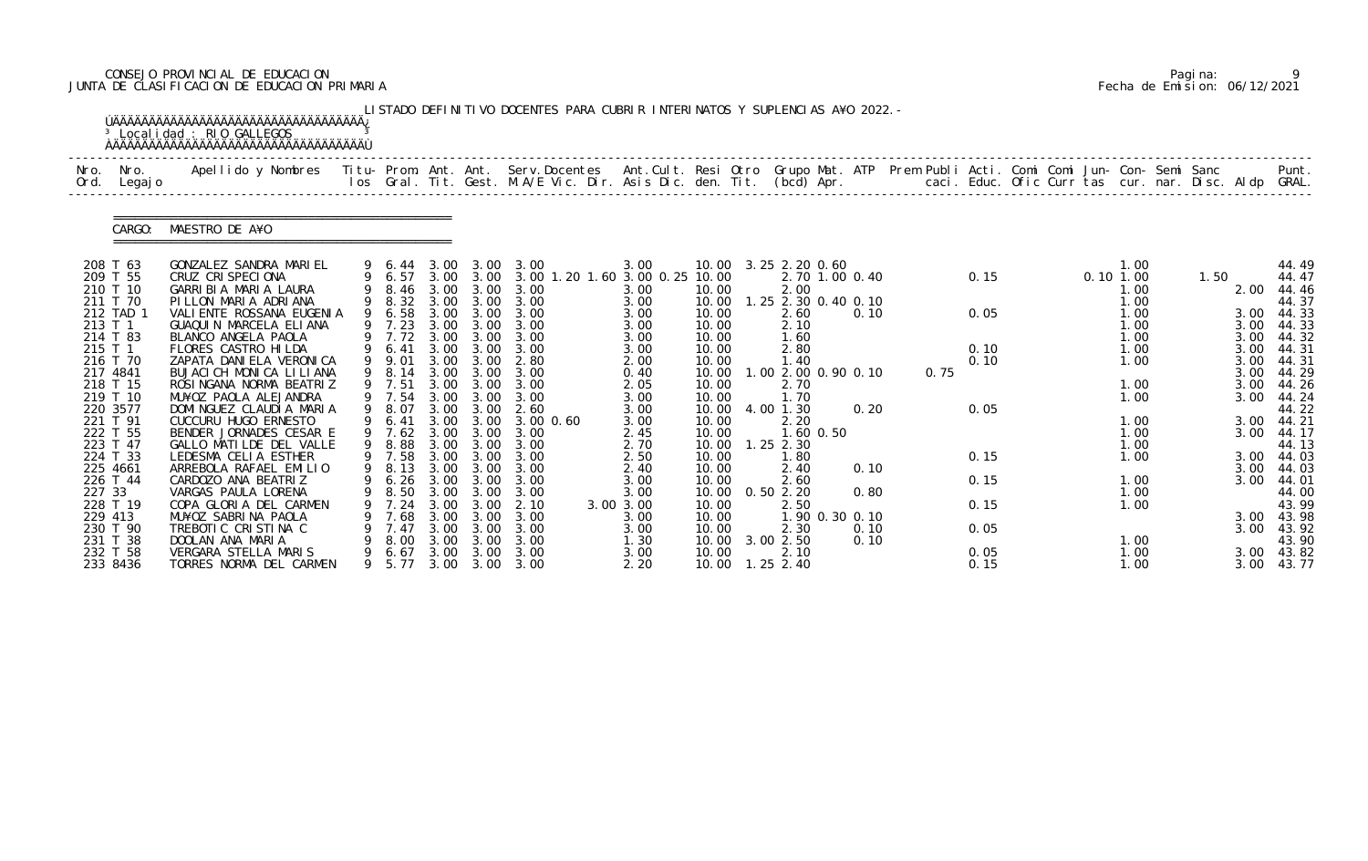# CONSEJO PROVINCIAL DE EDUCACION Pagina: 9 JUNTA DE CLASIFICACION DE EDUCACION PRIMARIA Fecha de Emision: 06/12/2021

|         |                      | <sup>3</sup> Localidad : RIO GALLEGOS                                                                                                                                                                                           |             |                       |              |                   | LISTADO DEFINITIVO DOCENTES PARA CUBRIR INTERINATOS Y SUPLENCIAS A¥O 2022. - |                   |                |                      |                     |      |      |  |                     |      |              |                |
|---------|----------------------|---------------------------------------------------------------------------------------------------------------------------------------------------------------------------------------------------------------------------------|-------------|-----------------------|--------------|-------------------|------------------------------------------------------------------------------|-------------------|----------------|----------------------|---------------------|------|------|--|---------------------|------|--------------|----------------|
| Nro.    | Nro.<br>Ord. Legajo  | Apellido y Nombres  Titu- Prom. Ant. Ant. Serv.Docentes  Ant.Cult. Resi Otro Grupo Mat. ATP Prem Publi Acti. Comi Comi Jun- Con- Semi Sanc         Punt.<br>Ios Gral. Tit. Gest. M.A/E Vic. Dir. Asis Dic. den. Tit. (bcd) Apr. |             |                       |              |                   |                                                                              |                   |                |                      |                     |      |      |  |                     |      |              |                |
|         | CARGO:               | MAESTRO DE A¥O                                                                                                                                                                                                                  |             |                       |              |                   |                                                                              |                   |                |                      |                     |      |      |  |                     |      |              |                |
|         | 208 T 63             | GONZALEZ SANDRA MARIEL                                                                                                                                                                                                          |             |                       |              |                   | 9 6.44 3.00 3.00 3.00                                                        | 3.00              |                | 10.00 3.25 2.20 0.60 |                     |      |      |  | 1.00                |      |              | 44.49          |
|         | 209 T 55<br>210 T 10 | CRUZ CRISPECIONA<br>GARRIBIA MARIA LAURA                                                                                                                                                                                        |             | 9 6.57<br>9 8.46 3.00 |              | 3.00              | 3.00 3.00 3.00 1.20 1.60 3.00 0.25 10.00<br>3.00                             | 3.00              | 10.00          | 2.00                 | 2.70 1.00 0.40      |      | 0.15 |  | $0.10$ 1.00<br>1.00 | 1.50 | 2.00         | 44.47<br>44.46 |
|         | 211 T 70             | PILLON MARIA ADRIANA                                                                                                                                                                                                            |             |                       |              |                   | 9 8.32 3.00 3.00 3.00                                                        | 3.00              | 10.00          |                      | 1.25 2.30 0.40 0.10 |      |      |  | 1.00                |      |              | 44.37          |
|         | 212 TAD 1            | VALI ENTE ROSSANA EUGENIA                                                                                                                                                                                                       |             | 9 6.58                |              | 3.00 3.00         | 3.00                                                                         | 3.00              | 10.00          | 2.60                 | 0.10                |      | 0.05 |  | 1.00                |      | 3.00         | 44.33          |
| 213 T 1 | 214 T 83             | GUAQUIN MARCELA ELIANA<br>BLANCO ANGELA PAOLA                                                                                                                                                                                   |             | 9 7.23<br>9 7.72 3.00 | 3.00         | 3.00<br>3.00      | 3.00<br>3.00                                                                 | 3.00              | 10.00<br>10.00 | 2.10<br>1.60         |                     |      |      |  | 1.00<br>1.00        |      | 3.00<br>3.00 | 44.33<br>44.32 |
| 215 T 1 |                      | FLORES CASTRO HILDA                                                                                                                                                                                                             |             | 9 6.41                | 3.00         | 3.00              | 3.00                                                                         | 3.00<br>3.00      | 10.00          | 2.80                 |                     |      | 0.10 |  | 1.00                |      | 3.00         | 44.31          |
|         | 216 T 70             | ZAPATA DANI ELA VERONI CA                                                                                                                                                                                                       |             | 9 9.01                | 3.00         | 3.00              | 2.80                                                                         | 2.00              | 10.00          | 1.40                 |                     |      | 0.10 |  | 1.00                |      | 3.00         | 44.31          |
|         | 217 4841             | BUJACI CH MONICA LILIANA                                                                                                                                                                                                        |             | 9 8.14                | 3.00         | 3.00              | 3.00                                                                         | 0.40              | 10.00          |                      | 1.00 2.00 0.90 0.10 | 0.75 |      |  |                     |      | 3.00         | 44.29          |
|         | 218 T 15             | ROSINGANA NORMA BEATRIZ                                                                                                                                                                                                         |             | 9 7.51                |              | 3.00 3.00         | 3.00                                                                         | 2.05              | 10.00          | 2.70                 |                     |      |      |  | 1.00                |      | 3.00         | 44.26          |
|         | 219 T 10             | MU¥OZ PAOLA ALEJANDRA                                                                                                                                                                                                           |             | 9 7.54                | 3.00         | 3.00              | 3.00                                                                         | 3.00              | 10.00          | 1.70                 |                     |      |      |  | 1.00                |      | 3.00         | 44.24          |
|         | 220 3577<br>221 T 91 | DOMINGUEZ CLAUDIA MARIA<br>CUCCURU HUGO ERNESTO                                                                                                                                                                                 |             | 9 8.07<br>6.41        | 3.00         | 3.00<br>3.00 3.00 | 2.60<br>3.00 0.60                                                            | 3.00<br>3.00      | 10.00<br>10.00 | 4.00 1.30<br>2.20    | 0.20                |      | 0.05 |  | 1.00                |      | 3.00         | 44.22<br>44.21 |
|         | 222 T 55             | BENDER JORNADES CESAR E                                                                                                                                                                                                         |             | $9 \quad 7.62$        | 3.00         | 3.00              | 3.00                                                                         | 2.45              | 10.00          | 1.60 0.50            |                     |      |      |  | 1.00                |      | 3.00         | 44.17          |
|         | 223 T 47             | GALLO MATILDE DEL VALLE                                                                                                                                                                                                         |             | 8.88                  | 3.00         | 3.00              | 3.00                                                                         | 2.70              | 10.00          | $1.25$ $2.30$        |                     |      |      |  | 1.00                |      |              | 44.13          |
|         | 224 T 33             | LEDESMA CELIA ESTHER                                                                                                                                                                                                            |             | 9 7.58                |              | 3.00 3.00         | 3.00                                                                         | 2.50              | 10.00          | 1.80                 |                     |      | 0.15 |  | 1.00                |      |              | 3.00 44.03     |
|         | 225 4661             | ARREBOLA RAFAEL EMILIO                                                                                                                                                                                                          |             | 9 8.13                | 3.00         | 3.00              | 3.00                                                                         | 2.40              | 10.00          | 2.40                 | 0.10                |      |      |  |                     |      | 3.00         | 44.03          |
|         | 226 T 44             | CARDOZO ANA BEATRIZ                                                                                                                                                                                                             | $\mathsf Q$ | 9 6.26 3.00 3.00      |              |                   | 3.00                                                                         | 3.00              | 10.00          | 2.60                 |                     |      | 0.15 |  | 1.00                |      |              | 3.00 44.01     |
| 227 33  | 228 T 19             | VARGAS PAULA LORENA<br>COPA GLORIA DEL CARMEN                                                                                                                                                                                   |             | 8.50                  | 3.00<br>3.00 | 3.00<br>3.00      | 3.00<br>2.10                                                                 | 3.00<br>3.00 3.00 | 10.00<br>10.00 | 0.502.20<br>2.50     | 0.80                |      | 0.15 |  | 1.00<br>1.00        |      |              | 44.00<br>43.99 |
| 229 413 |                      | MU¥OZ SABRINA PAOLA                                                                                                                                                                                                             |             | 7.68                  | 3.00         | 3.00              | 3.00                                                                         | 3.00              | 10.00          |                      | 1.90 0.30 0.10      |      |      |  |                     |      |              | 3.00 43.98     |
|         | 230 T 90             | TREBOTIC CRISTINA C                                                                                                                                                                                                             |             | 7.47                  | 3.00         | 3.00              | 3.00                                                                         | 3.00              | 10.00          | 2.30                 | 0.10                |      | 0.05 |  |                     |      | 3.00         | 43.92          |
|         | 231 T 38             | DOOLAN ANA MARIA                                                                                                                                                                                                                |             | 8.00                  | 3.00         | 3.00              | 3.00                                                                         | 1.30              | 10.00          | 3.00 2.50            | 0.10                |      |      |  | 1.00                |      |              | 43.90          |
|         | 232 T 58             | VERGARA STELLA MARIS                                                                                                                                                                                                            |             | 6.67                  | 3.00         | 3.00              | 3.00                                                                         | 3.00              | 10.00          | 2.10                 |                     |      | 0.05 |  | 1.00                |      |              | 3.00 43.82     |
|         | 233 8436             | TORRES NORMA DEL CARMEN                                                                                                                                                                                                         | 9           | 5.77                  |              |                   | 3.00 3.00 3.00                                                               | 2.20              | 10.00          | $1.25$ 2.40          |                     |      | 0.15 |  | 1.00                |      |              | 3.00 43.77     |

|  | Pagi na: |                              |
|--|----------|------------------------------|
|  |          | Fecha de Emision: 06/12/2021 |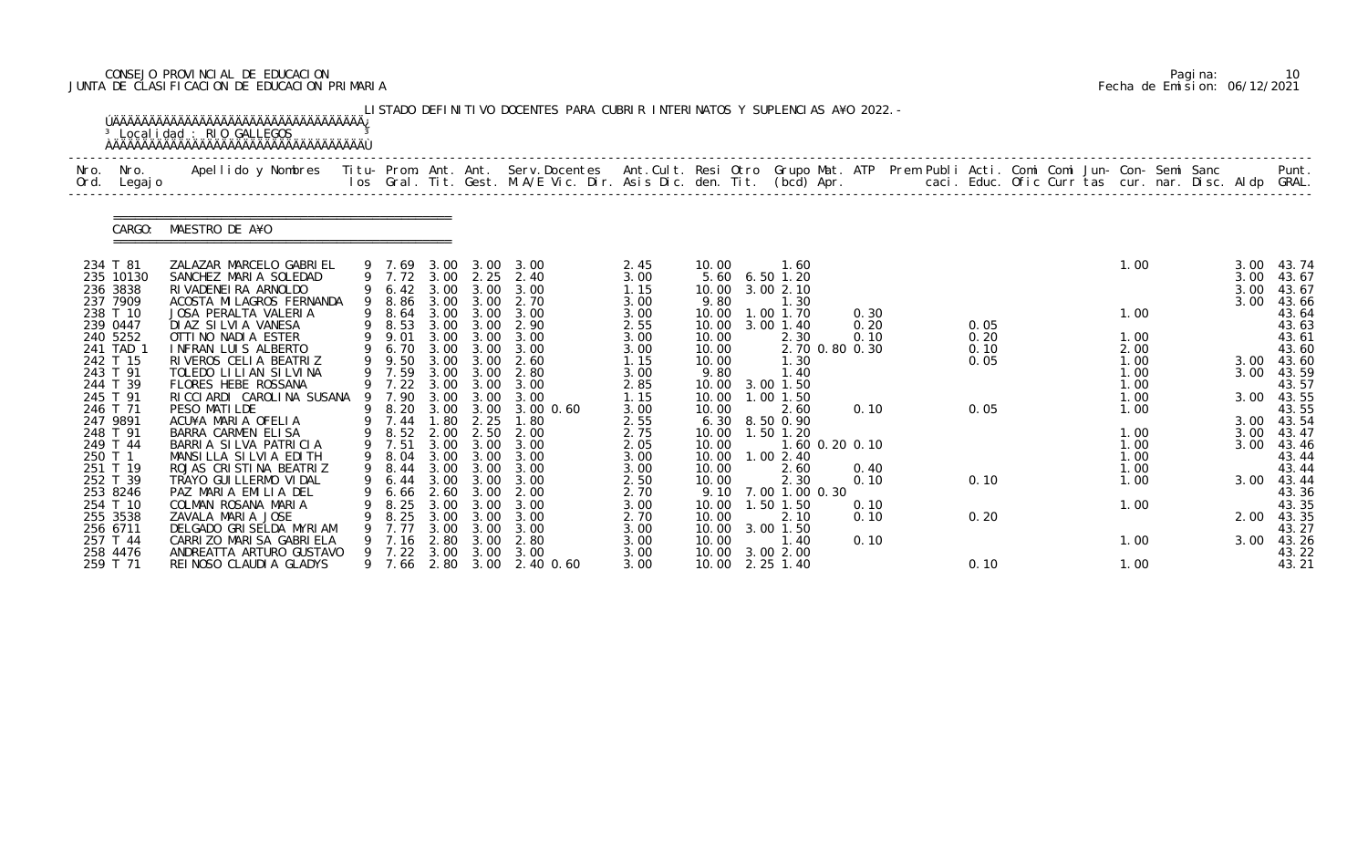# CONSEJO PROVINCIAL DE EDUCACION Pagina: 10 JUNTA DE CLASIFICACION DE EDUCACION PRIMARIA Fecha de Emision: 06/12/2021

| Nro.<br>Ord.         | Nro.<br>Legaj o                   | Apellido y Nombres  Titu- Prom. Ant. Ant. Serv.Docentes  Ant.Cult. Resi Otro Grupo Mat. ATP Prem Publi Acti. Comi Comi Jun- Con- Semi Sanc         Punt.<br>Ios Gral. Tit. Gest. M.A/E Vic. Dir. Asis Dic. den. Tit. (bcd) Apr. |    |                                    |                      |                                                |                                                 |                              |                                  |                                                 |                      |  |              |  |                              |  |                      |                                  |
|----------------------|-----------------------------------|---------------------------------------------------------------------------------------------------------------------------------------------------------------------------------------------------------------------------------|----|------------------------------------|----------------------|------------------------------------------------|-------------------------------------------------|------------------------------|----------------------------------|-------------------------------------------------|----------------------|--|--------------|--|------------------------------|--|----------------------|----------------------------------|
|                      | CARGO:                            | MAESTRO DE A¥O                                                                                                                                                                                                                  |    |                                    |                      |                                                |                                                 |                              |                                  |                                                 |                      |  |              |  |                              |  |                      |                                  |
| 234 T 81             | 235 10130<br>236 3838             | ZALAZAR MARCELO GABRIEL<br>SANCHEZ MARIA SOLEDAD<br>RI VADENEI RA ARNOLDO                                                                                                                                                       |    | 9 7.69<br>9 6.42                   | 3.00                 | 3.00                                           | 3.00 3.00 3.00<br>9 7.72 3.00 2.25 2.40<br>3.00 | 2.45<br>3.00<br>1.15         | 10.00<br>10.00                   | 1.60<br>5.60 6.50 1.20<br>3.002.10              |                      |  |              |  | 1.00                         |  | 3.00<br>3.00<br>3.00 | 43.74<br>43.67<br>43.67          |
| 239 0447             | 237 7909<br>238 T 10<br>240 5252  | ACOSTA MI LAGROS FERNANDA<br>JOSA PERALTA VALERIA<br>DI AZ SI LVI A VANESA<br>OTTI NO NADI A ESTER                                                                                                                              | 9  | 9 8.86<br>8.64<br>9 8.53<br>9 9.01 | 3.00<br>3.00<br>3.00 | 3.00<br>3.00<br>3.00                           | 2.70<br>3.00 3.00 3.00<br>2.90<br>3.00          | 3.00<br>3.00<br>2.55<br>3.00 | 9.80<br>10.00<br>10.00           | 1.30<br>1.00 1.70<br>10.00 3.00 1.40<br>2.30    | 0.30<br>0.20<br>0.10 |  | 0.05<br>0.20 |  | 1.00<br>1.00                 |  | 3.00                 | 43.66<br>43.64<br>43.63<br>43.61 |
| 243 T 91             | 241 TAD 1<br>242 T 15<br>244 T 39 | INFRAN LUIS ALBERTO<br>RIVEROS CELIA BEATRIZ<br>TOLEDO LILIAN SILVINA<br>FLORES HEBE ROSSANA                                                                                                                                    | 9  | 6.70<br>9 9.50<br>7.59<br>9 7.22   | 3.00<br>3.00         | 3.00 3.00<br>3.00<br>3.00<br>$3.00 \quad 3.00$ | 3.00<br>2.60<br>2.80<br>3.00                    | 3.00<br>1.15<br>3.00         | 10.00<br>10.00<br>9.80<br>10.00  | 2.70 0.80 0.30<br>1.30<br>1.40<br>3.00 1.50     |                      |  | 0.10<br>0.05 |  | 2.00<br>1.00<br>1.00<br>1.00 |  | 3.00<br>3.00         | 43.60<br>43.60<br>43.59<br>43.57 |
| 246 T 71<br>247 9891 | 245 T 91                          | RICCIARDI CAROLINA SUSANA<br>PESO MATILDE<br>ACU¥A MARIA OFELIA                                                                                                                                                                 | 9  | 7.90<br>8.20<br>9 7.44             | 3.00<br>3.00<br>1.80 | 3.00<br>3.00<br>2.25                           | 3.00<br>$3.00 \, 0.60$<br>1.80                  | 2.85<br>1.15<br>3.00<br>2.55 | 10.00<br>10.00<br>6.30           | 1.00 1.50<br>2.60<br>8.50 0.90                  | 0.10                 |  | 0.05         |  | 1.00<br>1.00                 |  | 3.00                 | 43.55<br>43.55<br>3.00 43.54     |
| 249 T 44<br>250 T 1  | 248 T 91<br>251 T 19              | BARRA CARMEN ELISA<br>BARRIA SILVA PATRICIA<br>MANSILLA SILVIA EDITH<br>ROJAS CRISTINA BEATRIZ                                                                                                                                  | 9. | 8.52<br>7.51<br>9 8.04<br>9 8.44   | 2.00<br>3.00<br>3.00 | 2.50<br>3.00<br>3.00 3.00<br>3.00              | 2.00<br>3.00<br>3.00<br>3.00                    | 2.75<br>2.05<br>3.00<br>3.00 | 10.00<br>10.00<br>10.00<br>10.00 | 1.50 1.20<br>1.60 0.20 0.10<br>1.002.40<br>2.60 | 0.40                 |  |              |  | 1.00<br>1.00<br>1.00<br>1.00 |  | 3.00<br>3.00         | 43.47<br>43.46<br>43.44<br>43.44 |
|                      | 252 T 39<br>253 8246<br>254 T 10  | TRAYO GUI LLERMO VI DAL<br>PAZ MARIA EMILIA DEL<br>COLMAN ROSANA MARIA                                                                                                                                                          |    | 6. 66<br>8.25                      | 2.60<br>3.00         | 9 6.44 3.00 3.00<br>3.00<br>3.00               | 3.00<br>2.00<br>3.00                            | 2.50<br>2.70<br>3.00         | 10.00<br>10.00                   | 2.30<br>9.10 7.00 1.00 0.30<br>. 50 1.50        | 0.10<br>0.10         |  | 0.10         |  | 1.00<br>1.00                 |  |                      | 3.00 43.44<br>43.36<br>43.35     |
|                      | 255 3538<br>256 6711<br>257 T 44  | ZAVALA MARIA JOSE<br>DELGADO GRISELDA MYRIAM<br>CARRIZO MARISA GABRIELA                                                                                                                                                         |    | 8.25<br>7.77<br>7.16               | 3.00<br>3.00<br>2.80 | 3.00<br>3.00<br>3.00                           | 3.00<br>3.00<br>2.80                            | 2.70<br>3.00<br>3.00         | 10.00<br>10.00<br>10.00          | 2.10<br>3.00 1.50<br>1.40                       | 0.10<br>0.10         |  | 0.20         |  | 1.00                         |  | 2.00<br>3.00         | 43.35<br>43.27<br>43.26          |
|                      | 258 4476<br>259 T 71              | ANDREATTA ARTURO GUSTAVO<br>REI NOSO CLAUDI A GLADYS                                                                                                                                                                            |    | 7.22<br>9 7.66                     | 3.00                 | 3.00                                           | 3.00<br>2.80 3.00 2.40 0.60                     | 3.00<br>3.00                 |                                  | 10.00 3.00 2.00<br>10.00 2.25 1.40              |                      |  | 0.10         |  | 1.00                         |  |                      | 43.22<br>43.21                   |

|  | Pagi na: |                              |
|--|----------|------------------------------|
|  |          | Fecha de Emision: 06/12/2021 |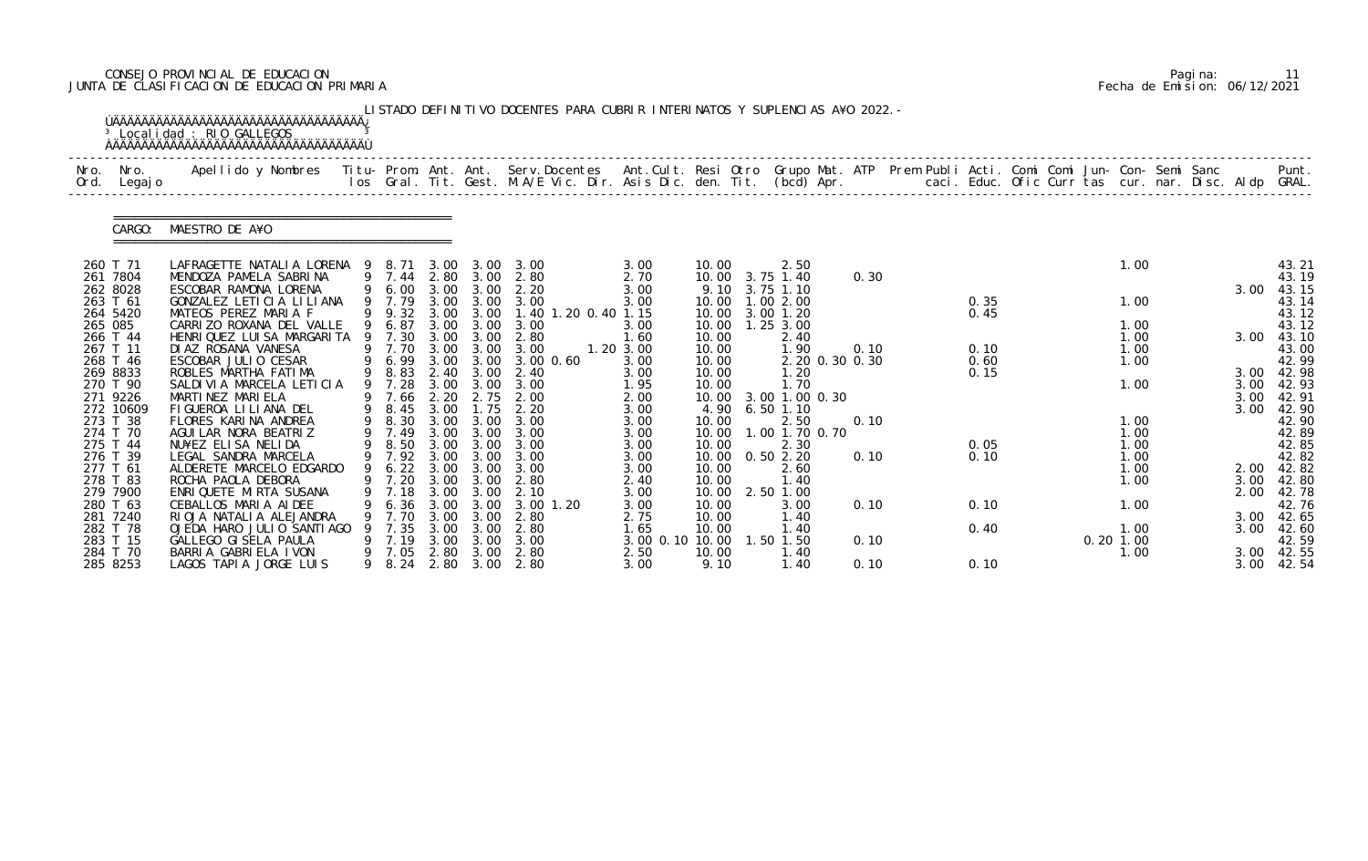# CONSEJO PROVINCIAL DE EDUCACION Pagina: 11 JUNTA DE CLASIFICACION DE EDUCACION PRIMARIA Fecha de Emision: 06/12/2021

| Nro.<br>Ord. | Nro.<br>Legaj o      | Apellido y Nombres Titu- Prom. Ant. Ant. Serv.Docentes Ant.Cult. Resi Otro Grupo Mat. ATP Prem Publi Acti. Comi Comi Jun- Con- Semi Sanc |   |                |      |                   | los Gral. Tit. Gest. M.A/E Vic. Dir. Asis Dic. den. Tit. (bcd) Apr. caci. Educ. Ofic Curr tas cur. nar. Disc. Aldp GRAL. |                   |                |                              |      |              |             |              |            | Punt.               |
|--------------|----------------------|------------------------------------------------------------------------------------------------------------------------------------------|---|----------------|------|-------------------|--------------------------------------------------------------------------------------------------------------------------|-------------------|----------------|------------------------------|------|--------------|-------------|--------------|------------|---------------------|
|              | CARGO:               | MAESTRO DE A¥O                                                                                                                           |   |                |      |                   |                                                                                                                          |                   |                |                              |      |              |             |              |            |                     |
| 260 T 71     |                      | LAFRAGETTE NATALIA LORENA 9 8.71 3.00 3.00 3.00                                                                                          |   |                |      |                   |                                                                                                                          | 3.00              | 10.00          | 2.50                         |      |              |             | 1.00         |            | 43.21               |
|              | 261 7804<br>262 8028 | MENDOZA PAMELA SABRINA<br>ESCOBAR RAMONA LORENA                                                                                          |   | 9 6.00         | 3.00 | 3.00              | 9 7.44 2.80 3.00 2.80<br>2.20                                                                                            | 2.70<br>3.00      | 9.10           | 10.00 3.75 1.40<br>3.75 1.10 | 0.30 |              |             |              | 3.00       | 43.19<br>43.15      |
| 263 T 61     |                      | GONZALEZ LETICIA LILIANA                                                                                                                 |   | 9 7.79         | 3.00 | 3.00              | 3.00                                                                                                                     | 3.00              | 10.00          | 1.002.00                     |      | 0.35         |             | 1.00         |            | 43.14               |
|              | 264 5420             | MATEOS PEREZ MARIA F                                                                                                                     |   | 9 9.32         |      | 3.00 3.00         | 1.40 1.20 0.40 1.15                                                                                                      |                   | 10.00          | 3.00 1.20                    |      | 0.45         |             |              |            | 43.12               |
| 265 085      |                      | CARRIZO ROXANA DEL VALLE                                                                                                                 |   | 6.87           | 3.00 | 3.00              | 3.00                                                                                                                     | 3.00              | 10.00          | $1.25$ $3.00$                |      |              |             | 1.00         |            | 43.12               |
| 266 T 44     |                      | HENRIQUEZ LUISA MARGARITA                                                                                                                |   | 9 7.30         | 3.00 | 3.00              | 2.80                                                                                                                     | 1.60              | 10.00          | 2.40                         |      |              |             | 1.00         | 3.00       | 43.10               |
| 267 T 11     | 268 T 46             | DI AZ ROSANA VANESA<br>ESCOBAR JULIO CESAR                                                                                               |   | 9 7.70<br>6.99 | 3.00 | 3.00 3.00<br>3.00 | 3.00<br>$3.00 \, 0.60$                                                                                                   | 1.20 3.00<br>3.00 | 10.00<br>10.00 | 1.90<br>2.20 0.30 0.30       | 0.10 | 0.10<br>0.60 |             | 1.00<br>1.00 |            | 43.00<br>42.99      |
|              | 269 8833             | ROBLES MARTHA FATIMA                                                                                                                     |   | 9 8.83         | 2.40 | 3.00              | 2.40                                                                                                                     | 3.00              | 10.00          | 1.20                         |      | 0.15         |             |              | 3.00       | 42.98               |
|              | 270 T 90             | SALDIVIA MARCELA LETICIA                                                                                                                 |   | 9 7.28         |      |                   | 3.00 3.00 3.00                                                                                                           | 1.95              | 10.00          | 1.70                         |      |              |             | 1.00         | 3.00       | 42.93               |
|              | 271 9226             | MARTINEZ MARIELA                                                                                                                         |   | 7.66           | 2.20 | 2.75              | 2.00                                                                                                                     | 2.00              | 10.00          | 3.00 1.00 0.30               |      |              |             |              | 3.00       | 42.91               |
|              | 272 10609            | FIGUEROA LILIANA DEL                                                                                                                     | 9 | 8.45           | 3.00 | 1.75              | 2.20                                                                                                                     | 3.00              | 4.90           | $6.50$ 1.10                  |      |              |             |              | 3.00       | 42.90               |
|              | 273 T 38             | FLORES KARINA ANDREA                                                                                                                     | 9 | 8.30           | 3.00 | 3.00              | 3.00                                                                                                                     | 3.00              | 10.00          | 2.50                         | 0.10 |              |             | 1.00         |            | 42.90               |
|              | 274 T 70             | AGUI LAR NORA BEATRIZ                                                                                                                    |   | 7.49           | 3.00 | 3.00              | 3.00                                                                                                                     | 3.00              | 10.00          | $.00$ 1.70 0.70              |      |              |             | 1.00         |            | 42.89               |
| 275 T 44     | 276 T 39             | NU¥EZ ELISA NELIDA<br>LEGAL SANDRA MARCELA                                                                                               |   | 8.50<br>9 7.92 | 3.00 | 3.00<br>3.00 3.00 | 3.00<br>3.00                                                                                                             | 3.00<br>3.00      | 10.00<br>10.00 | 2.30<br>0.502.20             | 0.10 | 0.05<br>0.10 |             | 1.00<br>1.00 |            | 42.85<br>42.82      |
| 277 T 61     |                      | ALDERETE MARCELO EDGARDO                                                                                                                 |   | 6.22           | 3.00 | 3.00              | 3.00                                                                                                                     | 3.00              | 10.00          | 2.60                         |      |              |             | 1.00         | 2.00       | 42.82               |
|              | 278 T 83             | ROCHA PAOLA DEBORA                                                                                                                       |   | 9 7.20         |      | 3.00 3.00         | 2.80                                                                                                                     | 2.40              | 10.00          | 1.40                         |      |              |             | 1.00         |            | 3.00 42.80          |
|              | 279 7900             | ENRI QUETE MI RTA SUSANA                                                                                                                 |   | 7.18           | 3.00 | 3.00              | 2.10                                                                                                                     | 3.00              | 10.00          | 2.50 1.00                    |      |              |             |              |            | 2.00 42.78          |
| 280 T 63     |                      | CEBALLOS MARIA AIDEE                                                                                                                     |   | 6.36           | 3.00 | 3.00              | 3.00 1.20                                                                                                                | 3.00              | 10.00          | 3.00                         | 0.10 | 0.10         |             | 1.00         |            | 42.76               |
|              | 281 7240             | RIOJA NATALIA ALEJANDRA                                                                                                                  |   | 7.70           | 3.00 | 3.00              | 2.80                                                                                                                     | 2.75              | 10.00          | 1.40                         |      |              |             |              |            | 3.00 42.65          |
|              | 282 T 78             | OJEDA HARO JULIO SANTIAGO                                                                                                                |   | 7.35           | 3.00 | 3.00              | 2.80                                                                                                                     | 1.65              | 10.00          | 1.40                         |      | 0.40         |             | 1.00         | 3.00       | 42.60               |
| 283 T 15     |                      | GALLEGO GI SELA PAULA                                                                                                                    |   | 7.19           | 3.00 | 3.00              | 3.00<br>2.80                                                                                                             | 3.00 0.10 10.00   |                | 1.50 1.50                    | 0.10 |              | $0.20$ 1.00 |              |            | 42.59<br>3.00 42.55 |
|              | 284 T 70<br>285 8253 | BARRIA GABRIELA IVON<br>LAGOS TAPIA JORGE LUIS                                                                                           | 9 | 7.05<br>8. 24  | 2.80 | 3.00              | 2.80 3.00 2.80                                                                                                           | 2.50<br>3.00      | 10.00<br>9.10  | 1.40<br>1.40                 | 0.10 | 0.10         |             | 1.00         | 3.00 42.54 |                     |

|  | Pagi na: | 11                           |
|--|----------|------------------------------|
|  |          | Fecha de Emision: 06/12/2021 |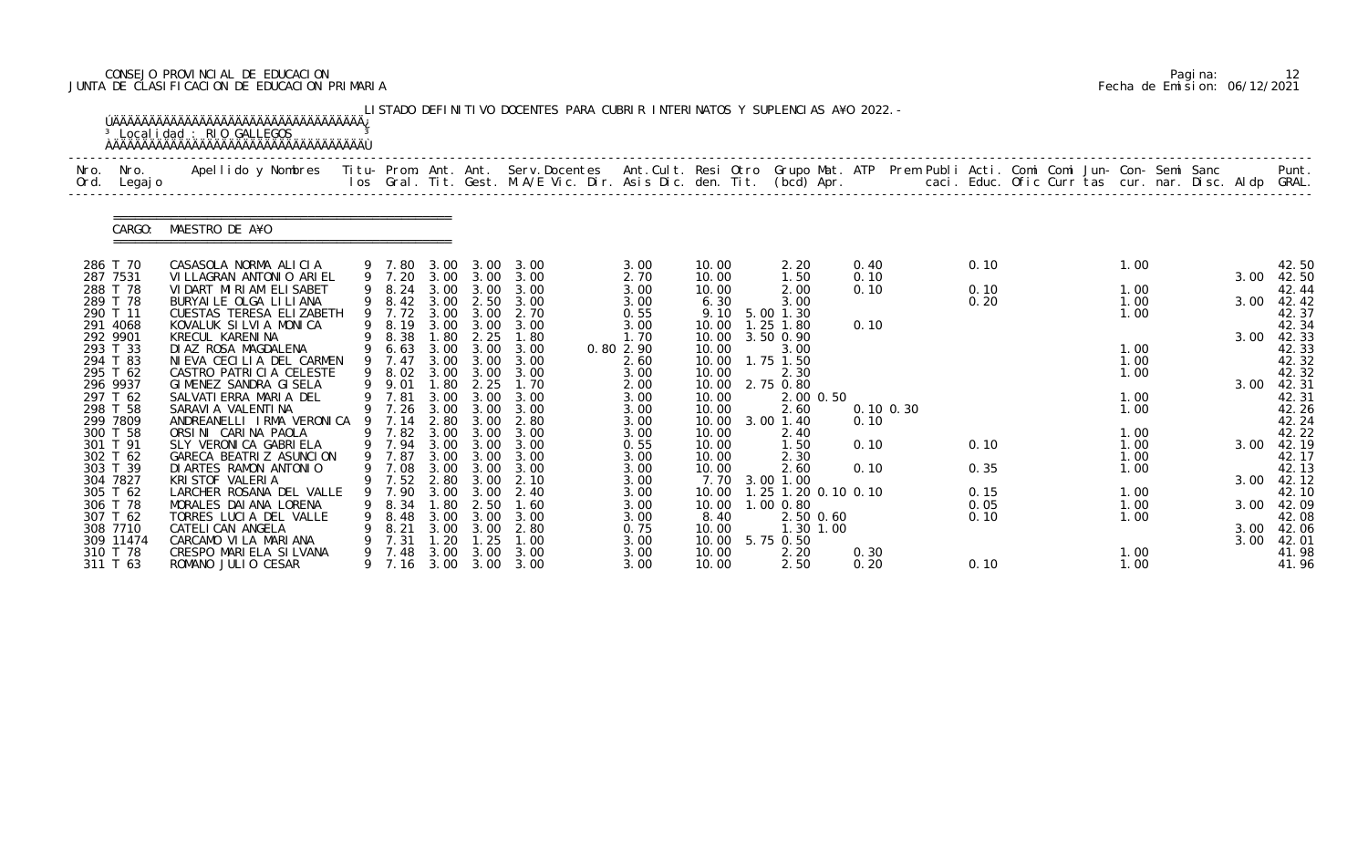# CONSEJO PROVINCIAL DE EDUCACION Pagina: 12 JUNTA DE CLASIFICACION DE EDUCACION PRIMARIA Fecha de Emision: 06/12/2021

| Nro.<br>Ord.         | Nro.<br>Legaj o      | Apellido y Nombres  Titu- Prom. Ant. Ant. Serv.Docentes  Ant.Cult. Resi Otro Grupo Mat. ATP Prem Publi Acti. Comi Comi Jun- Con- Semi Sanc         Punt.<br>Ios Gral. Tit. Gest. M.A/E Vic. Dir. Asis Dic. den. Tit. (bcd) Apr. |              |                  |              |              |                        |              |                |                               |      |                |              |  |              |  |      |                     |
|----------------------|----------------------|---------------------------------------------------------------------------------------------------------------------------------------------------------------------------------------------------------------------------------|--------------|------------------|--------------|--------------|------------------------|--------------|----------------|-------------------------------|------|----------------|--------------|--|--------------|--|------|---------------------|
|                      | CARGO:               | MAESTRO DE A¥O                                                                                                                                                                                                                  |              |                  |              |              |                        |              |                |                               |      |                |              |  |              |  |      |                     |
| 286 T 70             |                      | CASASOLA NORMA ALICIA                                                                                                                                                                                                           |              | 9 7.80           | 3.00         | 3.00         | 3.00                   | 3.00         | 10.00          | 2.20                          | 0.40 |                | 0.10         |  | 1.00         |  |      | 42.50               |
| 287 7531             |                      | VI LLAGRAN ANTONIO ARIEL                                                                                                                                                                                                        |              | 9 7.20           |              | 3.00 3.00    | 3.00                   | 2.70         | 10.00          | 1.50                          | 0.10 |                |              |  |              |  | 3.00 | 42.50               |
|                      | 288 T 78<br>289 T 78 | VIDART MIRIAM ELISABET<br>BURYAI LE OLGA LI LI ANA                                                                                                                                                                              |              | 8.24<br>9 8.42   | 3.00<br>3.00 | 3.00<br>2.50 | 3.00<br>3.00           | 3.00<br>3.00 | 10.00<br>6.30  | 2.00<br>3.00                  | 0.10 |                | 0.10<br>0.20 |  | 1.00<br>1.00 |  | 3.00 | 42.44<br>42.42      |
| 290 T 11             |                      | CUESTAS TERESA ELIZABETH                                                                                                                                                                                                        |              | 9 7.72           | 3.00         | 3.00         | 2.70                   | 0.55         | 9.10           | 5.00 1.30                     |      |                |              |  | 1.00         |  |      | 42.37               |
| 291 4068             |                      | KOVALUK SILVIA MONICA                                                                                                                                                                                                           |              | 8.19             | 3.00         | 3.00         | 3.00                   | 3.00         | 10.00          | $.25$ 1.80                    | 0.10 |                |              |  |              |  |      | 42.34               |
| 292 9901             |                      | KRECUL KARENINA                                                                                                                                                                                                                 |              | 8.38             | . 80         | 2.25         | 1.80                   | 1.70         | 10.00          | 3.50 0.90                     |      |                |              |  |              |  | 3.00 | 42.33               |
| 293 T 33             |                      | DI AZ ROSA MAGDALENA                                                                                                                                                                                                            | 9            | 6.63             | 3.00         | 3.00         | 3.00                   | 0.80 2.90    | 10.00          | 3.00                          |      |                |              |  | 1.00         |  |      | 42.33               |
|                      | 294 T 83             | NIEVA CECILIA DEL CARMEN                                                                                                                                                                                                        |              | 7.47             | 3.00         | 3.00         | 3.00                   | 2.60         | 10.00          | 1.75 1.50                     |      |                |              |  | 1.00         |  |      | 42.32               |
| 295 T 62<br>296 9937 |                      | CASTRO PATRICIA CELESTE<br>GIMENEZ SANDRA GISELA                                                                                                                                                                                | 9            | 9 8.02<br>9.01   | 3.00<br>1.80 | 3.00<br>2.25 | 3.00<br>1.70           | 3.00<br>2.00 | 10.00<br>10.00 | 2.30<br>2.75 0.80             |      |                |              |  | 1.00         |  | 3.00 | 42.32<br>42.31      |
|                      | 297 T 62             | SALVATI ERRA MARIA DEL                                                                                                                                                                                                          |              | 7.81             | 3.00         | 3.00         | 3.00                   | 3.00         | 10.00          | 2.00 0.50                     |      |                |              |  | 1.00         |  |      | 42.31               |
| 298 T 58             |                      | SARAVI A VALENTI NA                                                                                                                                                                                                             |              | 9 7.26           | 3.00         | 3.00         | 3.00                   | 3.00         | 10.00          | 2.60                          |      | $0.10 \, 0.30$ |              |  | 1.00         |  |      | 42.26               |
| 299 7809             |                      | ANDREANELLI IRMA VERONICA                                                                                                                                                                                                       |              | 7.14             | 2.80         | 3.00         | 2.80                   | 3.00         | 10.00          | 3.00 1.40                     | 0.10 |                |              |  |              |  |      | 42.24               |
|                      | 300 T 58             | ORSINI CARINA PAOLA                                                                                                                                                                                                             |              | 7.82             | 3.00         | 3.00         | 3.00                   | 3.00         | 10.00          | 2.40                          |      |                |              |  | 1.00         |  |      | 42.22               |
| 301 T 91             |                      | SLY VERONICA GABRIELA                                                                                                                                                                                                           |              | 9 7.94           | 3.00         | 3.00         | 3.00                   | 0.55         | 10.00          | 1.50                          | 0.10 |                | 0.10         |  | 1.00         |  | 3.00 | 42.19               |
| 302 T 62             |                      | GARECA BEATRIZ ASUNCION                                                                                                                                                                                                         |              | 9 7.87           |              | 3.00 3.00    | 3.00                   | 3.00         | 10.00          | 2.30                          |      |                |              |  | 1.00         |  |      | 42.17               |
| 304 7827             | 303 T 39             | DI ARTES RAMON ANTONIO<br>KRI STOF VALERIA                                                                                                                                                                                      |              | 9 7.08<br>9 7.52 | 3.00<br>2.80 | 3.00<br>3.00 | 3.00<br>2.10           | 3.00<br>3.00 | 10.00<br>7.70  | 2.60<br>3.00 1.00             | 0.10 |                | 0.35         |  | 1.00         |  |      | 42.13<br>3.00 42.12 |
|                      | 305 T 62             | LARCHER ROSANA DEL VALLE                                                                                                                                                                                                        | 9            | 7.90             | 3.00         | 3.00         | -2.40                  | 3.00         |                | 10.00  1.25  1.20  0.10  0.10 |      |                | 0.15         |  | 1.00         |  |      | 42.10               |
|                      | 306 T 78             | MORALES DAI ANA LORENA                                                                                                                                                                                                          |              | 8.34             | . 80         | 2.50         | 1.60                   | 3.00         | 10.00          | 1.00 0.80                     |      |                | 0.05         |  | 1.00         |  | 3.00 | 42.09               |
| 307 T 62             |                      | TORRES LUCIA DEL VALLE                                                                                                                                                                                                          | 9            | 8.48             | 3.00         | 3.00         | 3.00                   | 3.00         | 8.40           | 2.50 0.60                     |      |                | 0.10         |  | 1.00         |  |      | 42.08               |
|                      | 308 7710             | CATELI CAN ANGELA                                                                                                                                                                                                               |              | 8.21             | 3.00         | 3.00         | 2.80                   | 0.75         | 10.00          | 1.30 1.00                     |      |                |              |  |              |  | 3.00 | 42.06               |
|                      | 309 11474            | CARCAMO VI LA MARIANA                                                                                                                                                                                                           |              | 7.31             | 20           | . 25         | 1.00                   | 3.00         | 10.00          | 5.75 0.50                     |      |                |              |  |              |  | 3.00 | 42.01               |
|                      | 310 T 78<br>311 T 63 | CRESPO MARIELA SILVANA<br>ROMANO JULIO CESAR                                                                                                                                                                                    | 9.<br>9 7.16 | 7.48             | 3.00         | 3.00         | 3.00<br>3.00 3.00 3.00 | 3.00         | 10.00          | 2.20                          | 0.30 |                |              |  | 1.00         |  |      | 41.98               |

|  | Pagi na: |                              |
|--|----------|------------------------------|
|  |          | Fecha de Emision: 06/12/2021 |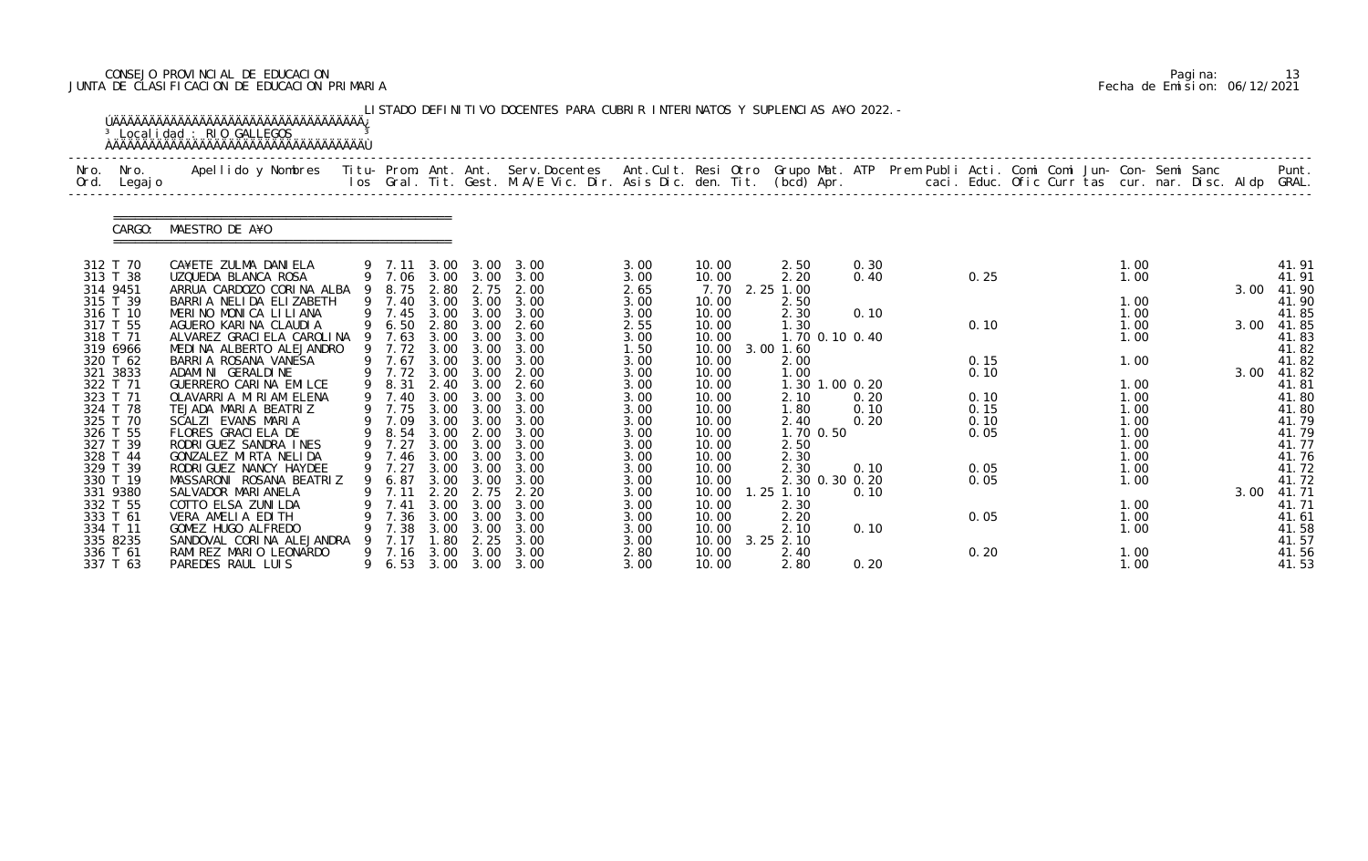# CONSEJO PROVINCIAL DE EDUCACION Pagina: 13 JUNTA DE CLASIFICACION DE EDUCACION PRIMARIA Fecha de Emision: 06/12/2021

|              |                      | <sup>3</sup> Localidad : RIO GALLEGOS                                                                                                          |                  |              |                   | LISTADO DEFINITIVO DOCENTES PARA CUBRIR INTERINATOS Y SUPLENCIAS A¥O 2022. - |              |                |                             |              |              |                                                      |              |  |      |                |
|--------------|----------------------|------------------------------------------------------------------------------------------------------------------------------------------------|------------------|--------------|-------------------|------------------------------------------------------------------------------|--------------|----------------|-----------------------------|--------------|--------------|------------------------------------------------------|--------------|--|------|----------------|
| Nro.<br>Ord. | Nro.<br>Legaj o      | Apellido y Nombres - Titu- Prom. Ant. Ant. Serv.Docentes - Ant.Cult. Resi Otro Grupo Mat. ATP - Prem Publi Acti. Comi Comi Jun- Con- Semi Sanc |                  |              |                   | los Gral. Tit. Gest. M.A/E Vic. Dir. Asis Dic. den. Tit. (bcd) Apr.          |              |                |                             |              |              | caci. Educ. Ofic Curr tas cur. nar. Disc. Aldp GRAL. |              |  |      | Punt.          |
|              | CARGO:               | MAESTRO DE A¥O                                                                                                                                 |                  |              |                   |                                                                              |              |                |                             |              |              |                                                      |              |  |      |                |
|              | 312 T 70             | CA¥ETE ZULMA DANIELA                                                                                                                           | 9 7.11 3.00      |              | 3.00              | 3.00                                                                         | 3.00         | 10.00          | 2.50                        | 0.30         |              |                                                      | 1.00         |  |      | 41.91          |
|              | 313 T 38<br>314 9451 | UZQUEDA BLANCA ROSA<br>ARRUA CARDOZO CORINA ALBA                                                                                               | 9 7.06<br>9 8.75 | 3.00<br>2.80 | 3.00<br>2.75      | 3.00<br>2.00                                                                 | 3.00<br>2.65 | 10.00<br>7.70  | 2.20<br>2.25 1.00           | 0.40         | 0.25         |                                                      | 1.00         |  | 3.00 | 41.91<br>41.90 |
|              | 315 T 39             | BARRIA NELIDA ELIZABETH                                                                                                                        | 9 7.40           | 3.00         | 3.00              | 3.00                                                                         | 3.00         | 10.00          | 2.50                        |              |              |                                                      | 1.00         |  |      | 41.90          |
|              | 316 T 10             | MERINO MONICA LILIANA                                                                                                                          | 9 7.45           | 3.00         | 3.00              | 3.00                                                                         | 3.00         | 10.00          | 2.30                        | 0.10         |              |                                                      | 1.00         |  |      | 41.85          |
|              | 317 T 55             | AGUERO KARINA CLAUDIA                                                                                                                          | 6.50             | 2.80         | 3.00              | 2.60                                                                         | 2.55         | 10.00          | 1.30                        |              | 0.10         |                                                      | 1.00         |  | 3.00 | 41.85          |
|              | 318 T 71<br>319 6966 | ALVAREZ GRACI ELA CAROLINA<br>MEDINA ALBERTO ALEJANDRO                                                                                         | 9 7.63<br>9 7.72 | 3.00<br>3.00 | 3.00<br>3.00      | 3.00<br>3.00                                                                 | 3.00<br>1.50 | 10.00<br>10.00 | 1.70 0.10 0.40<br>3.00 1.60 |              |              |                                                      | 1.00         |  |      | 41.83<br>41.82 |
|              | 320 T 62             | BARRIA ROSANA VANESA                                                                                                                           | 9 7.67           | 3.00         | 3.00              | 3.00                                                                         | 3.00         | 10.00          | 2.00                        |              | 0.15         |                                                      | 1.00         |  |      | 41.82          |
|              | 321 3833             | ADAMINI GERALDINE                                                                                                                              | 9 7.72           | 3.00         | 3.00              | 2.00                                                                         | 3.00         | 10.00          | 1.00                        |              | 0.10         |                                                      |              |  | 3.00 | 41.82          |
|              | 322 T 71             | GUERRERO CARINA EMILCE                                                                                                                         | 9 8.31           | 2.40         | 3.00              | 2.60                                                                         | 3.00         | 10.00          | 1.30 1.00 0.20              |              |              |                                                      | 1.00         |  |      | 41.81          |
|              | 323 T 71             | OLAVARRIA MIRIAM ELENA                                                                                                                         | 9 7.40           | 3.00         | 3.00              | 3.00                                                                         | 3.00         | 10.00          | 2.10                        | 0.20         | 0.10         |                                                      | 1.00         |  |      | 41.80          |
|              | 324 T 78<br>325 T 70 | TEJADA MARIA BEATRIZ<br>SCALZI EVANS MARIA                                                                                                     | 9 7.75<br>9 7.09 | 3.00<br>3.00 | 3.00<br>3.00      | 3.00<br>3.00                                                                 | 3.00<br>3.00 | 10.00<br>10.00 | 1.80<br>2.40                | 0.10<br>0.20 | 0.15<br>0.10 |                                                      | 1.00<br>1.00 |  |      | 41.80<br>41.79 |
|              | 326 T 55             | FLORES GRACIELA DE                                                                                                                             | 9 8.54           | 3.00         | 2.00              | 3.00                                                                         | 3.00         | 10.00          | 1.70 0.50                   |              | 0.05         |                                                      | 1.00         |  |      | 41.79          |
|              | 327 T 39             | RODRIGUEZ SANDRA INES                                                                                                                          | 9 7.27           | 3.00         | 3.00              | 3.00                                                                         | 3.00         | 10.00          | 2.50                        |              |              |                                                      | 1.00         |  |      | 41.77          |
|              | 328 T 44             | GONZALEZ MIRTA NELIDA                                                                                                                          | 9 7.46           | 3.00         | 3.00              | 3.00                                                                         | 3.00         | 10.00          | 2.30                        |              |              |                                                      | 1.00         |  |      | 41.76          |
|              | 329 T 39             | RODRI GUEZ NANCY HAYDEE                                                                                                                        | 9 7.27           | 3.00         | 3.00              | 3.00                                                                         | 3.00         | 10.00          | 2.30                        | 0.10         | 0.05         |                                                      | 1.00         |  |      | 41.72          |
|              | 330 T 19             | MASSARONI ROSANA BEATRIZ                                                                                                                       | 9 6.87           |              | $3.00 \quad 3.00$ | 3.00                                                                         | 3.00         | 10.00          | 2.30 0.30 0.20              |              | 0.05         |                                                      | 1.00         |  |      | 41.72          |
|              | 331 9380             | SALVADOR MARI ANELA                                                                                                                            | 7. 11            | 2.20         | 2.75              | 2. 20                                                                        | 3.00         | 10.00          | $1.25$ $1.10$               | 0.10         |              |                                                      |              |  |      | 3.00 41.71     |
|              | 332 T 55             | COTTO ELSA ZUNI LDA                                                                                                                            | 7. 41            | 3.00         | 3.00              | 3.00                                                                         | 3.00         | 10.00          | 2.30                        |              |              |                                                      | 1.00         |  |      | 41.71          |
|              | 333 T 61<br>334 T 11 | VERA AMELIA EDITH<br>GOMEZ HUGO ALFREDO                                                                                                        | 7.36<br>7.38     | 3.00<br>3.00 | 3.00<br>3.00      | 3.00<br>3.00                                                                 | 3.00<br>3.00 | 10.00<br>10.00 | 2.20<br>2.10                | 0.10         | 0.05         |                                                      | 1.00<br>1.00 |  |      | 41.61<br>41.58 |
|              | 335 8235             | SANDOVAL CORINA ALEJANDRA                                                                                                                      | 7.17             | -80          | 2.25              | 3.00                                                                         | 3.00         | 10.00          | $3.25$ $2.10$               |              |              |                                                      |              |  |      | 41.57          |
|              | 336 T 61             | RAMI REZ MARIO LEONARDO                                                                                                                        | 9 7.16           | 3.00         | 3.00              | 3.00                                                                         | 2.80         | 10.00          | 2.40                        |              | 0.20         |                                                      | 1.00         |  |      | 41.56          |
|              | 337 T 63             | PAREDES RAUL LUIS                                                                                                                              |                  |              |                   | 9 6.53 3.00 3.00 3.00                                                        | 3.00         | 10.00          | 2.80                        | 0.20         |              |                                                      | 1.00         |  |      | 41.53          |

|  | Pagi na: |                              |
|--|----------|------------------------------|
|  |          | Fecha de Emision: 06/12/2021 |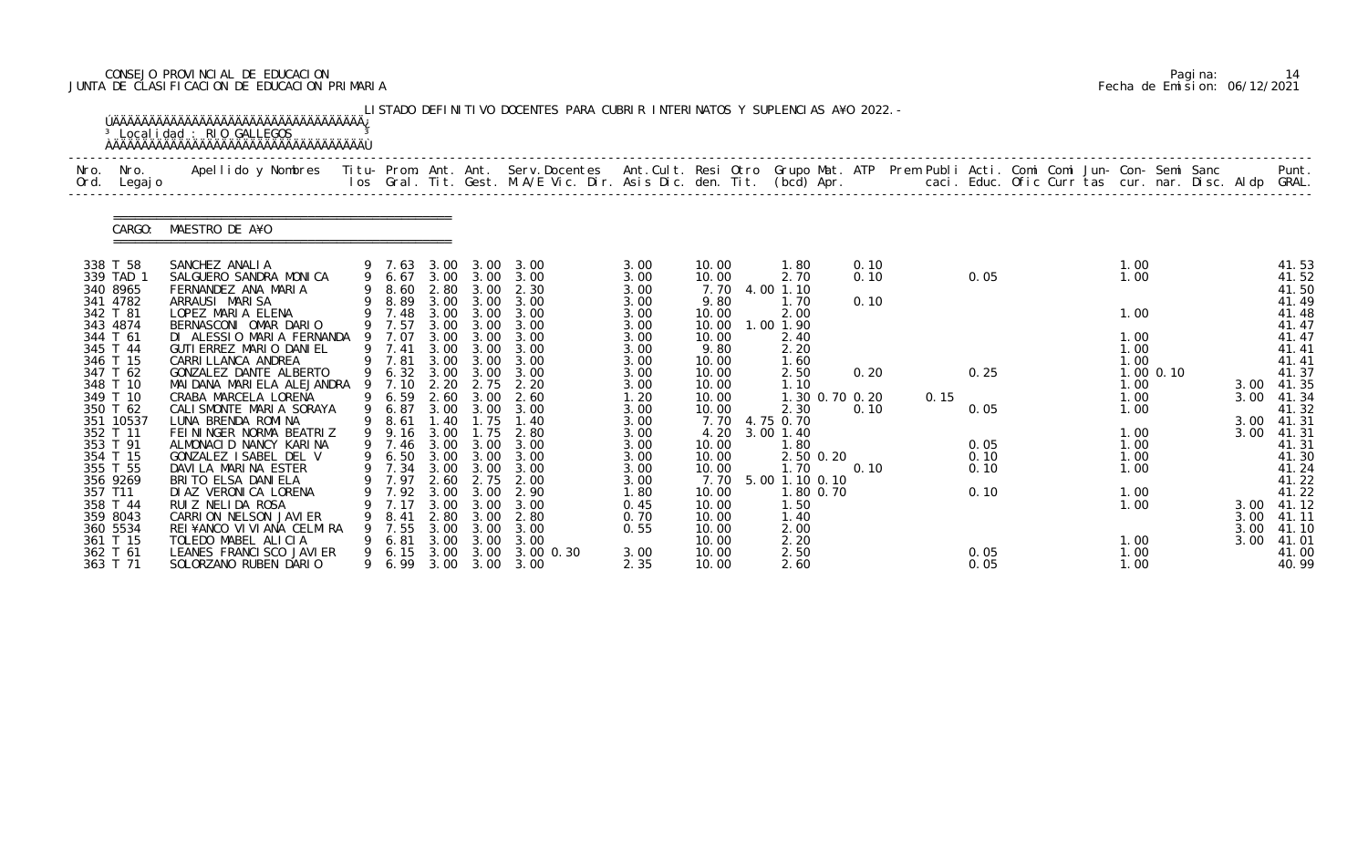# CONSEJO PROVINCIAL DE EDUCACION Pagina: 14 JUNTA DE CLASIFICACION DE EDUCACION PRIMARIA Fecha de Emision: 06/12/2021

|      |                                                           | <sup>3</sup> Localidad : RIO GALLEGOS                                                                                                                                                                                           |        |                                                  |                              |                                                   | LISTADO DEFINITIVO DOCENTES PARA CUBRIR INTERINATOS Y SUPLENCIAS A¥O 2022. - |                                       |                                          |                                                          |                      |      |                      |  |                              |               |                      |                                           |
|------|-----------------------------------------------------------|---------------------------------------------------------------------------------------------------------------------------------------------------------------------------------------------------------------------------------|--------|--------------------------------------------------|------------------------------|---------------------------------------------------|------------------------------------------------------------------------------|---------------------------------------|------------------------------------------|----------------------------------------------------------|----------------------|------|----------------------|--|------------------------------|---------------|----------------------|-------------------------------------------|
| Nro. | Nro.<br>Ord. Legajo                                       | Apellido y Nombres  Titu- Prom. Ant. Ant. Serv.Docentes  Ant.Cult. Resi Otro Grupo Mat. ATP Prem Publi Acti. Comi Comi Jun- Con- Semi Sanc         Punt.<br>Ios Gral. Tit. Gest. M.A/E Vic. Dir. Asis Dic. den. Tit. (bcd) Apr. |        |                                                  |                              |                                                   |                                                                              |                                       |                                          |                                                          |                      |      |                      |  |                              |               |                      |                                           |
|      | CARGO:                                                    | MAESTRO DE A¥O                                                                                                                                                                                                                  |        |                                                  |                              |                                                   |                                                                              |                                       |                                          |                                                          |                      |      |                      |  |                              |               |                      |                                           |
|      | 338 T 58<br>339 TAD 1<br>340 8965<br>341 4782             | SANCHEZ ANALIA<br>SALGUERO SANDRA MONICA<br>FERNANDEZ ANA MARIA<br>ARRAUSI MARISA                                                                                                                                               |        | 9 6.67<br>9 8.60<br>9 8.89                       | 2.80                         | 3.00<br>3.00 3.00                                 | 9 7.63 3.00 3.00 3.00<br>3.00 3.00 3.00<br>2.30<br>3.00                      | 3.00<br>3.00<br>3.00<br>3.00          | 10.00<br>10.00<br>7.70<br>9.80           | 1.80<br>2.70<br>4.00 1.10<br>1.70                        | 0.10<br>0.10<br>0.10 |      | 0.05                 |  | 1.00<br>1.00                 |               |                      | 41.53<br>41.52<br>41.50<br>41.49          |
|      | 342 T 81<br>343 4874<br>344 T 61<br>345 T 44<br>346 T 15  | LOPEZ MARIA ELENA<br>BERNASCONI OMAR DARIO<br>DI ALESSIO MARIA FERNANDA<br>GUTI ERREZ MARIO DANI EL<br>CARRI LLANCA ANDREA                                                                                                      |        | 9 7.48<br>9 7.57<br>9 7.07<br>9 7.41<br>9 7.81   | 3.00<br>3.00<br>3.00<br>3.00 | $3.00 \quad 3.00$<br>3.00<br>3.00<br>3.00<br>3.00 | 3.00<br>3.00<br>3.00<br>3.00<br>3.00                                         | 3.00<br>3.00<br>3.00<br>3.00<br>3.00  | 10.00<br>10.00<br>10.00<br>9.80<br>10.00 | 2.00<br>1.00 1.90<br>2.40<br>2.20<br>1.60                |                      |      |                      |  | 1.00<br>1.00<br>1.00<br>1.00 |               |                      | 41.48<br>41.47<br>41.47<br>41.41<br>41.41 |
|      | 347 T 62<br>348 T 10<br>349 T 10<br>350 T 62              | GONZALEZ DANTE ALBERTO<br>MAI DANA MARI ELA ALEJANDRA<br>CRABA MARCELA LORENA<br>CALI SMONTE MARI A SORAYA                                                                                                                      |        | 9 6.32<br>9 7.10<br>9 6.59<br>9 6.87             | 3.00<br>2.20<br>2.60         | 3.00<br>2.75<br>3.00<br>3.00 3.00                 | 3.00<br>2.20<br>2.60<br>3.00                                                 | 3.00<br>3.00<br>1.20<br>3.00          | 10.00<br>10.00<br>10.00<br>10.00         | 2.50<br>1.10<br>1.30 0.70 0.20<br>2.30                   | 0.20<br>0.10         | 0.15 | 0.25<br>0.05         |  | 1.00<br>1.00<br>1.00         | $1.00$ $0.10$ | 3.00<br>3.00         | 41.37<br>41.35<br>41.34<br>41.32          |
|      | 351 10537<br>352 T 11<br>353 T 91<br>354 T 15<br>355 T 55 | LUNA BRENDA ROMINA<br>FEININGER NORMA BEATRIZ<br>ALMONACID NANCY KARINA<br>GONZALEZ ISABEL DEL V<br>DAVILA MARINA ESTER                                                                                                         | 9      | 9 8.61<br>9.16<br>9 7.46<br>9 6.50<br>9 7.34     | 1.40<br>3.00<br>3.00<br>3.00 | 1.75<br>1.75<br>3.00<br>3.00                      | 1.40<br>2.80<br>3.00<br>3.00 3.00 3.00<br>3.00                               | 3.00<br>3.00<br>3.00<br>3.00<br>3.00  | 4.20<br>10.00<br>10.00<br>10.00          | 7.70 4.75 0.70<br>3.00 1.40<br>1.80<br>2.50 0.20<br>1.70 | 0.10                 |      | 0.05<br>0.10<br>0.10 |  | 1.00<br>1.00<br>1.00<br>1.00 |               | 3.00<br>3.00         | 41.31<br>41.31<br>41.31<br>41.30<br>41.24 |
|      | 356 9269<br>357 T11<br>358 T 44<br>359 8043<br>360 5534   | BRITO ELSA DANIELA<br>DI AZ VERONI CA LORENA<br>RUI Z NELI DA ROSA<br>CARRION NELSON JAVIER<br>REI¥ANCO VI VI ANA CELMI RA                                                                                                      | 9      | 9 7.97 2.60 2.75<br>7.92<br>7.17<br>8.41<br>7.55 | 3.00<br>3.00<br>2.80<br>3.00 | 3.00<br>3.00<br>3.00<br>3.00                      | 2.00<br>2.90<br>3.00<br>2.80<br>3.00                                         | 3.00<br>1. 80<br>0.45<br>0.70<br>0.55 | 10.00<br>10.00<br>10.00<br>10.00         | 7.70 5.00 1.10 0.10<br>.80 0.70<br>1.50<br>1.40<br>2.00  |                      |      | 0.10                 |  | 1.00<br>1.00                 |               | 3.00<br>3.00<br>3.00 | 41.22<br>41.22<br>41.12<br>41.11<br>41.10 |
|      | 361 T 15<br>362 T 61<br>363 T 71                          | TOLEDO MABEL ALICIA<br>LEANES FRANCI SCO JAVI ER<br>SOLORZANO RUBEN DARIO                                                                                                                                                       | 9<br>9 | 6.81<br>6.15<br>6.99                             | 3.00<br>3.00<br>3.00         | 3.00<br>3.00<br>3.00                              | 3.00<br>3.00 0.30<br>3.00                                                    | 3.00<br>2.35                          | 10.00<br>10.00<br>10.00                  | 2.20<br>2.50<br>2.60                                     |                      |      | 0.05<br>0.05         |  | 1.00<br>1.00<br>1.00         |               | 3.00                 | 41.01<br>41.00<br>40.99                   |

|  | Pagi na: | 14                           |
|--|----------|------------------------------|
|  |          | Fecha de Emision: 06/12/2021 |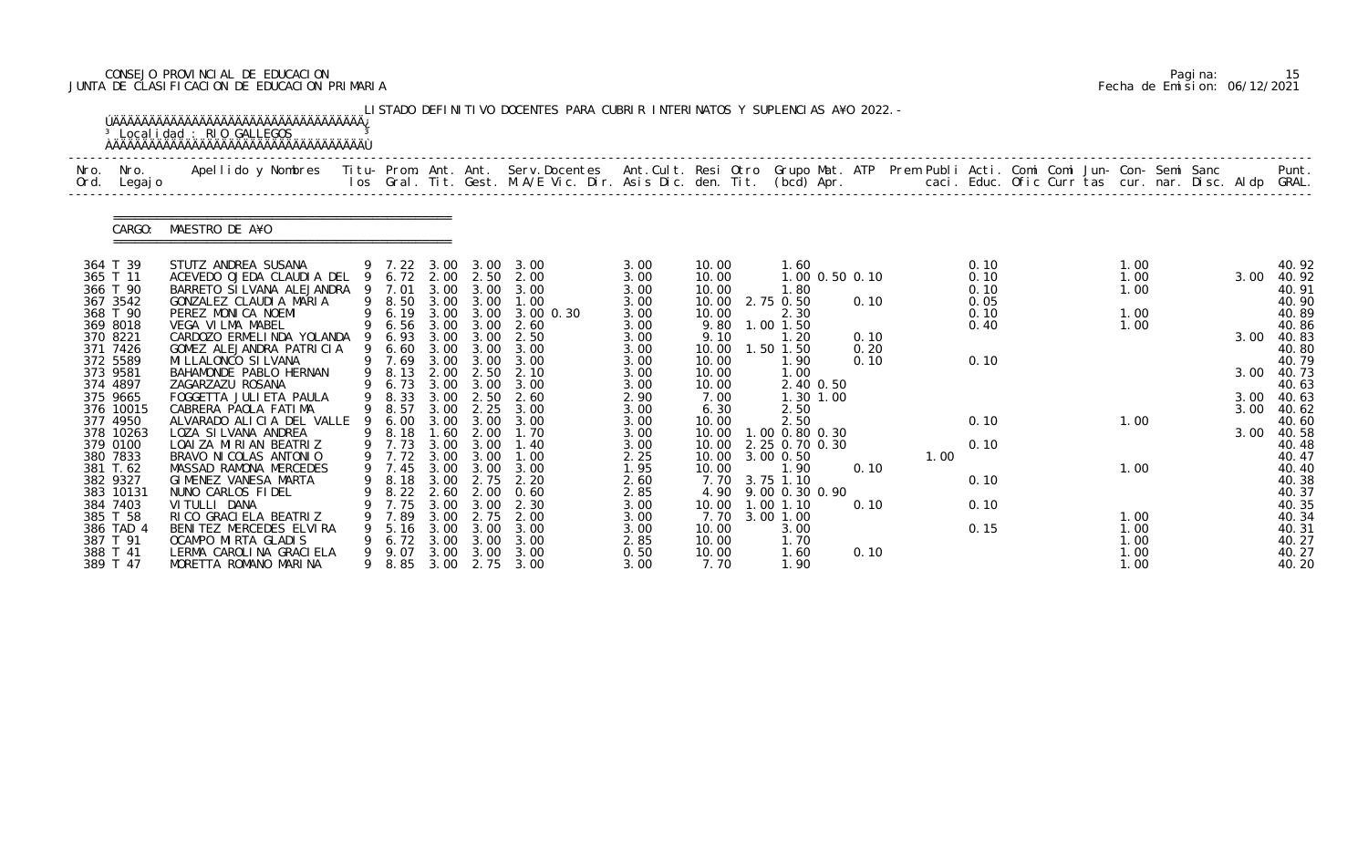# CONSEJO PROVINCIAL DE EDUCACION Pagina: 15 JUNTA DE CLASIFICACION DE EDUCACION PRIMARIA Fecha de Emision: 06/12/2021

| Nro.<br>Ord. | Nro.<br>Legaj o       | Apellido y Nombres - Titu- Prom. Ant. Ant. Serv.Docentes - Ant.Cult. Resi Otro Grupo Mat. ATP Prem Publi Acti. Comi Comi Jun- Con- Semi Sanc - - - Punt.<br>Ios Gral. Tit. Gest. M.A/E Vic. Dir. Asis Dic. den. Tit. (bcd) Apr. - |        |                          |              |              |                   |              |                |                                  |              |      |              |  |              |  |      |                |
|--------------|-----------------------|-----------------------------------------------------------------------------------------------------------------------------------------------------------------------------------------------------------------------------------|--------|--------------------------|--------------|--------------|-------------------|--------------|----------------|----------------------------------|--------------|------|--------------|--|--------------|--|------|----------------|
|              | CARGO:                | MAESTRO DE A¥O                                                                                                                                                                                                                    |        |                          |              |              |                   |              |                |                                  |              |      |              |  |              |  |      |                |
|              | 364 T 39              | STUTZ ANDREA SUSANA                                                                                                                                                                                                               |        | 9 7.22 3.00 3.00         |              |              | 3.00              | 3.00         | 10.00          | 1.60                             |              |      | 0.10         |  | 1.00         |  |      | 40.92          |
|              | 365 T 11<br>366 T 90  | ACEVEDO OJEDA CLAUDIA DEL<br>BARRETO SI LVANA ALEJANDRA 9                                                                                                                                                                         |        | 9 6.72 2.00 2.50<br>7.01 | 3.00         | 3.00         | 2.00<br>3.00      | 3.00<br>3.00 | 10.00<br>10.00 | 1.00 0.50 0.10<br>1.80           |              |      | 0.10<br>0.10 |  | 1.00<br>1.00 |  | 3.00 | 40.92<br>40.91 |
|              | 367 3542              | GONZALEZ CLAUDI A MARIA                                                                                                                                                                                                           |        | 9 8.50                   | 3.00         | 3.00         | 1.00              | 3.00         | 10.00          | 2.75 0.50                        | 0.10         |      | 0.05         |  |              |  |      | 40.90          |
|              | 368 T 90              | PEREZ MONICA NOEMI                                                                                                                                                                                                                | 9      | 6. 19<br>6. 56           |              | 3.00 3.00    | $3.00 \, 0.30$    | 3.00         | 10.00          | 2.30                             |              |      | 0.10         |  | 1.00         |  |      | 40.89          |
|              | 369 8018              | VEGA VILMA MABEL                                                                                                                                                                                                                  |        |                          | 3.00         | 3.00         | 2.60              | 3.00         | 9.80           | 1.00 1.50                        |              |      | 0.40         |  | 1.00         |  |      | 40.86          |
|              | 370 8221<br>371 7426  | CARDOZO ERMELINDA YOLANDA 9<br>GOMEZ ALEJANDRA PATRICIA                                                                                                                                                                           | 9      | 6.93<br>6.60             | 3.00<br>3.00 | 3.00<br>3.00 | 2.50<br>3.00      | 3.00<br>3.00 | 9.10<br>10.00  | 1.20<br>1.50 1.50                | 0.10<br>0.20 |      |              |  |              |  | 3.00 | 40.83<br>40.80 |
|              | 372 5589              | MI LLALONCO SI LVANA                                                                                                                                                                                                              |        | 9 7.69                   | 3.00         | 3.00         | 3.00              | 3.00         | 10.00          | 1.90                             | 0.10         |      | 0.10         |  |              |  |      | 40.79          |
|              | 373 9581              | BAHAMONDE PABLO HERNAN                                                                                                                                                                                                            |        | 8.13                     | 2.00         | 2.50         | 2.10              | 3.00         | 10.00          | 1.00                             |              |      |              |  |              |  | 3.00 | 40.73          |
|              | 374 4897              | ZAGARZAZU ROSANA                                                                                                                                                                                                                  | 9      | 6.73                     | 3.00         | 3.00         | 3.00              | 3.00         | 10.00          | 2.40 0.50                        |              |      |              |  |              |  |      | 40.63          |
|              | 375 9665              | FOGGETTA JULI ETA PAULA                                                                                                                                                                                                           |        | 9 8.33                   | 3.00         | 2.50         | 2.60              | 2.90         | 7.00           | 1.30 1.00                        |              |      |              |  |              |  | 3.00 | 40.63          |
|              | 376 10015<br>377 4950 | CABRERA PAOLA FATIMA<br>ALVARADO ALICIA DEL VALLE                                                                                                                                                                                 |        | 9 8.57<br>6.00           | 3.00<br>3.00 | 2.25<br>3.00 | 3.00<br>3.00      | 3.00<br>3.00 | 6.30<br>10.00  | 2.50<br>2.50                     |              |      | 0.10         |  | 1.00         |  | 3.00 | 40.62<br>40.60 |
|              | 378 10263             | LOZA SI LVANA ANDREA                                                                                                                                                                                                              |        | 8.18                     | 1.60         | 2.00         | 1.70              | 3.00         | 10.00          | 1.00 0.80 0.30                   |              |      |              |  |              |  | 3.00 | 40.58          |
|              | 379 0100              | LOAI ZA MIRIAN BEATRIZ                                                                                                                                                                                                            |        | 9 7.73                   | 3.00         | 3.00         | 1.40              | 3.00         | 10.00          | 2.25 0.70 0.30                   |              |      | 0.10         |  |              |  |      | 40.48          |
|              | 380 7833              | BRAVO NI COLAS ANTONIO                                                                                                                                                                                                            |        | 9 7.72                   |              | 3.00 3.00    | 1.00              | 2.25         | 10.00          | 3.00 0.50                        |              | 1.00 |              |  |              |  |      | 40.47          |
|              | 381 T.62              | MASSAD RAMONA MERCEDES                                                                                                                                                                                                            |        | 9 7.45                   | 3.00         | 3.00         | 3.00              | 1.95         | 10.00          | 1.90                             | 0.10         |      |              |  | 1.00         |  |      | 40.40          |
|              | 382 9327<br>383 10131 | GIMENEZ VANESA MARTA<br>NUNO CARLOS FIDEL                                                                                                                                                                                         |        | 9 8.18<br>8.22           | 3.00<br>2.60 | 2.75<br>2.00 | 2.20<br>0.60      | 2.60<br>2.85 | 4.90           | 7.70 3.75 1.10<br>9.00 0.30 0.90 |              |      | 0.10         |  |              |  |      | 40.38<br>40.37 |
|              | 384 7403              | VI TULLI DANA                                                                                                                                                                                                                     |        | 7.75                     | 3.00         | 3.00         | 2.30              | 3.00         | 10.00          | $1.00$ $1.10$                    | 0.10         |      | 0.10         |  |              |  |      | 40.35          |
|              | 385 T 58              | RI CO GRACI ELA BEATRIZ                                                                                                                                                                                                           |        | 7.89                     | 3.00         | 2.75         | 2.00              | 3.00         | 7.70           | 3.00 1.00                        |              |      |              |  | 1.00         |  |      | 40.34          |
|              | 386 TAD 4             | BENITEZ MERCEDES ELVIRA                                                                                                                                                                                                           |        | 5.16                     | 3.00         | 3.00         | 3.00              | 3.00         | 10.00          | 3.00                             |              |      | 0.15         |  | 1.00         |  |      | 40.31          |
|              | 387 T 91              | OCAMPO MIRTA GLADIS                                                                                                                                                                                                               |        | 6.72                     | 3.00         | 3.00         | 3.00              | 2.85         | 10.00          | 1.70                             |              |      |              |  | 1.00         |  |      | 40.27          |
|              | 388 T 41<br>389 T 47  | LERMA CAROLINA GRACIELA<br>MORETTA ROMANO MARINA                                                                                                                                                                                  | 9<br>9 | 9.07<br>8.85             | 3.00<br>3.00 | 3.00         | 3.00<br>2.75 3.00 | 0.50<br>3.00 | 10.00<br>7.70  | 1.60<br>1.90                     | 0.10         |      |              |  | 1.00<br>1.00 |  |      | 40.27<br>40.20 |

|  | Pagi na: | 15                           |
|--|----------|------------------------------|
|  |          | Fecha de Emision: 06/12/2021 |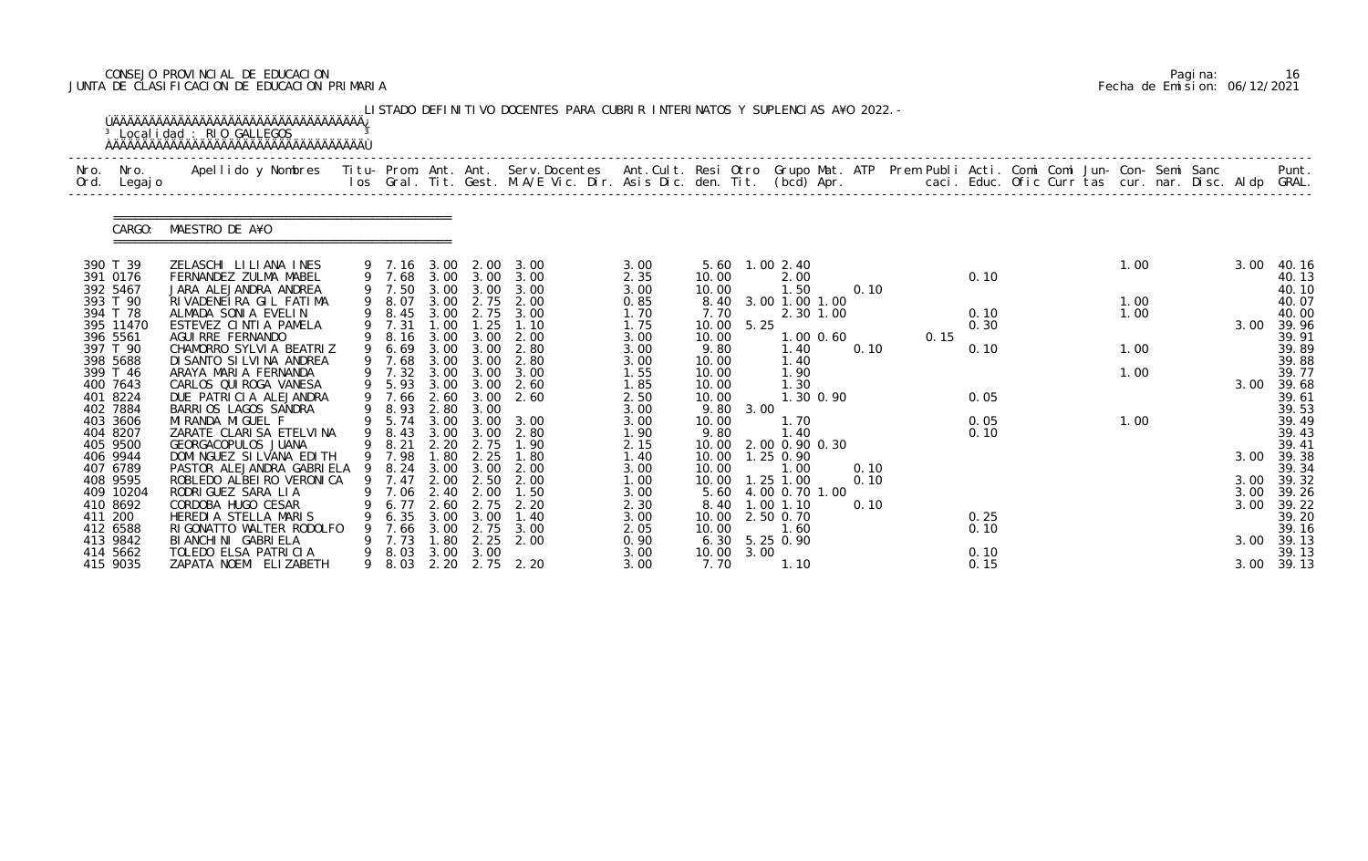# CONSEJO PROVINCIAL DE EDUCACION Pagina: 16 JUNTA DE CLASIFICACION DE EDUCACION PRIMARIA Fecha de Emision: 06/12/2021

| Nro.<br>Ord.         | Nro.<br>Legaj o | Apellido y Nombres  Titu- Prom. Ant. Ant. Serv.Docentes  Ant.Cult. Resi Otro Grupo Mat. ATP Prem Publi Acti. Comi Comi Jun- Con- Semi Sanc             Punt.<br>Ios Gral. Tit. Gest. M.A/E Vic. Dir. Asis Dic. den. Tit. (bcd) Ap |    |                       |                  |                           |                   |              |                |            |                                      |               |      |      |      |  |      |  |              |                 |
|----------------------|-----------------|-----------------------------------------------------------------------------------------------------------------------------------------------------------------------------------------------------------------------------------|----|-----------------------|------------------|---------------------------|-------------------|--------------|----------------|------------|--------------------------------------|---------------|------|------|------|--|------|--|--------------|-----------------|
|                      | CARGO:          | MAESTRO DE A¥O                                                                                                                                                                                                                    |    |                       |                  |                           |                   |              |                |            |                                      |               |      |      |      |  |      |  |              |                 |
| 390 T 39<br>391 0176 |                 | ZELASCHI LILIANA INES<br>FERNANDEZ ZULMA MABEL                                                                                                                                                                                    |    | 9 7.16 3.00<br>9 7.68 |                  | 2.00<br>$3.00 \quad 3.00$ | 3.00<br>3.00      | 3.00<br>2.35 | 10.00          |            | 5.60 1.00 2.40<br>2.00               |               |      |      | 0.10 |  | 1.00 |  | 3.00         | 40. 16<br>40.13 |
| 392 5467             |                 | JARA ALEJANDRA ANDREA                                                                                                                                                                                                             |    | 9 7.50                | 3.00             | 3.00                      | 3.00              | 3.00         | 10.00          |            | 1.50                                 |               | 0.10 |      |      |  |      |  |              | 40.10           |
| 393 T 90             |                 | RIVADENEIRA GIL FATIMA                                                                                                                                                                                                            | 9  | 8.07                  | 3.00             | 2.75                      | 2.00              | 0.85         | 8.40           |            | 3.00 1.00 1.00                       |               |      |      |      |  | 1.00 |  |              | 40.07           |
| 394 T 78             |                 | ALMADA SONIA EVELIN                                                                                                                                                                                                               |    | 8.45                  | 3.00             |                           | 2.75 3.00         | 1.70         | 7.70           |            |                                      | 2.30 1.00     |      |      | 0.10 |  | 1.00 |  |              | 40.00           |
|                      | 395 11470       | ESTEVEZ CINTIA PAMELA                                                                                                                                                                                                             |    | 7.31                  | .00 <sub>1</sub> | .25                       | 1.10              | 1.75         |                | 10.00 5.25 |                                      |               |      |      | 0.30 |  |      |  | 3.00         | 39.96           |
| 396 5561             |                 | AGUI RRE FERNANDO                                                                                                                                                                                                                 | 9  | 8.16                  | 3.00             | 3.00                      | 2.00              | 3.00         | 10.00          |            |                                      | $1.00$ $0.60$ |      | 0.15 |      |  |      |  |              | 39.91           |
| 397 T 90             |                 | CHAMORRO SYLVIA BEATRIZ                                                                                                                                                                                                           | 9  | 6.69                  | 3.00             | 3.00                      | 2.80              | 3.00         | 9.80           |            | 1.40                                 |               | 0.10 |      | 0.10 |  | 1.00 |  |              | 39.89           |
| 398 5688             |                 | DI SANTO SI LVI NA ANDREA                                                                                                                                                                                                         |    | 7.68                  | 3.00             | 3.00                      | 2.80              | 3.00         | 10.00          |            | 1.40                                 |               |      |      |      |  | 1.00 |  |              | 39.88           |
| 399 T 46<br>400 7643 |                 | ARAYA MARIA FERNANDA<br>CARLOS QUI ROGA VANESA                                                                                                                                                                                    |    | 7.32<br>9 5.93        | 3.00<br>3.00     | 3.00<br>3.00              | 3.00<br>2.60      | 1.55<br>1.85 | 10.00<br>10.00 |            | 1.90<br>1.30                         |               |      |      |      |  |      |  | 3.00         | 39.77<br>39.68  |
| 401 8224             |                 | DUE PATRICIA ALEJANDRA                                                                                                                                                                                                            |    | 7.66                  | 2.60             | 3.00                      | 2.60              | 2.50         | 10.00          |            |                                      | 1.30 0.90     |      |      | 0.05 |  |      |  |              | 39.61           |
| 402 7884             |                 | BARRIOS LAGOS SANDRA                                                                                                                                                                                                              | 9  | 8.93                  | 2.80             | 3.00                      |                   | 3.00         | 9.80           | 3.00       |                                      |               |      |      |      |  |      |  |              | 39.53           |
| 403 3606             |                 | MI RANDA MI GUEL F                                                                                                                                                                                                                |    | 9 5.74                | 3.00             | 3.00                      | 3.00              | 3.00         | 10.00          |            | 1.70                                 |               |      |      | 0.05 |  | 1.00 |  |              | 39.49           |
| 404 8207             |                 | ZARATE CLARISA ETELVINA                                                                                                                                                                                                           |    | 8.43                  | 3.00             | 3.00                      | 2.80              | 1.90         | 9.80           |            | 1.40                                 |               |      |      | 0.10 |  |      |  |              | 39.43           |
| 405 9500             |                 | GEORGACOPULOS JUANA                                                                                                                                                                                                               |    | 8.21                  | 2.20             | 2.75                      | 1.90              | 2.15         | 10.00          |            | 2.00 0.90 0.30                       |               |      |      |      |  |      |  |              | 39.41           |
| 406 9944             |                 | DOMI NGUEZ SI LVANA EDI TH                                                                                                                                                                                                        |    | 9 7.98                | 1.80             | 2.25                      | 1.80              | 1.40         | 10.00          |            | 1.25 0.90                            |               |      |      |      |  |      |  | 3.00         | 39.38           |
| 407 6789             |                 | PASTOR ALEJANDRA GABRIELA                                                                                                                                                                                                         | -9 | 8.24                  | 3.00             | 3.00                      | 2.00              | 3.00         | 10.00          |            | 1.00                                 |               | 0.10 |      |      |  |      |  |              | 39.34           |
| 408 9595             |                 | ROBLEDO ALBEIRO VERONICA                                                                                                                                                                                                          |    | 9 7.47                | 2.00             | 2.50                      | 2.00              | 1.00         |                |            | 10.00  1.25  1.00                    |               | 0.10 |      |      |  |      |  |              | 3.00 39.32      |
| 410 8692             | 409 10204       | RODRI GUEZ SARA LI A<br>CORDOBA HUGO CESAR                                                                                                                                                                                        |    | 7.06                  | 2.40<br>2.60     | 2.00<br>2.75              | 1.50<br>2.20      | 3.00<br>2.30 | 8.40           |            | 5.60 4.00 0.70 1.00<br>$1.00$ $1.10$ |               | 0.10 |      |      |  |      |  | 3.00<br>3.00 | 39.26<br>39.22  |
| 411 200              |                 | HEREDIA STELLA MARIS                                                                                                                                                                                                              |    | 6.35                  | 3.00             | 3.00                      | 1.40              | 3.00         | 10.00          |            | 2.50 0.70                            |               |      |      | 0.25 |  |      |  |              | 39.20           |
| 412 6588             |                 | RIGONATTO WALTER RODOLFO                                                                                                                                                                                                          |    | 7.66                  | 3.00             | 2.75                      | 3.00              | 2.05         | 10.00          |            | 1.60                                 |               |      |      | 0.10 |  |      |  |              | 39.16           |
| 413 9842             |                 | BI ANCHI NI GABRI ELA                                                                                                                                                                                                             |    | 7.73                  | . 80             | 2.25                      | 2.00              | 0.90         |                |            | 6.30 5.25 0.90                       |               |      |      |      |  |      |  | 3.00         | 39.13           |
| 414 5662             |                 | TOLEDO ELSA PATRICIA                                                                                                                                                                                                              |    | 8.03                  | 3.00             | 3.00                      |                   | 3.00         |                | 10.00 3.00 |                                      |               |      |      | 0.10 |  |      |  |              | 39.13           |
|                      | 415 9035        | ZAPATA NOEMI ELIZABETH                                                                                                                                                                                                            | 9  | 8.03                  |                  |                           | 2. 20 2. 75 2. 20 | 3.00         | 7.70           |            | 1.10                                 |               |      |      | 0.15 |  |      |  | 3.00 39.13   |                 |

|  | Pagi na: | 16                           |
|--|----------|------------------------------|
|  |          | Fecha de Emision: 06/12/2021 |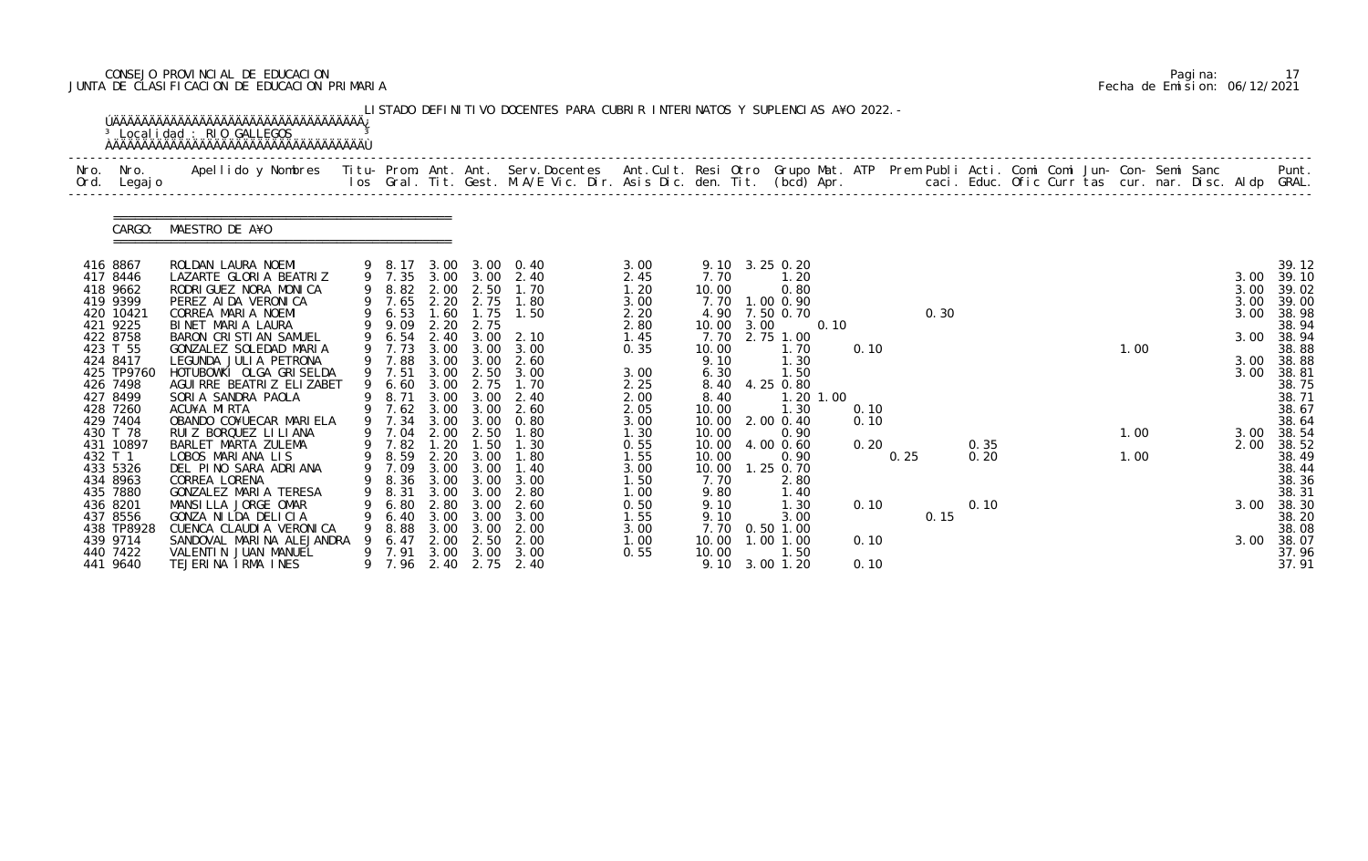# CONSEJO PROVINCIAL DE EDUCACION Pagina: 17 JUNTA DE CLASIFICACION DE EDUCACION PRIMARIA Fecha de Emision: 06/12/2021

| Nro.<br>Ord. | Nro.<br>Legaj o      | Apellido y Nombres  Titu- Prom. Ant. Ant. Serv.Docentes  Ant.Cult. Resi Otro Grupo Mat. ATP Prem Publi Acti. Comi Comi Jun- Con- Semi Sanc         Punt.<br>Ios Gral. Tit. Gest. M.A/E Vic. Dir. Asis Dic. den. Tit. (bcd) Apr. |   |                  |              |                        |                        |              |                |      |                   |           |      |      |      |              |  |      |              |                |
|--------------|----------------------|---------------------------------------------------------------------------------------------------------------------------------------------------------------------------------------------------------------------------------|---|------------------|--------------|------------------------|------------------------|--------------|----------------|------|-------------------|-----------|------|------|------|--------------|--|------|--------------|----------------|
|              | CARGO:               | MAESTRO DE A¥O                                                                                                                                                                                                                  |   |                  |              |                        |                        |              |                |      |                   |           |      |      |      |              |  |      |              |                |
| 416 8867     |                      | ROLDAN LAURA NOEMI                                                                                                                                                                                                              |   | 9 8.17           | 3.00         |                        | 3.00 0.40              | 3.00         |                |      | 9.10 3.25 0.20    |           |      |      |      |              |  |      |              | 39.12          |
|              | 417 8446<br>418 9662 | LAZARTE GLORIA BEATRIZ<br>RODRIGUEZ NORA MONICA                                                                                                                                                                                 |   | 9 7.35<br>9 8.82 | 2.00         | 2.50                   | 3.00 3.00 2.40<br>1.70 | 2.45<br>1.20 | 7.70<br>10.00  |      | 1.20<br>0.80      |           |      |      |      |              |  |      | 3.00<br>3.00 | 39.10<br>39.02 |
|              | 419 9399             | PEREZ AI DA VERONI CA                                                                                                                                                                                                           |   | 9 7.65           | 2.20         | 2.75                   | 1.80                   | 3.00         | 7.70           |      | 1.00 0.90         |           |      |      |      |              |  |      | 3.00         | 39.00          |
|              | 420 10421            | CORREA MARIA NOEMI                                                                                                                                                                                                              |   | 9 6.53           | 1.60         | 1.75                   | 1.50                   | 2.20         | 4.90           |      | 7.50 0.70         |           |      |      | 0.30 |              |  |      | 3.00         | 38.98          |
|              | 421 9225             | BINET MARIA LAURA                                                                                                                                                                                                               |   | 9 9.09           | 2.20         | 2.75                   |                        | 2.80         | 10.00          | 3.00 |                   | 0.10      |      |      |      |              |  |      |              | 38.94          |
|              | 422 8758             | BARON CRISTIAN SAMUEL                                                                                                                                                                                                           |   | 9 6.54           | 2.40         | 3.00                   | 2.10                   | 1.45         | 7.70           |      | 2.75 1.00         |           |      |      |      |              |  |      | 3.00         | 38.94          |
|              | 423 T 55<br>424 8417 | GONZALEZ SOLEDAD MARIA<br>LEGUNDA JULIA PETRONA                                                                                                                                                                                 |   | 9 7.73<br>7.88   | 3.00<br>3.00 | 3.00<br>3.00           | 3.00<br>2.60           | 0.35         | 10.00<br>9.10  |      | 1.70<br>1.30      |           | 0.10 |      |      |              |  | 1.00 | 3.00         | 38.88<br>38.88 |
|              | 425 TP9760           | HOTUBOWKI OLGA GRISELDA                                                                                                                                                                                                         |   | 9 7.51           | 3.00         | 2.50                   | 3.00                   | 3.00         | 6.30           |      | 1.50              |           |      |      |      |              |  |      | 3.00         | 38.81          |
|              | 426 7498             | AGUI RRE BEATRIZ ELIZABET                                                                                                                                                                                                       | 9 | 6.60             | 3.00         | 2.75                   | 1.70                   | 2.25         | 8.40           |      | 4.25 0.80         |           |      |      |      |              |  |      |              | 38.75          |
|              | 427 8499             | SORIA SANDRA PAOLA                                                                                                                                                                                                              |   | 8.71             | 3.00         | 3.00                   | 2.40                   | 2.00         | 8.40           |      |                   | 1.20 1.00 |      |      |      |              |  |      |              | 38.71          |
|              | 428 7260             | ACU¥A MIRTA                                                                                                                                                                                                                     |   | 7.62             | 3.00         | 3.00                   | 2.60                   | 2.05         | 10.00          |      | 1.30              |           | 0.10 |      |      |              |  |      |              | 38.67          |
|              | 429 7404             | OBANDO CO¥UECAR MARIELA                                                                                                                                                                                                         |   | 9 7.34           | 3.00         | 3.00                   | 0.80                   | 3.00         | 10.00          |      | 2.00 0.40         |           | 0.10 |      |      |              |  |      |              | 38.64          |
|              | 430 T 78             | RUIZ BORQUEZ LI LI ANA                                                                                                                                                                                                          |   | 7.04             | 2.00         | 2.50                   | 1.80                   | 1.30         | 10.00          |      | 0.90              |           |      |      |      |              |  | 1.00 | 3.00         | 38.54          |
| 432 T 1      | 431 10897            | BARLET MARTA ZULEMA<br>LOBOS MARIANA LIS                                                                                                                                                                                        |   | 7.82<br>9 8.59   | 1.20         | 1.50<br>2.20 3.00      | 1.30<br>1.80           | 0.55<br>1.55 | 10.00<br>10.00 |      | 4.00 0.60<br>0.90 |           | 0.20 | 0.25 |      | 0.35<br>0.20 |  | 1.00 | 2.00         | 38.52<br>38.49 |
|              | 433 5326             | DEL PINO SARA ADRIANA                                                                                                                                                                                                           |   | 9 7.09           | 3.00         | 3.00                   | 1.40                   | 3.00         | 10.00          |      | 1.25 0.70         |           |      |      |      |              |  |      |              | 38.44          |
|              | 434 8963             | CORREA LORENA                                                                                                                                                                                                                   |   | 9 8.36           |              | $3.00 \quad 3.00$      | 3.00                   | 1.50         | 7.70           |      | 2.80              |           |      |      |      |              |  |      |              | 38.36          |
|              | 435 7880             | GONZALEZ MARIA TERESA                                                                                                                                                                                                           | 9 | 8.31             | 3.00         | 3.00                   | 2.80                   | 1. 00        | 9.80           |      | 1. 40             |           |      |      |      |              |  |      |              | 38.31          |
|              | 436 8201             | MANSILLA JORGE OMAR                                                                                                                                                                                                             |   | 6.80             | 2.80         |                        | 2.60                   | 0.50         | 9.10           |      | 1. 30             |           | 0.10 |      |      | 0.10         |  |      | 3.00         | 38.30          |
|              | 437 8556             | GONZA NI LDA DELICIA                                                                                                                                                                                                            |   | 6.40             | 3.00         | 3.00                   | 3.00                   | 1.55         | 9.10           |      | 3.00              |           |      |      | 0.15 |              |  |      |              | 38.20          |
|              | 438 TP8928           | CUENCA CLAUDIA VERONICA                                                                                                                                                                                                         |   | 8.88             | 3.00         | 3.00                   | 2.00                   | 3.00         | 7.70           |      | $0.50$ 1.00       |           |      |      |      |              |  |      |              | 38.08          |
|              | 439 9714             | SANDOVAL MARINA ALEJANDRA                                                                                                                                                                                                       |   | 6.47             | 2.00         | 2.50                   | 2.00                   | 1.00         | 10.00          |      | $1.00$ 1.00       |           | 0.10 |      |      |              |  |      | 3.00         | 38.07          |
|              | 440 7422<br>441 9640 | VALENTIN JUAN MANUEL<br>TEJERINA IRMA INES                                                                                                                                                                                      |   | 9 7.91<br>9 7.96 | 3.00         | 3.00<br>2.40 2.75 2.40 | 3.00                   | 0.55         | 10.00<br>9.10  |      | 1.50<br>3.00 1.20 |           | 0.10 |      |      |              |  |      |              | 37.96<br>37.91 |

|  | Pagi na: |                              |
|--|----------|------------------------------|
|  |          | Fecha de Emision: 06/12/2021 |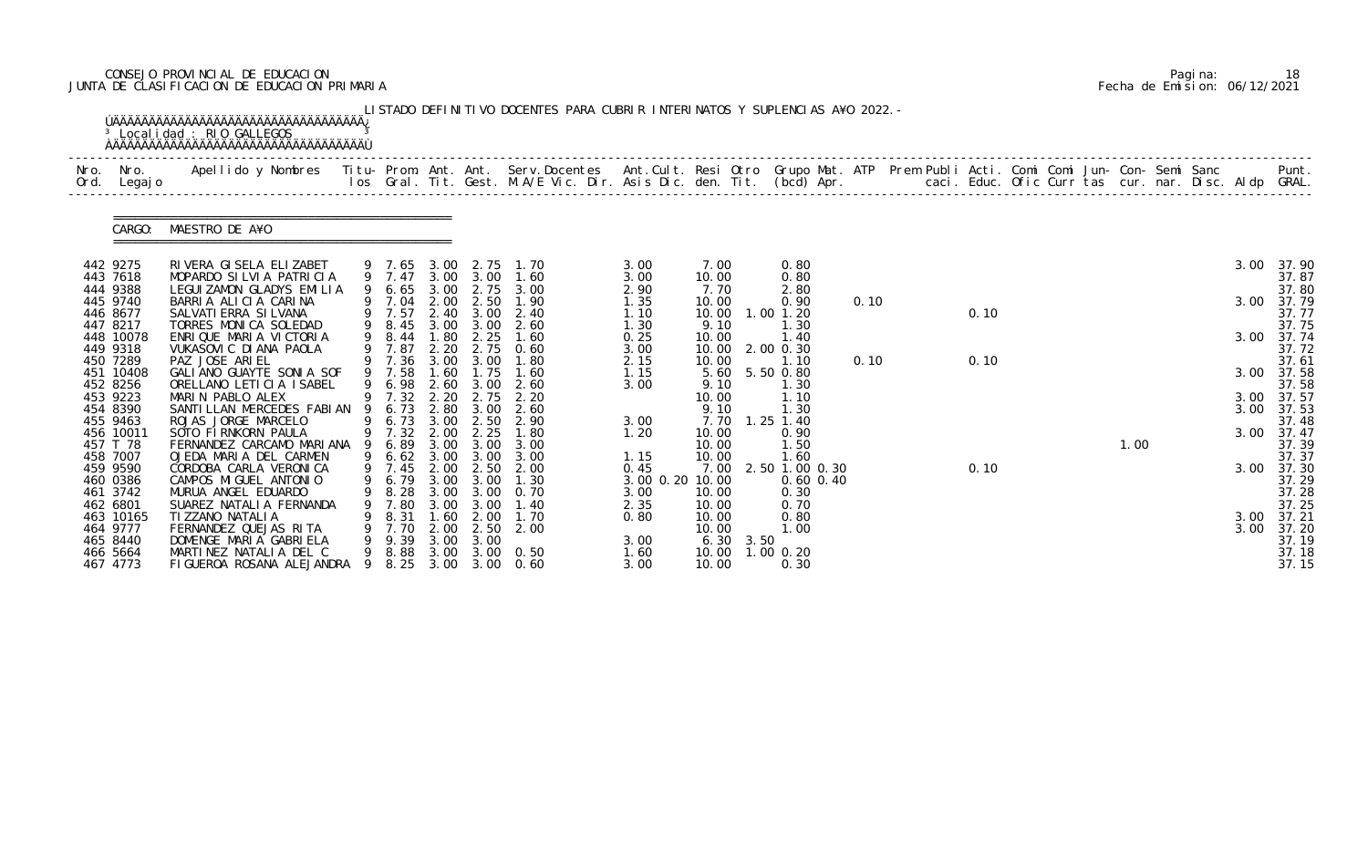# CONSEJO PROVINCIAL DE EDUCACION Pagina: 18 JUNTA DE CLASIFICACION DE EDUCACION PRIMARIA Fecha de Emision: 06/12/2021

| Nro.<br>Ord. | Nro.<br>Legaj o                               | Apellido y Nombres  Titu- Prom. Ant. Ant. Serv.Docentes  Ant.Cult. Resi Otro Grupo Mat. ATP Prem Publi Acti. Comi Comi Jun- Con- Semi Sanc         Punt.<br>Ios Gral. Tit. Gest. M.A/E Vic. Dir. Asis Dic. den. Tit. (bcd) Apr. |   |                                    |                              |                                   |                                            |                                 |                                |           |                                         |      |  |      |  |      |  |                    |                                  |
|--------------|-----------------------------------------------|---------------------------------------------------------------------------------------------------------------------------------------------------------------------------------------------------------------------------------|---|------------------------------------|------------------------------|-----------------------------------|--------------------------------------------|---------------------------------|--------------------------------|-----------|-----------------------------------------|------|--|------|--|------|--|--------------------|----------------------------------|
|              | CARGO:                                        | MAESTRO DE A¥O                                                                                                                                                                                                                  |   |                                    |                              |                                   |                                            |                                 |                                |           |                                         |      |  |      |  |      |  |                    |                                  |
|              | 442 9275<br>443 7618                          | RIVERA GISELA ELIZABET<br>MOPARDO SILVIA PATRICIA                                                                                                                                                                               |   | 9 7.65 3.00 2.75<br>9 7.47         |                              | 3.00 3.00                         | 1. 70<br>1.60                              | 3.00<br>3.00                    | 7.00<br>10.00                  |           | 0.80<br>0.80                            |      |  |      |  |      |  | 3.00               | 37.90<br>37.87                   |
|              | 444 9388<br>445 9740<br>446 8677<br>447 8217  | LEGUI ZAMON GLADYS EMILIA<br>BARRIA ALICIA CARINA<br>SALVATI ERRA SI LVANA<br>TORRES MONICA SOLEDAD                                                                                                                             |   | 6.65<br>9 7.04<br>9 7.57<br>9 8.45 | 3.00<br>2.00<br>3.00         | 2.75<br>2.50<br>2.40 3.00<br>3.00 | 3.00<br>1.90<br>2.40<br>2.60               | 2.90<br>1.35<br>1.10<br>1.30    | 7.70<br>10.00<br>10.00<br>9.10 |           | 2.80<br>0.90<br>$1.00$ $1.20$<br>1.30   | 0.10 |  | 0.10 |  |      |  | 3.00               | 37.80<br>37.79<br>37.77<br>37.75 |
|              | 448 10078<br>449 9318<br>450 7289             | ENRIQUE MARIA VICTORIA<br>VUKASOVI C DI ANA PAOLA<br>PAZ JOSE ARIEL                                                                                                                                                             |   | 9 8.44<br>9 7.87<br>9 7.36         | 1.80<br>2.20<br>3.00         | 2.25<br>2.75<br>3.00              | 1.60<br>0.60<br>1.80                       | 0.25<br>3.00<br>2.15            | 10.00<br>10.00<br>10.00        |           | 1.40<br>2.00 0.30<br>1.10               | 0.10 |  | 0.10 |  |      |  | 3.00 37.74         | 37.72<br>37.61                   |
|              | 451 10408<br>452 8256<br>453 9223             | GALIANO GUAYTE SONIA SOF<br>ORELLANO LETICIA ISABEL<br>MARIN PABLO ALEX                                                                                                                                                         | 9 | 9 7.58<br>6.98<br>9 7.32           | .60<br>2.20                  | 1.75<br>2.60 3.00<br>2.75         | 1.60<br>2.60<br>2.20                       | 1.15<br>3.00                    | 5.60<br>9.10<br>10.00          |           | 5.50 0.80<br>1. 30<br>1.10              |      |  |      |  |      |  | 3.00<br>3.00 37.57 | 37.58<br>37.58                   |
|              | 454 8390<br>455 9463<br>456 10011<br>457 T 78 | SANTI LLAN MERCEDES FABI AN<br>ROJAS JORGE MARCELO<br>SOTO FIRNKORN PAULA<br>FERNANDEZ CARCAMO MARIANA                                                                                                                          | 9 | 6.73<br>6.73<br>9 7.32<br>6.89     | 2.80<br>3.00<br>2.00<br>3.00 | 3.00<br>2.50<br>2.25<br>3.00      | 2.60<br>2.90<br>1.80<br>3.00               | 3.00<br>1.20                    | 9.10<br>7.70<br>10.00<br>10.00 |           | 1.30<br>$1.25$ $1.40$<br>0.90<br>1.50   |      |  |      |  | 1.00 |  | 3.00 37.53<br>3.00 | 37.48<br>37.47<br>37.39          |
|              | 458 7007<br>459 9590<br>460 0386              | OJEDA MARIA DEL CARMEN<br>CORDOBA CARLA VERONICA<br>CAMPOS MIGUEL ANTONIO                                                                                                                                                       | 9 | 6.62<br>9 7.45<br>9 6.79 3.00 3.00 | 2.00                         | 2.50                              | 3.00 3.00 3.00<br>2.00<br>1.30             | 1.15<br>0.45<br>3.00 0.20 10.00 | 10.00<br>7.00                  |           | 1.60<br>2.50 1.00 0.30<br>$0.60$ $0.40$ |      |  | 0.10 |  |      |  | 3.00               | 37.37<br>37.30<br>37.29          |
|              | 461 3742<br>462 6801<br>463 10165             | MURUA ANGEL EDUARDO<br>SUAREZ NATALIA FERNANDA<br>TI ZZANO NATALI A                                                                                                                                                             |   | 8.28<br>7.80<br>8.31               | 3.00<br>3.00<br>1.60         | 3.00<br>3.00<br>2.00              | 0.70<br>1.40<br>1.70                       | 3.00<br>2.35<br>0.80            | 10.00<br>10.00<br>10.00        |           | 0.30<br>0.70<br>0.80                    |      |  |      |  |      |  | 3.00               | 37.28<br>37.25<br>37.21          |
|              | 464 9777<br>465 8440<br>466 5664<br>467 4773  | FERNANDEZ QUEJAS RITA<br>DOMENGE MARIA GABRIELA<br>MARTINEZ NATALIA DEL C<br>FIGUEROA ROSANA ALEJANDRA 9                                                                                                                        |   | 9 7.70<br>9.39<br>9 8.88<br>8.25   | 3.00<br>3.00                 | $2.00$ $2.50$<br>3.00             | 2.00<br>$3.00\quad 0.50$<br>3.00 3.00 0.60 | 3.00<br>1.60<br>3.00            | 10.00<br>10.00<br>10.00        | 6.30 3.50 | 1.00<br>1.00 0.20<br>0.30               |      |  |      |  |      |  | 3.00               | 37.20<br>37.19<br>37.18<br>37.15 |

|  | Pagi na: | 18                           |
|--|----------|------------------------------|
|  |          | Fecha de Emision: 06/12/2021 |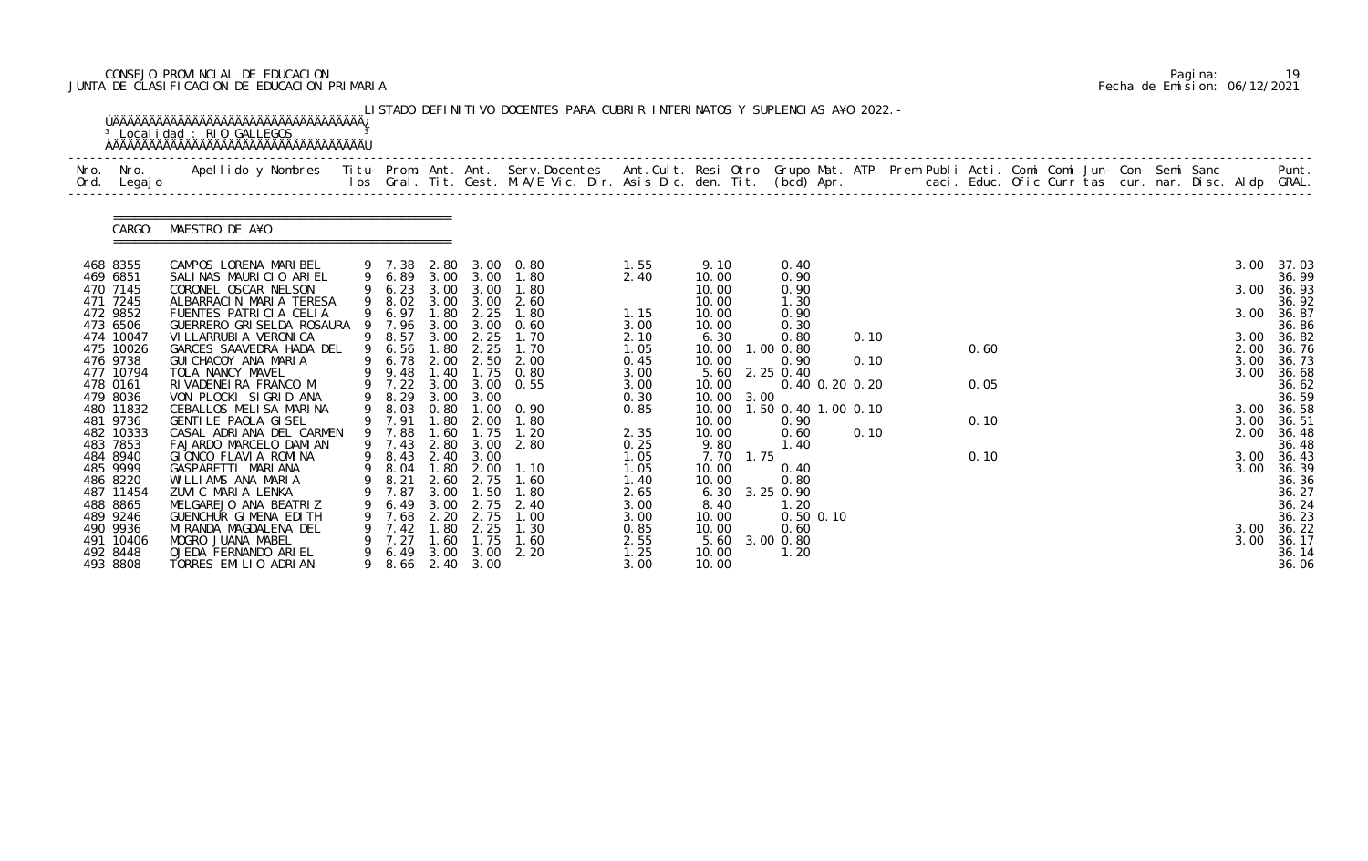# CONSEJO PROVINCIAL DE EDUCACION Pagina: 19 JUNTA DE CLASIFICACION DE EDUCACION PRIMARIA Fecha de Emision: 06/12/2021

|              |                                    | <sup>3</sup> Localidad : RIO GALLEGOS                                                                                                                                                                                             |    |                            |                      |                           |                             |                      |                                 |                                    |              |  |      |  |  |  |                      |                         |
|--------------|------------------------------------|-----------------------------------------------------------------------------------------------------------------------------------------------------------------------------------------------------------------------------------|----|----------------------------|----------------------|---------------------------|-----------------------------|----------------------|---------------------------------|------------------------------------|--------------|--|------|--|--|--|----------------------|-------------------------|
| Nro.<br>Ord. | Nro.<br>Legaj o                    | Apellido y Nombres - Titu- Prom. Ant. Ant. Serv.Docentes - Ant.Cult. Resi Otro Grupo Mat. ATP Prem Publi Acti. Comi Comi Jun- Con- Semi Sanc - - - Punt.<br>Ios Gral. Tit. Gest. M.A/E Vic. Dir. Asis Dic. den. Tit. (bcd) Apr. - |    |                            |                      |                           |                             |                      |                                 |                                    |              |  |      |  |  |  |                      |                         |
|              | CARGO:                             | MAESTRO DE A¥O                                                                                                                                                                                                                    |    |                            |                      |                           |                             |                      |                                 |                                    |              |  |      |  |  |  |                      |                         |
|              | 468 8355<br>469 6851               | CAMPOS LORENA MARIBEL<br>SALINAS MAURICIO ARIEL                                                                                                                                                                                   |    | 9 7.38<br>9 6.89           |                      | 3.00 3.00                 | 2.80 3.00 0.80<br>1.80      | 1.55<br>2.40         | 9.10<br>10.00                   | 0.40<br>0.90                       |              |  |      |  |  |  | 3.00                 | 37.03<br>36.99          |
|              | 470 7145<br>471 7245               | CORONEL OSCAR NELSON<br>ALBARRACIN MARIA TERESA                                                                                                                                                                                   |    | 9 6.23<br>9 8.02           | 3.00<br>3.00         | 3.00<br>3.00              | 1.80<br>2.60                |                      | 10.00<br>10.00                  | 0.90<br>1.30                       |              |  |      |  |  |  | 3.00                 | 36.93<br>36.92          |
|              | 472 9852<br>473 6506               | FUENTES PATRICIA CELIA<br>GUERRERO GRI SELDA ROSAURA                                                                                                                                                                              |    | 9 6.97<br>9 7.96           | 1.80<br>3.00         | 2.25<br>3.00              | 1.80<br>0.60                | 1.15<br>3.00         | 10.00<br>10.00                  | 0.90<br>0.30                       |              |  |      |  |  |  | 3.00                 | 36.87<br>36.86          |
|              | 474 10047<br>475 10026<br>476 9738 | VI LLARRUBI A VERONI CA<br>GARCES SAAVEDRA HADA DEL<br>GUI CHACOY ANA MARIA                                                                                                                                                       |    | 9 8.57<br>9 6.56<br>9 6.78 | 3.00<br>1.80<br>2.00 | 2.25<br>2.25              | 1.70<br>1.70<br>2.50 2.00   | 2.10<br>1.05<br>0.45 | 6.30<br>10.00<br>10.00          | 0.80<br>$1.00$ $0.80$<br>0.90      | 0.10<br>0.10 |  | 0.60 |  |  |  | 3.00<br>2.00<br>3.00 | 36.82<br>36.76<br>36.73 |
|              | 477 10794<br>478 0161              | TOLA NANCY MAVEL<br>RIVADENEIRA FRANCO M                                                                                                                                                                                          |    | 9 9.48<br>9 7.22           | 1.40                 |                           | 1.75 0.80<br>3.00 3.00 0.55 | 3.00<br>3.00         | 5.60<br>10.00                   | 2.25 0.40<br>0.40 0.20 0.20        |              |  | 0.05 |  |  |  | 3.00                 | 36.68<br>36.62          |
|              | 479 8036<br>480 11832<br>481 9736  | VON PLOCKI SIGRID ANA<br>CEBALLOS MELISA MARINA<br>GENTILE PAOLA GISEL                                                                                                                                                            |    | 9 8.29<br>9 8.03<br>9 7.91 | 3.00<br>0.80<br>1.80 | 3.00<br>2.00              | $1.00 \quad 0.90$<br>1.80   | 0.30<br>0.85         | 10.00<br>3.00<br>10.00<br>10.00 | 1.50 0.40 1.00 0.10<br>0.90        |              |  | 0.10 |  |  |  | 3.00<br>3.00         | 36.59<br>36.58<br>36.51 |
|              | 482 10333<br>483 7853              | CASAL ADRIANA DEL CARMEN<br>FAJARDO MARCELO DAMIAN                                                                                                                                                                                |    | 9 7.88<br>9 7.43           | .60                  | 1.75<br>2.80 3.00         | 1.20<br>2.80                | 2.35<br>0.25         | 10.00<br>9.80                   | 0.60<br>1.40                       | 0.10         |  |      |  |  |  | 2.00                 | 36.48<br>36.48          |
|              | 484 8940<br>485 9999               | GIONCO FLAVIA ROMINA<br>GASPARETTI MARIANA                                                                                                                                                                                        |    | 9 8.43<br>9 8.04 1.80      |                      | 2.40 3.00<br>2.00         | 1.10                        | 1.05<br>1.05         | 1.75<br>7.70<br>10.00           | 0.40                               |              |  | 0.10 |  |  |  | 3.00<br>3.00         | 36.43<br>36.39          |
|              | 486 8220<br>487 11454<br>488 8865  | WILLIAMS ANA MARIA<br>ZUVIC MARIA LENKA<br>MELGAREJO ANA BEATRIZ                                                                                                                                                                  |    | 9 8.21<br>7.87<br>6.49     | 3.00<br>3.00         | 2.60 2.75<br>1.50<br>2.75 | 1.60<br>1.80<br>2.40        | 1.40<br>2.65<br>3.00 | 10.00<br>6.30<br>8.40           | 0.80<br>3.25 0.90<br>1.20          |              |  |      |  |  |  |                      | 36.36<br>36.27<br>36.24 |
|              | 489 9246<br>490 9936<br>491 10406  | GUENCHUR GIMENA EDITH<br>MI RANDA MAGDALENA DEL<br>MOGRO JUANA MABEL                                                                                                                                                              |    | 7.68<br>7.42<br>7.27       | 2.20<br>1.80<br>.60  | 2.75<br>2.25<br>1.75      | 1.00<br>1.30<br>1.60        | 3.00<br>0.85<br>2.55 | 10.00<br>10.00<br>5.60          | $0.50$ $0.10$<br>0.60<br>3.00 0.80 |              |  |      |  |  |  | 3.00<br>3.00         | 36.23<br>36.22<br>36.17 |
|              | 492 8448<br>493 8808               | OJEDA FERNANDO ARIEL<br>TORRES EMILIO ADRIAN                                                                                                                                                                                      | 9. | 6.49<br>9 8.66 2.40 3.00   | 3.00                 | 3.00                      | 2.20                        | 1.25<br>3.00         | 10.00<br>10.00                  | 1.20                               |              |  |      |  |  |  |                      | 36.14<br>36.06          |

|  | Pagi na: | 19                           |
|--|----------|------------------------------|
|  |          | Fecha de Emision: 06/12/2021 |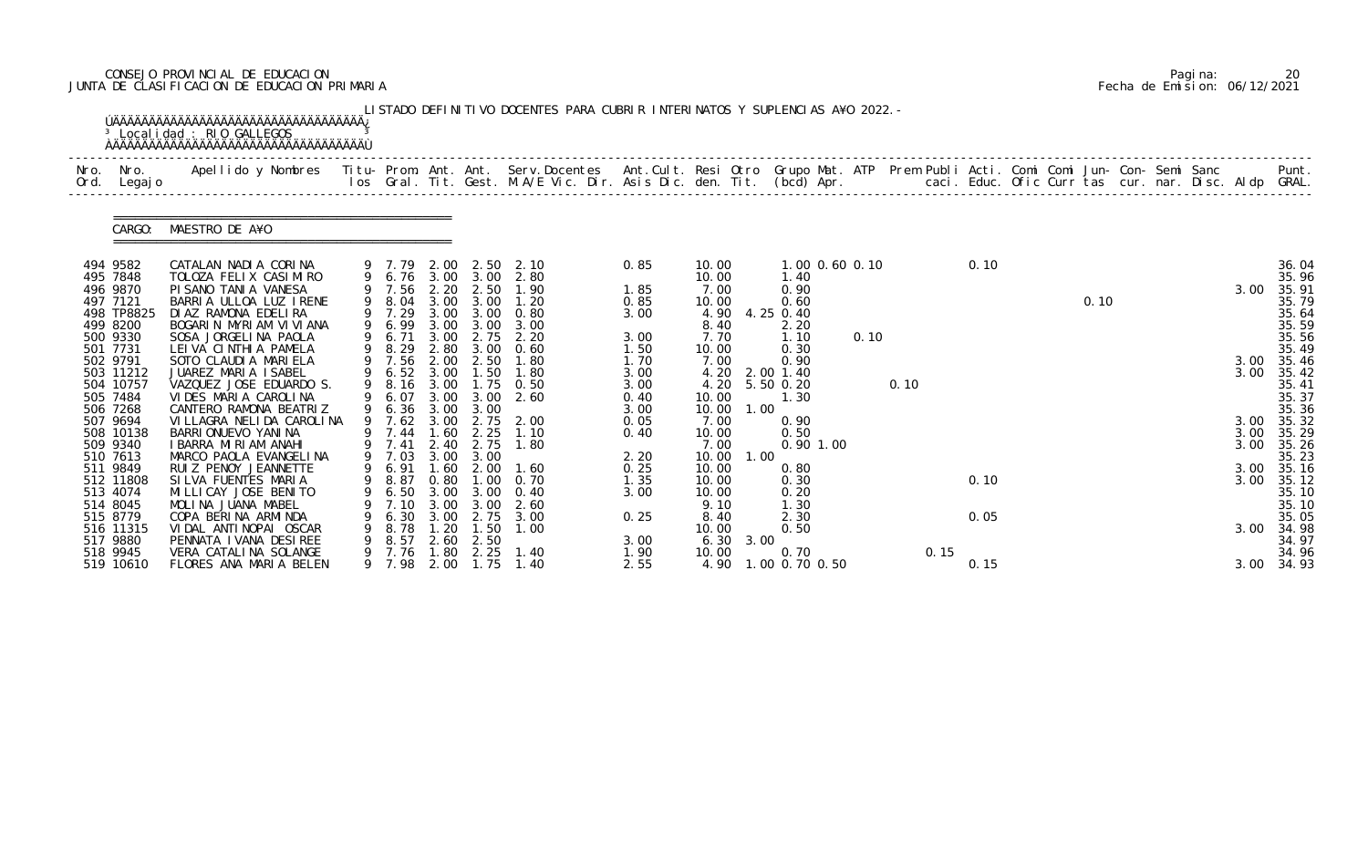# CONSEJO PROVINCIAL DE EDUCACION Pagina: 20 JUNTA DE CLASIFICACION DE EDUCACION PRIMARIA Fecha de Emision: 06/12/2021

|              |                        | <sup>3</sup> Localidad : RIO GALLEGOS                                                                                                                                                                                             |   |                |              |                  | LISTADO DEFINITIVO DOCENTES PARA CUBRIR INTERINATOS Y SUPLENCIAS A¥O 2022. - |              |               |      |                     |                |      |      |      |  |      |  |              |                |
|--------------|------------------------|-----------------------------------------------------------------------------------------------------------------------------------------------------------------------------------------------------------------------------------|---|----------------|--------------|------------------|------------------------------------------------------------------------------|--------------|---------------|------|---------------------|----------------|------|------|------|--|------|--|--------------|----------------|
| Nro.<br>Ord. | Nro.<br>Legaj o        | Apellido y Nombres  Titu- Prom. Ant. Ant. Serv.Docentes  Ant.Cult. Resi Otro Grupo Mat. ATP Prem Publi Acti. Comi Comi Jun- Con- Semi Sanc           Punt.<br>Ios Gral. Tit. Gest. M.A/E Vic. Dir. Asis Dic. den. Tit. (bcd) Apr. |   |                |              |                  |                                                                              |              |               |      |                     |                |      |      |      |  |      |  |              |                |
|              | CARGO:                 | MAESTRO DE A¥O                                                                                                                                                                                                                    |   |                |              |                  |                                                                              |              |               |      |                     |                |      |      |      |  |      |  |              |                |
|              | 494 9582               | CATALAN NADIA CORINA                                                                                                                                                                                                              |   | 9 7.79         | 2.00         | 2.50             | 2.10                                                                         | 0.85         | 10.00         |      |                     | 1.00 0.60 0.10 |      |      | 0.10 |  |      |  |              | 36.04          |
|              | 495 7848               | TOLOZA FELIX CASIMIRO                                                                                                                                                                                                             |   |                |              | 9 6.76 3.00 3.00 | 2.80                                                                         |              | 10.00         |      | 1.40                |                |      |      |      |  |      |  |              | 35.96          |
|              | 496 9870               | PI SANO TANI A VANESA                                                                                                                                                                                                             |   | 9 7.56         | 2.20         | 2.50             | 1.90                                                                         | 1.85         | 7.00          |      | 0.90                |                |      |      |      |  |      |  | 3.00         | 35.91          |
|              | 497 7121<br>498 TP8825 | BARRIA ULLOA LUZ IRENE<br>DI AZ RAMONA EDELIRA                                                                                                                                                                                    | 9 | 8.04<br>9 7.29 | 3.00<br>3.00 | 3.00<br>3.00     | 1.20<br>0.80                                                                 | 0.85<br>3.00 | 10.00<br>4.90 |      | 0.60<br>4.25 0.40   |                |      |      |      |  | 0.10 |  |              | 35.79<br>35.64 |
|              | 499 8200               | BOGARIN MYRIAM VIVIANA                                                                                                                                                                                                            |   | 6.99           | 3.00         | 3.00             | 3.00                                                                         |              | 8.40          |      | 2.20                |                |      |      |      |  |      |  |              | 35.59          |
|              | 500 9330               | SOSA JORGELINA PAOLA                                                                                                                                                                                                              | 9 | 6.71           | 3.00         | 2.75             | 2.20                                                                         | 3.00         | 7.70          |      | 1.10                | 0.10           |      |      |      |  |      |  |              | 35.56          |
|              | 501 7731               | LEIVA CINTHIA PAMELA                                                                                                                                                                                                              | 9 | 8.29           | 2.80         | 3.00             | 0.60                                                                         | 1.50         | 10.00         |      | 0.30                |                |      |      |      |  |      |  |              | 35.49          |
|              | 502 9791               | SOTO CLAUDIA MARIELA                                                                                                                                                                                                              |   | 7.56           | 2.00         | 2.50             | 1.80                                                                         | 1.70         | 7.00          |      | 0.90                |                |      |      |      |  |      |  | 3.00         | 35.46          |
|              | 503 11212              | JUAREZ MARIA ISABEL                                                                                                                                                                                                               |   | 6.52           | 3.00         | 1.50             | 1.80                                                                         | 3.00         | 4.20          |      | 2.00 1.40           |                |      |      |      |  |      |  | 3.00         | 35.42          |
|              | 504 10757              | VAZQUEZ JOSE EDUARDO S.                                                                                                                                                                                                           | 9 | 8.16           | 3.00         |                  | 1.75 0.50                                                                    | 3.00         | 4.20          |      | 5.50 0.20           |                | 0.10 |      |      |  |      |  |              | 35.41          |
|              | 505 7484               | VIDES MARIA CAROLINA                                                                                                                                                                                                              |   | 6.07           | 3.00         | 3.00             | 2.60                                                                         | 0.40         | 10.00         |      | 1.30                |                |      |      |      |  |      |  |              | 35.37          |
|              | 506 7268               | CANTERO RAMONA BEATRIZ                                                                                                                                                                                                            |   | 6.36           | 3.00         | 3.00             |                                                                              | 3.00         | 10.00         | 1.00 |                     |                |      |      |      |  |      |  |              | 35.36          |
|              | 507 9694               | VI LLAGRA NELI DA CAROLI NA                                                                                                                                                                                                       | 9 | 7.62           | 3.00         | 2.75             | 2.00                                                                         | 0.05         | 7.00          |      | 0.90                |                |      |      |      |  |      |  | 3.00         | 35.32          |
|              | 508 10138<br>509 9340  | BARRI ONUEVO YANI NA<br>I BARRA MIRIAM ANAHI                                                                                                                                                                                      |   | 7.44<br>7.41   | 1.60<br>2.40 | 2.25<br>2.75     | 1.10<br>1.80                                                                 | 0.40         | 10.00<br>7.00 |      | 0.50<br>$0.90$ 1.00 |                |      |      |      |  |      |  | 3.00<br>3.00 | 35.29<br>35.26 |
|              | 510 7613               | MARCO PAOLA EVANGELINA                                                                                                                                                                                                            |   | 9 7.03         |              | 3.00 3.00        |                                                                              | 2.20         | 10.00         | 1.00 |                     |                |      |      |      |  |      |  |              | 35.23          |
|              | 511 9849               | RUIZ PENOY JEANNETTE                                                                                                                                                                                                              |   | 6.91           | 1.60         | 2.00             | 1.60                                                                         | 0.25         | 10.00         |      | 0.80                |                |      |      |      |  |      |  | 3.00         | 35.16          |
|              | 512 11808              | SILVA FUENTES MARIA                                                                                                                                                                                                               |   | 9 8.87         | 0.80         | 1.00             | 0.70                                                                         | 1.35         | 10.00         |      | 0.30                |                |      |      | 0.10 |  |      |  | 3.00         | 35.12          |
|              | 513 4074               | MI LLI CAY JOSE BENI TO                                                                                                                                                                                                           |   | 6.50           | 3.00         | 3.00             | 0.40                                                                         | 3.00         | 10.00         |      | 0.20                |                |      |      |      |  |      |  |              | 35.10          |
|              | 514 8045               | MOLINA JUANA MABEL                                                                                                                                                                                                                |   | 7.10           | 3.00         |                  | 2.60                                                                         |              | 9.10          |      | 1. 30               |                |      |      |      |  |      |  |              | 35.10          |
|              | 515 8779               | COPA BERINA ARMINDA                                                                                                                                                                                                               |   | 6.30           | 3.00         | 2.75             | 3.00                                                                         | 0.25         | 8.40          |      | 2.30                |                |      |      | 0.05 |  |      |  |              | 35.05          |
|              | 516 11315              | VIDAL ANTINOPAI OSCAR                                                                                                                                                                                                             | 9 | 8.78           | 1.20         | 1.50             | 1.00                                                                         |              | 10.00         |      | 0.50                |                |      |      |      |  |      |  | 3.00         | 34.98          |
|              | 517 9880               | PENNATA I VANA DESIREE                                                                                                                                                                                                            |   | 8.57           | 2.60         | 2.50             |                                                                              | 3.00         | 6.30          | 3.00 |                     |                |      |      |      |  |      |  |              | 34.97          |
|              | 518 9945               | VERA CATALINA SOLANGE                                                                                                                                                                                                             |   | 7.76           | 1.80         | 2.25             | 1.40                                                                         | 1.90         | 10.00         |      | 0.70                |                |      | 0.15 |      |  |      |  |              | 34.96          |
|              | 519 10610              | FLORES ANA MARIA BELEN                                                                                                                                                                                                            | 9 | 7.98           | 2.00         | 1.75             | 1.40                                                                         | 2.55         | 4.90          |      | 1.00 0.70 0.50      |                |      |      | 0.15 |  |      |  | 3.00         | 34.93          |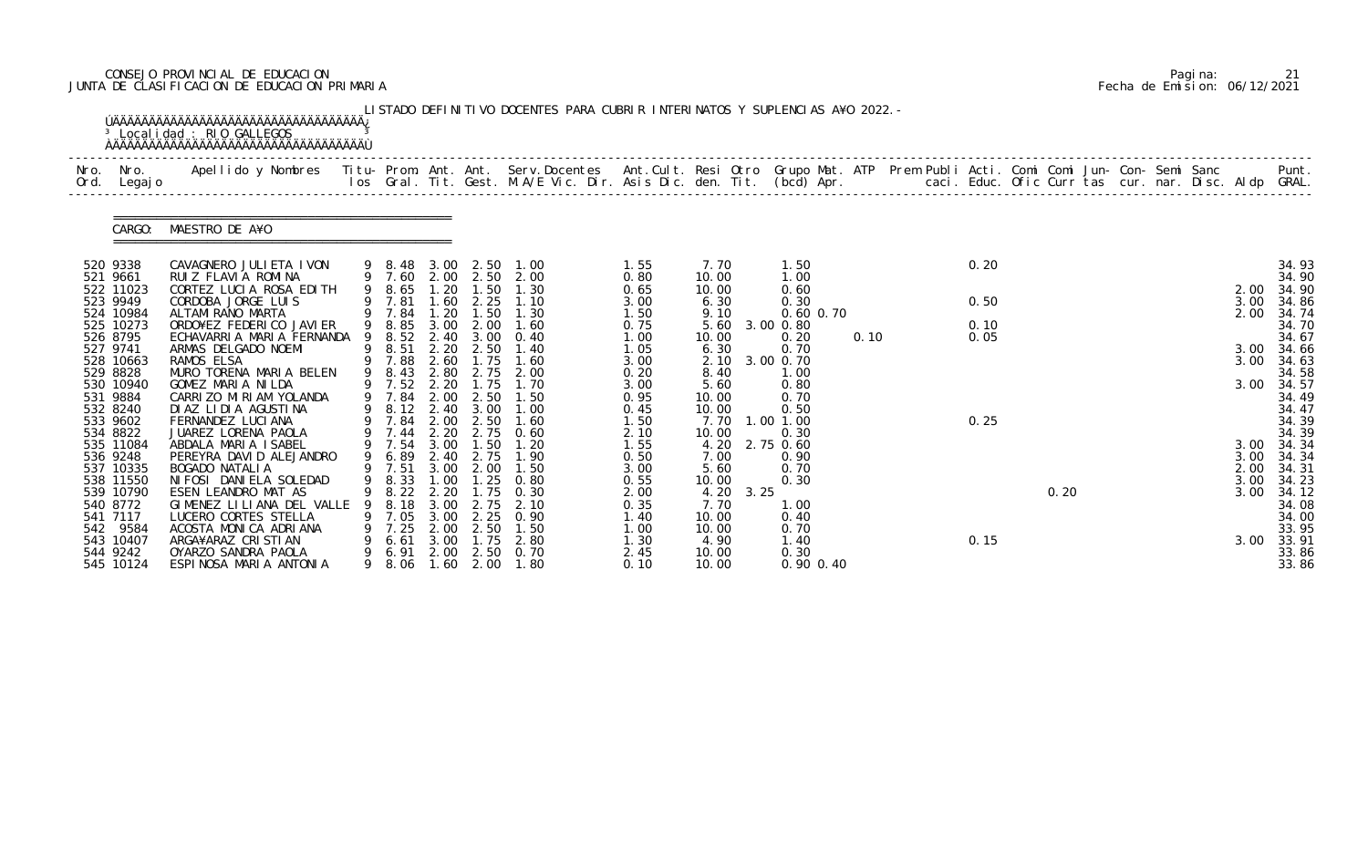# CONSEJO PROVINCIAL DE EDUCACION Pagina: 21 JUNTA DE CLASIFICACION DE EDUCACION PRIMARIA Fecha de Emision: 06/12/2021

| Nro.<br>Ord. | Nro.<br>Legaj o        | Apellido y Nombres - Titu- Prom. Ant. Ant. Serv.Docentes - Ant.Cult. Resi Otro Grupo Mat. ATP Prem Publi Acti. Comi Comi Jun- Con- Semi Sanc - - - Punt.<br>Ios Gral. Tit. Gest. M.A/E Vic. Dir. Asis Dic. den. Tit. (bcd) Apr. - |   |                            |              |                   |              |              |                |      |               |      |  |      |      |  |              |      |                |
|--------------|------------------------|-----------------------------------------------------------------------------------------------------------------------------------------------------------------------------------------------------------------------------------|---|----------------------------|--------------|-------------------|--------------|--------------|----------------|------|---------------|------|--|------|------|--|--------------|------|----------------|
|              | CARGO:                 | MAESTRO DE A¥O                                                                                                                                                                                                                    |   |                            |              |                   |              |              |                |      |               |      |  |      |      |  |              |      |                |
| 520 9338     |                        | CAVAGNERO JULI ETA I VON                                                                                                                                                                                                          |   | 9 8.48 3.00 2.50           |              |                   | 1.00         | 1.55         | 7.70           |      | 1.50          |      |  | 0.20 |      |  |              |      | 34.93          |
| 521 9661     | 522 11023              | RUIZ FLAVIA ROMINA<br>CORTEZ LUCIA ROSA EDITH                                                                                                                                                                                     |   | 9 7.60 2.00 2.50<br>9 8.65 | 1.20         | 1.50              | 2.00<br>1.30 | 0.80<br>0.65 | 10.00<br>10.00 |      | 1.00<br>0.60  |      |  |      |      |  | 2.00         |      | 34.90<br>34.90 |
|              | 523 9949               | CORDOBA JORGE LUIS                                                                                                                                                                                                                |   | 7.81                       | 1.60         | 2.25              | 1.10         | 3.00         | 6.30           |      | 0.30          |      |  | 0.50 |      |  | 3.00         |      | 34.86          |
|              | 524 10984              | ALTAMI RANO MARTA                                                                                                                                                                                                                 |   | 9 7.84                     | 1.20         | 1.50              | 1.30         | 1.50         | 9.10           |      | $0.60$ $0.70$ |      |  |      |      |  | 2.00         |      | 34.74          |
|              | 525 10273              | ORDO¥EZ FEDERICO JAVIER                                                                                                                                                                                                           | 9 | 8.85                       | 3.00         | 2.00              | 1.60         | 0.75         | 5.60           |      | 3.00 0.80     |      |  | 0.10 |      |  |              |      | 34.70          |
| 527 9741     | 526 8795               | ECHAVARRIA MARIA FERNANDA<br>ARMAS DELGADO NOEMI                                                                                                                                                                                  | 9 | 8.52<br>8.51               | 2.40         | 3.00<br>2.20 2.50 | 0.40<br>1.40 | 1.00<br>1.05 | 10.00<br>6.30  |      | 0.20<br>0.70  | 0.10 |  | 0.05 |      |  | 3.00         |      | 34.67<br>34.66 |
|              | 528 10663              | RAMOS ELSA                                                                                                                                                                                                                        |   | 9 7.88                     | 2.60         | 1.75              | 1.60         | 3.00         | 2.10           |      | 3.00 0.70     |      |  |      |      |  | 3.00         |      | 34.63          |
|              | 529 8828               | MURO TORENA MARIA BELEN                                                                                                                                                                                                           |   | 9 8.43                     | 2.80         | 2.75              | 2.00         | 0.20         | 8.40           |      | 1.00          |      |  |      |      |  |              |      | 34.58          |
|              | 530 10940              | GOMEZ MARIA NILDA                                                                                                                                                                                                                 |   | 9 7.52                     | 2.20         | 1.75              | 1.70         | 3.00         | 5.60           |      | 0.80          |      |  |      |      |  | 3.00         |      | 34.57          |
| 532 8240     | 531 9884               | CARRIZO MIRIAM YOLANDA<br>DIAZ LIDIA AGUSTINA                                                                                                                                                                                     |   | 7.84<br>9 8.12 2.40        | 2.00         | 2.50<br>3.00      | 1.50<br>1.00 | 0.95<br>0.45 | 10.00<br>10.00 |      | 0.70<br>0.50  |      |  |      |      |  |              |      | 34.49<br>34.47 |
| 533 9602     |                        | FERNANDEZ LUCIANA                                                                                                                                                                                                                 |   | 9 7.84                     |              | 2.00 2.50         | 1.60         | 1.50         | 7.70           |      | 1.00 1.00     |      |  | 0.25 |      |  |              |      | 34.39          |
|              | 534 8822               | JUAREZ LORENA PAOLA                                                                                                                                                                                                               |   | 7.44                       | 2.20         | 2.75              | 0.60         | 2.10         | 10.00          |      | 0.30          |      |  |      |      |  |              |      | 34.39          |
|              | 535 11084              | ABDALA MARIA ISABEL                                                                                                                                                                                                               |   | 9 7.54                     | 3.00         | 1.50              | 1.20         | 1.55         | 4.20           |      | 2.75 0.60     |      |  |      |      |  | 3.00         |      | 34.34          |
|              | 536 9248               | PEREYRA DAVID ALEJANDRO                                                                                                                                                                                                           |   | 9 6.89                     |              | 2.40 2.75         | 1.90         | 0.50         | 7.00           |      | 0.90          |      |  |      |      |  | 3.00         |      | 34.34          |
|              | 537 10335<br>538 11550 | <b>BOGADO NATALIA</b><br>NI FOSI DANI ELA SOLEDAD                                                                                                                                                                                 |   | 9 7.51<br>9 8.33           | 3.00<br>1.00 | 2.00<br>1.25      | 1.50<br>0.80 | 3.00<br>0.55 | 5.60<br>10.00  |      | 0.70<br>0.30  |      |  |      |      |  | 2.00<br>3.00 |      | 34.31<br>34.23 |
|              | 539 10790              | ESEN LEANDRO MAT AS                                                                                                                                                                                                               |   | 8.22                       | 2.20         | .75               | 0.30         | 2.00         | 4.20           | 3.25 |               |      |  |      | 0.20 |  |              | 3.00 | 34.12          |
|              | 540 8772               | GIMENEZ LILIANA DEL VALLE                                                                                                                                                                                                         |   | 8.18                       | 3.00         | 2.75              | 2.10         | 0.35         | 7.70           |      | 1.00          |      |  |      |      |  |              |      | 34.08          |
|              | 541 7117               | LUCERO CORTES STELLA                                                                                                                                                                                                              |   | 7.05                       | 3.00         | 2.25              | 0.90         | 1.40         | 10.00          |      | 0.40          |      |  |      |      |  |              |      | 34.00          |
|              | 542 9584               | ACOSTA MONICA ADRIANA                                                                                                                                                                                                             | 9 | 7.25                       | 2.00         | 2.50              | 1.50         | 1.00         | 10.00          |      | 0.70          |      |  |      |      |  |              |      | 33.95          |
|              | 543 10407<br>544 9242  | ARGA¥ARAZ CRISTIAN<br>OYARZO SANDRA PAOLA                                                                                                                                                                                         |   | 6.61<br>6.91               | 3.00<br>2.00 | 1.75<br>2.50      | 2.80<br>0.70 | 1.30<br>2.45 | 4.90<br>10.00  |      | 1. 40<br>0.30 |      |  | 0.15 |      |  | 3.00         |      | 33.91<br>33.86 |
|              | 545 10124              | ESPINOSA MARIA ANTONIA                                                                                                                                                                                                            | 9 | 8. 06                      | 1.60         | 2.00              | 1.80         | 0.10         | 10.00          |      | 0.90 0.40     |      |  |      |      |  |              |      | 33.86          |

|  | Pagi na: |                              |
|--|----------|------------------------------|
|  |          | Fecha de Emision: 06/12/2021 |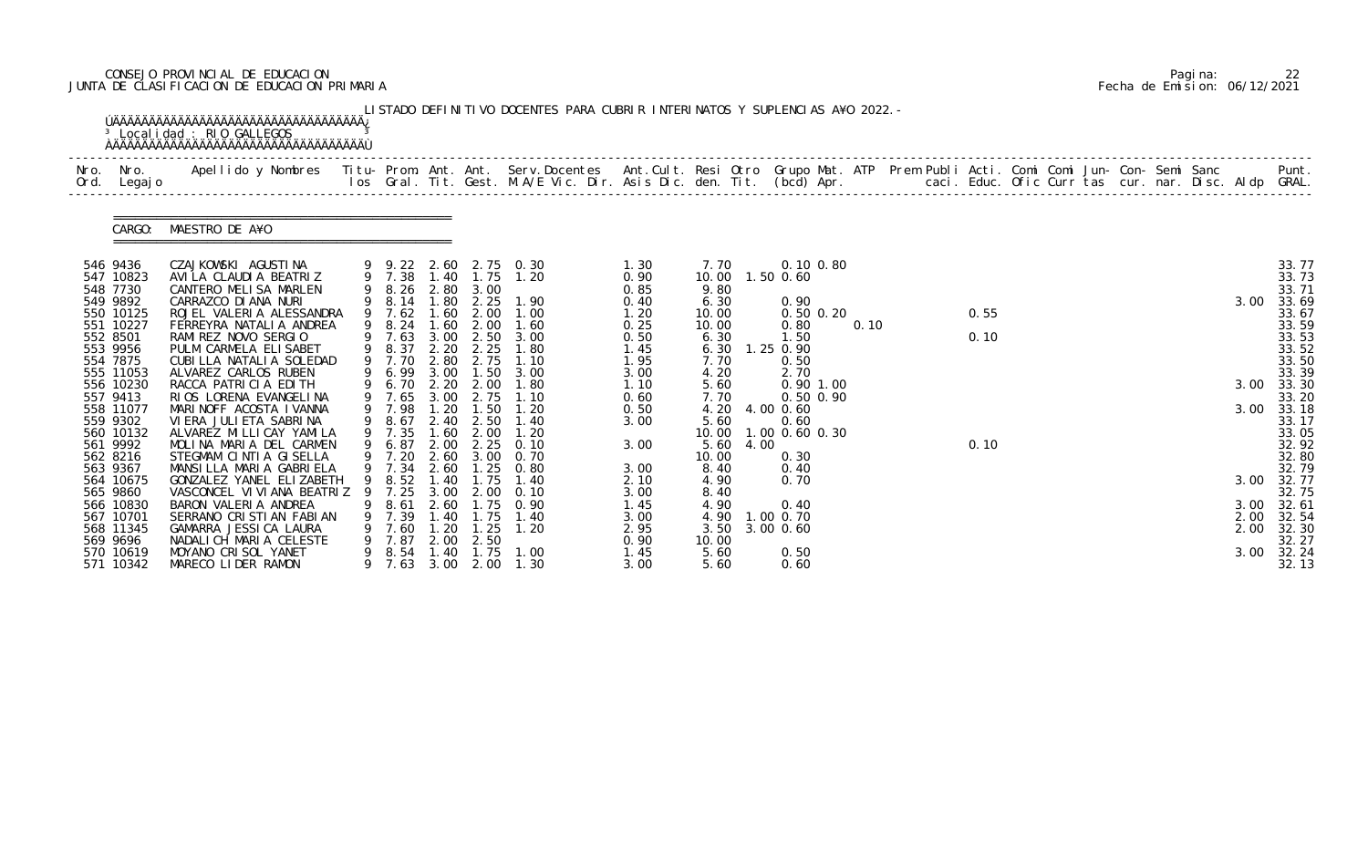# CONSEJO PROVINCIAL DE EDUCACION Pagina: 22 JUNTA DE CLASIFICACION DE EDUCACION PRIMARIA Fecha de Emision: 06/12/2021

| Nro.<br>Ord. | Nro.<br>Legaj o       | Apellido y Nombres  Titu- Prom. Ant. Ant. Serv.Docentes  Ant.Cult. Resi Otro Grupo Mat. ATP Prem Publi Acti. Comi Comi Jun- Con- Semi Sanc           Punt.<br>Ios Gral. Tit. Gest. M.A/E Vic. Dir. Asis Dic. den. Tit. (bcd) Apr. |   |                  |              |                   |                                                                |              |                |      |                            |      |  |      |  |  |  |            |                |
|--------------|-----------------------|-----------------------------------------------------------------------------------------------------------------------------------------------------------------------------------------------------------------------------------|---|------------------|--------------|-------------------|----------------------------------------------------------------|--------------|----------------|------|----------------------------|------|--|------|--|--|--|------------|----------------|
|              | CARGO:                | MAESTRO DE A¥O                                                                                                                                                                                                                    |   |                  |              |                   |                                                                |              |                |      |                            |      |  |      |  |  |  |            |                |
|              | 546 9436<br>547 10823 | CZAJKOWSKI AGUSTINA<br>AVILA CLAUDIA BEATRIZ                                                                                                                                                                                      |   |                  |              |                   | 9  9  22  2  60  2  75  0  30<br>9  7  38  1  40  1  75  1  20 | 1.30<br>0.90 | 7. 70<br>10.00 |      | $0.10$ $0.80$<br>1.50 0.60 |      |  |      |  |  |  |            | 33.77<br>33.73 |
|              | 548 7730              | CANTERO MELISA MARLEN                                                                                                                                                                                                             |   | 9 8.26           | 2.80         | 3.00              |                                                                | 0.85         | 9.80           |      |                            |      |  |      |  |  |  |            | 33.71          |
|              | 549 9892<br>550 10125 | CARRAZCO DI ANA NURI<br>ROJEL VALERIA ALESSANDRA                                                                                                                                                                                  |   | 9 8.14<br>9 7.62 | 1.80<br>1.60 | 2.25<br>2.00      | 1.90<br>1.00                                                   | 0.40<br>1.20 | 6.30<br>10.00  |      | 0.90<br>$0.50$ $0.20$      |      |  | 0.55 |  |  |  | 3.00       | 33.69<br>33.67 |
|              | 551 10227             | FERREYRA NATALI A ANDREA                                                                                                                                                                                                          |   | 8.24             | .60          | 2.00              | 1.60                                                           | 0.25         | 10.00          |      | 0.80                       | 0.10 |  |      |  |  |  |            | 33.59          |
| 552 8501     |                       | RAMI REZ NOVO SERGIO                                                                                                                                                                                                              |   | 9 7.63           | 3.00         | 2.50              | 3.00                                                           | 0.50         | 6.30           |      | 1.50                       |      |  | 0.10 |  |  |  |            | 33.53          |
|              | 553 9956              | PULM CARMELA ELISABET                                                                                                                                                                                                             | 9 | 8.37             | 2.20         | 2.25              | 1.80                                                           | 1.45         | 6.30           |      | 1.25 0.90                  |      |  |      |  |  |  |            | 33.52          |
|              | 554 7875<br>555 11053 | CUBILLA NATALIA SOLEDAD<br>ALVAREZ CARLOS RUBEN                                                                                                                                                                                   | 9 | 7.70<br>6.99     | 2.80<br>3.00 | 2.75<br>1.50      | 1.10<br>3.00                                                   | 1.95<br>3.00 | 7.70<br>4.20   |      | 0.50<br>2.70               |      |  |      |  |  |  |            | 33.50<br>33.39 |
|              | 556 10230             | RACCA PATRICIA EDITH                                                                                                                                                                                                              | 9 | 6.70             |              | 2.20 2.00         | 1.80                                                           | 1.10         | 5.60           |      | $0.90$ 1.00                |      |  |      |  |  |  | 3.00       | 33.30          |
|              | 557 9413              | RIOS LORENA EVANGELINA                                                                                                                                                                                                            |   | 7.65             | 3.00         | 2.75              | 1.10                                                           | 0.60         | 7.70           |      | 0.50 0.90                  |      |  |      |  |  |  |            | 33.20          |
|              | 558 11077             | MARINOFF ACOSTA IVANNA                                                                                                                                                                                                            |   | 9 7.98           | 1.20         | 1.50              | 1.20                                                           | 0.50         | 4.20           |      | 4.00 0.60                  |      |  |      |  |  |  | 3.00       | 33.18          |
|              | 559 9302<br>560 10132 | VI ERA JULI ETA SABRI NA<br>ALVAREZ MI LLI CAY YAMI LA                                                                                                                                                                            | 9 | 8.67<br>7.35     | .60          | 2.40 2.50<br>2.00 | 1.40<br>1.20                                                   | 3.00         | 5.60<br>10.00  |      | 0.60<br>1.00 0.60 0.30     |      |  |      |  |  |  |            | 33.17<br>33.05 |
|              | 561 9992              | MOLINA MARIA DEL CARMEN                                                                                                                                                                                                           |   | 6.87             | 2.00         | 2.25              | 0.10                                                           | 3.00         | 5.60           | 4.00 |                            |      |  | 0.10 |  |  |  |            | 32.92          |
|              | 562 8216              | STEGMAM CINTIA GISELLA                                                                                                                                                                                                            |   | 9 7.20           |              | 2.60 3.00         | 0.70                                                           |              | 10.00          |      | 0.30                       |      |  |      |  |  |  |            | 32.80          |
|              | 563 9367              | MANSILLA MARIA GABRIELA                                                                                                                                                                                                           |   | 9 7.34           | 2.60         | .25               | 0.80                                                           | 3.00         | 8.40           |      | 0.40                       |      |  |      |  |  |  |            | 32.79          |
|              | 564 10675<br>565 9860 | GONZALEZ YANEL ELIZABETH<br>VASCONCEL VI VI ANA BEATRIZ                                                                                                                                                                           |   | 9 8.52<br>7.25   | 1.40<br>3.00 | 1.75<br>2.00      | 1.40                                                           | 2.10<br>3.00 | 4.90<br>8.40   |      | 0.70                       |      |  |      |  |  |  | 3.00 32.77 | 32.75          |
|              | 566 10830             | BARON VALERIA ANDREA                                                                                                                                                                                                              |   | 8.61             | 2.60         | . 75              | 0.90                                                           | 1. 45        | 4.90           |      | 0.40                       |      |  |      |  |  |  | 3.00       | 32.61          |
|              | 567 10701             | SERRANO CRISTIAN FABIAN                                                                                                                                                                                                           |   | 7.39             | 1.40         | 1.75              | 1.40                                                           | 3.00         |                |      | 4.90 1.00 0.70             |      |  |      |  |  |  | 2.00       | 32.54          |
|              | 568 11345             | GAMARRA JESSICA LAURA                                                                                                                                                                                                             |   | 7.60             | 1.20         | 1.25              | 1.20                                                           | 2.95         | 3.50           |      | 3.00 0.60                  |      |  |      |  |  |  | 2.00       | 32.30          |
|              | 569 9696<br>570 10619 | NADALICH MARIA CELESTE<br>MOYANO CRISOL YANET                                                                                                                                                                                     |   | 7.87<br>8.54     | 2.00<br>1.40 | 2.50<br>1.75      | 1.00                                                           | 0.90<br>1.45 | 10.00<br>5.60  |      | 0.50                       |      |  |      |  |  |  | 3.00       | 32.27<br>32.24 |
|              | 571 10342             | MARECO LIDER RAMON                                                                                                                                                                                                                |   | 7.63             | 3.00         | 2.00              | 1.30                                                           | 3.00         | 5.60           |      | 0.60                       |      |  |      |  |  |  |            | 32.13          |

|  | Pagi na: |                              |
|--|----------|------------------------------|
|  |          | Fecha de Emision: 06/12/2021 |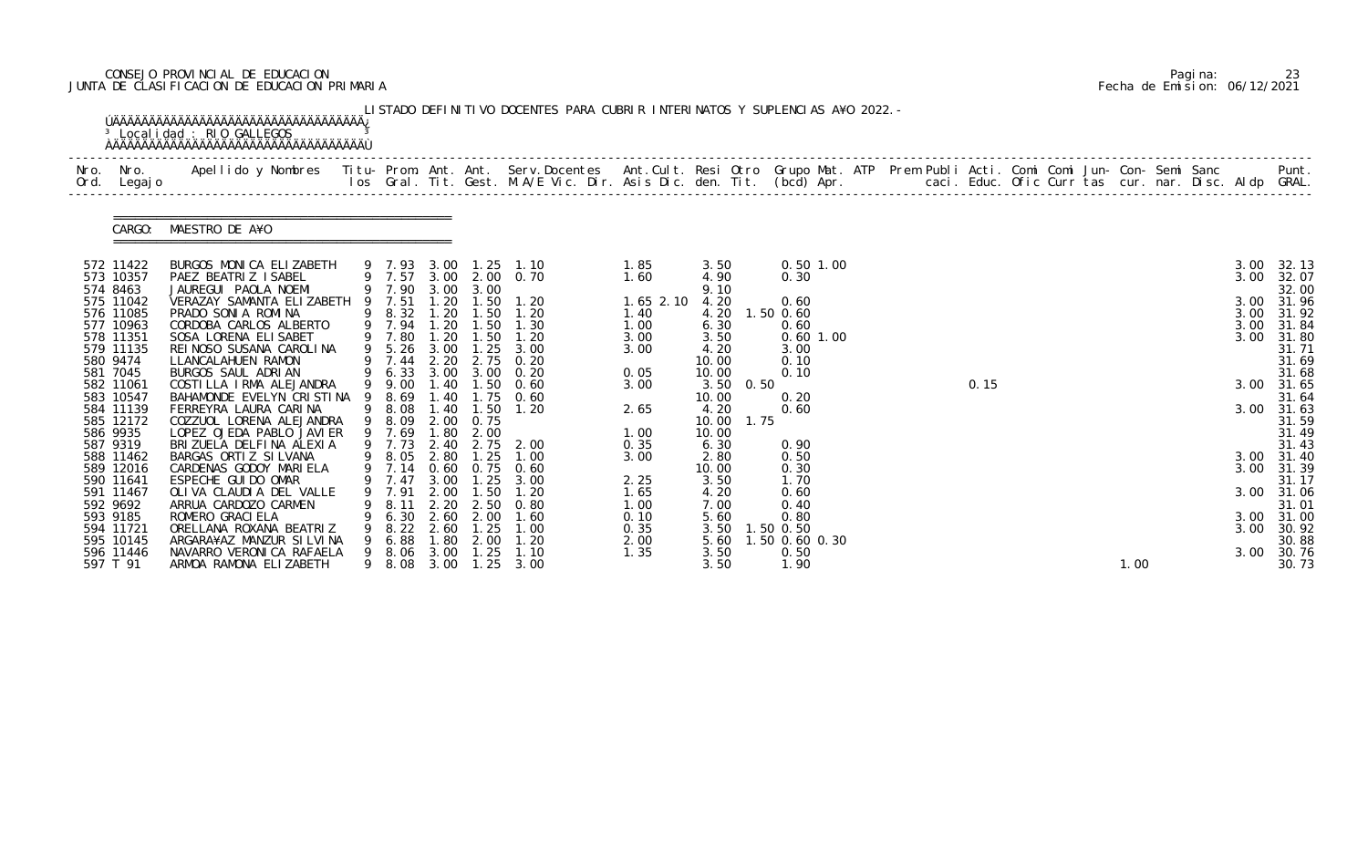# CONSEJO PROVINCIAL DE EDUCACION Pagina: 23 JUNTA DE CLASIFICACION DE EDUCACION PRIMARIA Fecha de Emision: 06/12/2021

|                          | <sup>3</sup> Localidad : RIO GALLEGOS                                                                                                                                                                                             |   |                  |              |              | LISTADO DEFINITIVO DOCENTES PARA CUBRIR INTERINATOS Y SUPLENCIAS A¥O 2022. - |               |               |      |                   |  |      |  |      |  |      |                     |
|--------------------------|-----------------------------------------------------------------------------------------------------------------------------------------------------------------------------------------------------------------------------------|---|------------------|--------------|--------------|------------------------------------------------------------------------------|---------------|---------------|------|-------------------|--|------|--|------|--|------|---------------------|
| Nro. Nro.<br>Ord. Legajo | Apellido y Nombres - Titu- Prom. Ant. Ant. Serv.Docentes - Ant.Cult. Resi Otro Grupo Mat. ATP Prem Publi Acti. Comi Comi Jun- Con- Semi Sanc - - - - Punt.<br>Ios Gral. Tit. Gest. M.A/E Vic. Dir. Asis Dic. den. Tit. (bcd) Apr. |   |                  |              |              |                                                                              |               |               |      |                   |  |      |  |      |  |      |                     |
| CARGO:                   | MAESTRO DE A¥O                                                                                                                                                                                                                    |   |                  |              |              |                                                                              |               |               |      |                   |  |      |  |      |  |      |                     |
| 572 11422                | BURGOS MONICA ELIZABETH                                                                                                                                                                                                           |   |                  |              |              | 9 7.93 3.00 1.25 1.10                                                        | 1.85          | 3.50          |      | 0.50 1.00         |  |      |  |      |  | 3.00 | 32.13               |
| 573 10357<br>574 8463    | PAEZ BEATRIZ ISABEL<br>JAUREGUI PAOLA NOEMI                                                                                                                                                                                       |   |                  |              |              | 9 7.57 3.00 2.00 0.70<br>9 7.90 3.00 3.00                                    | 1.60          | 4.90<br>9.10  |      | 0.30              |  |      |  |      |  | 3.00 | 32.07<br>32.00      |
| 575 11042                | VERAZAY SAMANTA ELIZABETH                                                                                                                                                                                                         |   | 9 7.51           | 1.20         | 1.50         | 1.20                                                                         | $1.65$ $2.10$ | 4.20          |      | 0.60              |  |      |  |      |  |      | 3.00 31.96          |
| 576 11085                | PRADO SONIA ROMINA                                                                                                                                                                                                                |   | 9 8.32           | 1.20         | 1.50         | 1.20                                                                         | 1.40          | 4.20          |      | 1.50 0.60         |  |      |  |      |  | 3.00 | 31.92               |
| 577 10963                | CORDOBA CARLOS ALBERTO                                                                                                                                                                                                            |   | 9 7.94           | 1.20         | 1.50         | 1.30                                                                         | 1.00          | 6.30          |      | 0.60              |  |      |  |      |  | 3.00 | 31.84               |
| 578 11351<br>579 11135   | SOSA LORENA ELI SABET                                                                                                                                                                                                             |   | 9 7.80           | 1.20         | 1.50         | 1.20                                                                         | 3.00          | 3.50          |      | $0.60$ 1.00       |  |      |  |      |  |      | 3.00 31.80<br>31.71 |
| 580 9474                 | REI NOSO SUSANA CAROLINA<br>LLANCALAHUEN RAMON                                                                                                                                                                                    |   | 9 5.26<br>9 7.44 | 3.00<br>2.20 | 1.25<br>2.75 | 3.00<br>0.20                                                                 | 3.00          | 4.20<br>10.00 |      | 3.00<br>0.10      |  |      |  |      |  |      | 31.69               |
| 581 7045                 | BURGOS SAUL ADRIAN                                                                                                                                                                                                                |   | 9 6.33 3.00 3.00 |              |              | 0.20                                                                         | 0.05          | 10.00         |      | 0.10              |  |      |  |      |  |      | 31.68               |
| 582 11061                | COSTILLA IRMA ALEJANDRA                                                                                                                                                                                                           |   | 9 9.00           | 1.40         |              | $1.50 \t 0.60$                                                               | 3.00          | 3.50          | 0.50 |                   |  | 0.15 |  |      |  |      | 3.00 31.65          |
| 583 10547                | BAHAMONDE EVELYN CRISTINA 9                                                                                                                                                                                                       |   | 8.69             | . 40         |              | $1.75 \t 0.60$                                                               |               | 10.00         |      | 0.20              |  |      |  |      |  |      | 31.64               |
| 584 11139                | FERREYRA LAURA CARINA                                                                                                                                                                                                             |   | 9 8.08           | 1.40         | 1.50         | 1.20                                                                         | 2.65          | 4.20          |      | 0.60              |  |      |  |      |  |      | 3.00 31.63          |
| 585 12172                | COZZUOL LORENA ALEJANDRA                                                                                                                                                                                                          |   | 9 8.09           | .80          | 2.00 0.75    |                                                                              |               | 10.00         | 1.75 |                   |  |      |  |      |  |      | 31.59<br>31.49      |
| 586 9935<br>587 9319     | LOPEZ OJEDA PABLO JAVIER<br>BRIZUELA DELFINA ALEXIA                                                                                                                                                                               |   | 9 7.69<br>9 7.73 | 2.40         | 2.00         | 2.75 2.00                                                                    | 1.00<br>0.35  | 10.00<br>6.30 |      | 0.90              |  |      |  |      |  |      | 31.43               |
| 588 11462                | BARGAS ORTIZ SILVANA                                                                                                                                                                                                              |   |                  |              |              |                                                                              | 3.00          | 2.80          |      | 0.50              |  |      |  |      |  |      | 3.00 31.40          |
| 589 12016                | CARDENAS GODOY MARIELA                                                                                                                                                                                                            |   |                  |              |              | 9 8.05 2.80 1.25 1.00<br>9 7.14 0.60 0.75 0.60                               |               | 10.00         |      | 0.30              |  |      |  |      |  | 3.00 | 31.39               |
| 590 11641                | ESPECHE GUIDO OMAR                                                                                                                                                                                                                |   | 9 7.47 3.00      |              | 1.25         | 3.00                                                                         | 2.25          | 3.50          |      | 1.70              |  |      |  |      |  |      | 31.17               |
| 591 11467                | OLIVA CLAUDIA DEL VALLE                                                                                                                                                                                                           | 9 | 7.91             | 2.00         | 1.50         | 1.20                                                                         | 1. 65         | 4.20          |      | 0.60              |  |      |  |      |  |      | 3.00 31.06          |
| 592 9692                 | ARRUA CARDOZO CARMEN                                                                                                                                                                                                              |   | 8.11             | 2.20         | 2.50         | 0.80                                                                         | 1.00          | 7.00          |      | 0.40              |  |      |  |      |  |      | 31.01               |
| 593 9185<br>594 11721    | ROMERO GRACI ELA<br>ORELLANA ROXANA BEATRIZ                                                                                                                                                                                       |   | 6.30<br>8.22     | 2.60<br>2.60 | 2.00<br>1.25 | 1.60<br>1.00                                                                 | 0.10<br>0.35  | 5.60<br>3.50  |      | 0.80<br>1.50 0.50 |  |      |  |      |  | 3.00 | 3.00 31.00<br>30.92 |
| 595 10145                | ARGARA¥AZ MANZUR SILVINA                                                                                                                                                                                                          |   | 6.88             | .80          | 2.00         | 1. 20                                                                        | 2.00          | 5.60          |      | .50 0.60 0.30     |  |      |  |      |  |      | 30.88               |
| 596 11446                | NAVARRO VERONICA RAFAELA                                                                                                                                                                                                          |   | 8. 06            | 3.00         | . 25         | 1.10                                                                         | 1.35          | 3.50          |      | 0.50              |  |      |  |      |  | 3.00 | 30.76               |
| 597 T 91                 | ARMOA RAMONA ELIZABETH                                                                                                                                                                                                            |   | 8.08             | 3.00         | 1.25         | 3.00                                                                         |               | 3.50          |      | 1.90              |  |      |  | 1.00 |  |      | 30.73               |

|  | Pagi na: | 23                           |
|--|----------|------------------------------|
|  |          | Fecha de Emision: 06/12/2021 |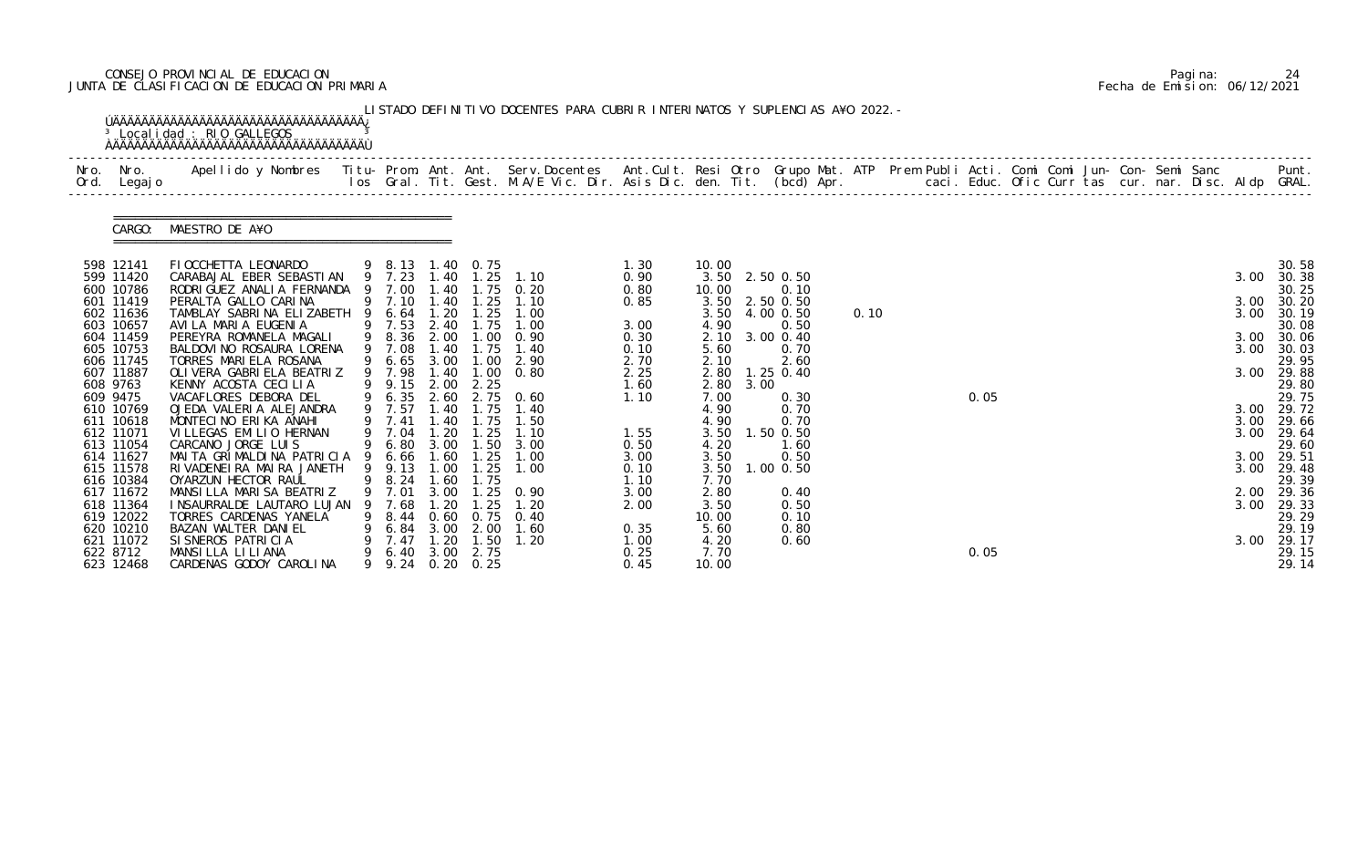# CONSEJO PROVINCIAL DE EDUCACION Pagina: 24 JUNTA DE CLASIFICACION DE EDUCACION PRIMARIA Fecha de Emision: 06/12/2021

| Nro.<br>Ord. | Nro.<br>Legaj o        | Apellido y Nombres - Titu- Prom. Ant. Ant. Serv.Docentes - Ant.Cult. Resi Otro Grupo Mat. ATP Prem Publi Acti. Comi Comi Jun- Con- Semi Sanc - - - Punt.<br>Ios Gral. Tit. Gest. M.A/E Vic. Dir. Asis Dic. den. Tit. (bcd) Apr. - |   |                  |               |                  |                   |              |                         |      |                   |      |  |      |  |  |  |              |                |
|--------------|------------------------|-----------------------------------------------------------------------------------------------------------------------------------------------------------------------------------------------------------------------------------|---|------------------|---------------|------------------|-------------------|--------------|-------------------------|------|-------------------|------|--|------|--|--|--|--------------|----------------|
|              | CARGO:                 | MAESTRO DE A¥O                                                                                                                                                                                                                    |   |                  |               |                  |                   |              |                         |      |                   |      |  |      |  |  |  |              |                |
|              | 598 12141              | FI OCCHETTA LEONARDO                                                                                                                                                                                                              |   | 9 8.13 1.40 0.75 |               |                  |                   | 1.30         | 10.00                   |      |                   |      |  |      |  |  |  |              | 30.58          |
|              | 599 11420<br>600 10786 | CARABAJAL EBER SEBASTIAN<br>RODRI GUEZ ANALI A FERNANDA                                                                                                                                                                           |   | 9 7.23<br>9 7.00 | 1.40<br>1.40  | 1.25             | 1.10<br>1.75 0.20 | 0.90<br>0.80 | 3.50 2.50 0.50<br>10.00 |      | 0.10              |      |  |      |  |  |  | 3.00         | 30.38<br>30.25 |
|              | 601 11419              | PERALTA GALLO CARINA                                                                                                                                                                                                              |   | 9 7.10           | 1.40          | 1.25             | 1.10              | 0.85         | 3.50 2.50 0.50          |      |                   |      |  |      |  |  |  | 3.00         | 30.20          |
|              | 602 11636              | TAMBLAY SABRINA ELIZABETH                                                                                                                                                                                                         |   | 9 6.64           | 1.20          | 1.25             | 1.00              |              | 3.50                    |      | 4.00 0.50         | 0.10 |  |      |  |  |  | 3.00         | 30.19          |
|              | 603 10657              | AVI LA MARI A EUGENI A                                                                                                                                                                                                            |   | 9 7.53           | 2.40          | 1.75             | 1.00              | 3.00         | 4.90                    |      | 0.50              |      |  |      |  |  |  |              | 30.08          |
|              | 604 11459              | PEREYRA ROMANELA MAGALI                                                                                                                                                                                                           |   | 9 8.36           | 2.00          | 1.00             | 0.90              | 0.30         | 2.10                    |      | 3.00 0.40         |      |  |      |  |  |  | 3.00         | 30.06          |
|              | 605 10753<br>606 11745 | BALDOVI NO ROSAURA LORENA<br>TORRES MARIELA ROSANA                                                                                                                                                                                |   | 9 7.08<br>9 6.65 | 1.40<br>3.00  | 1.75<br>1.00     | 1.40<br>2.90      | 0.10<br>2.70 | 5.60<br>2.10            |      | 0.70<br>2.60      |      |  |      |  |  |  | 3.00         | 30.03<br>29.95 |
|              | 607 11887              | OLI VERA GABRI ELA BEATRIZ                                                                                                                                                                                                        |   | 9 7.98           | 1.40          | 1.00             | 0.80              | 2.25         | 2.80                    |      | 1.25 0.40         |      |  |      |  |  |  | 3.00         | 29.88          |
|              | 608 9763               | KENNY ACOSTA CECILIA                                                                                                                                                                                                              |   | 9 9.15           | 2.00          | 2.25             |                   | 1.60         | 2.80                    | 3.00 |                   |      |  |      |  |  |  |              | 29.80          |
|              | 609 9475               | VACAFLORES DEBORA DEL                                                                                                                                                                                                             |   | 9 6.35           | 2.60          |                  | 2.75 0.60         | 1.10         | 7.00                    |      | 0.30              |      |  | 0.05 |  |  |  |              | 29.75          |
|              | 610 10769              | OJEDA VALERIA ALEJANDRA                                                                                                                                                                                                           |   | 9 7.57           | 1.40          | 1.75             | 1.40              |              | 4.90                    |      | 0.70              |      |  |      |  |  |  |              | 3.00 29.72     |
|              | 611 10618<br>612 11071 | MONTECINO ERIKA ANAHI<br>VILLEGAS EMILIO HERNAN                                                                                                                                                                                   |   | 9 7.41<br>9 7.04 | 1.40<br>1.20  | 1.75             | 1.50<br>1.10      |              | 4.90                    |      | 0.70<br>1.50 0.50 |      |  |      |  |  |  | 3.00<br>3.00 | 29.66          |
|              | 613 11054              | CARCANO JORGE LUIS                                                                                                                                                                                                                |   | 9 6.80           |               | 1.25             | 3.00 1.50 3.00    | 1.55<br>0.50 | 3.50<br>4.20            |      | 1.60              |      |  |      |  |  |  |              | 29.64<br>29.60 |
|              | 614 11627              | MAITA GRIMALDINA PATRICIA 9 6.66                                                                                                                                                                                                  |   |                  | 1.60          | 1.25             | 1.00              | 3.00         | 3.50                    |      | 0.50              |      |  |      |  |  |  | 3.00         | 29.51          |
|              | 615 11578              | RIVADENEIRA MAIRA JANETH                                                                                                                                                                                                          |   | 9 9.13           | 1.00          | 1.25             | 1.00              | 0.10         | 3.50                    |      | $1.00$ 0.50       |      |  |      |  |  |  | 3.00         | 29.48          |
|              | 616 10384              | OYARZUN HECTOR RAUL                                                                                                                                                                                                               |   | 9 8.24           | 1.60          | 1.75             |                   | 1.10         | 7.70                    |      |                   |      |  |      |  |  |  |              | 29.39          |
|              | 617 11672              | MANSILLA MARISA BEATRIZ                                                                                                                                                                                                           | 9 | 7.01             | 3.00          | 1.25             | 0. 90             | 3.00         | 2.80                    |      | 0.40              |      |  |      |  |  |  |              | 2.00 29.36     |
|              | 618 11364              | I NSAURRALDE LAUTARO LUJAN                                                                                                                                                                                                        |   | 7.68             | . 20          | . 25             | 1. 20             | 2.00         | 3.50                    |      | 0.50              |      |  |      |  |  |  | 3.00         | 29.33          |
|              | 619 12022<br>620 10210 | TORRES CARDENAS YANELA<br>BAZAN WALTER DANIEL                                                                                                                                                                                     |   | 9 8.44<br>6. 84  | 0. 60<br>3.00 | 0.75<br>2.00     | 0.40<br>1.60      | 0.35         | 10.00<br>5.60           |      | 0.10<br>0.80      |      |  |      |  |  |  |              | 29.29<br>29.19 |
|              | 621 11072              | SI SNEROS PATRICIA                                                                                                                                                                                                                |   | 7.47             | 1.20          | 1.50             | 1.20              | 1. 00        | 4.20                    |      | 0.60              |      |  |      |  |  |  | 3.00         | 29.17          |
|              | 622 8712               | MANSILLA LILIANA                                                                                                                                                                                                                  |   | 6.40             | 3.00          | 2.75             |                   | 0.25         | 7.70                    |      |                   |      |  | 0.05 |  |  |  |              | 29.15          |
|              | 623 12468              | CARDENAS GODOY CAROLINA                                                                                                                                                                                                           |   |                  |               | 9 9.24 0.20 0.25 |                   | 0.45         | 10.00                   |      |                   |      |  |      |  |  |  |              | 29.14          |

|  | Pagi na: | 24                           |
|--|----------|------------------------------|
|  |          | Fecha de Emision: 06/12/2021 |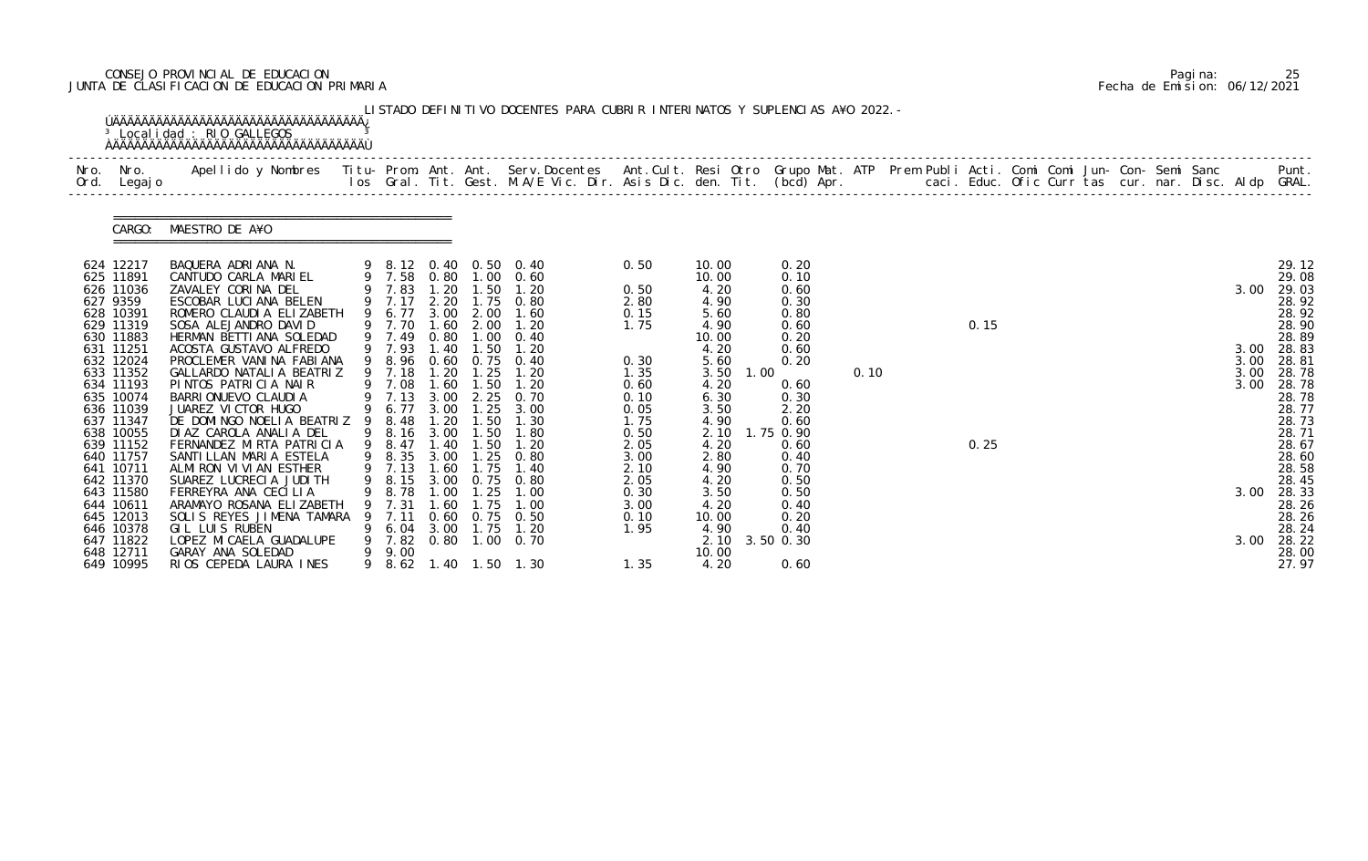# CONSEJO PROVINCIAL DE EDUCACION Pagina: 25 JUNTA DE CLASIFICACION DE EDUCACION PRIMARIA Fecha de Emision: 06/12/2021

| Nro.<br>Ord. | Nro.<br>Legaj o        |                                                     |        |                  |              |                |                           |              |                |      |                   |      |  |      |  |  |  |      |                |
|--------------|------------------------|-----------------------------------------------------|--------|------------------|--------------|----------------|---------------------------|--------------|----------------|------|-------------------|------|--|------|--|--|--|------|----------------|
|              | CARGO:                 | MAESTRO DE A¥O                                      |        |                  |              |                |                           |              |                |      |                   |      |  |      |  |  |  |      |                |
|              | 624 12217<br>625 11891 | BAQUERA ADRIANA N.<br>CANTUDO CARLA MARIEL          |        | 9 7.58           |              |                | 9 8.12 0.40 0.50 0.40     | 0.50         | 10.00<br>10.00 |      | 0.20<br>0.10      |      |  |      |  |  |  |      | 29.12<br>29.08 |
|              | 626 11036              | ZAVALEY CORINA DEL                                  |        | 9 7.83 1.20 1.50 | 0.80         |                | $1.00 \quad 0.60$<br>1.20 | 0.50         | 4.20           |      | 0.60              |      |  |      |  |  |  | 3.00 | 29.03          |
|              | 627 9359               | ESCOBAR LUCIANA BELEN                               |        | 9 7.17           |              |                | 2.20 1.75 0.80            | 2.80         | 4.90           |      | 0.30              |      |  |      |  |  |  |      | 28.92          |
|              | 628 10391              | ROMERO CLAUDIA ELIZABETH                            | 9      | 6.77             | 3.00         | 2.00           | 1.60                      | 0.15         | 5.60           |      | 0.80              |      |  |      |  |  |  |      | 28.92          |
|              | 629 11319<br>630 11883 | SOSA ALEJANDRO DAVID<br>HERMAN BETTIANA SOLEDAD     |        | 9 7.70<br>9 7.49 | 1.60<br>0.80 | 2.00<br>1.00   | 1.20<br>0.40              | 1.75         | 4.90<br>10.00  |      | 0.60<br>0.20      |      |  | 0.15 |  |  |  |      | 28.90<br>28.89 |
|              | 631 11251              | ACOSTA GUSTAVO ALFREDO                              |        | 9 7.93           | 1.40         | 1.50           | 1.20                      |              | 4.20           |      | 0.60              |      |  |      |  |  |  | 3.00 | 28.83          |
|              | 632 12024              | PROCLEMER VANINA FABIANA                            |        | 9 8.96           |              | 0.60 0.75      | 0.40                      | 0.30         | 5.60           |      | 0.20              |      |  |      |  |  |  | 3.00 | 28.81          |
|              | 633 11352              | GALLARDO NATALIA BEATRIZ                            |        | 9 7.18           | 1.20         | 1.25           | 1.20                      | 1.35         | 3.50           | 1.00 |                   | 0.10 |  |      |  |  |  | 3.00 | 28.78          |
|              | 634 11193<br>635 10074 | PINTOS PATRICIA NAIR<br>BARRI ONUEVO CLAUDI A       |        | 9 7.08<br>9 7.13 | 1.60<br>3.00 | 1.50<br>2.25   | 1.20<br>0.70              | 0.60<br>0.10 | 4.20<br>6.30   |      | 0.60<br>0.30      |      |  |      |  |  |  | 3.00 | 28.78<br>28.78 |
|              | 636 11039              | JUAREZ VICTOR HUGO                                  |        | 9 6.77           | 3.00         | 1.25           | 3.00                      | 0.05         | 3.50           |      | 2.20              |      |  |      |  |  |  |      | 28.77          |
|              | 637 11347              | DE DOMINGO NOELIA BEATRIZ 9                         |        | 8.48             | 1.20         | 1.50           | 1.30                      | 1.75         | 4.90           |      | 0.60              |      |  |      |  |  |  |      | 28.73          |
|              | 638 10055<br>639 11152 | DI AZ CAROLA ANALIA DEL<br>FERNANDEZ MIRTA PATRICIA |        | 9 8.16<br>9 8.47 | 3.00<br>1.40 | 1.50<br>1.50   | 1.80<br>1.20              | 0.50         | 2.10<br>4.20   |      | 1.75 0.90<br>0.60 |      |  | 0.25 |  |  |  |      | 28.71<br>28.67 |
|              | 640 11757              | SANTI LLAN MARI A ESTELA                            |        | 9 8.35           | 3.00         | 1.25           | 0.80                      | 2.05<br>3.00 | 2.80           |      | 0.40              |      |  |      |  |  |  |      | 28.60          |
|              | 641 10711              | ALMIRON VIVIAN ESTHER                               |        | 9 7.13           | 1.60         | 1.75           | 1.40                      | 2.10         | 4.90           |      | 0.70              |      |  |      |  |  |  |      | 28.58          |
|              | 642 11370              | SUAREZ LUCRECIA JUDITH                              |        |                  |              |                | 9 8.15 3.00 0.75 0.80     | 2.05         | 4.20           |      | 0.50              |      |  |      |  |  |  |      | 28.45          |
|              | 643 11580<br>644 10611 | FERREYRA ANA CECILIA<br>ARAMAYO ROSANA ELIZABETH    |        | 8.78             |              |                | l . 00                    | 0.30<br>3.00 | 3.50<br>4.20   |      | 0.50<br>0.40      |      |  |      |  |  |  | 3.00 | 28.33<br>28.26 |
|              | 645 12013              | SOLIS REYES JIMENA TAMARA                           |        | 7.11             | 0.60         | 0.75           | 0.50                      | 0.10         | 10.00          |      | 0.20              |      |  |      |  |  |  |      | 28.26          |
|              | 646 10378              | GIL LUIS RUBEN                                      |        | 6. 04            | 3.00         | 1.75           | 1.20                      | 1.95         | 4.90           |      | 0.40              |      |  |      |  |  |  |      | 28.24          |
|              | 647 11822              | LOPEZ MI CAELA GUADALUPE                            |        | 7.82             | 0.80         | 1.00           | 0. 70                     |              | 2.10           |      | 3.50 0.30         |      |  |      |  |  |  | 3.00 | 28.22          |
|              | 648 12711<br>649 10995 | GARAY ANA SOLEDAD<br>RIOS CEPEDA LAURA INES         | 9<br>9 | 9.00<br>8.62     |              | 1.40 1.50 1.30 |                           | 1.35         | 10.00<br>4.20  |      | 0.60              |      |  |      |  |  |  |      | 28.00<br>27.97 |

|  | Pagi na: |                              |
|--|----------|------------------------------|
|  |          | Fecha de Emision: 06/12/2021 |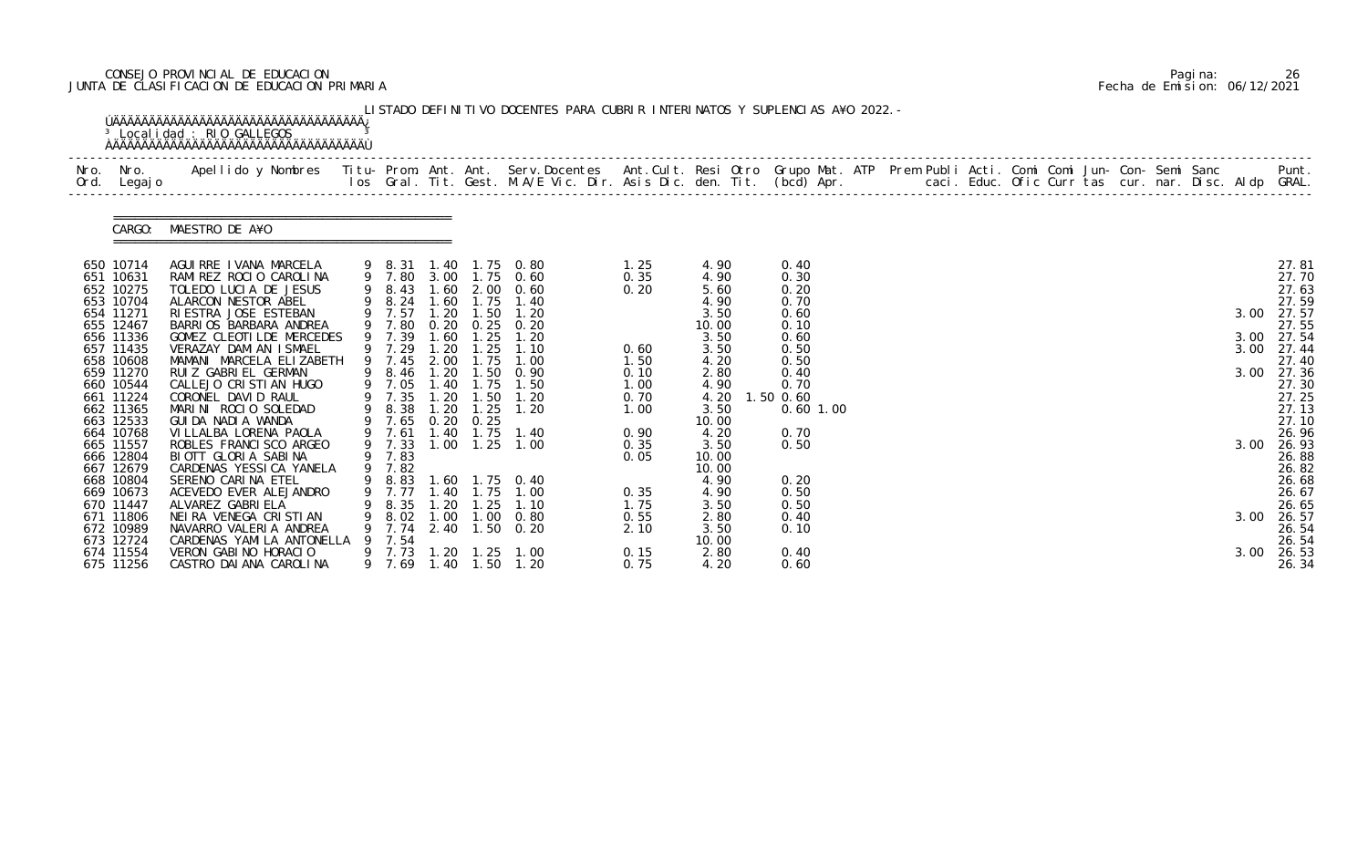# CONSEJO PROVINCIAL DE EDUCACION Pagina: 26 JUNTA DE CLASIFICACION DE EDUCACION PRIMARIA Fecha de Emision: 06/12/2021

| Nro.<br>Ord. | Nro.<br>Legaj o                                                                                                                                                                                                           | Apellido y Nombres  Titu- Prom. Ant. Ant. Serv.Docentes  Ant.Cult. Resi Otro Grupo Mat. ATP Prem Publi Acti. Comi Comi Jun- Con- Semi Sanc         Punt.<br>Ios Gral. Tit. Gest. M.A/E Vic. Dir. Asis Dic. den. Tit. (bcd) Apr.                                                                                                                                                                                                     |   |                                                                                                                                        |                                                                                    |                                                                                                                             |                                                                                                                                                             |                                                                                              |                                                                                                                                         |                                                                                                                                  |  |  |  |  |  |                              |                                                                                                                                                            |
|--------------|---------------------------------------------------------------------------------------------------------------------------------------------------------------------------------------------------------------------------|-------------------------------------------------------------------------------------------------------------------------------------------------------------------------------------------------------------------------------------------------------------------------------------------------------------------------------------------------------------------------------------------------------------------------------------|---|----------------------------------------------------------------------------------------------------------------------------------------|------------------------------------------------------------------------------------|-----------------------------------------------------------------------------------------------------------------------------|-------------------------------------------------------------------------------------------------------------------------------------------------------------|----------------------------------------------------------------------------------------------|-----------------------------------------------------------------------------------------------------------------------------------------|----------------------------------------------------------------------------------------------------------------------------------|--|--|--|--|--|------------------------------|------------------------------------------------------------------------------------------------------------------------------------------------------------|
|              | CARGO:                                                                                                                                                                                                                    | MAESTRO DE A¥O                                                                                                                                                                                                                                                                                                                                                                                                                      |   |                                                                                                                                        |                                                                                    |                                                                                                                             |                                                                                                                                                             |                                                                                              |                                                                                                                                         |                                                                                                                                  |  |  |  |  |  |                              |                                                                                                                                                            |
|              | 650 10714<br>651 10631<br>652 10275<br>653 10704<br>654 11271<br>655 12467<br>656 11336<br>657 11435<br>658 10608<br>659 11270<br>660 10544<br>661 11224<br>662 11365<br>663 12533<br>664 10768<br>665 11557<br>666 12804 | AGUIRRE IVANA MARCELA<br>RAMIREZ ROCIO CAROLINA<br>TOLEDO LUCIA DE JESUS<br>ALARCON NESTOR ABEL<br>RIESTRA JOSE ESTEBAN<br>BARRIOS BARBARA ANDREA<br>GOMEZ CLEOTILDE MERCEDES<br>VERAZAY DAMIAN ISMAEL<br>MAMANI MARCELA ELIZABETH<br>RUIZ GABRIEL GERMAN<br>CALLEJO CRISTIAN HUGO<br>CORONEL DAVID RAUL<br>MARINI ROCIO SOLEDAD<br>GUI DA NADI A WANDA<br>VI LLALBA LORENA PAOLA<br>ROBLES FRANCI SCO ARGEO<br>BIOTT GLORIA SABINA | 9 | 8.43<br>9 8.24<br>9 7.57<br>7.80<br>9 7.39<br>9 7.29<br>7.45<br>9 8.46<br>9 7.05<br>7.35<br>8.38<br>9 7.65<br>7.61<br>9 7.33<br>9 7.83 | 1.60<br>1.60<br>0.20<br>1.60<br>1.20<br>2.00<br>1.20<br>.20<br>1.20<br>.40<br>1.00 | 1.75<br>$1.20$ $1.50$<br>0.25<br>1.25<br>1.25<br>1.75<br>1.50<br>1.40 1.75<br>1.50<br>1.25<br>$0.20$ $0.25$<br>1.75<br>1.25 | 9 8.31 1.40 1.75 0.80<br>9 7.80 3.00 1.75 0.60<br>2.00 0.60<br>1.40<br>1.20<br>0.20<br>1.20<br>1.10<br>1.00<br>0.90<br>1.50<br>1.20<br>1.20<br>1.40<br>1.00 | 1.25<br>0.35<br>0.20<br>0.60<br>1.50<br>0.10<br>1.00<br>0.70<br>1.00<br>0.90<br>0.35<br>0.05 | 4.90<br>4.90<br>5.60<br>4.90<br>3.50<br>10.00<br>3.50<br>3.50<br>4.20<br>2.80<br>4.90<br>4.20<br>3.50<br>10.00<br>4.20<br>3.50<br>10.00 | 0.40<br>0.30<br>0.20<br>0.70<br>0.60<br>0.10<br>0.60<br>0.50<br>0.50<br>0.40<br>0.70<br>1.50 0.60<br>$0.60$ 1.00<br>0.70<br>0.50 |  |  |  |  |  | 3.00<br>3.00<br>3.00<br>3.00 | 27.81<br>27.70<br>27.63<br>27.59<br>27.57<br>27.55<br>3.00 27.54<br>27.44<br>27.40<br>27.36<br>27.30<br>27.25<br>27.13<br>27.10<br>26.96<br>26.93<br>26.88 |
|              | 667 12679<br>668 10804<br>669 10673<br>670 11447<br>671 11806<br>672 10989<br>673 12724<br>674 11554<br>675 11256                                                                                                         | CARDENAS YESSICA YANELA<br>SERENO CARINA ETEL<br>ACEVEDO EVER ALEJANDRO<br>ALVAREZ GABRI ELA<br>NEIRA VENEGA CRISTIAN<br>NAVARRO VALERIA ANDREA<br>CARDENAS YAMILA ANTONELLA<br>VERON GABINO HORACIO<br>CASTRO DAI ANA CAROLINA                                                                                                                                                                                                     |   | 9 7.82<br>8.35<br>8.02<br>7.74<br>7.54<br>7.73<br>9 7.69                                                                               | . 40<br>. 20<br>1.00<br>1. 20                                                      | l. 75<br>. 25<br>1.00<br>1. 25<br>1.40 1.50                                                                                 | 9 8.83 1.60 1.75 0.40<br>1.00<br>1.10<br>0.80<br>2.40 1.50 0.20<br>1.00<br>1.20                                                                             | 0.35<br>1.75<br>0.55<br>2.10<br>0.15<br>0.75                                                 | 10.00<br>4.90<br>4.90<br>3.50<br>2.80<br>3.50<br>10.00<br>2.80<br>4.20                                                                  | 0.20<br>0.50<br>0.50<br>0.40<br>0.10<br>0.40<br>0.60                                                                             |  |  |  |  |  | 3.00<br>3.00                 | 26.82<br>26.68<br>26.67<br>26.65<br>26.57<br>26.54<br>26.54<br>26.53<br>26.34                                                                              |

|  | Pagi na: | 26                           |
|--|----------|------------------------------|
|  |          | Fecha de Emision: 06/12/2021 |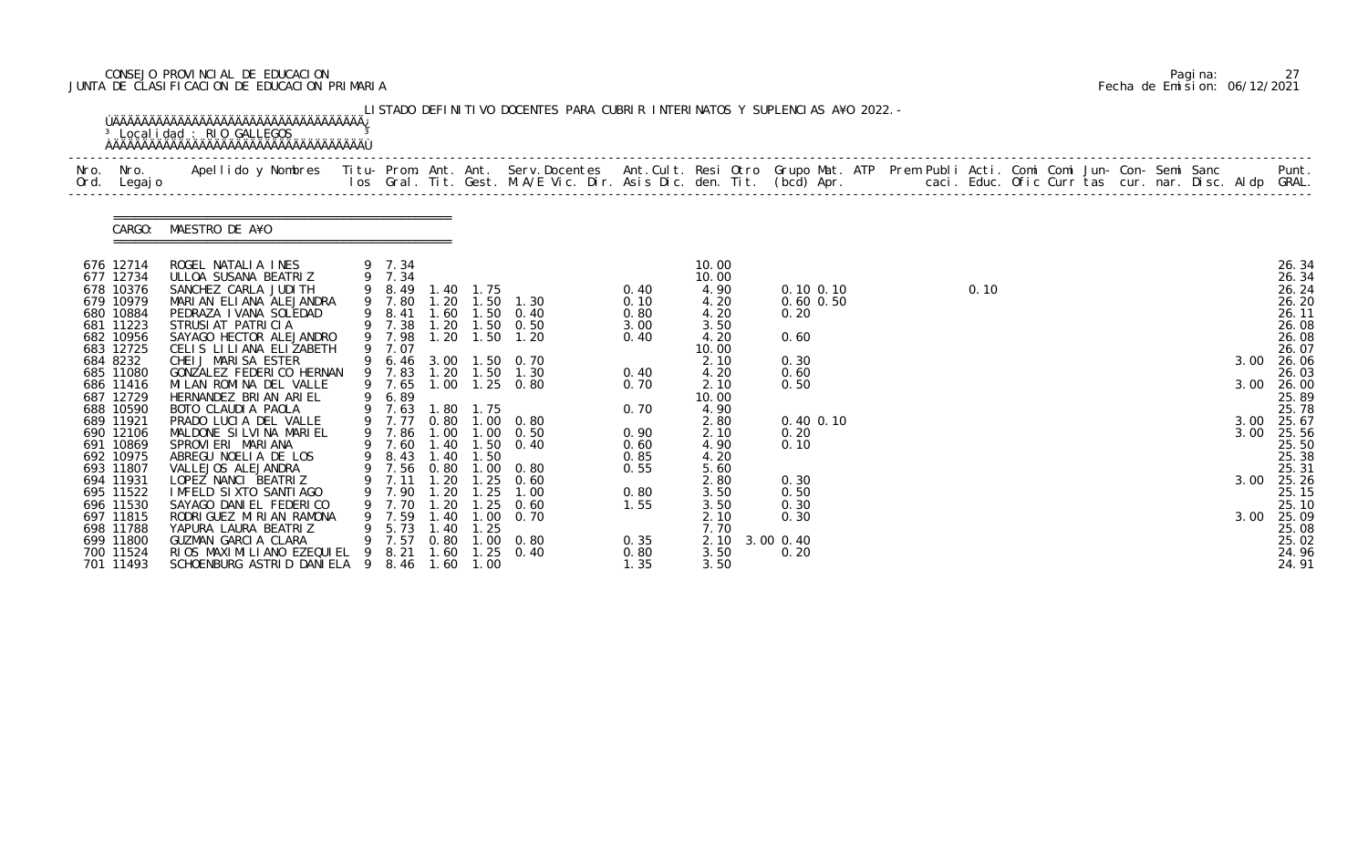# CONSEJO PROVINCIAL DE EDUCACION Pagina: 27 JUNTA DE CLASIFICACION DE EDUCACION PRIMARIA Fecha de Emision: 06/12/2021

| Nro.<br>Ord. | Nro.<br>Legaj o        | Apellido y Nombres  Titu- Prom. Ant. Ant. Serv.Docentes  Ant.Cult. Resi Otro Grupo Mat. ATP Prem Publi Acti. Comi Comi Jun- Con- Semi Sanc           Punt.<br>Ios Gral. Tit. Gest. M.A/E Vic. Dir. Asis Dic. den. Tit. (bcd) Apr. |   |                  |      |                       |                     |              |               |               |  |      |  |  |      |                |
|--------------|------------------------|-----------------------------------------------------------------------------------------------------------------------------------------------------------------------------------------------------------------------------------|---|------------------|------|-----------------------|---------------------|--------------|---------------|---------------|--|------|--|--|------|----------------|
|              | CARGO:                 | MAESTRO DE A¥O                                                                                                                                                                                                                    |   |                  |      |                       |                     |              |               |               |  |      |  |  |      |                |
|              | 676 12714              | ROGEL NATALIA INES                                                                                                                                                                                                                |   | 9 7.34           |      |                       |                     |              | 10.00         |               |  |      |  |  |      | 26.34          |
|              | 677 12734<br>678 10376 | ULLOA SUSANA BEATRIZ<br>SANCHEZ CARLA JUDI TH                                                                                                                                                                                     |   | 9 7.34<br>9 8.49 | 1.40 | 1.75                  |                     | 0.40         | 10.00<br>4.90 | $0.10$ $0.10$ |  | 0.10 |  |  |      | 26.34<br>26.24 |
|              | 679 10979              | MARIAN ELIANA ALEJANDRA                                                                                                                                                                                                           |   | 9 7.80           | .20  | 1.50                  | 1.30                | 0.10         | 4.20          | $0.60$ $0.50$ |  |      |  |  |      | 26.20          |
|              | 680 10884              | PEDRAZA I VANA SOLEDAD                                                                                                                                                                                                            | 9 | 8.41             |      |                       | 1.60 1.50 0.40      | 0.80         | 4.20          | 0.20          |  |      |  |  |      | 26.11          |
|              | 681 11223              | STRUSIAT PATRICIA                                                                                                                                                                                                                 |   | 9 7.38           | .20  | 1.50                  | 0.50                | 3.00         | 3.50          |               |  |      |  |  |      | 26.08          |
|              | 682 10956              | SAYAGO HECTOR ALEJANDRO                                                                                                                                                                                                           |   | 9 7.98           |      | $1.20$ $1.50$         | 1.20                | 0.40         | 4.20          | 0.60          |  |      |  |  |      | 26.08          |
|              | 683 12725              | CELIS LILIANA ELIZABETH                                                                                                                                                                                                           |   | 9 7.07           |      |                       |                     |              | 10.00         |               |  |      |  |  |      | 26.07          |
|              | 684 8232               | CHEIJ MARISA ESTER                                                                                                                                                                                                                |   |                  |      |                       | 6.46 3.00 1.50 0.70 |              | 2.10          | 0.30          |  |      |  |  | 3.00 | 26.06          |
|              | 685 11080              | GONZALEZ FEDERICO HERNAN                                                                                                                                                                                                          |   | 9 7.83           |      | $1.20$ $1.50$         | 1.30                | 0.40         | 4.20          | 0.60          |  |      |  |  |      | 26.03          |
|              | 686 11416              | MI LAN ROMI NA DEL VALLE                                                                                                                                                                                                          |   | 9 7.65           |      |                       | 1.00 1.25 0.80      | 0.70         | 2.10          | 0.50          |  |      |  |  | 3.00 | 26.00          |
|              | 687 12729              | HERNANDEZ BRIAN ARIEL                                                                                                                                                                                                             | 9 | 6.89             |      |                       |                     |              | 10.00         |               |  |      |  |  |      | 25.89          |
|              | 688 10590<br>689 11921 | BOTO CLAUDIA PAOLA<br>PRADO LUCIA DEL VALLE                                                                                                                                                                                       |   | 9 7.63<br>9 7.77 | 1.80 | 1.75<br>0.80 1.00     | 0.80                | 0.70         | 4.90<br>2.80  | $0.40$ $0.10$ |  |      |  |  | 3.00 | 25.78<br>25.67 |
|              | 690 12106              | MALDONE SILVINA MARIEL                                                                                                                                                                                                            | 9 | 7.86             | 1.00 | $\overline{0}$ .      | 0.50                | 0.90         | 2.10          | 0.20          |  |      |  |  | 3.00 | 25.56          |
|              | 691 10869              | SPROVIERI MARIANA                                                                                                                                                                                                                 |   | 7.60             | 1.40 | 1.50                  | 0.40                | 0.60         | 4.90          | 0.10          |  |      |  |  |      | 25.50          |
|              | 692 10975              | ABREGU NOELIA DE LOS                                                                                                                                                                                                              | 9 | 8.43             |      | 1.40 1.50             |                     | 0.85         | 4.20          |               |  |      |  |  |      | 25.38          |
|              | 693 11807              | VALLEJOS ALEJANDRA                                                                                                                                                                                                                |   | 9 7.56           | 0.80 |                       | $1.00 \t 0.80$      | 0.55         | 5.60          |               |  |      |  |  |      | 25.31          |
|              | 694 11931              | LOPEZ NANCI BEATRIZ                                                                                                                                                                                                               |   | 9 7.11           | 1.20 | 1.25                  | 0.60                |              | 2.80          | 0.30          |  |      |  |  |      | 3.00 25.26     |
|              | 695 11522              | IMFELD SIXTO SANTIAGO                                                                                                                                                                                                             |   | 7.90             | 1.20 | $\overline{25}$       | 1.00                | 0.80         | 3.50          | 0.50          |  |      |  |  |      | 25.15          |
|              | 696 11530              | SAYAGO DANI EL FEDERI CO                                                                                                                                                                                                          |   |                  | -20  | . 25                  | 0.60                | 1.55         | 3.50          | 0.30          |  |      |  |  |      | 25.10          |
|              | 697 11815              | RODRI GUEZ MI RI AN RAMONA                                                                                                                                                                                                        |   | 7.59             | .40  | $\overline{0}$ .      | 0. 70               |              | 2.10          | 0.30          |  |      |  |  | 3.00 | 25.09          |
|              | 698 11788              | YAPURA LAURA BEATRIZ                                                                                                                                                                                                              |   | 5.73             | 1.40 | 1.25                  |                     |              | 7.70          |               |  |      |  |  |      | 25.08          |
|              | 699 11800              | GUZMAN GARCIA CLARA                                                                                                                                                                                                               |   | 7.57             | 0.80 | $.00 \,$              | 0.80                | 0.35         | 2.10          | 3.00 0.40     |  |      |  |  |      | 25.02          |
|              | 700 11524<br>701 11493 | RIOS MAXIMILIANO EZEQUIEL<br>SCHOENBURG ASTRID DANIELA 9                                                                                                                                                                          |   | 8.21<br>8.46     | 1.60 | 1.25<br>$1.60$ $1.00$ | 0.40                | 0.80<br>1.35 | 3.50<br>3.50  | 0.20          |  |      |  |  |      | 24.96<br>24.91 |

|  | Pagi na: | 27                           |
|--|----------|------------------------------|
|  |          | Fecha de Emision: 06/12/2021 |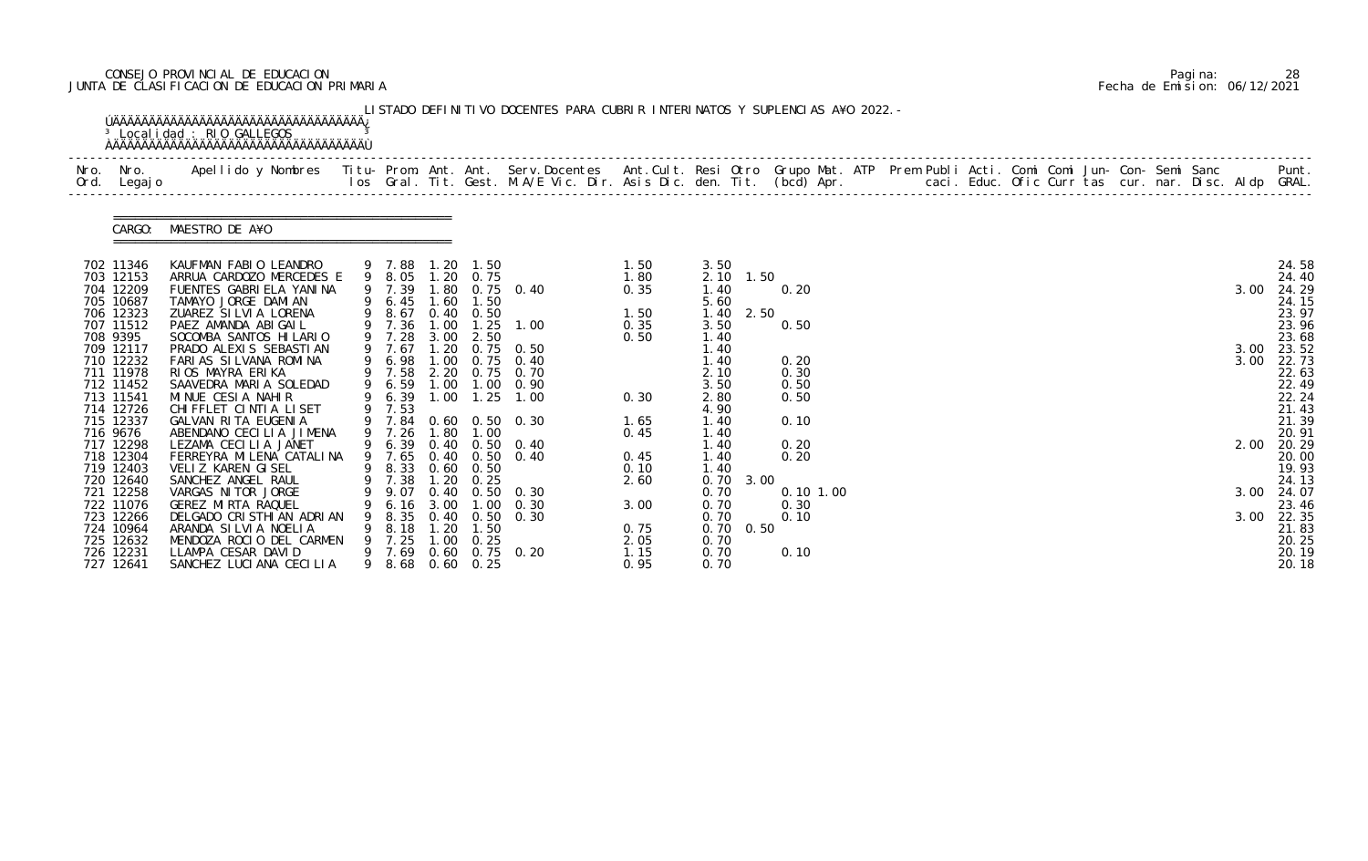# CONSEJO PROVINCIAL DE EDUCACION Pagina: 28 JUNTA DE CLASIFICACION DE EDUCACION PRIMARIA Fecha de Emision: 06/12/2021

| Ord. Legajo            |                                                     |                  |              |                   |                       |              |              |      |              |  |  |  |  |  |      |                |
|------------------------|-----------------------------------------------------|------------------|--------------|-------------------|-----------------------|--------------|--------------|------|--------------|--|--|--|--|--|------|----------------|
|                        | CARGO: MAESTRO DE A¥O                               |                  |              |                   |                       |              |              |      |              |  |  |  |  |  |      |                |
| 702 11346              | KAUFMAN FABIO LEANDRO                               | 9 7.88 1.20 1.50 |              |                   |                       | 1.50         | 3.50         |      |              |  |  |  |  |  |      | 24.58          |
| 703 12153<br>704 12209 | ARRUA CARDOZO MERCEDES E<br>FUENTES GABRIELA YANINA | 9 8.05<br>9 7.39 |              | $1.20 \t 0.75$    | 1.80 0.75 0.40        | 1.80<br>0.35 | 2.10<br>1.40 | 1.50 | 0.20         |  |  |  |  |  | 3.00 | 24.40<br>24.29 |
| 705 10687              | TAMAYO JORGE DAMIAN                                 | 9 6.45           |              | $1.60$ $1.50$     |                       |              | 5.60         |      |              |  |  |  |  |  |      | 24.15          |
| 706 12323              | ZUAREZ SILVIA LORENA                                | 9 8.67           |              | $0.40 \quad 0.50$ |                       | 1.50         | 1.40         | 2.50 |              |  |  |  |  |  |      | 23.97          |
| 707 11512              | PAEZ AMANDA ABIGAIL                                 | 9 7.36 1.00      |              |                   | $1.25$ $1.00$         | 0.35         | 3.50         |      | 0.50         |  |  |  |  |  |      | 23.96          |
| 708 9395<br>709 12117  | SOCOMBA SANTOS HILARIO<br>PRADO ALEXIS SEBASTIAN    | 9 7.28<br>9 7.67 | 3.00<br>1.20 | 2.50<br>0.75      | 0. 50                 | 0.50         | 1.40<br>1.40 |      |              |  |  |  |  |  | 3.00 | 23.68<br>23.52 |
| 710 12232              | FARIAS SILVANA ROMINA                               | 9 6.98           | 1.00         | 0.75              | 0.40                  |              | 1.40         |      | 0.20         |  |  |  |  |  | 3.00 | 22.73          |
| 711 11978              | RIOS MAYRA ERIKA                                    | 9 7.58           |              |                   | 2.20 0.75 0.70        |              | 2.10         |      | 0.30         |  |  |  |  |  |      | 22.63          |
| 712 11452              | SAAVEDRA MARIA SOLEDAD                              | 9 6.59           |              |                   | 1.00 1.00 0.90        |              | 3.50         |      | 0.50         |  |  |  |  |  |      | 22.49          |
| 713 11541              | MINUE CESIA NAHIR                                   |                  |              |                   | 9 6.39 1.00 1.25 1.00 | 0.30         | 2.80         |      | 0.50         |  |  |  |  |  |      | 22.24          |
| 714 12726              | CHI FFLET CINTIA LISET                              | 9 7.53           |              |                   |                       |              | 4.90         |      |              |  |  |  |  |  |      | 21.43          |
| 715 12337<br>716 9676  | GALVAN RITA EUGENIA<br>ABENDANO CECILIA JIMENA      | 9 7.84<br>9 7.26 | 1.80         | 1.00              | 0.60 0.50 0.30        | 1.65<br>0.45 | 1.40<br>1.40 |      | 0.10         |  |  |  |  |  |      | 21.39<br>20.91 |
| 717 12298              | LEZAMA CECILIA JANET                                | 9 6.39           |              |                   | 0.40 0.50 0.40        |              | 1.40         |      | 0.20         |  |  |  |  |  | 2.00 | 20.29          |
| 718 12304              | FERREYRA MI LENA CATALI NA                          | 9 7.65           |              |                   | 0.40 0.50 0.40        | 0.45         | 1.40         |      | 0.20         |  |  |  |  |  |      | 20.00          |
| 719 12403              | VELIZ KAREN GISEL                                   | 9 8.33 0.60 0.50 |              |                   |                       | 0.10         | 1.40         |      |              |  |  |  |  |  |      | 19.93          |
| 720 12640              | SANCHEZ ANGEL RAUL                                  | 9 7.38           |              | $1.20 \quad 0.25$ |                       | 2.60         | 0.70 3.00    |      |              |  |  |  |  |  |      | 24.13          |
| 721 12258              | VARGAS NITOR JORGE                                  | 9.07             | 0.40         | 0. 50             | 0.30                  |              | 0.70         |      | 0.101.00     |  |  |  |  |  | 3.00 | 24.07          |
| 722 11076<br>723 12266 | GEREZ MIRTA RAQUEL<br>DELGADO CRISTHIAN ADRIAN      | 6.16<br>8.35     | 3.00<br>0.40 | 1.00<br>0. 50     | 0.30<br>0.30          | 3.00         | 0.70<br>0.70 |      | 0.30<br>0.10 |  |  |  |  |  | 3.00 | 23.46<br>22.35 |
| 724 10964              | ARANDA SILVIA NOELIA                                | 8.18             | . 20         | 1.50              |                       | 0.75         | 0.70         | 0.50 |              |  |  |  |  |  |      | 21.83          |
| 725 12632              | MENDOZA ROCIO DEL CARMEN                            | 7.25             | $.00 \,$     | 0.25              |                       | 2.05         | 0.70         |      |              |  |  |  |  |  |      | 20.25          |
| 726 12231              | LLAMPA CESAR DAVID                                  | 9 7.69           |              |                   | $0.60$ $0.75$ $0.20$  | 1.15         | 0.70         |      | 0.10         |  |  |  |  |  |      | 20.19          |
| 727 12641              | SANCHEZ LUCIANA CECILIA                             | 9 8.68           |              | $0.60 \quad 0.25$ |                       | 0.95         | 0.70         |      |              |  |  |  |  |  |      | 20.18          |

|  | Pagi na: | 28                           |
|--|----------|------------------------------|
|  |          | Fecha de Emision: 06/12/2021 |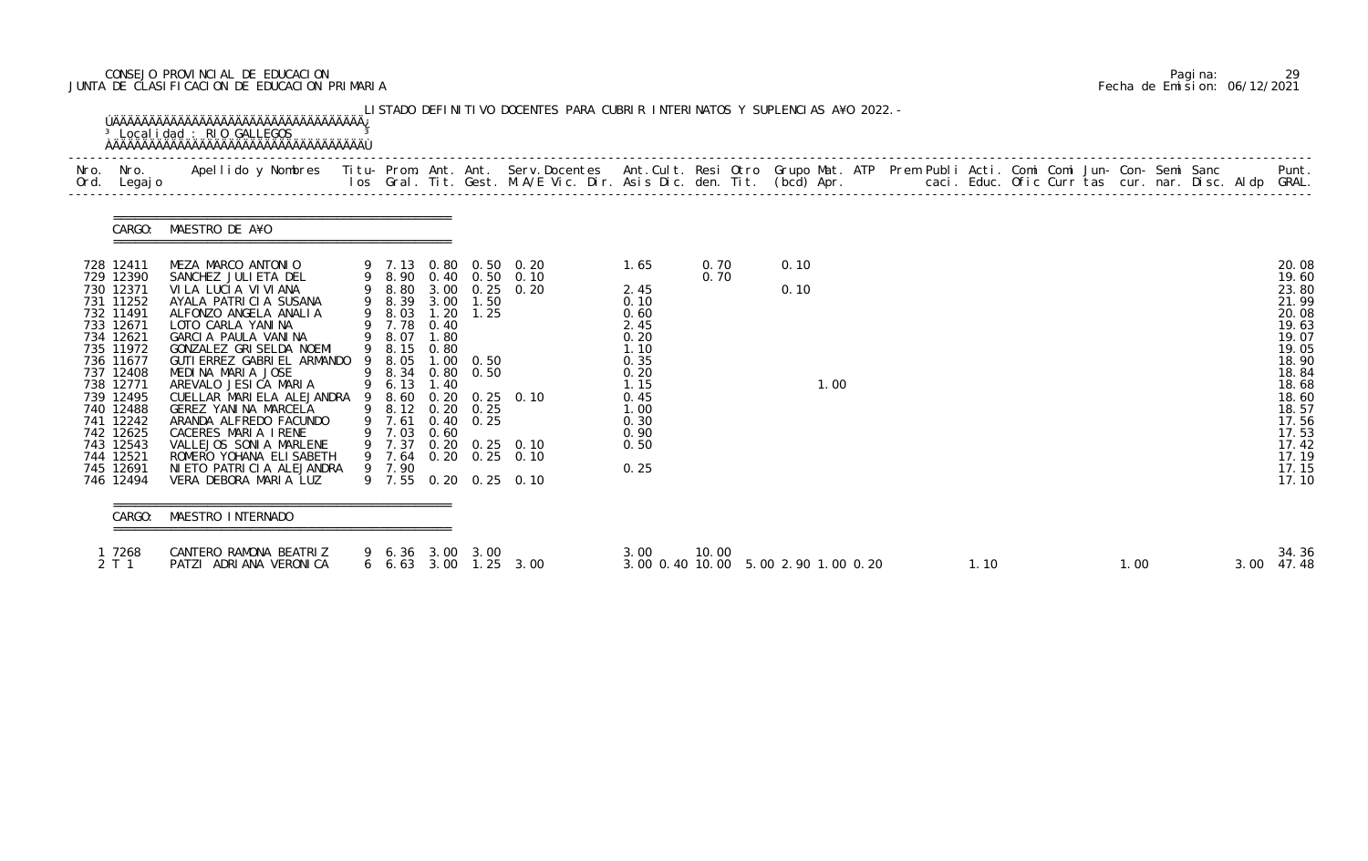# CONSEJO PROVINCIAL DE EDUCACION Pagina: 29 JUNTA DE CLASIFICACION DE EDUCACION PRIMARIA Fecha de Emision: 06/12/2021

| Nro. Nro.<br>Ord. Legajo                                                                                                                                                                                                                            |        | Apellido y Nombres - Titu- Prom. Ant. Ant. Serv.Docentes - Ant.Cult. Resi Otro Grupo Mat. ATP Prem Publi Acti. Comi Comi Jun- Con- Semi Sanc - - - Punt.<br>Ios Gral. Tit. Gest. M.A/E Vic. Dir. Asis Dic. den. Tit. (bcd) Apr. -                                                                                                                                                                                                                                                                                      |                                                                         |                              |                                                                                                                |                                                                                                                                                    |                                                                                                                              |              |              |      |  |      |  |      |  |      |                                                                                                                                                                         |
|-----------------------------------------------------------------------------------------------------------------------------------------------------------------------------------------------------------------------------------------------------|--------|------------------------------------------------------------------------------------------------------------------------------------------------------------------------------------------------------------------------------------------------------------------------------------------------------------------------------------------------------------------------------------------------------------------------------------------------------------------------------------------------------------------------|-------------------------------------------------------------------------|------------------------------|----------------------------------------------------------------------------------------------------------------|----------------------------------------------------------------------------------------------------------------------------------------------------|------------------------------------------------------------------------------------------------------------------------------|--------------|--------------|------|--|------|--|------|--|------|-------------------------------------------------------------------------------------------------------------------------------------------------------------------------|
|                                                                                                                                                                                                                                                     |        | CARGO: MAESTRO DE A¥O                                                                                                                                                                                                                                                                                                                                                                                                                                                                                                  |                                                                         |                              |                                                                                                                |                                                                                                                                                    |                                                                                                                              |              |              |      |  |      |  |      |  |      |                                                                                                                                                                         |
| 728 12411<br>729 12390<br>730 12371<br>731 11252<br>732 11491<br>733 12671<br>734 12621<br>735 11972<br>736 11677<br>737 12408<br>738 12771<br>739 12495<br>740 12488<br>741 12242<br>742 12625<br>743 12543<br>744 12521<br>745 12691<br>746 12494 |        | MEZA MARCO ANTONIO<br>SANCHEZ JULI ETA DEL<br>VILA LUCIA VIVIANA<br>AYALA PATRICIA SUSANA<br>ALFONZO ANGELA ANALIA<br>LOTO CARLA YANINA<br>GARCIA PAULA VANINA<br>GONZALEZ GRISELDA NOEMI<br>GUTI ERREZ GABRI EL ARMANDO 9 8.05<br>MEDINA MARIA JOSE<br>AREVALO JESICA MARIA<br>CUELLAR MARIELA ALEJANDRA 9 8.60 0.20 0.25 0.10<br>GEREZ YANINA MARCELA<br>ARANDA ALFREDO FACUNDO<br>CACERES MARIA IRENE<br>VALLEJOS SONIA MARLENE<br>ROMERO YOHANA ELI SABETH<br>NI ETO PATRI CI A ALEJANDRA<br>VERA DEBORA MARIA LUZ | 9 7.78 0.40<br>9 8.07<br>9 8.15<br>9 6.13<br>9 7.61<br>9 7.03<br>9 7.90 | 1.80<br>0.80<br>1.40<br>0.60 | 9 8.39 3.00 1.50<br>9 8.03 1.20 1.25<br>1.00 0.50<br>9 8.34 0.80 0.50<br>9 8.12 0.20 0.25<br>$0.40 \quad 0.25$ | 9 7.13 0.80 0.50 0.20<br>9 8.90 0.40 0.50 0.10<br>9 8.80 3.00 0.25 0.20<br>9 7.37 0.20 0.25 0.10<br>9 7.64 0.20 0.25 0.10<br>9 7.55 0.20 0.25 0.10 | 1.65<br>2.45<br>0.10<br>0.60<br>2.45<br>0.20<br>1.10<br>0.35<br>0.20<br>1.15<br>0.45<br>1.00<br>0.30<br>0.90<br>0.50<br>0.25 | 0.70<br>0.70 | 0.10<br>0.10 | 1.00 |  |      |  |      |  |      | 20.08<br>19.60<br>23.80<br>21.99<br>20.08<br>19.63<br>19.07<br>19.05<br>18.90<br>18.84<br>18.68<br>18.60<br>18.57<br>17.56<br>17.53<br>17.42<br>17.19<br>17.15<br>17.10 |
|                                                                                                                                                                                                                                                     | CARGO: | :==================================<br>MAESTRO INTERNADO                                                                                                                                                                                                                                                                                                                                                                                                                                                               |                                                                         |                              |                                                                                                                |                                                                                                                                                    |                                                                                                                              |              |              |      |  |      |  |      |  |      |                                                                                                                                                                         |
| 1 7268<br>2 T 1                                                                                                                                                                                                                                     |        | CANTERO RAMONA BEATRIZ<br>PATZI ADRIANA VERONICA                                                                                                                                                                                                                                                                                                                                                                                                                                                                       |                                                                         |                              | 9 6.36 3.00 3.00                                                                                               | 6 6.63 3.00 1.25 3.00                                                                                                                              | 3.00<br>3.00 0.40 10.00 5.00 2.90 1.00 0.20                                                                                  | 10.00        |              |      |  | 1.10 |  | 1.00 |  | 3.00 | 34.36<br>47.48                                                                                                                                                          |

|  | Pagi na: |                              |
|--|----------|------------------------------|
|  |          | Fecha de Emision: 06/12/2021 |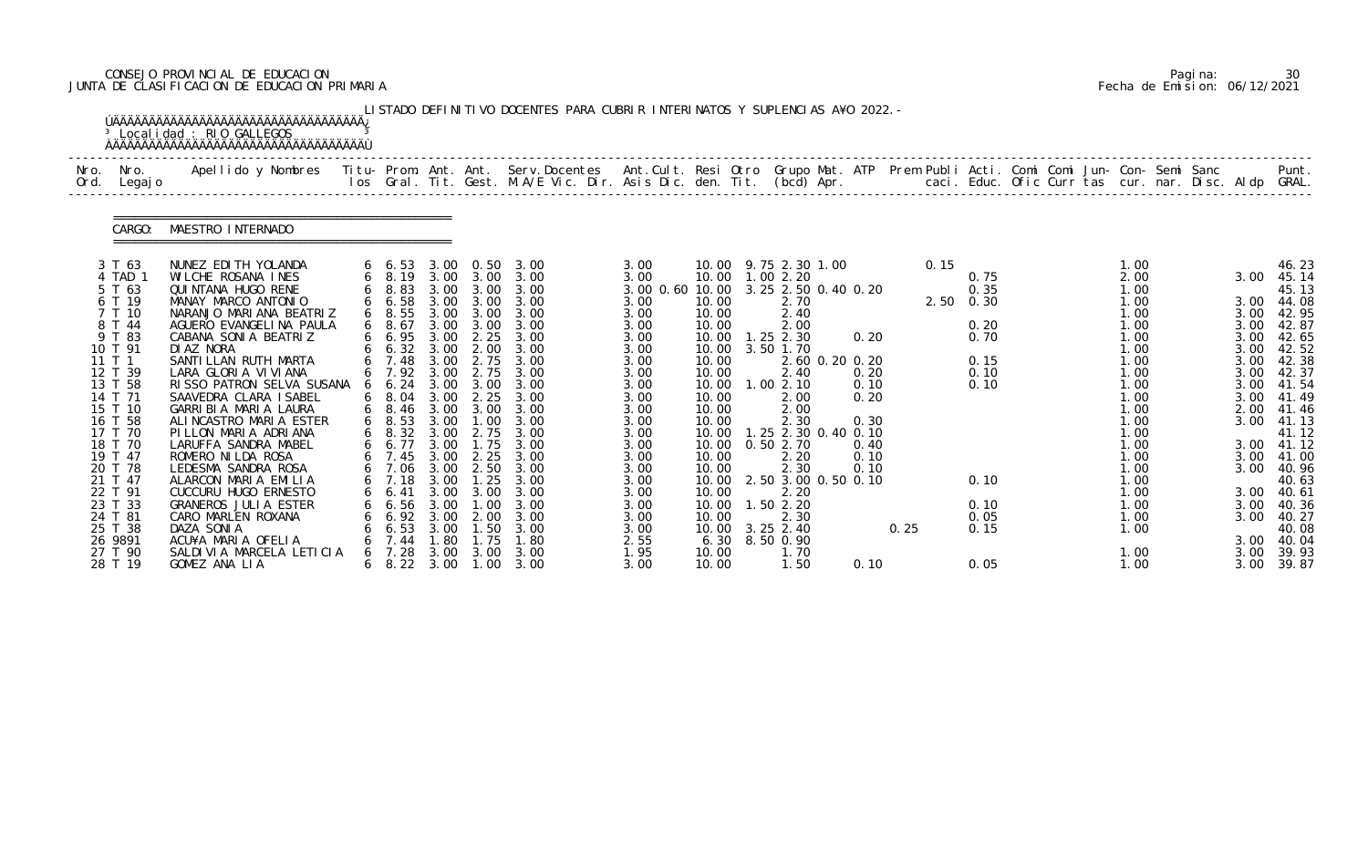# CONSEJO PROVINCIAL DE EDUCACION Pagina: 30 JUNTA DE CLASIFICACION DE EDUCACION PRIMARIA Fecha de Emision: 06/12/2021

|              |                                                                                                                                                                                                                                                               | <sup>3</sup> Localidad : RIO GALLEGOS                                                                                                                                                                                                                                                                                                                                                                                                                                                                                                                                       |   |                                                                                                                                                                                                                                                                                                                             |                                                                                                                                      |                                                                                                                                                                                                                                   | LISTADO DEFINITIVO DOCENTES PARA CUBRIR INTERINATOS Y SUPLENCIAS A¥O 2022. -                                                                                                                           |                                                                                                                                                                                                         |                                                                                                                                                                        |                                                                                                                                                                                                                                                                                                                |                |                                                              |              |                                                                                                        |  |                                                                                                                                                                                      |  |                                                                                                                      |                                                                                                                                                                                                                                          |
|--------------|---------------------------------------------------------------------------------------------------------------------------------------------------------------------------------------------------------------------------------------------------------------|-----------------------------------------------------------------------------------------------------------------------------------------------------------------------------------------------------------------------------------------------------------------------------------------------------------------------------------------------------------------------------------------------------------------------------------------------------------------------------------------------------------------------------------------------------------------------------|---|-----------------------------------------------------------------------------------------------------------------------------------------------------------------------------------------------------------------------------------------------------------------------------------------------------------------------------|--------------------------------------------------------------------------------------------------------------------------------------|-----------------------------------------------------------------------------------------------------------------------------------------------------------------------------------------------------------------------------------|--------------------------------------------------------------------------------------------------------------------------------------------------------------------------------------------------------|---------------------------------------------------------------------------------------------------------------------------------------------------------------------------------------------------------|------------------------------------------------------------------------------------------------------------------------------------------------------------------------|----------------------------------------------------------------------------------------------------------------------------------------------------------------------------------------------------------------------------------------------------------------------------------------------------------------|----------------|--------------------------------------------------------------|--------------|--------------------------------------------------------------------------------------------------------|--|--------------------------------------------------------------------------------------------------------------------------------------------------------------------------------------|--|----------------------------------------------------------------------------------------------------------------------|------------------------------------------------------------------------------------------------------------------------------------------------------------------------------------------------------------------------------------------|
| Nro.<br>Ord. | Nro.<br>Legaj o                                                                                                                                                                                                                                               | Apellido y Nombres - Titu- Prom. Ant. Ant. Serv.Docentes - Ant.Cult. Resi Otro Grupo Mat. ATP Prem Publi Acti. Comi Comi Jun- Con- Semi Sanc - - - Punt.<br>Ios Gral. Tit. Gest. M.A/E Vic. Dir. Asis Dic. den. Tit. (bcd) Apr. -                                                                                                                                                                                                                                                                                                                                           |   |                                                                                                                                                                                                                                                                                                                             |                                                                                                                                      |                                                                                                                                                                                                                                   |                                                                                                                                                                                                        |                                                                                                                                                                                                         |                                                                                                                                                                        |                                                                                                                                                                                                                                                                                                                |                |                                                              |              |                                                                                                        |  |                                                                                                                                                                                      |  |                                                                                                                      |                                                                                                                                                                                                                                          |
|              | CARGO:                                                                                                                                                                                                                                                        | MAESTRO INTERNADO                                                                                                                                                                                                                                                                                                                                                                                                                                                                                                                                                           |   |                                                                                                                                                                                                                                                                                                                             |                                                                                                                                      |                                                                                                                                                                                                                                   |                                                                                                                                                                                                        |                                                                                                                                                                                                         |                                                                                                                                                                        |                                                                                                                                                                                                                                                                                                                |                |                                                              |              |                                                                                                        |  |                                                                                                                                                                                      |  |                                                                                                                      |                                                                                                                                                                                                                                          |
|              | 3 T 63<br>4 TAD 1<br>5 T 63<br>6 T 19<br>7 T 10<br>8 T 44<br>9 T 83<br>10 T 91<br>11 T 1<br>12 T 39<br>13 T 58<br>14 T 71<br>15 T 10<br>16 T 58<br>17 T 70<br>18 T 70<br>19 T 47<br>20 T 78<br>21 T 47<br>22 T 91<br>23 T 33<br>24 T 81<br>25 T 38<br>26 9891 | NUNEZ EDI TH YOLANDA<br>WILCHE ROSANA INES<br>QUI NTANA HUGO RENE<br>MANAY MARCO ANTONIO<br>NARANJO MARIANA BEATRIZ<br>AGUERO EVANGELINA PAULA<br>CABANA SONIA BEATRIZ<br>DI AZ NORA<br>SANTI LLAN RUTH MARTA<br>LARA GLORIA VIVIANA<br>RISSO PATRON SELVA SUSANA<br>SAAVEDRA CLARA ISABEL<br>GARRIBIA MARIA LAURA<br>ALINCASTRO MARIA ESTER<br>PILLON MARIA ADRIANA<br>LARUFFA SANDRA MABEL<br>ROMERO NI LDA ROSA<br>LEDESMA SANDRA ROSA<br>ALARCON MARIA EMILIA<br>CUCCURU HUGO ERNESTO<br>GRANEROS JULIA ESTER<br>CARO MARLEN ROXANA<br>DAZA SONIA<br>ACU¥A MARIA OFELIA |   | $6\quad 6.53$<br>$6\quad 8.19$<br>6 8.83<br>$6\quad 6.58$<br>$6\quad 8.55$<br>68.67<br>6 6.95<br>6 6.32 3.00<br>$6\quad 7.48$<br>6 7.92<br>$6\quad 6.24$<br>$6\quad 8.04$<br>$6\quad 8.46$<br>$6\quad 8.53$<br>$6\quad 8.32$<br>6 6.77<br>6 7.45<br>6 7.06<br>6 7.18 3.00<br>6.41<br>$6\quad 6.56$<br>6. 92<br>6.53<br>7.44 | 3.00<br>3.00<br>3.00<br>3.00<br>3.00<br>3.00<br>3.00<br>3.00<br>3.00<br>3.00<br>3.00<br>3.00<br>3.00<br>3.00<br>3.00<br>3.00<br>. 80 | 3.00 3.00<br>3.00<br>3.00<br>3.00 3.00<br>3.00<br>2.25<br>2.00<br>2.75<br>2.75<br>3.00 3.00<br>2.25<br>3.00 3.00<br>1.00<br>2.75<br>1.75<br>2.25<br>2.50<br>1.25<br>3.00<br>$\overline{\phantom{0}}$ . 00<br>2.00<br>1.50<br>1.75 | 3.00 0.50 3.00<br>3.00<br>3.00<br>3.00<br>3.00<br>3.00<br>3.00<br>3.00<br>3.00<br>3.00<br>3.00<br>3.00<br>3.00<br>3.00<br>3.00<br>3.00<br>3.00<br>3.00<br>3.00<br>3.00<br>3.00<br>3.00<br>3.00<br>1.80 | 3.00<br>3.00<br>3.00 0.60 10.00<br>3.00<br>3.00<br>3.00<br>3.00<br>3.00<br>3.00<br>3.00<br>3.00<br>3.00<br>3.00<br>3.00<br>3.00<br>3.00<br>3.00<br>3.00<br>3.00<br>3.00<br>3.00<br>3.00<br>3.00<br>2.55 | 10.00<br>10.00<br>10.00<br>10.00<br>10.00<br>10.00<br>10.00<br>10.00<br>10.00<br>10.00<br>10.00<br>10.00<br>10.00<br>10.00<br>10.00<br>10.00<br>10.00<br>10.00<br>6.30 | 10.00 9.75 2.30 1.00<br>10.00  1.00  2.20<br>3.25 2.50 0.40 0.20<br>2.70<br>2.40<br>2.00<br>$1.25$ $2.30$<br>10.00 3.50 1.70<br>2.40<br>1.002.10<br>2.00<br>2.00<br>2.30<br>1.25 2.30 0.40 0.10<br>0.50 2.70<br>2.20<br>2.30<br>10.00 2.50 3.00 0.50 0.10<br>2.20<br>.502.20<br>2.30<br>3.25 2.40<br>8.50 0.90 | 2.60 0.20 0.20 | 0.20<br>0.20<br>0.10<br>0.20<br>0.30<br>0.40<br>0.10<br>0.10 | 0.15<br>0.25 | 0.75<br>0.35<br>$2.50 \t 0.30$<br>0.20<br>0.70<br>0.15<br>0.10<br>0.10<br>0.10<br>0.10<br>0.05<br>0.15 |  | 1.00<br>2.00<br>1.00<br>1.00<br>1.00<br>1.00<br>1.00<br>1.00<br>1.00<br>1.00<br>1.00<br>1.00<br>1.00<br>1.00<br>1.00<br>1.00<br>1.00<br>1.00<br>1.00<br>1.00<br>1.00<br>1.00<br>1.00 |  | 3.00<br>3.00<br>3.00<br>3.00<br>3.00<br>3.00<br>3.00<br>3.00<br>3.00<br>3.00<br>3.00<br>3.00<br>3.00<br>3.00<br>3.00 | 46.23<br>45.14<br>45.13<br>3.00 44.08<br>42.95<br>42.87<br>42.65<br>42.52<br>42.38<br>42.37<br>41.54<br>41.49<br>2.00 41.46<br>41.13<br>41.12<br>3.00 41.12<br>41.00<br>40.96<br>40.63<br>40.61<br>40.36<br>40.27<br>40.08<br>3.00 40.04 |
|              | 27 T 90<br>28 T 19                                                                                                                                                                                                                                            | SALDIVIA MARCELA LETICIA<br>GOMEZ ANA LIA                                                                                                                                                                                                                                                                                                                                                                                                                                                                                                                                   | 6 | 7.28<br>$6\quad 8.22\quad 3.00$                                                                                                                                                                                                                                                                                             | 3.00                                                                                                                                 | 3.00<br>1.00                                                                                                                                                                                                                      | 3.00<br>3.00                                                                                                                                                                                           | 1.95<br>3.00                                                                                                                                                                                            | 10.00<br>10.00                                                                                                                                                         | 1.70<br>1.50                                                                                                                                                                                                                                                                                                   |                | 0.10                                                         |              | 0.05                                                                                                   |  | 1.00<br>1.00                                                                                                                                                                         |  | 3.00<br>3.00                                                                                                         | 39.93<br>39.87                                                                                                                                                                                                                           |

|  | Pagi na: | 30                           |
|--|----------|------------------------------|
|  |          | Fecha de Emision: 06/12/2021 |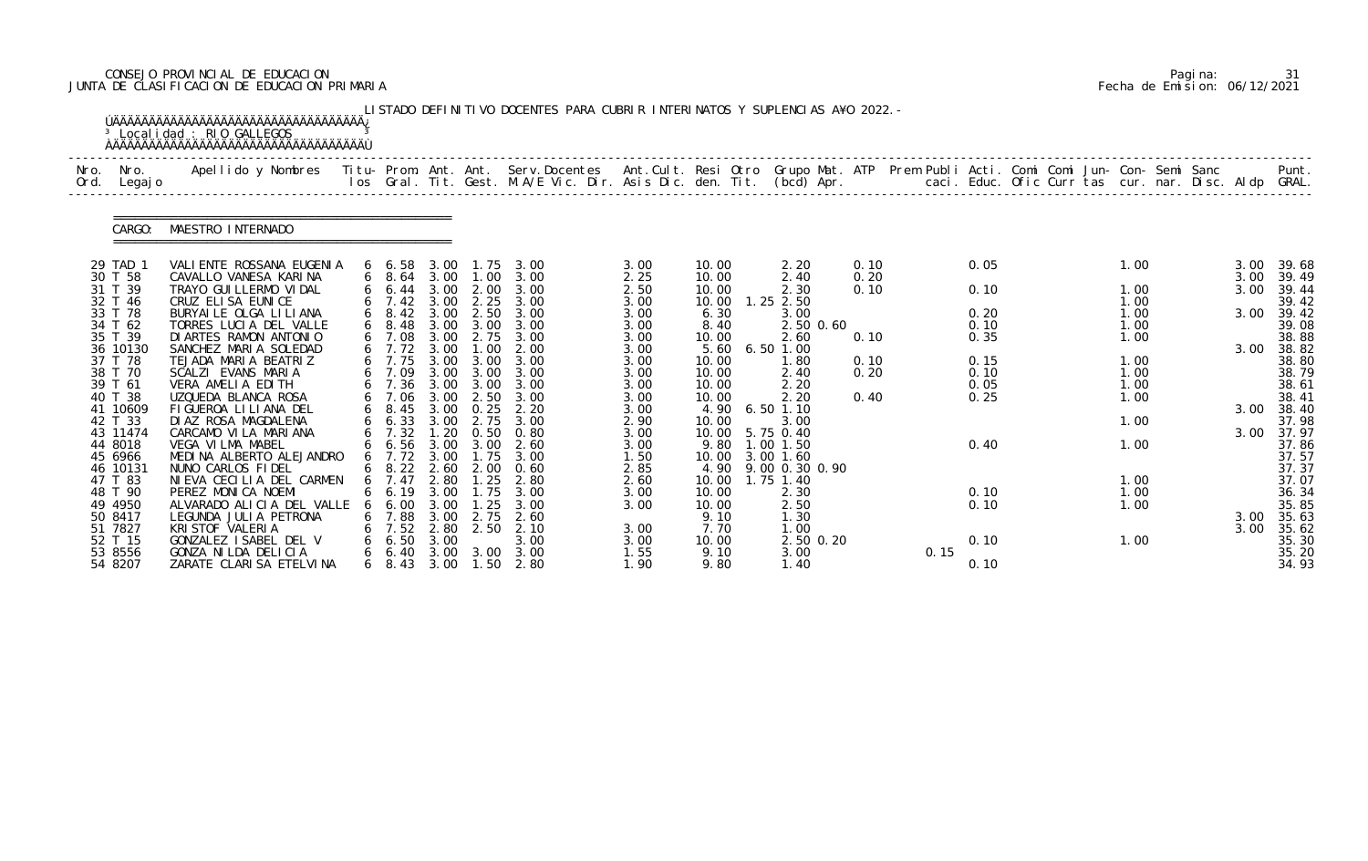# CONSEJO PROVINCIAL DE EDUCACION Pagina: 31 JUNTA DE CLASIFICACION DE EDUCACION PRIMARIA Fecha de Emision: 06/12/2021

|              |                    | <sup>3</sup> Localidad : RIO GALLEGOS                                                                                                                                                                                             |    |                                |              |                   | LISTADO DEFINITIVO DOCENTES PARA CUBRIR INTERINATOS Y SUPLENCIAS A¥O 2022. - |              |                |                           |              |      |              |  |              |  |              |                |
|--------------|--------------------|-----------------------------------------------------------------------------------------------------------------------------------------------------------------------------------------------------------------------------------|----|--------------------------------|--------------|-------------------|------------------------------------------------------------------------------|--------------|----------------|---------------------------|--------------|------|--------------|--|--------------|--|--------------|----------------|
| Nro.<br>Ord. | Nro.<br>Legaj o    | Apellido y Nombres - Titu- Prom. Ant. Ant. Serv.Docentes - Ant.Cult. Resi Otro Grupo Mat. ATP Prem Publi Acti. Comi Comi Jun- Con- Semi Sanc - - - Punt.<br>Ios Gral. Tit. Gest. M.A/E Vic. Dir. Asis Dic. den. Tit. (bcd) Apr. - |    |                                |              |                   |                                                                              |              |                |                           |              |      |              |  |              |  |              |                |
|              | CARGO:             | MAESTRO INTERNADO                                                                                                                                                                                                                 |    |                                |              |                   |                                                                              |              |                |                           |              |      |              |  |              |  |              |                |
|              | 29 TAD 1           | VALI ENTE ROSSANA EUGENIA                                                                                                                                                                                                         |    | 6 6.58                         | 3.00         | 1. 75             | 3.00                                                                         | 3.00         | 10.00          | 2.20                      | 0.10         |      | 0.05         |  | 1.00         |  | 3.00         | 39.68          |
|              | 30 T 58<br>31 T 39 | CAVALLO VANESA KARINA<br>TRAYO GUI LLERMO VI DAL                                                                                                                                                                                  |    | $6\quad 8.64$<br>$6\quad 6.44$ | 3.00         | 3.00 1.00<br>2.00 | 3.00<br>3.00                                                                 | 2.25<br>2.50 | 10.00<br>10.00 | 2.40<br>2.30              | 0.20<br>0.10 |      | 0.10         |  | 1.00         |  | 3.00<br>3.00 | 39.49<br>39.44 |
|              | 32 T 46            | CRUZ ELISA EUNICE                                                                                                                                                                                                                 |    | 7.42                           | 3.00         | 2.25              | 3.00                                                                         | 3.00         | 10.00          | $1.25$ $2.50$             |              |      |              |  | 1.00         |  |              | 39.42          |
|              | 33 T 78            | BURYAI LE OLGA LI LI ANA                                                                                                                                                                                                          |    | $6\quad 8.42$                  | 3.00         | 2.50              | 3.00                                                                         | 3.00         | 6.30           | 3.00                      |              |      | 0.20         |  | 1.00         |  | 3.00         | 39.42          |
|              | 34 T 62            | TORRES LUCIA DEL VALLE                                                                                                                                                                                                            |    | 8.48                           | 3.00         | 3.00              | 3.00                                                                         | 3.00         | 8.40           | 2.50 0.60                 |              |      | 0.10         |  | 1.00         |  |              | 39.08          |
|              | 35 T 39            | DI ARTES RAMON ANTONIO                                                                                                                                                                                                            |    | 7.08                           | 3.00         | 2.75              | 3.00                                                                         | 3.00         | 10.00          | 2.60                      | 0.10         |      | 0.35         |  | 1.00         |  |              | 38.88          |
|              | 36 10130           | SANCHEZ MARIA SOLEDAD                                                                                                                                                                                                             |    | $6$ 7.72                       | 3.00         | 1.00              | 2.00                                                                         | 3.00         | 5.60           | 6.50 1.00                 |              |      |              |  |              |  | 3.00         | 38.82          |
|              | 37 T 78<br>38 T 70 | TEJADA MARIA BEATRIZ<br>SCALZI EVANS MARIA                                                                                                                                                                                        |    | 7.75<br>7.09                   | 3.00<br>3.00 | 3.00<br>3.00      | 3.00<br>3.00                                                                 | 3.00<br>3.00 | 10.00<br>10.00 | 1.80<br>2.40              | 0.10<br>0.20 |      | 0.15<br>0.10 |  | 1.00<br>1.00 |  |              | 38.80<br>38.79 |
|              | 39 T 61            | VERA AMELIA EDITH                                                                                                                                                                                                                 |    | 6 7.36                         |              | 3.00 3.00         | 3.00                                                                         | 3.00         | 10.00          | 2.20                      |              |      | 0.05         |  | 1.00         |  |              | 38.61          |
|              | 40 T 38            | UZQUEDA BLANCA ROSA                                                                                                                                                                                                               |    | 7.06                           | 3.00         | 2.50              | 3.00                                                                         | 3.00         | 10.00          | 2.20                      | 0.40         |      | 0.25         |  | 1.00         |  |              | 38.41          |
|              | 41 10609           | FIGUEROA LILIANA DEL                                                                                                                                                                                                              |    | 8.45                           | 3.00         | 0.25              | 2.20                                                                         | 3.00         | 4.90           | $6.50$ 1.10               |              |      |              |  |              |  | 3.00         | 38.40          |
|              | 42 T 33            | DIAZ ROSA MAGDALENA                                                                                                                                                                                                               |    | $6\quad 6.33$                  | 3.00         | 2.75              | 3.00                                                                         | 2.90         | 10.00          | 3.00                      |              |      |              |  | 1.00         |  |              | 37.98          |
|              | 43 11474           | CARCAMO VI LA MARIANA                                                                                                                                                                                                             |    | 7.32                           | .20          | 0.50              | 0.80                                                                         | 3.00         | 10.00          | 5.75 0.40                 |              |      |              |  |              |  | 3.00         | 37.97          |
|              | 44 8018            | VEGA VILMA MABEL                                                                                                                                                                                                                  |    | $6\quad 6.56$                  | 3.00         | 3.00              | 2.60                                                                         | 3.00         | 9.80           | $1.00$ $1.50$             |              |      | 0.40         |  | 1.00         |  |              | 37.86          |
|              | 45 6966            | MEDINA ALBERTO ALEJANDRO                                                                                                                                                                                                          |    | 6 7.72 3.00 1.75               |              |                   | 3.00                                                                         | 1.50         | 10.00          | $3.00$ 1.60               |              |      |              |  |              |  |              | 37.57          |
|              | 46 10131           | NUNO CARLOS FIDEL                                                                                                                                                                                                                 |    | $6\quad 8.22$                  | 2.60         | 2.00              | 0.60                                                                         | 2.85         |                | 4.90 9.00 0.30 0.90       |              |      |              |  |              |  |              | 37.37          |
|              | 47 T 83<br>48 T 90 | NIEVA CECILIA DEL CARMEN<br>PEREZ MONICA NOEMI                                                                                                                                                                                    |    | $6 \quad 7.47$<br>6. 19        | 2.80<br>3.00 | 1.25<br>1.75      | 2.80<br>3.00                                                                 | 2.60<br>3.00 | 10.00          | 10.00  1.75  1.40<br>2.30 |              |      | 0.10         |  | 1.00<br>1.00 |  |              | 37.07<br>36.34 |
|              | 49 4950            | ALVARADO ALICIA DEL VALLE                                                                                                                                                                                                         | O. | 6.00                           | 3.00         | . 25              | 3.00                                                                         | 3.00         | 10.00          | 2.50                      |              |      | 0.10         |  | 1.00         |  |              | 35.85          |
|              | 50 8417            | LEGUNDA JULIA PETRONA                                                                                                                                                                                                             | 6  | 7.88                           | 3.00         | 2.75              | 2.60                                                                         |              | 9.10           | 1.30                      |              |      |              |  |              |  | 3.00         | 35.63          |
|              | 51 7827            | KRI STOF VALERIA                                                                                                                                                                                                                  | 6  | 7.52                           | 2.80         | 2.50              | 2.10                                                                         | 3.00         | 7.70           | 1.00                      |              |      |              |  |              |  | 3.00         | 35.62          |
|              | 52 T 15            | GONZALEZ ISABEL DEL V                                                                                                                                                                                                             |    | 6.50                           | 3.00         |                   | 3.00                                                                         | 3.00         | 10.00          | 2.50 0.20                 |              |      | 0.10         |  | 1.00         |  |              | 35.30          |
|              | 53 8556            | GONZA NI LDA DELI CI A                                                                                                                                                                                                            |    | 6.40                           | 3.00         | 3.00              | 3.00                                                                         | 1.55         | 9.10           | 3.00                      |              | 0.15 |              |  |              |  |              | 35.20          |
|              | 54 8207            | ZARATE CLARISA ETELVINA                                                                                                                                                                                                           |    | $6\quad 8.43$                  |              | 3.00 1.50         | 2.80                                                                         | 1.90         | 9.80           | 1.40                      |              |      | 0.10         |  |              |  |              | 34.93          |

|  | Pagi na: |                              |
|--|----------|------------------------------|
|  |          | Fecha de Emision: 06/12/2021 |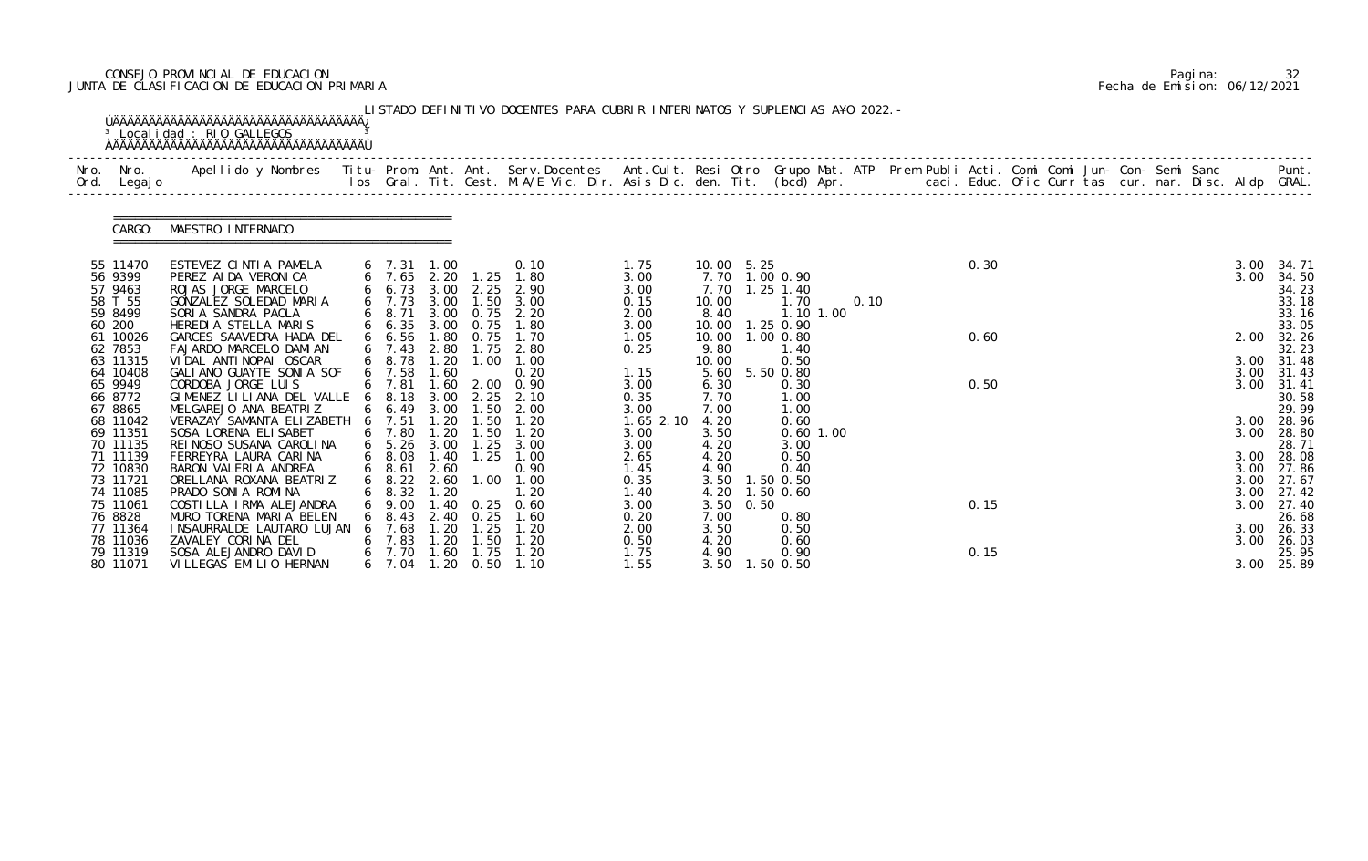# CONSEJO PROVINCIAL DE EDUCACION Pagina: 32 JUNTA DE CLASIFICACION DE EDUCACION PRIMARIA Fecha de Emision: 06/12/2021

| 55 11470                                           | CARGO: | MAESTRO INTERNADO                                                                                                                            |                                                        |                      |                                           |                                                                                               |                                              |                                              |      |                                                                 | Apellido y Nombres  Titu- Prom. Ant. Ant.  Serv.Docentes  Ant.Cult. Resi Otro  Grupo Mat. ATP  Prem Publi Acti. Comi Comi Jun- Con- Semi Sanc              Punt.<br>Ios Gral. Tit. Gest. M.A/E Vic. Dir. Asis Dic. den. Tit. (bcd |  |      |  |  |  |                      |                                                     |
|----------------------------------------------------|--------|----------------------------------------------------------------------------------------------------------------------------------------------|--------------------------------------------------------|----------------------|-------------------------------------------|-----------------------------------------------------------------------------------------------|----------------------------------------------|----------------------------------------------|------|-----------------------------------------------------------------|-----------------------------------------------------------------------------------------------------------------------------------------------------------------------------------------------------------------------------------|--|------|--|--|--|----------------------|-----------------------------------------------------|
|                                                    |        |                                                                                                                                              |                                                        |                      |                                           |                                                                                               |                                              |                                              |      |                                                                 |                                                                                                                                                                                                                                   |  |      |  |  |  |                      |                                                     |
| 56 9399<br>57 9463<br>58 T 55<br>59 8499<br>60 200 |        | ESTEVEZ CINTIA PAMELA<br>PEREZ AI DA VERONICA<br>ROJAS JORGE MARCELO<br>GONZALEZ SOLEDAD MARIA<br>SORIA SANDRA PAOLA<br>HEREDIA STELLA MARIS | $6$ 7.31 1.00<br>6 7.73<br>6 8.71<br>$6\quad 6.35$     | 3.00<br>3.00         | 0.75                                      | 0.10<br>6 7.65 2.20 1.25 1.80<br>6 6.73 3.00 2.25 2.90<br>1.50 3.00<br>3.00 0.75 2.20<br>1.80 | 1.75<br>3.00<br>3.00<br>0.15<br>2.00<br>3.00 | 10.00 5.25<br>7.70<br>10.00<br>8.40<br>10.00 |      | 7.70 1.00 0.90<br>$1.25$ 1.40<br>1.70<br>1.10 1.00<br>1.25 0.90 | 0.10                                                                                                                                                                                                                              |  | 0.30 |  |  |  | 3.00<br>3.00         | 34. 71<br>34.50<br>34.23<br>33.18<br>33.16<br>33.05 |
| 61 10026<br>62 7853<br>63 11315                    |        | GARCES SAAVEDRA HADA DEL<br>FAJARDO MARCELO DAMIAN<br>VIDAL ANTINOPAI OSCAR                                                                  | 66.56<br>$6\quad 7.43$<br>6 8.78                       | 1.80<br>1.20         | 0.75<br>1.00                              | 1.70<br>2.80 1.75 2.80<br>1.00                                                                | 1.05<br>0.25                                 | 9.80<br>10.00                                |      | 10.00  1.00  0.80<br>1.40<br>0.50                               |                                                                                                                                                                                                                                   |  | 0.60 |  |  |  | 2.00<br>3.00         | 32.26<br>32.23<br>31.48                             |
| 64 10408<br>65 9949<br>66 8772<br>67 8865          |        | GALIANO GUAYTE SONIA SOF<br>CORDOBA JORGE LUIS<br>GIMENEZ LILIANA DEL VALLE<br>MELGAREJO ANA BEATRIZ                                         | $6$ 7.58<br>$6$ 7.81<br>$6\quad 8.18$<br>$6\quad 6.49$ | 1.60<br>3.00<br>3.00 | 2.25<br>1.50                              | 0.20<br>1.60 2.00 0.90<br>2.10<br>2.00                                                        | 1.15<br>3.00<br>0.35<br>3.00                 | 5.60<br>6.30<br>7.70<br>7.00                 |      | 5.50 0.80<br>0.30<br>1.00<br>1.00                               |                                                                                                                                                                                                                                   |  | 0.50 |  |  |  | 3.00<br>3.00         | 31.43<br>31.41<br>30.58<br>29.99                    |
| 68 11042<br>69 11351<br>70 11135                   |        | VERAZAY SAMANTA ELIZABETH<br>SOSA LORENA ELI SABET<br>REI NOSO SUSANA CAROLINA                                                               | 6 7.51<br>6 7.80<br>$6\quad 5.26$                      | 1.20<br>1.20<br>3.00 | 1.50<br>1.50<br>1.25                      | 1.20<br>1.20<br>3.00                                                                          | $1.65$ $2.10$<br>3.00<br>3.00                | 4.20<br>3.50<br>4.20                         |      | 0.60<br>$0.60$ 1.00<br>3.00                                     |                                                                                                                                                                                                                                   |  |      |  |  |  | 3.00                 | 3.00 28.96<br>28.80<br>28.71                        |
| 71 11139<br>72 10830<br>73 11721                   |        | FERREYRA LAURA CARINA<br>BARON VALERIA ANDREA<br>ORELLANA ROXANA BEATRIZ                                                                     | $6$ $8.08$<br>$6$ $8.61$<br>$6\quad 8.22\quad 2.60$    | 2.60                 |                                           | 1.40 1.25 1.00<br>0.90<br>$1.00$ $1.00$                                                       | 2.65<br>1.45<br>0.35                         | 4.20<br>4.90                                 |      | 0.50<br>0.40<br>3.50 1.50 0.50                                  |                                                                                                                                                                                                                                   |  |      |  |  |  | 3.00<br>3.00<br>3.00 | 28.08<br>27.86<br>27.67                             |
| 74 11085<br>75 11061<br>76 8828                    |        | PRADO SONI A ROMINA<br>COSTILLA IRMA ALEJANDRA<br>MURO TORENA MARIA BELEN                                                                    | 8.32<br>9.00<br>8.43                                   | 1. 20<br>40<br>2.40  | 0.25<br>0.25                              | 1.20<br>0.60<br>1.60                                                                          | 1. 40<br>3.00<br>0.20                        | 3.50<br>7.00                                 | 0.50 | 4.20 1.50 0.60<br>0.80                                          |                                                                                                                                                                                                                                   |  | 0.15 |  |  |  | 3.00                 | 3.00 27.42<br>27.40<br>26.68                        |
| 77 11364<br>78 11036<br>79 11319<br>80 11071       |        | I NSAURRALDE LAUTARO LUJAN<br>ZAVALEY CORINA DEL<br>SOSA ALEJANDRO DAVID<br>VILLEGAS EMILIO HERNAN                                           | 7.68<br>7.83<br>7.70<br>6 7.04                         | 1.20<br>. 20<br>.60  | 1.25<br>. 50<br>1.75<br>$1.20 \quad 0.50$ | 1.20<br>1.20<br>1.20<br>1.10                                                                  | 2.00<br>0.50<br>1.75<br>1.55                 | 3.50<br>4.20<br>4.90<br>3.50                 |      | 0.50<br>0.60<br>0.90<br>1.50 0.50                               |                                                                                                                                                                                                                                   |  | 0.15 |  |  |  | 3.00<br>3.00         | 26.33<br>26.03<br>25.95<br>3.00 25.89               |

|  | Pagi na: |                              |
|--|----------|------------------------------|
|  |          | Fecha de Emision: 06/12/2021 |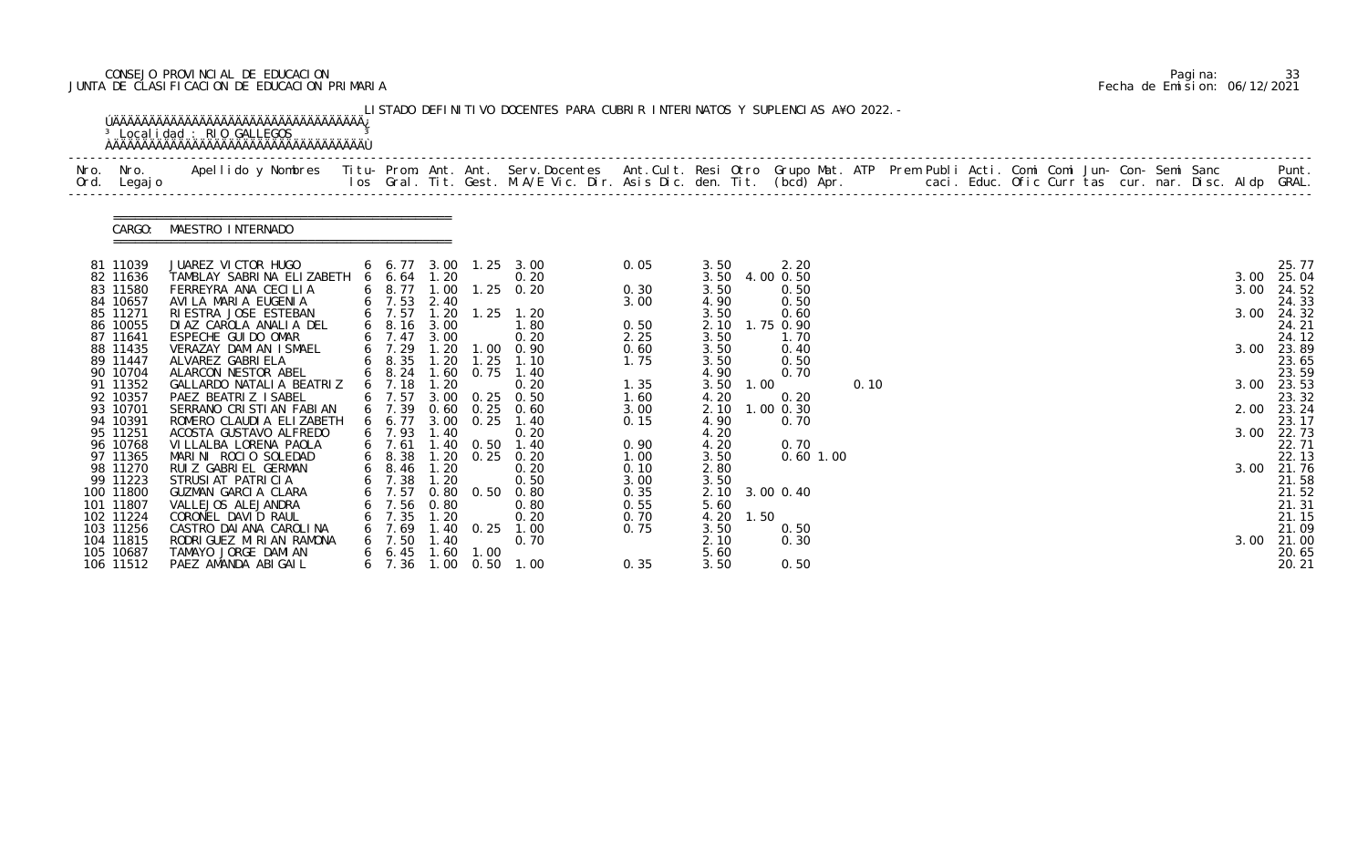# CONSEJO PROVINCIAL DE EDUCACION Pagina: 33 JUNTA DE CLASIFICACION DE EDUCACION PRIMARIA Fecha de Emision: 06/12/2021

| Nro.<br>Ord. | Nro.<br>Legaj o        | Apellido y Nombres  Titu- Prom. Ant. Ant. Serv.Docentes  Ant.Cult. Resi Otro Grupo Mat. ATP Prem Publi Acti. Comi Comi Jun- Con- Semi Sanc           Punt.<br>Ios Gral. Tit. Gest. M.A/E Vic. Dir. Asis Dic. den. Tit. (bcd) Apr. |                          |              |                       |                        |              |              |      |                        |      |  |  |  |  |              |                     |
|--------------|------------------------|-----------------------------------------------------------------------------------------------------------------------------------------------------------------------------------------------------------------------------------|--------------------------|--------------|-----------------------|------------------------|--------------|--------------|------|------------------------|------|--|--|--|--|--------------|---------------------|
|              | CARGO:                 | MAESTRO INTERNADO                                                                                                                                                                                                                 |                          |              |                       |                        |              |              |      |                        |      |  |  |  |  |              |                     |
|              | 81 11039               | JUAREZ VICTOR HUGO                                                                                                                                                                                                                |                          |              |                       | 6 6.77 3.00 1.25 3.00  | 0.05         | 3.50         |      | 2.20                   |      |  |  |  |  |              | 25.77               |
|              | 82 11636<br>83 11580   | TAMBLAY SABRINA ELIZABETH 6 6.64 1.20<br>FERREYRA ANA CECILIA                                                                                                                                                                     | 6 8.77 1.00              |              |                       | 0.20<br>$1.25 \t 0.20$ | 0.30         | 3.50         |      | 3.50 4.00 0.50<br>0.50 |      |  |  |  |  | 3.00<br>3.00 | 25.04<br>24.52      |
|              | 84 10657               | AVILA MARIA EUGENIA                                                                                                                                                                                                               | $6$ 7.53 2.40            |              |                       |                        | 3.00         | 4.90         |      | 0.50                   |      |  |  |  |  |              | 24.33               |
|              | 85 11271               | RI ESTRA JOSE ESTEBAN                                                                                                                                                                                                             | 6 7.57                   | 1.20         |                       | $1.25$ 1.20            |              | 3.50         |      | 0.60                   |      |  |  |  |  | 3.00         | 24.32               |
|              | 86 10055               | DIAZ CAROLA ANALIA DEL                                                                                                                                                                                                            | $6\quad 8.16$            | 3.00         |                       | 1.80                   | 0.50         | 2.10         |      | 1.75 0.90              |      |  |  |  |  |              | 24.21               |
|              | 87 11641<br>88 11435   | ESPECHE GUI DO OMAR<br>VERAZAY DAMIAN ISMAEL                                                                                                                                                                                      | $6$ 7.47<br>6 7.29       | 3.00<br>1.20 |                       | 0.20<br>1.00 0.90      | 2.25<br>0.60 | 3.50<br>3.50 |      | 1.70<br>0.40           |      |  |  |  |  | 3.00         | 24.12<br>23.89      |
|              | 89 11447               | ALVAREZ GABRI ELA                                                                                                                                                                                                                 | $6\quad 8.35$            | 1.20         | 1.25                  | 1.10                   | 1.75         | 3.50         |      | 0.50                   |      |  |  |  |  |              | 23.65               |
|              | 90 10704               | ALARCON NESTOR ABEL                                                                                                                                                                                                               | $6\quad 8.24$            | 1.60         | 0.75                  | 1.40                   |              | 4.90         |      | 0.70                   |      |  |  |  |  |              | 23.59               |
|              | 91 11352               | GALLARDO NATALIA BEATRIZ                                                                                                                                                                                                          | $6$ 7.18                 | 1.20         |                       | 0.20                   | 1.35         | 3.50         | 1.00 |                        | 0.10 |  |  |  |  |              | 3.00 23.53          |
|              | 92 10357<br>93 10701   | PAEZ BEATRIZ ISABEL<br>SERRANO CRISTIAN FABIAN                                                                                                                                                                                    | $6$ 7.57<br>$6$ 7.39     | 3.00         | 0.25<br>$0.60$ $0.25$ | 0.50<br>0.60           | 1.60<br>3.00 | 4.20<br>2.10 |      | 0.20<br>$1.00$ 0.30    |      |  |  |  |  |              | 23.32<br>2.00 23.24 |
|              | 94 10391               | ROMERO CLAUDI A ELIZABETH                                                                                                                                                                                                         | 6 6.77                   |              | 3.00 0.25             | 1.40                   | 0.15         | 4.90         |      | 0.70                   |      |  |  |  |  |              | 23.17               |
|              | 95 11251               | ACOSTA GUSTAVO ALFREDO                                                                                                                                                                                                            | 6 7.93                   | 1.40         |                       | 0.20                   |              | 4.20         |      |                        |      |  |  |  |  | 3.00         | 22.73               |
|              | 96 10768               | VI LLALBA LORENA PAOLA                                                                                                                                                                                                            | $6$ 7.61                 |              | 1.40 0.50             | 1.40                   | 0.90         | 4.20         |      | 0.70                   |      |  |  |  |  |              | 22.71               |
|              | 97 11365<br>98 11270   | MARINI ROCIO SOLEDAD<br>RUIZ GABRIEL GERMAN                                                                                                                                                                                       | $6$ $8.38$<br>$6$ $8.46$ | 1.20         |                       | 1.20 0.25 0.20<br>0.20 | 1.00<br>0.10 | 3.50<br>2.80 |      | $0.60$ 1.00            |      |  |  |  |  | 3.00         | 22.13<br>21.76      |
|              | 99 11223               | STRUSI AT PATRICIA                                                                                                                                                                                                                | $6$ 7.38                 | 1.20         |                       | 0.50                   | 3.00         | 3.50         |      |                        |      |  |  |  |  |              | 21.58               |
|              | 100 11800              | GUZMAN GARCIA CLARA                                                                                                                                                                                                               | 6 7.57                   | 0.80         | 0.50                  | 0.80                   | 0.35         |              |      | 2.10 3.00 0.40         |      |  |  |  |  |              | 21.52               |
|              | 101 11807              | VALLEJOS ALEJANDRA                                                                                                                                                                                                                | 7.56                     | 0.80         |                       | 0.80                   | 0.55         | 5.60         |      |                        |      |  |  |  |  |              | 21.31               |
|              | 102 11224              | CORONEL DAVID RAUL                                                                                                                                                                                                                | 7.35                     | 1.20         |                       | 0.20                   | 0.70         | 4.20         | 1.50 |                        |      |  |  |  |  |              | 21.15               |
|              | 103 11256<br>104 11815 | CASTRO DAI ANA CAROLINA<br>RODRI GUEZ MI RI AN RAMONA                                                                                                                                                                             | 6, 7.69<br>7.50          | 1.40<br>. 40 | 0.25                  | 1.00<br>0.70           | 0.75         | 3.50<br>2.10 |      | 0.50<br>0.30           |      |  |  |  |  | 3.00         | 21.09<br>21.00      |
|              | 105 10687              | TAMAYO JORGE DAMIAN                                                                                                                                                                                                               | $6\quad 6.45$            | 1.60         | 1.00                  |                        |              | 5.60         |      |                        |      |  |  |  |  |              | 20.65               |
|              | 106 11512              | PAEZ AMANDA ABIGAIL                                                                                                                                                                                                               | $6\quad 7.36$            |              | $1.00 \quad 0.50$     | 1.00                   | 0.35         | 3.50         |      | 0.50                   |      |  |  |  |  |              | 20.21               |

|  | Pagi na: | 33                           |
|--|----------|------------------------------|
|  |          | Fecha de Emision: 06/12/2021 |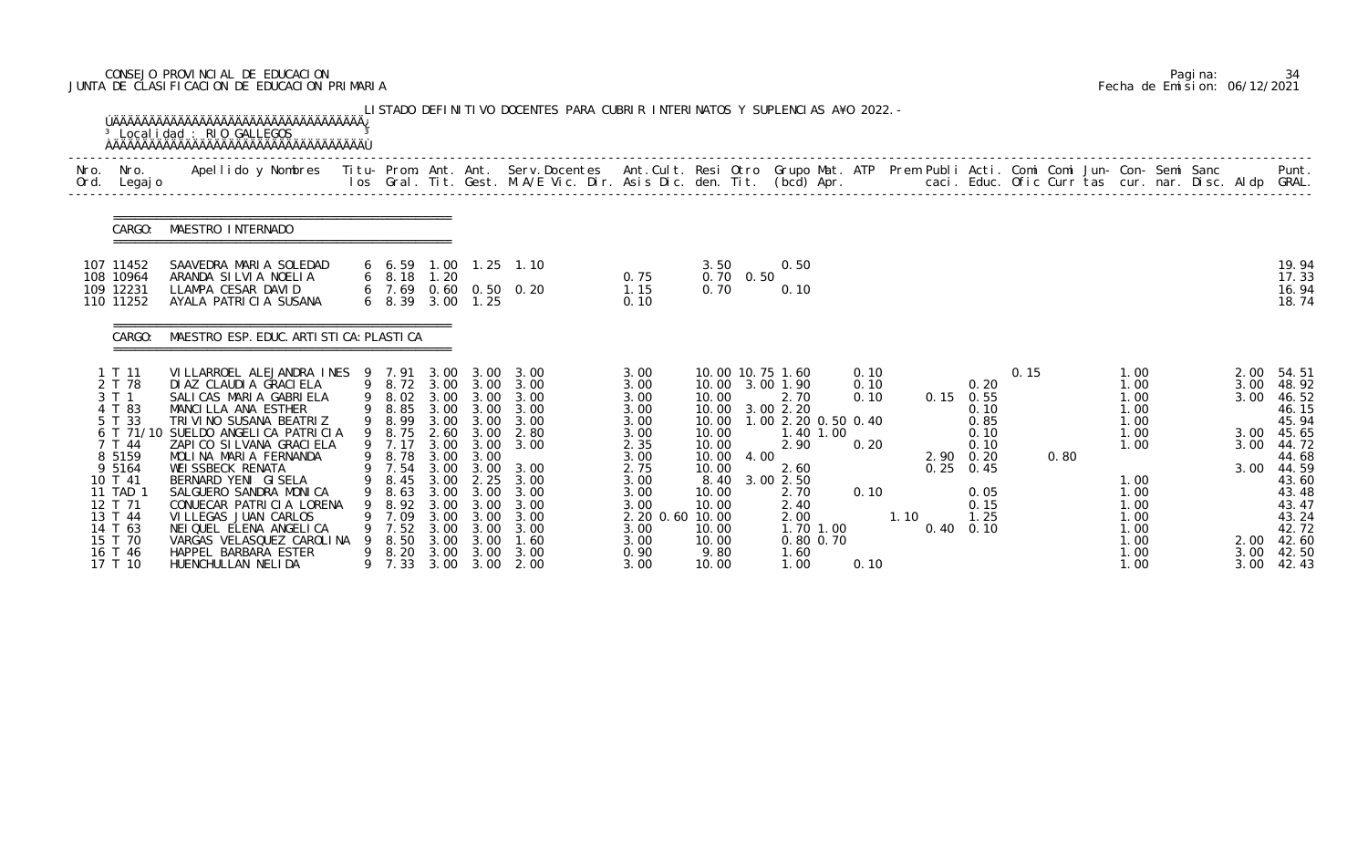# CONSEJO PROVINCIAL DE EDUCACION Pagina: 34 JUNTA DE CLASIFICACION DE EDUCACION PRIMARIA Fecha de Emision: 06/12/2021

| Nro.<br>Ord. | Nro.<br>Legaj o                                                                                                                       | <sup>3</sup> Localidad : RIO GALLEGOS<br>Apellido y Nombres Titu- Prom. Ant. Ant. Serv.Docentes Ant.Cult. Resi Otro Grupo Mat. ATP Prem Publi Acti. Comi Comi Jun- Con- Semi Sanc                                                                                                                                                                    |   |                                                                                            |                                                              |                                                                                                         | los Gral. Tit. Gest. M.A/E Vic. Dir. Asis Dic. den. Tit. (bcd) Apr.       caci. Educ. Ofic Curr tas cur. nar. Disc. Aldp GRAL. |                                                                                                                 |                                                             |                   |                                                                                                                                                              |                                      |      |      |                                                                                                          |      |      |                                                                                      |  |                                              | Punt.                                                                                                             |
|--------------|---------------------------------------------------------------------------------------------------------------------------------------|------------------------------------------------------------------------------------------------------------------------------------------------------------------------------------------------------------------------------------------------------------------------------------------------------------------------------------------------------|---|--------------------------------------------------------------------------------------------|--------------------------------------------------------------|---------------------------------------------------------------------------------------------------------|--------------------------------------------------------------------------------------------------------------------------------|-----------------------------------------------------------------------------------------------------------------|-------------------------------------------------------------|-------------------|--------------------------------------------------------------------------------------------------------------------------------------------------------------|--------------------------------------|------|------|----------------------------------------------------------------------------------------------------------|------|------|--------------------------------------------------------------------------------------|--|----------------------------------------------|-------------------------------------------------------------------------------------------------------------------|
|              | CARGO:                                                                                                                                | MAESTRO INTERNADO                                                                                                                                                                                                                                                                                                                                    |   |                                                                                            |                                                              |                                                                                                         |                                                                                                                                |                                                                                                                 |                                                             |                   |                                                                                                                                                              |                                      |      |      |                                                                                                          |      |      |                                                                                      |  |                                              |                                                                                                                   |
|              | 107 11452<br>108 10964<br>109 12231<br>110 11252                                                                                      | SAAVEDRA MARIA SOLEDAD<br>ARANDA SILVIA NOELIA<br>LLAMPA CESAR DAVID<br>AYALA PATRICIA SUSANA                                                                                                                                                                                                                                                        |   | 6 6.59<br>$6\quad 8.18$<br>6 7.69<br>$6\quad 8.39$                                         | 1.20<br>3.00                                                 | 1.25                                                                                                    | 1.00 1.25 1.10<br>0.60 0.50 0.20                                                                                               | 0.75<br>1.15<br>0.10                                                                                            | 3.50<br>0.70                                                | $0.70 \quad 0.50$ | 0.50<br>0.10                                                                                                                                                 |                                      |      |      |                                                                                                          |      |      |                                                                                      |  |                                              | 19.94<br>17.33<br>16.94<br>18.74                                                                                  |
|              | CARGO:                                                                                                                                | MAESTRO ESP. EDUC. ARTI STI CA: PLASTI CA                                                                                                                                                                                                                                                                                                            |   |                                                                                            |                                                              |                                                                                                         |                                                                                                                                |                                                                                                                 |                                                             |                   |                                                                                                                                                              |                                      |      |      |                                                                                                          |      |      |                                                                                      |  |                                              |                                                                                                                   |
|              | 1 T 11<br>2 T 78<br>3 T 1<br>4 T 83<br>5 T 33<br>6 T 71/10<br>7 T 44<br>8 5159<br>9 5164<br>10 T 41<br>11 TAD 1<br>12 T 71<br>13 T 44 | VILLARROEL ALEJANDRA INES 9 7.91<br>DI AZ CLAUDI A GRACI ELA<br>SALICAS MARIA GABRIELA<br>MANCILLA ANA ESTHER<br>TRIVINO SUSANA BEATRIZ<br>SUELDO ANGELICA PATRICIA<br>ZAPI CO SI LVANA GRACI ELA<br>MOLINA MARIA FERNANDA<br>WEI SSBECK RENATA<br>BERNARD YENI GISELA<br>SALGUERO SANDRA MONICA<br>CONUECAR PATRICIA LORENA<br>VILLEGAS JUAN CARLOS |   | 9 8.85<br>9 8.99<br>9 8.75<br>9 7.17<br>9 8.78<br>9 7.54<br>9 8.45<br>8.63<br>8.92<br>7.09 | 3.00<br>3.00<br>2.60<br>3.00<br>3.00<br>3.00<br>3.00<br>3.00 | 3.00<br>3.00<br>3.00 3.00<br>3.00<br>3.00<br>3.00 3.00<br>3.00<br>$3.00$ $2.25$<br>3.00<br>3.00<br>3.00 | 3.00<br>9 8.72 3.00 3.00 3.00<br>9 8.02 3.00 3.00 3.00<br>3.00<br>3.00<br>2.80<br>3.00<br>3.00<br>3.00<br>3.00<br>3.00<br>3.00 | 3.00<br>3.00<br>3.00<br>3.00<br>3.00<br>3.00<br>2.35<br>3.00<br>2.75<br>3.00<br>3.00<br>3.00<br>2.20 0.60 10.00 | 10.00<br>10.00<br>10.00<br>10.00<br>10.00<br>10.00<br>10.00 | 10.00 4.00        | 10.00 10.75 1.60<br>10.00 3.00 1.90<br>2.70<br>10.00 3.00 2.20<br>1.00 2.20 0.50 0.40<br>1.40 1.00<br>2.90<br>2.60<br>8.40 3.00 2.50<br>2.70<br>2.40<br>2.00 | 0.10<br>0.10<br>0.10<br>0.20<br>0.10 | 1.10 | 0.25 | 0.20<br>$0.15$ 0.55<br>0.10<br>0.85<br>0.10<br>0.10<br>$2.90 \quad 0.20$<br>0.45<br>0.05<br>0.15<br>1.25 | 0.15 | 0.80 | 1.00<br>1.00<br>1.00<br>1.00<br>1.00<br>1.00<br>1.00<br>1.00<br>1.00<br>1.00<br>1.00 |  | 2.00<br>3.00<br>3.00<br>3.00<br>3.00<br>3.00 | 54.51<br>48.92<br>46.52<br>46.15<br>45.94<br>45.65<br>44.72<br>44.68<br>44.59<br>43.60<br>43.48<br>43.47<br>43.24 |
|              | 14 T 63<br>15 T 70<br>16 T 46<br>17 T 10                                                                                              | NEI QUEL ELENA ANGELICA<br>VARGAS VELASQUEZ CAROLINA<br>HAPPEL BARBARA ESTER<br>HUENCHULLAN NELIDA                                                                                                                                                                                                                                                   | 9 | 7.52<br>8.50<br>8.20<br>9 7.33                                                             | 3.00<br>3.00<br>3.00<br>3.00                                 | 3.00<br>3.00<br>3.00                                                                                    | 3.00<br>1.60<br>3.00<br>3.00 2.00                                                                                              | 3.00<br>3.00<br>0.90<br>3.00                                                                                    | 10.00<br>10.00<br>9.80<br>10.00                             |                   | 1.70 1.00<br>0.80 0.70<br>1.60<br>1.00                                                                                                                       | 0.10                                 |      |      | $0.40 \quad 0.10$                                                                                        |      |      | 1.00<br>1.00<br>1.00<br>1.00                                                         |  | 2.00<br>3.00<br>3.00                         | 42.72<br>42.60<br>42.50<br>42.43                                                                                  |

|  | Pagi na: | 34                           |
|--|----------|------------------------------|
|  |          | Fecha de Emision: 06/12/2021 |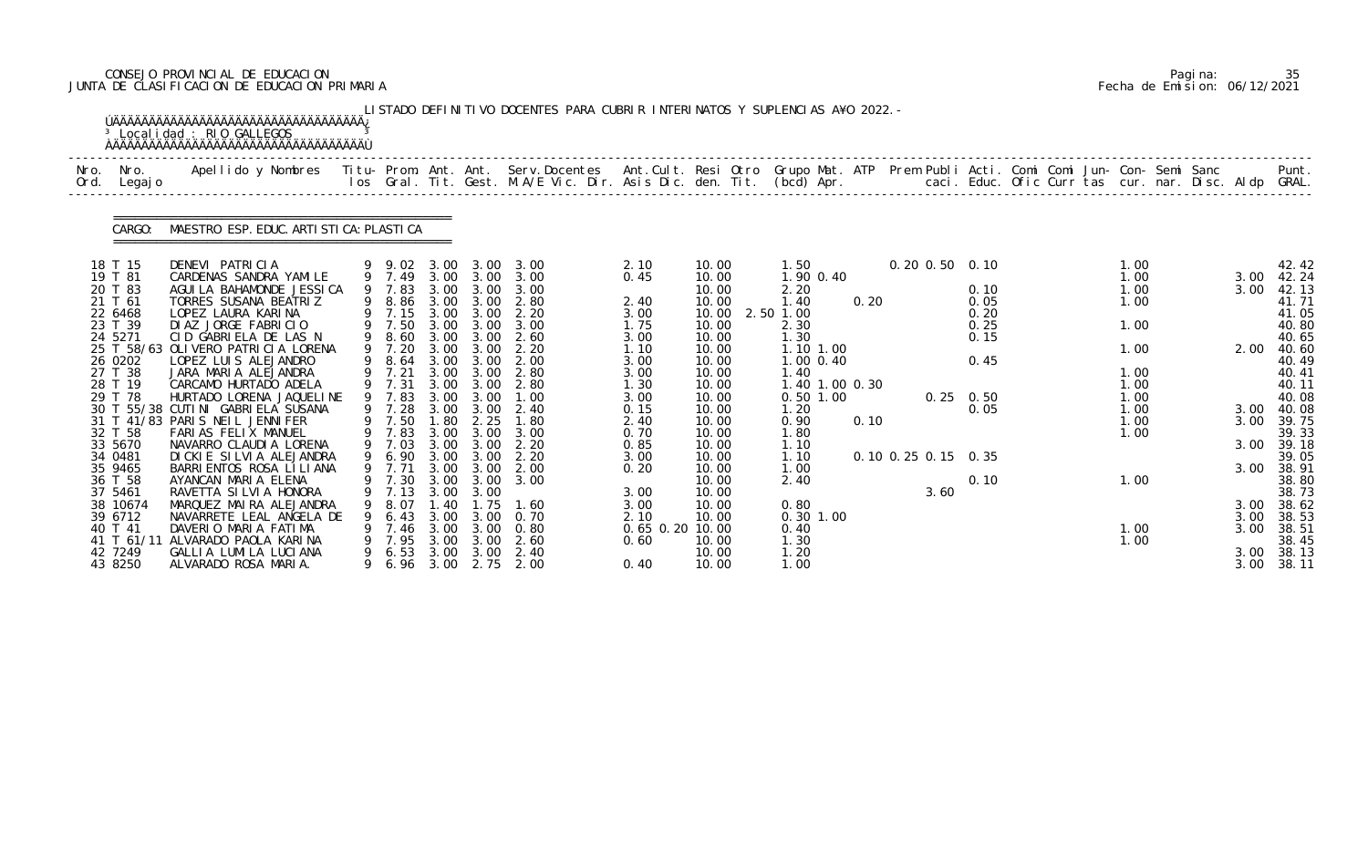# CONSEJO PROVINCIAL DE EDUCACION Pagina: 35 JUNTA DE CLASIFICACION DE EDUCACION PRIMARIA Fecha de Emision: 06/12/2021

|              |                    | <sup>3</sup> Localidad : RIO GALLEGOS                                                                                                          |   |                  |              |                   | LISTADO DEFINITIVO DOCENTES PARA CUBRIR INTERINATOS Y SUPLENCIAS A¥O 2022. -                                                   |                 |                |                   |      |                      |              |  |      |  |      |                |
|--------------|--------------------|------------------------------------------------------------------------------------------------------------------------------------------------|---|------------------|--------------|-------------------|--------------------------------------------------------------------------------------------------------------------------------|-----------------|----------------|-------------------|------|----------------------|--------------|--|------|--|------|----------------|
| Nro.<br>Ord. | Nro.<br>Legaj o    | Apellido y Nombres - Titu- Prom. Ant. Ant. Serv.Docentes - Ant.Cult. Resi Otro Grupo Mat. ATP - Prem Publi Acti. Comi Comi Jun- Con- Semi Sanc |   |                  |              |                   | los Gral. Tit. Gest. M.A/E Vic. Dir. Asis Dic. den. Tit. (bcd) Apr.       caci. Educ. Ofic Curr tas cur. nar. Disc. Aldp GRAL. |                 |                |                   |      |                      |              |  |      |  |      | Punt.          |
|              | CARGO:             | MAESTRO ESP. EDUC. ARTI STI CA: PLASTI CA                                                                                                      |   |                  |              |                   |                                                                                                                                |                 |                |                   |      |                      |              |  |      |  |      |                |
|              | 18 T 15            | DENEVI PATRICIA                                                                                                                                |   | 9 9.02           | 3.00         | 3.00              | 3.00                                                                                                                           | 2.10            | 10.00          | 1.50              |      | $0.20$ $0.50$ $0.10$ |              |  | 1.00 |  |      | 42.42          |
|              | 19 T 81            | CARDENAS SANDRA YAMILE                                                                                                                         |   | 9 7.49           | 3.00         | 3.00              | 3.00                                                                                                                           | 0.45            | 10.00          | 1.90 0.40         |      |                      |              |  | 1.00 |  | 3.00 | 42.24          |
|              | 20 T 83            | AGUI LA BAHAMONDE JESSI CA                                                                                                                     |   | 9 7.83           | 3.00         | 3.00              | 3.00                                                                                                                           |                 | 10.00          | 2.20              |      |                      | 0.10         |  | 1.00 |  | 3.00 | 42.13          |
|              | 21 T 61            | TORRES SUSANA BEATRIZ                                                                                                                          |   | 9 8.86           | 3.00         | 3.00              | 2.80                                                                                                                           | 2.40            | 10.00          | 1.40              | 0.20 |                      | 0.05         |  | 1.00 |  |      | 41.71          |
|              | 22 6468<br>23 T 39 | LOPEZ LAURA KARINA<br>DIAZ JORGE FABRICIO                                                                                                      |   | 9 7.15<br>9 7.50 | 3.00<br>3.00 | 3.00<br>3.00      | 2.20<br>3.00                                                                                                                   | 3.00<br>1.75    | 10.00<br>10.00 | 2.50 1.00<br>2.30 |      |                      | 0.20<br>0.25 |  | 1.00 |  |      | 41.05<br>40.80 |
|              | 24 5271            | CID GABRIELA DE LAS N                                                                                                                          | 9 | 8.60             | 3.00         | 3.00              | 2.60                                                                                                                           | 3.00            | 10.00          | 1.30              |      |                      | 0.15         |  |      |  |      | 40.65          |
|              |                    | 25 T 58/63 OLIVERO PATRICIA LORENA                                                                                                             |   | 9 7.20           | 3.00         | 3.00              | 2.20                                                                                                                           | 1.10            | 10.00          | 1.10 1.00         |      |                      |              |  | 1.00 |  | 2.00 | 40.60          |
|              | 26 0202            | LOPEZ LUIS ALEJANDRO                                                                                                                           |   | 8.64             | 3.00         | 3.00              | 2.00                                                                                                                           | 3.00            | 10.00          | 1.00 0.40         |      |                      | 0.45         |  |      |  |      | 40.49          |
|              | 27 T 38            | JARA MARIA ALEJANDRA                                                                                                                           |   | 9 7.21           | 3.00         | 3.00              | 2.80                                                                                                                           | 3.00            | 10.00          | 1.40              |      |                      |              |  | 1.00 |  |      | 40.41          |
|              | 28 T 19            | CARCAMO HURTADO ADELA                                                                                                                          |   | 9 7.31           | 3.00         | 3.00              | 2.80                                                                                                                           | 1.30            | 10.00          | 1.40 1.00 0.30    |      |                      |              |  | 1.00 |  |      | 40.11          |
|              | 29 T 78            | HURTADO LORENA JAQUELINE                                                                                                                       |   | 9 7.83           | 3.00         | 3.00              | 1.00                                                                                                                           | 3.00            | 10.00          | 0.50 1.00         |      | $0.25 \quad 0.50$    |              |  | 1.00 |  |      | 40.08          |
|              |                    | 30 T 55/38 CUTINI GABRIELA SUSANA                                                                                                              |   | 9 7.28           | 3.00         | 3.00              | 2.40                                                                                                                           | 0.15            | 10.00          | 1.20              |      |                      | 0.05         |  | 1.00 |  | 3.00 | 40.08          |
|              |                    | 31 T 41/83 PARIS NEIL JENNIFER                                                                                                                 |   | 9 7.50           | 1.80         | 2.25              | 1.80                                                                                                                           | 2.40            | 10.00          | 0.90              | 0.10 |                      |              |  | 1.00 |  | 3.00 | 39.75          |
|              | 32 T 58<br>33 5670 | FARIAS FELIX MANUEL                                                                                                                            | 9 | 7.83<br>7.03     | 3.00<br>3.00 | 3.00              | 3.00<br>2.20                                                                                                                   | 0.70            | 10.00          | 1.80              |      |                      |              |  | 1.00 |  | 3.00 | 39.33          |
|              | 34 0481            | NAVARRO CLAUDIA LORENA<br>DICKIE SILVIA ALEJANDRA                                                                                              | 9 | 6.90             | 3.00         | 3.00<br>3.00      | 2.20                                                                                                                           | 0.85<br>3.00    | 10.00<br>10.00 | 1.10<br>1.10      |      | 0.10 0.25 0.15 0.35  |              |  |      |  |      | 39.18<br>39.05 |
|              | 35 9465            | BARRI ENTOS ROSA LI LI ANA                                                                                                                     |   | 9 7.71           | 3.00         | 3.00              | 2.00                                                                                                                           | 0.20            | 10.00          | 1.00              |      |                      |              |  |      |  | 3.00 | 38.91          |
|              | 36 T 58            | AYANCAN MARIA ELENA                                                                                                                            |   | 9 7.30           |              | $3.00 \quad 3.00$ | 3.00                                                                                                                           |                 | 10.00          | 2.40              |      |                      | 0.10         |  | 1.00 |  |      | 38.80          |
|              | 37 5461            | RAVETTA SI LVI A HONORA                                                                                                                        |   | 7.13             | 3.00         | 3.00              |                                                                                                                                | 3.00            | 10.00          |                   |      | 3.60                 |              |  |      |  |      | 38.73          |
|              | 38 10674           | MARQUEZ MAIRA ALEJANDRA                                                                                                                        |   | 8.07             | 40           | . 75              | 1.60                                                                                                                           | 3.00            | 10.00          | 0.80              |      |                      |              |  |      |  |      | 3.00 38.62     |
|              | 39 6712            | NAVARRETE LEAL ANGELA DE                                                                                                                       |   | 6.43             | 3.00         | 3.00              | 0.70                                                                                                                           | 2.10            | 10.00          | $0.30$ 1.00       |      |                      |              |  |      |  | 3.00 | 38.53          |
|              | 40 T 41            | DAVERIO MARIA FATIMA                                                                                                                           |   | 7.46             | 3.00         | 3.00              | 0.80                                                                                                                           | 0.65 0.20 10.00 |                | 0.40              |      |                      |              |  | 1.00 |  | 3.00 | 38.51          |
|              | 41 T 61/11         | ALVARADO PAOLA KARINA                                                                                                                          |   | 7.95             | 3.00         | 3.00              | 2.60                                                                                                                           | 0.60            | 10.00          | 1. 30             |      |                      |              |  | 1.00 |  |      | 38.45          |
|              | 42 7249            | GALLIA LUMILA LUCIANA                                                                                                                          | 9 | 6.53             | 3.00         | 3.00              | 2.40                                                                                                                           |                 | 10.00          | 1. 20             |      |                      |              |  |      |  |      | 3.00 38.13     |
|              | 43 8250            | ALVARADO ROSA MARIA.                                                                                                                           |   | 6.96             |              |                   | 3.00 2.75 2.00                                                                                                                 | 0.40            | 10.00          | 1.00              |      |                      |              |  |      |  |      | 3.00 38.11     |

|  | Pagi na: | 35                           |
|--|----------|------------------------------|
|  |          | Fecha de Emision: 06/12/2021 |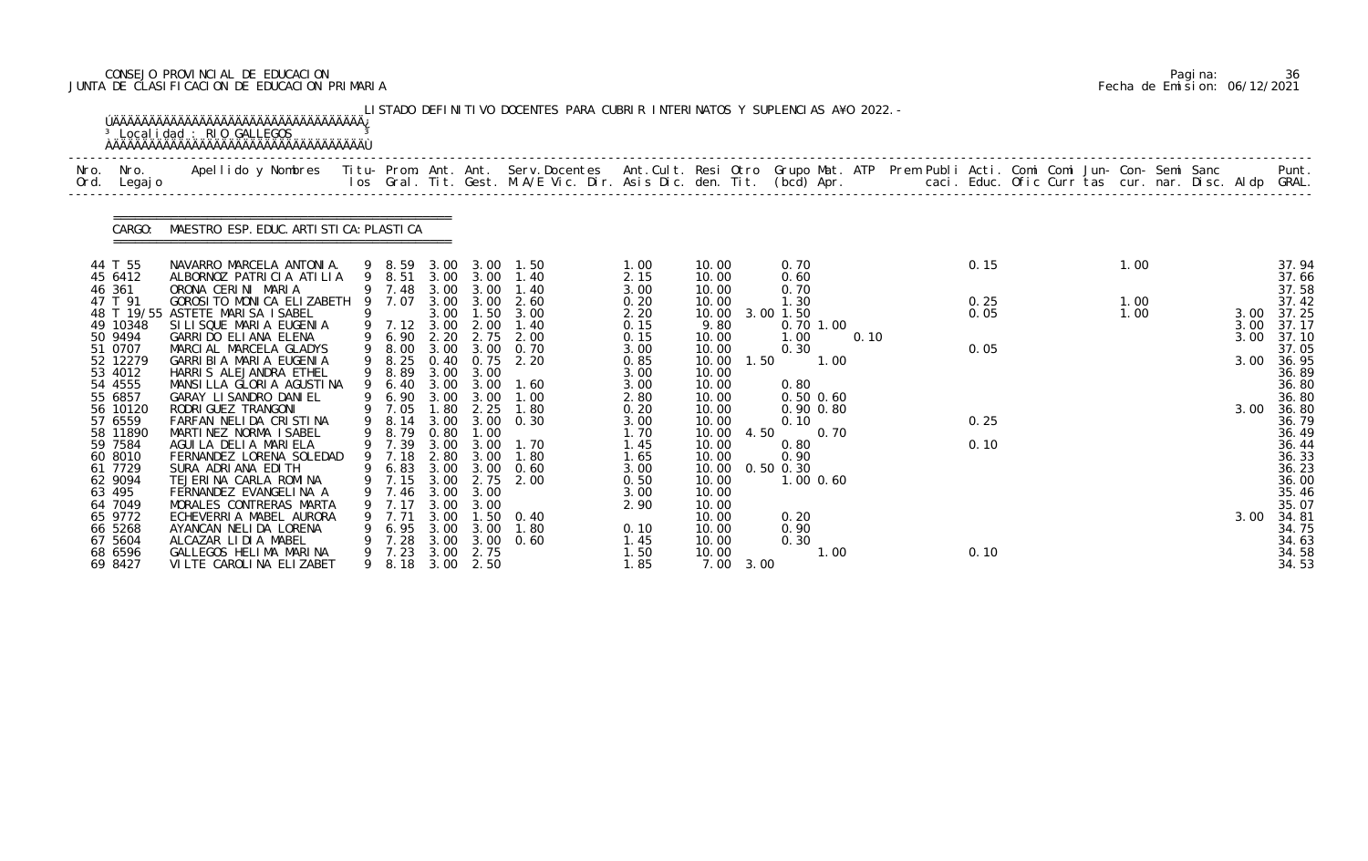# CONSEJO PROVINCIAL DE EDUCACION Pagina: 36 JUNTA DE CLASIFICACION DE EDUCACION PRIMARIA Fecha de Emision: 06/12/2021

|              |                     | <sup>3</sup> Localidad : RIO GALLEGOS                                                                                                                                                                                             |     |                            |              |                   | LISTADO DEFINITIVO DOCENTES PARA CUBRIR INTERINATOS Y SUPLENCIAS A¥O 2022. - |              |                |                            |      |      |  |      |  |      |                |
|--------------|---------------------|-----------------------------------------------------------------------------------------------------------------------------------------------------------------------------------------------------------------------------------|-----|----------------------------|--------------|-------------------|------------------------------------------------------------------------------|--------------|----------------|----------------------------|------|------|--|------|--|------|----------------|
| Nro.<br>Ord. | Nro.<br>Legaj o     | Apellido y Nombres  Titu- Prom. Ant. Ant. Serv.Docentes  Ant.Cult. Resi Otro Grupo Mat. ATP Prem Publi Acti. Comi Comi Jun- Con- Semi Sanc           Punt.<br>Ios Gral. Tit. Gest. M.A/E Vic. Dir. Asis Dic. den. Tit. (bcd) Apr. |     |                            |              |                   |                                                                              |              |                |                            |      |      |  |      |  |      |                |
|              | CARGO:              | MAESTRO ESP. EDUC. ARTI STI CA: PLASTI CA                                                                                                                                                                                         |     |                            |              |                   |                                                                              |              |                |                            |      |      |  |      |  |      |                |
|              | 44 T 55<br>45 6412  | NAVARRO MARCELA ANTONIA.<br>ALBORNOZ PATRICIA ATILIA                                                                                                                                                                              |     | 9 8.59<br>9 8.51           |              | 3.00 3.00         | 1.50<br>1.40                                                                 | 1.00         | 10.00          | 0.70                       |      | 0.15 |  | 1.00 |  |      | 37.94<br>37.66 |
|              | 46 361              | ORONA CERINI MARIA                                                                                                                                                                                                                |     | 9 7.48                     | 3.00         | 3.00 3.00<br>3.00 | 1.40                                                                         | 2.15<br>3.00 | 10.00<br>10.00 | 0.60<br>0.70               |      |      |  |      |  |      | 37.58          |
|              | 47 T 91             | GOROSI TO MONICA ELIZABETH                                                                                                                                                                                                        | - 9 | 7.07                       | 3.00         | 3.00              | 2.60                                                                         | 0.20         | 10.00          | 1.30                       |      | 0.25 |  | 1.00 |  |      | 37.42          |
|              |                     | 48 T 19/55 ASTETE MARISA ISABEL                                                                                                                                                                                                   |     |                            | 3.00         | 1.50              | 3.00                                                                         | 2.20         | 10.00          | 3.00 1.50                  |      | 0.05 |  | 1.00 |  | 3.00 | 37.25          |
|              | 49 10348            | SILISQUE MARIA EUGENIA                                                                                                                                                                                                            |     | 9 7.12                     | 3.00         | 2.00              | 1.40                                                                         | 0.15         | 9.80           | 0.70 1.00                  |      |      |  |      |  | 3.00 | 37.17          |
|              | 50 9494             | GARRIDO ELIANA ELENA                                                                                                                                                                                                              |     | 9 6.90                     | 2.20         | 2.75              | 2.00                                                                         | 0.15         | 10.00          | 1.00                       | 0.10 |      |  |      |  | 3.00 | 37.10          |
|              | 51 0707             | MARCIAL MARCELA GLADYS                                                                                                                                                                                                            |     | 9 8.00                     |              |                   | 3.00 3.00 0.70                                                               | 3.00         | 10.00          | 0.30                       |      | 0.05 |  |      |  |      | 37.05          |
|              | 52 12279<br>53 4012 | GARRI BI A MARI A EUGENI A<br>HARRIS ALEJANDRA ETHEL                                                                                                                                                                              |     | 9 8.25<br>9 8.89           | 0.40<br>3.00 | 3.00              | $0.75$ 2.20                                                                  | 0.85<br>3.00 | 10.00<br>10.00 | 1.50<br>1.00               |      |      |  |      |  | 3.00 | 36.95<br>36.89 |
|              | 54 4555             | MANSILLA GLORIA AGUSTINA                                                                                                                                                                                                          |     | 6.40                       |              | $3.00 \quad 3.00$ | 1.60                                                                         | 3.00         | 10.00          | 0.80                       |      |      |  |      |  |      | 36.80          |
|              | 55 6857             | GARAY LI SANDRO DANI EL                                                                                                                                                                                                           |     | 6.90                       | 3.00         | 3.00              | 1.00                                                                         | 2.80         | 10.00          | $0.50$ $0.60$              |      |      |  |      |  |      | 36.80          |
|              | 56 10120            | RODRI GUEZ TRANGONI                                                                                                                                                                                                               |     | 9 7.05                     | 1.80         | 2.25              | 1.80                                                                         | 0.20         | 10.00          | $0.90$ $0.80$              |      |      |  |      |  | 3.00 | 36.80          |
|              | 57 6559             | FARFAN NELIDA CRISTINA                                                                                                                                                                                                            | 9   | 8.14                       | 3.00         | 3.00              | 0.30                                                                         | 3.00         | 10.00          | 0.10                       |      | 0.25 |  |      |  |      | 36.79          |
|              | 58 11890            | MARTINEZ NORMA ISABEL                                                                                                                                                                                                             |     | 8.79                       | 0.80         | 1.00              |                                                                              | 1.70         | 10.00          | 4.50<br>0.70               |      |      |  |      |  |      | 36.49          |
|              | 59 7584             | AGUILA DELIA MARIELA                                                                                                                                                                                                              |     | 9 7.39                     | 3.00         | 3.00              | 1.70                                                                         | 1.45         | 10.00          | 0.80                       |      | 0.10 |  |      |  |      | 36.44          |
|              | 60 8010<br>61 7729  | FERNANDEZ LORENA SOLEDAD<br>SURA ADRIANA EDITH                                                                                                                                                                                    |     | 9 7.18                     | 3.00         | 2.80 3.00<br>3.00 | 1.80<br>0.60                                                                 | 1.65         | 10.00          | 0.90                       |      |      |  |      |  |      | 36.33          |
|              | 62 9094             | TEJERINA CARLA ROMINA                                                                                                                                                                                                             |     | 9 6.83<br>9 7.15 3.00 2.75 |              |                   | 2.00                                                                         | 3.00<br>0.50 | 10.00<br>10.00 | $0.50$ $0.30$<br>1.00 0.60 |      |      |  |      |  |      | 36.23<br>36.00 |
|              | 63 495              | FERNANDEZ EVANGELINA A                                                                                                                                                                                                            |     | 7.46                       | 3.00         | 3.00              |                                                                              | 3.00         | 10.00          |                            |      |      |  |      |  |      | 35.46          |
|              | 64 7049             | MORALES CONTRERAS MARTA                                                                                                                                                                                                           |     |                            | 3.00         | 3.00              |                                                                              | 2.90         | 10.00          |                            |      |      |  |      |  |      | 35.07          |
|              | 65 9772             | ECHEVERRIA MABEL AURORA                                                                                                                                                                                                           |     | 7.71                       | 3.00         | 1.50              | 0.40                                                                         |              | 10.00          | 0.20                       |      |      |  |      |  | 3.00 | 34.81          |
|              | 66 5268             | AYANCAN NELIDA LORENA                                                                                                                                                                                                             |     | 6.95                       | 3.00         | 3.00              | 1.80                                                                         | 0.10         | 10.00          | 0.90                       |      |      |  |      |  |      | 34.75          |
|              | 67 5604             | ALCAZAR LIDIA MABEL                                                                                                                                                                                                               |     | 7.28                       | 3.00         | 3.00              | 0.60                                                                         | 1.45         | 10.00          | 0.30                       |      |      |  |      |  |      | 34.63          |
|              | 68 6596             | GALLEGOS HELIMA MARINA                                                                                                                                                                                                            |     | 7.23                       | 3.00         | 2.75              |                                                                              | 1.50         | 10.00          | 1.00                       |      | 0.10 |  |      |  |      | 34.58          |
|              | 69 8427             | VILTE CAROLINA ELIZABET                                                                                                                                                                                                           | 9   | 8.18                       |              | 3.00 2.50         |                                                                              | 1.85         | 7.00 3.00      |                            |      |      |  |      |  |      | 34.53          |

|  | Pagi na: | 36                           |
|--|----------|------------------------------|
|  |          | Fecha de Emision: 06/12/2021 |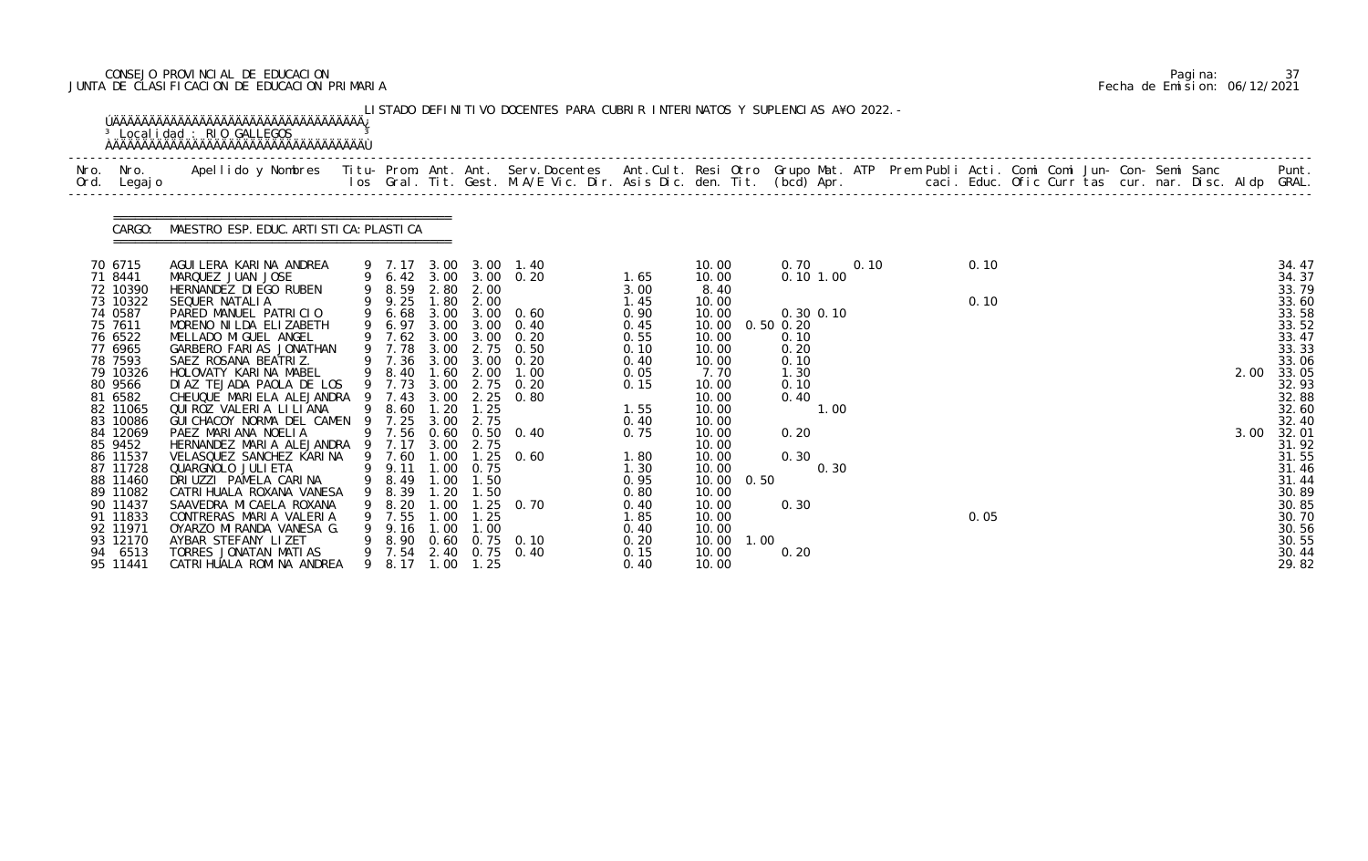# CONSEJO PROVINCIAL DE EDUCACION Pagina: 37 JUNTA DE CLASIFICACION DE EDUCACION PRIMARIA Fecha de Emision: 06/12/2021

| Nro. | Nro. In the Nro.<br>Ord. Legajo | Apellido y Nombres  Titu- Prom. Ant. Ant. Serv.Docentes  Ant.Cult. Resi Otro Grupo Mat. ATP Prem Publi Acti. Comi Comi Jun- Con- Semi Sanc             Punt.<br>Ios Gral. Tit. Gest. M.A/E Vic. Dir. Asis Dic. den. Tit. (bcd) Ap |   |                  |                  |                   |                                                |              |                        |                  |      |      |  |  |      |      |                |
|------|---------------------------------|-----------------------------------------------------------------------------------------------------------------------------------------------------------------------------------------------------------------------------------|---|------------------|------------------|-------------------|------------------------------------------------|--------------|------------------------|------------------|------|------|--|--|------|------|----------------|
|      | CARGO:                          | MAESTRO ESP. EDUC. ARTI STI CA: PLASTI CA                                                                                                                                                                                         |   |                  |                  |                   |                                                |              |                        |                  |      |      |  |  |      |      |                |
|      | 70 6715<br>71 8441              | AGUI LERA KARI NA ANDREA<br>MARQUEZ JUAN JOSE                                                                                                                                                                                     |   |                  |                  |                   | 9 7.17 3.00 3.00 1.40<br>9 6.42 3.00 3.00 0.20 | 1.65         | 10.00<br>10.00         | 0.70<br>0.101.00 | 0.10 | 0.10 |  |  |      |      | 34.47<br>34.37 |
|      | 72 10390                        | HERNANDEZ DI EGO RUBEN                                                                                                                                                                                                            |   | 9 8.59 2.80      |                  | 2.00              |                                                | 3.00         | 8.40                   |                  |      |      |  |  |      |      | 33.79          |
|      | 73 10322<br>74 0587             | SEQUER NATALIA<br>PARED MANUEL PATRICIO                                                                                                                                                                                           |   | 9 9.25<br>9 6.68 | 1.80             | 2.00              | 3.00 3.00 0.60                                 | 1.45<br>0.90 | 10.00<br>10.00         | $0.30$ $0.10$    |      | 0.10 |  |  |      |      | 33.60<br>33.58 |
|      | 75 7611                         | MORENO NI LDA ELIZABETH                                                                                                                                                                                                           |   | 9 6.97           | 3.00             |                   | $3.00 \quad 0.40$                              | 0.45         | 10.00                  | $0.50$ $0.20$    |      |      |  |  |      |      | 33.52          |
|      | 76 6522                         | MELLADO MI GUEL ANGEL                                                                                                                                                                                                             |   | 9 7.62           | 3.00             |                   | $3.00 \quad 0.20$                              | 0.55         | 10.00                  | 0.10             |      |      |  |  |      |      | 33.47          |
|      | 77 6965<br>78 7593              | GARBERO FARIAS JONATHAN<br>SAEZ ROSANA BEATRIZ.                                                                                                                                                                                   |   | 9 7.78<br>9 7.36 | 3.00             |                   | 3.00 2.75 0.50<br>$3.00 \quad 0.20$            | 0.10<br>0.40 | 10.00<br>10.00         | 0.20<br>0.10     |      |      |  |  |      |      | 33.33<br>33.06 |
|      | 79 10326                        | HOLOVATY KARINA MABEL                                                                                                                                                                                                             |   | 9 8.40           | 1.60             | 2.00              | 1.00                                           | 0.05         | 7.70                   | 1.30             |      |      |  |  | 2.00 |      | 33.05          |
|      | 80 9566                         | DI AZ TEJADA PAOLA DE LOS                                                                                                                                                                                                         |   | 9 7.73           |                  |                   | 3.00 2.75 0.20                                 | 0.15         | 10.00                  | 0.10             |      |      |  |  |      |      | 32.93          |
|      | 81 6582                         | CHEUQUE MARIELA ALEJANDRA                                                                                                                                                                                                         |   |                  | 3.00             |                   | $2.25$ 0.80                                    |              | 10.00                  | 0.40             |      |      |  |  |      |      | 32.88          |
|      | 82 11065<br>83 10086            | QUI ROZ VALERIA LI LI ANA<br>GUI CHACOY NORMA DEL CAMEN                                                                                                                                                                           | 9 | 9 8.60<br>7.25   | 1.20<br>3.00     | 1.25<br>2.75      |                                                | 1.55<br>0.40 | 10.00<br>10.00         | 1.00             |      |      |  |  |      |      | 32.60<br>32.40 |
|      | 84 12069                        | PAEZ MARIANA NOELIA                                                                                                                                                                                                               |   | 9 7.56           | 0.60             |                   | $0.50 \quad 0.40$                              | 0.75         | 10.00                  | 0.20             |      |      |  |  |      | 3.00 | 32.01          |
|      | 85 9452                         | HERNANDEZ MARIA ALEJANDRA 9 7.17                                                                                                                                                                                                  |   |                  | 3.00             | 2.75              |                                                |              | 10.00                  |                  |      |      |  |  |      |      | 31.92          |
|      | 86 11537                        | VELASQUEZ SANCHEZ KARINA                                                                                                                                                                                                          |   | 9 7.60           |                  |                   | 1.00 1.25 0.60                                 | 1.80         | 10.00                  | 0.30             |      |      |  |  |      |      | 31.55          |
|      | 87 11728<br>88 11460            | QUARGNOLO JULI ETA<br>DRIUZZI PAMELA CARINA                                                                                                                                                                                       |   | 9 9.11<br>9 8.49 | 1.00<br>1.00     | 0.75<br>1.50      |                                                | 1.30<br>0.95 | 10.00<br>10.00 0.50    | 0.30             |      |      |  |  |      |      | 31.46<br>31.44 |
|      | 89 11082                        | CATRI HUALA ROXANA VANESA                                                                                                                                                                                                         | 9 | 8.39             | 1.20             | 1.50              |                                                | 0.80         | 10.00                  |                  |      |      |  |  |      |      | 30.89          |
|      | 90 11437                        | SAAVEDRA MICAELA ROXANA                                                                                                                                                                                                           |   | 9 8.20           | .00 <sub>1</sub> |                   | $.25 \quad 0.70$                               | 0.40         | 10.00                  | 0.30             |      |      |  |  |      |      | 30.85          |
|      | 91 11833                        | CONTRERAS MARIA VALERIA                                                                                                                                                                                                           |   | 9 7.55           | .00              | 1.25              |                                                | 1.85         | 10.00                  |                  |      | 0.05 |  |  |      |      | 30.70          |
|      | 92 11971                        | OYARZO MIRANDA VANESA G.                                                                                                                                                                                                          |   | 9.16             | 1.00             | 1.00              |                                                | 0.40         | 10.00                  |                  |      |      |  |  |      |      | 30.56          |
|      | 93 12170<br>94 6513             | AYBAR STEFANY LIZET<br>TORRES JONATAN MATIAS                                                                                                                                                                                      |   | 8.90             | 0.60             |                   | $0.75$ 0.10<br>9 7.54 2.40 0.75 0.40           | 0.20<br>0.15 | 10.00<br>1.00<br>10.00 | 0.20             |      |      |  |  |      |      | 30.55<br>30.44 |
|      | 95 11441                        | CATRI HUALA ROMI NA ANDREA                                                                                                                                                                                                        |   | 9 8.17           |                  | $1.00 \quad 1.25$ |                                                | 0.40         | 10.00                  |                  |      |      |  |  |      |      | 29.82          |

|  | Pagi na: |                              |
|--|----------|------------------------------|
|  |          | Fecha de Emision: 06/12/2021 |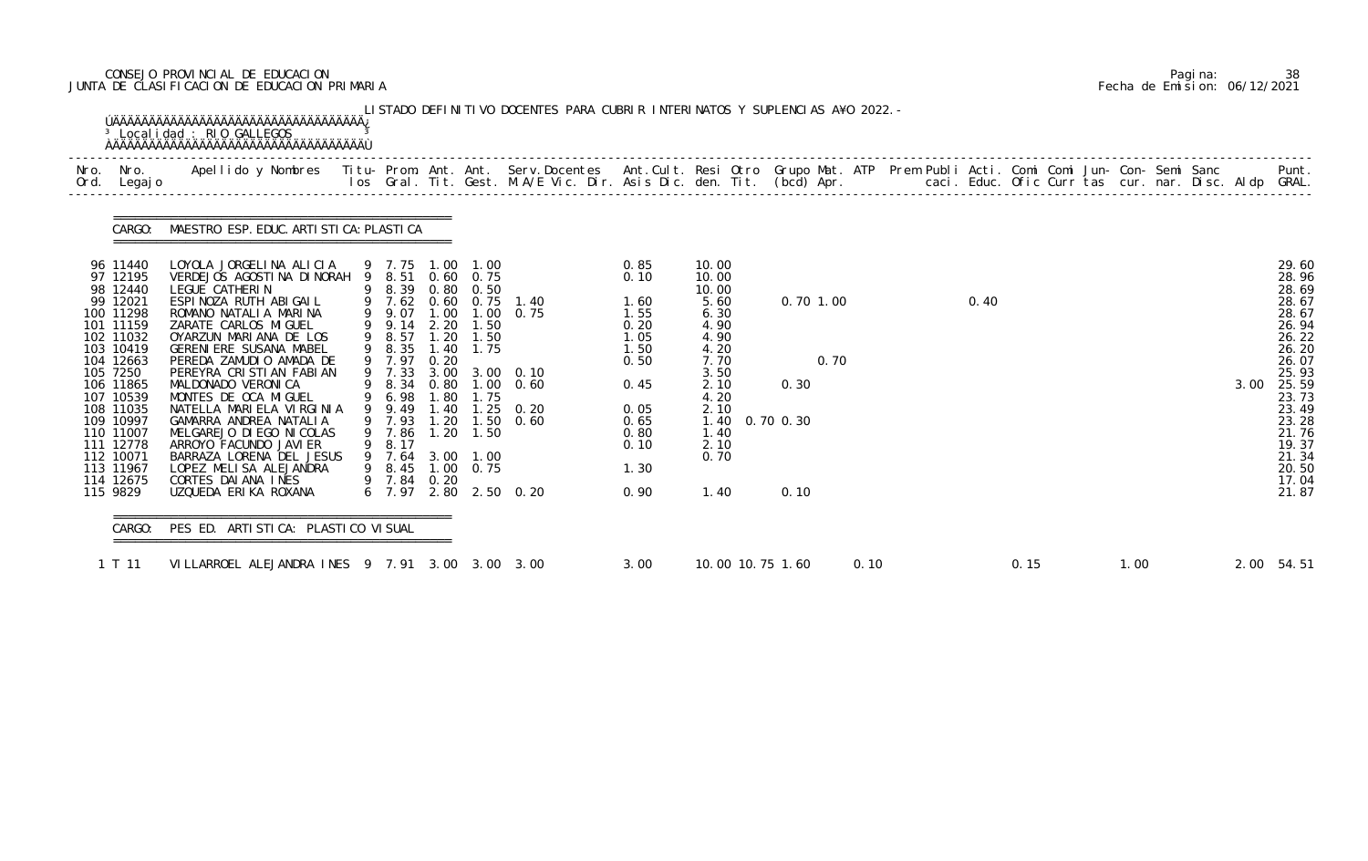# CONSEJO PROVINCIAL DE EDUCACION Pagina: 38 JUNTA DE CLASIFICACION DE EDUCACION PRIMARIA Fecha de Emision: 06/12/2021

| Nro.<br>Nro.<br>Ord. Legajo                                                                                                                                                                                                                                | Apellido y Nombres  Titu- Prom. Ant. Ant. Serv.Docentes  Ant.Cult. Resi Otro Grupo Mat. ATP Prem Publi Acti. Comi Comi Jun- Con- Semi Sanc           Punt.<br>Ios Gral. Tit. Gest. M.A/E Vic. Dir. Asis Dic. den. Tit. (bcd) Apr.                                                                                                                                                                                                                                                                                                  |                                                                                                                                                                                                           |                                                     |                                                                                                          |                                                                                                                            |                                                                                                                      |                                                                                                                                                           |                                     |  |      |  |  |      |                                                                                                                                                                                  |
|------------------------------------------------------------------------------------------------------------------------------------------------------------------------------------------------------------------------------------------------------------|------------------------------------------------------------------------------------------------------------------------------------------------------------------------------------------------------------------------------------------------------------------------------------------------------------------------------------------------------------------------------------------------------------------------------------------------------------------------------------------------------------------------------------|-----------------------------------------------------------------------------------------------------------------------------------------------------------------------------------------------------------|-----------------------------------------------------|----------------------------------------------------------------------------------------------------------|----------------------------------------------------------------------------------------------------------------------------|----------------------------------------------------------------------------------------------------------------------|-----------------------------------------------------------------------------------------------------------------------------------------------------------|-------------------------------------|--|------|--|--|------|----------------------------------------------------------------------------------------------------------------------------------------------------------------------------------|
|                                                                                                                                                                                                                                                            | CARGO: MAESTRO ESP. EDUC. ARTI STI CA: PLASTI CA                                                                                                                                                                                                                                                                                                                                                                                                                                                                                   |                                                                                                                                                                                                           |                                                     |                                                                                                          |                                                                                                                            |                                                                                                                      |                                                                                                                                                           |                                     |  |      |  |  |      |                                                                                                                                                                                  |
| 96 11440<br>97 12195<br>98 12440<br>99 12021<br>100 11298<br>101 11159<br>102 11032<br>103 10419<br>104 12663<br>105 7250<br>106 11865<br>107 10539<br>108 11035<br>109 10997<br>110 11007<br>111 12778<br>112 10071<br>113 11967<br>114 12675<br>115 9829 | LOYOLA JORGELINA ALICIA<br>VERDEJOS AGOSTINA DINORAH 9 8.51<br>LEGUE CATHERIN<br>ESPINOZA RUTH ABIGAIL<br>ROMANO NATALIA MARINA<br>ZARATE CARLOS MIGUEL<br>OYARZUN MARIANA DE LOS<br>GERENI ERE SUSANA MABEL<br>PEREDA ZAMUDIO AMADA DE<br>PEREYRA CRISTIAN FABIAN<br>MALDONADO VERONICA<br>MONTES DE OCA MIGUEL<br>NATELLA MARIELA VIRGINIA<br>GAMARRA ANDREA NATALIA<br>MELGAREJO DI EGO NI COLAS<br>ARROYO FACUNDO JAVI ER<br>BARRAZA LORENA DEL JESUS<br>LOPEZ MELISA ALEJANDRA<br>CORTES DAI ANA INES<br>UZQUEDA ERIKA ROXANA | 9 7.75 1.00 1.00<br>9 8.39<br>9 7.62<br>9 9.07<br>9 9.14<br>9 8.57<br>9 8.35<br>9 7.97<br>9 7.33<br>9 8.34<br>9 6.98<br>9 9.49<br>9 7.93<br>9 7.86<br>9 8.17<br>9 7.64<br>9 8.45 1.00 0.75<br>9 7.84 0.20 | 0.80<br>2.20<br>1.20<br>0.20<br>.80<br>1.40<br>1.20 | $0.60 \quad 0.75$<br>0.50<br>$0.60 \quad 0.75$<br>1.50<br>1.50<br>1.40 1.75<br>1.75<br>1.50<br>3.00 1.00 | 1.40<br>1.00 1.00 0.75<br>3.00 3.00 0.10<br>0.80 1.00 0.60<br>$1.25 \quad 0.20$<br>1.20 1.50 0.60<br>6 7.97 2.80 2.50 0.20 | 0.85<br>0.10<br>1.60<br>1.55<br>0.20<br>1.05<br>1.50<br>0.50<br>0.45<br>0.05<br>0.65<br>0.80<br>0.10<br>1.30<br>0.90 | 10.00<br>10.00<br>10.00<br>5.60<br>6.30<br>4.90<br>4.90<br>4.20<br>7.70<br>3.50<br>2.10<br>4.20<br>2.10<br>1.40 0.70 0.30<br>1.40<br>2.10<br>0.70<br>1.40 | $0.70$ 1.00<br>0.70<br>0.30<br>0.10 |  | 0.40 |  |  | 3.00 | 29.60<br>28.96<br>28.69<br>28.67<br>28.67<br>26.94<br>26.22<br>26.20<br>26.07<br>25.93<br>25.59<br>23.73<br>23.49<br>23.28<br>21.76<br>19.37<br>21.34<br>20.50<br>17.04<br>21.87 |

|  | Pagi na: | 38                           |
|--|----------|------------------------------|
|  |          | Fecha de Emision: 06/12/2021 |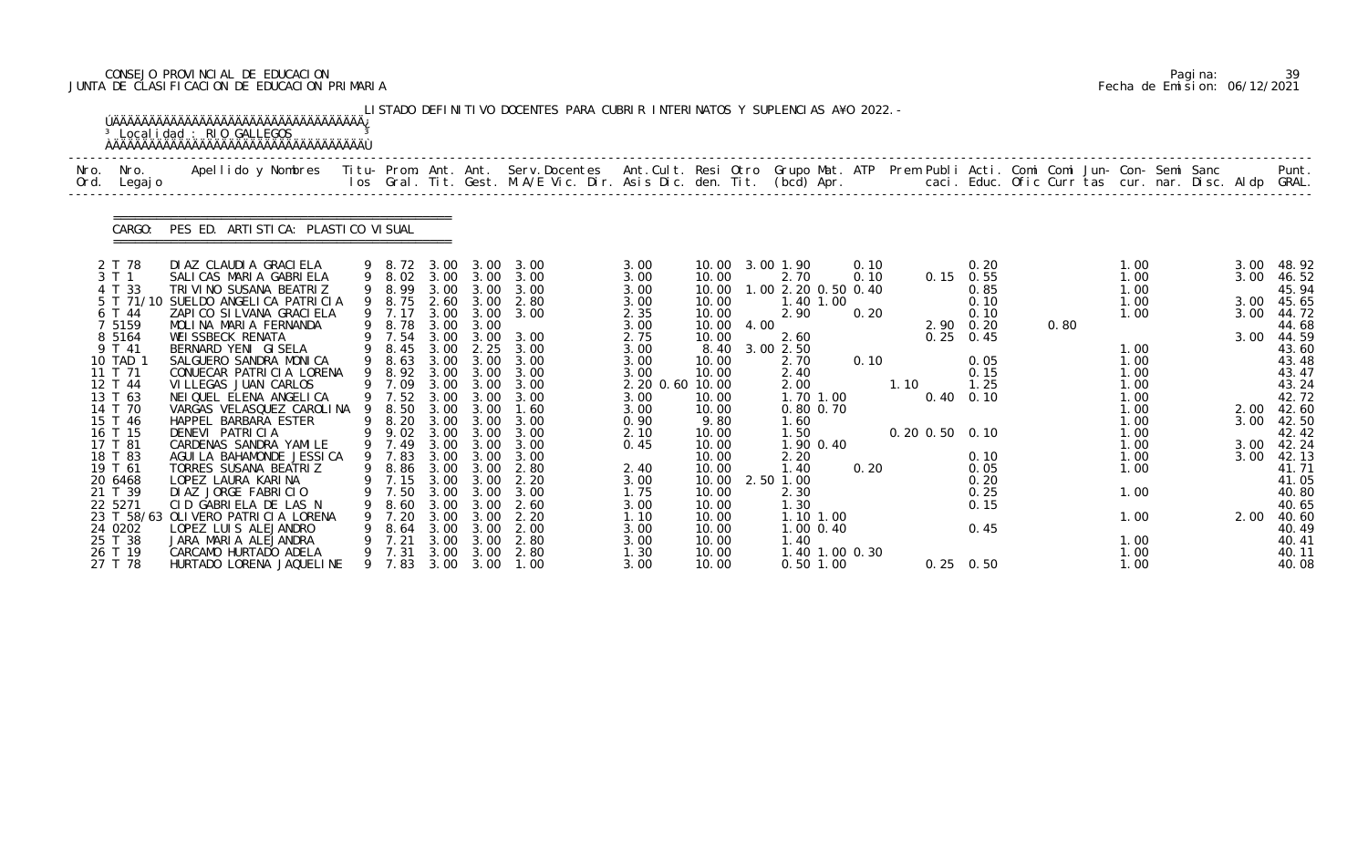# CONSEJO PROVINCIAL DE EDUCACION Pagina: 39 JUNTA DE CLASIFICACION DE EDUCACION PRIMARIA Fecha de Emision: 06/12/2021

|              |                    | <sup>3</sup> Localidad : RIO GALLEGOS                                                                                                    |    |                  |              |                   | LISTADO DEFINITIVO DOCENTES PARA CUBRIR INTERINATOS Y SUPLENCIAS A¥O 2022. -                                             |                 |                |      |                             |                |      |      |             |                      |      |              |  |      |                |
|--------------|--------------------|------------------------------------------------------------------------------------------------------------------------------------------|----|------------------|--------------|-------------------|--------------------------------------------------------------------------------------------------------------------------|-----------------|----------------|------|-----------------------------|----------------|------|------|-------------|----------------------|------|--------------|--|------|----------------|
| Nro.<br>Ord. | Nro.<br>Legaj o    | Apellido y Nombres Titu- Prom. Ant. Ant. Serv.Docentes Ant.Cult. Resi Otro Grupo Mat. ATP Prem Publi Acti. Comi Comi Jun- Con- Semi Sanc |    |                  |              |                   | los Gral. Tit. Gest. M.A/E Vic. Dir. Asis Dic. den. Tit. (bcd) Apr. caci. Educ. Ofic Curr tas cur. nar. Disc. Aldp GRAL. |                 |                |      |                             |                |      |      |             |                      |      |              |  |      | Punt.          |
|              | CARGO:             | PES ED. ARTI STI CA: PLASTI CO VI SUAL                                                                                                   |    |                  |              |                   |                                                                                                                          |                 |                |      |                             |                |      |      |             |                      |      |              |  |      |                |
|              | 2 T 78             | DI AZ CLAUDI A GRACI ELA                                                                                                                 |    |                  |              |                   | 9 8.72 3.00 3.00 3.00                                                                                                    | 3.00            |                |      | 10.00 3.00 1.90             |                | 0.10 |      |             | 0.20                 |      | 1.00         |  | 3.00 | 48.92          |
|              | 3 T 1<br>4 T 33    | SALICAS MARIA GABRIELA<br>TRIVINO SUSANA BEATRIZ                                                                                         |    | 9 8.02<br>9 8.99 | 3.00         | 3.00              | 3.00 3.00 3.00<br>3.00                                                                                                   | 3.00<br>3.00    | 10.00<br>10.00 |      | 2.70<br>1.00 2.20 0.50 0.40 |                | 0.10 |      | $0.15$ 0.55 | 0.85                 |      | 1.00<br>1.00 |  | 3.00 | 46.52<br>45.94 |
|              |                    | 5 T 71/10 SUELDO ANGELICA PATRICIA                                                                                                       |    | 9 8.75           | 2.60         | 3.00              | 2.80                                                                                                                     | 3.00            | 10.00          |      |                             | 1.40 1.00      |      |      |             | 0.10                 |      | 1.00         |  | 3.00 | 45.65          |
|              | 6 T 44             | ZAPICO SILVANA GRACIELA                                                                                                                  |    | 9 7.17           |              | 3.00 3.00         | 3.00                                                                                                                     | 2.35            | 10.00          |      | 2.90                        |                | 0.20 |      |             | 0.10                 |      | 1.00         |  | 3.00 | 44.72          |
|              | 7 5159             | MOLINA MARIA FERNANDA                                                                                                                    |    | 9 8.78           | 3.00         | 3.00              |                                                                                                                          | 3.00            | 10.00          | 4.00 |                             |                |      |      | 2.90 0.20   |                      | 0.80 |              |  |      | 44.68          |
|              | 8 5 1 6 4          | WEI SSBECK RENATA                                                                                                                        |    | 9 7.54           | 3.00         | 3.00              | 3.00                                                                                                                     | 2.75            | 10.00          |      | 2.60                        |                |      |      |             | $0.25 \quad 0.45$    |      |              |  | 3.00 | 44.59          |
|              | 9 T 41<br>10 TAD 1 | BERNARD YENI GISELA<br>SALGUERO SANDRA MONICA                                                                                            | 9  | 8.45<br>9 8.63   | 3.00<br>3.00 | 2.25<br>3.00      | 3.00<br>3.00                                                                                                             | 3.00<br>3.00    | 8.40<br>10.00  |      | 3.00 2.50<br>2.70           |                | 0.10 |      |             | 0.05                 |      | 1.00<br>1.00 |  |      | 43.60<br>43.48 |
|              | 11 T 71            | CONUECAR PATRICIA LORENA                                                                                                                 |    | 9 8.92           | 3.00         | 3.00              | 3.00                                                                                                                     | 3.00            | 10.00          |      | 2.40                        |                |      |      |             | 0.15                 |      | 1.00         |  |      | 43.47          |
|              | 12 T 44            | VI LLEGAS JUAN CARLOS                                                                                                                    |    | 9 7.09           |              | 3.00 3.00         | 3.00                                                                                                                     | 2.20 0.60 10.00 |                |      | 2.00                        |                |      | 1.10 |             | 1.25                 |      | 1.00         |  |      | 43.24          |
|              | 13 T 63            | NEI QUEL ELENA ANGELICA                                                                                                                  |    | 9 7.52           | 3.00         | 3.00              | 3.00                                                                                                                     | 3.00            | 10.00          |      |                             | 1.70 1.00      |      |      |             | $0.40 \quad 0.10$    |      | 1.00         |  |      | 42.72          |
|              | 14 T 70            | VARGAS VELASQUEZ CAROLINA                                                                                                                | -9 | 8.50             | 3.00         | 3.00              | 1.60                                                                                                                     | 3.00            | 10.00          |      |                             | 0.80 0.70      |      |      |             |                      |      | 1.00         |  |      | 2.00 42.60     |
|              | 15 T 46<br>16 T 15 | HAPPEL BARBARA ESTER<br>DENEVI PATRICIA                                                                                                  | 9  | 8.20<br>9 9.02   | 3.00         | 3.00 3.00<br>3.00 | 3.00<br>3.00                                                                                                             | 0.90<br>2.10    | 9.80<br>10.00  |      | 1.60<br>1.50                |                |      |      |             | $0.20$ $0.50$ $0.10$ |      | 1.00<br>1.00 |  | 3.00 | 42.50<br>42.42 |
|              | 17 T 81            | CARDENAS SANDRA YAMILE                                                                                                                   |    | 9 7.49           | 3.00         | 3.00              | 3.00                                                                                                                     | 0.45            | 10.00          |      |                             | 1.90 0.40      |      |      |             |                      |      | 1.00         |  | 3.00 | 42.24          |
|              | 18 T 83            | AGUI LA BAHAMONDE JESSI CA                                                                                                               |    | 9 7.83           |              | 3.00 3.00         | 3.00                                                                                                                     |                 | 10.00          |      | 2.20                        |                |      |      |             | 0.10                 |      | 1.00         |  | 3.00 | 42.13          |
|              | 19 T 61            | TORRES SUSANA BEATRIZ                                                                                                                    |    | 9 8.86           | 3.00         | 3.00              | 2.80                                                                                                                     | 2.40            | 10.00          |      | 1.40                        |                | 0.20 |      |             | 0.05                 |      | 1.00         |  |      | 41.71          |
|              | 20 6468            | LOPEZ LAURA KARINA                                                                                                                       |    | 9 7.15 3.00 3.00 |              |                   | 2.20                                                                                                                     | 3.00            | 10.00          |      | 2.50 1.00                   |                |      |      |             | 0.20                 |      |              |  |      | 41.05          |
|              | 21 T 39            | DI AZ JORGE FABRICIO                                                                                                                     |    | 7.50             | 3.00         | 3.00              | 3.00                                                                                                                     | 1.75            | 10.00          |      | 2.30                        |                |      |      |             | 0.25                 |      | 1.00         |  |      | 40.80          |
|              | 22 5271            | CID GABRIELA DE LAS N<br>23 T 58/63 OLIVERO PATRICIA LORENA                                                                              |    | 8.60<br>7.20     | 3.00<br>3.00 | 3.00<br>3.00      | 2.60<br>2.20                                                                                                             | 3.00<br>1.10    | 10.00<br>10.00 |      | 1.30                        | 1.10 1.00      |      |      |             | 0.15                 |      | 1.00         |  | 2.00 | 40.65<br>40.60 |
|              | 24 0202            | LOPEZ LUIS ALEJANDRO                                                                                                                     |    | 8.64             | 3.00         | 3.00              | 2.00                                                                                                                     | 3.00            | 10.00          |      |                             | $1.00$ 0.40    |      |      |             | 0.45                 |      |              |  |      | 40.49          |
|              | 25 T 38            | JARA MARIA ALEJANDRA                                                                                                                     |    | 7.21             | 3.00         | 3.00              | 2.80                                                                                                                     | 3.00            | 10.00          |      | 1.40                        |                |      |      |             |                      |      | 1.00         |  |      | 40.41          |
|              | 26 T 19            | CARCAMO HURTADO ADELA                                                                                                                    |    | 9 7.31           | 3.00         |                   | 3.00 2.80                                                                                                                | 1.30            | 10.00          |      |                             | 1.40 1.00 0.30 |      |      |             |                      |      | 1.00         |  |      | 40.11          |
|              | 27 T 78            | HURTADO LORENA JAQUELINE                                                                                                                 |    | 9 7.83           |              |                   | 3.00 3.00 1.00                                                                                                           | 3.00            | 10.00          |      |                             | $0.50$ 1.00    |      |      |             | $0.25 \quad 0.50$    |      | 1.00         |  |      | 40.08          |

|  | Pagi na: |                              |
|--|----------|------------------------------|
|  |          | Fecha de Emision: 06/12/2021 |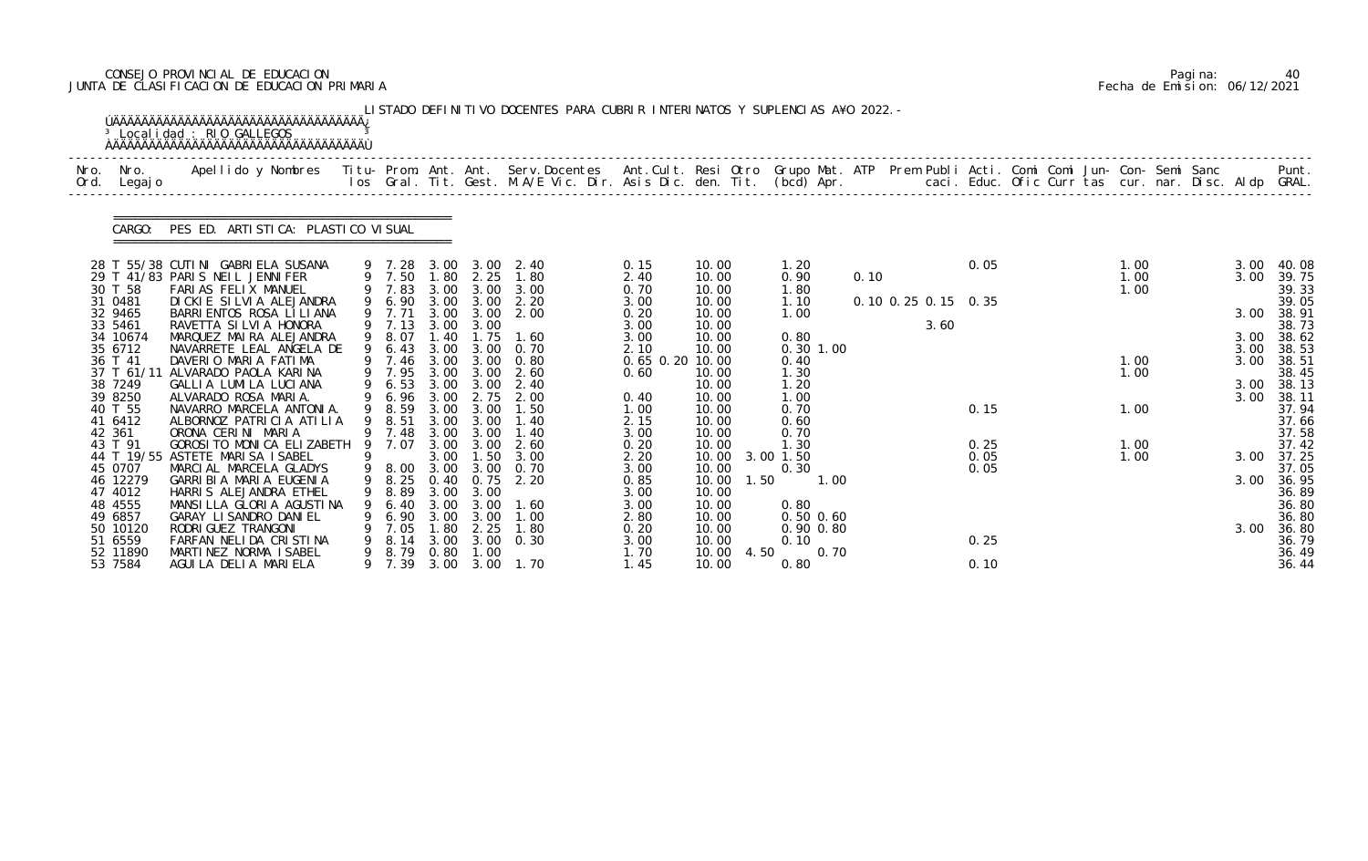# CONSEJO PROVINCIAL DE EDUCACION Pagina: 40 JUNTA DE CLASIFICACION DE EDUCACION PRIMARIA Fecha de Emision: 06/12/2021

| Nro.<br>Ord. | Nro.<br>Legaj o     | Apellido y Nombres  Titu- Prom. Ant. Ant.  Serv.Docentes  Ant.Cult. Resi Otro  Grupo Mat. ATP  Prem Publi Acti. Comi Comi Jun- Con- Semi Sanc              Punt.<br>Ios Gral. Tit. Gest. M.A/E Vic. Dir. Asis Dic. den. Tit. (bcd |   |                  |              |                   |                        |                 |                     |                      |      |                     |      |  |              |  |      |                     |
|--------------|---------------------|-----------------------------------------------------------------------------------------------------------------------------------------------------------------------------------------------------------------------------------|---|------------------|--------------|-------------------|------------------------|-----------------|---------------------|----------------------|------|---------------------|------|--|--------------|--|------|---------------------|
|              | CARGO:              | PES ED. ARTI STI CA: PLASTI CO VI SUAL                                                                                                                                                                                            |   |                  |              |                   |                        |                 |                     |                      |      |                     |      |  |              |  |      |                     |
|              |                     | 28 T 55/38 CUTINI GABRIELA SUSANA                                                                                                                                                                                                 |   | 9 7.28           |              | 3.00 3.00         | 2.40                   | 0.15            | 10.00               | 1. 20                |      |                     | 0.05 |  | 1.00         |  | 3.00 | 40.08               |
|              | 30 T 58             | 29 T 41/83 PARIS NEIL JENNIFER<br>FARIAS FELIX MANUEL                                                                                                                                                                             |   | 9 7.50<br>9 7.83 | 1.80         | 2.25              | 1.80<br>3.00 3.00 3.00 | 2.40<br>0.70    | 10.00<br>10.00      | 0.90<br>1. 80        | 0.10 |                     |      |  | 1.00<br>1.00 |  | 3.00 | 39.75<br>39.33      |
|              | 31 0481             | DICKIE SILVIA ALEJANDRA                                                                                                                                                                                                           |   | 9 6.90           |              | 3.00 3.00         | 2.20                   | 3.00            | 10.00               | 1.10                 |      | 0.10 0.25 0.15 0.35 |      |  |              |  |      | 39.05               |
|              | 32 9465             | BARRI ENTOS ROSA LI LI ANA                                                                                                                                                                                                        |   | 9 7.71           | 3.00         | 3.00              | 2.00                   | 0.20            | 10.00               | 1.00                 |      |                     |      |  |              |  | 3.00 | 38.91               |
|              | 33 5461             | RAVETTA SI LVI A HONORA                                                                                                                                                                                                           |   | 9 7.13           | 3.00         | 3.00              |                        | 3.00            | 10.00               |                      |      | 3.60                |      |  |              |  |      | 38.73               |
|              | 34 10674<br>35 6712 | MARQUEZ MAIRA ALEJANDRA<br>NAVARRETE LEAL ANGELA DE                                                                                                                                                                               | 9 | 9 8.07<br>6.43   | 1.40<br>3.00 | 1.75<br>3.00      | 1.60<br>0.70           | 3.00<br>2.10    | 10.00<br>10.00      | 0.80<br>$0.30$ 1.00  |      |                     |      |  |              |  | 3.00 | 3.00 38.62          |
|              | 36 T 41             | DAVERIO MARIA FATIMA                                                                                                                                                                                                              |   | 9 7.46 3.00 3.00 |              |                   | 0. 80                  | 0.65 0.20 10.00 |                     | 0.40                 |      |                     |      |  | 1.00         |  | 3.00 | 38.53<br>38.51      |
|              | 37 T 61/11          | ALVARADO PAOLA KARINA                                                                                                                                                                                                             |   | 9 7.95           |              | $3.00\quad 3.00$  | 2.60                   | 0.60            | 10.00               | 1.30                 |      |                     |      |  | 1.00         |  |      | 38.45               |
|              | 38 7249             | GALLIA LUMILA LUCIANA                                                                                                                                                                                                             |   | 6.53             | 3.00         | 3.00              | 2.40                   |                 | 10.00               | 1.20                 |      |                     |      |  |              |  |      | 3.00 38.13          |
|              | 39 8250             | ALVARADO ROSA MARIA.                                                                                                                                                                                                              |   | 9 6.96           | 3.00         |                   | 2.75 2.00              | 0.40            | 10.00               | 1.00                 |      |                     |      |  |              |  | 3.00 | 38.11               |
|              | 40 T 55<br>41 6412  | NAVARRO MARCELA ANTONIA.<br>ALBORNOZ PATRICIA ATILIA                                                                                                                                                                              |   | 9 8.59<br>8.51   | 3.00<br>3.00 | 3.00<br>3.00      | 1.50<br>1.40           | 1.00<br>2.15    | 10.00<br>10.00      | 0.70<br>0.60         |      |                     | 0.15 |  | 1.00         |  |      | 37.94<br>37.66      |
|              | 42 361              | ORONA CERINI MARIA                                                                                                                                                                                                                |   | 9 7.48           |              | $3.00 \quad 3.00$ | 1.40                   | 3.00            | 10.00               | 0.70                 |      |                     |      |  |              |  |      | 37.58               |
|              | 43 T 91             | GOROSI TO MONICA ELIZABETH                                                                                                                                                                                                        | 9 | 7.07             | 3.00         | 3.00              | 2.60                   | 0.20            | 10.00               | 1.30                 |      |                     | 0.25 |  | 1.00         |  |      | 37.42               |
|              |                     | 44 T 19/55 ASTETE MARISA ISABEL                                                                                                                                                                                                   |   |                  | 3.00         | 1.50              | 3.00                   | 2.20            | 10.00               | 3.00 1.50            |      |                     | 0.05 |  | 1.00         |  |      | 3.00 37.25          |
|              | 45 0707             | MARCIAL MARCELA GLADYS                                                                                                                                                                                                            |   |                  |              |                   | 9 8.00 3.00 3.00 0.70  | 3.00            | 10.00               | 0.30                 |      |                     | 0.05 |  |              |  |      | 37.05               |
|              | 46 12279<br>47 4012 | GARRIBIA MARIA EUGENIA<br>HARRIS ALEJANDRA ETHEL                                                                                                                                                                                  |   | 8.89             | 3.00         | 3.00              | 9 8.25 0.40 0.75 2.20  | 0.85<br>3.00    | 10.00 1.50<br>10.00 | 1.00                 |      |                     |      |  |              |  |      | 3.00 36.95<br>36.89 |
|              | 48 4555             | MANSILLA GLORIA AGUSTINA                                                                                                                                                                                                          |   | 6.40             | 3.00         | 3.00              | 1.60                   | 3.00            | 10.00               | 0.80                 |      |                     |      |  |              |  |      | 36.80               |
|              | 49 6857             | GARAY LI SANDRO DANI EL                                                                                                                                                                                                           |   | 6.90             | 3.00         | 3.00              | 1.00                   | 2.80            | 10.00               | $0.50$ $0.60$        |      |                     |      |  |              |  |      | 36.80               |
|              | 50 10120            | RODRI GUEZ TRANGONI                                                                                                                                                                                                               |   | 7.05             | .80          | 2.25              | 1.80                   | 0.20            | 10.00               | $0.90$ $0.80$        |      |                     |      |  |              |  | 3.00 | 36.80               |
|              | 51 6559             | FARFAN NELIDA CRISTINA                                                                                                                                                                                                            |   | 8.14             | 3.00         | 3.00              | 0.30                   | 3.00            | 10.00               | 0.10                 |      |                     | 0.25 |  |              |  |      | 36.79               |
|              | 52 11890<br>53 7584 | MARTINEZ NORMA ISABEL<br>AGUILA DELIA MARIELA                                                                                                                                                                                     | 9 | 8. 79<br>9 7.39  | 0.80<br>3.00 | 1.00<br>3.00      | 1. 70                  | 1.70<br>1.45    | 10.00<br>10.00      | 4.50<br>0.70<br>0.80 |      |                     | 0.10 |  |              |  |      | 36.49<br>36.44      |

|  | Pagi na: | 40                           |
|--|----------|------------------------------|
|  |          | Fecha de Emision: 06/12/2021 |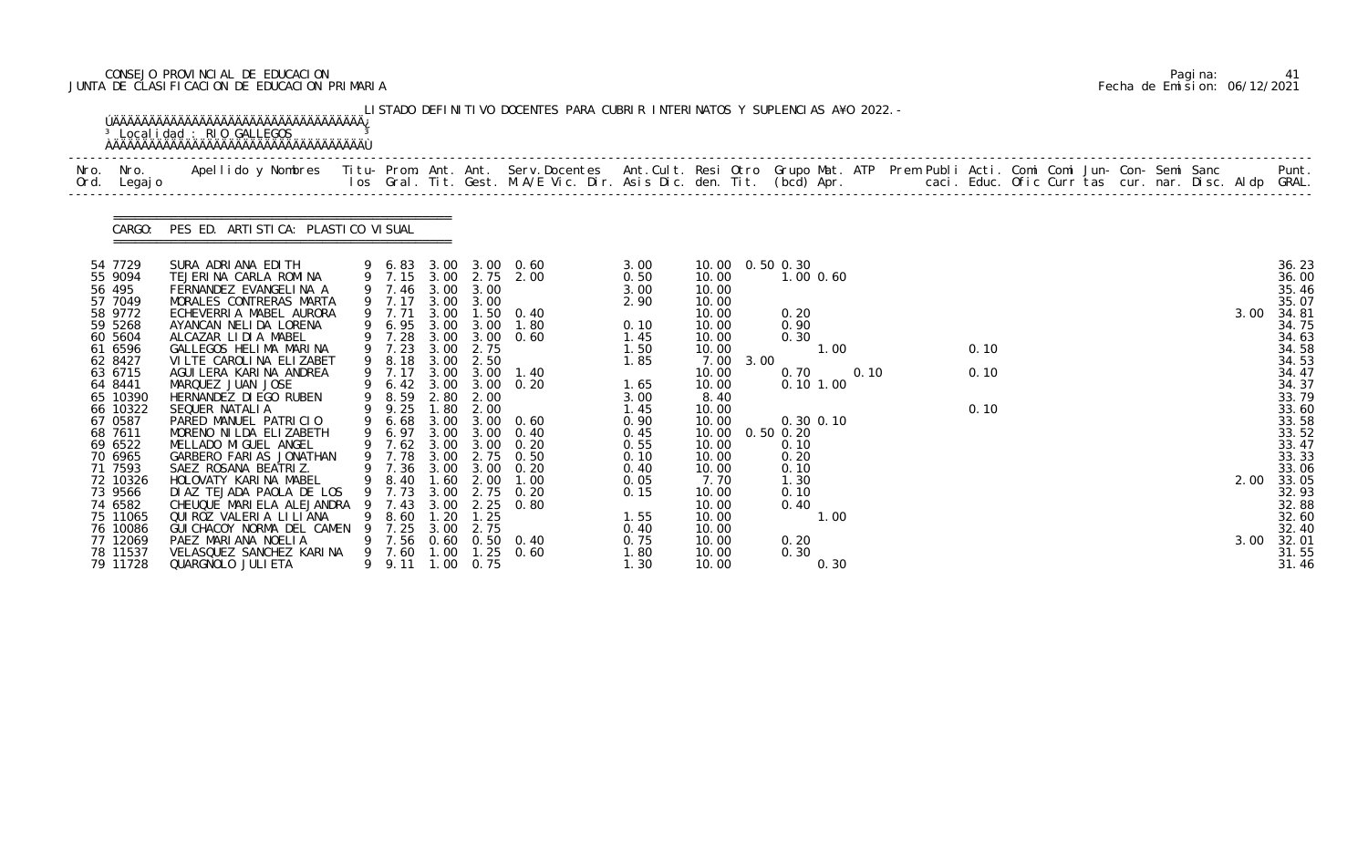# CONSEJO PROVINCIAL DE EDUCACION Pagina: 41 JUNTA DE CLASIFICACION DE EDUCACION PRIMARIA Fecha de Emision: 06/12/2021

| Ord. Legajo          |                                                         |   |              |             |                   |                                                |               |                   |                                |      |      |  |      |  |  |  |      |                |
|----------------------|---------------------------------------------------------|---|--------------|-------------|-------------------|------------------------------------------------|---------------|-------------------|--------------------------------|------|------|--|------|--|--|--|------|----------------|
| CARGO:               | PES ED. ARTI STI CA: PLASTI CO VI SUAL                  |   |              |             |                   |                                                |               |                   |                                |      |      |  |      |  |  |  |      |                |
| 54 7729<br>55 9094   | SURA ADRIANA EDITH<br>TEJERINA CARLA ROMINA             |   |              |             |                   | 9 6.83 3.00 3.00 0.60<br>9 7.15 3.00 2.75 2.00 | 3.00          | 10.00  0.50  0.30 | $1.00$ $0.60$                  |      |      |  |      |  |  |  |      | 36.23          |
| 56 495               | FERNANDEZ EVANGELINA A                                  |   |              |             | 9 7.46 3.00 3.00  |                                                | 0.50<br>3.00  | 10.00<br>10.00    |                                |      |      |  |      |  |  |  |      | 36.00<br>35.46 |
| 57 7049              | MORALES CONTRERAS MARTA                                 |   |              |             | 9 7.17 3.00 3.00  |                                                | 2.90          | 10.00             |                                |      |      |  |      |  |  |  |      | 35.07          |
| 58 9772              | ECHEVERRIA MABEL AURORA                                 |   | 9 7.71       |             |                   | 3.00 1.50 0.40                                 |               | 10.00             | 0.20                           |      |      |  |      |  |  |  | 3.00 | 34.81          |
| 59 5268              | AYANCAN NELIDA LORENA                                   |   |              |             |                   | 9 6.95 3.00 3.00 1.80                          | 0.10          | 10.00             | 0.90                           |      |      |  |      |  |  |  |      | 34.75          |
| 60 5604<br>61 6596   | ALCAZAR LIDIA MABEL<br>GALLEGOS HELIMA MARINA           |   |              |             |                   | 9 7.28 3.00 3.00 0.60<br>9 7.23 3.00 2.75      | 1. 45<br>1.50 | 10.00<br>10.00    | 0.30                           | 1.00 |      |  | 0.10 |  |  |  |      | 34.63<br>34.58 |
| 62 8427              | VILTE CAROLINA ELIZABET                                 |   | 9 8.18 3.00  |             | 2.50              |                                                | 1.85          | 7.00 3.00         |                                |      |      |  |      |  |  |  |      | 34.53          |
| 63 6715              | AGUI LERA KARI NA ANDREA                                |   | 9 7.17       |             |                   | 3.00 3.00 1.40                                 |               | 10.00             | 0.70                           |      | 0.10 |  | 0.10 |  |  |  |      | 34.47          |
| 64 8441              | MARQUEZ JUAN JOSE                                       |   |              |             |                   | 9 6.42 3.00 3.00 0.20                          | 1.65          | 10.00             | $0.10$ $1.00$                  |      |      |  |      |  |  |  |      | 34.37          |
| 65 10390             | HERNANDEZ DI EGO RUBEN                                  |   |              |             | 9 8.59 2.80 2.00  |                                                | 3.00          | 8.40              |                                |      |      |  |      |  |  |  |      | 33.79          |
| 66 10322             | SEQUER NATALIA                                          |   | 9 9.25 1.80  |             | 2.00              |                                                | 1.45          | 10.00             |                                |      |      |  | 0.10 |  |  |  |      | 33.60          |
| 67 0587<br>68 7611   | PARED MANUEL PATRICIO<br>MORENO NI LDA ELIZABETH        | 9 | 6.68         |             |                   | 3.00 3.00 0.60<br>9 6.97 3.00 3.00 0.40        | 0.90<br>0.45  | 10.00<br>10.00    | $0.30$ $0.10$<br>$0.50$ $0.20$ |      |      |  |      |  |  |  |      | 33.58<br>33.52 |
| 69 6522              | MELLADO MIGUEL ANGEL                                    |   |              |             |                   | 9 7.62 3.00 3.00 0.20                          | 0.55          | 10.00             | 0.10                           |      |      |  |      |  |  |  |      | 33.47          |
| 70 6965              | GARBERO FARIAS JONATHAN                                 |   |              |             |                   | 9 7.78 3.00 2.75 0.50                          | 0.10          | 10.00             | 0.20                           |      |      |  |      |  |  |  |      | 33.33          |
| 71 7593              | SAEZ ROSANA BEATRIZ.                                    |   |              |             |                   | 9 7.36 3.00 3.00 0.20                          | 0.40          | 10.00             | 0.10                           |      |      |  |      |  |  |  |      | 33.06          |
| 72 10326             | HOLOVATY KARINA MABEL                                   |   |              |             |                   | 9 8.40 1.60 2.00 1.00                          | 0.05          | 7.70              | 1.30                           |      |      |  |      |  |  |  |      | 2.00 33.05     |
| 73 9566              | DIAZ TEJADA PAOLA DE LOS                                | 9 | 7.73         | 3.00        | 2.75              | 0. 20                                          | 0.15          | 10.00             | 0.10                           |      |      |  |      |  |  |  |      | 32.93          |
| 74 6582              | CHEUQUE MARIELA ALEJANDRA                               |   | 7.43         | 3.00        | 2.25              | 0.80                                           |               | 10.00             | 0.40                           |      |      |  |      |  |  |  |      | 32.88          |
| 75 11065             | QUI ROZ VALERIA LI LI ANA<br>GUI CHACOY NORMA DEL CAMEN |   | 8.60<br>7.25 | .20<br>3.00 | 1.25<br>2.75      |                                                | 1.55          | 10.00<br>10.00    |                                | 1.00 |      |  |      |  |  |  |      | 32.60          |
| 76 10086<br>77 12069 | PAEZ MARIANA NOELIA                                     |   | 9 7.56       |             |                   | $0.60$ $0.50$ $0.40$                           | 0.40<br>0.75  | 10.00             | 0.20                           |      |      |  |      |  |  |  | 3.00 | 32.40<br>32.01 |
| 78 11537             | VELASQUEZ SANCHEZ KARINA                                |   | 9 7.60       | 1.00        | 1.25              | 0.60                                           | 1.80          | 10.00             | 0.30                           |      |      |  |      |  |  |  |      | 31.55          |
| 79 11728             | QUARGNOLO JULI ETA                                      |   | 9 9.11       |             | $1.00 \quad 0.75$ |                                                | 1.30          | 10.00             |                                | 0.30 |      |  |      |  |  |  |      | 31.46          |

|  | Pagi na: |                              |
|--|----------|------------------------------|
|  |          | Fecha de Emision: 06/12/2021 |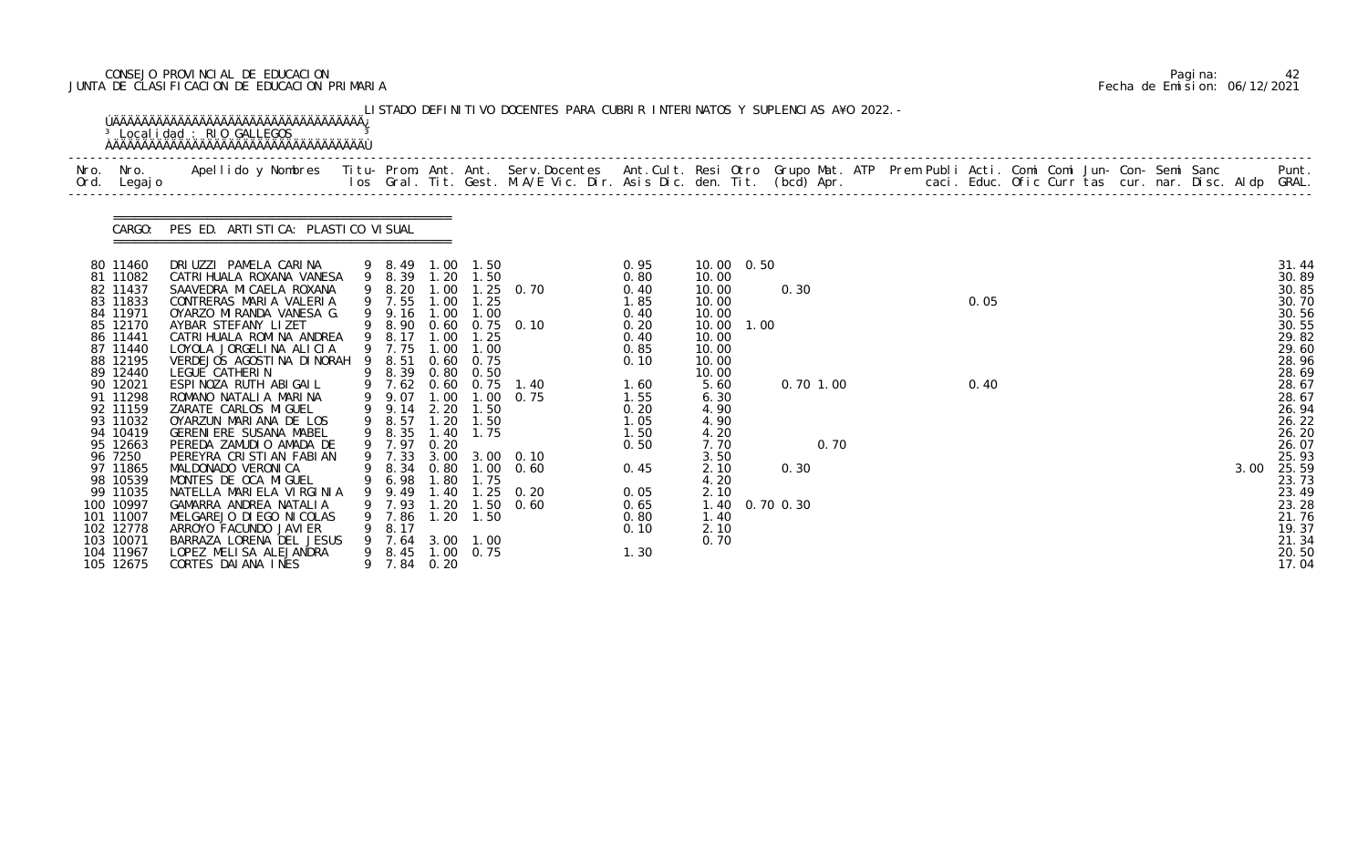# CONSEJO PROVINCIAL DE EDUCACION Pagina: 42 JUNTA DE CLASIFICACION DE EDUCACION PRIMARIA Fecha de Emision: 06/12/2021

|                                                                                                                      | <b>OAAAAAAAAAAAAAAAAAAAAAAAAAAAAAAAAAA</b>                                                                                                                                                                                                                           |        |                                                                                                                                          |                               |                                                        | LISTADO DEFINITIVO DOCENTES PARA CUBRIR INTERINATOS Y SUPLENCIAS A¥O 2022. - |                                                                       |                                                                                             |      |                        |  |      |  |  |  |      |                                                                                        |
|----------------------------------------------------------------------------------------------------------------------|----------------------------------------------------------------------------------------------------------------------------------------------------------------------------------------------------------------------------------------------------------------------|--------|------------------------------------------------------------------------------------------------------------------------------------------|-------------------------------|--------------------------------------------------------|------------------------------------------------------------------------------|-----------------------------------------------------------------------|---------------------------------------------------------------------------------------------|------|------------------------|--|------|--|--|--|------|----------------------------------------------------------------------------------------|
|                                                                                                                      |                                                                                                                                                                                                                                                                      |        |                                                                                                                                          |                               |                                                        |                                                                              |                                                                       |                                                                                             |      |                        |  |      |  |  |  |      |                                                                                        |
|                                                                                                                      | CARGO: PES ED. ARTISTICA: PLASTICO VISUAL                                                                                                                                                                                                                            |        |                                                                                                                                          |                               |                                                        |                                                                              |                                                                       |                                                                                             |      |                        |  |      |  |  |  |      |                                                                                        |
| 80 11460<br>81 11082<br>82 11437<br>83 11833<br>84 11971<br>85 12170<br>86 11441<br>87 11440<br>88 12195<br>89 12440 | DRIUZZI PAMELA CARINA<br>CATRI HUALA ROXANA VANESA<br>SAAVEDRA MI CAELA ROXANA<br>CONTRERAS MARIA VALERIA<br>OYARZO MIRANDA VANESA G.<br>AYBAR STEFANY LIZET<br>CATRI HUALA ROMI NA ANDREA<br>LOYOLA JORGELINA ALICIA<br>VERDEJOS AGOSTINA DINORAH<br>LEGUE CATHERIN |        | 9 8.49 1.00 1.50<br>9 8.39 1.20 1.50<br>9 7.55 1.00 1.25<br>9 9.16 1.00 1.00<br>9 8.17 1.00 1.25<br>9 7.75<br>9 8.51 0.60 0.75<br>9 8.39 |                               | 1.00 1.00<br>$0.80 \quad 0.50$                         | 9 8.20 1.00 1.25 0.70<br>9 8.90 0.60 0.75 0.10                               | 0. 95<br>0.80<br>0.40<br>1.85<br>0.40<br>0.20<br>0.40<br>0.85<br>0.10 | 10.00 0.50<br>10.00<br>10.00<br>10.00<br>10.00<br>10.00<br>10.00<br>10.00<br>10.00<br>10.00 | 1.00 | 0.30                   |  | 0.05 |  |  |  |      | 31.44<br>30.89<br>30.85<br>30.70<br>30.56<br>30.55<br>29.82<br>29.60<br>28.96<br>28.69 |
| 90 12021<br>91 11298<br>92 11159<br>93 11032<br>94 10419<br>95 12663<br>96 7250                                      | ESPINOZA RUTH ABIGAIL<br>ROMANO NATALIA MARINA<br>ZARATE CARLOS MIGUEL<br>OYARZUN MARIANA DE LOS<br>GERENIERE SUSANA MABEL<br>PEREDA ZAMUDIO AMADA DE<br>PEREYRA CRISTIAN FABIAN                                                                                     |        | 9 9.07<br>9 9.14<br>9 8.57<br>9 8.35 1.40 1.75<br>9 7.97                                                                                 | 0.20                          | 2.20 1.50<br>1.20 1.50                                 | 9 7.62 0.60 0.75 1.40<br>1.00 1.00 0.75<br>9 7.33 3.00 3.00 0.10             | 1.60<br>1.55<br>0.20<br>1.05<br>1.50<br>0.50                          | 5.60<br>6.30<br>4.90<br>4.90<br>4.20<br>7.70<br>3.50                                        |      | $0.70$ 1.00<br>0.70    |  | 0.40 |  |  |  |      | 28.67<br>28.67<br>26.94<br>26.22<br>26.20<br>26.07<br>25.93                            |
| 97 11865<br>98 10539<br>99 11035<br>100 10997<br>101 11007<br>102 12778<br>103 10071<br>104 11967<br>105 12675       | MALDONADO VERONICA<br>MONTES DE OCA MIGUEL<br>NATELLA MARIELA VIRGINIA<br>GAMARRA ANDREA NATALIA<br>MELGAREJO DI EGO NI COLAS<br>ARROYO FACUNDO JAVI ER<br>BARRAZA LORENA DEL JESUS<br>LOPEZ MELISA ALEJANDRA<br>CORTES DAI ANA INES                                 | 9<br>9 | 9 6.98 1.80 1.75<br>9.49<br>9 7.93<br>7.86<br>8.17<br>7.64<br>8.45<br>7.84                                                               | 1.40<br>1. 20<br>1.20<br>0.20 | 1.25<br>1.50<br>1.50<br>3.00 1.00<br>$1.00 \quad 0.75$ | 9 8.34 0.80 1.00 0.60<br>0. 20<br>0.60                                       | 0.45<br>0.05<br>0.65<br>0.80<br>0.10<br>1.30                          | 2.10<br>4.20<br>2.10<br>1.40<br>2.10<br>0.70                                                |      | 0.30<br>1.40 0.70 0.30 |  |      |  |  |  | 3.00 | 25.59<br>23.73<br>23.49<br>23.28<br>21.76<br>19.37<br>21.34<br>20.50<br>17.04          |

|  | Pagi na: | 42                           |
|--|----------|------------------------------|
|  |          | Fecha de Emision: 06/12/2021 |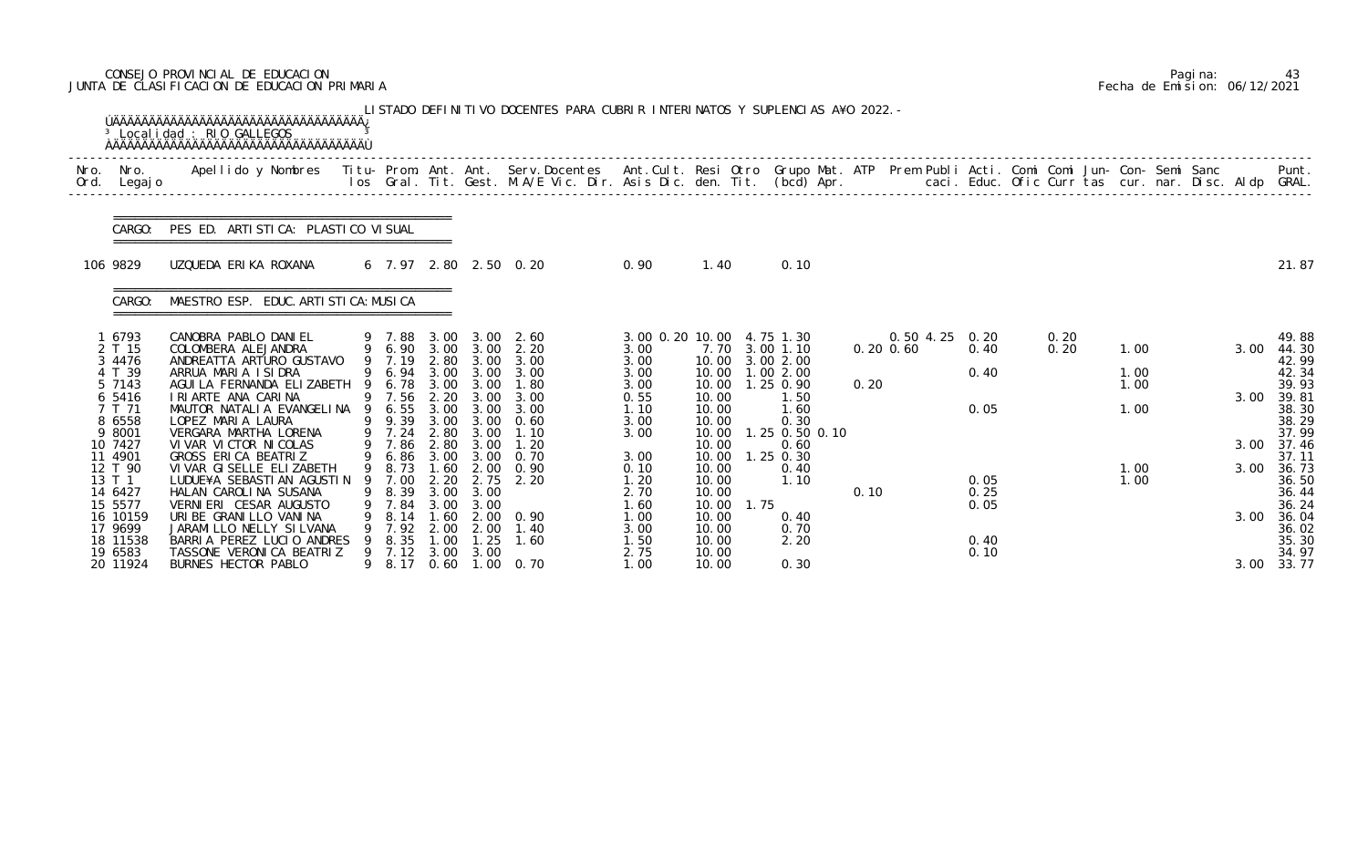# CONSEJO PROVINCIAL DE EDUCACION Pagina: 43 JUNTA DE CLASIFICACION DE EDUCACION PRIMARIA Fecha de Emision: 06/12/2021

| Nro.<br>Ord. | Nro.<br>Legaj o                         | Apellido y Nombres - Titu- Prom. Ant. Ant. Serv.Docentes - Ant.Cult. Resi Otro Grupo Mat. ATP Prem Publi Acti. Comi Comi Jun- Con- Semi Sanc - - - Punt.<br>Ios Gral. Tit. Gest. M.A/E Vic. Dir. Asis Dic. den. Tit. (bcd) Apr. - |     |                                  |                              |                              |                              |                                 |                                  |      |                                          |      |                                 |              |              |              |  |      |                                  |
|--------------|-----------------------------------------|-----------------------------------------------------------------------------------------------------------------------------------------------------------------------------------------------------------------------------------|-----|----------------------------------|------------------------------|------------------------------|------------------------------|---------------------------------|----------------------------------|------|------------------------------------------|------|---------------------------------|--------------|--------------|--------------|--|------|----------------------------------|
|              | CARGO:                                  | PES ED. ARTI STI CA: PLASTI CO VI SUAL                                                                                                                                                                                            |     |                                  |                              |                              |                              |                                 |                                  |      |                                          |      |                                 |              |              |              |  |      |                                  |
|              | 106 9829                                | UZQUEDA ERIKA ROXANA                                                                                                                                                                                                              |     |                                  |                              |                              | 6 7.97 2.80 2.50 0.20        | 0.90                            | 1.40                             |      | 0.10                                     |      |                                 |              |              |              |  |      | 21.87                            |
|              | CARGO:                                  | MAESTRO ESP. EDUC. ARTI STI CA: MUSI CA                                                                                                                                                                                           |     |                                  |                              |                              |                              |                                 |                                  |      |                                          |      |                                 |              |              |              |  |      |                                  |
|              | 1 6793<br>2 T 15<br>3 4476              | CANOBRA PABLO DANIEL<br>COLOMBERA ALEJANDRA<br>ANDREATTA ARTURO GUSTAVO                                                                                                                                                           |     | 9 7.88<br>9 6.90 3.00<br>9 7.19  | 3.00<br>2.80                 | 3.00<br>3.00                 | 3.00 2.60<br>2.20<br>3.00    | 3.00 0.20 10.00<br>3.00<br>3.00 | 10.00                            |      | 4.75 1.30<br>7.70 3.00 1.10<br>3.00 2.00 |      | 0.50 4.25 0.20<br>$0.20$ $0.60$ | 0.40         | 0.20<br>0.20 | 1.00         |  | 3.00 | 49.88<br>44.30<br>42.99          |
|              | 4 T 39<br>5 7143<br>6 5416              | ARRUA MARIA ISIDRA<br>AGUI LA FERNANDA ELIZABETH<br>I RI ARTE ANA CARINA                                                                                                                                                          | - 9 | 9 6.94<br>6.78<br>9 7.56         | 3.00<br>3.00<br>2.20         | 3.00<br>3.00<br>3.00         | 3.00<br>1.80<br>3.00         | 3.00<br>3.00<br>0.55            | 10.00<br>10.00<br>10.00          |      | 1.00 2.00<br>1.25 0.90<br>1.50           | 0.20 |                                 | 0.40         |              | 1.00<br>1.00 |  | 3.00 | 42.34<br>39.93<br>39.81          |
|              | 7 T 71<br>8 6558<br>9 8001<br>10 7427   | MAUTOR NATALIA EVANGELINA<br>LOPEZ MARIA LAURA<br>VERGARA MARTHA LORENA<br>VI VAR VI CTOR NI COLAS                                                                                                                                |     | 6.55<br>9 9.39<br>7.24<br>9 7.86 | 3.00<br>3.00<br>2.80<br>2.80 | 3.00<br>3.00<br>3.00<br>3.00 | 3.00<br>0.60<br>1.10<br>1.20 | 1.10<br>3.00<br>3.00            | 10.00<br>10.00<br>10.00<br>10.00 |      | 1.60<br>0.30<br>1.25 0.50 0.10<br>0.60   |      |                                 | 0.05         |              | 1.00         |  | 3.00 | 38.30<br>38.29<br>37.99<br>37.46 |
|              | 11 4901<br>12 T 90<br>13 T 1<br>14 6427 | GROSS ERICA BEATRIZ<br>VI VAR GI SELLE ELI ZABETH<br>LUDUE¥A SEBASTIAN AGUSTIN 9 7.00<br>HALAN CAROLINA SUSANA                                                                                                                    | 9   | 9 6.86<br>9 8.73<br>8.39         | 3.00<br>1.60<br>2.20<br>3.00 | 3.00<br>2.00<br>2.75<br>3.00 | 0.70<br>0.90<br>2.20         | 3.00<br>0.10<br>1.20<br>2.70    | 10.00<br>10.00<br>10.00<br>10.00 |      | $1.25$ 0.30<br>0.40<br>1.10              | 0.10 |                                 | 0.05<br>0.25 |              | 1.00<br>1.00 |  | 3.00 | 37.11<br>36.73<br>36.50<br>36.44 |
|              | 15 5577<br>16 10159<br>17 9699          | VERNIERI CESAR AUGUSTO<br>URIBE GRANILLO VANINA<br>JARAMI LLO NELLY SI LVANA                                                                                                                                                      |     | 7.84<br>8.14<br>9 7.92           | 3.00<br>.60<br>2.00          | 3.00<br>2.00                 | $2.00 \quad 0.90$<br>1. 40   | 1.60<br>1.00<br>3.00            | 10.00<br>10.00<br>10.00          | 1.75 | 0.40<br>0.70                             |      |                                 | 0.05         |              |              |  | 3.00 | 36.24<br>36.04<br>36.02          |
|              | 18 11538<br>19 6583<br>20 11924         | BARRIA PEREZ LUCIO ANDRES<br>TASSONE VERONICA BEATRIZ<br>BURNES HECTOR PABLO                                                                                                                                                      |     | 8.35<br>9 7.12<br>9 8.17         | 1.00<br>3.00<br>0.60         | 1.25<br>3.00                 | 1.60<br>1.00 0.70            | 1.50<br>2.75<br>1.00            | 10.00<br>10.00<br>10.00          |      | 2.20<br>0.30                             |      |                                 | 0.40<br>0.10 |              |              |  | 3.00 | 35.30<br>34.97<br>33.77          |

|  | Pagi na: | 43                           |
|--|----------|------------------------------|
|  |          | Fecha de Emision: 06/12/2021 |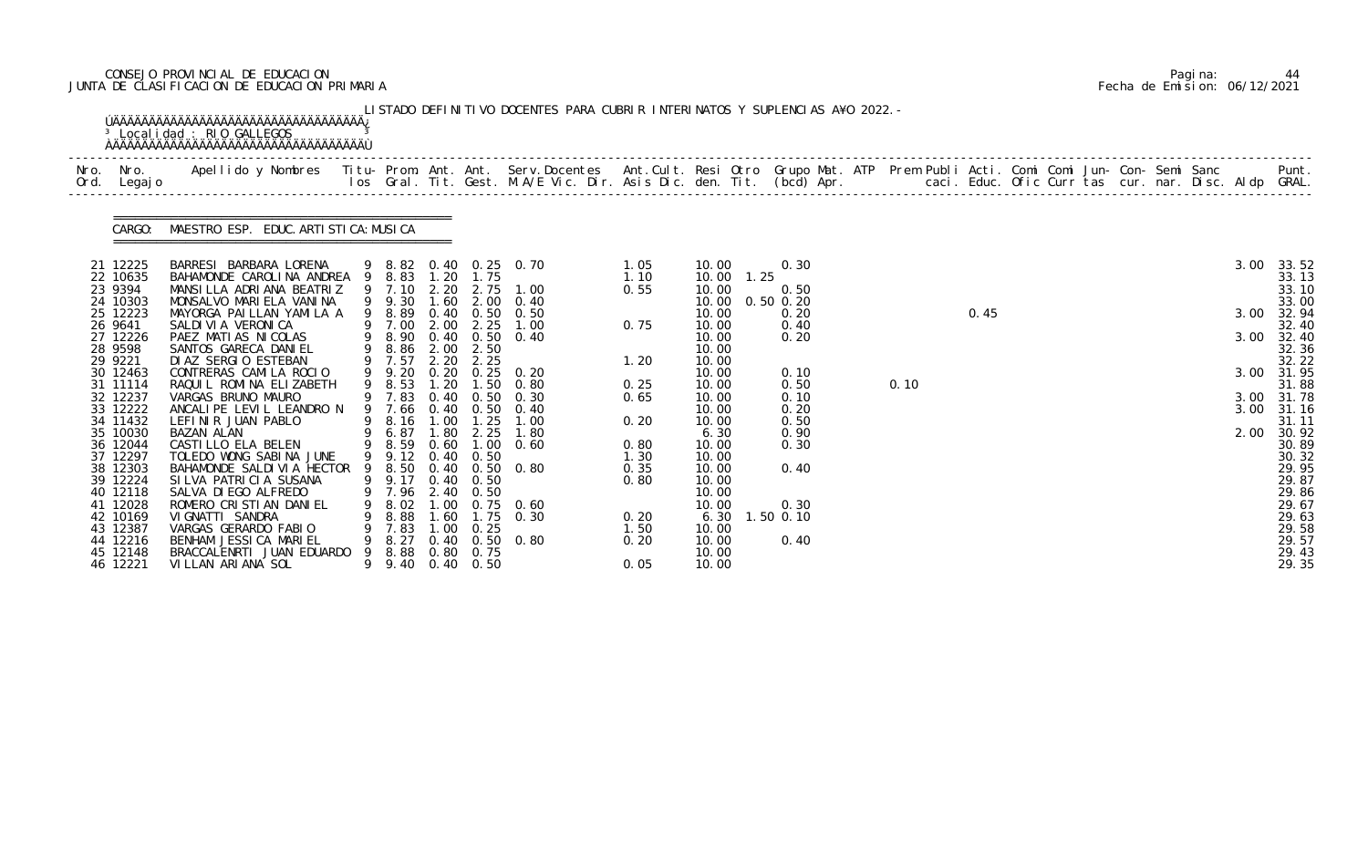# CONSEJO PROVINCIAL DE EDUCACION Pagina: 44 JUNTA DE CLASIFICACION DE EDUCACION PRIMARIA Fecha de Emision: 06/12/2021

|              |                                              | <sup>3</sup> Localidad : RIO GALLEGOS                                                                                                                                                                                             |   |                                                |              |                                        | LISTADO DEFINITIVO DOCENTES PARA CUBRIR INTERINATOS Y SUPLENCIAS A¥O 2022. - |                              |                                  |                                       |      |      |  |  |  |              |                                  |
|--------------|----------------------------------------------|-----------------------------------------------------------------------------------------------------------------------------------------------------------------------------------------------------------------------------------|---|------------------------------------------------|--------------|----------------------------------------|------------------------------------------------------------------------------|------------------------------|----------------------------------|---------------------------------------|------|------|--|--|--|--------------|----------------------------------|
| Nro.<br>Ord. | Nro. In the Nro.<br>Legaj o                  | Apellido y Nombres  Titu- Prom. Ant. Ant. Serv.Docentes  Ant.Cult. Resi Otro Grupo Mat. ATP Prem Publi Acti. Comi Comi Jun- Con- Semi Sanc           Punt.<br>Ios Gral. Tit. Gest. M.A/E Vic. Dir. Asis Dic. den. Tit. (bcd) Apr. |   |                                                |              |                                        |                                                                              |                              |                                  |                                       |      |      |  |  |  |              |                                  |
|              | CARGO:                                       | MAESTRO ESP. EDUC. ARTI STI CA: MUSI CA                                                                                                                                                                                           |   |                                                |              |                                        |                                                                              |                              |                                  |                                       |      |      |  |  |  |              |                                  |
|              | 21 12225<br>22 10635                         | BARRESI BARBARA LORENA<br>BAHAMONDE CAROLINA ANDREA 9 8.83<br>MANSILLA ADRIANA BEATRIZ                                                                                                                                            |   | 9 7.10                                         | 2.20         | 1.20 1.75<br>2.75                      | 9 8.82 0.40 0.25 0.70<br>1.00                                                | 1.05<br>1.10                 | 10.00<br>10.00<br>1.25           | 0.30                                  |      |      |  |  |  | 3.00         | 33.52<br>33.13<br>33.10          |
|              | 23 9394<br>24 10303<br>25 12223<br>26 9641   | MONSALVO MARIELA VANINA<br>MAYORGA PAILLAN YAMILA A<br>SALDI VI A VERONI CA                                                                                                                                                       |   | 9 9.30<br>9 8.89<br>9 7.00                     | 1.60<br>2.00 | 2.25                                   | 2.00 0.40<br>$0.40$ $0.50$ $0.50$<br>1.00                                    | 0.55<br>0.75                 | 10.00<br>10.00<br>10.00<br>10.00 | 0.50<br>$0.50$ $0.20$<br>0.20<br>0.40 |      | 0.45 |  |  |  | 3.00         | 33.00<br>32.94<br>32.40          |
|              | 27 12226<br>28 9598<br>29 9221               | PAEZ MATIAS NICOLAS<br>SANTOS GARECA DANIEL<br>DI AZ SERGIO ESTEBAN                                                                                                                                                               |   | 9 8.90<br>9 8.86<br>9 7.57                     | 2.00<br>2.20 | 2.50<br>2.25                           | $0.40 \quad 0.50 \quad 0.40$                                                 | 1.20                         | 10.00<br>10.00<br>10.00          | 0.20                                  |      |      |  |  |  | 3.00         | 32.40<br>32.36<br>32.22          |
|              | 30 12463<br>31 11114<br>32 12237             | CONTRERAS CAMILA ROCIO<br>RAQUIL ROMINA ELIZABETH<br>VARGAS BRUNO MAURO                                                                                                                                                           |   | 9 9.20<br>9 8.53<br>9 7.83                     | 1.20<br>0.40 |                                        | $0.20$ $0.25$ $0.20$<br>$1.50 \t 0.80$<br>$0.50 \quad 0.30$                  | 0.25<br>0.65                 | 10.00<br>10.00<br>10.00          | 0.10<br>0.50<br>0.10                  | 0.10 |      |  |  |  | 3.00         | 31.95<br>31.88<br>3.00 31.78     |
|              | 33 12222<br>34 11432<br>35 10030             | ANCALIPE LEVIL LEANDRO N<br>LEFINIR JUAN PABLO<br>BAZAN ALAN                                                                                                                                                                      |   | 9 7.66<br>9 8.16<br>6.87                       | 1.00<br>1.80 | 1.25<br>2.25                           | 0.40 0.50 0.40<br>1.00<br>1.80                                               | 0.20                         | 10.00<br>10.00<br>6.30           | 0.20<br>0.50<br>0.90                  |      |      |  |  |  | 3.00<br>2.00 | 31.16<br>31.11<br>30.92          |
|              | 36 12044<br>37 12297<br>38 12303<br>39 12224 | CASTILLO ELA BELEN<br>TOLEDO WONG SABINA JUNE<br>BAHAMONDE SALDIVIA HECTOR 9 8.50 0.40 0.50 0.80<br>SILVA PATRICIA SUSANA                                                                                                         |   | 9 8.59<br>9 9.12 0.40 0.50<br>9 9.17 0.40 0.50 |              |                                        | $0.60$ 1.00 0.60                                                             | 0.80<br>1.30<br>0.35<br>0.80 | 10.00<br>10.00<br>10.00<br>10.00 | 0.30<br>0.40                          |      |      |  |  |  |              | 30.89<br>30.32<br>29.95<br>29.87 |
|              | 40 12118<br>41 12028<br>42 10169<br>43 12387 | SALVA DI EGO ALFREDO<br>ROMERO CRISTIAN DANIEL<br>VI GNATTI SANDRA<br>VARGAS GERARDO FABIO                                                                                                                                        |   | 7.96<br>8.02<br>8.88<br>7.83                   | 1.00<br>1.60 | 2.40 0.50<br>1.75<br>$1.00 \quad 0.25$ | $0.75$ 0.60<br>0.30                                                          | 0.20<br>1.50                 | 10.00<br>10.00<br>6.30<br>10.00  | 0.30<br>1.50 0.10                     |      |      |  |  |  |              | 29.86<br>29.67<br>29.63<br>29.58 |
|              | 44 12216<br>45 12148<br>46 12221             | BENHAM JESSICA MARIEL<br>BRACCALENRTI JUAN EDUARDO<br>VILLAN ARIANA SOL                                                                                                                                                           | 9 | 8.27<br>8.88<br>9 9.40 0.40 0.50               |              | 0.80 0.75                              | $0.40 \quad 0.50 \quad 0.80$                                                 | 0.20<br>0.05                 | 10.00<br>10.00<br>10.00          | 0.40                                  |      |      |  |  |  |              | 29.57<br>29.43<br>29.35          |

|  | Pagi na: | 44                           |
|--|----------|------------------------------|
|  |          | Fecha de Emision: 06/12/2021 |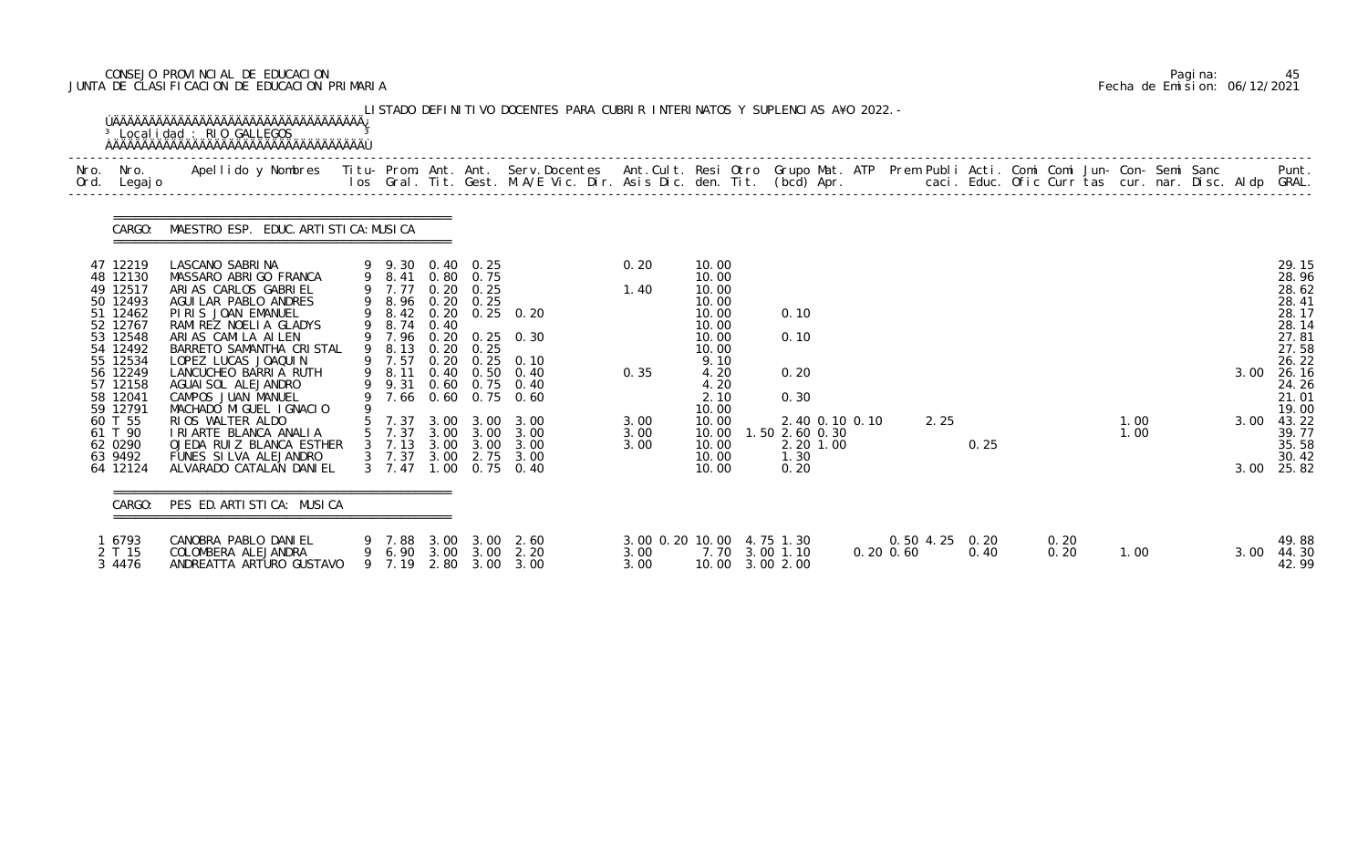# CONSEJO PROVINCIAL DE EDUCACION Pagina: 45 JUNTA DE CLASIFICACION DE EDUCACION PRIMARIA Fecha de Emision: 06/12/2021

| Nro. | Nro.<br>Ord. Legajo  | Apellido y Nombres - Titu- Prom. Ant. Ant. Serv.Docentes - Ant.Cult. Resi Otro Grupo Mat. ATP Prem Publi Acti. Comi Comi Jun- Con- Semi Sanc - - - - Punt.<br>Ios Gral. Tit. Gest. M.A/E Vic. Dir. Asis Dic. den. Tit. (bcd) Apr. |                |                  |                                       |                                                |                           |                |                                   |                |      |                |      |      |      |  |      |                |
|------|----------------------|-----------------------------------------------------------------------------------------------------------------------------------------------------------------------------------------------------------------------------------|----------------|------------------|---------------------------------------|------------------------------------------------|---------------------------|----------------|-----------------------------------|----------------|------|----------------|------|------|------|--|------|----------------|
|      |                      | CARGO: MAESTRO ESP. EDUC. ARTI STI CA: MUSI CA                                                                                                                                                                                    |                |                  |                                       |                                                |                           |                |                                   |                |      |                |      |      |      |  |      |                |
|      | 47 12219             | LASCANO SABRINA                                                                                                                                                                                                                   |                |                  | 9 9.30 0.40 0.25                      |                                                | 0.20                      | 10.00          |                                   |                |      |                |      |      |      |  |      | 29.15          |
|      | 48 12130<br>49 12517 | MASSARO ABRIGO FRANCA<br>ARIAS CARLOS GABRIEL                                                                                                                                                                                     | 9 7.77         |                  | 9 8.41 0.80 0.75<br>$0.20 \quad 0.25$ |                                                | 1.40                      | 10.00<br>10.00 |                                   |                |      |                |      |      |      |  |      | 28.96<br>28.62 |
|      | 50 12493             | AGUI LAR PABLO ANDRES                                                                                                                                                                                                             |                |                  | 9 8.96 0.20 0.25                      |                                                |                           | 10.00          |                                   |                |      |                |      |      |      |  |      | 28.41          |
|      | 51 12462             | PIRIS JOAN EMANUEL                                                                                                                                                                                                                |                |                  |                                       | 9 8.42 0.20 0.25 0.20                          |                           | 10.00          | 0.10                              |                |      |                |      |      |      |  |      | 28.17          |
|      | 52 12767<br>53 12548 | RAMIREZ NOELIA GLADYS<br>ARIAS CAMILA AILEN                                                                                                                                                                                       | 9 8.74         | 0.40             |                                       | 9 7.96 0.20 0.25 0.30                          |                           | 10.00<br>10.00 | 0.10                              |                |      |                |      |      |      |  |      | 28.14<br>27.81 |
|      | 54 12492             | BARRETO SAMANTHA CRISTAL                                                                                                                                                                                                          | 9 8.13         |                  | $0.20 \quad 0.25$                     |                                                |                           | 10.00          |                                   |                |      |                |      |      |      |  |      | 27.58          |
|      | 55 12534             | LOPEZ LUCAS JOAQUIN                                                                                                                                                                                                               | 9 7.57         | 0.20             | 0.25                                  | 0.10                                           |                           | 9.10           |                                   |                |      |                |      |      |      |  |      | 26.22          |
|      | 56 12249             | LANCUCHEO BARRIA RUTH                                                                                                                                                                                                             | 9 8.11         |                  |                                       | 0.40 0.50 0.40                                 | 0.35                      | 4.20           | 0.20                              |                |      |                |      |      |      |  | 3.00 | 26.16          |
|      | 57 12158<br>58 12041 | AGUAI SOL ALEJANDRO<br>CAMPOS JUAN MANUEL                                                                                                                                                                                         | 9 9.31         |                  |                                       | 0.60 0.75 0.40<br>7.66 0.60 0.75 0.60          |                           | 4.20<br>2.10   | 0.30                              |                |      |                |      |      |      |  |      | 24.26<br>21.01 |
|      | 59 12791             | MACHADO MIGUEL IGNACIO                                                                                                                                                                                                            |                |                  |                                       |                                                |                           | 10.00          |                                   |                |      |                |      |      |      |  |      | 19.00          |
|      | 60 T 55              | RIOS WALTER ALDO                                                                                                                                                                                                                  |                |                  |                                       | 5 7.37 3.00 3.00 3.00                          | 3.00                      | 10.00          | 2.40 0.10 0.10                    |                | 2.25 |                |      |      | 1.00 |  | 3.00 | 43.22          |
|      | 61 T 90              | I RI ARTE BLANCA ANALIA                                                                                                                                                                                                           | 5 7.37         |                  | 3.00 3.00                             | 3.00                                           | 3.00                      | 10.00          | .50 2.60 0.30                     |                |      |                |      |      | 1.00 |  |      | 39.77          |
|      | 62 0290<br>63 9492   | OJEDA RUIZ BLANCA ESTHER<br>FUNES SILVA ALEJANDRO                                                                                                                                                                                 | $3 \quad 7.37$ |                  |                                       | 3 7.13 3.00 3.00 3.00<br>3.00 2.75 3.00        | 3.00                      | 10.00<br>10.00 | 2.20 1.00<br>1.30                 |                |      | 0.25           |      |      |      |  |      | 35.58<br>30.42 |
|      | 64 12124             | ALVARADO CATALAN DANIEL                                                                                                                                                                                                           | $3 \quad 7.47$ | .00 <sub>1</sub> | 0.75                                  | 0.40                                           |                           | 10.00          | 0.20                              |                |      |                |      |      |      |  |      | 3.00 25.82     |
|      | CARGO:               | PES ED. ARTISTICA: MUSICA                                                                                                                                                                                                         |                |                  |                                       |                                                |                           |                |                                   |                |      |                |      |      |      |  |      |                |
|      | 1 6793               | CANOBRA PABLO DANIEL                                                                                                                                                                                                              |                |                  |                                       | 9 7.88 3.00 3.00 2.60                          | 3.00 0.20 10.00 4.75 1.30 |                |                                   |                |      | 0.50 4.25 0.20 | 0.20 |      |      |  |      | 49.88          |
|      | 2 T 15<br>3 4476     | COLOMBERA ALEJANDRA<br>ANDREATTA ARTURO GUSTAVO                                                                                                                                                                                   |                |                  |                                       | 9 6.90 3.00 3.00 2.20<br>9 7.19 2.80 3.00 3.00 | 3.00<br>3.00              |                | 7.70 3.00 1.10<br>10.00 3.00 2.00 | $0.20 \, 0.60$ |      | 0.40           |      | 0.20 | 1.00 |  | 3.00 | 44.30<br>42.99 |

|  | Pagi na: | 45                           |
|--|----------|------------------------------|
|  |          | Fecha de Emision: 06/12/2021 |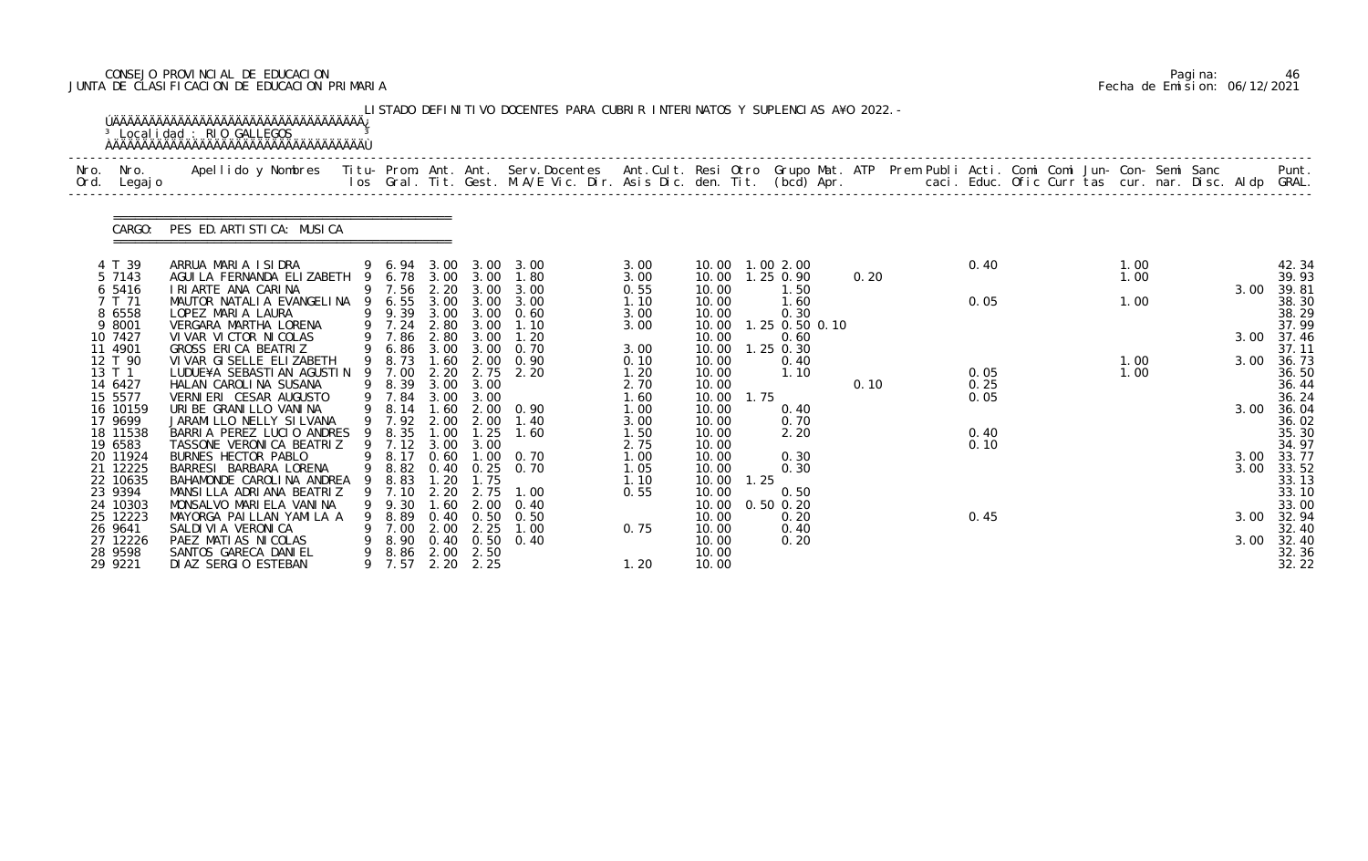# CONSEJO PROVINCIAL DE EDUCACION Pagina: 46 JUNTA DE CLASIFICACION DE EDUCACION PRIMARIA Fecha de Emision: 06/12/2021

|              |                                             | <sup>3</sup> Localidad : RIO GALLEGOS                                                                                                                                                                                             |    |                                    |                               |                                                   | LISTADO DEFINITIVO DOCENTES PARA CUBRIR INTERINATOS Y SUPLENCIAS A¥O 2022. - |                              |                                  |            |                                        |      |                      |  |              |  |              |                                  |
|--------------|---------------------------------------------|-----------------------------------------------------------------------------------------------------------------------------------------------------------------------------------------------------------------------------------|----|------------------------------------|-------------------------------|---------------------------------------------------|------------------------------------------------------------------------------|------------------------------|----------------------------------|------------|----------------------------------------|------|----------------------|--|--------------|--|--------------|----------------------------------|
| Nro.<br>Ord. | Nro.<br>Legaj o                             | Apellido y Nombres - Titu- Prom. Ant. Ant. Serv.Docentes - Ant.Cult. Resi Otro Grupo Mat. ATP Prem Publi Acti. Comi Comi Jun- Con- Semi Sanc - - - - Punt.<br>Ios Gral. Tit. Gest. M.A/E Vic. Dir. Asis Dic. den. Tit. (bcd) Apr. |    |                                    |                               |                                                   |                                                                              |                              |                                  |            |                                        |      |                      |  |              |  |              |                                  |
|              | CARGO:                                      | PES ED. ARTISTICA: MUSICA                                                                                                                                                                                                         |    |                                    |                               |                                                   |                                                                              |                              |                                  |            |                                        |      |                      |  |              |  |              |                                  |
|              | 4 T 39<br>5 7143                            | ARRUA MARIA ISIDRA<br>AGUI LA FERNANDA ELIZABETH                                                                                                                                                                                  |    | 9 6.94 3.00<br>6.78                |                               | 3.00 3.00                                         | 3.00 3.00<br>1.80                                                            | 3.00<br>3.00                 | 10.00                            |            | 10.00  1.00  2.00<br>1.25 0.90         | 0.20 | 0.40                 |  | 1.00<br>1.00 |  |              | 42.34<br>39.93                   |
|              | 6 5416<br>7 T 71<br>8 6558<br>9 8001        | I RI ARTE ANA CARINA<br>MAUTOR NATALIA EVANGELINA<br>LOPEZ MARIA LAURA<br>VERGARA MARTHA LORENA                                                                                                                                   |    | 9 7.56<br>6.55<br>9 9.39<br>9 7.24 | 2.20<br>3.00<br>2.80          | 3.00<br>3.00<br>3.00 3.00<br>3.00                 | 3.00<br>3.00<br>0.60<br>1.10                                                 | 0.55<br>1.10<br>3.00<br>3.00 | 10.00<br>10.00<br>10.00<br>10.00 |            | 1.50<br>1.60<br>0.30<br>1.25 0.50 0.10 |      | 0.05                 |  | 1.00         |  | 3.00         | 39.81<br>38.30<br>38.29<br>37.99 |
|              | 10 7427<br>11 4901                          | VI VAR VI CTOR NI COLAS<br>GROSS ERICA BEATRIZ                                                                                                                                                                                    | 9  | 9 7.86<br>6.86                     | 2.80                          | 3.00<br>3.00 3.00                                 | 1.20<br>0.70                                                                 | 3.00                         | 10.00<br>10.00                   |            | 0.60<br>$1.25$ 0.30                    |      |                      |  |              |  | 3.00         | 37.46<br>37.11                   |
|              | 12 T 90<br>13 T 1<br>14 6427<br>15 5577     | VI VAR GI SELLE ELI ZABETH<br>LUDUE¥A SEBASTI AN AGUSTI N<br>HALAN CAROLINA SUSANA<br>VERNIERI CESAR AUGUSTO                                                                                                                      | 9  | 8.73<br>7.00<br>9 8.39<br>9 7.84   | 1.60<br>2.20<br>3.00<br>3.00  | 2.00<br>2.75<br>3.00<br>3.00                      | 0.90<br>2.20                                                                 | 0.10<br>1.20<br>2.70<br>1.60 | 10.00<br>10.00<br>10.00<br>10.00 | 1.75       | 0.40<br>1.10                           | 0.10 | 0.05<br>0.25<br>0.05 |  | 1.00<br>1.00 |  | 3.00         | 36.73<br>36.50<br>36.44<br>36.24 |
|              | 16 10159<br>17 9699<br>18 11538<br>19 6583  | URIBE GRANILLO VANINA<br>JARAMI LLO NELLY SI LVANA<br>BARRIA PEREZ LUCIO ANDRES<br>TASSONE VERONICA BEATRIZ                                                                                                                       | -9 | 9 8.14<br>9 7.92<br>8.35<br>9 7.12 | 1.60<br>2.00<br>1.00<br>3.00  | 2.00<br>1.25<br>3.00                              | 2.00 0.90<br>1.40<br>1.60                                                    | 1.00<br>3.00<br>1.50<br>2.75 | 10.00<br>10.00<br>10.00<br>10.00 |            | 0.40<br>0.70<br>2.20                   |      | 0.40<br>0.10         |  |              |  | 3.00         | 36.04<br>36.02<br>35.30<br>34.97 |
|              | 20 11924<br>21 12225<br>22 10635<br>23 9394 | BURNES HECTOR PABLO<br>BARRESI BARBARA LORENA<br>BAHAMONDE CAROLINA ANDREA<br>MANSILLA ADRIANA BEATRIZ                                                                                                                            | 9  | 9 8.17<br>9 8.82<br>9 8.83<br>7.10 | 0.60<br>1. 20<br>2.20<br>1.60 | 1.00<br>$0.40 \quad 0.25$<br>1.75<br>2.75<br>2.00 | 0. 70<br>0. 70<br>1.00<br>0.40                                               | 1.00<br>1.05<br>1.10<br>0.55 | 10.00<br>10.00<br>10.00          | 10.00 1.25 | 0.30<br>0.30<br>0.50                   |      |                      |  |              |  | 3.00<br>3.00 | 33.77<br>33.52<br>33.13<br>33.10 |
|              | 24 10303<br>25 12223<br>26 9641<br>27 12226 | MONSALVO MARIELA VANINA<br>MAYORGA PAILLAN YAMILA A<br>SALDI VI A VERONI CA<br>PAEZ MATIAS NICOLAS                                                                                                                                |    | 9.30<br>8.89<br>7.00<br>8.90       | 0.40<br>2.00                  | 0.50<br>2.25<br>$0.40 \quad 0.50$                 | 0. 50<br>1.00<br>0.40                                                        | 0.75                         | 10.00<br>10.00<br>10.00<br>10.00 |            | $0.50$ $0.20$<br>0.20<br>0.40<br>0.20  |      | 0.45                 |  |              |  | 3.00<br>3.00 | 33.00<br>32.94<br>32.40<br>32.40 |
|              | 28 9598<br>29 9221                          | SANTOS GARECA DANIEL<br>DI AZ SERGIO ESTEBAN                                                                                                                                                                                      | 9  | 8.86<br>9 7.57                     |                               | 2.00 2.50<br>2.20 2.25                            |                                                                              | 1.20                         | 10.00<br>10.00                   |            |                                        |      |                      |  |              |  |              | 32.36<br>32.22                   |

|  | Pagi na: | 46                           |
|--|----------|------------------------------|
|  |          | Fecha de Emision: 06/12/2021 |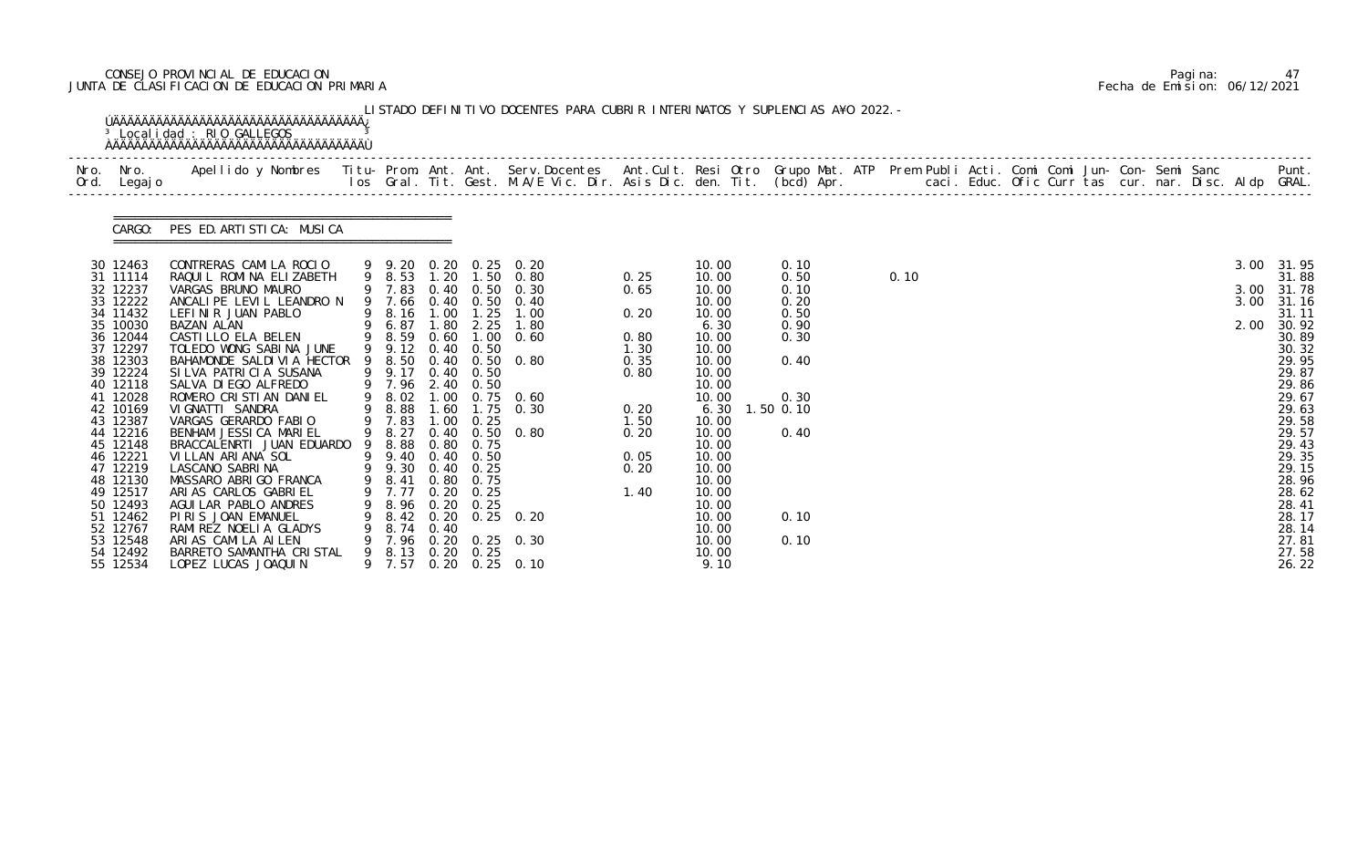# CONSEJO PROVINCIAL DE EDUCACION Pagina: 47 JUNTA DE CLASIFICACION DE EDUCACION PRIMARIA Fecha de Emision: 06/12/2021

| Nro. Nro.<br>Ord. Legajo                                                                                                                                                                                                                                                                                 | Apellido y Nombres  Titu- Prom. Ant. Ant. Serv.Docentes  Ant.Cult. Resi Otro Grupo Mat. ATP Prem Publi Acti. Comi Comi Jun- Con- Semi Sanc         Punt.<br>Ios Gral. Tit. Gest. M.A/E Vic. Dir. Asis Dic. den. Tit. (bcd) Apr.                                                                                                                                                                                                                                                                                                                                                                                         |                                                                                                                                                                                                                                                    |                              |                                                                                                        |                                                                                                                                                                                                                                                                      |                                                                                                       |                                                                                                                                                                                                                             |                                                                                                           |      |  |  |  |  |                              |                                                                                                                                                                                                                               |
|----------------------------------------------------------------------------------------------------------------------------------------------------------------------------------------------------------------------------------------------------------------------------------------------------------|-------------------------------------------------------------------------------------------------------------------------------------------------------------------------------------------------------------------------------------------------------------------------------------------------------------------------------------------------------------------------------------------------------------------------------------------------------------------------------------------------------------------------------------------------------------------------------------------------------------------------|----------------------------------------------------------------------------------------------------------------------------------------------------------------------------------------------------------------------------------------------------|------------------------------|--------------------------------------------------------------------------------------------------------|----------------------------------------------------------------------------------------------------------------------------------------------------------------------------------------------------------------------------------------------------------------------|-------------------------------------------------------------------------------------------------------|-----------------------------------------------------------------------------------------------------------------------------------------------------------------------------------------------------------------------------|-----------------------------------------------------------------------------------------------------------|------|--|--|--|--|------------------------------|-------------------------------------------------------------------------------------------------------------------------------------------------------------------------------------------------------------------------------|
|                                                                                                                                                                                                                                                                                                          | CARGO: PES ED. ARTISTICA: MUSICA                                                                                                                                                                                                                                                                                                                                                                                                                                                                                                                                                                                        |                                                                                                                                                                                                                                                    |                              |                                                                                                        |                                                                                                                                                                                                                                                                      |                                                                                                       |                                                                                                                                                                                                                             |                                                                                                           |      |  |  |  |  |                              |                                                                                                                                                                                                                               |
| 30 12463<br>31 11114<br>32 12237<br>33 12222<br>34 11432<br>35 10030<br>36 12044<br>37 12297<br>38 12303<br>39 12224<br>40 12118<br>41 12028<br>42 10169<br>43 12387<br>44 12216<br>45 12148<br>46 12221<br>47 12219<br>48 12130<br>49 12517<br>50 12493<br>51 12462<br>52 12767<br>53 12548<br>54 12492 | CONTRERAS CAMILA ROCIO<br>RAQUIL ROMINA ELIZABETH<br>VARGAS BRUNO MAURO<br>ANCALIPE LEVIL LEANDRO N<br>LEFINIR JUAN PABLO<br>BAZAN ALAN<br>CASTILLO ELA BELEN<br>TOLEDO WONG SABINA JUNE<br>BAHAMONDE SALDIVIA HECTOR<br>SILVA PATRICIA SUSANA<br>SALVA DI EGO ALFREDO<br>ROMERO CRISTIAN DANIEL<br>VI GNATTI SANDRA<br>VARGAS GERARDO FABIO<br>BENHAM JESSICA MARIEL<br>BRACCALENRTI JUAN EDUARDO<br>VILLAN ARIANA SOL<br>LASCANO SABRINA<br>MASSARO ABRIGO FRANCA<br>ARIAS CARLOS GABRIEL<br>AGUI LAR PABLO ANDRES<br>PIRIS JOAN EMANUEL<br>RAMI REZ NOELI A GLADYS<br>ARIAS CAMILA AILEN<br>BARRETO SAMANTHA CRISTAL | 9 8.53<br>9 6.87<br>9 8.59 0.60<br>9 9.12 0.40 0.50<br>9 9.17<br>9 7.96 2.40 0.50<br>9 8.02<br>9 8.88<br>9 7.83<br>9 8.27<br>9 8.88<br>9 9.40 0.40 0.50<br>9 9.30 0.40 0.25<br>9 8.41 0.80 0.75<br>7.77<br>8.74 0.40<br>9 7.96<br>9 8.13 0.20 0.25 | 1.80<br>1.00<br>1.60<br>0.40 | 2.25<br>$0.40\quad 0.50$<br>$1.00 \t 0.25$<br>$0.80 \quad 0.75$<br>$0.20 \quad 0.25$<br>8.96 0.20 0.25 | 9 9.20 0.20 0.25 0.20<br>1.20 1.50 0.80<br>9 7.83 0.40 0.50 0.30<br>9 7.66 0.40 0.50 0.40<br>9 8.16 1.00 1.25 1.00<br>1.80<br>$1.00 \quad 0.60$<br>9 8.50 0.40 0.50 0.80<br>$0.75$ 0.60<br>$1.75$ 0.30<br>$0.50 \quad 0.80$<br>8.42 0.20 0.25 0.20<br>0.20 0.25 0.30 | 0.25<br>0.65<br>0.20<br>0.80<br>1.30<br>0.35<br>0.80<br>0.20<br>1.50<br>0.20<br>0.05<br>0.20<br>1. 40 | 10.00<br>10.00<br>10.00<br>10.00<br>10.00<br>6.30<br>10.00<br>10.00<br>10.00<br>10.00<br>10.00<br>10.00<br>6.30<br>10.00<br>10.00<br>10.00<br>10.00<br>10.00<br>10.00<br>10.00<br>10.00<br>10.00<br>10.00<br>10.00<br>10.00 | 0.10<br>0.50<br>0.10<br>0.20<br>0.50<br>0.90<br>0.30<br>0.40<br>0.30<br>1.50 0.10<br>0.40<br>0.10<br>0.10 | 0.10 |  |  |  |  | 3.00<br>3.00<br>3.00<br>2.00 | 31.95<br>31.88<br>31.78<br>31.16<br>31.11<br>30.92<br>30.89<br>30.32<br>29.95<br>29.87<br>29.86<br>29.67<br>29.63<br>29.58<br>29.57<br>29.43<br>29.35<br>29.15<br>28.96<br>28.62<br>28.41<br>28.17<br>28.14<br>27.81<br>27.58 |

|  | Pagi na: | 47                           |
|--|----------|------------------------------|
|  |          | Fecha de Emision: 06/12/2021 |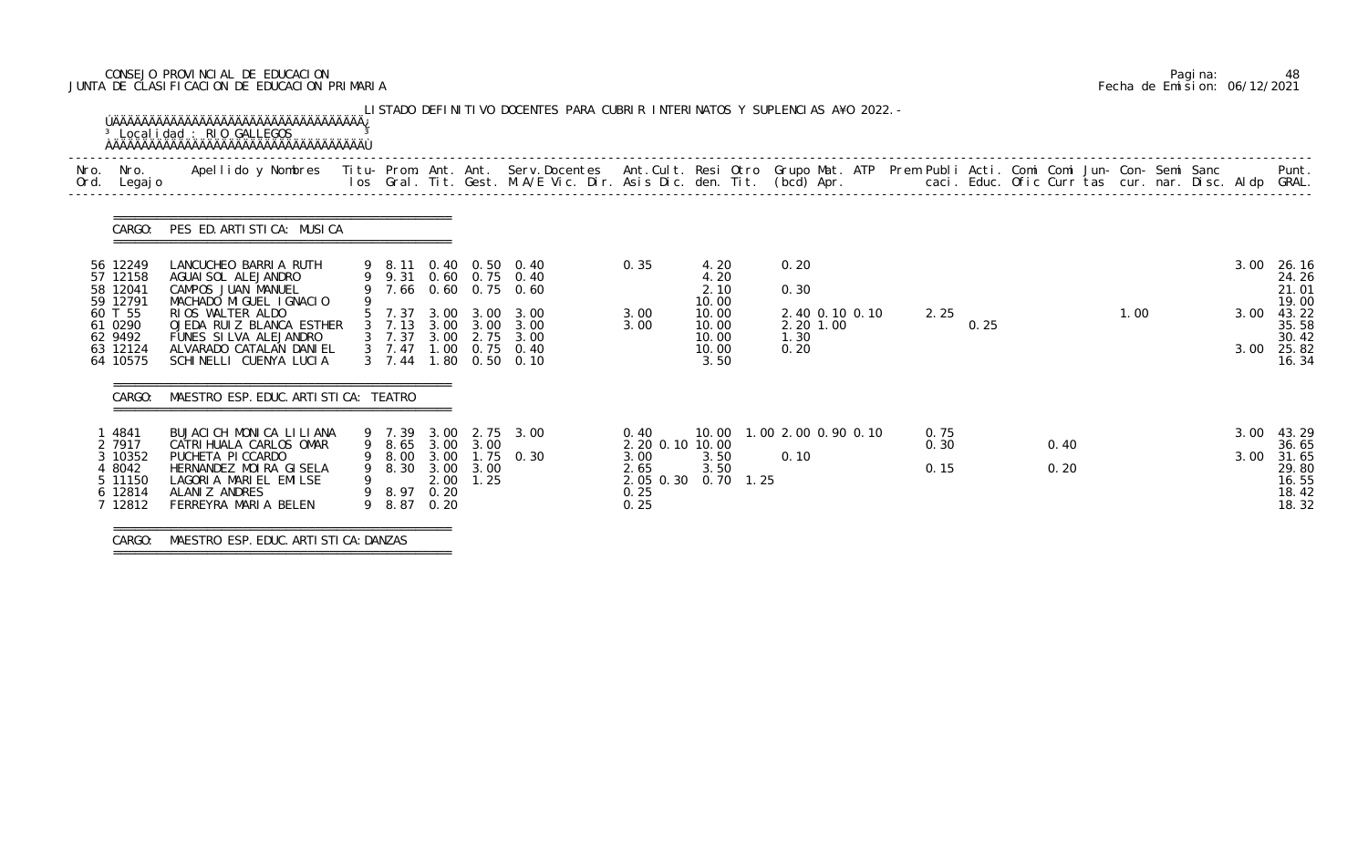# CONSEJO PROVINCIAL DE EDUCACION Pagina: 48 JUNTA DE CLASIFICACION DE EDUCACION PRIMARIA Fecha de Emision: 06/12/2021

| Nro.<br>Ord. | Nro.<br>Legaj o                                                      | Apellido y Nombres - Titu- Prom. Ant. Ant. Serv.Docentes - Ant.Cult. Resi Otro Grupo Mat. ATP Prem Publi Acti. Comi Comi Jun- Con- Semi Sanc - - - Punt.<br>Ios Gral. Tit. Gest. M.A/E Vic. Dir. Asis Dic. den. Tit. (bcd) Apr. - |   |                                                |      |                                       |                                                                                 |                                                                          |                                          |                                             |  |                      |      |              |      |  |              |                                                             |
|--------------|----------------------------------------------------------------------|-----------------------------------------------------------------------------------------------------------------------------------------------------------------------------------------------------------------------------------|---|------------------------------------------------|------|---------------------------------------|---------------------------------------------------------------------------------|--------------------------------------------------------------------------|------------------------------------------|---------------------------------------------|--|----------------------|------|--------------|------|--|--------------|-------------------------------------------------------------|
|              | CARGO:                                                               | PES ED. ARTISTICA: MUSICA                                                                                                                                                                                                         |   |                                                |      |                                       |                                                                                 |                                                                          |                                          |                                             |  |                      |      |              |      |  |              |                                                             |
|              | 56 12249<br>57 12158<br>58 12041<br>59 12791                         | LANCUCHEO BARRIA RUTH<br>AGUAI SOL ALEJANDRO<br>CAMPOS JUAN MANUEL<br>MACHADO MIGUEL IGNACIO                                                                                                                                      |   |                                                |      | 9 8.11 0.40 0.50 0.40                 | 9 9.31 0.60 0.75 0.40<br>9 7.66 0.60 0.75 0.60                                  | 0.35                                                                     | 4.20<br>4.20<br>2.10<br>10.00            | 0.20<br>0.30                                |  |                      |      |              |      |  | 3.00         | 26. 16<br>24.26<br>21.01<br>19.00                           |
|              | 60 T 55<br>61 0290<br>62 9492<br>63 12124<br>64 10575                | RIOS WALTER ALDO<br>OJEDA RUIZ BLANCA ESTHER<br>FUNES SILVA ALEJANDRO<br>ALVARADO CATALAN DANIEL<br>SCHINELLI CUENYA LUCIA                                                                                                        |   | $3 \quad 7.44$                                 |      | 3 7.37 3.00 2.75<br>1.80 0.50 0.10    | 5 7.37 3.00 3.00 3.00<br>3 7.13 3.00 3.00 3.00<br>3.00<br>3 7.47 1.00 0.75 0.40 | 3.00<br>3.00                                                             | 10.00<br>10.00<br>10.00<br>10.00<br>3.50 | 2.40 0.10 0.10<br>2.20 1.00<br>1.30<br>0.20 |  | 2.25                 | 0.25 |              | 1.00 |  | 3.00<br>3.00 | 43.22<br>35.58<br>30.42<br>25.82<br>16.34                   |
|              | CARGO:                                                               | MAESTRO ESP. EDUC. ARTI STI CA: TEATRO                                                                                                                                                                                            |   |                                                |      |                                       |                                                                                 |                                                                          |                                          |                                             |  |                      |      |              |      |  |              |                                                             |
|              | 4841<br>2 7917<br>3 10352<br>4 8042<br>5 11150<br>6 12814<br>7 12812 | BUJACICH MONICA LILIANA<br>CATRI HUALA CARLOS OMAR<br>PUCHETA PICCARDO<br>HERNANDEZ MOIRA GISELA<br>LAGORIA MARIEL EMILSE<br>ALANIZ ANDRES<br>FERREYRA MARIA BELEN                                                                | 9 | 9 7.39<br>9 8.30<br>9 8.97 0.20<br>9 8.87 0.20 | 3.00 | 9 8.65 3.00 3.00<br>3.00<br>2.00 1.25 | 3.00 2.75 3.00<br>9 8.00 3.00 1.75 0.30                                         | 0.40<br>2.20 0.10 10.00<br>3.00<br>2.65<br>2.05 0.30<br>$0.25$<br>$0.25$ | 10.00<br>3.50<br>3.50<br>$0.70$ 1.25     | 1.00 2.00 0.90 0.10<br>0.10                 |  | 0.75<br>0.30<br>0.15 |      | 0.40<br>0.20 |      |  | 3.00<br>3.00 | 43.29<br>36.65<br>31.65<br>29.80<br>16.55<br>18.42<br>18.32 |

|  | Pagi na: | 48                           |
|--|----------|------------------------------|
|  |          | Fecha de Emision: 06/12/2021 |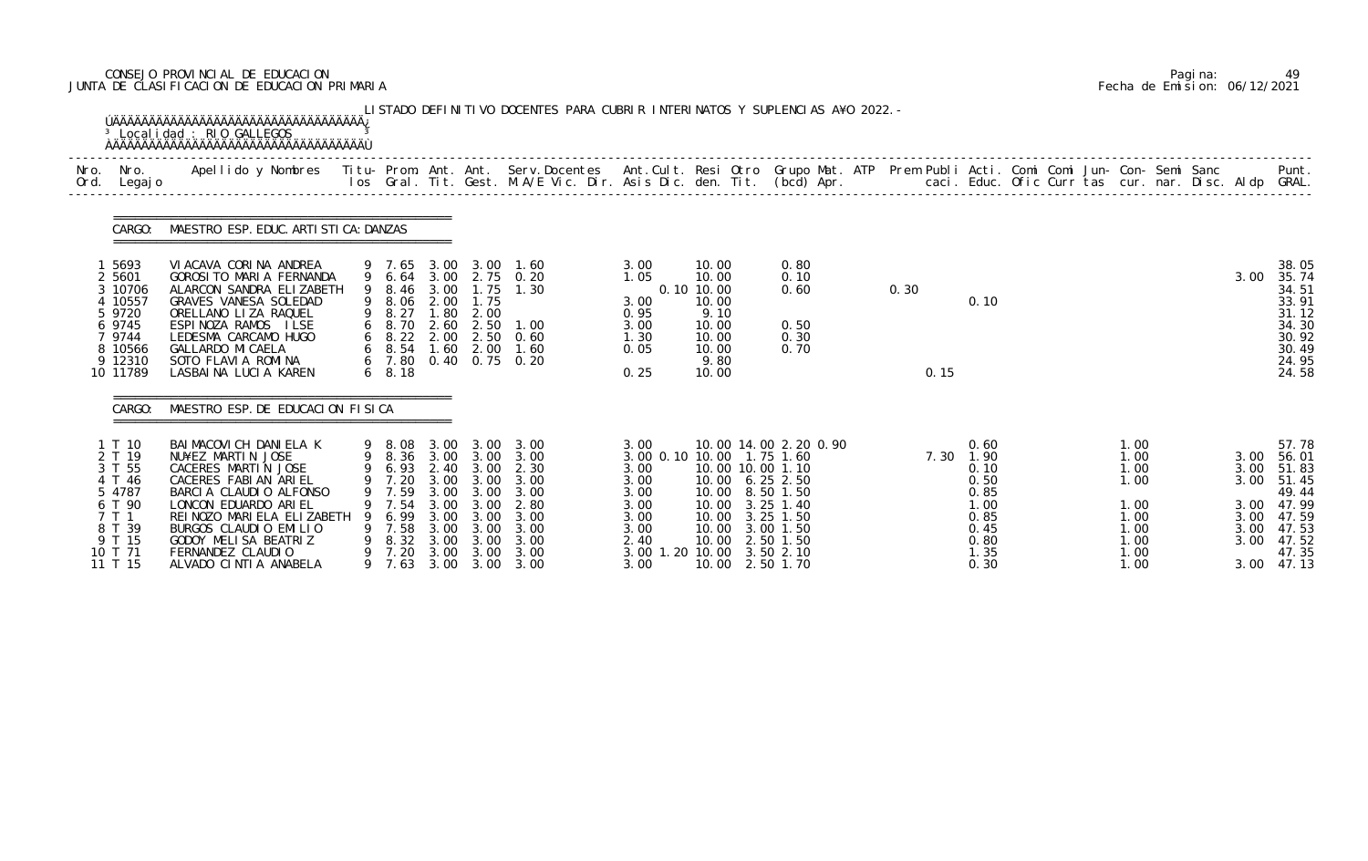# CONSEJO PROVINCIAL DE EDUCACION Pagina: 49 JUNTA DE CLASIFICACION DE EDUCACION PRIMARIA Fecha de Emision: 06/12/2021

|              |                                                                                                             | <sup>3</sup> Localidad : RIO GALLEGOS<br><b>OAAAAAAAAAAAAAAAAAAAAAAAAAAAAAAAAAA</b>                                                                                                                                                                                            |   |                                                                         |                                                      |                                                                            | LISTADO DEFINITIVO DOCENTES PARA CUBRIR INTERINATOS Y SUPLENCIAS A¥O 2022. -                                                                 |                                                                                                                                |                                                                                           |                                                                                                                                                                        |      |      |                                                                                           |  |                                                                              |  |                      |                                                                                                                          |
|--------------|-------------------------------------------------------------------------------------------------------------|--------------------------------------------------------------------------------------------------------------------------------------------------------------------------------------------------------------------------------------------------------------------------------|---|-------------------------------------------------------------------------|------------------------------------------------------|----------------------------------------------------------------------------|----------------------------------------------------------------------------------------------------------------------------------------------|--------------------------------------------------------------------------------------------------------------------------------|-------------------------------------------------------------------------------------------|------------------------------------------------------------------------------------------------------------------------------------------------------------------------|------|------|-------------------------------------------------------------------------------------------|--|------------------------------------------------------------------------------|--|----------------------|--------------------------------------------------------------------------------------------------------------------------|
| Nro.<br>Ord. | Nro.<br>Legaj o                                                                                             | Apellido y Nombres - Titu- Prom. Ant. Ant. Serv.Docentes - Ant.Cult. Resi Otro Grupo Mat. ATP Prem Publi Acti. Comi Comi Jun- Con- Semi Sanc - - - Punt.<br>Ios Gral. Tit. Gest. M.A/E Vic. Dir. Asis Dic. den. Tit. (bcd) Apr. -                                              |   |                                                                         |                                                      |                                                                            |                                                                                                                                              |                                                                                                                                |                                                                                           |                                                                                                                                                                        |      |      |                                                                                           |  |                                                                              |  |                      |                                                                                                                          |
|              | CARGO:                                                                                                      | MAESTRO ESP. EDUC. ARTI STI CA: DANZAS                                                                                                                                                                                                                                         |   |                                                                         |                                                      |                                                                            |                                                                                                                                              |                                                                                                                                |                                                                                           |                                                                                                                                                                        |      |      |                                                                                           |  |                                                                              |  |                      |                                                                                                                          |
|              | 1 5693<br>2 5601<br>3 10706<br>4 10557<br>5 9720<br>6 9745<br>7 9744<br>8 10566<br>9 12310<br>10 11789      | VIACAVA CORINA ANDREA<br>GOROSI TO MARIA FERNANDA<br>ALARCON SANDRA ELIZABETH<br>GRAVES VANESA SOLEDAD<br>ORELLANO LIZA RAQUEL<br>ESPINOZA RAMOS ILSE<br>LEDESMA CARCAMO HUGO<br>GALLARDO MI CAELA<br>SOTO FLAVIA ROMINA<br>LASBAINA LUCIA KAREN                               | 9 | 9 7.65<br>8.46<br>9 8.06<br>9 8.27<br>6 8.70<br>6 7.80<br>$6\quad 8.18$ | 3.00<br>2.00<br>1.80<br>2.60                         | 3.00 3.00<br>1.75<br>1.75<br>2.00<br>2.50<br>6 8.54 1.60 2.00<br>0.40 0.75 | 1.60<br>9 6.64 3.00 2.75 0.20<br>1.30<br>1.00<br>6 8.22 2.00 2.50 0.60<br>1.60<br>0.20                                                       | 3.00<br>1.05<br>3.00<br>0.95<br>3.00<br>1.30<br>0.05<br>0.25                                                                   | 10.00<br>10.00<br>0.10 10.00<br>10.00<br>9.10<br>10.00<br>10.00<br>10.00<br>9.80<br>10.00 | 0.80<br>0.10<br>0.60<br>0.50<br>0.30<br>0.70                                                                                                                           | 0.30 | 0.15 | 0.10                                                                                      |  |                                                                              |  | 3.00                 | 38.05<br>35.74<br>34.51<br>33.91<br>31.12<br>34.30<br>30.92<br>30.49<br>24.95<br>24.58                                   |
|              | CARGO:                                                                                                      | MAESTRO ESP. DE EDUCACION FISICA                                                                                                                                                                                                                                               |   |                                                                         |                                                      |                                                                            |                                                                                                                                              |                                                                                                                                |                                                                                           |                                                                                                                                                                        |      |      |                                                                                           |  |                                                                              |  |                      |                                                                                                                          |
|              | 1 T 10<br>2 T 19<br>3 T 55<br>4 T 46<br>5 4787<br>6 T 90<br>7 T 1<br>8 T 39<br>9 T 15<br>10 T 71<br>11 T 15 | BAI MACOVI CH DANI ELA K<br>NU¥EZ MARTIN JOSE<br>CACERES MARTIN JOSE<br>CACERES FABI AN ARIEL<br>BARCIA CLAUDIO ALFONSO<br>LONCON EDUARDO ARIEL<br>REI NOZO MARI ELA ELI ZABETH<br>BURGOS CLAUDIO EMILIO<br>GODOY MELISA BEATRIZ<br>FERNANDEZ CLAUDIO<br>ALVADO CINTIA ANABELA | 9 | 7.59<br>7.54<br>6.99<br>9 7.58<br>8.32<br>7.20<br>9 7.63                | 3.00<br>3.00<br>3.00<br>3.00<br>3.00<br>3.00<br>3.00 | 9 6.93 2.40 3.00<br>3.00<br>3.00<br>3.00<br>3.00<br>3.00<br>3.00           | 9 8.08 3.00 3.00 3.00<br>9 8.36 3.00 3.00 3.00<br>2.30<br>9 7.20 3.00 3.00 3.00<br>3.00<br>2.80<br>3.00<br>3.00<br>3.00<br>3.00<br>3.00 3.00 | 3.00<br>3.00 0.10 10.00 1.75 1.60<br>3.00<br>3.00<br>3.00<br>3.00<br>3.00<br>3.00<br>2.40<br>3.00 1.20 10.00 3.50 2.10<br>3.00 | 10.00<br>10.00                                                                            | 10.00 14.00 2.20 0.90<br>10.00 10.00 1.10<br>10.00 6.25 2.50<br>10.00 8.50 1.50<br>$3.25$ 1.40<br>$3.25$ 1.50<br>10.00 3.00 1.50<br>10.00 2.50 1.50<br>10.00 2.50 1.70 |      |      | 0.60<br>7.30 1.90<br>0.10<br>0.50<br>0.85<br>1.00<br>0.85<br>0.45<br>0.80<br>1.35<br>0.30 |  | 1.00<br>1.00<br>1.00<br>1.00<br>1.00<br>1.00<br>1.00<br>1.00<br>1.00<br>1.00 |  | 3.00<br>3.00<br>3.00 | 57.78<br>56.01<br>51.83<br>3.00 51.45<br>49.44<br>3.00 47.99<br>3.00 47.59<br>3.00 47.53<br>47.52<br>47.35<br>3.00 47.13 |

|  | Pagi na: | 49                           |
|--|----------|------------------------------|
|  |          | Fecha de Emision: 06/12/2021 |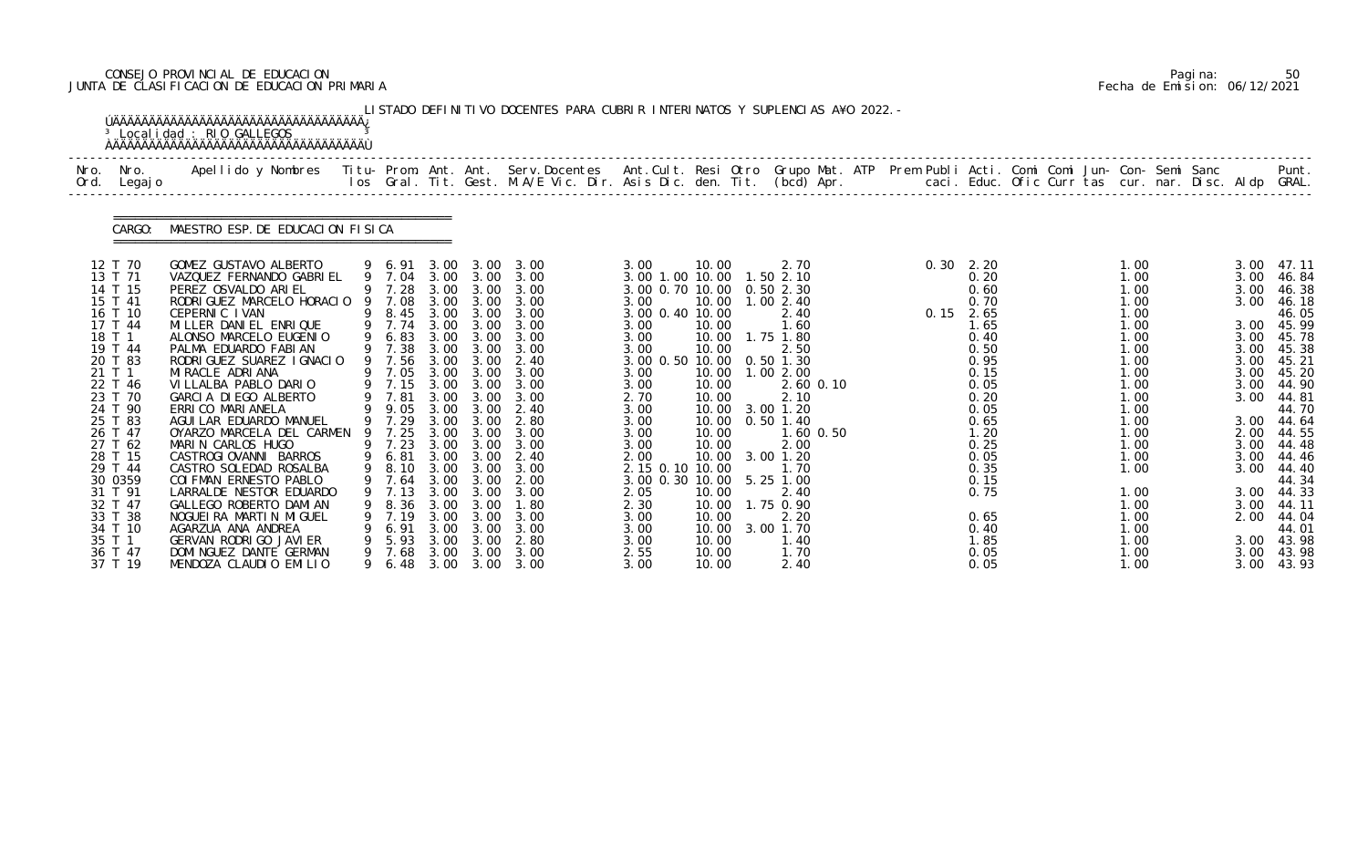# CONSEJO PROVINCIAL DE EDUCACION Pagina: 50 JUNTA DE CLASIFICACION DE EDUCACION PRIMARIA Fecha de Emision: 06/12/2021

|              |                                                                                                                                                                                                                                                                                         | <sup>3</sup> Localidad : RIO GALLEGOS                                                                                                                                                                                                                                                                                                                                                                                                                                                                                                                                                                                                                                      |                  |                                                                                                                                                                                                                                        |                                                                                                                                      |                                                                                                                                                                                  | LISTADO DEFINITIVO DOCENTES PARA CUBRIR INTERINATOS Y SUPLENCIAS A¥O 2022. –                                                                                                                                                                                       |                                                                                                                                                                                                                                                                                            |                                                                                                                                     |                                                                                                                                                                                                                                                                                              |  |                                                                                                                                                                                                                          |  |                                                                                                                                                                                              |  |                                                                                                                                                      |                                                                                                                                                                                                                                                       |
|--------------|-----------------------------------------------------------------------------------------------------------------------------------------------------------------------------------------------------------------------------------------------------------------------------------------|----------------------------------------------------------------------------------------------------------------------------------------------------------------------------------------------------------------------------------------------------------------------------------------------------------------------------------------------------------------------------------------------------------------------------------------------------------------------------------------------------------------------------------------------------------------------------------------------------------------------------------------------------------------------------|------------------|----------------------------------------------------------------------------------------------------------------------------------------------------------------------------------------------------------------------------------------|--------------------------------------------------------------------------------------------------------------------------------------|----------------------------------------------------------------------------------------------------------------------------------------------------------------------------------|--------------------------------------------------------------------------------------------------------------------------------------------------------------------------------------------------------------------------------------------------------------------|--------------------------------------------------------------------------------------------------------------------------------------------------------------------------------------------------------------------------------------------------------------------------------------------|-------------------------------------------------------------------------------------------------------------------------------------|----------------------------------------------------------------------------------------------------------------------------------------------------------------------------------------------------------------------------------------------------------------------------------------------|--|--------------------------------------------------------------------------------------------------------------------------------------------------------------------------------------------------------------------------|--|----------------------------------------------------------------------------------------------------------------------------------------------------------------------------------------------|--|------------------------------------------------------------------------------------------------------------------------------------------------------|-------------------------------------------------------------------------------------------------------------------------------------------------------------------------------------------------------------------------------------------------------|
| Nro.<br>Ord. | Nro.<br>Legaj o                                                                                                                                                                                                                                                                         | Apellido y Nombres Titu- Prom. Ant. Ant. Serv.Docentes Ant.Cult. Resi Otro Grupo Mat. ATP Prem Publi Acti. Comi Comi Jun- Con- Semi Sanc                                                                                                                                                                                                                                                                                                                                                                                                                                                                                                                                   |                  |                                                                                                                                                                                                                                        |                                                                                                                                      |                                                                                                                                                                                  | los Gral. Tit. Gest. M.A/E Vic. Dir. Asis Dic. den. Tit. (bcd) Apr.        caci. Educ. Ofic Curr tas cur. nar. Disc. Aldp GRAL.                                                                                                                                    |                                                                                                                                                                                                                                                                                            |                                                                                                                                     |                                                                                                                                                                                                                                                                                              |  |                                                                                                                                                                                                                          |  |                                                                                                                                                                                              |  |                                                                                                                                                      | Punt.                                                                                                                                                                                                                                                 |
|              | CARGO:                                                                                                                                                                                                                                                                                  | MAESTRO ESP. DE EDUCACION FISICA                                                                                                                                                                                                                                                                                                                                                                                                                                                                                                                                                                                                                                           |                  |                                                                                                                                                                                                                                        |                                                                                                                                      |                                                                                                                                                                                  |                                                                                                                                                                                                                                                                    |                                                                                                                                                                                                                                                                                            |                                                                                                                                     |                                                                                                                                                                                                                                                                                              |  |                                                                                                                                                                                                                          |  |                                                                                                                                                                                              |  |                                                                                                                                                      |                                                                                                                                                                                                                                                       |
|              | 12 T 70<br>13 T 71<br>14 T 15<br>15 T 41<br>16 T 10<br>17 T 44<br>18 T 1<br>19 T 44<br>20 T 83<br>21 T 1<br>22 T 46<br>23 T 70<br>24 T 90<br>25 T 83<br>26 T 47<br>27 T 62<br>28 T 15<br>29 T 44<br>30 0359<br>31 T 91<br>32 T 47<br>33 T 38<br>34 T 10<br>35 T 1<br>36 T 47<br>37 T 19 | GOMEZ GUSTAVO ALBERTO<br>VAZQUEZ FERNANDO GABRIEL<br>PEREZ OSVALDO ARIEL<br>RODRI GUEZ MARCELO HORACIO<br>CEPERNIC IVAN<br>MILLER DANIEL ENRIQUE<br>ALONSO MARCELO EUGENIO<br>PALMA EDUARDO FABIAN<br>RODRI GUEZ SUAREZ I GNACIO<br>MI RACLE ADRI ANA<br>VILLALBA PABLO DARIO<br>GARCIA DIEGO ALBERTO<br>ERRI CO MARI ANELA<br>AGUI LAR EDUARDO MANUEL<br>OYARZO MARCELA DEL CARMEN<br>MARIN CARLOS HUGO<br>CASTROGIOVANNI BARROS<br>CASTRO SOLEDAD ROSALBA<br>COI FMAN ERNESTO PABLO<br>LARRALDE NESTOR EDUARDO<br>GALLEGO ROBERTO DAMI AN<br>NOGUEI RA MARTIN MIGUEL<br>AGARZUA ANA ANDREA<br>GERVAN RODRIGO JAVIER<br>DOMI NGUEZ DANTE GERMAN<br>MENDOZA CLAUDIO EMILIO | 9<br>9<br>9<br>9 | 9 7.28<br>7.08<br>9 7.74<br>9 6.83<br>9 7.38<br>9 7.56<br>9 7.05<br>9 7.15 3.00 3.00<br>9 7.81<br>9 9.05<br>9 7.29<br>7.25<br>9 7.23<br>9 6.81<br>9 8.10<br>9 7.64 3.00 3.00<br>7.13<br>8.36<br>7.19<br>6.91<br>5.93<br>7.68<br>9 6.48 | 3.00<br>3.00<br>3.00<br>3.00<br>3.00<br>3.00<br>3.00<br>3.00<br>3.00<br>3.00<br>3.00<br>3.00<br>3.00<br>3.00<br>3.00<br>3.00<br>3.00 | 3.00<br>3.00<br>8.45 3.00 3.00<br>3.00<br>3.00<br>3.00 3.00<br>3.00<br>3.00<br>3.00<br>3.00<br>3.00 3.00<br>3.00<br>3.00<br>3.00<br>3.00<br>3.00<br>3.00<br>3.00<br>3.00<br>3.00 | 9 6.91 3.00 3.00 3.00<br>9 7.04 3.00 3.00 3.00<br>3.00<br>3.00<br>3.00<br>3.00<br>3.00<br>3.00<br>2.40<br>3.00<br>3.00<br>3.00<br>2.40<br>2.80<br>3.00<br>3.00<br>3.00 3.00 2.40<br>3.00<br>2.00<br>3.00<br>1.80<br>3.00<br>3.00<br>2.80<br>3.00<br>3.00 3.00 3.00 | 3.00<br>3.00 1.00 10.00 1.50 2.10<br>3.00 0.70 10.00<br>3.00<br>3.00 0.40 10.00<br>3.00<br>3.00<br>3.00<br>3.00 0.50 10.00<br>3.00<br>3.00<br>2.70<br>3.00<br>3.00<br>3.00<br>3.00<br>2.00<br>2.15 0.10 10.00<br>3.00 0.30 10.00 5.25 1.00<br>2.05<br>2.30<br>3.00<br>3.00<br>3.00<br>2.55 | 10.00<br>10.00<br>10.00<br>10.00<br>10.00<br>10.00<br>10.00<br>10.00<br>10.00<br>10.00<br>10.00<br>10.00<br>10.00<br>10.00<br>10.00 | 2.70<br>0.502.30<br>10.00  1.00  2.40<br>2.40<br>1.60<br>10.00  1.75  1.80<br>2.50<br>$0.50$ 1.30<br>10.00  1.00  2.00<br>$2.60$ $0.10$<br>2.10<br>10.00 3.00 1.20<br>$0.50$ 1.40<br>1.60 0.50<br>2.00<br>10.00 3.00 1.20<br>1.70<br>2.40<br>1.75 0.90<br>2.20<br>3.00 1.70<br>1. 40<br>1.70 |  | $0.30 \quad 2.20$<br>0.20<br>0.60<br>0.70<br>$0.15$ 2.65<br>1.65<br>0.40<br>0.50<br>0.95<br>0.15<br>0.05<br>0.20<br>0.05<br>0.65<br>1.20<br>0.25<br>0.05<br>0.35<br>0.15<br>0.75<br>0.65<br>0.40<br>1.85<br>0.05<br>0.05 |  | 1.00<br>1.00<br>1.00<br>1.00<br>1.00<br>1.00<br>1.00<br>1.00<br>1.00<br>1.00<br>1.00<br>1.00<br>1.00<br>1.00<br>1.00<br>1.00<br>1.00<br>1.00<br>1.00<br>1.00<br>1.00<br>1.00<br>1.00<br>1.00 |  | 3.00<br>3.00<br>3.00<br>3.00<br>3.00<br>3.00<br>3.00<br>3.00<br>3.00<br>3.00<br>3.00<br>2.00<br>3.00<br>3.00<br>3.00<br>3.00<br>2.00<br>3.00<br>3.00 | 47.11<br>46.84<br>46.38<br>46.18<br>46.05<br>45.99<br>3.00 45.78<br>45.38<br>45.21<br>45.20<br>44.90<br>44.81<br>44.70<br>44.64<br>44.55<br>44.48<br>44.46<br>44.40<br>44.34<br>3.00 44.33<br>44.11<br>44.04<br>44.01<br>43.98<br>3.00 43.98<br>43.93 |

|  | Pagi na: | 50                           |
|--|----------|------------------------------|
|  |          | Fecha de Emision: 06/12/2021 |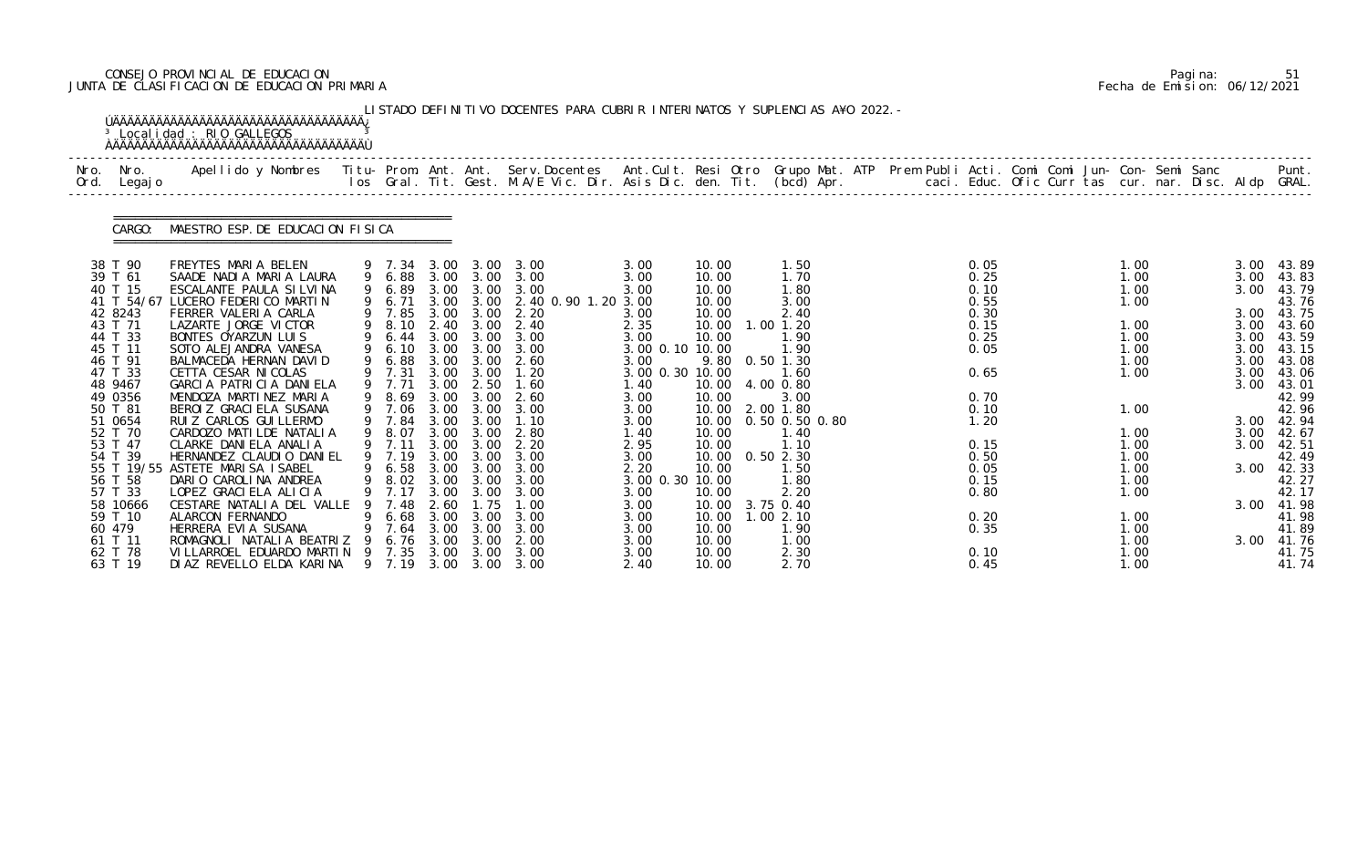# CONSEJO PROVINCIAL DE EDUCACION Pagina: 51 JUNTA DE CLASIFICACION DE EDUCACION PRIMARIA Fecha de Emision: 06/12/2021

|              |                     | <sup>3</sup> Localidad : RIO GALLEGOS                                                                                                    |     |                  |              |              | LISTADO DEFINITIVO DOCENTES PARA CUBRIR INTERINATOS Y SUPLENCIAS A¥O 2022. -                                                   |                 |                |                             |  |              |  |              |  |              |                     |
|--------------|---------------------|------------------------------------------------------------------------------------------------------------------------------------------|-----|------------------|--------------|--------------|--------------------------------------------------------------------------------------------------------------------------------|-----------------|----------------|-----------------------------|--|--------------|--|--------------|--|--------------|---------------------|
| Nro.<br>Ord. | Nro.<br>Legaj o     | Apellido y Nombres Titu- Prom. Ant. Ant. Serv.Docentes Ant.Cult. Resi Otro Grupo Mat. ATP Prem Publi Acti. Comi Comi Jun- Con- Semi Sanc |     |                  |              |              | los Gral. Tit. Gest. M.A/E Vic. Dir. Asis Dic. den. Tit. (bcd) Apr.       caci. Educ. Ofic Curr tas cur. nar. Disc. Aldp GRAL. |                 |                |                             |  |              |  |              |  |              | Punt.               |
|              | CARGO:              | MAESTRO ESP. DE EDUCACION FISICA                                                                                                         |     |                  |              |              |                                                                                                                                |                 |                |                             |  |              |  |              |  |              |                     |
|              | 38 T 90             | FREYTES MARIA BELEN                                                                                                                      |     | 9 7.34           |              | 3.00 3.00    | 3.00                                                                                                                           | 3.00            | 10.00          | 1.50                        |  | 0.05         |  | 1.00         |  | 3.00         | 43.89               |
|              | 39 T 61<br>40 T 15  | SAADE NADIA MARIA LAURA<br>ESCALANTE PAULA SILVINA                                                                                       |     | 9 6.88           |              | 3.00 3.00    | 3.00<br>3.00 3.00 3.00                                                                                                         | 3.00            | 10.00<br>10.00 | 1.70<br>1.80                |  | 0.25<br>0.10 |  | 1.00<br>1.00 |  | 3.00<br>3.00 | 43.83               |
|              | 41 T 54/67          | LUCERO FEDERICO MARTIN                                                                                                                   |     | 9 6.89<br>9 6.71 |              | 3.00 3.00    | 2.40 0.90 1.20 3.00                                                                                                            | 3.00            | 10.00          | 3.00                        |  | 0.55         |  | 1.00         |  |              | 43.79<br>43.76      |
|              | 42 8243             | FERRER VALERIA CARLA                                                                                                                     |     | 9 7.85           |              | 3.00 3.00    | 2.20                                                                                                                           | 3.00            | 10.00          | 2.40                        |  | 0.30         |  |              |  | 3.00         | 43.75               |
|              | 43 T 71             | LAZARTE JORGE VICTOR                                                                                                                     |     | 9 8.10           | 2.40         | 3.00         | 2.40                                                                                                                           | 2.35            | 10.00          | $1.00$ $1.20$               |  | 0.15         |  | 1.00         |  | 3.00         | 43.60               |
|              | 44 T 33             | BONTES OYARZUN LUIS                                                                                                                      | 9   | 6.44             |              | 3.00 3.00    | 3.00                                                                                                                           | 3.00            | 10.00          | 1.90                        |  | 0.25         |  | 1.00         |  | 3.00         | 43.59               |
|              | 45 T 11             | SOTO ALEJANDRA VANESA                                                                                                                    | 9   | 6.10             | 3.00         | 3.00         | 3.00                                                                                                                           | 3.00 0.10 10.00 |                | 1.90                        |  | 0.05         |  | 1.00         |  | 3.00         | 43.15               |
|              | 46 T 91             | BALMACEDA HERNAN DAVID                                                                                                                   |     | 6.88             | 3.00         | 3.00         | 2.60                                                                                                                           | 3.00            | 9.80           | $0.50$ 1.30                 |  |              |  | 1.00         |  | 3.00         | 43.08               |
|              | 47 T 33             | CETTA CESAR NI COLAS                                                                                                                     |     | 9 7.31           | 3.00<br>3.00 | 3.00         | 1.20                                                                                                                           | 3.00 0.30 10.00 |                | 1.60                        |  | 0.65         |  | 1.00         |  | 3.00<br>3.00 | 43.06               |
|              | 48 9467<br>49 0356  | GARCIA PATRICIA DANIELA<br>MENDOZA MARTINEZ MARIA                                                                                        |     | 9 7.71<br>9 8.69 | 3.00         | 2.50<br>3.00 | 1.60<br>2.60                                                                                                                   | 1.40<br>3.00    | 10.00<br>10.00 | 4.00 0.80<br>3.00           |  | 0.70         |  |              |  |              | 43.01<br>42.99      |
|              | 50 T 81             | BEROI Z GRACI ELA SUSANA                                                                                                                 |     | 9 7.06           | 3.00         | 3.00         | 3.00                                                                                                                           | 3.00            | 10.00          | 2.00 1.80                   |  | 0.10         |  | 1.00         |  |              | 42.96               |
|              | 51 0654             | RUI Z CARLOS GUI LLERMO                                                                                                                  |     | 9 7.84           | 3.00         | 3.00         | 1.10                                                                                                                           | 3.00            | 10.00          | 0.50 0.50 0.80              |  | 1.20         |  |              |  |              | 3.00 42.94          |
|              | 52 T 70             | CARDOZO MATILDE NATALIA                                                                                                                  |     | 8.07             | 3.00         | 3.00         | 2.80                                                                                                                           | 1.40            | 10.00          | 1.40                        |  |              |  | 1.00         |  | 3.00         | 42.67               |
|              | 53 T 47             | CLARKE DANIELA ANALIA                                                                                                                    |     | 9 7.11           | 3.00         | 3.00         | 2.20                                                                                                                           | 2.95            | 10.00          | 1.10                        |  | 0.15         |  | 1.00         |  | 3.00         | 42.51               |
|              | 54 T 39             | HERNANDEZ CLAUDIO DANIEL                                                                                                                 |     | 9 7.19           |              | 3.00 3.00    | 3.00                                                                                                                           | 3.00            |                | 10.00  0.50  2.30           |  | 0.50         |  | 1.00         |  |              | 42.49               |
|              |                     | 55 T 19/55 ASTETE MARISA ISABEL                                                                                                          |     | 9 6.58 3.00 3.00 |              |              | 3.00                                                                                                                           | 2.20            | 10.00          | 1.50                        |  | 0.05         |  | 1.00         |  | 3.00         | 42.33               |
|              | 56 T 58             | DARIO CAROLINA ANDREA                                                                                                                    |     | 9 8.02 3.00 3.00 |              |              | 3.00                                                                                                                           | 3.00 0.30 10.00 |                | 1.80                        |  | 0.15         |  | 1.00         |  |              | 42.27               |
|              | 57 T 33             | LOPEZ GRACIELA ALICIA                                                                                                                    |     | 7.17             | 3.00         | 3.00         | 3.00                                                                                                                           | 3.00            | 10.00          | 2.20                        |  | 0.80         |  | 1.00         |  |              | 42.17               |
|              | 58 10666<br>59 T 10 | CESTARE NATALIA DEL VALLE<br>ALARCON FERNANDO                                                                                            | 9   | 7.48<br>6.68     | 2.60<br>3.00 | .75<br>3.00  | 1.00<br>3.00                                                                                                                   | 3.00<br>3.00    | 10.00          | 10.00 3.75 0.40<br>1.002.10 |  | 0.20         |  | 1.00         |  |              | 3.00 41.98<br>41.98 |
|              | 60 479              | HERRERA EVIA SUSANA                                                                                                                      |     | 7.64             | 3.00         | 3.00         | 3.00                                                                                                                           | 3.00            | 10.00          | 1.90                        |  | 0.35         |  | 1.00         |  |              | 41.89               |
|              | 61 T 11             | ROMAGNOLI NATALIA BEATRIZ                                                                                                                |     | 6.76             | 3.00         | 3.00         | 2.00                                                                                                                           | 3.00            | 10.00          | 1. 00                       |  |              |  | 1.00         |  | 3.00         | 41.76               |
|              | 62 T 78             | VI LLARROEL EDUARDO MARTIN                                                                                                               | - 9 | 7.35             | 3.00         | 3.00         | 3.00                                                                                                                           | 3.00            | 10.00          | 2.30                        |  | 0.10         |  | 1.00         |  |              | 41.75               |
|              | 63 T 19             | DI AZ REVELLO ELDA KARINA                                                                                                                |     | 9 7.19           | 3.00         | 3.00         | 3.00                                                                                                                           | 2.40            | 10.00          | 2.70                        |  | 0.45         |  | 1.00         |  |              | 41.74               |

|  | Pagi na: | 51                           |
|--|----------|------------------------------|
|  |          | Fecha de Emision: 06/12/2021 |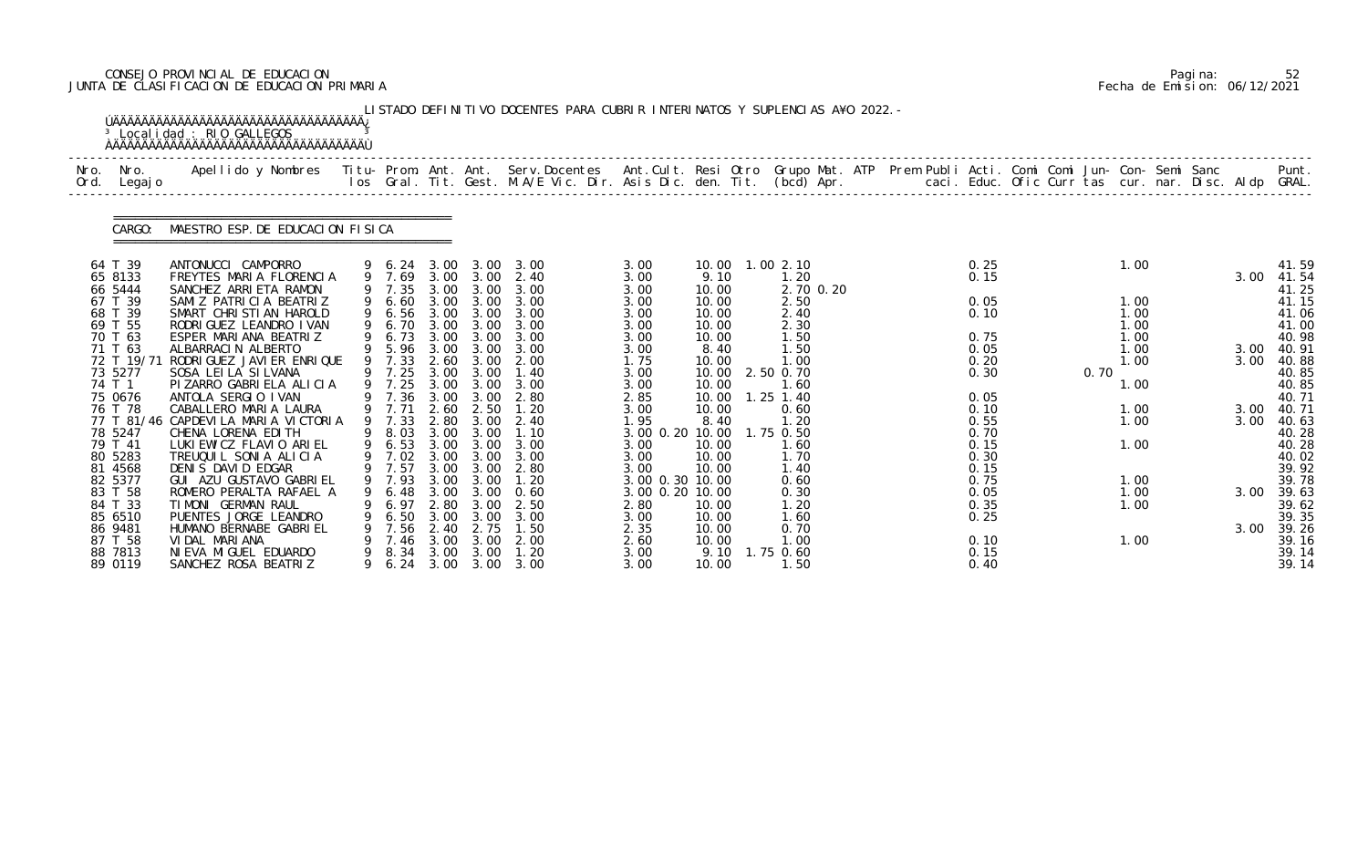# CONSEJO PROVINCIAL DE EDUCACION Pagina: 52 JUNTA DE CLASIFICACION DE EDUCACION PRIMARIA Fecha de Emision: 06/12/2021

|              |                                            | <sup>3</sup> Localidad : RIO GALLEGOS<br><b>AAAAAAAAAAAAAAAAAAAAAAAAAAAAAAAAAAAA</b>                                                                                                                                              |                                          |                              |                              | LISTADO DEFINITIVO DOCENTES PARA CUBRIR INTERINATOS Y SUPLENCIAS A¥O 2022. - |                                                    |                                  |                                        |  |                              |      |                              |  |              |                                   |
|--------------|--------------------------------------------|-----------------------------------------------------------------------------------------------------------------------------------------------------------------------------------------------------------------------------------|------------------------------------------|------------------------------|------------------------------|------------------------------------------------------------------------------|----------------------------------------------------|----------------------------------|----------------------------------------|--|------------------------------|------|------------------------------|--|--------------|-----------------------------------|
| Nro.<br>Ord. | Nro.<br>Legaj o                            | .Apellido y Nombres  Titu- Prom. Ant. Ant.  Serv.Docentes  Ant.Cult. Resi Otro  Grupo Mat. ATP  Prem Publi Acti. Comi Comi Jun- Con- Semi Sanc              Punt.<br>Ios Gral. Tit. Gest. M.A/E Vic. Dir. Asis Dic. den. Tit. (bc |                                          |                              |                              |                                                                              |                                                    |                                  |                                        |  |                              |      |                              |  |              |                                   |
|              | CARGO:                                     | MAESTRO ESP. DE EDUCACION FISICA                                                                                                                                                                                                  |                                          |                              |                              |                                                                              |                                                    |                                  |                                        |  |                              |      |                              |  |              |                                   |
|              | 64 T 39<br>65 8133<br>66 5444              | ANTONUCCI CAMPORRO<br>FREYTES MARIA FLORENCIA<br>SANCHEZ ARRIETA RAMON                                                                                                                                                            | 9 6.24 3.00 3.00<br>9 7.69<br>9 7.35     | 3.00                         | 3.00                         | 3.00<br>2.40<br>3.00 3.00 3.00                                               | 3.00<br>3.00<br>3.00                               | 9.10<br>10.00                    | 10.00  1.00  2.10<br>1.20<br>2.70 0.20 |  | 0.25<br>0.15                 |      | 1.00                         |  | 3.00         | 41.59<br>41.54<br>41.25           |
|              | 67 T 39<br>68 T 39<br>69 T 55<br>70 T 63   | SAMIZ PATRICIA BEATRIZ<br>SMART CHRISTIAN HAROLD<br>RODRI GUEZ LEANDRO I VAN<br>ESPER MARIANA BEATRIZ                                                                                                                             | 9 6.60<br>9 6.56<br>9 6.70<br>9 6.73     | 3.00                         | 3.00 3.00                    | 3.00 3.00 3.00<br>3.00 3.00<br>3.00 3.00 3.00<br>3.00                        | 3.00<br>3.00<br>3.00<br>3.00                       | 10.00<br>10.00<br>10.00<br>10.00 | 2.50<br>2.40<br>2.30<br>1.50           |  | 0.05<br>0.10<br>0.75         |      | 1.00<br>1.00<br>1.00<br>1.00 |  |              | 41.15<br>41.06<br>41.00<br>40.98  |
|              | 71 T 63<br>72 T 19/71<br>73 5277<br>74 T 1 | ALBARRACIN ALBERTO<br>RODRI GUEZ JAVI ER ENRI QUE<br>SOSA LEILA SILVANA<br>PIZARRO GABRIELA ALICIA                                                                                                                                | 9 5.96<br>9 7.33<br>9 7.25<br>9 7.25     | 3.00<br>3.00                 | 3.00<br>3.00 3.00<br>3.00    | 3.00<br>2.60 3.00 2.00<br>1.40<br>3.00                                       | 3.00<br>1.75<br>3.00<br>3.00                       | 8.40<br>10.00<br>10.00<br>10.00  | 1.50<br>1.00<br>2.50 0.70<br>1.60      |  | 0.05<br>0.20<br>0.30         | 0.70 | 1.00<br>1.00<br>1.00         |  | 3.00<br>3.00 | 40. 91<br>40.88<br>40.85<br>40.85 |
|              | 75 0676<br>76 T 78                         | ANTOLA SERGIO IVAN<br>CABALLERO MARIA LAURA<br>77 T 81/46 CAPDEVILA MARIA VICTORIA                                                                                                                                                | 9 7.36 3.00<br>9 7.71<br>9 7.33          | 2.60<br>2.80                 | 3.00<br>2.50<br>3.00         | 2.80<br>1.20<br>2.40                                                         | 2.85<br>3.00<br>1.95                               | 10.00<br>10.00<br>8.40           | $1.25$ 1.40<br>0.60<br>1.20            |  | 0.05<br>0.10<br>0.55         |      | 1.00<br>1.00                 |  | 3.00<br>3.00 | 40.71<br>40. 71<br>40.63          |
|              | 78 5247<br>79 T 41<br>80 5283<br>81 4568   | CHENA LORENA EDITH<br>LUKI EWICZ FLAVIO ARIEL<br>TREUQUIL SONIA ALICIA<br>DENIS DAVID EDGAR                                                                                                                                       | 9 8.03 3.00 3.00<br>9 6.53<br>9 7.02     |                              | 3.00 3.00<br>3.00 3.00       | 1.10<br>3.00<br>3.00<br>9 7.57 3.00 3.00 2.80                                | 3.00 0.20 10.00<br>3.00<br>3.00<br>3.00            | 10.00<br>10.00<br>10.00          | 1.75 0.50<br>1.60<br>1.70<br>1.40      |  | 0.70<br>0.15<br>0.30<br>0.15 |      | 1.00                         |  |              | 40.28<br>40.28<br>40.02<br>39.92  |
|              | 82 5377<br>83 T 58<br>84 T 33<br>85 6510   | GUI AZU GUSTAVO GABRIEL<br>ROMERO PERALTA RAFAEL A<br>TIMONI GERMAN RAUL<br>PUENTES JORGE LEANDRO                                                                                                                                 | 9 7.93 3.00 3.00<br>6.48<br>6.97<br>6.50 | 3.00<br>2.80<br>3.00         | 3.00<br>3.00<br>3.00         | 1.20<br>0. 60<br>2.50<br>3.00                                                | 3.00 0.30 10.00<br>3.00 0.20 10.00<br>2.80<br>3.00 | 10.00<br>10.00                   | 0.60<br>0.30<br>1. 20<br>1.60          |  | 0.75<br>0.05<br>0.35<br>0.25 |      | 1.00<br>1.00<br>1.00         |  | 3.00         | 39.78<br>39.63<br>39.62<br>39.35  |
|              | 86 9481<br>87 T 58<br>88 7813<br>89 0119   | HUMANO BERNABE GABRIEL<br>VIDAL MARIANA<br>NI EVA MI GUEL EDUARDO<br>SANCHEZ ROSA BEATRIZ                                                                                                                                         | 7.56<br>7.46<br>8.34<br>6. 24            | 2.40<br>3.00<br>3.00<br>3.00 | 2.75<br>3.00<br>3.00<br>3.00 | 1.50<br>2.00<br>1.20<br>3.00                                                 | 2.35<br>2.60<br>3.00<br>3.00                       | 10.00<br>10.00<br>9.10<br>10.00  | 0.70<br>1.00<br>1.75 0.60<br>1.50      |  | 0.10<br>0.15<br>0.40         |      | 1.00                         |  | 3.00         | 39.26<br>39.16<br>39.14<br>39.14  |

|  | Pagi na: |                              |
|--|----------|------------------------------|
|  |          | Fecha de Emision: 06/12/2021 |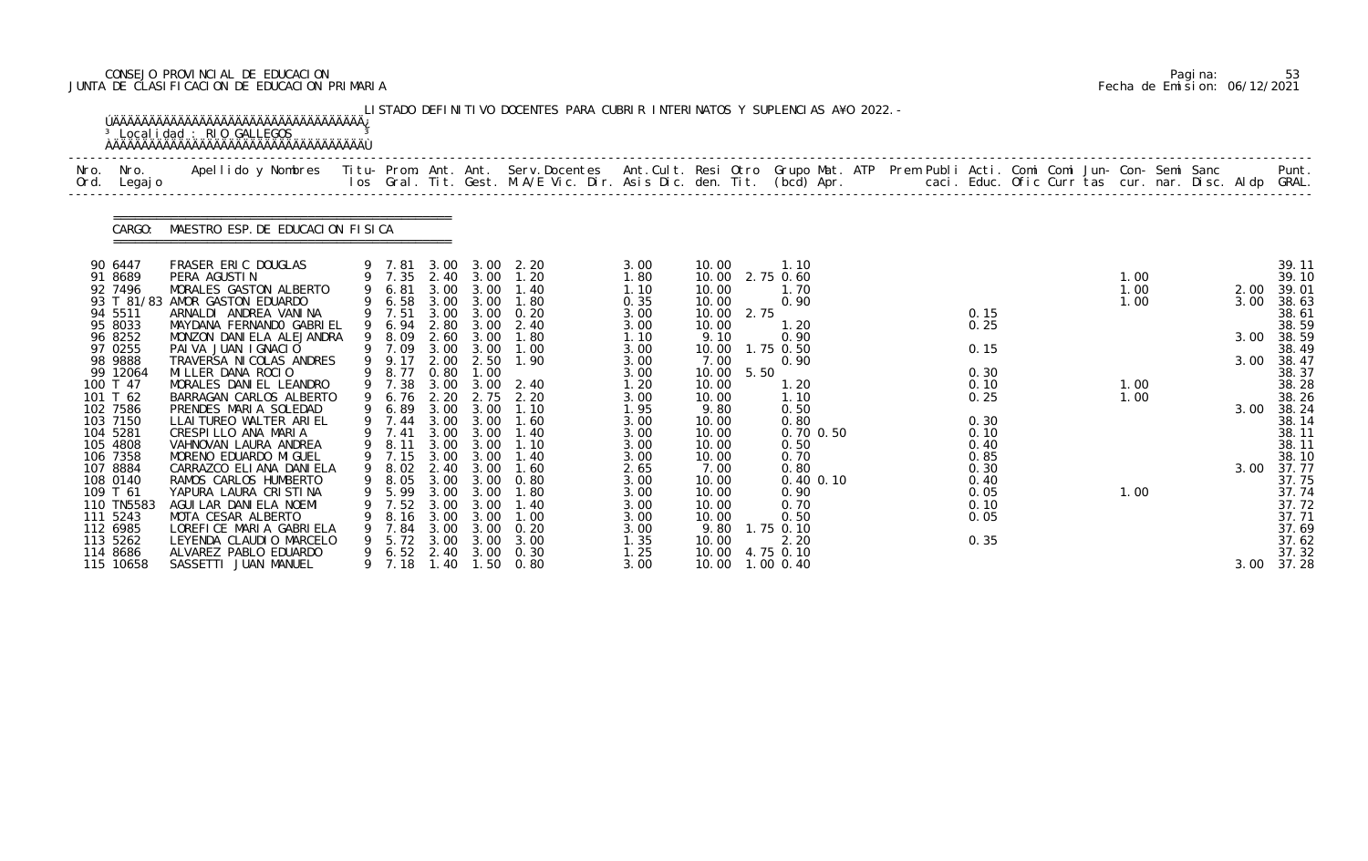# CONSEJO PROVINCIAL DE EDUCACION Pagina: 53 JUNTA DE CLASIFICACION DE EDUCACION PRIMARIA Fecha de Emision: 06/12/2021

|              |                                                                                                                                                                                                                                                                                                                   | <sup>3</sup> Localidad : RIO GALLEGOS                                                                                                                                                                                                                                                                                                                                                                                                                                                                                                                                                                                                                                  |                                                                                                                                                                                            |                                                                                                                                              |                                                                                                                                                                                                                                                 | LISTADO DEFINITIVO DOCENTES PARA CUBRIR INTERINATOS Y SUPLENCIAS A¥O 2022. -                                                                                                                                                                      |                                                                                                                                                                                                              |                                                                                                                                                                                                                 |              |                                                                                                                                                                                                                                                   |  |                                                                                                                              |  |                                              |  |                                                      |                                                                                                                                                                                                                                        |
|--------------|-------------------------------------------------------------------------------------------------------------------------------------------------------------------------------------------------------------------------------------------------------------------------------------------------------------------|------------------------------------------------------------------------------------------------------------------------------------------------------------------------------------------------------------------------------------------------------------------------------------------------------------------------------------------------------------------------------------------------------------------------------------------------------------------------------------------------------------------------------------------------------------------------------------------------------------------------------------------------------------------------|--------------------------------------------------------------------------------------------------------------------------------------------------------------------------------------------|----------------------------------------------------------------------------------------------------------------------------------------------|-------------------------------------------------------------------------------------------------------------------------------------------------------------------------------------------------------------------------------------------------|---------------------------------------------------------------------------------------------------------------------------------------------------------------------------------------------------------------------------------------------------|--------------------------------------------------------------------------------------------------------------------------------------------------------------------------------------------------------------|-----------------------------------------------------------------------------------------------------------------------------------------------------------------------------------------------------------------|--------------|---------------------------------------------------------------------------------------------------------------------------------------------------------------------------------------------------------------------------------------------------|--|------------------------------------------------------------------------------------------------------------------------------|--|----------------------------------------------|--|------------------------------------------------------|----------------------------------------------------------------------------------------------------------------------------------------------------------------------------------------------------------------------------------------|
| Nro.<br>Ord. | Nro.<br>Legaj o                                                                                                                                                                                                                                                                                                   | Apellido y Nombres  Titu- Prom. Ant. Ant. Serv.Docentes  Ant.Cult. Resi Otro Grupo Mat. ATP Prem Publi Acti. Comi Comi Jun- Con- Semi Sanc         Punt.<br>Ios Gral. Tit. Gest. M.A/E Vic. Dir. Asis Dic. den. Tit. (bcd) Apr.                                                                                                                                                                                                                                                                                                                                                                                                                                        |                                                                                                                                                                                            |                                                                                                                                              |                                                                                                                                                                                                                                                 |                                                                                                                                                                                                                                                   |                                                                                                                                                                                                              |                                                                                                                                                                                                                 |              |                                                                                                                                                                                                                                                   |  |                                                                                                                              |  |                                              |  |                                                      |                                                                                                                                                                                                                                        |
|              | CARGO:                                                                                                                                                                                                                                                                                                            | MAESTRO ESP. DE EDUCACION FISICA                                                                                                                                                                                                                                                                                                                                                                                                                                                                                                                                                                                                                                       |                                                                                                                                                                                            |                                                                                                                                              |                                                                                                                                                                                                                                                 |                                                                                                                                                                                                                                                   |                                                                                                                                                                                                              |                                                                                                                                                                                                                 |              |                                                                                                                                                                                                                                                   |  |                                                                                                                              |  |                                              |  |                                                      |                                                                                                                                                                                                                                        |
|              | 90 6447<br>91 8689<br>92 7496<br>93 T 81/83<br>94 5511<br>95 8033<br>96 8252<br>97 0255<br>98 9888<br>99 12064<br>100 T 47<br>101 T 62<br>102 7586<br>103 7150<br>104 5281<br>105 4808<br>106 7358<br>107 8884<br>108 0140<br>109 T 61<br>110 TN5583<br>111 5243<br>112 6985<br>113 5262<br>114 8686<br>115 10658 | FRASER ERIC DOUGLAS<br>PERA AGUSTIN<br>MORALES GASTON ALBERTO<br>AMOR GASTON EDUARDO<br>ARNALDI ANDREA VANINA<br>MAYDANA FERNANDO GABRIEL<br>MONZON DANIELA ALEJANDRA<br>PAIVA JUAN IGNACIO<br>TRAVERSA NI COLAS ANDRES<br>MILLER DANA ROCIO<br>MORALES DANIEL LEANDRO<br>BARRAGAN CARLOS ALBERTO<br>PRENDES MARIA SOLEDAD<br>LLAI TUREO WALTER ARI EL<br>CRESPILLO ANA MARIA<br>VAHNOVAN LAURA ANDREA<br>MORENO EDUARDO MI GUEL<br>CARRAZCO ELIANA DANI ELA<br>RAMOS CARLOS HUMBERTO<br>YAPURA LAURA CRISTINA<br>AGUI LAR DANI ELA NOEMI<br>MOTA CESAR ALBERTO<br>LOREFICE MARIA GABRIELA<br>LEYENDA CLAUDIO MARCELO<br>ALVAREZ PABLO EDUARDO<br>SASSETTI JUAN MANUEL | 9 6.81<br>9 6.58<br>9 7.51<br>9 6.94<br>9 8.09<br>9 7.09<br>9 9.17<br>9 8.77<br>9 7.38<br>6.76<br>6.89<br>7.41<br>8.11<br>9 8.02<br>5.99<br>7.52<br>8.16<br>7.84<br>5.72<br>6.52<br>9 7.18 | 3.00<br>3.00<br>2.80<br>2.60<br>2.00<br>0.80<br>2.20<br>3.00<br>3.00<br>3.00<br>2.40<br>3.00<br>3.00<br>3.00<br>3.00<br>3.00<br>2.40<br>1.40 | 3.00<br>3.00<br>3.00 3.00<br>3.00<br>3.00<br>3.00 3.00<br>2.50<br>1.00<br>$3.00 \quad 3.00$<br>2.75<br>3.00<br>9 7.44 3.00 3.00<br>3.00<br>3.00<br>9 7.15 3.00 3.00<br>3.00<br>9 8.05 3.00 3.00<br>3.00<br>3.00<br>3.00<br>3.00<br>3.00<br>3.00 | 9 7.81 3.00 3.00 2.20<br>9 7.35 2.40 3.00 1.20<br>1.40<br>1.80<br>0.20<br>2.40<br>1.80<br>1.00<br>1.90<br>2.40<br>2.20<br>1.10<br>1.60<br>1.40<br>1.10<br>1.40<br>1.60<br>0.80<br>1. 80<br>1.40<br>1.00<br>0.20<br>3.00<br>0.30<br>$1.50 \t 0.80$ | 3.00<br>1.80<br>1.10<br>0.35<br>3.00<br>3.00<br>1.10<br>3.00<br>3.00<br>3.00<br>1.20<br>3.00<br>1.95<br>3.00<br>3.00<br>3.00<br>3.00<br>2.65<br>3.00<br>3.00<br>3.00<br>3.00<br>3.00<br>1.35<br>1.25<br>3.00 | 10.00<br>10.00<br>10.00<br>10.00<br>10.00<br>9.10<br>10.00<br>7.00<br>10.00<br>10.00<br>10.00<br>9.80<br>10.00<br>10.00<br>10.00<br>10.00<br>7.00<br>10.00<br>10.00<br>10.00<br>10.00<br>9.80<br>10.00<br>10.00 | 2.75<br>5.50 | 1.10<br>10.00 2.75 0.60<br>1.70<br>0.90<br>1.20<br>0.90<br>1.75 0.50<br>0.90<br>1.20<br>1.10<br>0.50<br>0.80<br>0.70 0.50<br>0.50<br>0.70<br>0.80<br>$0.40$ $0.10$<br>0.90<br>0.70<br>0.50<br>1.75 0.10<br>2.20<br>4.75 0.10<br>10.00  1.00  0.40 |  | 0.15<br>0.25<br>0.15<br>0.30<br>0.10<br>0.25<br>0.30<br>0.10<br>0.40<br>0.85<br>0.30<br>0.40<br>0.05<br>0.10<br>0.05<br>0.35 |  | 1.00<br>1.00<br>1.00<br>1.00<br>1.00<br>1.00 |  | 2.00<br>3.00<br>3.00<br>3.00<br>3.00<br>3.00<br>3.00 | 39.11<br>39.10<br>39.01<br>38.63<br>38.61<br>38.59<br>38.59<br>38.49<br>38.47<br>38.37<br>38.28<br>38.26<br>38.24<br>38.14<br>38.11<br>38.11<br>38.10<br>37.77<br>37.75<br>37.74<br>37.72<br>37.71<br>37.69<br>37.62<br>37.32<br>37.28 |

|  | Pagi na: | 53                           |
|--|----------|------------------------------|
|  |          | Fecha de Emision: 06/12/2021 |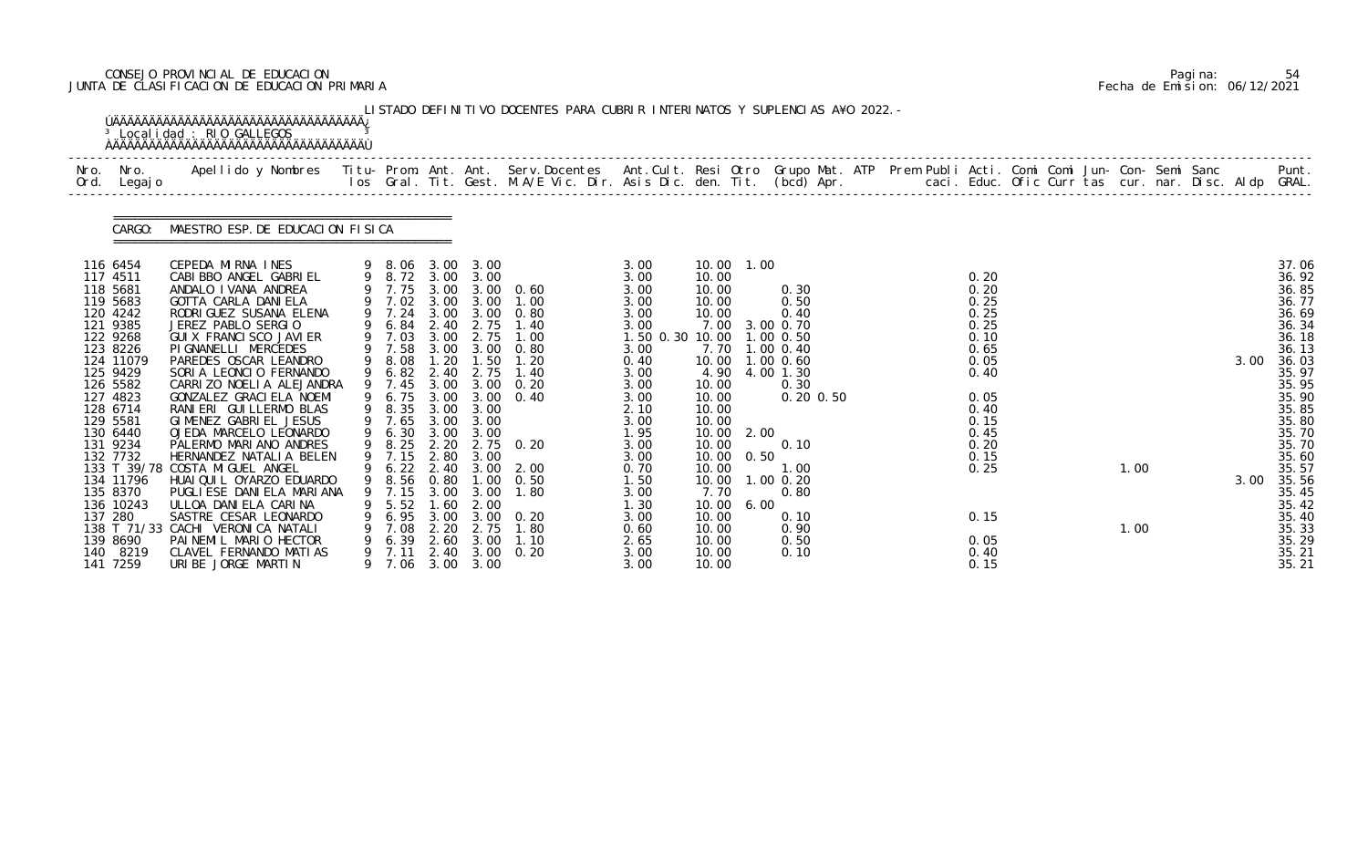# CONSEJO PROVINCIAL DE EDUCACION Pagina: 54 JUNTA DE CLASIFICACION DE EDUCACION PRIMARIA Fecha de Emision: 06/12/2021

|              |                                                                                                                                                                                                                                                                                                | <sup>3</sup> Localidad : RIO GALLEGOS                                                                                                                                                                                                                                                                                                                                                                                                                                                                                                                                                                                                                                                                      |             |                                                                                                                                                                                                                                                                                             |                                                                                             |                                                                                                                                | LISTADO DEFINITIVO DOCENTES PARA CUBRIR INTERINATOS Y SUPLENCIAS A¥O 2022. -                                                                                                                                                              |                                                                                                                                                                                                                         |                                                                                                                                                                                                                        |                      |                                                                                                                                                                                          |  |                                                                                                                                                              |  |              |              |                                                                                                                                                                                                                                        |
|--------------|------------------------------------------------------------------------------------------------------------------------------------------------------------------------------------------------------------------------------------------------------------------------------------------------|------------------------------------------------------------------------------------------------------------------------------------------------------------------------------------------------------------------------------------------------------------------------------------------------------------------------------------------------------------------------------------------------------------------------------------------------------------------------------------------------------------------------------------------------------------------------------------------------------------------------------------------------------------------------------------------------------------|-------------|---------------------------------------------------------------------------------------------------------------------------------------------------------------------------------------------------------------------------------------------------------------------------------------------|---------------------------------------------------------------------------------------------|--------------------------------------------------------------------------------------------------------------------------------|-------------------------------------------------------------------------------------------------------------------------------------------------------------------------------------------------------------------------------------------|-------------------------------------------------------------------------------------------------------------------------------------------------------------------------------------------------------------------------|------------------------------------------------------------------------------------------------------------------------------------------------------------------------------------------------------------------------|----------------------|------------------------------------------------------------------------------------------------------------------------------------------------------------------------------------------|--|--------------------------------------------------------------------------------------------------------------------------------------------------------------|--|--------------|--------------|----------------------------------------------------------------------------------------------------------------------------------------------------------------------------------------------------------------------------------------|
| Nro.<br>Ord. | Nro.<br>Legaj o                                                                                                                                                                                                                                                                                | Apellido y Nombres  Titu- Prom. Ant. Ant. Serv.Docentes  Ant.Cult. Resi Otro Grupo Mat. ATP Prem Publi Acti. Comi Comi Jun- Con- Semi Sanc           Punt.<br>Ios Gral. Tit. Gest. M.A/E Vic. Dir. Asis Dic. den. Tit. (bcd) Apr.                                                                                                                                                                                                                                                                                                                                                                                                                                                                          |             |                                                                                                                                                                                                                                                                                             |                                                                                             |                                                                                                                                |                                                                                                                                                                                                                                           |                                                                                                                                                                                                                         |                                                                                                                                                                                                                        |                      |                                                                                                                                                                                          |  |                                                                                                                                                              |  |              |              |                                                                                                                                                                                                                                        |
|              | CARGO:                                                                                                                                                                                                                                                                                         | MAESTRO ESP. DE EDUCACION FISICA                                                                                                                                                                                                                                                                                                                                                                                                                                                                                                                                                                                                                                                                           |             |                                                                                                                                                                                                                                                                                             |                                                                                             |                                                                                                                                |                                                                                                                                                                                                                                           |                                                                                                                                                                                                                         |                                                                                                                                                                                                                        |                      |                                                                                                                                                                                          |  |                                                                                                                                                              |  |              |              |                                                                                                                                                                                                                                        |
|              | 116 6454<br>117 4511<br>118 5681<br>119 5683<br>120 4242<br>121 9385<br>122 9268<br>123 8226<br>124 11079<br>125 9429<br>126 5582<br>127 4823<br>128 6714<br>129 5581<br>130 6440<br>131 9234<br>132 7732<br>134 11796<br>135 8370<br>136 10243<br>137 280<br>139 8690<br>140 8219<br>141 7259 | CEPEDA MIRNA INES<br>CABI BBO ANGEL GABRI EL<br>ANDALO I VANA ANDREA<br>GOTTA CARLA DANIELA<br>RODRI GUEZ SUSANA ELENA<br>JEREZ PABLO SERGIO<br>GUI X FRANCI SCO JAVI ER<br>PI GNANELLI MERCEDES<br>PAREDES OSCAR LEANDRO<br>SORIA LEONCIO FERNANDO<br>CARRIZO NOELIA ALEJANDRA<br>GONZALEZ GRACI ELA NOEMI<br>RANIERI GUILLERMO BLAS<br>GIMENEZ GABRIEL JESUS<br>OJEDA MARCELO LEONARDO<br>PALERMO MARIANO ANDRES<br>HERNANDEZ NATALIA BELEN<br>133 T 39/78 COSTA MIGUEL ANGEL<br>HUAI QUI L OYARZO EDUARDO<br>PUGLI ESE DANI ELA MARI ANA<br>ULLOA DANIELA CARINA<br>SASTRE CESAR LEONARDO<br>138 T 71/33 CACHI VERONICA NATALI<br>PAINEMIL MARIO HECTOR<br>CLAVEL FERNANDO MATIAS<br>URIBE JORGE MARTIN | 9<br>9<br>9 | 9 8.06 3.00 3.00<br>9 8.72 3.00 3.00<br>9 7.75 3.00<br>9 7.02 3.00<br>9 7.24<br>6.84<br>9 7.03<br>9 7.58<br>8.08<br>6.82<br>9 7.45<br>6.75<br>9 8.35 3.00<br>$9$ 7.65<br>9 6.30<br>9 7.15 2.80 3.00<br>9 6.22 2.40 3.00<br>7.15<br>5.52<br>6.95<br>7.08<br>6.39<br>7.11<br>9 7.06 3.00 3.00 | 2.40<br>3.00<br>1.20<br>2.40<br>3.00<br>3.00<br>3.00<br>.60<br>3.00<br>2.20<br>2.60<br>2.40 | 3.00<br>2.75<br>2.75<br>3.00 3.00<br>1.50<br>2.75<br>3.00<br>3.00 3.00<br>3.00<br>3.00<br>2.00<br>3.00<br>2.75<br>3.00<br>3.00 | $3.00 \quad 0.60$<br>1.00<br>3.00 3.00 0.80<br>1.40<br>1.00<br>0.80<br>1.20<br>1.40<br>3.00 3.00 0.20<br>$3.00 \quad 0.40$<br>9 8.25 2.20 2.75 0.20<br>$3.00\quad 2.00$<br>9 8.56 0.80 1.00 0.50<br>1.80<br>0. 20<br>1.80<br>1.10<br>0.20 | 3.00<br>3.00<br>3.00<br>3.00<br>3.00<br>3.00<br>1.50 0.30 10.00<br>3.00<br>0.40<br>3.00<br>3.00<br>3.00<br>2.10<br>3.00<br>1.95<br>3.00<br>3.00<br>0.70<br>1.50<br>3.00<br>1.30<br>3.00<br>0.60<br>2.65<br>3.00<br>3.00 | 10.00 1.00<br>10.00<br>10.00<br>10.00<br>10.00<br>7.00<br>10.00<br>4.90<br>10.00<br>10.00<br>10.00<br>10.00<br>10.00<br>10.00<br>10.00<br>10.00<br>10.00<br>7.70<br>10.00<br>10.00<br>10.00<br>10.00<br>10.00<br>10.00 | 2.00<br>0.50<br>6.00 | 0.30<br>0.50<br>0.40<br>3.00 0.70<br>1.00 0.50<br>7.70 1.00 0.40<br>1.00 0.60<br>4.00 1.30<br>0.30<br>$0.20$ $0.50$<br>0.10<br>1.00<br>1.00 0.20<br>0.80<br>0.10<br>0.90<br>0.50<br>0.10 |  | 0.20<br>0.20<br>0.25<br>0.25<br>0.25<br>0.10<br>0.65<br>0.05<br>0.40<br>0.05<br>0.40<br>0.15<br>0.45<br>0.20<br>0.15<br>0.25<br>0.15<br>0.05<br>0.40<br>0.15 |  | 1.00<br>1.00 | 3.00<br>3.00 | 37.06<br>36.92<br>36.85<br>36.77<br>36.69<br>36.34<br>36.18<br>36.13<br>36.03<br>35.97<br>35.95<br>35.90<br>35.85<br>35.80<br>35.70<br>35.70<br>35.60<br>35.57<br>35.56<br>35.45<br>35.42<br>35.40<br>35.33<br>35.29<br>35.21<br>35.21 |

|  | Pagi na: | 54                           |
|--|----------|------------------------------|
|  |          | Fecha de Emision: 06/12/2021 |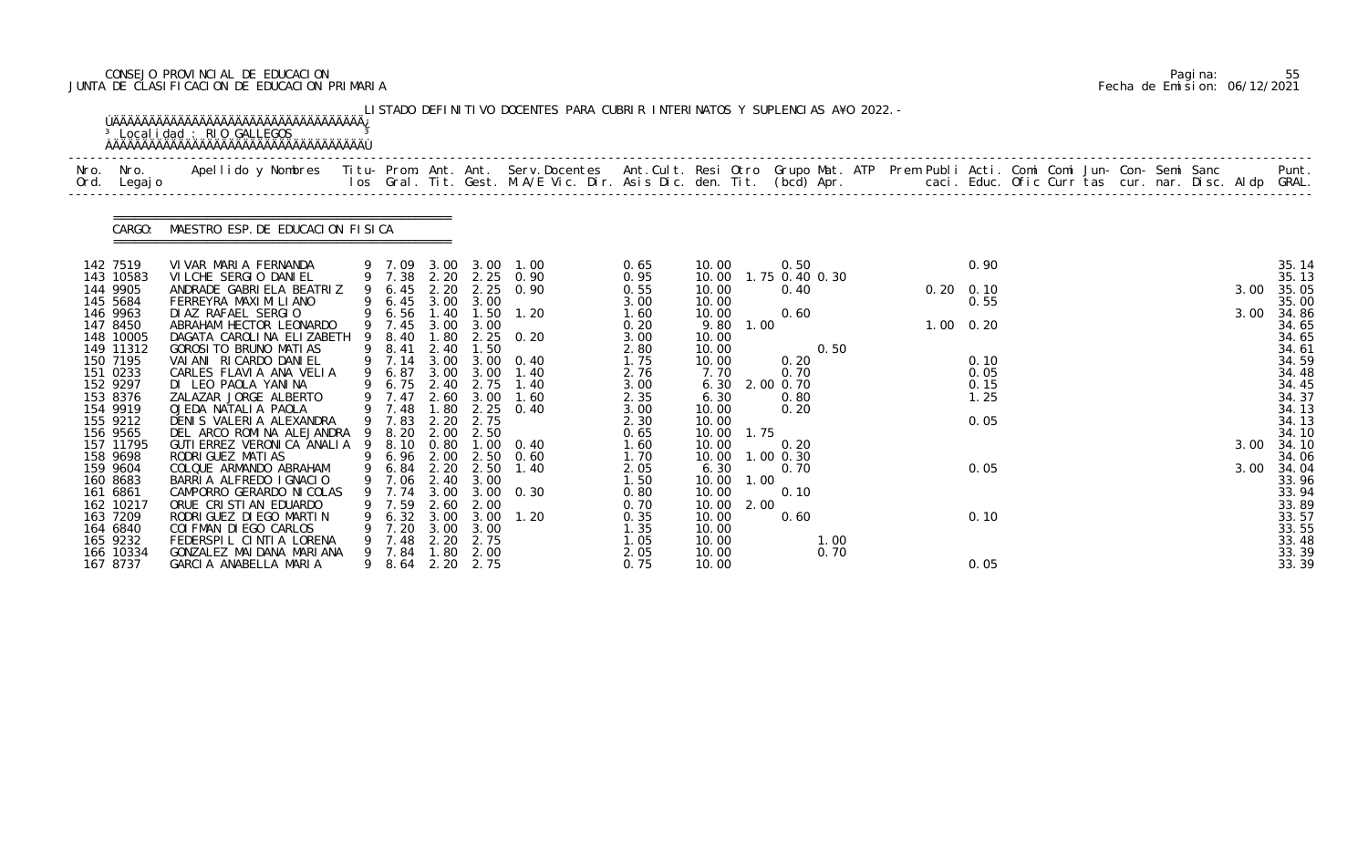# CONSEJO PROVINCIAL DE EDUCACION Pagina: 55 JUNTA DE CLASIFICACION DE EDUCACION PRIMARIA Fecha de Emision: 06/12/2021

| Nro. | Nro. In the North State of the New York of the United States of the United States of the New York of the Unite<br>Ord. Legajo | Apellido y Nombres - Titu- Prom. Ant. Ant. Serv.Docentes - Ant.Cult. Resi Otro Grupo Mat. ATP Prem Publi Acti. Comi Comi Jun- Con- Semi Sanc - - - - Punt.<br>Ios Gral. Tit. Gest. M.A/E Vic. Dir. Asis Dic. den. Tit. (bcd) Apr. |   |                  |              |                  |                                                |              |                |            |             |                |  |                   |                   |  |  |  |      |                |
|------|-------------------------------------------------------------------------------------------------------------------------------|-----------------------------------------------------------------------------------------------------------------------------------------------------------------------------------------------------------------------------------|---|------------------|--------------|------------------|------------------------------------------------|--------------|----------------|------------|-------------|----------------|--|-------------------|-------------------|--|--|--|------|----------------|
|      |                                                                                                                               | CARGO: MAESTRO ESP. DE EDUCACION FISICA                                                                                                                                                                                           |   |                  |              |                  |                                                |              |                |            |             |                |  |                   |                   |  |  |  |      |                |
|      | 142 7519                                                                                                                      | VIVAR MARIA FERNANDA                                                                                                                                                                                                              |   |                  |              |                  | 9 7.09 3.00 3.00 1.00<br>9 7.38 2.20 2.25 0.90 | 0.65         | 10.00<br>10.00 |            | 0.50        | 1.75 0.40 0.30 |  |                   | 0.90              |  |  |  |      | 35.14<br>35.13 |
|      | 143 10583<br>144 9905                                                                                                         | VILCHE SERGIO DANIEL<br>ANDRADE GABRIELA BEATRIZ                                                                                                                                                                                  |   | 9 6.45           | 2.20         | 2.25             | 0.90                                           | 0.95<br>0.55 | 10.00          |            | 0.40        |                |  |                   | $0.20 \quad 0.10$ |  |  |  | 3.00 | 35.05          |
|      | 145 5684                                                                                                                      | FERREYRA MAXI MI LI ANO                                                                                                                                                                                                           |   |                  |              | 9 6.45 3.00 3.00 |                                                | 3.00         | 10.00          |            |             |                |  |                   | 0.55              |  |  |  |      | 35.00          |
|      | 146 9963                                                                                                                      | DIAZ RAFAEL SERGIO                                                                                                                                                                                                                |   | 9 6.56 1.40      |              |                  | $1.50$ $1.20$                                  | 1.60         | 10.00          |            | 0.60        |                |  |                   |                   |  |  |  | 3.00 | 34.86          |
|      | 147 8450<br>148 10005                                                                                                         | ABRAHAM HECTOR LEONARDO<br>DAGATA CAROLINA ELIZABETH                                                                                                                                                                              |   | 9 7.45<br>9 8.40 | 3.00<br>1.80 | 3.00             | $2.25 \t 0.20$                                 | 0.20<br>3.00 | 9.80<br>10.00  | 1.00       |             |                |  | $1.00 \quad 0.20$ |                   |  |  |  |      | 34.65<br>34.65 |
|      | 149 11312                                                                                                                     | GOROSI TO BRUNO MATIAS                                                                                                                                                                                                            |   | 9 8.41           | 2.40         | 1.50             |                                                | 2.80         | 10.00          |            |             | 0.50           |  |                   |                   |  |  |  |      | 34.61          |
|      | 150 7195                                                                                                                      | VAI ANI RI CARDO DANI EL                                                                                                                                                                                                          |   | 9 7.14           | 3.00         | 3.00             | 0.40                                           | 1.75         | 10.00          |            | 0.20        |                |  |                   | 0.10              |  |  |  |      | 34.59          |
|      | 151 0233                                                                                                                      | CARLES FLAVIA ANA VELIA                                                                                                                                                                                                           |   | 9 6.87           | 3.00         | 3.00             | 1.40                                           | 2.76         | 7.70           |            | 0.70        |                |  |                   | 0.05              |  |  |  |      | 34.48          |
|      | 152 9297                                                                                                                      | DI LEO PAOLA YANINA                                                                                                                                                                                                               |   | 9 6.75 2.40      |              | 2.75             | 1.40                                           | 3.00         | 6.30           |            | 2.00 0.70   |                |  |                   | 0.15              |  |  |  |      | 34.45          |
|      | 153 8376                                                                                                                      | ZALAZAR JORGE ALBERTO                                                                                                                                                                                                             |   | 9 7.47           | 2.60         | 3.00             | 1.60                                           | 2.35         | 6.30           |            | 0.80        |                |  |                   | 1.25              |  |  |  |      | 34.37          |
|      | 154 9919<br>155 9212                                                                                                          | OJEDA NATALIA PAOLA<br>DENIS VALERIA ALEXANDRA                                                                                                                                                                                    |   | 9 7.48<br>9 7.83 | 1.80<br>2.20 | 2.75             | $2.25 \quad 0.40$                              | 3.00<br>2.30 | 10.00<br>10.00 |            | 0.20        |                |  |                   | 0.05              |  |  |  |      | 34.13<br>34.13 |
|      | 156 9565                                                                                                                      | DEL ARCO ROMINA ALEJANDRA 9                                                                                                                                                                                                       |   | 8.20             | 2.00         | 2.50             |                                                | 0.65         | 10.00          | 1.75       |             |                |  |                   |                   |  |  |  |      | 34.10          |
|      | 157 11795                                                                                                                     | GUTI ERREZ VERONICA ANALIA 9 8.10 0.80                                                                                                                                                                                            |   |                  |              |                  | $1.00 \t 0.40$                                 | 1.60         | 10.00          |            | 0.20        |                |  |                   |                   |  |  |  | 3.00 | 34.10          |
|      | 158 9698                                                                                                                      | RODRI GUEZ MATI AS                                                                                                                                                                                                                |   |                  |              |                  | 9 6.96 2.00 2.50 0.60                          | 1.70         | 10.00          |            | $1.00$ 0.30 |                |  |                   |                   |  |  |  |      | 34.06          |
|      | 159 9604                                                                                                                      | COLQUE ARMANDO ABRAHAM                                                                                                                                                                                                            |   | 9 6.84 2.20      |              | 2.50             | 1.40                                           | 2.05         | 6.30           |            | 0.70        |                |  |                   | 0.05              |  |  |  | 3.00 | 34.04          |
|      | 160 8683                                                                                                                      | BARRIA ALFREDO IGNACIO                                                                                                                                                                                                            |   |                  |              | 9 7.06 2.40 3.00 |                                                | 1.50         |                | 10.00 1.00 |             |                |  |                   |                   |  |  |  |      | 33.96          |
|      | 161 6861<br>162 10217                                                                                                         | CAMPORRO GERARDO NI COLAS<br>ORUE CRISTIAN EDUARDO                                                                                                                                                                                | 9 | 7.74<br>7.59     | 3.00<br>2.60 | 3.00<br>2.00     | 0.30                                           | 0.80<br>0.70 | 10.00<br>10.00 | 2.00       | 0.10        |                |  |                   |                   |  |  |  |      | 33.94<br>33.89 |
|      | 163 7209                                                                                                                      | RODRI GUEZ DI EGO MARTI N                                                                                                                                                                                                         |   | 6.32             | 3.00         | 3.00             | 1.20                                           | 0.35         | 10.00          |            | 0.60        |                |  |                   | 0.10              |  |  |  |      | 33.57          |
|      | 164 6840                                                                                                                      | COI FMAN DI EGO CARLOS                                                                                                                                                                                                            |   | 7.20             | 3.00         | 3.00             |                                                | 1.35         | 10.00          |            |             |                |  |                   |                   |  |  |  |      | 33.55          |
|      | 165 9232                                                                                                                      | FEDERSPIL CINTIA LORENA                                                                                                                                                                                                           |   | 7.48             | 2.20         | 2.75             |                                                | 1.05         | 10.00          |            |             | 1.00           |  |                   |                   |  |  |  |      | 33.48          |
|      | 166 10334                                                                                                                     | GONZALEZ MAI DANA MARI ANA                                                                                                                                                                                                        |   | 9 7.84           | 1.80         | 2.00             |                                                | 2.05         | 10.00          |            |             | 0.70           |  |                   |                   |  |  |  |      | 33.39          |
|      | 167 8737                                                                                                                      | GARCIA ANABELLA MARIA                                                                                                                                                                                                             |   | 8.64             |              | 2.20 2.75        |                                                | 0.75         | 10.00          |            |             |                |  |                   | 0.05              |  |  |  |      | 33.39          |

|  | Pagi na: | 55                           |
|--|----------|------------------------------|
|  |          | Fecha de Emision: 06/12/2021 |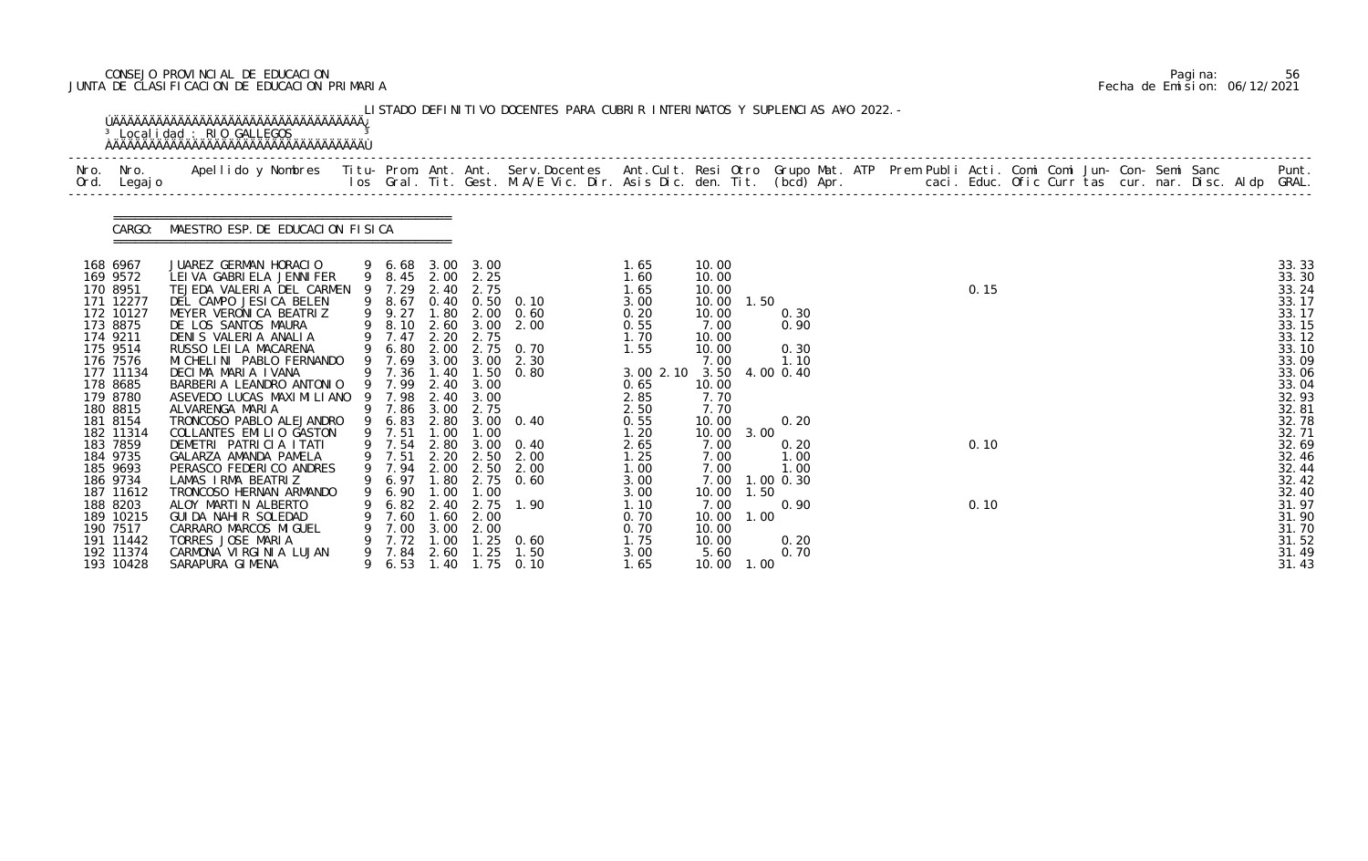# CONSEJO PROVINCIAL DE EDUCACION Pagina: 56 JUNTA DE CLASIFICACION DE EDUCACION PRIMARIA Fecha de Emision: 06/12/2021

| Nro. Nro.<br>Ord. Legajo                                                                                                                                                                                                                                                                            |                                                                                                                                                                                                                                                                                                                                                                                                                                                                                                                                                                                                                                  |   |                                                                                                                                                                                                                                                             |                                                                                                              |                                                                                                                                |                                                                                                                                                                       |                                                                                                                                                                                                |                                                                                                                                                                                                    |                              |                                                                                                             |  |                      |  |  |  |                                                                                                                                                                                                                      |
|-----------------------------------------------------------------------------------------------------------------------------------------------------------------------------------------------------------------------------------------------------------------------------------------------------|----------------------------------------------------------------------------------------------------------------------------------------------------------------------------------------------------------------------------------------------------------------------------------------------------------------------------------------------------------------------------------------------------------------------------------------------------------------------------------------------------------------------------------------------------------------------------------------------------------------------------------|---|-------------------------------------------------------------------------------------------------------------------------------------------------------------------------------------------------------------------------------------------------------------|--------------------------------------------------------------------------------------------------------------|--------------------------------------------------------------------------------------------------------------------------------|-----------------------------------------------------------------------------------------------------------------------------------------------------------------------|------------------------------------------------------------------------------------------------------------------------------------------------------------------------------------------------|----------------------------------------------------------------------------------------------------------------------------------------------------------------------------------------------------|------------------------------|-------------------------------------------------------------------------------------------------------------|--|----------------------|--|--|--|----------------------------------------------------------------------------------------------------------------------------------------------------------------------------------------------------------------------|
| CARGO:                                                                                                                                                                                                                                                                                              | MAESTRO ESP. DE EDUCACION FISICA                                                                                                                                                                                                                                                                                                                                                                                                                                                                                                                                                                                                 |   |                                                                                                                                                                                                                                                             |                                                                                                              |                                                                                                                                |                                                                                                                                                                       |                                                                                                                                                                                                |                                                                                                                                                                                                    |                              |                                                                                                             |  |                      |  |  |  |                                                                                                                                                                                                                      |
| 168 6967<br>169 9572<br>170 8951<br>171 12277<br>172 10127<br>173 8875<br>174 9211<br>175 9514<br>176 7576<br>177 11134<br>178 8685<br>179 8780<br>180 8815<br>181 8154<br>182 11314<br>183 7859<br>184 9735<br>185 9693<br>186 9734<br>187 11612<br>188 8203<br>189 10215<br>190 7517<br>191 11442 | JUAREZ GERMAN HORACIO<br>LEI VA GABRI ELA JENNI FER<br>TEJEDA VALERIA DEL CARMEN<br>DEL CAMPO JESICA BELEN<br>MEYER VERONICA BEATRIZ<br>DE LOS SANTOS MAURA<br>DENIS VALERIA ANALIA<br>RUSSO LEI LA MACARENA<br>MI CHELI NI PABLO FERNANDO<br>DECIMA MARIA IVANA<br>BARBERIA LEANDRO ANTONIO<br>ASEVEDO LUCAS MAXIMILIANO<br>ALVARENGA MARIA<br>TRONCOSO PABLO ALEJANDRO<br>COLLANTES EMILIO GASTON<br>DEMETRI PATRICIA ITATI<br>GALARZA AMANDA PAMELA<br>PERASCO FEDERICO ANDRES<br>LAMAS IRMA BEATRIZ<br>TRONCOSO HERNAN ARMANDO<br>ALOY MARTIN ALBERTO<br>GUI DA NAHI R SOLEDAD<br>CARRARO MARCOS MIGUEL<br>TORRES JOSE MARIA | 9 | 9 6.68 3.00 3.00<br>9 8.45 2.00 2.25<br>9 7.29<br>9 8.67<br>9 8.10<br>9 7.47<br>9 6.80<br>9 7.69<br>9 7.36 1.40<br>9 7.99<br>9 7.98<br>9 7.86<br>9 6.83<br>9 7.51<br>9 7.54<br>9 7.51<br>9 7.94<br>9 6.97 1.80 2.75<br>6.90<br>6.82<br>7.60<br>7.00<br>7.72 | 2.40<br>2.60<br>2.20<br>2.00<br>2.40<br>3.00<br>1.00<br>2.80<br>2.00<br>1.00<br>2.40<br>1.60<br>3.00<br>1.00 | 2.75<br>3.00<br>2.75<br>3.00 3.00<br>1.50<br>2.40 3.00<br>3.00<br>2.75<br>1.00<br>2.50<br>1.00<br>2.75<br>2.00<br>2.00<br>1.25 | 0.40 0.50 0.10<br>9 9.27 1.80 2.00 0.60<br>2.00<br>2.75 0.70<br>2.30<br>0.80<br>2.80 3.00 0.40<br>$3.00 \quad 0.40$<br>2.20 2.50 2.00<br>2.00<br>0.60<br>1.90<br>0.60 | 1.65<br>1.60<br>1.65<br>3.00<br>0.20<br>0.55<br>1.70<br>1.55<br>3.00 2.10 3.50<br>0.65<br>2.85<br>2.50<br>0.55<br>1.20<br>2.65<br>1.25<br>1.00<br>3.00<br>3.00<br>1.10<br>0.70<br>0.70<br>1.75 | 10.00<br>10.00<br>10.00<br>10.00<br>10.00<br>7.00<br>10.00<br>10.00<br>7.00<br>10.00<br>7.70<br>7.70<br>10.00<br>10.00<br>7.00<br>7.00<br>7.00<br>7.00<br>10.00<br>7.00<br>10.00<br>10.00<br>10.00 | 1.50<br>3.00<br>1.50<br>1.00 | 0.30<br>0.90<br>0.30<br>1.10<br>4.00 0.40<br>0.20<br>0.20<br>1.00<br>1.00<br>$1.00 \, 0.30$<br>0.90<br>0.20 |  | 0.15<br>0.10<br>0.10 |  |  |  | 33.33<br>33.30<br>33.24<br>33.17<br>33.17<br>33.15<br>33.12<br>33.10<br>33.09<br>33.06<br>33.04<br>32.93<br>32.81<br>32.78<br>32.71<br>32.69<br>32.46<br>32.44<br>32.42<br>32.40<br>31.97<br>31.90<br>31.70<br>31.52 |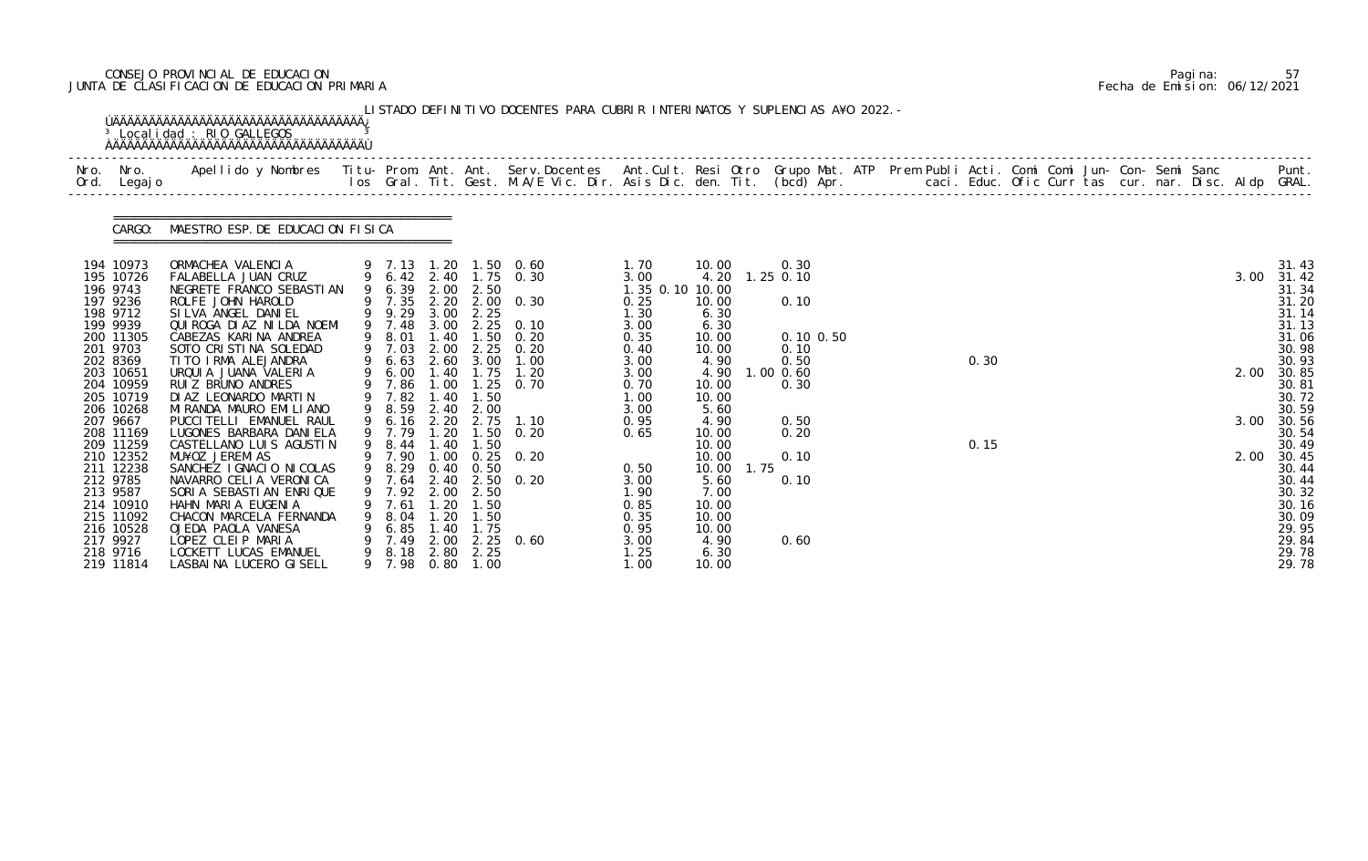# CONSEJO PROVINCIAL DE EDUCACION Pagina: 57 JUNTA DE CLASIFICACION DE EDUCACION PRIMARIA Fecha de Emision: 06/12/2021

| Nro.<br>Ord. | Nro.<br>Legaj o                                                                                                                                                               | Apellido y Nombres  Titu- Prom. Ant. Ant. Serv.Docentes  Ant.Cult. Resi Otro Grupo Mat. ATP Prem Publi Acti. Comi Comi Jun- Con- Semi Sanc         Punt.<br>Ios Gral. Tit. Gest. M.A/E Vic. Dir. Asis Dic. den. Tit. (bcd) Apr.                                                                                                                                 |   |                                                                                                                                                |                                                                      |                                                                             |                                                                                                                                                        |                                                                                                          |                                                                                                                      |                              |                                                       |  |      |  |  |  |              |                                                                                                                            |
|--------------|-------------------------------------------------------------------------------------------------------------------------------------------------------------------------------|-----------------------------------------------------------------------------------------------------------------------------------------------------------------------------------------------------------------------------------------------------------------------------------------------------------------------------------------------------------------|---|------------------------------------------------------------------------------------------------------------------------------------------------|----------------------------------------------------------------------|-----------------------------------------------------------------------------|--------------------------------------------------------------------------------------------------------------------------------------------------------|----------------------------------------------------------------------------------------------------------|----------------------------------------------------------------------------------------------------------------------|------------------------------|-------------------------------------------------------|--|------|--|--|--|--------------|----------------------------------------------------------------------------------------------------------------------------|
|              | CARGO:                                                                                                                                                                        | MAESTRO ESP. DE EDUCACION FISICA                                                                                                                                                                                                                                                                                                                                |   |                                                                                                                                                |                                                                      |                                                                             |                                                                                                                                                        |                                                                                                          |                                                                                                                      |                              |                                                       |  |      |  |  |  |              |                                                                                                                            |
|              | 194 10973<br>195 10726<br>196 9743<br>197 9236<br>198 9712<br>199 9939<br>200 11305<br>201 9703<br>202 8369<br>203 10651<br>204 10959<br>205 10719                            | ORMACHEA VALENCIA<br>FALABELLA JUAN CRUZ<br>NEGRETE FRANCO SEBASTIAN<br>ROLFE JOHN HAROLD<br>SILVA ANGEL DANIEL<br>QUI ROGA DI AZ NI LDA NOEMI<br>CABEZAS KARINA ANDREA<br>SOTO CRISTINA SOLEDAD<br>TITO IRMA ALEJANDRA<br>URQUI A JUANA VALERIA<br>RUIZ BRUNO ANDRES<br>DI AZ LEONARDO MARTIN                                                                  |   | 9 6.39 2.00 2.50<br>9 9.29<br>9 7.48<br>9 8.01<br>9 7.03<br>9 6.63<br>9 6.00<br>9 7.86<br>9 7.82                                               | 3.00<br>1.40<br>2.00<br>2.60<br>1.40<br>1.00<br>.40                  | 3.00 2.25<br>1.50<br>3.00<br>1.75<br>1.50                                   | 9 7.13 1.20 1.50 0.60<br>9 6.42 2.40 1.75 0.30<br>9 7.35 2.20 2.00 0.30<br>$2.25 \quad 0.10$<br>0.20<br>2.25 0.20<br>1.00<br>1.20<br>$1.25 \quad 0.70$ | 1. 70<br>3.00<br>1.35 0.10 10.00<br>0.25<br>1.30<br>3.00<br>0.35<br>0.40<br>3.00<br>3.00<br>0.70<br>1.00 | 10.00<br>4.20<br>10.00<br>6.30<br>6.30<br>10.00<br>10.00<br>4.90<br>4.90<br>10.00<br>10.00                           | $1.25$ 0.10<br>$1.00$ $0.60$ | 0.30<br>0.10<br>$0.10$ $0.50$<br>0.10<br>0.50<br>0.30 |  | 0.30 |  |  |  | 3.00<br>2.00 | 31.43<br>31.42<br>31.34<br>31.20<br>31.14<br>31.13<br>31.06<br>30.98<br>30.93<br>30.85<br>30.81<br>30.72                   |
|              | 206 10268<br>207 9667<br>208 11169<br>209 11259<br>210 12352<br>211 12238<br>212 9785<br>213 9587<br>214 10910<br>215 11092<br>216 10528<br>217 9927<br>218 9716<br>219 11814 | MI RANDA MAURO EMI LI ANO<br>PUCCI TELLI EMANUEL RAUL<br>LUGONES BARBARA DANI ELA<br>CASTELLANO LUIS AGUSTIN<br>MU¥OZ JEREMIAS<br>SANCHEZ I GNACIO NI COLAS<br>NAVARRO CELIA VERONICA<br>SORIA SEBASTIAN ENRIQUE<br>HAHN MARIA EUGENIA<br>CHACON MARCELA FERNANDA<br>OJEDA PAOLA VANESA<br>LOPEZ CLEIP MARIA<br>LOCKETT LUCAS EMANUEL<br>LASBAINA LUCERO GISELL | 9 | 9 8.59<br>9 6.16 2.20<br>9 7.79<br>9 8.44<br>9 7.90<br>9 8.29 0.40 0.50<br>9 7.64<br>7.92<br>7.61<br>8. 04<br>6.85<br>7.49<br>9 8.18<br>9 7.98 | 2.40<br>1.20<br>1.40<br>2.00<br>. 20<br>1.20<br>1.40<br>2.00<br>2.80 | 2.00<br>2.75<br>1.50<br>2.50<br>1.50<br>1.50<br>1.75<br>2.25<br>$0.80$ 1.00 | 1.10<br>$1.50 \t 0.20$<br>$1.00 \t 0.25 \t 0.20$<br>2.40 2.50 0.20<br>$2.25 \t 0.60$                                                                   | 3.00<br>0.95<br>0.65<br>0.50<br>3.00<br>1.90<br>0.85<br>0.35<br>0.95<br>3.00<br>1.25<br>1.00             | 5.60<br>4.90<br>10.00<br>10.00<br>10.00<br>10.00<br>5.60<br>7.00<br>10.00<br>10.00<br>10.00<br>4.90<br>6.30<br>10.00 | 1.75                         | 0.50<br>0.20<br>0.10<br>0.10<br>0.60                  |  | 0.15 |  |  |  | 3.00<br>2.00 | 30.59<br>30.56<br>30.54<br>30.49<br>30.45<br>30.44<br>30.44<br>30.32<br>30.16<br>30.09<br>29.95<br>29.84<br>29.78<br>29.78 |

|  | Pagi na: | 57                           |
|--|----------|------------------------------|
|  |          | Fecha de Emision: 06/12/2021 |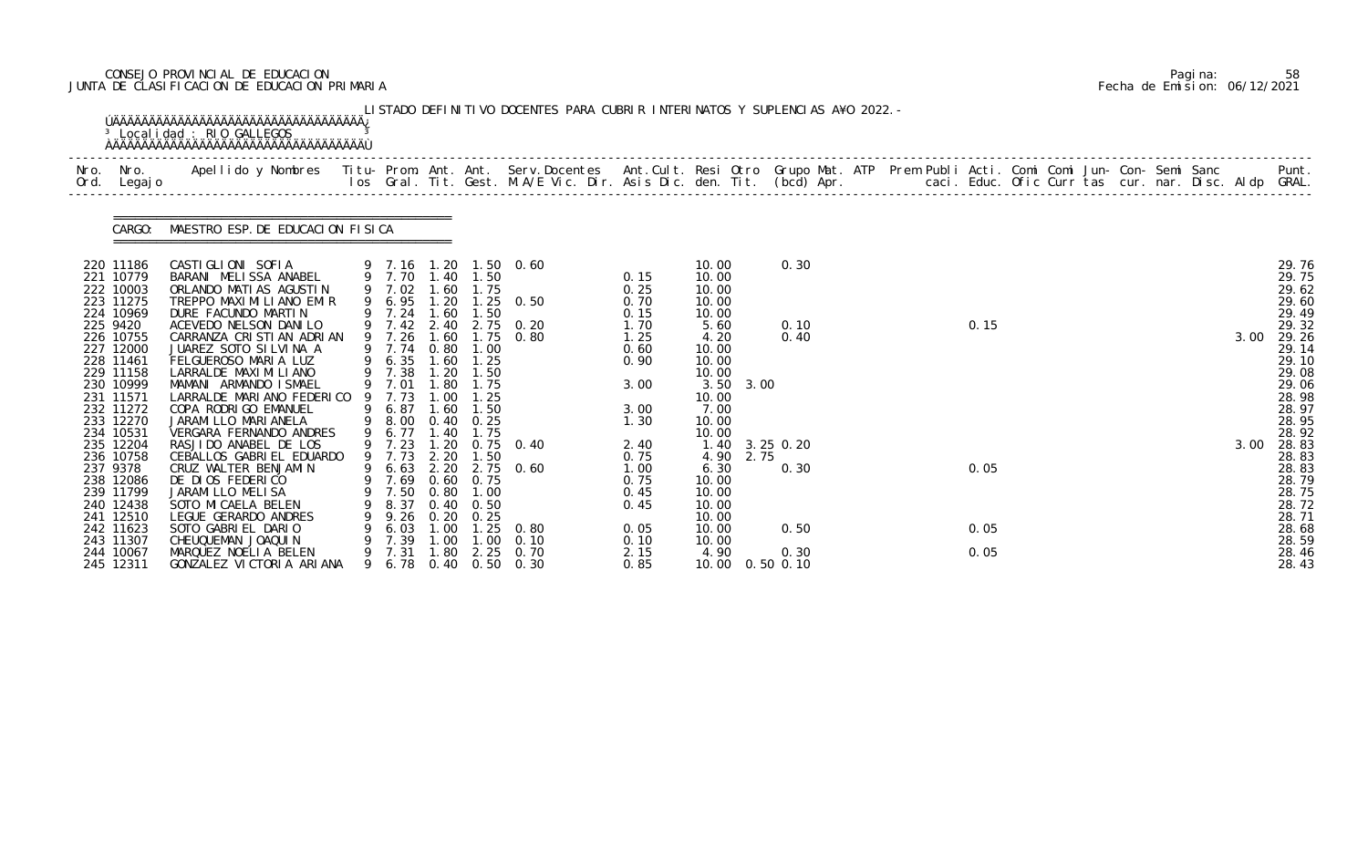# CONSEJO PROVINCIAL DE EDUCACION Pagina: 58 JUNTA DE CLASIFICACION DE EDUCACION PRIMARIA Fecha de Emision: 06/12/2021

| Nro.<br>Ord. | Nro.<br>Legaj o        | Apellido y Nombres  Titu- Prom. Ant. Ant. Serv.Docentes  Ant.Cult. Resi Otro Grupo Mat. ATP Prem Publi Acti. Comi Comi Jun- Con- Semi Sanc         Punt.<br>Ios Gral. Tit. Gest. M.A/E Vic. Dir. Asis Dic. den. Tit. (bcd) Apr. |        |                  |                  |                                      |                        |              |                           |      |      |  |      |  |  |  |      |                |
|--------------|------------------------|---------------------------------------------------------------------------------------------------------------------------------------------------------------------------------------------------------------------------------|--------|------------------|------------------|--------------------------------------|------------------------|--------------|---------------------------|------|------|--|------|--|--|--|------|----------------|
|              | CARGO:                 | MAESTRO ESP. DE EDUCACION FISICA                                                                                                                                                                                                |        |                  |                  |                                      |                        |              |                           |      |      |  |      |  |  |  |      |                |
|              | 220 11186              | CASTIGLIONI SOFIA                                                                                                                                                                                                               |        |                  |                  |                                      | 9 7.16 1.20 1.50 0.60  |              | 10.00                     |      | 0.30 |  |      |  |  |  |      | 29.76          |
|              | 221 10779<br>222 10003 | BARANI MELISSA ANABEL<br>ORLANDO MATIAS AGUSTIN                                                                                                                                                                                 |        | 9 7.02           | 1.60             | 9 7.70 1.40 1.50<br>1.75             |                        | 0.15<br>0.25 | 10.00<br>10.00            |      |      |  |      |  |  |  |      | 29.75<br>29.62 |
|              | 223 11275              | TREPPO MAXIMILIANO EMIR                                                                                                                                                                                                         |        |                  |                  |                                      | 9 6.95 1.20 1.25 0.50  | 0.70         | 10.00                     |      |      |  |      |  |  |  |      | 29.60          |
|              | 224 10969              | DURE FACUNDO MARTIN                                                                                                                                                                                                             |        |                  |                  | 9 7.24 1.60 1.50<br>9 7.42 2.40 2.75 |                        | 0.15         | 10.00                     |      |      |  |      |  |  |  |      | 29.49          |
|              | 225 9420               | ACEVEDO NELSON DANILO                                                                                                                                                                                                           |        |                  |                  |                                      | 2.75 0.20              | 1.70         | 5.60                      |      | 0.10 |  | 0.15 |  |  |  |      | 29.32          |
|              | 226 10755<br>227 12000 | CARRANZA CRISTIAN ADRIAN<br>JUAREZ SOTO SILVINA A                                                                                                                                                                               |        | 9 7.26<br>9 7.74 | 1.60<br>0.80     | 1.00                                 | 1.75 0.80              | 1.25<br>0.60 | 4.20<br>10.00             |      | 0.40 |  |      |  |  |  | 3.00 | 29.26<br>29.14 |
|              | 228 11461              | FELGUEROSO MARIA LUZ                                                                                                                                                                                                            |        | 9 6.35           | 1.60             | 1.25                                 |                        | 0.90         | 10.00                     |      |      |  |      |  |  |  |      | 29.10          |
|              | 229 11158              | LARRALDE MAXI MI LI ANO                                                                                                                                                                                                         |        | 9 7.38           | 1.20             | 1.50                                 |                        |              | 10.00                     |      |      |  |      |  |  |  |      | 29.08          |
|              | 230 10999              | MAMANI ARMANDO ISMAEL                                                                                                                                                                                                           |        | 9 7.01           | 1.80             | 1.75                                 |                        | 3.00         | 3.50 3.00                 |      |      |  |      |  |  |  |      | 29.06          |
|              | 231 11571              | LARRALDE MARIANO FEDERICO                                                                                                                                                                                                       |        | 7.73             | .00 <sub>1</sub> | 1.25                                 |                        |              | 10.00                     |      |      |  |      |  |  |  |      | 28.98          |
|              | 232 11272<br>233 12270 | COPA RODRIGO EMANUEL<br>JARAMI LLO MARI ANELA                                                                                                                                                                                   | 9      | 6.87<br>9 8.00   | 1.60             | 1.50<br>$0.40 \quad 0.25$            |                        | 3.00<br>1.30 | 7.00<br>10.00             |      |      |  |      |  |  |  |      | 28.97<br>28.95 |
|              | 234 10531              | VERGARA FERNANDO ANDRES                                                                                                                                                                                                         |        | 6.77             | 1.40             | 1.75                                 |                        |              | 10.00                     |      |      |  |      |  |  |  |      | 28.92          |
|              | 235 12204              | RASJIDO ANABEL DE LOS                                                                                                                                                                                                           |        | 9 7.23           |                  |                                      | 1.20 0.75 0.40         | 2.40         | 1.40 3.25 0.20            |      |      |  |      |  |  |  | 3.00 | 28.83          |
|              | 236 10758              | CEBALLOS GABRIEL EDUARDO                                                                                                                                                                                                        |        | 9 7.73           | 2.20             | 1.50                                 |                        | 0.75         | 4.90                      | 2.75 |      |  |      |  |  |  |      | 28.83          |
|              | 237 9378               | CRUZ WALTER BENJAMIN                                                                                                                                                                                                            |        |                  |                  |                                      | 9 6.63 2.20 2.75 0.60  | 1.00         | 6.30                      |      | 0.30 |  | 0.05 |  |  |  |      | 28.83          |
|              | 238 12086<br>239 11799 | DE DIOS FEDERICO<br>JARAMI LLO MELI SA                                                                                                                                                                                          |        | 7.50             | 0.80             | 9 7.69 0.60 0.75<br>1.00             |                        | 0.75<br>0.45 | 10.00<br>10.00            |      |      |  |      |  |  |  |      | 28.79<br>28.75 |
|              | 240 12438              | SOTO MI CAELA BELEN                                                                                                                                                                                                             |        | 8.37             | 0.40             | 0.50                                 |                        | 0.45         | 10.00                     |      |      |  |      |  |  |  |      | 28.72          |
|              | 241 12510              | LEGUE GERARDO ANDRES                                                                                                                                                                                                            |        | 9.26             | 0. 20            | 0.25                                 |                        |              | 10.00                     |      |      |  |      |  |  |  |      | 28.71          |
|              | 242 11623              | SOTO GABRIEL DARIO                                                                                                                                                                                                              |        | 6.03             | 1.00             | $\overline{\phantom{0}}$ . 25        | 0. 80                  | 0.05         | 10.00                     |      | 0.50 |  | 0.05 |  |  |  |      | 28.68          |
|              | 243 11307              | CHEUQUEMAN JOAQUIN                                                                                                                                                                                                              |        | 7.39             | .00 <sub>1</sub> | .00                                  | 0.10                   | 0.10         | 10.00                     |      |      |  |      |  |  |  |      | 28.59          |
|              | 244 10067<br>245 12311 | MARQUEZ NOELIA BELEN<br>GONZALEZ VICTORIA ARIANA                                                                                                                                                                                | 9<br>9 | 7.31<br>6. 78    | 1.80             | 2.25                                 | 0.70<br>0.40 0.50 0.30 | 2.15<br>0.85 | 4.90<br>10.00  0.50  0.10 |      | 0.30 |  | 0.05 |  |  |  |      | 28.46<br>28.43 |

|  | Pagi na: | 58                           |
|--|----------|------------------------------|
|  |          | Fecha de Emision: 06/12/2021 |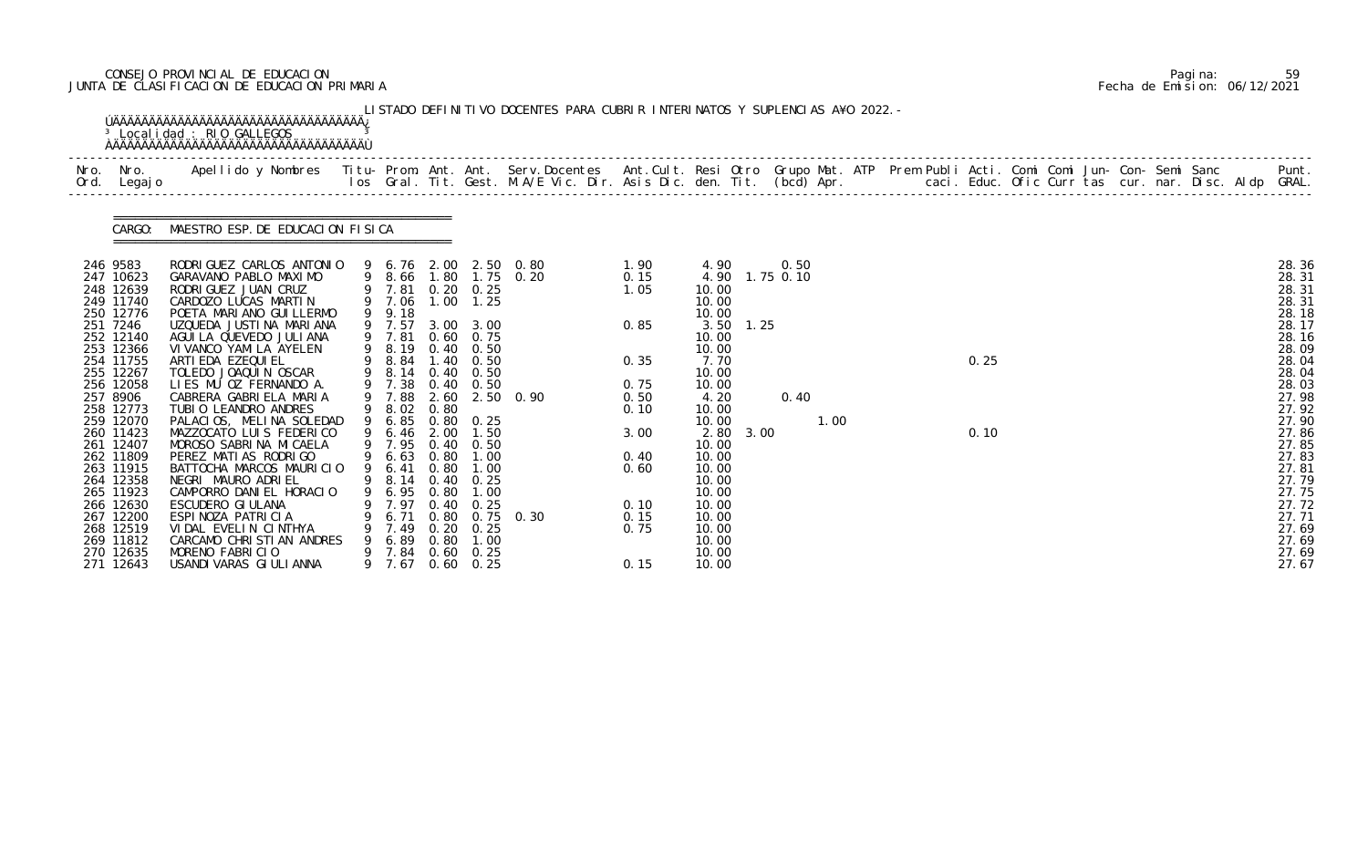# CONSEJO PROVINCIAL DE EDUCACION Pagina: 59 JUNTA DE CLASIFICACION DE EDUCACION PRIMARIA Fecha de Emision: 06/12/2021

|                                                                                                                                                                                                                                                                                                                   | <sup>3</sup> Localidad : RIO GALLEGOS                                                                                                                                                                                                                                                                                                                                                                                                                                                                                                                                                                                         |        |                                                                                                                                                                                                                                  |                                                              |                                                                                                                                                                                                                                                  | LISTADO DEFINITIVO DOCENTES PARA CUBRIR INTERINATOS Y SUPLENCIAS A¥O 2022. - |                                                                                                              |                                                                                                                                                                                        |                        |                                |      |  |              |  |  |  |                                                                                                                                                                                                                      |
|-------------------------------------------------------------------------------------------------------------------------------------------------------------------------------------------------------------------------------------------------------------------------------------------------------------------|-------------------------------------------------------------------------------------------------------------------------------------------------------------------------------------------------------------------------------------------------------------------------------------------------------------------------------------------------------------------------------------------------------------------------------------------------------------------------------------------------------------------------------------------------------------------------------------------------------------------------------|--------|----------------------------------------------------------------------------------------------------------------------------------------------------------------------------------------------------------------------------------|--------------------------------------------------------------|--------------------------------------------------------------------------------------------------------------------------------------------------------------------------------------------------------------------------------------------------|------------------------------------------------------------------------------|--------------------------------------------------------------------------------------------------------------|----------------------------------------------------------------------------------------------------------------------------------------------------------------------------------------|------------------------|--------------------------------|------|--|--------------|--|--|--|----------------------------------------------------------------------------------------------------------------------------------------------------------------------------------------------------------------------|
| Nro. Nro.<br>Ord. Legajo                                                                                                                                                                                                                                                                                          | Apellido y Nombres - Titu- Prom. Ant. Ant. Serv.Docentes - Ant.Cult. Resi Otro Grupo Mat. ATP Prem Publi Acti. Comi Comi Jun- Con- Semi Sanc - - - Punt.<br>Ios Gral. Tit. Gest. M.A/E Vic. Dir. Asis Dic. den. Tit. (bcd) Apr. -                                                                                                                                                                                                                                                                                                                                                                                             |        |                                                                                                                                                                                                                                  |                                                              |                                                                                                                                                                                                                                                  |                                                                              |                                                                                                              |                                                                                                                                                                                        |                        |                                |      |  |              |  |  |  |                                                                                                                                                                                                                      |
| CARGO:                                                                                                                                                                                                                                                                                                            | MAESTRO ESP. DE EDUCACION FISICA                                                                                                                                                                                                                                                                                                                                                                                                                                                                                                                                                                                              |        |                                                                                                                                                                                                                                  |                                                              |                                                                                                                                                                                                                                                  |                                                                              |                                                                                                              |                                                                                                                                                                                        |                        |                                |      |  |              |  |  |  |                                                                                                                                                                                                                      |
| 246 9583<br>247 10623<br>248 12639<br>249 11740<br>250 12776<br>251 7246<br>252 12140<br>253 12366<br>254 11755<br>255 12267<br>256 12058<br>257 8906<br>258 12773<br>259 12070<br>260 11423<br>261 12407<br>262 11809<br>263 11915<br>264 12358<br>265 11923<br>266 12630<br>267 12200<br>268 12519<br>269 11812 | RODRI GUEZ CARLOS ANTONIO<br>GARAVANO PABLO MAXIMO<br>RODRIGUEZ JUAN CRUZ<br>CARDOZO LUCAS MARTIN<br>POETA MARIANO GUI LLERMO<br>UZQUEDA JUSTINA MARIANA<br>AGUI LA QUEVEDO JULI ANA<br>VI VANCO YAMI LA AYELEN<br>ARTI EDA EZEQUI EL<br>TOLEDO JOAQUIN OSCAR<br>LIES MU OZ FERNANDO A.<br>CABRERA GABRIELA MARIA<br>TUBIO LEANDRO ANDRES<br>PALACIOS, MELINA SOLEDAD<br>MAZZOCATO LUIS FEDERICO<br>MOROSO SABRINA MICAELA<br>PEREZ MATIAS RODRIGO<br>BATTOCHA MARCOS MAURICIO<br>NEGRI MAURO ADRIEL<br>CAMPORRO DANIEL HORACIO<br>ESCUDERO GI ULANA<br>ESPINOZA PATRICIA<br>VIDAL EVELIN CINTHYA<br>CARCAMO CHRISTIAN ANDRES | 9<br>9 | 9 7.81 0.20 0.25<br>9 7.06<br>9 9.18<br>9 7.57<br>9 7.81<br>9 8.19<br>9 8.84<br>9 8.14<br>9 7.38<br>9 7.88<br>9 8.02<br>9 6.85<br>6.46<br>9 7.95<br>9 6.63<br>9 6.41<br>9 8.14 0.40 0.25<br>6.95<br>7.97<br>6.71<br>7.49<br>6.89 | 2.60<br>0.80<br>2.00<br>0.80<br>0.80<br>0.40<br>0.80<br>0.80 | $1.00$ $1.25$<br>3.00 3.00<br>0.60 0.75<br>$0.40 \quad 0.50$<br>$1.40 \quad 0.50$<br>$0.40\quad 0.50$<br>$0.40 \quad 0.50$<br>$0.80 \quad 0.25$<br>1.50<br>$0.40 \quad 0.50$<br>$0.80$ 1.00<br>1.00<br>1.00<br>0.25<br>$0.20 \quad 0.25$<br>1.00 | 9 6.76 2.00 2.50 0.80<br>9 8.66 1.80 1.75 0.20<br>2.50 0.90<br>$0.75$ 0.30   | 1.90<br>0.15<br>1.05<br>0.85<br>0.35<br>0.75<br>0.50<br>0.10<br>3.00<br>0.40<br>0.60<br>0.10<br>0.15<br>0.75 | 4.90<br>10.00<br>10.00<br>10.00<br>10.00<br>10.00<br>7.70<br>10.00<br>10.00<br>4.20<br>10.00<br>10.00<br>10.00<br>10.00<br>10.00<br>10.00<br>10.00<br>10.00<br>10.00<br>10.00<br>10.00 | 3.50 1.25<br>2.80 3.00 | 0.50<br>4.90 1.75 0.10<br>0.40 | 1.00 |  | 0.25<br>0.10 |  |  |  | 28.36<br>28.31<br>28.31<br>28.31<br>28.18<br>28.17<br>28.16<br>28.09<br>28.04<br>28.04<br>28.03<br>27.98<br>27.92<br>27.90<br>27.86<br>27.85<br>27.83<br>27.81<br>27.79<br>27.75<br>27.72<br>27.71<br>27.69<br>27.69 |

|  | Pagi na: | 59                           |
|--|----------|------------------------------|
|  |          | Fecha de Emision: 06/12/2021 |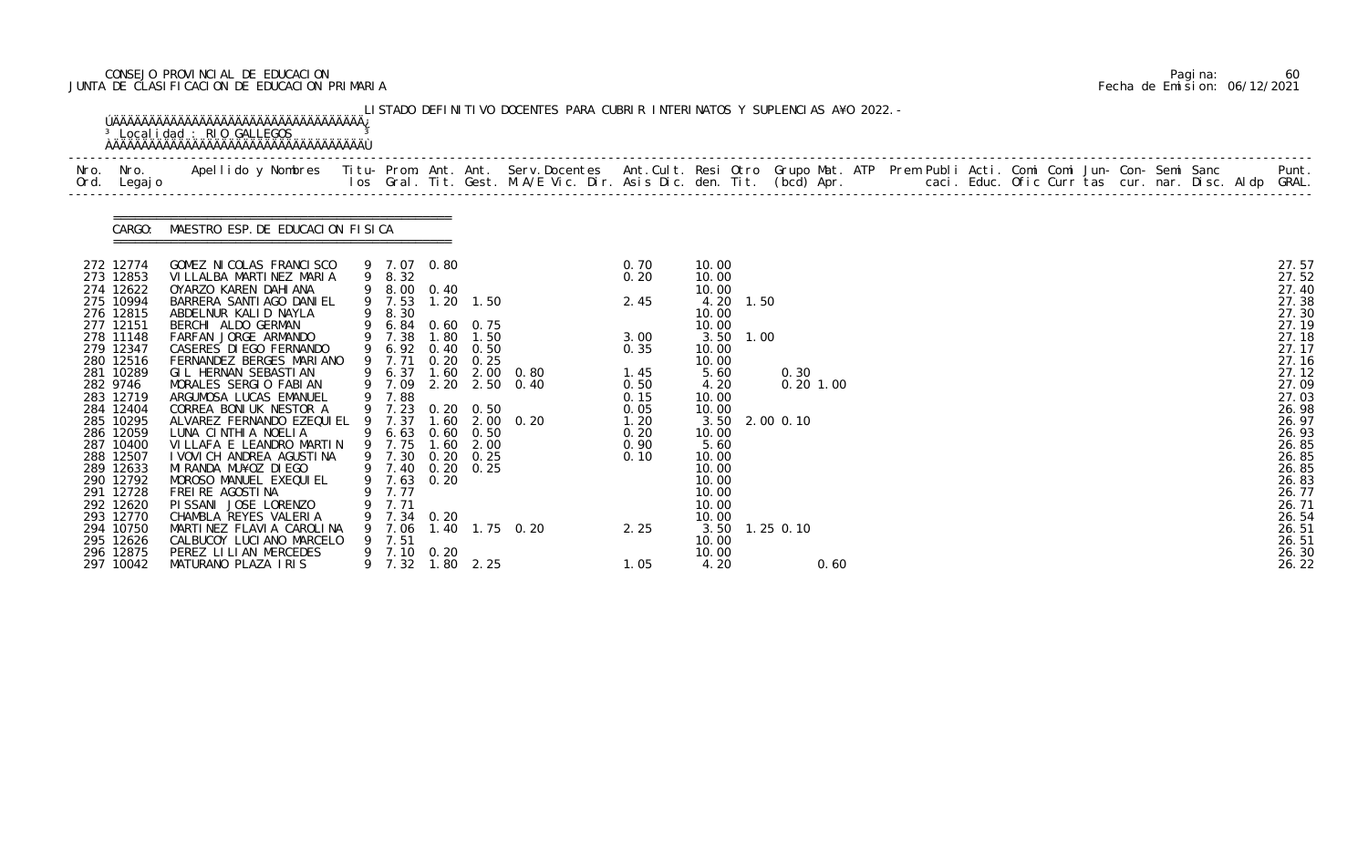# CONSEJO PROVINCIAL DE EDUCACION Pagina: 60 JUNTA DE CLASIFICACION DE EDUCACION PRIMARIA Fecha de Emision: 06/12/2021

| Nro. Nro.<br>Ord. Legajo                         | Apellido y Nombres  Titu- Prom. Ant. Ant. Serv.Docentes  Ant.Cult. Resi Otro Grupo Mat. ATP Prem Publi Acti. Comi Comi Jun- Con- Semi Sanc         Punt.<br>Ios Gral. Tit. Gest. M.A/E Vic. Dir. Asis Dic. den. Tit. (bcd) Apr. |   |                            |                                                          |              |                                                |                      |                                 |           |                |             |  |  |  |  |  |                                  |
|--------------------------------------------------|---------------------------------------------------------------------------------------------------------------------------------------------------------------------------------------------------------------------------------|---|----------------------------|----------------------------------------------------------|--------------|------------------------------------------------|----------------------|---------------------------------|-----------|----------------|-------------|--|--|--|--|--|----------------------------------|
|                                                  | CARGO: MAESTRO ESP. DE EDUCACION FISICA                                                                                                                                                                                         |   |                            |                                                          |              |                                                |                      |                                 |           |                |             |  |  |  |  |  |                                  |
| 272 12774<br>273 12853<br>274 12622              | GOMEZ NI COLAS FRANCI SCO<br>VILLALBA MARTINEZ MARIA<br>OYARZO KAREN DAHIANA                                                                                                                                                    |   | 9 8.32                     | 9 7.07 0.80<br>9 8.00 0.40                               |              |                                                | 0.70<br>0.20         | 10.00<br>10.00<br>10.00         |           |                |             |  |  |  |  |  | 27.57<br>27.52<br>27.40          |
| 275 10994<br>276 12815<br>277 12151              | BARRERA SANTI AGO DANI EL<br>ABDELNUR KALID NAYLA<br>BERCHI ALDO GERMAN                                                                                                                                                         |   | 9 8.30                     | 9 7.53 1.20 1.50<br>9 6.84 0.60 0.75                     |              |                                                | 2.45                 | 10.00<br>10.00                  | 4.20 1.50 |                |             |  |  |  |  |  | 27.38<br>27.30<br>27.19          |
| 278 11148<br>279 12347<br>280 12516              | FARFAN JORGE ARMANDO<br>CASERES DI EGO FERNANDO<br>FERNANDEZ BERGES MARIANO                                                                                                                                                     |   | 9 7.38<br>9 6.92<br>9 7.71 | 1.80<br>$0.40\quad 0.50$<br>0.20                         | 1.50<br>0.25 |                                                | 3.00<br>0.35         | 10.00<br>10.00                  | 3.50 1.00 |                |             |  |  |  |  |  | 27.18<br>27.17<br>27.16          |
| 281 10289<br>282 9746<br>283 12719               | GIL HERNAN SEBASTIAN<br>MORALES SERGIO FABIAN<br>ARGUMOSA LUCAS EMANUEL                                                                                                                                                         |   | 9 7.88                     |                                                          |              | 9 6.37 1.60 2.00 0.80<br>9 7.09 2.20 2.50 0.40 | 1.45<br>0.50<br>0.15 | 5.60<br>4.20<br>10.00           |           | 0.30           | $0.20$ 1.00 |  |  |  |  |  | 27.12<br>27.09<br>27.03          |
| 284 12404<br>285 10295<br>286 12059<br>287 10400 | CORREA BONIUK NESTOR A<br>ALVAREZ FERNANDO EZEQUI EL<br>LUNA CINTHIA NOELIA<br>VILLAFA E LEANDRO MARTIN                                                                                                                         |   | 9 7.37                     | 9 7.23 0.20 0.50<br>9 6.63 0.60 0.50<br>9 7.75 1.60 2.00 |              | 1.60 2.00 0.20                                 | 0.05<br>1.20<br>0.20 | 10.00<br>10.00                  |           | 3.50 2.00 0.10 |             |  |  |  |  |  | 26.98<br>26.97<br>26.93<br>26.85 |
| 288 12507<br>289 12633<br>290 12792              | I VOVI CH ANDREA AGUSTI NA<br>MI RANDA MU¥OZ DI EGO<br>MOROSO MANUEL EXEQUIEL                                                                                                                                                   |   |                            | 9 7.30 0.20 0.25<br>9 7.40 0.20 0.25<br>9 7.63 0.20      |              |                                                | 0.90<br>0.10         | 5.60<br>10.00<br>10.00<br>10.00 |           |                |             |  |  |  |  |  | 26.85<br>26.85<br>26.83          |
| 291 12728<br>292 12620<br>293 12770<br>294 10750 | FREI RE AGOSTI NA<br>PISSANI JOSE LORENZO<br>CHAMBLA REYES VALERIA<br>MARTINEZ FLAVIA CAROLINA                                                                                                                                  |   | 7.77<br>7.71<br>7.06       | 9 7.34 0.20                                              |              | 1.40 1.75 0.20                                 | 2.25                 | 10.00<br>10.00<br>10.00         |           | 3.50 1.25 0.10 |             |  |  |  |  |  | 26.77<br>26.71<br>26.54<br>26.51 |
| 295 12626<br>296 12875<br>297 10042              | CALBUCOY LUCIANO MARCELO<br>PEREZ LILIAN MERCEDES<br>MATURANO PLAZA IRIS                                                                                                                                                        | 9 | 7.51<br>9 7.32             | 9 7.10 0.20                                              | 1.80 2.25    |                                                | 1.05                 | 10.00<br>10.00<br>4.20          |           |                | 0.60        |  |  |  |  |  | 26.51<br>26.30<br>26.22          |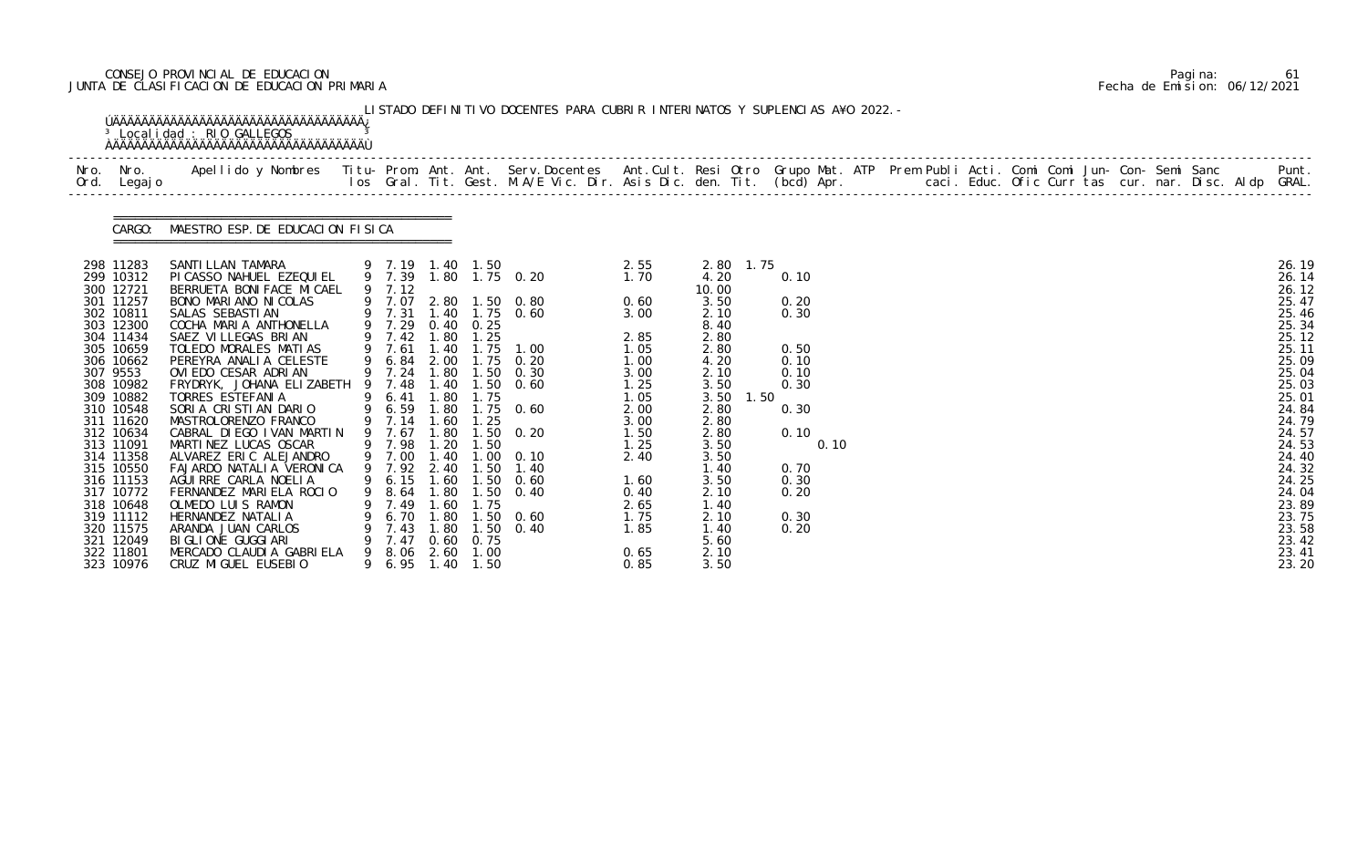# CONSEJO PROVINCIAL DE EDUCACION Pagina: 61 JUNTA DE CLASIFICACION DE EDUCACION PRIMARIA Fecha de Emision: 06/12/2021

|                                                  | <sup>3</sup> Localidad : RIO GALLEGOS                                                                                                                                                                                             |   |                                      |                              |                                   | LISTADO DEFINITIVO DOCENTES PARA CUBRIR INTERINATOS Y SUPLENCIAS A¥O 2022. - |                              |                              |      |                              |  |  |  |  |  |                                  |
|--------------------------------------------------|-----------------------------------------------------------------------------------------------------------------------------------------------------------------------------------------------------------------------------------|---|--------------------------------------|------------------------------|-----------------------------------|------------------------------------------------------------------------------|------------------------------|------------------------------|------|------------------------------|--|--|--|--|--|----------------------------------|
| Nro. Nro.<br>Ord. Legajo                         | Apellido y Nombres - Titu- Prom. Ant. Ant. Serv.Docentes - Ant.Cult. Resi Otro Grupo Mat. ATP Prem Publi Acti. Comi Comi Jun- Con- Semi Sanc - - - - Punt.<br>Ios Gral. Tit. Gest. M.A/E Vic. Dir. Asis Dic. den. Tit. (bcd) Apr. |   |                                      |                              |                                   |                                                                              |                              |                              |      |                              |  |  |  |  |  |                                  |
|                                                  | CARGO: MAESTRO ESP. DE EDUCACION FISICA                                                                                                                                                                                           |   |                                      |                              |                                   |                                                                              |                              |                              |      |                              |  |  |  |  |  |                                  |
| 298 11283<br>299 10312<br>300 12721              | SANTI LLAN TAMARA<br>PI CASSO NAHUEL EZEQUI EL<br>BERRUETA BONI FACE MI CAEL                                                                                                                                                      |   | 9 7.19 1.40 1.50<br>9 7.39<br>9 7.12 |                              |                                   | 1.80 1.75 0.20                                                               | 2.55<br>1.70                 | 2.80<br>4.20<br>10.00        | 1.75 | 0.10                         |  |  |  |  |  | 26.19<br>26.14<br>26.12          |
| 301 11257<br>302 10811<br>303 12300<br>304 11434 | BONO MARIANO NICOLAS<br>SALAS SEBASTI AN<br>COCHA MARIA ANTHONELLA<br>SAEZ VILLEGAS BRIAN                                                                                                                                         |   | 9 7.07<br>9 7.31<br>9 7.29<br>9 7.42 | 0.40<br>1.80                 | 0.25<br>1.25                      | 2.80 1.50 0.80<br>1.40 1.75 0.60                                             | 0.60<br>3.00<br>2.85         | 3.50<br>2.10<br>8.40<br>2.80 |      | 0.20<br>0.30                 |  |  |  |  |  | 25.47<br>25.46<br>25.34<br>25.12 |
| 305 10659<br>306 10662<br>307 9553<br>308 10982  | TOLEDO MORALES MATIAS<br>PEREYRA ANALIA CELESTE<br>OVI EDO CESAR ADRIAN<br>FRYDRYK, JOHANA ELIZABETH                                                                                                                              | 9 | 9 7.61<br>6.84<br>9 7.24<br>9 7.48   | 1.40<br>2.00<br>1.80         | 1.75<br>1.40 1.50                 | 1.00<br>$1.75$ 0.20<br>$1.50 \t 0.30$<br>0.60                                | 1.05<br>1.00<br>3.00<br>1.25 | 2.80<br>4.20<br>2.10<br>3.50 |      | 0.50<br>0.10<br>0.10<br>0.30 |  |  |  |  |  | 25.11<br>25.09<br>25.04<br>25.03 |
| 309 10882<br>310 10548<br>311 11620<br>312 10634 | TORRES ESTEFANIA<br>SORIA CRISTIAN DARIO<br>MASTROLORENZO FRANCO<br>CABRAL DIEGO IVAN MARTIN                                                                                                                                      | 9 | 6.41<br>9 6.59<br>9 7.14<br>7.67     | 1.80<br>1.80<br>1.60<br>1.80 | 1.75<br>1.25<br>. 50              | $1.75$ 0.60<br>0.20                                                          | 1.05<br>2.00<br>3.00<br>1.50 | 3.50<br>2.80<br>2.80<br>2.80 | 1.50 | 0.30<br>0.10                 |  |  |  |  |  | 25.01<br>24.84<br>24.79<br>24.57 |
| 313 11091<br>314 11358<br>315 10550              | MARTINEZ LUCAS OSCAR<br>ALVAREZ ERIC ALEJANDRO<br>FAJARDO NATALIA VERONICA                                                                                                                                                        |   | 9 7.98<br>9 7.00<br>9 7.92           | 1.20<br>1.40<br>2.40         | 1.50<br>1.50                      | $1.00 \quad 0.10$<br>1.40                                                    | 1.25<br>2.40                 | 3.50<br>3.50<br>1.40         |      | 0.10<br>0.70                 |  |  |  |  |  | 24.53<br>24.40<br>24.32          |
| 316 11153<br>317 10772<br>318 10648<br>319 11112 | AGUIRRE CARLA NOELIA<br>FERNANDEZ MARIELA ROCIO<br>OLMEDO LUIS RAMON<br>HERNANDEZ NATALIA                                                                                                                                         | 9 | 9 6.15 1.60<br>8.64<br>7.49<br>6.70  | 1.80<br>. 60<br>. 80         | 1.50<br>1.50<br>1.75              | 0.60<br>0.40<br>$.50 \t 0.60$                                                | 1.60<br>0.40<br>2.65<br>1.75 | 3.50<br>2.10<br>1.40<br>2.10 |      | 0.30<br>0.20<br>0.30         |  |  |  |  |  | 24.25<br>24.04<br>23.89<br>23.75 |
| 320 11575<br>321 12049<br>322 11801<br>323 10976 | ARANDA JUAN CARLOS<br>BI GLI ONE GUGGI ARI<br>MERCADO CLAUDIA GABRIELA<br>CRUZ MIGUEL EUSEBIO                                                                                                                                     |   | 7.43<br>7.47<br>8.06<br>9 6.95       | 1.80<br>0.60<br>2.60         | 1.50<br>0.75<br>1.00<br>1.40 1.50 | 0.40                                                                         | 1.85<br>0.65<br>0.85         | 1.40<br>5.60<br>2.10<br>3.50 |      | 0.20                         |  |  |  |  |  | 23.58<br>23.42<br>23.41<br>23.20 |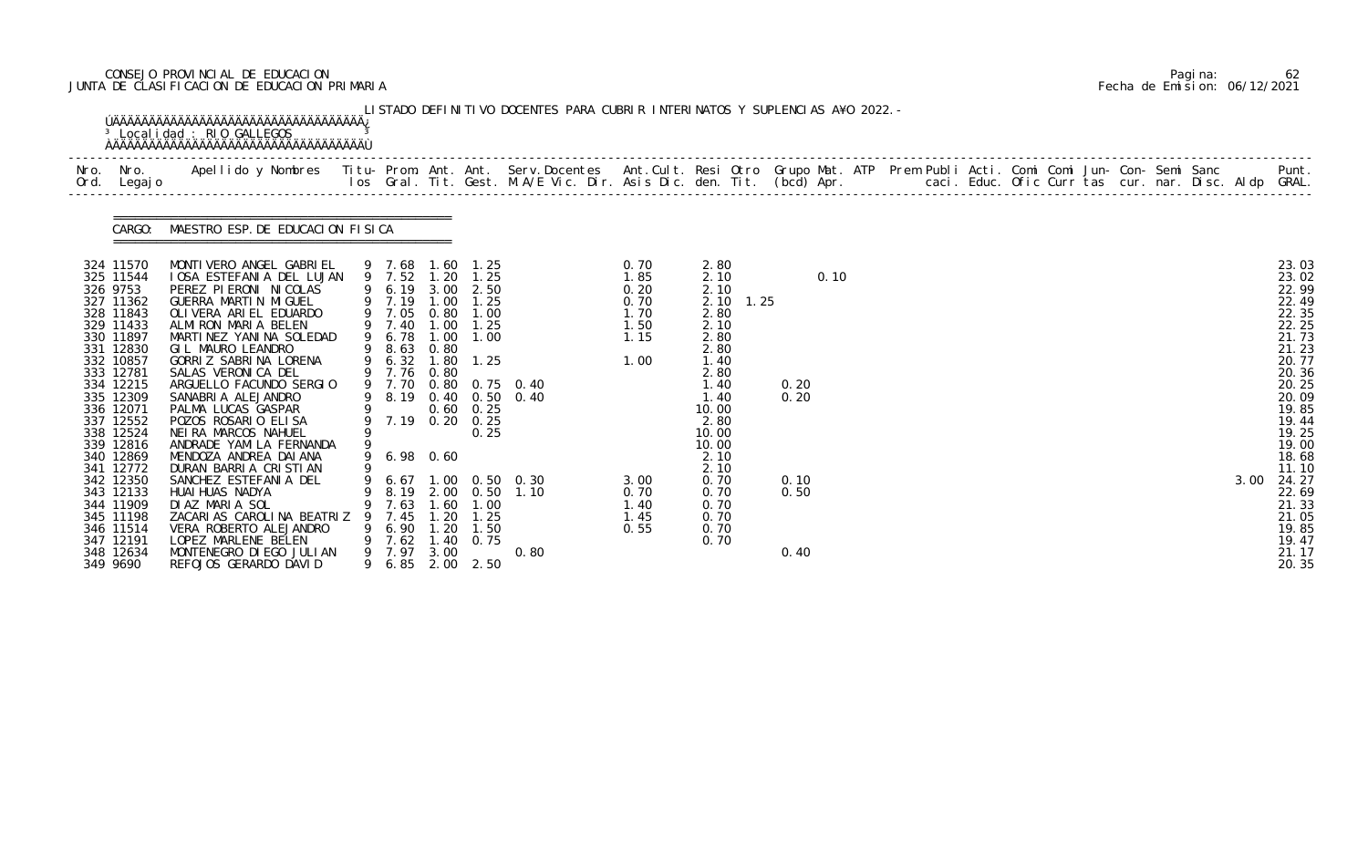# CONSEJO PROVINCIAL DE EDUCACION Pagina: 62 JUNTA DE CLASIFICACION DE EDUCACION PRIMARIA Fecha de Emision: 06/12/2021

| Ord. Legajo                                                                                                                                                                                                                           |                                                                                                                                                                                                                                                                                                                                                                                                                                                        |   |                                                                                                                 |                                     |                                                                                                                                                                      |                                                |                                                              |                                                                                                                                                      |                      |  |  |  |  |                                                                                                                                                                |
|---------------------------------------------------------------------------------------------------------------------------------------------------------------------------------------------------------------------------------------|--------------------------------------------------------------------------------------------------------------------------------------------------------------------------------------------------------------------------------------------------------------------------------------------------------------------------------------------------------------------------------------------------------------------------------------------------------|---|-----------------------------------------------------------------------------------------------------------------|-------------------------------------|----------------------------------------------------------------------------------------------------------------------------------------------------------------------|------------------------------------------------|--------------------------------------------------------------|------------------------------------------------------------------------------------------------------------------------------------------------------|----------------------|--|--|--|--|----------------------------------------------------------------------------------------------------------------------------------------------------------------|
|                                                                                                                                                                                                                                       | CARGO: MAESTRO ESP. DE EDUCACION FISICA                                                                                                                                                                                                                                                                                                                                                                                                                |   |                                                                                                                 |                                     |                                                                                                                                                                      |                                                |                                                              |                                                                                                                                                      |                      |  |  |  |  |                                                                                                                                                                |
| 324 11570<br>325 11544<br>326 9753<br>327 11362<br>328 11843<br>329 11433<br>330 11897<br>331 12830<br>332 10857<br>333 12781<br>334 12215<br>335 12309<br>336 12071<br>337 12552<br>338 12524<br>339 12816<br>340 12869<br>341 12772 | MONTIVERO ANGEL GABRIEL<br>IOSA ESTEFANIA DEL LUJAN<br>PEREZ PIERONI NICOLAS<br>GUERRA MARTIN MIGUEL<br>OLIVERA ARIEL EDUARDO<br>ALMIRON MARIA BELEN<br>MARTINEZ YANINA SOLEDAD<br>GIL MAURO LEANDRO<br>GORRIZ SABRINA LORENA<br>SALAS VERONICA DEL<br>ARGUELLO FACUNDO SERGIO<br>SANABRIA ALEJANDRO<br>PALMA LUCAS GASPAR<br>POZOS ROSARIO ELISA<br>NEIRA MARCOS NAHUEL<br>ANDRADE YAMILA FERNANDA<br>MENDOZA ANDREA DAI ANA<br>DURAN BARRIA CRISTIAN | 9 | 9 7.05<br>9 6.78<br>9 8.63<br>9 6.32 1.80<br>9 7.76 0.80<br>9 8.19 0.40<br>9 0.60<br>9 7.19 0.20<br>9 6.98 0.60 | 1.00<br>0.80                        | 9 7.68 1.60 1.25<br>9 7.52 1.20 1.25<br>9 6.19 3.00 2.50<br>9 7.19 1.00 1.25<br>$0.80$ 1.00<br>9 7.40 1.00 1.25<br>1.00<br>1.25<br>$0.60 \quad 0.25$<br>0.25<br>0.25 | 9 7.70 0.80 0.75 0.40<br>9 8.19 0.40 0.50 0.40 | 0.70<br>1.85<br>0.20<br>0.70<br>1.70<br>1.50<br>1.15<br>1.00 | 2.80<br>2.10<br>2.10<br>2.10 1.25<br>2.80<br>2.10<br>2.80<br>2.80<br>1.40<br>2.80<br>1.40<br>1.40<br>10.00<br>2.80<br>10.00<br>10.00<br>2.10<br>2.10 | 0.10<br>0.20<br>0.20 |  |  |  |  | 23.03<br>23.02<br>22.99<br>22.49<br>22.35<br>22.25<br>21.73<br>21.23<br>20.77<br>20.36<br>20.25<br>20.09<br>19.85<br>19.44<br>19.25<br>19.00<br>18.68<br>11.10 |
| 342 12350<br>343 12133<br>344 11909<br>345 11198<br>346 11514<br>347 12191<br>348 12634                                                                                                                                               | SANCHEZ ESTEFANIA DEL<br>HUAI HUAS NADYA<br>DIAZ MARIA SOL<br>ZACARIAS CAROLINA BEATRIZ<br>VERA ROBERTO ALEJANDRO<br>LOPEZ MARLENE BELEN<br>MONTENEGRO DI EGO JULI AN                                                                                                                                                                                                                                                                                  |   | 8.19<br>7.63<br>7.45<br>6.90<br>7.62<br>7.97                                                                    | . 60<br>.20<br>1.20<br>1.40<br>3.00 | $2.00 \t 0.50$<br>$\overline{\phantom{0}}$ . 00<br>1.25<br>1.50<br>0.75                                                                                              | 9 6.67 1.00 0.50 0.30<br>1.10<br>0.80          | 3.00<br>0.70<br>1.40<br>1.45<br>0.55                         | 0.70<br>0.70<br>0.70<br>0.70<br>0.70<br>0.70                                                                                                         | 0.10<br>0.50<br>0.40 |  |  |  |  | 3.00 24.27<br>22.69<br>21.33<br>21.05<br>19.85<br>19.47<br>21.17                                                                                               |

|  | Pagi na: | 62                           |
|--|----------|------------------------------|
|  |          | Fecha de Emision: 06/12/2021 |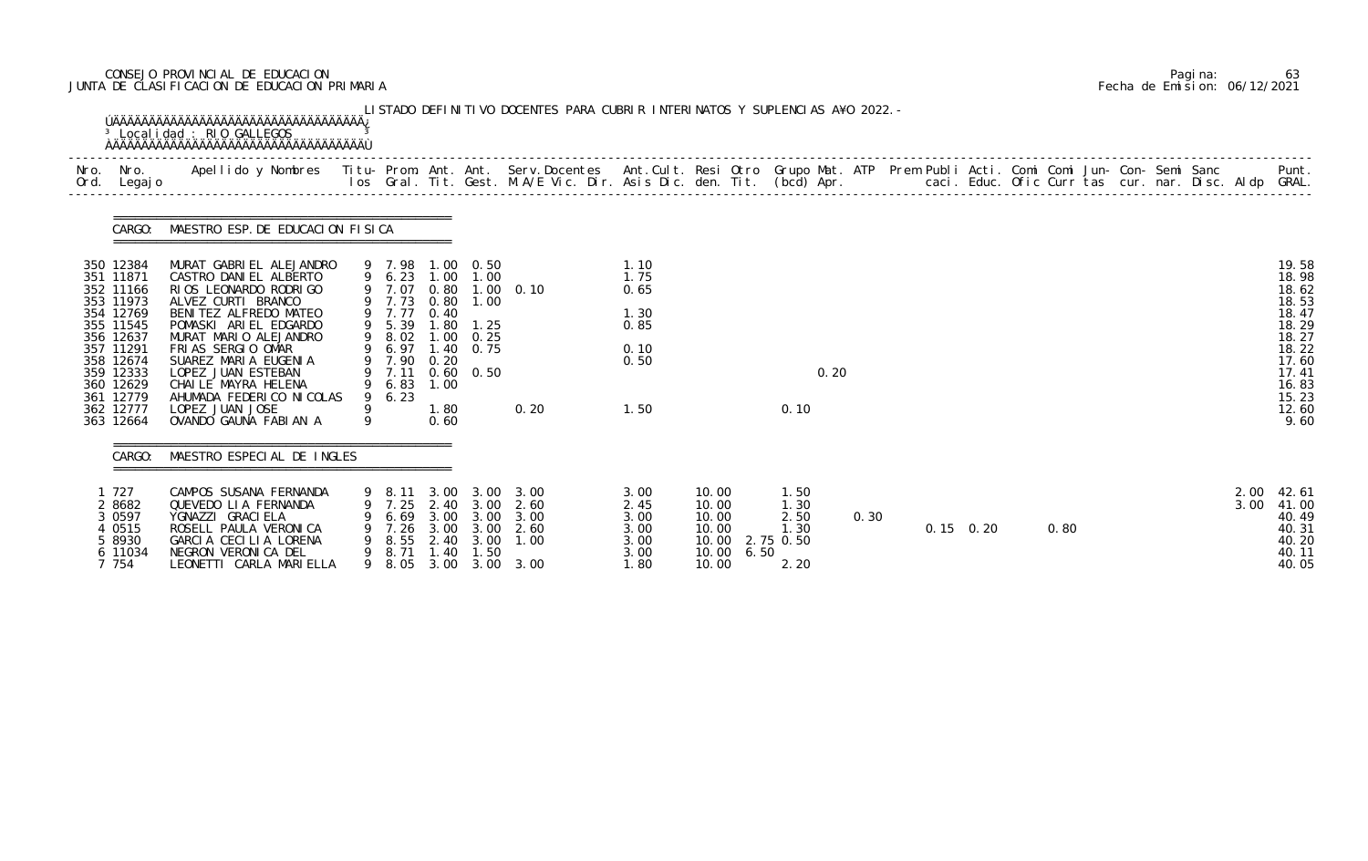# CONSEJO PROVINCIAL DE EDUCACION Pagina: 63 JUNTA DE CLASIFICACION DE EDUCACION PRIMARIA Fecha de Emision: 06/12/2021

| Nro.<br>Ord. | Nro.<br>Legaj o                                                                                                                                                                    | Apellido y Nombres - Titu- Prom. Ant. Ant. Serv.Docentes - Ant.Cult. Resi Otro Grupo Mat. ATP Prem Publi Acti. Comi Comi Jun- Con- Semi Sanc - - - Punt.<br>Ios Gral. Tit. Gest. M.A/E Vic. Dir. Asis Dic. den. Tit. (bcd) Apr. -                                                                                                            |                  |                                                                                          |                                                                                            |                                                                         |                                                        |                                                              |                                                             |      |                                                   |      |  |                   |      |  |  |              |                                                                                                                           |
|--------------|------------------------------------------------------------------------------------------------------------------------------------------------------------------------------------|----------------------------------------------------------------------------------------------------------------------------------------------------------------------------------------------------------------------------------------------------------------------------------------------------------------------------------------------|------------------|------------------------------------------------------------------------------------------|--------------------------------------------------------------------------------------------|-------------------------------------------------------------------------|--------------------------------------------------------|--------------------------------------------------------------|-------------------------------------------------------------|------|---------------------------------------------------|------|--|-------------------|------|--|--|--------------|---------------------------------------------------------------------------------------------------------------------------|
|              | CARGO:                                                                                                                                                                             | MAESTRO ESP. DE EDUCACION FISICA                                                                                                                                                                                                                                                                                                             |                  |                                                                                          |                                                                                            |                                                                         |                                                        |                                                              |                                                             |      |                                                   |      |  |                   |      |  |  |              |                                                                                                                           |
|              | 350 12384<br>351 11871<br>352 11166<br>353 11973<br>354 12769<br>355 11545<br>356 12637<br>357 11291<br>358 12674<br>359 12333<br>360 12629<br>361 12779<br>362 12777<br>363 12664 | MURAT GABRIEL ALEJANDRO<br>CASTRO DANIEL ALBERTO<br>RIOS LEONARDO RODRIGO<br>ALVEZ CURTI BRANCO<br>BENITEZ ALFREDO MATEO<br>POMASKI ARIEL EDGARDO<br>MURAT MARIO ALEJANDRO<br>FRIAS SERGIO OMAR<br>SUAREZ MARIA EUGENIA<br>LOPEZ JUAN ESTEBAN<br>CHAILE MAYRA HELENA<br>AHUMADA FEDERICO NICOLAS<br>LOPEZ JUAN JOSE<br>OVANDO GAUNA FABIAN A | 9<br>9<br>9<br>9 | 9 7.98<br>9 7.07<br>9 7.77<br>5.39<br>8.02<br>9 6.97<br>7.90<br>9 7.11<br>9 6.83<br>6.23 | 9 6.23 1.00<br>0.80<br>9 7.73 0.80<br>0.40<br>. 80<br>1.00<br>0.20<br>1.00<br>1.80<br>0.60 | 1.00 0.50<br>1.00<br>1.00<br>1.25<br>0.25<br>1.40 0.75<br>$0.60$ $0.50$ | $1.00 \quad 0.10$<br>0.20                              | 1.10<br>1.75<br>0.65<br>1.30<br>0.85<br>0.10<br>0.50<br>1.50 |                                                             |      | 0.20<br>0.10                                      |      |  |                   |      |  |  |              | 19.58<br>18.98<br>18.62<br>18.53<br>18.47<br>18.29<br>18.27<br>18.22<br>17.60<br>17.41<br>16.83<br>15.23<br>12.60<br>9.60 |
|              | CARGO:                                                                                                                                                                             | MAESTRO ESPECIAL DE INGLES                                                                                                                                                                                                                                                                                                                   |                  |                                                                                          |                                                                                            |                                                                         |                                                        |                                                              |                                                             |      |                                                   |      |  |                   |      |  |  |              |                                                                                                                           |
|              | 727<br>2 8682<br>3 0 5 9 7<br>4 0515<br>5 8930<br>6 11034<br>7 754                                                                                                                 | CAMPOS SUSANA FERNANDA<br>QUEVEDO LIA FERNANDA<br>YGNAZZI GRACI ELA<br>ROSELL PAULA VERONICA<br>GARCIA CECILIA LORENA<br>NEGRON VERONICA DEL<br>LEONETTI CARLA MARIELLA                                                                                                                                                                      | 9<br>9           | 8.11<br>7. 25<br>6.69<br>7.26<br>8.55<br>8. 71<br>9 8.05                                 | 3.00<br>2.40<br>3.00<br>3.00<br>2.40<br>1. 40                                              | 3.00<br>3.00<br>3.00<br>3.00<br>3.00<br>1.50                            | 3.00<br>2.60<br>3.00<br>2.60<br>1.00<br>3.00 3.00 3.00 | 3.00<br>2.45<br>3.00<br>3.00<br>3.00<br>3.00<br>1.80         | 10.00<br>10.00<br>10.00<br>10.00<br>10.00<br>10.00<br>10.00 | 6.50 | 1.50<br>1.30<br>2.50<br>1.30<br>2.75 0.50<br>2.20 | 0.30 |  | $0.15 \quad 0.20$ | 0.80 |  |  | 2.00<br>3.00 | 42.61<br>41.00<br>40.49<br>40.31<br>40.20<br>40.11<br>40.05                                                               |

|  | Pagi na: | 63                           |
|--|----------|------------------------------|
|  |          | Fecha de Emision: 06/12/2021 |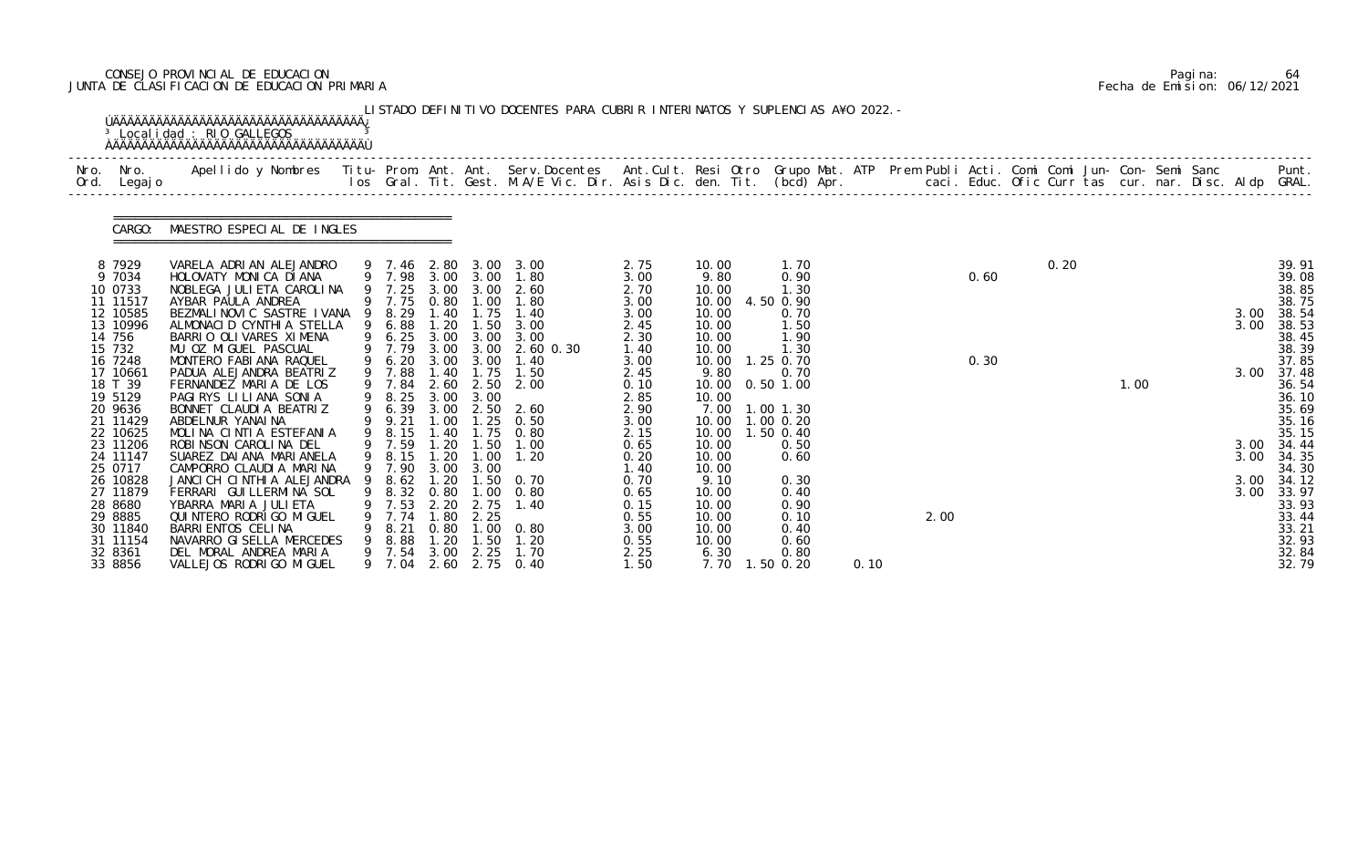# CONSEJO PROVINCIAL DE EDUCACION Pagina: 64 JUNTA DE CLASIFICACION DE EDUCACION PRIMARIA Fecha de Emision: 06/12/2021

|              |                                                                                                                                                                                                                                                                                                    | <sup>3</sup> Localidad : RIO GALLEGOS                                                                                                                                                                                                                                                                                                                                                                                                                                                                                                                                                                                                                                                                               |             |                                                                                                                                                                                                                  |                                                                                                                                                          |                                                                                                                                                                                                           | LISTADO DEFINITIVO DOCENTES PARA CUBRIR INTERINATOS Y SUPLENCIAS A¥O 2022. -                                                                                                                                                                |                                                                                                                                                                                                              |                                                                                                                                                                                                                                  |                                                                                                                                                                                                                                         |      |      |              |      |      |  |                                              |                                                                                                                                                                                                                                             |
|--------------|----------------------------------------------------------------------------------------------------------------------------------------------------------------------------------------------------------------------------------------------------------------------------------------------------|---------------------------------------------------------------------------------------------------------------------------------------------------------------------------------------------------------------------------------------------------------------------------------------------------------------------------------------------------------------------------------------------------------------------------------------------------------------------------------------------------------------------------------------------------------------------------------------------------------------------------------------------------------------------------------------------------------------------|-------------|------------------------------------------------------------------------------------------------------------------------------------------------------------------------------------------------------------------|----------------------------------------------------------------------------------------------------------------------------------------------------------|-----------------------------------------------------------------------------------------------------------------------------------------------------------------------------------------------------------|---------------------------------------------------------------------------------------------------------------------------------------------------------------------------------------------------------------------------------------------|--------------------------------------------------------------------------------------------------------------------------------------------------------------------------------------------------------------|----------------------------------------------------------------------------------------------------------------------------------------------------------------------------------------------------------------------------------|-----------------------------------------------------------------------------------------------------------------------------------------------------------------------------------------------------------------------------------------|------|------|--------------|------|------|--|----------------------------------------------|---------------------------------------------------------------------------------------------------------------------------------------------------------------------------------------------------------------------------------------------|
| Nro.<br>Ord. | Nro.<br>Legaj o                                                                                                                                                                                                                                                                                    | Apellido y Nombres  Titu- Prom. Ant. Ant. Serv.Docentes  Ant.Cult. Resi Otro Grupo Mat. ATP Prem Publi Acti. Comi Comi Jun- Con- Semi Sanc         Punt.<br>Ios Gral. Tit. Gest. M.A/E Vic. Dir. Asis Dic. den. Tit. (bcd) Apr.                                                                                                                                                                                                                                                                                                                                                                                                                                                                                     |             |                                                                                                                                                                                                                  |                                                                                                                                                          |                                                                                                                                                                                                           |                                                                                                                                                                                                                                             |                                                                                                                                                                                                              |                                                                                                                                                                                                                                  |                                                                                                                                                                                                                                         |      |      |              |      |      |  |                                              |                                                                                                                                                                                                                                             |
|              | CARGO:                                                                                                                                                                                                                                                                                             | MAESTRO ESPECIAL DE INGLES                                                                                                                                                                                                                                                                                                                                                                                                                                                                                                                                                                                                                                                                                          |             |                                                                                                                                                                                                                  |                                                                                                                                                          |                                                                                                                                                                                                           |                                                                                                                                                                                                                                             |                                                                                                                                                                                                              |                                                                                                                                                                                                                                  |                                                                                                                                                                                                                                         |      |      |              |      |      |  |                                              |                                                                                                                                                                                                                                             |
|              | 8 7929<br>9 7034<br>10 0733<br>11 11517<br>12 10585<br>13 10996<br>14 756<br>15 732<br>16 7248<br>17 10661<br>18 T 39<br>19 5129<br>20 9636<br>21 11429<br>22 10625<br>23 11206<br>24 11147<br>25 0717<br>26 10828<br>27 11879<br>28 8680<br>29 8885<br>30 11840<br>31 11154<br>32 8361<br>33 8856 | VARELA ADRIAN ALEJANDRO<br>HOLOVATY MONICA DIANA<br>NOBLEGA JULI ETA CAROLI NA<br>AYBAR PAULA ANDREA<br>BEZMALINOVIC SASTRE IVANA 9 8.29<br>ALMONACID CYNTHIA STELLA<br>BARRIO OLIVARES XIMENA<br>MU OZ MIGUEL PASCUAL<br>MONTERO FABIANA RAQUEL<br>PADUA ALEJANDRA BEATRIZ<br>FERNANDEZ MARIA DE LOS<br>PAGIRYS LILIANA SONIA<br>BONNET CLAUDIA BEATRIZ<br>ABDELNUR YANAI NA<br>MOLINA CINTIA ESTEFANIA<br>ROBINSON CAROLINA DEL<br>SUAREZ DAI ANA MARI ANELA<br>CAMPORRO CLAUDIA MARINA<br>JANCI CH CINTHIA ALEJANDRA<br>FERRARI GUI LLERMINA SOL<br>YBARRA MARIA JULIETA<br>QUI NTERO RODRI GO MI GUEL<br>BARRI ENTOS CELINA<br>NAVARRO GI SELLA MERCEDES<br>DEL MORAL ANDREA MARIA<br>VALLEJOS RODRI GO MI GUEL | 9<br>9<br>9 | 9 7.25<br>9 7.75<br>6.88<br>9 6.25<br>$9$ 7.79<br>9 6.20<br>9 7.88<br>9 7.84<br>8.25<br>6.39<br>9 9.21<br>8.15<br>9 7.59<br>9 8.15<br>9 7.90<br>8.62<br>8.32<br>7.53<br>7.74<br>8.21<br>8.88<br>9 7.54<br>9 7.04 | 3.00<br>1.20<br>3.00<br>3.00<br>1.40<br>$\overline{3.00}$<br>3.00<br>1.00<br>1.40<br>1.20<br>3.00<br>0.80<br>2.20<br>1.80<br>0.80<br>.20<br>3.00<br>2.60 | 3.00<br>0.80 1.00<br>1.40 1.75<br>1.50<br>3.00<br>3.00 3.00<br>3.00<br>1.75<br>2.60 2.50<br>3.00<br>2.50<br>1.25<br>1.75<br>1.50<br>$1.20$ $1.00$<br>3.00<br>1.00<br>2.75<br>2.25<br>1.00<br>1.50<br>2.25 | 9 7.46 2.80 3.00 3.00<br>9 7.98 3.00 3.00 1.80<br>2.60<br>1.80<br>1.40<br>3.00<br>3.00<br>2.60 0.30<br>1.40<br>1.50<br>2.00<br>2.60<br>0.50<br>0.80<br>1.00<br>1.20<br>1.20 1.50 0.70<br>0.80<br>1.40<br>0. 80<br>1.20<br>1.70<br>2.75 0.40 | 2.75<br>3.00<br>2.70<br>3.00<br>3.00<br>2.45<br>2.30<br>1.40<br>3.00<br>2.45<br>0.10<br>2.85<br>2.90<br>3.00<br>2.15<br>0.65<br>0.20<br>1.40<br>0.70<br>0.65<br>0.15<br>0.55<br>3.00<br>0.55<br>2.25<br>1.50 | 10.00<br>9.80<br>10.00<br>10.00<br>10.00<br>10.00<br>10.00<br>10.00<br>10.00<br>9.80<br>10.00<br>10.00<br>7.00<br>10.00<br>10.00<br>10.00<br>10.00<br>10.00<br>9.10<br>10.00<br>10.00<br>10.00<br>10.00<br>10.00<br>6.30<br>7.70 | 1.70<br>0.90<br>1.30<br>4.50 0.90<br>0.70<br>1.50<br>1.90<br>1.30<br>1.25 0.70<br>0.70<br>$0.50$ 1.00<br>$1.00$ $1.30$<br>1.00 0.20<br>1.50 0.40<br>0.50<br>0.60<br>0.30<br>0.40<br>0.90<br>0.10<br>0.40<br>0.60<br>0.80<br>$1.50$ 0.20 | 0.10 | 2.00 | 0.60<br>0.30 | 0.20 | 1.00 |  | 3.00<br>3.00<br>3.00<br>3.00<br>3.00<br>3.00 | 39.91<br>39.08<br>38.85<br>38.75<br>38.54<br>38.53<br>38.45<br>38.39<br>37.85<br>37.48<br>36.54<br>36.10<br>35.69<br>35.16<br>35.15<br>34.44<br>34.35<br>34.30<br>3.00 34.12<br>33.97<br>33.93<br>33.44<br>33.21<br>32.93<br>32.84<br>32.79 |

|  | Pagi na: | 64                           |
|--|----------|------------------------------|
|  |          | Fecha de Emision: 06/12/2021 |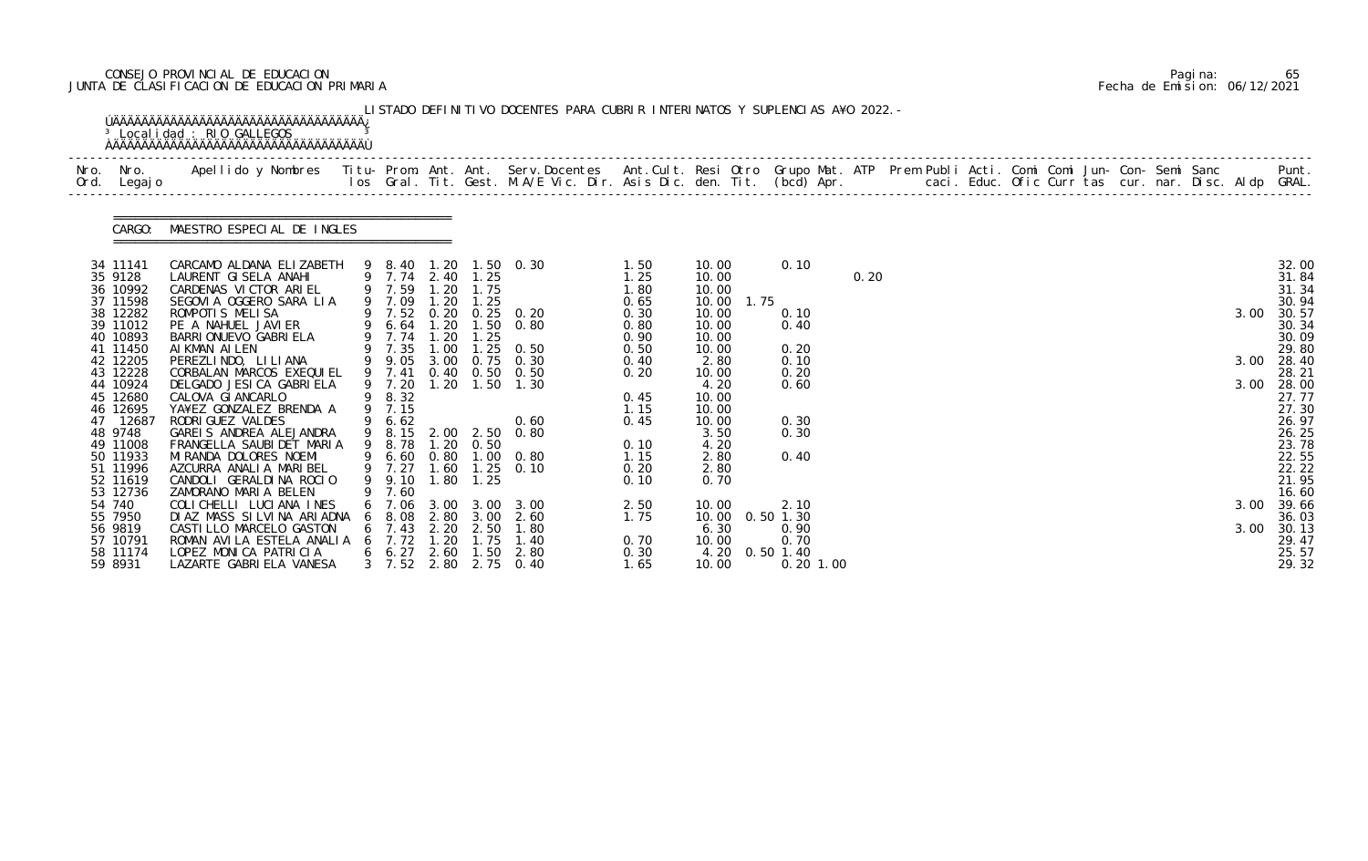# CONSEJO PROVINCIAL DE EDUCACION Pagina: 65 JUNTA DE CLASIFICACION DE EDUCACION PRIMARIA Fecha de Emision: 06/12/2021

| Nro. Nro.<br>Ord. Legajo | Apellido y Nombres - Titu- Prom. Ant. Ant. Serv.Docentes - Ant.Cult. Resi Otro Grupo Mat. ATP Prem Publi Acti. Comi Comi Jun- Con- Semi Sanc - - - Punt.<br>Ios Gral. Tit. Gest. M.A/E Vic. Dir. Asis Dic. den. Tit. (bcd) Apr. - |   |                                      |              |           |                                                                                                  |              |                |      |                            |      |  |  |  |  |      |                |
|--------------------------|-----------------------------------------------------------------------------------------------------------------------------------------------------------------------------------------------------------------------------------|---|--------------------------------------|--------------|-----------|--------------------------------------------------------------------------------------------------|--------------|----------------|------|----------------------------|------|--|--|--|--|------|----------------|
|                          | CARGO: MAESTRO ESPECIAL DE INGLES                                                                                                                                                                                                 |   |                                      |              |           |                                                                                                  |              |                |      |                            |      |  |  |  |  |      |                |
| 34 11141                 | CARCAMO ALDANA ELIZABETH                                                                                                                                                                                                          |   |                                      |              |           | 9 8.40 1.20 1.50 0.30                                                                            | 1.50         | 10.00          |      | 0.10                       |      |  |  |  |  |      | 32.00          |
| 35 9128<br>36 10992      | LAURENT GISELA ANAHI<br>CARDENAS VICTOR ARIEL                                                                                                                                                                                     |   | 9 7.74 2.40 1.25<br>9 7.59 1.20 1.75 |              |           |                                                                                                  | 1.25<br>1.80 | 10.00<br>10.00 |      |                            | 0.20 |  |  |  |  |      | 31.84<br>31.34 |
| 37 11598                 | SEGOVIA OGGERO SARA LIA                                                                                                                                                                                                           |   | 9 7.09                               | 1.20         | 1.25      |                                                                                                  | 0.65         | 10.00          | 1.75 |                            |      |  |  |  |  |      | 30.94          |
| 38 12282                 | ROMPOTIS MELISA                                                                                                                                                                                                                   |   |                                      |              |           |                                                                                                  | 0.30         | 10.00          |      | 0.10                       |      |  |  |  |  | 3.00 | 30.57          |
| 39 11012                 | PE A NAHUEL JAVIER                                                                                                                                                                                                                |   |                                      |              |           | 9 7.52 0.20 0.25 0.20<br>9 6.64 1.20 1.50 0.80                                                   | 0.80         | 10.00          |      | 0.40                       |      |  |  |  |  |      | 30.34          |
| 40 10893                 | BARRI ONUEVO GABRI ELA                                                                                                                                                                                                            |   | 9 7.74 1.20                          |              | 1.25      |                                                                                                  | 0.90         | 10.00          |      |                            |      |  |  |  |  |      | 30.09          |
| 41 11450                 | AI KMAN AI LEN                                                                                                                                                                                                                    |   |                                      |              |           | $\begin{array}{cccc} 9 & 7.35 & 1.00 & 1.25 & 0.50 \\ 9 & 9.05 & 3.00 & 0.75 & 0.30 \end{array}$ | 0.50         | 10.00          |      | 0.20                       |      |  |  |  |  |      | 29.80          |
| 42 12205<br>43 12228     | PEREZLINDO, LILIANA<br>CORBALAN MARCOS EXEQUIEL                                                                                                                                                                                   |   | 9 7.41                               |              |           | 0.40 0.50 0.50                                                                                   | 0.40<br>0.20 | 2.80<br>10.00  |      | 0.10<br>0.20               |      |  |  |  |  | 3.00 | 28.40<br>28.21 |
| 44 10924                 | DELGADO JESICA GABRIELA                                                                                                                                                                                                           |   | 9 7.20                               |              |           | 1.20 1.50 1.30                                                                                   |              | 4.20           |      | 0.60                       |      |  |  |  |  | 3.00 | 28.00          |
| 45 12680                 | CALOVA GI ANCARLO                                                                                                                                                                                                                 |   | 9 8.32                               |              |           |                                                                                                  | 0.45         | 10.00          |      |                            |      |  |  |  |  |      | 27.77          |
| 46 12695                 | YA¥EZ GONZALEZ BRENDA A                                                                                                                                                                                                           |   | 9 7.15                               |              |           |                                                                                                  | 1.15         | 10.00          |      |                            |      |  |  |  |  |      | 27.30          |
| 47 12687                 | RODRI GUEZ VALDES                                                                                                                                                                                                                 | 9 | 6.62                                 |              |           | 0.60                                                                                             | 0.45         | 10.00          |      | 0.30                       |      |  |  |  |  |      | 26.97          |
| 48 9748                  | GAREIS ANDREA ALEJANDRA                                                                                                                                                                                                           |   |                                      |              |           | 9 8.15 2.00 2.50 0.80                                                                            |              | 3.50           |      | 0.30                       |      |  |  |  |  |      | 26.25          |
| 49 11008                 | FRANGELLA SAUBI DET MARIA                                                                                                                                                                                                         |   | 9 8.78                               |              | 1.20 0.50 |                                                                                                  | 0.10         | 4.20           |      |                            |      |  |  |  |  |      | 23.78          |
| 50 11933<br>51 11996     | MI RANDA DOLORES NOEMI<br>AZCURRA ANALIA MARIBEL                                                                                                                                                                                  |   |                                      |              |           | 9 6.60 0.80 1.00 0.80<br>9 7.27 1.60 1.25 0.10                                                   | 1.15<br>0.20 | 2.80<br>2.80   |      | 0.40                       |      |  |  |  |  |      | 22.55<br>22.22 |
| 52 11619                 | CANDOLI GERALDINA ROCIO                                                                                                                                                                                                           |   | 9 9.10                               | 1.80         | 1.25      |                                                                                                  | 0.10         | 0.70           |      |                            |      |  |  |  |  |      | 21.95          |
| 53 12736                 | ZAMORANO MARIA BELEN                                                                                                                                                                                                              |   | 7.60                                 |              |           |                                                                                                  |              |                |      |                            |      |  |  |  |  |      | 16.60          |
| 54 740                   | COLICHELLI LUCIANA INES                                                                                                                                                                                                           |   | 6 7.06 3.00 3.00                     |              |           | 3.00                                                                                             | 2.50         | 10.00          |      | 2.10                       |      |  |  |  |  | 3.00 | 39.66          |
| 55 7950                  | DIAZ MASS SILVINA ARIADNA                                                                                                                                                                                                         | 6 | 8. 08                                | 2.80         | 3.00      | 2.60                                                                                             | 1.75         | 10.00          |      | $0.50$ 1.30                |      |  |  |  |  |      | 36.03          |
| 56 9819                  | CASTILLO MARCELO GASTON                                                                                                                                                                                                           |   | 6 7.43 2.20                          |              | 2.50      | 1.80                                                                                             |              | 6.30           |      | 0.90                       |      |  |  |  |  | 3.00 | 30.13          |
| 57 10791                 | ROMAN AVILA ESTELA ANALIA                                                                                                                                                                                                         |   | 7.72                                 | .20          | 1.75      | 1.40                                                                                             | 0.70         | 10.00          |      | 0.70                       |      |  |  |  |  |      | 29.47          |
| 58 11174<br>59 8931      | LOPEZ MONICA PATRICIA<br>LAZARTE GABRIELA VANESA                                                                                                                                                                                  |   | $6\quad 6.27$<br>$3 \quad 7.52$      | 2.60<br>2.80 | 1.50      | 2.80<br>2.75 0.40                                                                                | 0.30<br>1.65 | 4.20<br>10.00  |      | $0.50$ 1.40<br>$0.20$ 1.00 |      |  |  |  |  |      | 25.57<br>29.32 |

|  | Pagi na: | 65                           |
|--|----------|------------------------------|
|  |          | Fecha de Emision: 06/12/2021 |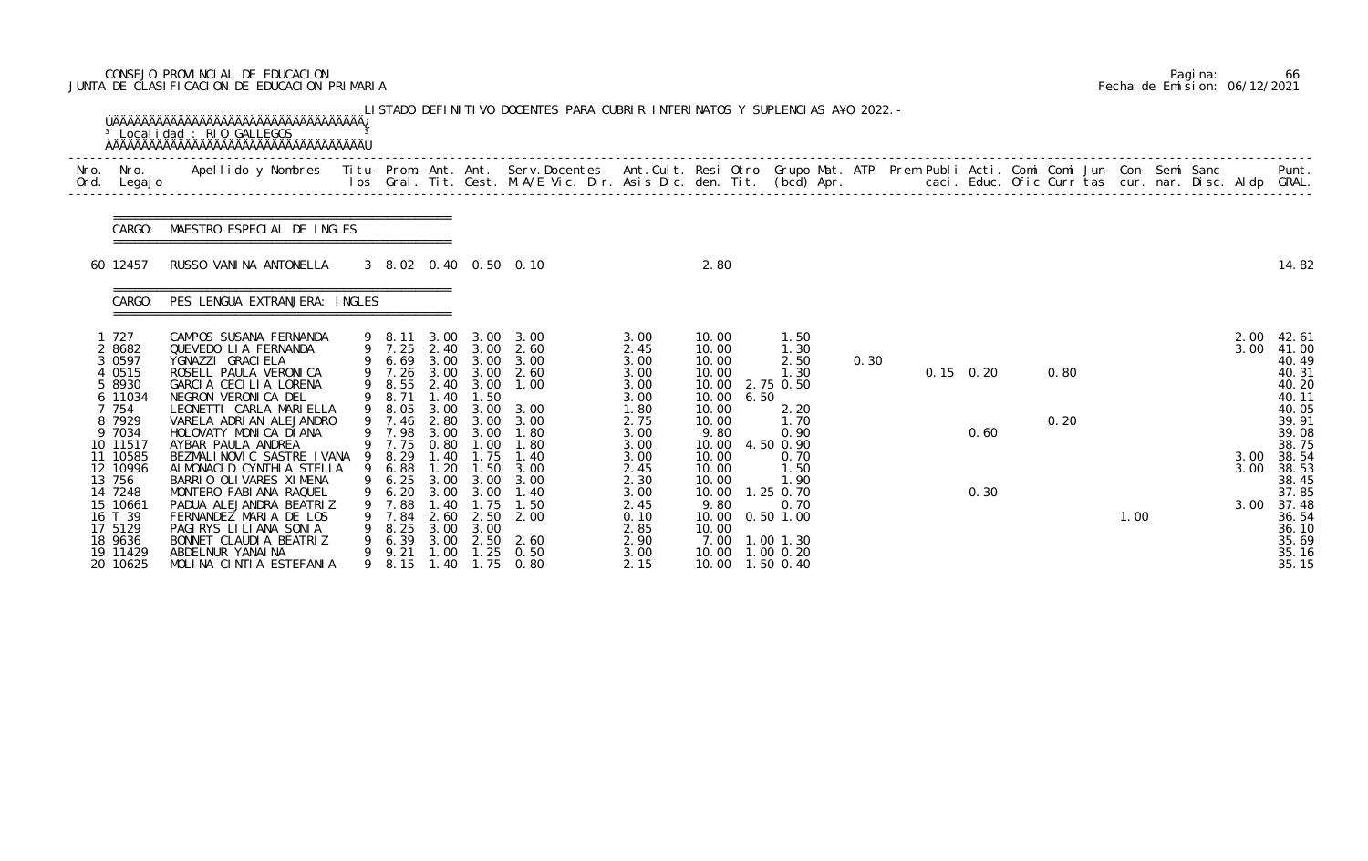# CONSEJO PROVINCIAL DE EDUCACION Pagina: 66 JUNTA DE CLASIFICACION DE EDUCACION PRIMARIA Fecha de Emision: 06/12/2021

|              |                                                                                                                                                                                                                        | <sup>3</sup> Localidad : RIO GALLEGOS<br><b>OAAAAAAAAAAAAAAAAAAAAAAAAAAAAAAAAAAA</b>                                                                                                                                                                                                                                                                                                                                                                                                                                    |        |                                                                                                                                                                                        |                                                                                                              |                                                                                                                                                                  | LISTADO DEFINITIVO DOCENTES PARA CUBRIR INTERINATOS Y SUPLENCIAS A¥O 2022. -                                                                             |                                                                                                                                                              |                                                                                                                                                                               |                                                                                                     |                                                                                      |      |      |                      |              |      |  |                                      |                                                                                                                                                                                  |
|--------------|------------------------------------------------------------------------------------------------------------------------------------------------------------------------------------------------------------------------|-------------------------------------------------------------------------------------------------------------------------------------------------------------------------------------------------------------------------------------------------------------------------------------------------------------------------------------------------------------------------------------------------------------------------------------------------------------------------------------------------------------------------|--------|----------------------------------------------------------------------------------------------------------------------------------------------------------------------------------------|--------------------------------------------------------------------------------------------------------------|------------------------------------------------------------------------------------------------------------------------------------------------------------------|----------------------------------------------------------------------------------------------------------------------------------------------------------|--------------------------------------------------------------------------------------------------------------------------------------------------------------|-------------------------------------------------------------------------------------------------------------------------------------------------------------------------------|-----------------------------------------------------------------------------------------------------|--------------------------------------------------------------------------------------|------|------|----------------------|--------------|------|--|--------------------------------------|----------------------------------------------------------------------------------------------------------------------------------------------------------------------------------|
| Nro.<br>Ord. | Nro.<br>Legaj o                                                                                                                                                                                                        | Apellido y Nombres - Titu- Prom. Ant. Ant. Serv.Docentes - Ant.Cult. Resi Otro Grupo Mat. ATP Prem Publi Acti. Comi Comi Jun- Con- Semi Sanc - - - Punt.<br>Ios Gral. Tit. Gest. M.A/E Vic. Dir. Asis Dic. den. Tit. (bcd) Apr. -                                                                                                                                                                                                                                                                                       |        |                                                                                                                                                                                        |                                                                                                              |                                                                                                                                                                  |                                                                                                                                                          |                                                                                                                                                              |                                                                                                                                                                               |                                                                                                     |                                                                                      |      |      |                      |              |      |  |                                      |                                                                                                                                                                                  |
|              | CARGO:                                                                                                                                                                                                                 | MAESTRO ESPECIAL DE INGLES                                                                                                                                                                                                                                                                                                                                                                                                                                                                                              |        |                                                                                                                                                                                        |                                                                                                              |                                                                                                                                                                  |                                                                                                                                                          |                                                                                                                                                              |                                                                                                                                                                               |                                                                                                     |                                                                                      |      |      |                      |              |      |  |                                      |                                                                                                                                                                                  |
|              | 60 12457                                                                                                                                                                                                               | RUSSO VANINA ANTONELLA                                                                                                                                                                                                                                                                                                                                                                                                                                                                                                  |        |                                                                                                                                                                                        |                                                                                                              |                                                                                                                                                                  | 3 8.02 0.40 0.50 0.10                                                                                                                                    |                                                                                                                                                              | 2.80                                                                                                                                                                          |                                                                                                     |                                                                                      |      |      |                      |              |      |  |                                      | 14.82                                                                                                                                                                            |
|              | CARGO:                                                                                                                                                                                                                 | PES LENGUA EXTRANJERA: INGLES                                                                                                                                                                                                                                                                                                                                                                                                                                                                                           |        |                                                                                                                                                                                        |                                                                                                              |                                                                                                                                                                  |                                                                                                                                                          |                                                                                                                                                              |                                                                                                                                                                               |                                                                                                     |                                                                                      |      |      |                      |              |      |  |                                      |                                                                                                                                                                                  |
|              | 1 727<br>2 8682<br>3 0 5 9 7<br>4 0515<br>5 8930<br>6 11034<br>7 754<br>8 7929<br>9 7034<br>10 11517<br>11 10585<br>12 10996<br>13 756<br>14 7248<br>15 10661<br>16 T 39<br>17 5129<br>18 9636<br>19 11429<br>20 10625 | CAMPOS SUSANA FERNANDA<br>QUEVEDO LIA FERNANDA<br>YGNAZZI GRACI ELA<br>ROSELL PAULA VERONICA<br>GARCIA CECILIA LORENA<br>NEGRON VERONICA DEL<br>LEONETTI CARLA MARIELLA<br>VARELA ADRIAN ALEJANDRO<br>HOLOVATY MONICA DIANA<br>AYBAR PAULA ANDREA<br>BEZMALINOVIC SASTRE IVANA<br>ALMONACID CYNTHIA STELLA<br>BARRIO OLIVARES XIMENA<br>MONTERO FABIANA RAQUEL<br>PADUA ALEJANDRA BEATRIZ<br>FERNANDEZ MARIA DE LOS<br>PAGIRYS LILIANA SONIA<br>BONNET CLAUDI A BEATRIZ<br>ABDELNUR YANAI NA<br>MOLINA CINTIA ESTEFANIA | 9<br>9 | 9 8.11<br>9 7.25<br>6.69<br>9 7.26<br>9 8.55<br>8.71<br>9 8.05<br>9 7.46<br>7.98<br>9 7.75<br>9 8.29<br>6.88<br>9 6.25 3.00<br>6.20<br>7.88<br>7.84<br>8. 25<br>6.39<br>9.21<br>9 8.15 | 3.00<br>1.40<br>3.00<br>2.80<br>3.00<br>0.80<br>1.40<br>1.20<br>3.00<br>1.40<br>2.60<br>3.00<br>3.00<br>1.00 | 3.00 3.00 3.00<br>2.40 3.00<br>3.00<br>2.40 3.00<br>1.50<br>3.00<br>3.00<br>3.00<br>1.00<br>1.75<br>1.50<br>3.00<br>3.00<br>1.75<br>2.50<br>3.00<br>2.50<br>1.25 | 2.60<br>3.00<br>3.00 3.00 2.60<br>1.00<br>3.00<br>3.00<br>1.80<br>1.80<br>1.40<br>3.00<br>3.00<br>1.40<br>1.50<br>2.00<br>2.60<br>0.50<br>1.40 1.75 0.80 | 3.00<br>2.45<br>3.00<br>3.00<br>3.00<br>3.00<br>1.80<br>2.75<br>3.00<br>3.00<br>3.00<br>2.45<br>2.30<br>3.00<br>2.45<br>0.10<br>2.85<br>2.90<br>3.00<br>2.15 | 10.00<br>10.00<br>10.00<br>10.00<br>10.00<br>10.00<br>10.00<br>10.00<br>9.80<br>10.00<br>10.00<br>10.00<br>10.00<br>10.00<br>9.80<br>10.00<br>10.00<br>7.00<br>10.00<br>10.00 | 2.75 0.50<br>6.50<br>4.50 0.90<br>1.25 0.70<br>$0.50$ 1.00<br>1.00 1.30<br>$1.00$ 0.20<br>1.50 0.40 | 1.50<br>1.30<br>2.50<br>1.30<br>2.20<br>1.70<br>0.90<br>0.70<br>1.50<br>1.90<br>0.70 | 0.30 | 0.15 | 0.20<br>0.60<br>0.30 | 0.80<br>0.20 | 1.00 |  | 2.00<br>3.00<br>3.00<br>3.00<br>3.00 | 42.61<br>41.00<br>40.49<br>40.31<br>40.20<br>40.11<br>40.05<br>39.91<br>39.08<br>38.75<br>38.54<br>38.53<br>38.45<br>37.85<br>37.48<br>36.54<br>36.10<br>35.69<br>35.16<br>35.15 |

|  | Pagi na: | 66                           |
|--|----------|------------------------------|
|  |          | Fecha de Emision: 06/12/2021 |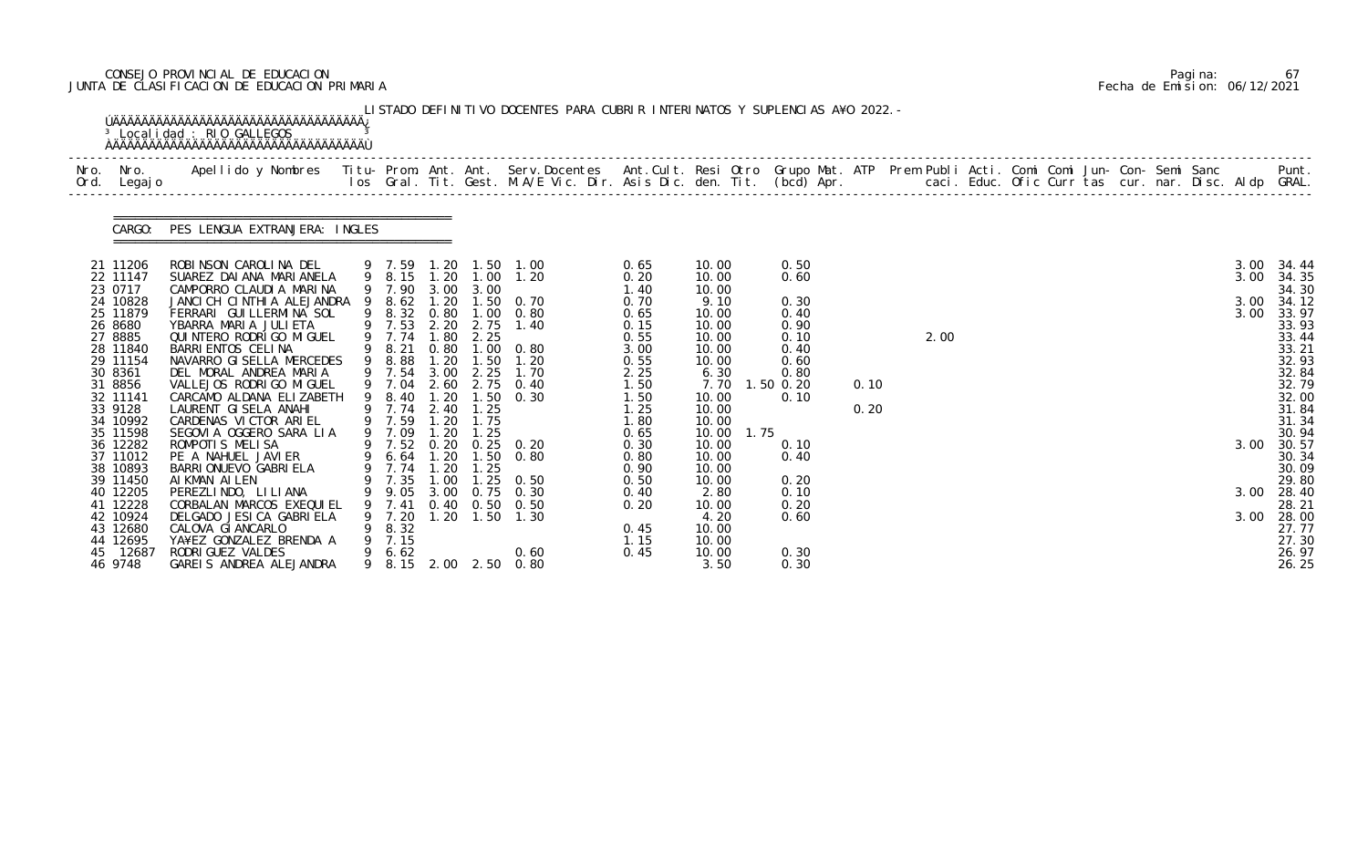# CONSEJO PROVINCIAL DE EDUCACION Pagina: 67 JUNTA DE CLASIFICACION DE EDUCACION PRIMARIA Fecha de Emision: 06/12/2021

| CARGO:               | PES LENGUA EXTRANJERA: INGLES                                              |                            |      |              |                                                        |              |                |                     |      |      |  |  |  |              |                |
|----------------------|----------------------------------------------------------------------------|----------------------------|------|--------------|--------------------------------------------------------|--------------|----------------|---------------------|------|------|--|--|--|--------------|----------------|
| 21 11206<br>22 11147 | ROBINSON CAROLINA DEL<br>SUAREZ DAI ANA MARI ANELA                         |                            |      |              | 9  7.59  1.20  1.50  1.00<br>9  8.15  1.20  1.00  1.20 | 0.65<br>0.20 | 10.00<br>10.00 | 0.50<br>0.60        |      |      |  |  |  | 3.00<br>3.00 | 34.44<br>34.35 |
| 23 0717              | CAMPORRO CLAUDIA MARINA                                                    | 9 7.90 3.00 3.00           |      |              |                                                        | 1.40         | 10.00          |                     |      |      |  |  |  |              | 34.30          |
| 24 10828<br>25 11879 | JANCICH CINTHIA ALEJANDRA 9 8.62 1.20 1.50 0.70<br>FERRARI GUILLERMINA SOL |                            |      |              | 9 8.32 0.80 1.00 0.80                                  | 0.70<br>0.65 | 9.10<br>10.00  | 0.30<br>0.40        |      |      |  |  |  | 3.00<br>3.00 | 34.12<br>33.97 |
| 26 8680              | YBARRA MARIA JULIETA                                                       |                            |      |              | 9 7.53 2.20 2.75 1.40                                  | 0.15         | 10.00          | 0.90                |      |      |  |  |  |              | 33.93          |
| 27 8885<br>28 11840  | QUI NTERO RODRI GO MI GUEL<br>BARRI ENTOS CELINA                           | 9 7.74 1.80<br>9 8.21      |      | 2.25         | 0.80 1.00 0.80                                         | 0.55<br>3.00 | 10.00<br>10.00 | 0.10<br>0.40        |      | 2.00 |  |  |  |              | 33.44<br>33.21 |
| 29 11154             | NAVARRO GI SELLA MERCEDES                                                  | 9 8.88                     | 1.20 |              | $1.50$ $1.20$                                          | 0.55         | 10.00          | 0.60                |      |      |  |  |  |              | 32.93          |
| 30 8361<br>31 8856   | DEL MORAL ANDREA MARIA<br>VALLEJOS RODRI GO MI GUEL                        | 9 7.54                     |      |              | 3.00 2.25 1.70<br>9 7.04 2.60 2.75 0.40                | 2.25<br>1.50 | 6.30<br>7.70   | 0.80<br>$1.50$ 0.20 | 0.10 |      |  |  |  |              | 32.84<br>32.79 |
| 32 11141             | CARCAMO ALDANA ELIZABETH                                                   |                            |      |              | 9 8.40 1.20 1.50 0.30                                  | 1.50         | 10.00          | 0.10                |      |      |  |  |  |              | 32.00          |
| 33 9128<br>34 10992  | LAURENT GISELA ANAHI<br>CARDENAS VICTOR ARIEL                              | 9 7.74 2.40<br>9 7.59 1.20 |      | 1.25<br>1.75 |                                                        | 1.25<br>1.80 | 10.00<br>10.00 |                     | 0.20 |      |  |  |  |              | 31.84<br>31.34 |
| 35 11598             | SEGOVIA OGGERO SARA LIA                                                    | 9 7.09 1.20                |      | 1.25         |                                                        | 0.65         | 1.75<br>10.00  |                     |      |      |  |  |  |              | 30.94          |
| 36 12282             | ROMPOTIS MELISA                                                            |                            |      |              | 9 7.52 0.20 0.25 0.20                                  | 0.30         | 10.00          | 0.10                |      |      |  |  |  | 3.00         | 30.57          |
| 37 11012<br>38 10893 | PE A NAHUEL JAVIER<br>BARRI ONUEVO GABRI ELA                               | 9 7.74 1.20                |      | 1.25         | 9 6.64 1.20 1.50 0.80                                  | 0.80<br>0.90 | 10.00<br>10.00 | 0.40                |      |      |  |  |  |              | 30.34<br>30.09 |
| 39 11450             | AIKMAN AILEN                                                               |                            |      |              | 9 7.35 1.00 1.25 0.50                                  | 0.50         | 10.00          | 0.20                |      |      |  |  |  |              | 29.80          |
| 40 12205<br>41 12228 | PEREZLINDO, LI LI ANA<br>CORBALAN MARCOS EXEQUIEL                          | 9.05<br>9 7.41             | 3.00 | 0. 75        | 0. 30<br>$0.40$ $0.50$ $0.50$                          | 0.40<br>0.20 | 2.80<br>10.00  | 0.10<br>0.20        |      |      |  |  |  | 3.00         | 28.40<br>28.21 |
| 42 10924             | DELGADO JESICA GABRIELA                                                    | 7. 20                      | 1.20 |              | $1.50$ 1.30                                            |              | 4.20           | 0.60                |      |      |  |  |  | 3.00         | 28.00          |
| 43 12680<br>44 12695 | CALOVA GI ANCARLO<br>YA¥EZ GONZALEZ BRENDA A                               | 8.32<br>7.15               |      |              |                                                        | 0.45<br>1.15 | 10.00<br>10.00 |                     |      |      |  |  |  |              | 27.77<br>27.30 |
| 45 12687             | RODRI GUEZ VALDES                                                          | 6.62                       |      |              | 0.60                                                   | 0.45         | 10.00          | 0.30                |      |      |  |  |  |              | 26.97          |
| 46 9748              | GAREIS ANDREA ALEJANDRA                                                    | 9 8.15 2.00                |      |              | 2.50 0.80                                              |              | 3.50           | 0.30                |      |      |  |  |  |              | 26.25          |

|  | Pagi na: | 67                           |
|--|----------|------------------------------|
|  |          | Fecha de Emision: 06/12/2021 |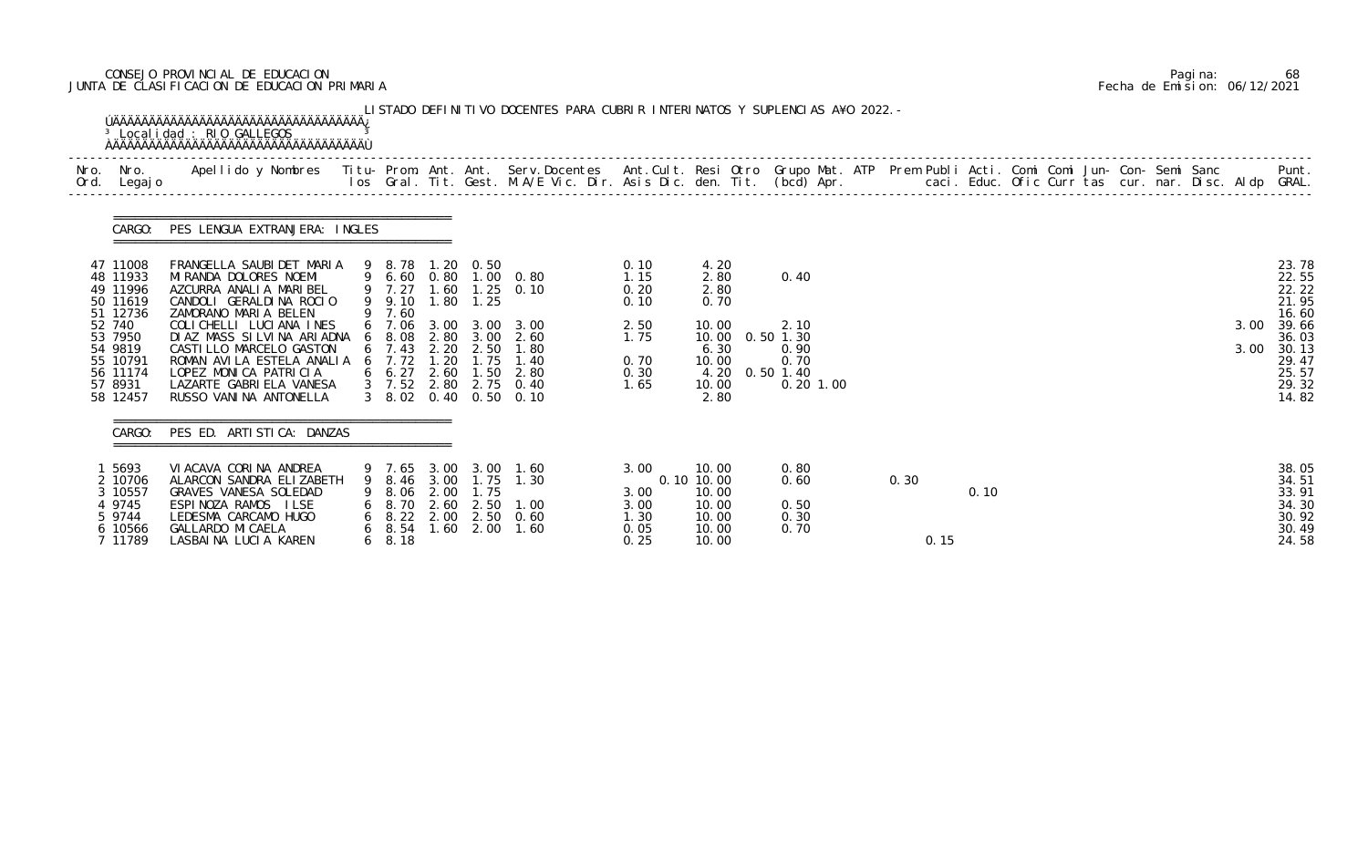# CONSEJO PROVINCIAL DE EDUCACION Pagina: 68 JUNTA DE CLASIFICACION DE EDUCACION PRIMARIA Fecha de Emision: 06/12/2021

| Nro. Nro.<br>Ord. Legajo         | Apellido y Nombres  Titu- Prom. Ant. Ant. Serv.Docentes  Ant.Cult. Resi Otro Grupo Mat. ATP Prem Publi Acti. Comi Comi Jun- Con- Semi Sanc           Punt.<br>Ios Gral. Tit. Gest. M.A/E Vic. Dir. Asis Dic. den. Tit. (bcd) Apr. |                                           |      |               |                                                |              |                     |                        |      |      |  |  |  |      |                         |
|----------------------------------|-----------------------------------------------------------------------------------------------------------------------------------------------------------------------------------------------------------------------------------|-------------------------------------------|------|---------------|------------------------------------------------|--------------|---------------------|------------------------|------|------|--|--|--|------|-------------------------|
|                                  |                                                                                                                                                                                                                                   |                                           |      |               |                                                |              |                     |                        |      |      |  |  |  |      |                         |
| CARGO:                           | PES LENGUA EXTRANJERA: INGLES                                                                                                                                                                                                     |                                           |      |               |                                                |              |                     |                        |      |      |  |  |  |      |                         |
| 47 11008<br>48 11933             | FRANGELLA SAUBIDET MARIA<br>MI RANDA DOLORES NOEMI                                                                                                                                                                                | 9 8.78 1.20 0.50                          |      |               | 9 6.60 0.80 1.00 0.80                          | 0.10<br>1.15 | 4.20<br>2.80        | 0.40                   |      |      |  |  |  |      | 23.78<br>22.55          |
| 49 11996<br>50 11619<br>51 12736 | AZCURRA ANALIA MARIBEL<br>CANDOLI GERALDINA ROCIO                                                                                                                                                                                 | 9 7.27 1.60<br>9 9.10 1.80 1.25<br>9 7.60 |      |               | $1.25 \quad 0.10$                              | 0.20<br>0.10 | 2.80<br>0.70        |                        |      |      |  |  |  |      | 22.22<br>21.95<br>16.60 |
| 52 740<br>53 7950                | ZAMORANO MARIA BELEN<br>COLICHELLI LUCIANA INES<br>DIAZ MASS SILVINA ARIADNA                                                                                                                                                      | 6 7.06<br>$6\quad 8.08$                   | 2.80 |               | 3.00 3.00 3.00<br>$3.00$ $2.60$                | 2.50<br>1.75 | 10.00<br>10.00      | 2.10<br>$0.50$ 1.30    |      |      |  |  |  | 3.00 | 39.66<br>36.03          |
| 54 9819                          | CASTI LLO MARCELO GASTON                                                                                                                                                                                                          | 6, 7.43                                   | 2.20 | 2.50          | 1.80                                           |              | 6.30                | 0.90                   |      |      |  |  |  | 3.00 | 30.13                   |
| 55 10791<br>56 11174             | ROMAN AVILA ESTELA ANALIA<br>LOPEZ MONICA PATRICIA                                                                                                                                                                                | $6$ 7.72<br>$6\quad 6.27\quad 2.60$       | 1.20 | 1.75<br>1.50  | 1.40<br>2.80                                   | 0.70<br>0.30 | 10.00               | 0.70<br>4.20 0.50 1.40 |      |      |  |  |  |      | 29.47<br>25.57          |
| 57 8931<br>58 12457              | LAZARTE GABRI ELA VANESA<br>RUSSO VANINA ANTONELLA                                                                                                                                                                                |                                           |      |               | 3 7.52 2.80 2.75 0.40<br>3 8.02 0.40 0.50 0.10 | 1.65         | 10.00<br>2.80       | 0.20 1.00              |      |      |  |  |  |      | 29.32<br>14.82          |
| CARGO:                           | PES ED. ARTISTICA: DANZAS                                                                                                                                                                                                         |                                           |      |               |                                                |              |                     |                        |      |      |  |  |  |      |                         |
| 1 5693                           | VI ACAVA CORINA ANDREA                                                                                                                                                                                                            |                                           |      |               | 9 7.65 3.00 3.00 1.60                          | 3.00         | 10.00               | 0.80                   |      |      |  |  |  |      | 38.05                   |
| 2 10706<br>3 10557               | ALARCON SANDRA ELIZABETH<br>GRAVES VANESA SOLEDAD                                                                                                                                                                                 | 9 8.06 2.00                               |      | 1.75          | 9 8.46 3.00 1.75 1.30                          | 3.00         | 0.10 10.00<br>10.00 | 0.60                   | 0.30 | 0.10 |  |  |  |      | 34.51<br>33.91          |
| 4 9745<br>5 9744                 | ESPINOZA RAMOS ILSE<br>LEDESMA CARCAMO HUGO                                                                                                                                                                                       | $6\quad 8.70$                             | 2.60 |               | 2.50 1.00<br>6 8.22 2.00 2.50 0.60             | 3.00<br>1.30 | 10.00<br>10.00      | 0.50<br>0.30           |      |      |  |  |  |      | 34.30<br>30.92          |
| 6 10566                          | GALLARDO MI CAELA                                                                                                                                                                                                                 | $6\quad 8.54$                             |      | $1.60$ $2.00$ | 1.60                                           | 0.05         | 10.00               | 0.70                   |      |      |  |  |  |      | 30.49                   |
| 7 11789                          | LASBAINA LUCIA KAREN                                                                                                                                                                                                              | $6\quad 8.18$                             |      |               |                                                | 0.25         | 10.00               |                        | 0.15 |      |  |  |  |      | 24.58                   |

|  | Pagi na: | 68                           |
|--|----------|------------------------------|
|  |          | Fecha de Emision: 06/12/2021 |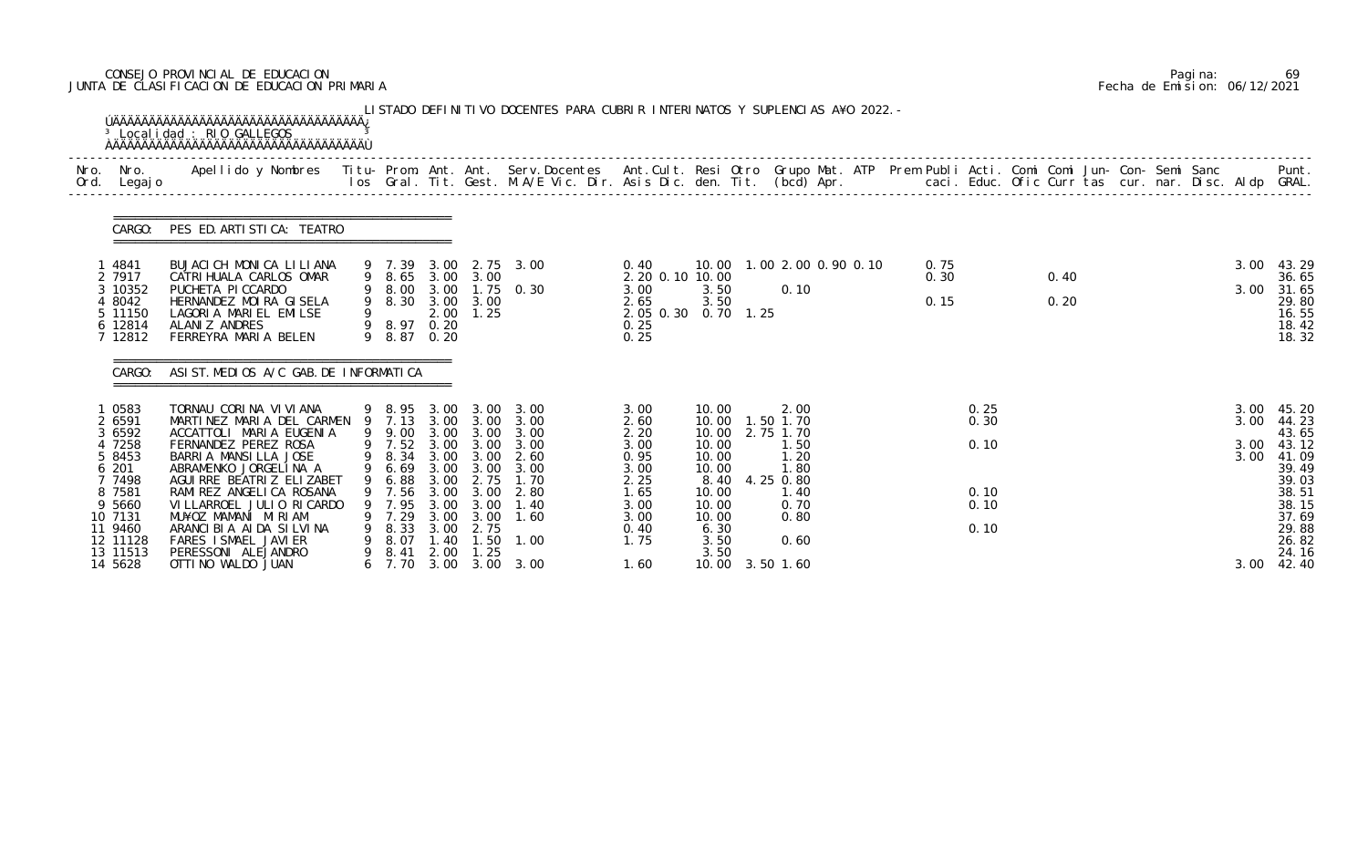# CONSEJO PROVINCIAL DE EDUCACION Pagina: 69 JUNTA DE CLASIFICACION DE EDUCACION PRIMARIA Fecha de Emision: 06/12/2021

|              |                                                                                                                                   | <sup>3</sup> Localidad : RIO GALLEGOS<br><b>ÚÄÄÄÄÄÄÄÄÄÄÄÄÄÄÄÄÄÄÄÄÄÄÄÄÄÄÄÄÄÄÄÄÄ</b>                                                                                                                                                                                                                                                                     |   |                                                                                                                        |                                                                      |                                                                                                        | LISTADO DEFINITIVO DOCENTES PARA CUBRIR INTERINATOS Y SUPLENCIAS A¥O 2022. -              |                                                                                              |                                                                                                               |                                                                                                     |  |                      |                                              |              |  |  |                              |                                                                                                                    |
|--------------|-----------------------------------------------------------------------------------------------------------------------------------|--------------------------------------------------------------------------------------------------------------------------------------------------------------------------------------------------------------------------------------------------------------------------------------------------------------------------------------------------------|---|------------------------------------------------------------------------------------------------------------------------|----------------------------------------------------------------------|--------------------------------------------------------------------------------------------------------|-------------------------------------------------------------------------------------------|----------------------------------------------------------------------------------------------|---------------------------------------------------------------------------------------------------------------|-----------------------------------------------------------------------------------------------------|--|----------------------|----------------------------------------------|--------------|--|--|------------------------------|--------------------------------------------------------------------------------------------------------------------|
| Nro.<br>Ord. | Nro.<br>Legaj o                                                                                                                   | Apellido y Nombres - Titu- Prom. Ant. Ant. Serv.Docentes - Ant.Cult. Resi Otro Grupo Mat. ATP Prem Publi Acti. Comi Comi Jun- Con- Semi Sanc - - - Punt.<br>Ios Gral. Tit. Gest. M.A/E Vic. Dir. Asis Dic. den. Tit. (bcd) Apr. -                                                                                                                      |   |                                                                                                                        |                                                                      |                                                                                                        |                                                                                           |                                                                                              |                                                                                                               |                                                                                                     |  |                      |                                              |              |  |  |                              |                                                                                                                    |
|              | CARGO:                                                                                                                            | PES ED. ARTI STI CA: TEATRO                                                                                                                                                                                                                                                                                                                            |   |                                                                                                                        |                                                                      |                                                                                                        |                                                                                           |                                                                                              |                                                                                                               |                                                                                                     |  |                      |                                              |              |  |  |                              |                                                                                                                    |
|              | l 4841<br>2 7917<br>3 10352<br>4 8042<br>5 11150<br>6 12814<br>7 12812                                                            | BUJACICH MONICA LILIANA<br>CATRI HUALA CARLOS OMAR<br>PUCHETA PI CCARDO<br>HERNANDEZ MOIRA GISELA<br>LAGORIA MARIEL EMILSE<br>ALANIZ ANDRES<br>FERREYRA MARIA BELEN                                                                                                                                                                                    |   | 9 7.39<br>9 8.65 3.00 3.00<br>9 8.00<br>9 8.30<br>9<br>9 8.97 0.20<br>9 8.87 0.20                                      | 3.00                                                                 | 3.00 3.00<br>$2.00$ 1.25                                                                               | 3.00 2.75 3.00<br>1.75 0.30                                                               | 0.40<br>2.20 0.10 10.00<br>3.00<br>2.65<br>2.05 0.30 0.70 1.25<br>0.25<br>0.25               | 3.50<br>3.50                                                                                                  | 10.00  1.00  2.00  0.90  0.10<br>0.10                                                               |  | 0.75<br>0.30<br>0.15 |                                              | 0.40<br>0.20 |  |  | 3.00<br>3.00                 | 43.29<br>36.65<br>31.65<br>29.80<br>16.55<br>18.42<br>18.32                                                        |
|              | CARGO:                                                                                                                            | ASI ST. MEDIOS A/C GAB. DE INFORMATICA                                                                                                                                                                                                                                                                                                                 |   |                                                                                                                        |                                                                      |                                                                                                        |                                                                                           |                                                                                              |                                                                                                               |                                                                                                     |  |                      |                                              |              |  |  |                              |                                                                                                                    |
|              | 0583<br>2 6591<br>3 6592<br>4 7258<br>5 8453<br>6 201<br>7 7498<br>8 7581<br>9 5660<br>10 7131<br>11 9460<br>12 11128<br>13 11513 | TORNAU CORINA VIVIANA<br>MARTINEZ MARIA DEL CARMEN 9 7.13<br>ACCATTOLI MARIA EUGENIA<br>FERNANDEZ PEREZ ROSA<br>BARRIA MANSILLA JOSE<br>ABRAMENKO JORGELINA A<br>AGUI RRE BEATRIZ ELIZABET<br>RAMI REZ ANGELI CA ROSANA<br>VI LLARROEL JULIO RI CARDO<br>MU¥OZ MAMANI MIRIAM<br>ARANCIBIA AIDA SILVINA<br>FARES I SMAEL JAVI ER<br>PERESSONI ALEJANDRO | 9 | 9 8.95 3.00<br>9 9.00<br>9 7.52<br>9 8.34<br>9 6.69<br>9 6.88 3.00<br>7.56<br>7.95<br>9 7.29<br>8.33<br>8.07<br>9 8.41 | 3.00<br>3.00<br>3.00<br>3.00<br>3.00<br>3.00<br>3.00<br>1.40<br>2.00 | 3.00 3.00<br>3.00<br>3.00<br>3.00 3.00<br>3.00<br>2.75<br>3.00<br>3.00<br>3.00<br>2.75<br>1.50<br>1.25 | 3.00 3.00<br>3.00<br>3.00<br>3.00<br>2.60<br>3.00<br>1.70<br>2.80<br>1.40<br>1.60<br>1.00 | 3.00<br>2.60<br>2.20<br>3.00<br>0.95<br>3.00<br>2.25<br>1.65<br>3.00<br>3.00<br>0.40<br>1.75 | 10.00<br>10.00<br>10.00<br>10.00<br>10.00<br>10.00<br>8.40<br>10.00<br>10.00<br>10.00<br>6.30<br>3.50<br>3.50 | 2.00<br>1.50 1.70<br>2.75 1.70<br>1.50<br>1.20<br>1.80<br>4.25 0.80<br>1.40<br>0.70<br>0.80<br>0.60 |  |                      | 0.25<br>0.30<br>0.10<br>0.10<br>0.10<br>0.10 |              |  |  | 3.00<br>3.00<br>3.00<br>3.00 | 45. 20<br>44.23<br>43.65<br>43.12<br>41.09<br>39.49<br>39.03<br>38.51<br>38.15<br>37.69<br>29.88<br>26.82<br>24.16 |
|              | 14 5628                                                                                                                           | OTTI NO WALDO JUAN                                                                                                                                                                                                                                                                                                                                     |   | 6 7.70                                                                                                                 |                                                                      |                                                                                                        | 3.00 3.00 3.00                                                                            | 1.60                                                                                         |                                                                                                               | 10.00 3.50 1.60                                                                                     |  |                      |                                              |              |  |  | 3.00                         | 42.40                                                                                                              |

|  | Pagi na: | 69                           |
|--|----------|------------------------------|
|  |          | Fecha de Emision: 06/12/2021 |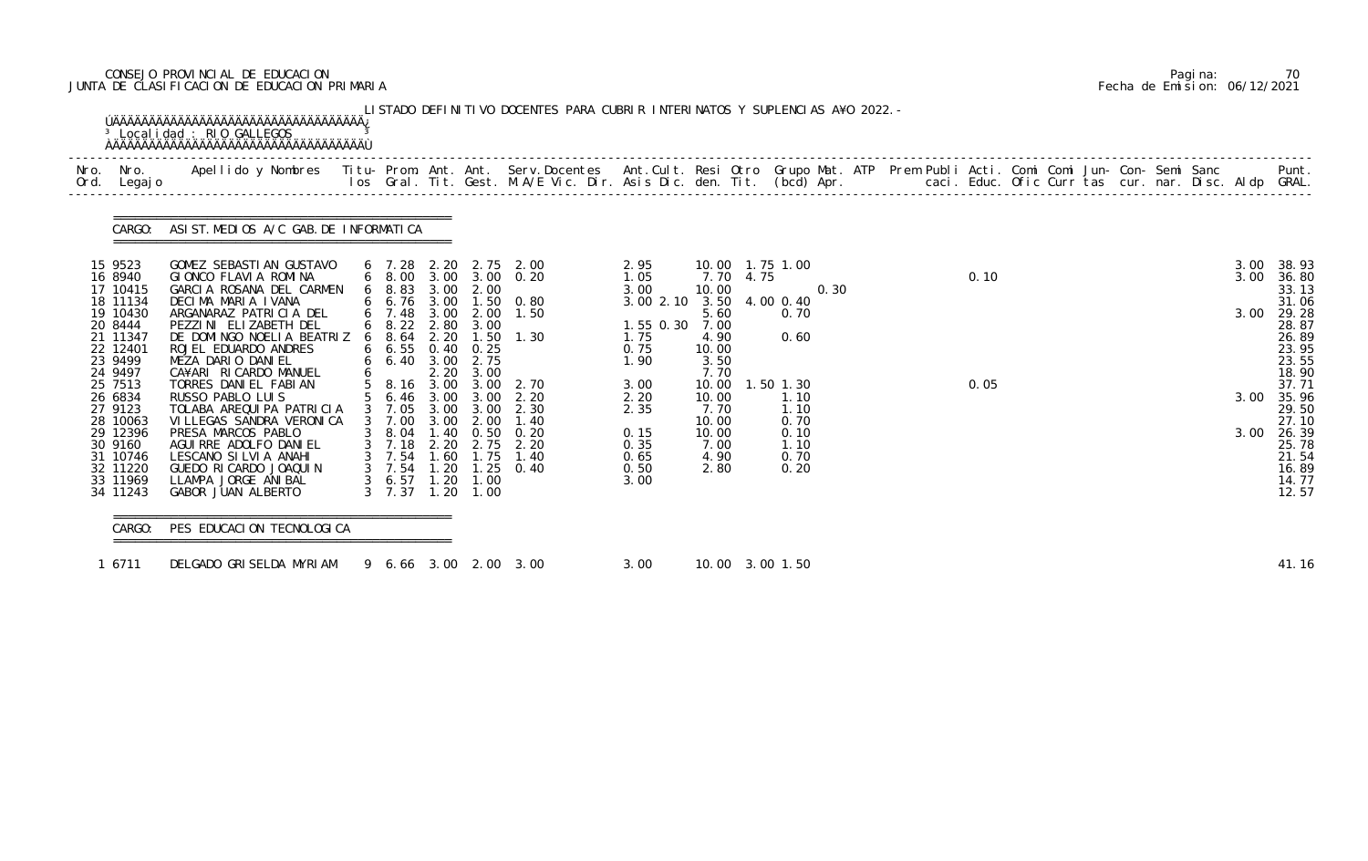# CONSEJO PROVINCIAL DE EDUCACION Pagina: 70 JUNTA DE CLASIFICACION DE EDUCACION PRIMARIA Fecha de Emision: 06/12/2021

| Nro. Nro.<br>Ord. Legajo                                                      | Apellido y Nombres  Titu- Prom. Ant. Ant. Serv.Docentes  Ant.Cult. Resi Otro Grupo Mat. ATP Prem Publi Acti. Comi Comi Jun- Con- Semi Sanc         Punt.<br>Ios Gral. Tit. Gest. M.A/E Vic. Dir. Asis Dic. den. Tit. (bcd) Apr. |                                                                              |                      |                                                        |                                                                |                                                               |                                               |                                       |      |  |      |  |  |              |                                                             |
|-------------------------------------------------------------------------------|---------------------------------------------------------------------------------------------------------------------------------------------------------------------------------------------------------------------------------|------------------------------------------------------------------------------|----------------------|--------------------------------------------------------|----------------------------------------------------------------|---------------------------------------------------------------|-----------------------------------------------|---------------------------------------|------|--|------|--|--|--------------|-------------------------------------------------------------|
| CARGO:                                                                        | ASIST. MEDIOS A/C GAB. DE INFORMATICA                                                                                                                                                                                           |                                                                              |                      |                                                        |                                                                |                                                               |                                               |                                       |      |  |      |  |  |              |                                                             |
| 15 9523<br>16 8940<br>17 10415                                                | GOMEZ SEBASTIAN GUSTAVO<br>GIONCO FLAVIA ROMINA<br>GARCIA ROSANA DEL CARMEN                                                                                                                                                     | 6 7.28 2.20 2.75 2.00<br>$6\quad 8.83\quad 3.00$                             |                      | 2.00                                                   | 6 8.00 3.00 3.00 0.20                                          | 2.95<br>1.05<br>3.00                                          | 7.70 4.75<br>10.00                            | 10.00  1.75  1.00                     | 0.30 |  | 0.10 |  |  | 3.00<br>3.00 | 38.93<br>36.80<br>33.13                                     |
| 18 11134<br>19 10430<br>20 8444<br>21 11347<br>22 12401<br>23 9499<br>24 9497 | DECIMA MARIA IVANA<br>ARGANARAZ PATRICIA DEL<br>PEZZINI ELIZABETH DEL<br>DE DOMINGO NOELIA BEATRIZ<br>ROJEL EDUARDO ANDRES<br>MEZA DARIO DANIEL<br>CA¥ARI RICARDO MANUEL                                                        | 6 7.48<br>$6\quad 8.22$<br>68.64<br>$6\quad 6.55$<br>$6\quad 6.40\quad 3.00$ | 2.80<br>2.20<br>2.20 | 3.00 2.00<br>3.00<br>$0.40 \quad 0.25$<br>2.75<br>3.00 | 6 6.76 3.00 1.50 0.80<br>1.50<br>$1.50$ $1.30$                 | 3.00 2.10 3.50 4.00 0.40<br>1.55 0.30<br>1.75<br>0.75<br>1.90 | 5.60<br>7.00<br>4.90<br>10.00<br>3.50<br>7.70 | 0.70<br>0.60                          |      |  |      |  |  | 3.00         | 31.06<br>29.28<br>28.87<br>26.89<br>23.95<br>23.55<br>18.90 |
| 25 7513<br>26 6834<br>27 9123<br>28 10063                                     | TORRES DANIEL FABIAN<br>RUSSO PABLO LUIS<br>TOLABA AREQUIPA PATRICIA<br>VI LLEGAS SANDRA VERONI CA                                                                                                                              | 5 6.46 3.00<br>3 7.05<br>3 7.00                                              | 3.00<br>3.00         | 3.00<br>3.00<br>2.00                                   | 5 8.16 3.00 3.00 2.70<br>2.20<br>2.30<br>1.40                  | 3.00<br>2.20<br>2.35                                          | 10.00<br>10.00<br>7.70<br>10.00               | $1.50$ $1.30$<br>1.10<br>1.10<br>0.70 |      |  | 0.05 |  |  | 3.00         | 37.71<br>35.96<br>29.50<br>27.10                            |
| 29 12396<br>30 9160<br>31 10746<br>32 11220<br>33 11969                       | PRESA MARCOS PABLO<br>AGUI RRE ADOLFO DANI EL<br>LESCANO SILVIA ANAHI<br>GUEDO RI CARDO JOAQUI N<br>LLAMPA JORGE ANIBAL<br>34 11243 GABOR JUAN ALBERTO                                                                          | 3 8.04<br>3, 7.18<br>3 6.57 1.20 1.00<br>3 7.37 1.20 1.00                    | 2.20                 | 1.40 0.50<br>2.75                                      | 0.20<br>2.20<br>3 7.54 1.60 1.75 1.40<br>3 7.54 1.20 1.25 0.40 | 0.15<br>0.35<br>0.65<br>0.50<br>3.00                          | 10.00<br>7.00<br>4.90<br>2.80                 | 0.10<br>1.10<br>0.70<br>0.20          |      |  |      |  |  | 3.00         | 26.39<br>25.78<br>21.54<br>16.89<br>14.77<br>12.57          |
| CARGO:                                                                        | PES EDUCACION TECNOLOGICA<br>==================================                                                                                                                                                                 |                                                                              |                      |                                                        |                                                                |                                                               |                                               |                                       |      |  |      |  |  |              |                                                             |
| 1 6711                                                                        | DELGADO GRISELDA MYRIAM 9 6.66 3.00 2.00 3.00                                                                                                                                                                                   |                                                                              |                      |                                                        |                                                                | 3.00                                                          |                                               | 10.00 3.00 1.50                       |      |  |      |  |  |              | 41.16                                                       |

|  | Pagi na: |                              |
|--|----------|------------------------------|
|  |          | Fecha de Emision: 06/12/2021 |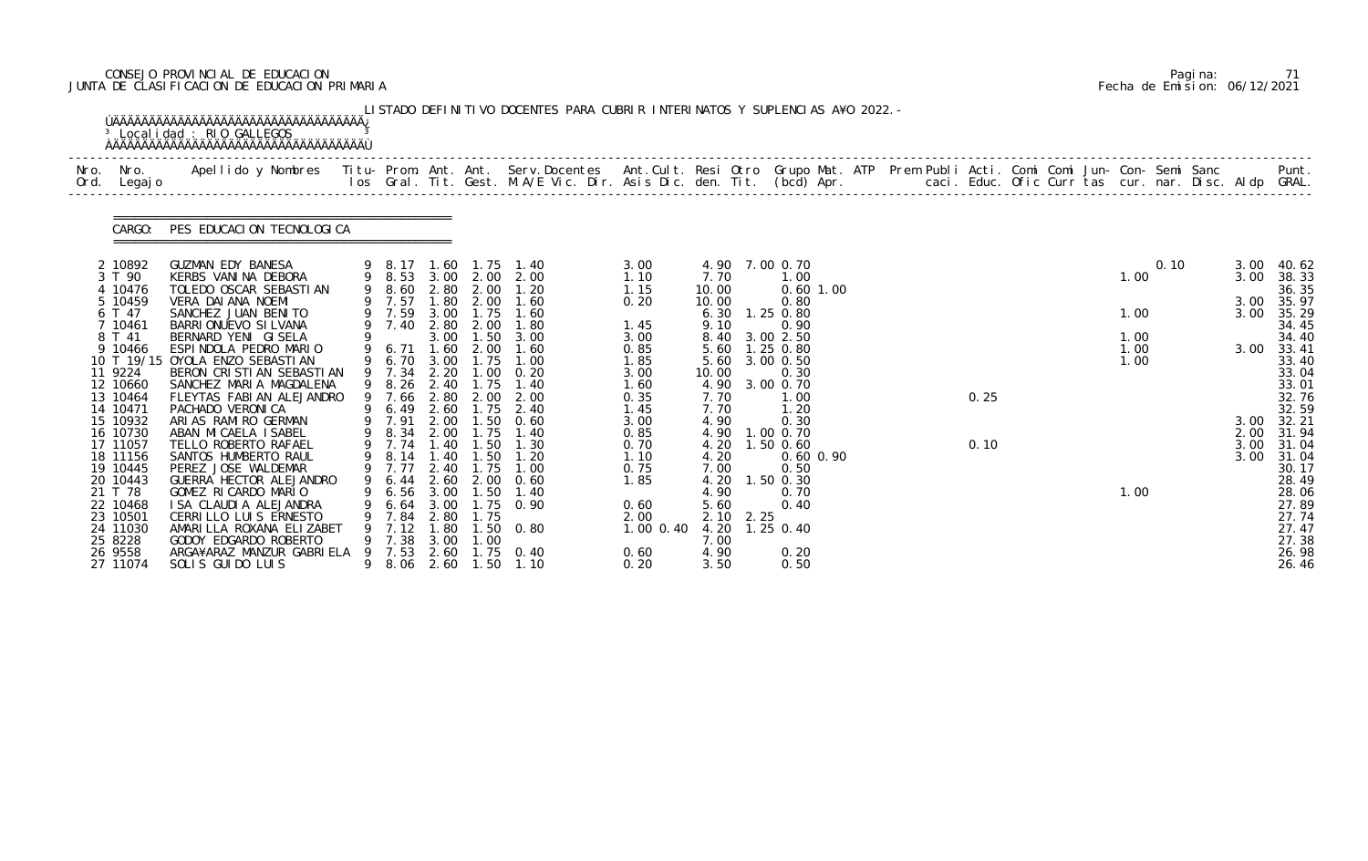# CONSEJO PROVINCIAL DE EDUCACION Pagina: 71 JUNTA DE CLASIFICACION DE EDUCACION PRIMARIA Fecha de Emision: 06/12/2021

| Nro. | Nro. In the Nro.<br>Ord. Legajo | Apellido y Nombres  Titu- Prom. Ant. Ant.  Serv.Docentes  Ant.Cult. Resi Otro  Grupo Mat. ATP  Prem Publi Acti. Comi Comi Jun- Con- Semi Sanc              Punt.<br>Ios Gral. Tit. Gest. M.A/E Vic. Dir. Asis Dic. den. Tit. (bcd |                       |              |                          |                                                |                |                         |                       |  |      |  |              |      |              |                     |
|------|---------------------------------|-----------------------------------------------------------------------------------------------------------------------------------------------------------------------------------------------------------------------------------|-----------------------|--------------|--------------------------|------------------------------------------------|----------------|-------------------------|-----------------------|--|------|--|--------------|------|--------------|---------------------|
|      | CARGO:                          | PES EDUCACION TECNOLOGICA                                                                                                                                                                                                         |                       |              |                          |                                                |                |                         |                       |  |      |  |              |      |              |                     |
|      | 2 10892<br>3 T 90               | GUZMAN EDY BANESA<br>KERBS VANINA DEBORA                                                                                                                                                                                          |                       |              |                          | 9 8.17 1.60 1.75 1.40<br>9 8.53 3.00 2.00 2.00 | 3.00<br>1.10   | 4.90 7.00 0.70<br>7.70  | 1.00                  |  |      |  | 1.00         | 0.10 | 3.00<br>3.00 | 40.62<br>38.33      |
|      | 4 10476                         | TOLEDO OSCAR SEBASTIAN                                                                                                                                                                                                            |                       |              |                          | 9 8.60 2.80 2.00 1.20                          | 1.15           | 10.00                   | $0.60$ 1.00           |  |      |  |              |      |              | 36.35               |
|      | 5 10459<br>6 T 47               | VERA DAI ANA NOEMI<br>SANCHEZ JUAN BENITO                                                                                                                                                                                         | 9 7.57<br>9 7.59      | 3.00         | 1.75                     | 1.80 2.00 1.60<br>1.60                         | 0.20           | 10.00<br>6.30 1.25 0.80 | 0.80                  |  |      |  | 1.00         |      | 3.00<br>3.00 | 35.97<br>35.29      |
|      | 7 10461                         | BARRIONUEVO SI LVANA                                                                                                                                                                                                              |                       |              | 9 7.40 2.80 2.00         | 1.80                                           | 1.45           | 9.10                    | 0.90                  |  |      |  |              |      |              | 34.45               |
|      | 8 T 41<br>9 10466               | BERNARD YENI GISELA<br>ESPINDOLA PEDRO MARIO                                                                                                                                                                                      | 9 6.71                | 1.60         | 3.00 1.50<br>2.00        | 3.00<br>1.60                                   | 3.00<br>0.85   | 8.40 3.00 2.50<br>5.60  | 1.25 0.80             |  |      |  | 1.00<br>1.00 |      |              | 34.40<br>3.00 33.41 |
|      |                                 | 10 T 19/15 OYOLA ENZO SEBASTI AN                                                                                                                                                                                                  |                       |              | 9 6.70 3.00 1.75         | 1.00                                           | 1.85           | 5.60                    | 3.00 0.50             |  |      |  | 1.00         |      |              | 33.40               |
|      | 11 9224<br>12 10660             | BERON CRISTIAN SEBASTIAN<br>SANCHEZ MARIA MAGDALENA                                                                                                                                                                               | 9 7.34 2.20<br>9 8.26 | 2.40         | 1.75                     | $1.00 \quad 0.20$<br>1.40                      | 3.00<br>1.60   | 10.00<br>4.90 3.00 0.70 | 0.30                  |  |      |  |              |      |              | 33.04<br>33.01      |
|      | 13 10464                        | FLEYTAS FABIAN ALEJANDRO                                                                                                                                                                                                          |                       |              | 9 7.66 2.80 2.00         | 2.00                                           | 0.35           | 7.70                    | 1.00                  |  | 0.25 |  |              |      |              | 32.76               |
|      | 14 10471<br>15 10932            | PACHADO VERONICA                                                                                                                                                                                                                  | 9 6.49<br>9 7.91      | 2.60<br>2.00 | 1.75<br>1.50             | 2.40<br>0.60                                   | 1.45           | 7.70                    | 1.20                  |  |      |  |              |      |              | 32.59               |
|      | 16 10730                        | ARIAS RAMIRO GERMAN<br>ABAN MICAELA ISABEL                                                                                                                                                                                        | 9 8.34 2.00           |              | 1.75                     | 1.40                                           | 3.00<br>0.85   | 4.90<br>4.90 1.00 0.70  | 0.30                  |  |      |  |              |      | 3.00<br>2.00 | 32.21<br>31.94      |
|      | 17 11057                        | TELLO ROBERTO RAFAEL                                                                                                                                                                                                              |                       |              | 9 7.74 1.40 1.50         | 1.30                                           | 0.70           | 4.20                    | $1.50$ 0.60           |  | 0.10 |  |              |      | 3.00         | 31.04               |
|      | 18 11156<br>19 10445            | SANTOS HUMBERTO RAUL<br>PEREZ JOSE WALDEMAR                                                                                                                                                                                       | 9 7.77 2.40           |              | 9 8.14 1.40 1.50<br>1.75 | 1.20<br>1.00                                   | 1.10<br>0.75   | 4.20<br>7.00            | $0.60$ $0.90$<br>0.50 |  |      |  |              |      | 3.00         | 31.04<br>30.17      |
|      | 20 10443                        | GUERRA HECTOR ALEJANDRO                                                                                                                                                                                                           |                       |              |                          | 9 6.44 2.60 2.00 0.60                          | 1.85           | 4.20 1.50 0.30          |                       |  |      |  |              |      |              | 28.49               |
|      | 21 T 78                         | GOMEZ RICARDO MARIO<br>I SA CLAUDI A ALEJANDRA                                                                                                                                                                                    | 6.56                  | 3.00<br>3.00 | . 50                     | 1.40<br>1.75 0.90                              |                | 4.90                    | 0.70                  |  |      |  | 1.00         |      |              | 28.06<br>27.89      |
|      | 22 10468<br>23 10501            | CERRILLO LUIS ERNESTO                                                                                                                                                                                                             | 6. 64<br>7.84         | 2.80         | 1.75                     |                                                | 0.60<br>2.00   | 5.60<br>$2.10$ $2.25$   | 0.40                  |  |      |  |              |      |              | 27.74               |
|      | 24 11030                        | AMARILLA ROXANA ELIZABET                                                                                                                                                                                                          | 7.12                  | 1.80         | l. 50                    | 0. 80                                          | $1.00 \, 0.40$ | 4.20                    | $1.25$ 0.40           |  |      |  |              |      |              | 27.47               |
|      | 25 8228<br>26 9558              | GODOY EDGARDO ROBERTO<br>ARGA¥ARAZ MANZUR GABRIELA                                                                                                                                                                                | 9 7.38<br>7.53        | 3.00<br>2.60 | 1.00                     | $1.75 \t 0.40$                                 | 0.60           | 7.00<br>4.90            | 0.20                  |  |      |  |              |      |              | 27.38<br>26.98      |
|      | 27 11074                        | SOLIS GUIDO LUIS                                                                                                                                                                                                                  | 9 8.06                | 2.60         | 1.50                     | 1.10                                           | 0.20           | 3.50                    | 0.50                  |  |      |  |              |      |              | 26.46               |

|  | Pagi na: | 71                           |
|--|----------|------------------------------|
|  |          | Fecha de Emision: 06/12/2021 |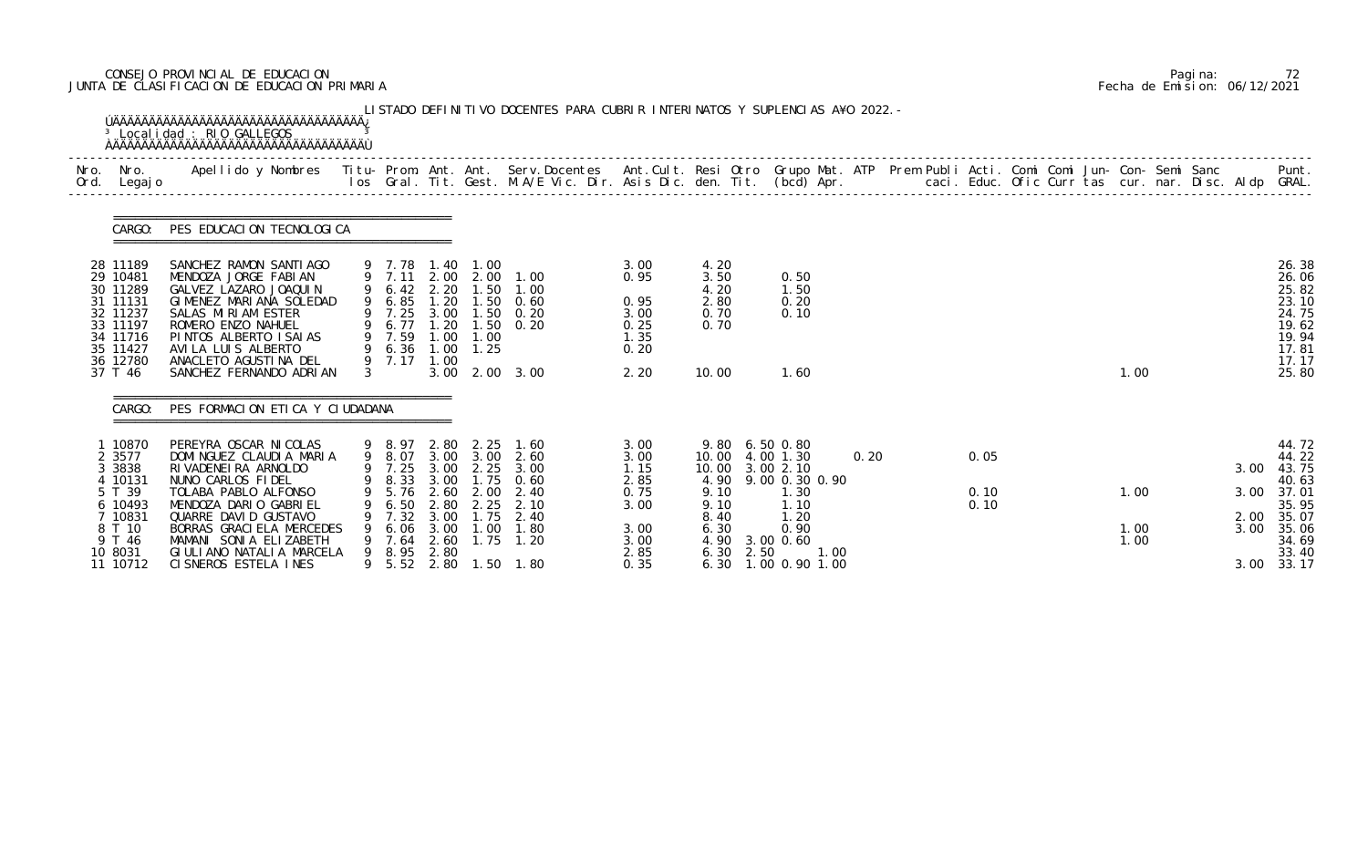# CONSEJO PROVINCIAL DE EDUCACION Pagina: 72 JUNTA DE CLASIFICACION DE EDUCACION PRIMARIA Fecha de Emision: 06/12/2021

| Nro.<br>Ord. | Nro.<br>Legaj o                                                                                                             | Apellido y Nombres - Titu- Prom. Ant. Ant. Serv.Docentes - Ant.Cult. Resi Otro Grupo Mat. ATP Prem Publi Acti. Comi Comi Jun- Con- Semi Sanc - - - Punt.<br>Ios Gral. Tit. Gest. M.A/E Vic. Dir. Asis Dic. den. Tit. (bcd) Apr. -                                                                                          |               |                                                                                         |                                                      |                                                                                        |                                                                                                              |                                                                              |                                                                                                  |                                                                                                                     |      |  |                      |  |                      |  |                                      |                                                                                                 |
|--------------|-----------------------------------------------------------------------------------------------------------------------------|----------------------------------------------------------------------------------------------------------------------------------------------------------------------------------------------------------------------------------------------------------------------------------------------------------------------------|---------------|-----------------------------------------------------------------------------------------|------------------------------------------------------|----------------------------------------------------------------------------------------|--------------------------------------------------------------------------------------------------------------|------------------------------------------------------------------------------|--------------------------------------------------------------------------------------------------|---------------------------------------------------------------------------------------------------------------------|------|--|----------------------|--|----------------------|--|--------------------------------------|-------------------------------------------------------------------------------------------------|
|              | CARGO:                                                                                                                      | PES EDUCACION TECNOLOGICA                                                                                                                                                                                                                                                                                                  |               |                                                                                         |                                                      |                                                                                        |                                                                                                              |                                                                              |                                                                                                  |                                                                                                                     |      |  |                      |  |                      |  |                                      |                                                                                                 |
|              | 28 11189<br>29 10481<br>30 11289<br>31 11131<br>32 11237<br>33 11197<br>34 11716<br>35 11427<br>36 12780<br>37 T 46         | SANCHEZ RAMON SANTIAGO<br>MENDOZA JORGE FABIAN<br>GALVEZ LAZARO JOAQUIN<br>GIMENEZ MARIANA SOLEDAD<br>SALAS MIRIAM ESTER<br>ROMERO ENZO NAHUEL<br>PINTOS ALBERTO ISAIAS<br>AVI LA LUIS ALBERTO<br>ANACLETO AGUSTINA DEL<br>SANCHEZ FERNANDO ADRIAN                                                                         | $\mathcal{S}$ | 9 7.78 1.40<br>9 6.42<br>9 6.85<br>9 7.25<br>6.77<br>9 7.59<br>9 6.36<br>9 7.17         | 2.20<br>1.20<br>1.20<br>1.00<br>1.00<br>3.00         | 1.00<br>9 7.11 2.00 2.00<br>1.50<br>1.50<br>3.00 1.50<br>1.50<br>1.00<br>$1.00$ $1.25$ | 1.00<br>1.00<br>0.60<br>0. 20<br>0.20<br>2.00 3.00                                                           | 3.00<br>0.95<br>0.95<br>3.00<br>0.25<br>1.35<br>0.20<br>2.20                 | 4.20<br>3.50<br>4.20<br>2.80<br>0.70<br>0.70<br>10.00                                            | 0.50<br>1.50<br>0.20<br>0.10<br>1.60                                                                                |      |  |                      |  | 1.00                 |  |                                      | 26.38<br>26.06<br>25.82<br>23.10<br>24.75<br>19.62<br>19.94<br>17.81<br>17.17<br>25.80          |
|              | CARGO:<br>1 10870<br>2 3577<br>3 3838<br>4 10131<br>5 T 39<br>6 10493<br>7 10831<br>8 T 10<br>9 T 46<br>10 8031<br>11 10712 | PES FORMACION ETICA Y CIUDADANA<br>PEREYRA OSCAR NI COLAS<br>DOMINGUEZ CLAUDIA MARIA<br>RI VADENEI RA ARNOLDO<br>NUNO CARLOS FIDEL<br>TOLABA PABLO ALFONSO<br>MENDOZA DARIO GABRIEL<br>QUARRE DAVID GUSTAVO<br>BORRAS GRACI ELA MERCEDES<br>MAMANI SONIA ELIZABETH<br>GI ULI ANO NATALI A MARCELA<br>CI SNEROS ESTELA INES | 9             | 9 8.97<br>9 8.07<br>9 7.25<br>5.76<br>6.50<br>7.32<br>6.06<br>7.64<br>8.95 2.80<br>5.52 | 2.80<br>3.00<br>2.60<br>2.80<br>3.00<br>3.00<br>2.60 | 3.00 3.00<br>2.25<br>2.00<br>2.25<br>1.75<br>1.00<br>1.75                              | 2.25 1.60<br>2.60<br>3.00<br>9 8.33 3.00 1.75 0.60<br>2.40<br>2.10<br>2.40<br>1.80<br>1.20<br>2.80 1.50 1.80 | 3.00<br>3.00<br>1.15<br>2.85<br>0.75<br>3.00<br>3.00<br>3.00<br>2.85<br>0.35 | 9.80 6.50 0.80<br>10.00<br>10.00<br>9.10<br>9.10<br>8.40<br>6.30<br>4.90<br>6.30<br>2.50<br>6.30 | 4.00 1.30<br>3.002.10<br>4.90 9.00 0.30 0.90<br>1.30<br>1.10<br>1.20<br>0.90<br>3.00 0.60<br>1.00<br>1.00 0.90 1.00 | 0.20 |  | 0.05<br>0.10<br>0.10 |  | 1.00<br>1.00<br>1.00 |  | 3.00<br>3.00<br>2.00<br>3.00<br>3.00 | 44.72<br>44.22<br>43.75<br>40.63<br>37.01<br>35.95<br>35.07<br>35.06<br>34.69<br>33.40<br>33.17 |

|  | Pagi na: |                              |
|--|----------|------------------------------|
|  |          | Fecha de Emision: 06/12/2021 |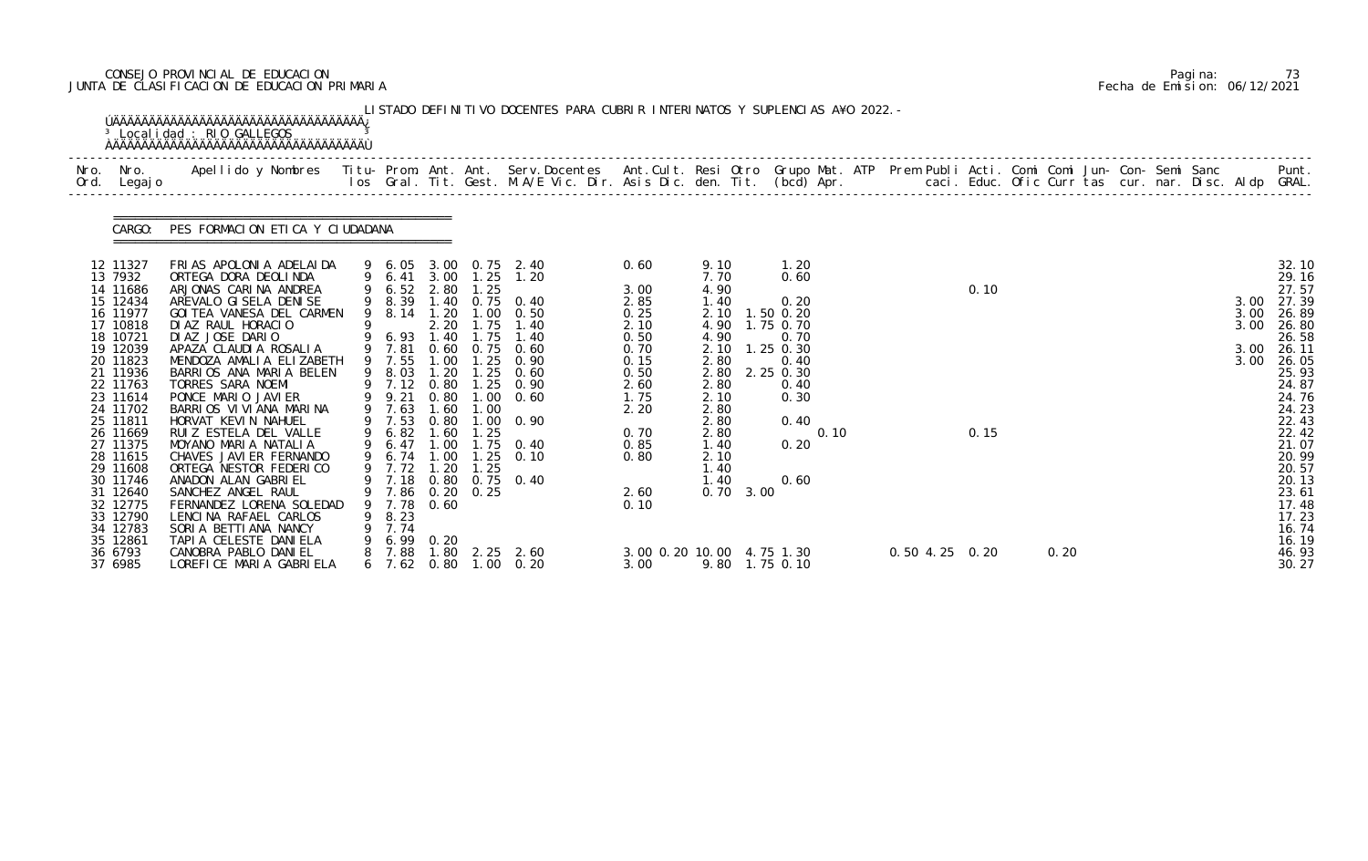# CONSEJO PROVINCIAL DE EDUCACION Pagina: 73 JUNTA DE CLASIFICACION DE EDUCACION PRIMARIA Fecha de Emision: 06/12/2021

|                                                                                                                                  | <sup>3</sup> Localidad : RIO GALLEGOS                                                                                                                                                                                                                                        |   |                                                                                         |                                      |                              | LISTADO DEFINITIVO DOCENTES PARA CUBRIR INTERINATOS Y SUPLENCIAS A¥O 2022. -                                                                                         |                                                              |                                                                              |                                                                        |                  |      |      |  |                      |                                                                                                 |
|----------------------------------------------------------------------------------------------------------------------------------|------------------------------------------------------------------------------------------------------------------------------------------------------------------------------------------------------------------------------------------------------------------------------|---|-----------------------------------------------------------------------------------------|--------------------------------------|------------------------------|----------------------------------------------------------------------------------------------------------------------------------------------------------------------|--------------------------------------------------------------|------------------------------------------------------------------------------|------------------------------------------------------------------------|------------------|------|------|--|----------------------|-------------------------------------------------------------------------------------------------|
| Nro. Nro.<br>Ord. Legajo                                                                                                         | Apellido y Nombres  Titu- Prom. Ant. Ant. Serv.Docentes  Ant.Cult. Resi Otro Grupo Mat. ATP Prem Publi Acti. Comi Comi Jun- Con- Semi Sanc           Punt.<br>Ios Gral. Tit. Gest. M.A/E Vic. Dir. Asis Dic. den. Tit. (bcd) Apr.                                            |   |                                                                                         |                                      |                              |                                                                                                                                                                      |                                                              |                                                                              |                                                                        |                  |      |      |  |                      |                                                                                                 |
| CARGO:                                                                                                                           | PES FORMACION ETICA Y CIUDADANA                                                                                                                                                                                                                                              |   |                                                                                         |                                      |                              |                                                                                                                                                                      |                                                              |                                                                              |                                                                        |                  |      |      |  |                      |                                                                                                 |
| 12 11327<br>13 7932<br>14 11686<br>15 12434<br>16 11977<br>17 10818<br>18 10721<br>19 12039                                      | FRIAS APOLONIA ADELAIDA<br>ORTEGA DORA DEOLINDA<br>ARJONAS CARINA ANDREA<br>AREVALO GI SELA DENI SE<br>GOI TEA VANESA DEL CARMEN<br>DI AZ RAUL HORACIO<br>DIAZ JOSE DARIO<br>APAZA CLAUDIA ROSALIA                                                                           |   | 9 6.52 2.80<br>9 6.93 1.40<br>9 7.81                                                    | 2.20                                 | 1.25<br>1.75                 | 9 6.05 3.00 0.75 2.40<br>9 6.41 3.00 1.25 1.20<br>9 8.39 1.40 0.75 0.40<br>9 8.14 1.20 1.00 0.50<br>1.75 1.40<br>1.40<br>0.60 0.75 0.60                              | 0.60<br>3.00<br>2.85<br>0.25<br>2.10<br>0.50<br>0.70         | 9.10<br>7.70<br>4.90<br>1.40<br>2.10<br>4.90<br>4.90<br>2.10                 | 1.20<br>0.60<br>0.20<br>1.50 0.20<br>1.75 0.70<br>0.70<br>$1.25$ 0.30  |                  | 0.10 |      |  | 3.00<br>3.00<br>3.00 | 32.10<br>29.16<br>27.57<br>3.00 27.39<br>26.89<br>26.80<br>26.58<br>26.11                       |
| 20 11823<br>21 11936<br>22 11763<br>23 11614<br>24 11702<br>25 11811<br>26 11669<br>27 11375<br>28 11615<br>29 11608<br>30 11746 | MENDOZA AMALIA ELIZABETH<br>BARRIOS ANA MARIA BELEN<br>TORRES SARA NOEMI<br>PONCE MARIO JAVIER<br>BARRIOS VIVIANA MARINA<br>HORVAT KEVIN NAHUEL<br>RUIZ ESTELA DEL VALLE<br>MOYANO MARIA NATALIA<br>CHAVES JAVI ER FERNANDO<br>ORTEGA NESTOR FEDERICO<br>ANADON ALAN GABRIEL |   | 9 7.55<br>9 8.03<br>9 9.21<br>9 7.63<br>9 7.53<br>9 6.82 1.60<br>9 7.72 1.20            | 1.00<br>1.20<br>0.80<br>1.60<br>0.80 | 1.25<br>1.00<br>1.25<br>1.25 | $1.25 \quad 0.90$<br>0.60<br>9 7.12 0.80 1.25 0.90<br>$1.00 \quad 0.60$<br>$1.00 \t 0.90$<br>9 6.47 1.00 1.75 0.40<br>9 6.74 1.00 1.25 0.10<br>9 7.18 0.80 0.75 0.40 | 0.15<br>0.50<br>2.60<br>1.75<br>2.20<br>0.70<br>0.85<br>0.80 | 2.80<br>2.80<br>2.10<br>2.80<br>2.80<br>2.80<br>1.40<br>2.10<br>1.40<br>1.40 | 0.40<br>2.80 2.25 0.30<br>0.40<br>0.30<br>0.40<br>0.10<br>0.20<br>0.60 |                  | 0.15 |      |  | 3.00                 | 26.05<br>25.93<br>24.87<br>24.76<br>24.23<br>22.43<br>22.42<br>21.07<br>20.99<br>20.57<br>20.13 |
| 31 12640<br>32 12775<br>33 12790<br>34 12783<br>35 12861<br>36 6793<br>37 6985                                                   | SANCHEZ ANGEL RAUL<br>FERNANDEZ LORENA SOLEDAD<br>LENCINA RAFAEL CARLOS<br>SORIA BETTIANA NANCY<br>TAPIA CELESTE DANIELA<br>CANOBRA PABLO DANI EL<br>LOREFICE MARIA GABRIELA                                                                                                 | 9 | 7.86 0.20 0.25<br>9 7.78 0.60<br>8.23<br>9 7.74<br>9 6.99 0.20<br>7.88<br>$6$ 7.62 0.80 | 1.80                                 |                              | 2.25 2.60<br>$1.00 \quad 0.20$                                                                                                                                       | 2.60<br>0.10<br>3.00 0.20 10.00 4.75 1.30<br>3.00            | $0.70 \quad 3.00$                                                            | 9.80 1.75 0.10                                                         | $0.50$ 4.25 0.20 |      | 0.20 |  |                      | 23.61<br>17.48<br>17.23<br>16.74<br>16.19<br>46.93<br>30.27                                     |

|  | Pagi na: | 73                           |
|--|----------|------------------------------|
|  |          | Fecha de Emision: 06/12/2021 |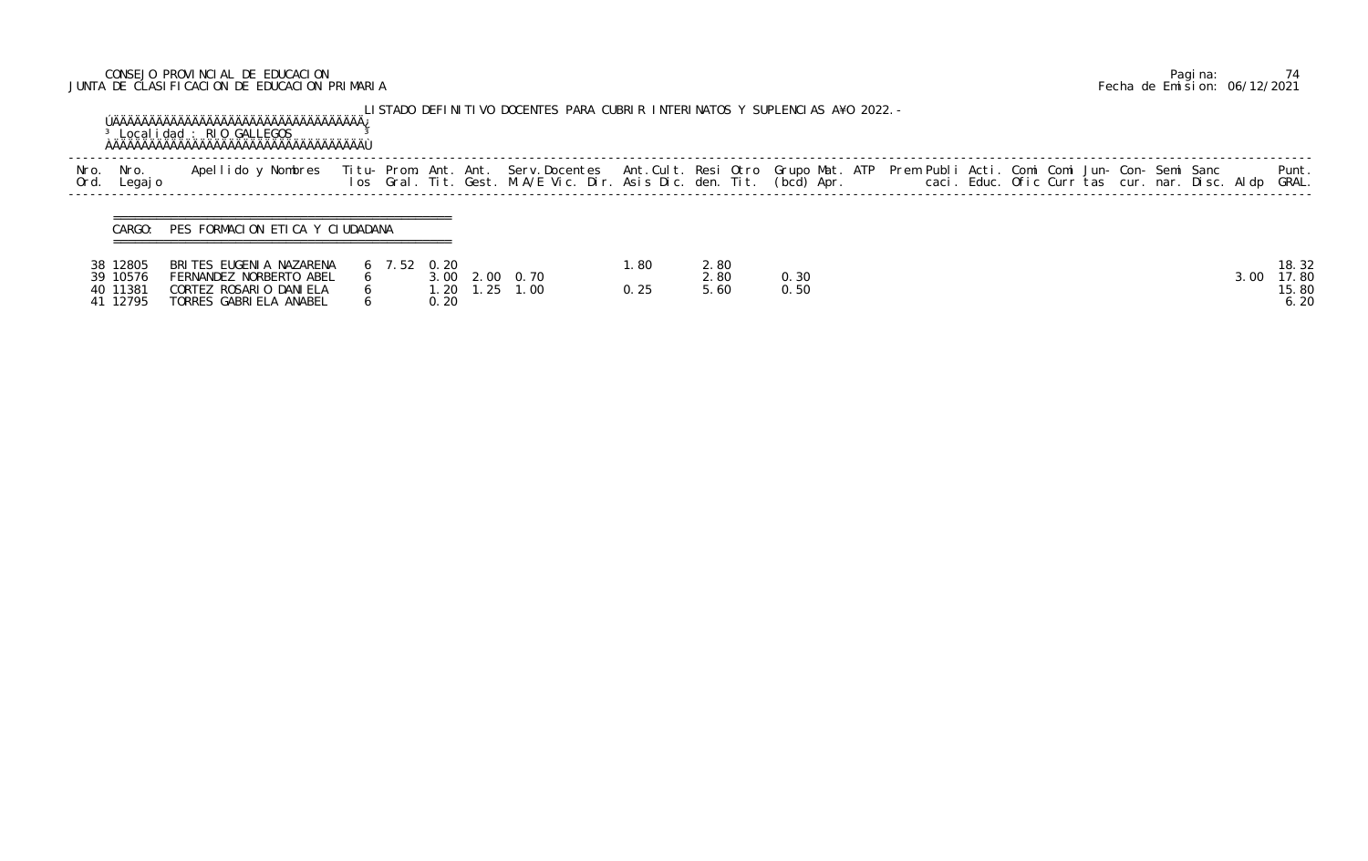# CONSEJO PROVINCIAL DE EDUCACION Pagina: 74 JUNTA DE CLASIFICACION DE EDUCACION PRIMARIA Fecha de Emision: 06/12/2021

|              |                                              | <sup>3</sup> Localidad : RIO GALLEGOS                                                                  |               |                      | LISTADO DEFINITIVO DOCENTES PARA CUBRIR INTERINATOS Y SUPLENCIAS A¥O 2022.-                                                                                                                                                       |               |                      |              |  |  |                                                |  |      |                                 |
|--------------|----------------------------------------------|--------------------------------------------------------------------------------------------------------|---------------|----------------------|-----------------------------------------------------------------------------------------------------------------------------------------------------------------------------------------------------------------------------------|---------------|----------------------|--------------|--|--|------------------------------------------------|--|------|---------------------------------|
| Nro.<br>Ord. | Nro.<br>Legaj o                              | Apellido y Nombres                                                                                     |               |                      | Titu- Prom. Ant. Ant. Serv.Docentes  Ant.Cult. Resi Otro Grupo Mat. ATP  Prem Publi Acti. Comi Comi Jun- Con- Semi Sanc<br>Ios  Gral. Tit. Gest. M.A/E Vic. Dir. Asis Dic. den. Tit. (bcd) Apr.                caci. Educ. Ofic C |               |                      |              |  |  | caci. Educ. Ofic Curr tas cur. nar. Disc. Aldp |  |      | Punt.<br>GRAL.                  |
|              | CARGO:                                       | PES FORMACION ETICA Y CIUDADANA                                                                        |               |                      |                                                                                                                                                                                                                                   |               |                      |              |  |  |                                                |  |      |                                 |
|              | 38 12805<br>39 10576<br>40 11381<br>41 12795 | BRITES EUGENIA NAZARENA<br>FERNANDEZ NORBERTO ABEL<br>CORTEZ ROSARIO DANIELA<br>TORRES GABRIELA ANABEL | $6$ 7.52 0.20 | 3.00<br>1.20<br>0.20 | 2.00 0.70<br>$1.25$ 1.00                                                                                                                                                                                                          | l. 80<br>0.25 | 2.80<br>2.80<br>5.60 | 0.30<br>0.50 |  |  |                                                |  | 3.00 | 18.32<br>17.80<br>15.80<br>6.20 |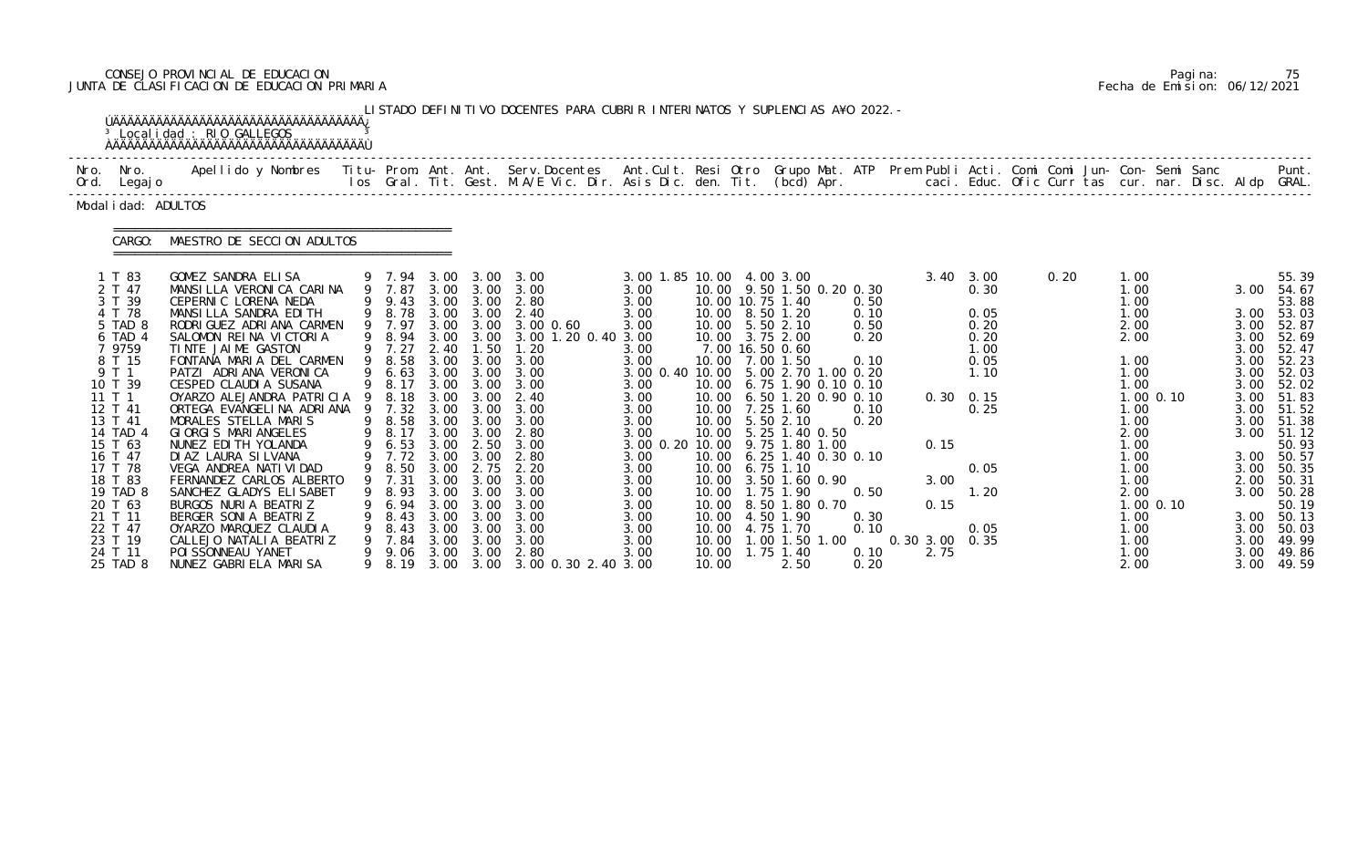# CONSEJO PROVINCIAL DE EDUCACION Pagina: 75 JUNTA DE CLASIFICACION DE EDUCACION PRIMARIA Fecha de Emision: 06/12/2021

|                                                                                                                                                                                                                                                                         | <sup>3</sup> Localidad : RIO GALLEGOS<br><b>AAAAAAAAAAAAAAAAAAAAAAAAAAAAAAAAAAAA</b>                                                                                                                                                                                                                                                                                                                                                                                                                                                                                                                                                                                |                                                                                                                                                                       |                                                                              |                                                                                           | LISTADO DEFINITIVO DOCENTES PARA CUBRIR INTERINATOS Y SUPLENCIAS A¥O 2022. -                                                                                                                                                                                                                                                                                                                                                            |                                                                                                                                                                                                                                                                    |                         |                                                                                                                                                                                                                                                                                                                                                        |                                                                                                                                                                                                                  |                                                |                                                                                                                                |      |                                                                                                                                                                              |                          |                                                                                      |                                                                                                                                                                                                                                                                                 |
|-------------------------------------------------------------------------------------------------------------------------------------------------------------------------------------------------------------------------------------------------------------------------|---------------------------------------------------------------------------------------------------------------------------------------------------------------------------------------------------------------------------------------------------------------------------------------------------------------------------------------------------------------------------------------------------------------------------------------------------------------------------------------------------------------------------------------------------------------------------------------------------------------------------------------------------------------------|-----------------------------------------------------------------------------------------------------------------------------------------------------------------------|------------------------------------------------------------------------------|-------------------------------------------------------------------------------------------|-----------------------------------------------------------------------------------------------------------------------------------------------------------------------------------------------------------------------------------------------------------------------------------------------------------------------------------------------------------------------------------------------------------------------------------------|--------------------------------------------------------------------------------------------------------------------------------------------------------------------------------------------------------------------------------------------------------------------|-------------------------|--------------------------------------------------------------------------------------------------------------------------------------------------------------------------------------------------------------------------------------------------------------------------------------------------------------------------------------------------------|------------------------------------------------------------------------------------------------------------------------------------------------------------------------------------------------------------------|------------------------------------------------|--------------------------------------------------------------------------------------------------------------------------------|------|------------------------------------------------------------------------------------------------------------------------------------------------------------------------------|--------------------------|--------------------------------------------------------------------------------------|---------------------------------------------------------------------------------------------------------------------------------------------------------------------------------------------------------------------------------------------------------------------------------|
| Nro. Nro.<br>Ord. Legajo                                                                                                                                                                                                                                                | Apellido y Nombres  Titu- Prom. Ant. Ant.  Serv.Docentes  Ant.Cult. Resi Otro  Grupo Mat. ATP  Prem Publi Acti. Comi Comi Jun- Con- Semi Sanc              Punt.<br>Ios Gral. Tit. Gest. M.A/E Vic. Dir. Asis Dic. den. Tit. (bcd                                                                                                                                                                                                                                                                                                                                                                                                                                   |                                                                                                                                                                       |                                                                              |                                                                                           |                                                                                                                                                                                                                                                                                                                                                                                                                                         |                                                                                                                                                                                                                                                                    |                         |                                                                                                                                                                                                                                                                                                                                                        |                                                                                                                                                                                                                  |                                                |                                                                                                                                |      |                                                                                                                                                                              |                          |                                                                                      |                                                                                                                                                                                                                                                                                 |
| Modal i dad: ADULTOS                                                                                                                                                                                                                                                    |                                                                                                                                                                                                                                                                                                                                                                                                                                                                                                                                                                                                                                                                     |                                                                                                                                                                       |                                                                              |                                                                                           |                                                                                                                                                                                                                                                                                                                                                                                                                                         |                                                                                                                                                                                                                                                                    |                         |                                                                                                                                                                                                                                                                                                                                                        |                                                                                                                                                                                                                  |                                                |                                                                                                                                |      |                                                                                                                                                                              |                          |                                                                                      |                                                                                                                                                                                                                                                                                 |
| CARGO:                                                                                                                                                                                                                                                                  | MAESTRO DE SECCION ADULTOS                                                                                                                                                                                                                                                                                                                                                                                                                                                                                                                                                                                                                                          |                                                                                                                                                                       |                                                                              |                                                                                           |                                                                                                                                                                                                                                                                                                                                                                                                                                         |                                                                                                                                                                                                                                                                    |                         |                                                                                                                                                                                                                                                                                                                                                        |                                                                                                                                                                                                                  |                                                |                                                                                                                                |      |                                                                                                                                                                              |                          |                                                                                      |                                                                                                                                                                                                                                                                                 |
| 1 T 83<br>2 T 47<br>3 T 39<br>4 T 78<br>5 TAD 8<br>6 TAD 4<br>7 9759<br>8 T 15<br>9 T 1<br>10 T 39<br>11T1<br>12 T 41<br>13 T 41<br>14 TAD 4<br>15 T 63<br>16 T 47<br>17 T 78<br>18 T 83<br>19 TAD 8<br>20 T 63<br>21 T 11<br>22 T 47<br>23 T 19<br>24 T 11<br>25 TAD 8 | GOMEZ SANDRA ELISA<br>MANSILLA VERONICA CARINA<br>CEPERNIC LORENA NEDA<br>MANSILLA SANDRA EDITH<br>RODRI GUEZ ADRI ANA CARMEN<br>SALOMON REINA VICTORIA<br>TINTE JAIME GASTON<br>FONTANA MARIA DEL CARMEN<br>PATZI ADRIANA VERONICA<br>CESPED CLAUDI A SUSANA<br>OYARZO ALEJANDRA PATRICIA 9 8.18<br>ORTEGA EVANGELINA ADRIANA<br>MORALES STELLA MARIS<br>GIORGIS MARIANGELES<br>NUNEZ EDI TH YOLANDA<br>DI AZ LAURA SI LVANA<br>VEGA ANDREA NATI VI DAD<br>FERNANDEZ CARLOS ALBERTO<br>SANCHEZ GLADYS ELISABET<br>BURGOS NURIA BEATRIZ<br>BERGER SONIA BEATRIZ<br>OYARZO MARQUEZ CLAUDIA<br>CALLEJO NATALIA BEATRIZ<br>POI SSONNEAU YANET<br>NUNEZ GABRIELA MARISA | 9 8.78<br>9 7.97<br>9 7.27<br>9 8.58<br>9 6.63<br>9 8.17<br>9 7.32<br>9 8.58<br>9 8.17<br>9 6.53<br>9 7.72 3.00 3.00<br>8.93<br>6. 94<br>8.43<br>8.43<br>7.84<br>9.06 | 2.40<br>3.00<br>3.00<br>3.00<br>3.00<br>3.00<br>3.00<br>3.00<br>3.00<br>3.00 | 1.50<br>3.00<br>3.00<br>$3.00 \quad 2.50$<br>3.00<br>3.00<br>3.00<br>3.00<br>3.00<br>3.00 | 9 7.94 3.00 3.00 3.00<br>9 7.87 3.00 3.00 3.00<br>9 9.43 3.00 3.00 2.80<br>3.00 3.00 2.40<br>3.00 3.00 3.00 0.60<br>9 8.94 3.00 3.00 3.00 1.20 0.40 3.00<br>1.20<br>3.00 3.00 3.00<br>3.00 3.00 3.00<br>$3.00 \quad 3.00$<br>3.00 3.00 2.40<br>3.00<br>3.00<br>3.00 3.00 2.80<br>3.00<br>2.80<br>9 8.50 3.00 2.75 2.20<br>9 7.31 3.00 3.00 3.00<br>3.00<br>3.00<br>3.00<br>3.00<br>3.00<br>2.80<br>9 8.19 3.00 3.00 3.00 0.30 2.40 3.00 | 3.00 1.85 10.00 4.00 3.00<br>3.00<br>3.00<br>3.00<br>3.00<br>3.00<br>3.00<br>3.00 0.40 10.00 5.00 2.70 1.00 0.20<br>3.00<br>3.00<br>3.00<br>3.00<br>3.00<br>3.00 0.20 10.00 9.75 1.80 1.00<br>3.00<br>3.00<br>3.00<br>3.00<br>3.00<br>3.00<br>3.00<br>3.00<br>3.00 | 10.00<br>10.00<br>10.00 | 10.00 10.75 1.40<br>10.00 8.50 1.20<br>10.00 5.50 2.10<br>10.00 3.75 2.00<br>7.00 16.50 0.60<br>10.00 7.00 1.50<br>10.00 7.25 1.60<br>10.00 5.50 2.10<br>10.00 5.25 1.40 0.50<br>10.00 6.75 1.10<br>10.00 3.50 1.60 0.90<br>10.00   1.75   1.90<br>10.00 8.50 1.80 0.70<br>10.00 4.50 1.90<br>10.00 4.75 1.70<br>$1.00$ 1.50 1.00<br>1.75 1.40<br>2.50 | 10.00 9.50 1.50 0.20 0.30<br>0.50<br>0.10<br>0.50<br>0.20<br>0.10<br>10.00 6.75 1.90 0.10 0.10<br>10.00 6.50 1.20 0.90 0.10<br>0.10<br>0.20<br>10.00 6.25 1.40 0.30 0.10<br>0.50<br>0.30<br>0.10<br>0.10<br>0.20 | 0.15<br>3.00<br>0.15<br>0.30 3.00 0.35<br>2.75 | $3.40 \quad 3.00$<br>0.30<br>0.05<br>0.20<br>0.20<br>1.00<br>0.05<br>1.10<br>$0.30 \quad 0.15$<br>0.25<br>0.05<br>1.20<br>0.05 | 0.20 | 1.00<br>1.00<br>1.00<br>1.00<br>2.00<br>2.00<br>1.00<br>1.00<br>1.00<br>1.00<br>1.00<br>2.00<br>1.00<br>1.00<br>1.00<br>1.00<br>2.00<br>1.00<br>1.00<br>1.00<br>1.00<br>2.00 | $1.00$ 0.10<br>1.00 0.10 | 3.00<br>3.00<br>3.00<br>3.00<br>3.00<br>3.00<br>3.00<br>3.00<br>3.00<br>3.00<br>3.00 | 55.39<br>3.00 54.67<br>53.88<br>3.00 53.03<br>52.87<br>52.69<br>52.47<br>52.23<br>52.03<br>52.02<br>51.83<br>3.00 51.52<br>51.38<br>3.00 51.12<br>50.93<br>3.00 50.57<br>3.00 50.35<br>2.00 50.31<br>3.00 50.28<br>50.19<br>3.00 50.13<br>50.03<br>49.99<br>49.86<br>3.00 49.59 |

|  | Pagi na: |                              |
|--|----------|------------------------------|
|  |          | Fecha de Emision: 06/12/2021 |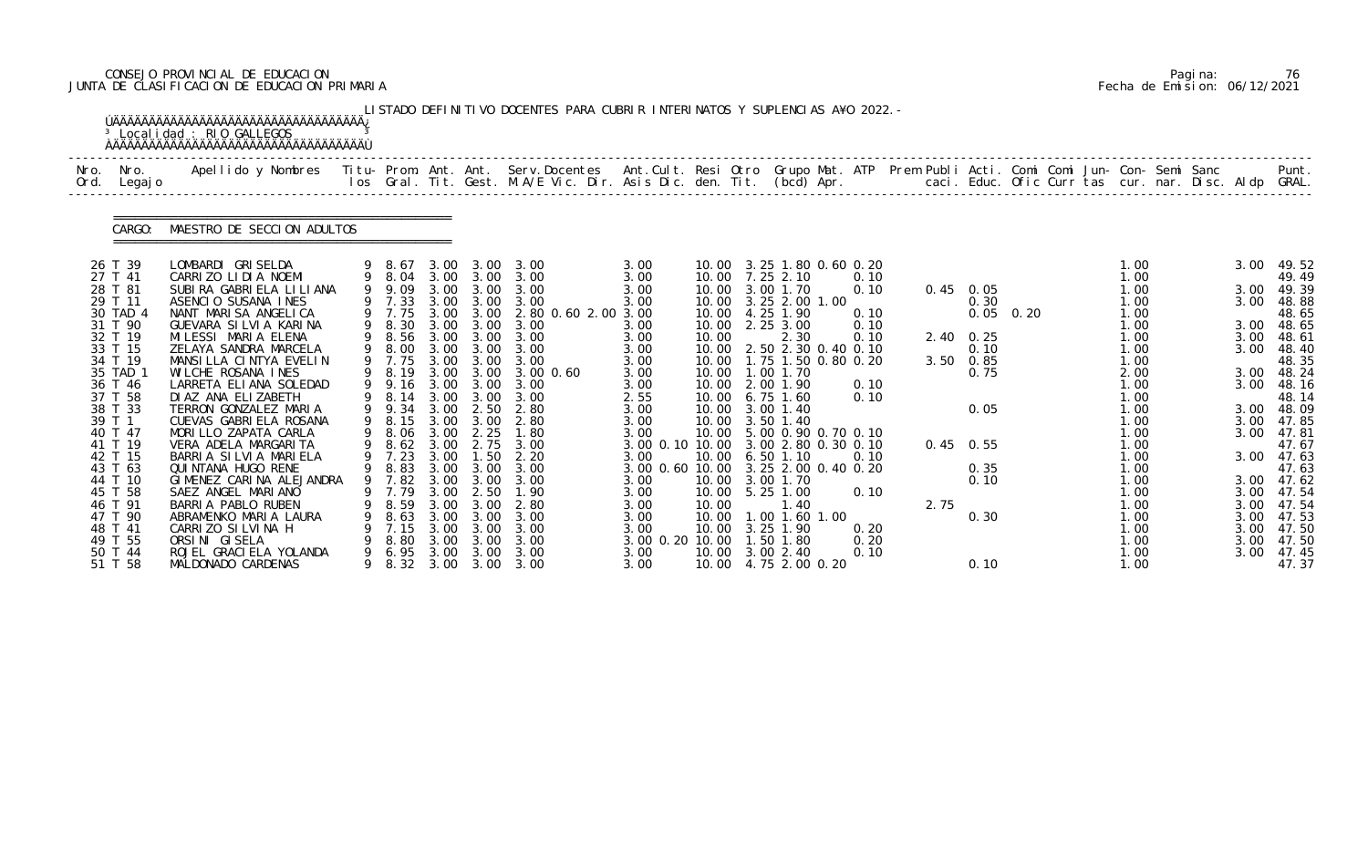# CONSEJO PROVINCIAL DE EDUCACION Pagina: 76 JUNTA DE CLASIFICACION DE EDUCACION PRIMARIA Fecha de Emision: 06/12/2021

|      |                     | <sup>3</sup> Localidad : RIO GALLEGOS                                                                                                                                                                                             |                  |              |              | LISTADO DEFINITIVO DOCENTES PARA CUBRIR INTERINATOS Y SUPLENCIAS A¥O 2022. - |                                     |                |                                    |              |      |                   |  |              |  |              |                     |
|------|---------------------|-----------------------------------------------------------------------------------------------------------------------------------------------------------------------------------------------------------------------------------|------------------|--------------|--------------|------------------------------------------------------------------------------|-------------------------------------|----------------|------------------------------------|--------------|------|-------------------|--|--------------|--|--------------|---------------------|
| Nro. | Nro.<br>Ord. Legajo | Apellido y Nombres - Titu- Prom. Ant. Ant. Serv.Docentes - Ant.Cult. Resi Otro Grupo Mat. ATP Prem Publi Acti. Comi Comi Jun- Con- Semi Sanc - - - Punt.<br>Ios Gral. Tit. Gest. M.A/E Vic. Dir. Asis Dic. den. Tit. (bcd) Apr. - |                  |              |              |                                                                              |                                     |                |                                    |              |      |                   |  |              |  |              |                     |
|      | CARGO:              | MAESTRO DE SECCION ADULTOS                                                                                                                                                                                                        |                  |              |              |                                                                              |                                     |                |                                    |              |      |                   |  |              |  |              |                     |
|      | 26 T 39             | LOMBARDI GRISELDA                                                                                                                                                                                                                 | 9 8.67           |              |              | 3.00 3.00 3.00                                                               | 3.00                                |                | 10.00 3.25 1.80 0.60 0.20          |              |      |                   |  | 1.00         |  | 3.00         | 49.52               |
|      | 27 T 41<br>28 T 81  | CARRIZO LIDIA NOEMI<br>SUBIRA GABRIELA LILIANA                                                                                                                                                                                    | 9 9.09           | 3.00         | 3.00         | 9 8.04 3.00 3.00 3.00<br>3.00                                                | 3.00<br>3.00                        |                | 10.00 7.25 2.10<br>10.00 3.00 1.70 | 0.10<br>0.10 |      | $0.45$ 0.05       |  | 1.00<br>1.00 |  | 3.00         | 49.49<br>49.39      |
|      | 29 T 11             | ASENCIO SUSANA INES                                                                                                                                                                                                               | 9 7.33           |              | 3.00 3.00    | 3.00                                                                         | 3.00                                |                | 10.00 3.25 2.00 1.00               |              |      | 0.30              |  | 1.00         |  | 3.00         | 48.88               |
|      | 30 TAD 4            | NANT MARISA ANGELICA                                                                                                                                                                                                              | 9 7.75           |              |              | 3.00 3.00 2.80 0.60 2.00 3.00                                                |                                     |                | 10.00 4.25 1.90                    | 0.10         |      | $0.05$ $0.20$     |  | 1.00         |  |              | 48.65               |
|      | 31 T 90             | GUEVARA SILVIA KARINA                                                                                                                                                                                                             | 9 8.30           | 3.00         | 3.00         | 3.00                                                                         | 3.00                                | 10.00          | 2.25 3.00                          | 0.10         |      |                   |  | 1.00         |  |              | 3.00 48.65          |
|      | 32 T 19             | MILESSI MARIA ELENA                                                                                                                                                                                                               | 9 8.56           |              | 3.00 3.00    | 3.00                                                                         | 3.00                                | 10.00          | 2.30                               | 0.10         |      | $2.40 \quad 0.25$ |  | 1.00         |  | 3.00         | 48.61               |
|      | 33 T 15             | ZELAYA SANDRA MARCELA                                                                                                                                                                                                             | 9 8.00           |              | 3.00 3.00    | 3.00                                                                         | 3.00                                |                | 10.00 2.50 2.30 0.40 0.10          |              |      | 0.10              |  | 1.00         |  | 3.00         | 48.40               |
|      | 34 T 19             | MANSILLA CINTYA EVELIN<br>WILCHE ROSANA INES                                                                                                                                                                                      | 9 7.75           | 3.00         | 3.00         | 3.00                                                                         | 3.00                                |                | 10.00  1.75  1.50  0.80  0.20      |              |      | $3.50\quad 0.85$  |  | 1.00<br>2.00 |  |              | 48.35               |
|      | 35 TAD 1<br>36 T 46 | LARRETA ELIANA SOLEDAD                                                                                                                                                                                                            | 9 8.19<br>9 9.16 |              | 3.00 3.00    | 3.00 3.00 3.00 0.60<br>3.00                                                  | 3.00<br>3.00                        | 10.00          | 1.00 1.70<br>10.00 2.00 1.90       | 0.10         |      | 0.75              |  | 1.00         |  | 3.00         | 3.00 48.24<br>48.16 |
|      | 37 T 58             | DI AZ ANA ELIZABETH                                                                                                                                                                                                               | 9 8.14           | 3.00         | 3.00         | 3.00                                                                         | 2.55                                |                | 10.00 6.75 1.60                    | 0.10         |      |                   |  | 1.00         |  |              | 48.14               |
|      | 38 T 33             | TERRON GONZALEZ MARIA                                                                                                                                                                                                             | 9 9.34           | 3.00         | 2.50         | 2.80                                                                         | 3.00                                |                | 10.00 3.00 1.40                    |              |      | 0.05              |  | 1.00         |  |              | 3.00 48.09          |
|      | 39 T 1              | CUEVAS GABRIELA ROSANA                                                                                                                                                                                                            | 9 8.15           |              | 3.00 3.00    | 2.80                                                                         | 3.00                                |                | 10.00 3.50 1.40                    |              |      |                   |  | 1.00         |  | 3.00         | 47.85               |
|      | 40 T 47             | MORILLO ZAPATA CARLA                                                                                                                                                                                                              | 8.06             | 3.00         | 2.25         | 1.80                                                                         | 3.00                                |                | 10.00 5.00 0.90 0.70 0.10          |              |      |                   |  | 1.00         |  | 3.00         | 47.81               |
|      | 41 T 19             | VERA ADELA MARGARITA                                                                                                                                                                                                              | 9 8.62           |              | 3.00 2.75    | 3.00                                                                         | 3.00 0.10 10.00 3.00 2.80 0.30 0.10 |                |                                    |              |      | $0.45$ 0.55       |  | 1.00         |  |              | 47.67               |
|      | 42 T 15             | BARRIA SILVIA MARIELA                                                                                                                                                                                                             | 9 7.23           | 3.00         | 1.50         | 2.20                                                                         | 3.00                                |                | 10.00 6.50 1.10                    | 0.10         |      |                   |  | 1.00         |  | 3.00         | 47.63               |
|      | 43 T 63             | QUI NTANA HUGO RENE                                                                                                                                                                                                               | 9 8.83           | 3.00         | 3.00         | 3.00                                                                         | 3.00 0.60 10.00 3.25 2.00 0.40 0.20 |                |                                    |              |      | 0.35              |  | 1.00         |  |              | 47.63               |
|      | 44 T 10             | GIMENEZ CARINA ALEJANDRA                                                                                                                                                                                                          |                  |              |              | 9 7.82 3.00 3.00 3.00                                                        | 3.00                                |                | 10.00 3.00 1.70                    |              |      | 0.10              |  | 1.00         |  |              | 3.00 47.62          |
|      | 45 T 58             | SAEZ ANGEL MARIANO                                                                                                                                                                                                                | 7.79             | 3.00         | 2.50         | 1.90                                                                         | 3.00                                | 10.00          | 5.25 1.00                          | 0.10         |      |                   |  | 1.00         |  | 3.00         | 47.54               |
|      | 46 T 91<br>47 T 90  | BARRIA PABLO RUBEN<br>ABRAMENKO MARIA LAURA                                                                                                                                                                                       | 8.59<br>8.63     | 3.00<br>3.00 | 3.00<br>3.00 | 2.80<br>3.00                                                                 | 3.00<br>3.00                        | 10.00<br>10.00 | 1.40<br>1.00 1.60 1.00             |              | 2.75 | 0.30              |  | 1.00<br>1.00 |  | 3.00<br>3.00 | 47.54<br>47.53      |
|      | 48 T 41             | CARRIZO SILVINA H                                                                                                                                                                                                                 | 7.15             | 3.00         | 3.00         | 3.00                                                                         | 3.00                                | 10.00          | 3.25 1.90                          | 0.20         |      |                   |  | 1.00         |  | 3.00         | 47.50               |
|      | 49 T 55             | ORSINI GISELA                                                                                                                                                                                                                     | 8.80             | 3.00         | 3.00         | 3.00                                                                         | 3.00 0.20 10.00                     |                | $.50$ 1.80                         | 0.20         |      |                   |  | 1.00         |  | 3.00         | 47.50               |
|      | 50 T 44             | ROJEL GRACI ELA YOLANDA                                                                                                                                                                                                           | 6.95             | 3.00         | 3.00         | 3.00                                                                         | 3.00                                | 10.00          | 3.00 2.40                          | 0.10         |      |                   |  | 1.00         |  | 3.00         | 47.45               |
|      | 51 T 58             | MALDONADO CARDENAS                                                                                                                                                                                                                | 8.32             | 3.00         | 3.00         | 3.00                                                                         | 3.00                                |                | 10.00 4.75 2.00 0.20               |              |      | 0.10              |  | 1.00         |  |              | 47.37               |

|  | Pagi na: | 76                           |
|--|----------|------------------------------|
|  |          | Fecha de Emision: 06/12/2021 |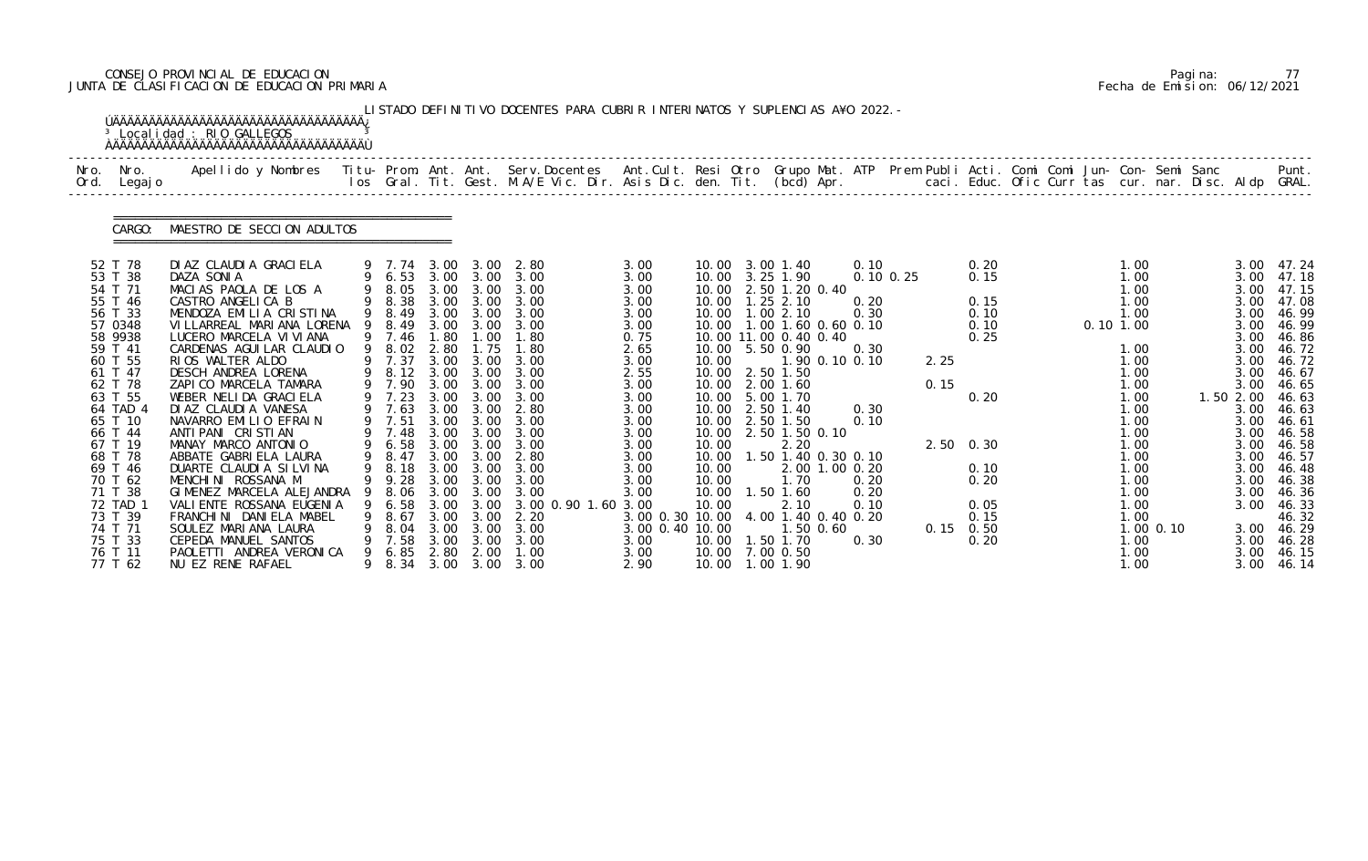# CONSEJO PROVINCIAL DE EDUCACION Pagina: 77 JUNTA DE CLASIFICACION DE EDUCACION PRIMARIA Fecha de Emision: 06/12/2021

|      |                     | <sup>3</sup> Localidad : RIO GALLEGOS                                                                                                    |     |                  |              |                   | LISTADO DEFINITIVO DOCENTES PARA CUBRIR INTERINATOS Y SUPLENCIAS A¥O 2022. -                                                     |                                                        |                |                   |                       |                               |      |                     |  |          |              |                |              |                     |
|------|---------------------|------------------------------------------------------------------------------------------------------------------------------------------|-----|------------------|--------------|-------------------|----------------------------------------------------------------------------------------------------------------------------------|--------------------------------------------------------|----------------|-------------------|-----------------------|-------------------------------|------|---------------------|--|----------|--------------|----------------|--------------|---------------------|
| Nro. | Nro.<br>Ord. Legajo | Apellido y Nombres Titu- Prom. Ant. Ant. Serv.Docentes Ant.Cult. Resi Otro Grupo Mat. ATP Prem Publi Acti. Comi Comi Jun- Con- Semi Sanc |     |                  |              |                   | los Gral. Tit. Gest. M.A/E Vic. Dir. Asis Dic. den. Tit. (bcd) Apr.         caci. Educ. Ofic Curr tas cur. nar. Disc. Aldp GRAL. |                                                        |                |                   |                       |                               |      |                     |  |          |              |                |              | Punt.               |
|      | CARGO:              | MAESTRO DE SECCION ADULTOS                                                                                                               |     |                  |              |                   |                                                                                                                                  |                                                        |                |                   |                       |                               |      |                     |  |          |              |                |              |                     |
|      | 52 T 78             | DI AZ CLAUDI A GRACI ELA                                                                                                                 |     |                  |              |                   | 9 7.74 3.00 3.00 2.80                                                                                                            | 3.00                                                   |                | 10.00 3.00 1.40   |                       | 0.10                          |      | 0.20                |  |          | 1.00         |                |              | 3.00 47.24          |
|      | 53 T 38<br>54 T 71  | DAZA SONIA<br>MACIAS PAOLA DE LOS A                                                                                                      |     | 9 8.05 3.00      |              | 3.00              | 9 6.53 3.00 3.00 3.00<br>3.00                                                                                                    | 3.00<br>3.00                                           |                | 10.00 3.25 1.90   | 10.00 2.50 1.20 0.40  | $0.10 \, 0.25$                |      | 0.15                |  |          | 1.00<br>1.00 |                | 3.00<br>3.00 | 47.18<br>47.15      |
|      | 55 T 46             | CASTRO ANGELICA B                                                                                                                        |     | 9 8.38           |              | $3.00\quad 3.00$  | 3.00                                                                                                                             | 3.00                                                   |                | 10.00  1.25  2.10 |                       | 0.20                          |      | 0.15                |  |          | 1.00         |                | 3.00         | 47.08               |
|      | 56 T 33             | MENDOZA EMILIA CRISTINA                                                                                                                  |     | 9 8.49           |              |                   | 3.00 3.00 3.00                                                                                                                   | 3.00                                                   |                | 10.00  1.00  2.10 |                       | 0.30                          |      | 0.10                |  |          | 1.00         |                | 3.00         | 46.99               |
|      | 57 0348             | VI LLARREAL MARI ANA LORENA                                                                                                              | - 9 | 8.49             | 3.00         | 3.00              | 3.00                                                                                                                             | 3.00                                                   |                |                   |                       | 10.00  1.00  1.60  0.60  0.10 |      | 0.10                |  | 0.101.00 |              |                | 3.00         | 46.99               |
|      | 58 9938             | LUCERO MARCELA VI VI ANA                                                                                                                 |     | 9 7.46           | 1.80         | 1.00              | 1.80                                                                                                                             | 0.75                                                   |                |                   | 10.00 11.00 0.40 0.40 |                               |      | 0.25                |  |          |              |                | 3.00         | 46.86               |
|      | 59 T 41<br>60 T 55  | CARDENAS AGUI LAR CLAUDIO<br>RIOS WALTER ALDO                                                                                            |     | 9 8.02<br>9 7.37 | 2.80<br>3.00 | 1.75<br>3.00      | 1.80<br>3.00                                                                                                                     | 2.65<br>3.00                                           | 10.00          | 10.00 5.50 0.90   |                       | 0.30<br>1.90 0.10 0.10        | 2.25 |                     |  |          | 1.00<br>1.00 |                | 3.00<br>3.00 | 46.72<br>46.72      |
|      | 61 T 47             | DESCH ANDREA LORENA                                                                                                                      |     | 9 8.12           | 3.00         | 3.00              | 3.00                                                                                                                             | 2.55                                                   |                | 10.00 2.50 1.50   |                       |                               |      |                     |  |          | 1.00         |                | 3.00         | 46.67               |
|      | 62 T 78             | ZAPICO MARCELA TAMARA                                                                                                                    |     | 9 7.90           |              | 3.00 3.00         | 3.00                                                                                                                             | 3.00                                                   |                | 10.00 2.00 1.60   |                       |                               | 0.15 |                     |  |          | 1.00         |                | 3.00         | 46.65               |
|      | 63 T 55             | WEBER NELIDA GRACIELA                                                                                                                    |     | 9 7.23           | 3.00         | 3.00              | 3.00                                                                                                                             | 3.00                                                   | 10.00          | 5.00 1.70         |                       |                               |      | 0.20                |  |          | 1.00         |                | 1.50 2.00    | 46.63               |
|      | 64 TAD 4            | DI AZ CLAUDI A VANESA                                                                                                                    |     | 9 7.63           | 3.00         | 3.00              | 2.80                                                                                                                             | 3.00                                                   |                | 10.00 2.50 1.40   |                       | 0.30                          |      |                     |  |          | 1.00         |                | 3.00         | 46.63               |
|      | 65 T 10             | NAVARRO EMILIO EFRAIN                                                                                                                    |     | 9 7.51           |              | 3.00 3.00         | 3.00                                                                                                                             | 3.00                                                   |                | 10.00 2.50 1.50   |                       | 0.10                          |      |                     |  |          | 1.00         |                | 3.00         | 46.61               |
|      | 66 T 44<br>67 T 19  | ANTI PANI CRISTIAN<br>MANAY MARCO ANTONIO                                                                                                | 9   | 9 7.48<br>6.58   | 3.00<br>3.00 | 3.00<br>3.00      | 3.00<br>3.00                                                                                                                     | 3.00<br>3.00                                           | 10.00<br>10.00 | 2.20              | 2.50 1.50 0.10        |                               |      | $2.50 \t 0.30$      |  |          | 1.00<br>1.00 |                | 3.00<br>3.00 | 46.58<br>46.58      |
|      | 68 T 78             | ABBATE GABRIELA LAURA                                                                                                                    |     | 9 8.47           |              |                   | 3.00 3.00 2.80                                                                                                                   | 3.00                                                   | 10.00          |                   |                       | 1.50 1.40 0.30 0.10           |      |                     |  |          | 1.00         |                | 3.00         | 46.57               |
|      | 69 T 46             | DUARTE CLAUDI A SI LVI NA                                                                                                                |     | 9 8.18           | 3.00         | 3.00              | 3.00                                                                                                                             | 3.00                                                   | 10.00          |                   |                       | 2.00 1.00 0.20                |      | 0.10                |  |          | 1.00         |                | 3.00         | 46.48               |
|      | 70 T 62             | MENCHINI ROSSANA M                                                                                                                       |     | 9 9.28           |              | 3.00 3.00         | 3.00                                                                                                                             | 3.00                                                   | 10.00          | 1.70              |                       | 0.20                          |      | 0.20                |  |          | 1.00         |                |              | 3.00 46.38          |
|      | 71 T 38             | GIMENEZ MARCELA ALEJANDRA                                                                                                                |     | 8.06             | 3.00         | 3.00              | 3.00                                                                                                                             | 3.00                                                   | 10.00          | 1.50 1.60         |                       | 0.20                          |      |                     |  |          | 1.00         |                |              | 3.00 46.36          |
|      | 72 TAD 1            | VALI ENTE ROSSANA EUGENIA                                                                                                                |     | 6. 58            | 3.00         | 3.00              | 3.00 0.90 1.60 3.00                                                                                                              |                                                        | 10.00          | 2.10              |                       | 0.10                          |      | 0.05                |  |          | 1.00         |                | 3.00         | 46.33               |
|      | 73 T 39<br>74 T 71  | FRANCHINI DANIELA MABEL<br>SOULEZ MARIANA LAURA                                                                                          |     | 9 8.67           | 3.00         | 3.00<br>3.00 3.00 | 2.20<br>3.00                                                                                                                     | 3.00 0.30 10.00 4.00 1.40 0.40 0.20<br>3.00 0.40 10.00 |                |                   | 1.50 0.60             |                               |      | 0.15                |  |          | 1.00         |                |              | 46.32<br>3.00 46.29 |
|      | 75 T 33             | CEPEDA MANUEL SANTOS                                                                                                                     |     | 8. 04<br>7.58    | 3.00         | 3.00              | 3.00                                                                                                                             | 3.00                                                   |                | 10.00  1.50  1.70 |                       | 0.30                          |      | $0.15$ 0.50<br>0.20 |  |          | 1.00         | $1.00 \, 0.10$ | 3.00         | 46.28               |
|      | 76 T 11             | PAOLETTI ANDREA VERONICA                                                                                                                 |     | 6. 85            | 2.80         | 2.00              | 1.00                                                                                                                             | 3.00                                                   |                | 10.00 7.00 0.50   |                       |                               |      |                     |  |          | 1.00         |                |              | 3.00 46.15          |
|      | 77 T 62             | NU EZ RENE RAFAEL                                                                                                                        |     |                  |              |                   | 9 8.34 3.00 3.00 3.00                                                                                                            | 2.90                                                   |                | 10.00  1.00  1.90 |                       |                               |      |                     |  |          | 1.00         |                |              | 3.00 46.14          |

|  | Pagi na: | 77                           |
|--|----------|------------------------------|
|  |          | Fecha de Emision: 06/12/2021 |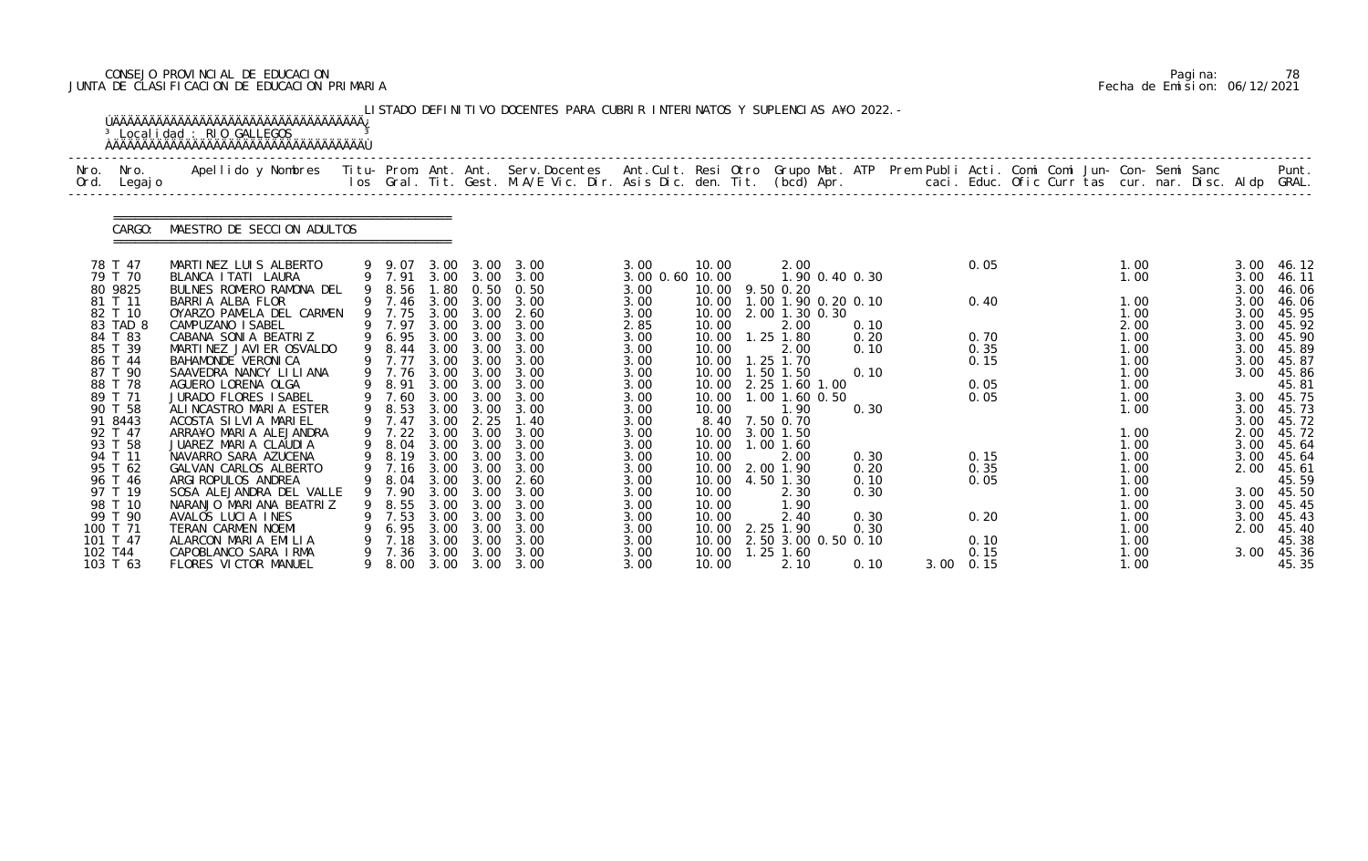# CONSEJO PROVINCIAL DE EDUCACION Pagina: 78 JUNTA DE CLASIFICACION DE EDUCACION PRIMARIA Fecha de Emision: 06/12/2021

|              |                      | <sup>3</sup> Localidad : RIO GALLEGOS                                                                                                                                                                                           |    |                            |              |                   | LISTADO DEFINITIVO DOCENTES PARA CUBRIR INTERINATOS Y SUPLENCIAS A¥O 2022. - |                         |                          |                        |                             |  |              |  |              |  |              |                 |
|--------------|----------------------|---------------------------------------------------------------------------------------------------------------------------------------------------------------------------------------------------------------------------------|----|----------------------------|--------------|-------------------|------------------------------------------------------------------------------|-------------------------|--------------------------|------------------------|-----------------------------|--|--------------|--|--------------|--|--------------|-----------------|
| Nro.<br>Ord. | Nro.<br>Legaj o      | Apellido y Nombres  Titu- Prom. Ant. Ant. Serv.Docentes  Ant.Cult. Resi Otro Grupo Mat. ATP Prem Publi Acti. Comi Comi Jun- Con- Semi Sanc         Punt.<br>Ios Gral. Tit. Gest. M.A/E Vic. Dir. Asis Dic. den. Tit. (bcd) Apr. |    |                            |              |                   |                                                                              |                         |                          |                        |                             |  |              |  |              |  |              |                 |
|              | CARGO:               | MAESTRO DE SECCION ADULTOS                                                                                                                                                                                                      |    |                            |              |                   |                                                                              |                         |                          |                        |                             |  |              |  |              |  |              |                 |
|              | 78 T 47<br>79 T 70   | MARTINEZ LUIS ALBERTO<br>BLANCA I TATI LAURA                                                                                                                                                                                    |    | 9 9.07<br>9 7.91           |              |                   | 3.00 3.00 3.00<br>3.00 3.00 3.00                                             | 3.00<br>3.00 0.60 10.00 | 10.00                    | 2.00                   | 1.90 0.40 0.30              |  | 0.05         |  | 1.00<br>1.00 |  | 3.00<br>3.00 | -46.12<br>46.11 |
|              | 80 9825              | BULNES ROMERO RAMONA DEL                                                                                                                                                                                                        |    | 9 8.56                     | 1.80         |                   | $0.50 \quad 0.50$                                                            | 3.00                    |                          | 10.00 9.50 0.20        |                             |  |              |  |              |  | 3.00         | 46.06           |
|              | 81 T 11<br>82 T 10   | BARRIA ALBA FLOR<br>OYARZO PAMELA DEL CARMEN                                                                                                                                                                                    |    | 9 7.46<br>9 7.75           | 3.00         | 3.00<br>3.00 3.00 | 3.00<br>2.60                                                                 | 3.00<br>3.00            | 10.00                    | 2.00 1.30 0.30         | 10.00 1.00 1.90 0.20 0.10   |  | 0.40         |  | 1.00<br>1.00 |  | 3.00<br>3.00 | 46.06<br>45.95  |
|              | 83 TAD 8             | CAMPUZANO I SABEL                                                                                                                                                                                                               |    | 9 7.97                     | 3.00         | 3.00              | 3.00                                                                         | 2.85                    | 10.00                    | 2.00                   | 0.10                        |  |              |  | 2.00         |  | 3.00         | 45.92           |
|              | 84 T 83              | CABANA SONIA BEATRIZ                                                                                                                                                                                                            |    | 9 6.95                     | 3.00         | 3.00              | 3.00                                                                         | 3.00                    | 10.00                    | $1.25$ 1.80            | 0.20                        |  | 0.70         |  | 1.00         |  | 3.00         | 45.90           |
|              | 85 T 39<br>86 T 44   | MARTINEZ JAVIER OSVALDO<br>BAHAMONDE VERONICA                                                                                                                                                                                   |    | 9 8.44<br>9 7.77           | 3.00         | 3.00 3.00<br>3.00 | 3.00<br>3.00                                                                 | 3.00<br>3.00            | 10.00<br>10.00           | 2.00<br>1.25 1.70      | 0.10                        |  | 0.35<br>0.15 |  | 1.00<br>1.00 |  | 3.00<br>3.00 | 45.89<br>45.87  |
|              | 87 T 90              | SAAVEDRA NANCY LILIANA                                                                                                                                                                                                          |    | 9 7.76                     | 3.00         | 3.00              | 3.00                                                                         | 3.00                    | 10.00                    | $1.50$ $1.50$          | 0.10                        |  |              |  | 1.00         |  | 3.00         | 45.86           |
|              | 88 T 78              | AGUERO LORENA OLGA                                                                                                                                                                                                              |    | 9 8.91                     |              | 3.00 3.00         | 3.00                                                                         | 3.00                    |                          | 10.00 2.25 1.60 1.00   |                             |  | 0.05         |  | 1.00         |  |              | 45.81           |
|              | 89 T 71              | JURADO FLORES ISABEL                                                                                                                                                                                                            |    | 9 7.60                     | 3.00         | 3.00              | 3.00                                                                         | 3.00                    | 10.00                    | 1.00 1.60 0.50         |                             |  | 0.05         |  | 1.00         |  | 3.00         | 45.75           |
|              | 90 T 58<br>91 8443   | ALINCASTRO MARIA ESTER<br>ACOSTA SILVIA MARIEL                                                                                                                                                                                  |    | 9 8.53<br>9 7.47           | 3.00<br>3.00 | 3.00<br>2.25      | 3.00<br>1.40                                                                 | 3.00<br>3.00            | 10.00                    | 1.90<br>8.40 7.50 0.70 | 0.30                        |  |              |  | 1.00         |  | 3.00<br>3.00 | 45.73<br>45.72  |
|              | 92 T 47              | ARRA¥O MARIA ALEJANDRA                                                                                                                                                                                                          |    | $9$ 7.22                   | 3.00         | 3.00              | 3.00                                                                         | 3.00                    | 10.00                    | 3.00 1.50              |                             |  |              |  | 1.00         |  | 2.00         | 45.72           |
|              | 93 T 58              | JUAREZ MARIA CLAUDIA                                                                                                                                                                                                            |    | 9 8.04                     | 3.00         | 3.00              | 3.00                                                                         | 3.00                    | 10.00                    | $1.00$ $1.60$          |                             |  |              |  | 1.00         |  | 3.00         | 45.64           |
|              | 94 T 11              | NAVARRO SARA AZUCENA                                                                                                                                                                                                            |    |                            |              |                   | 9 8.19 3.00 3.00 3.00                                                        | 3.00                    | 10.00                    | 2.00                   | 0.30                        |  | 0.15         |  | 1.00         |  | 3.00         | 45.64           |
|              | 95 T 62<br>96 T 46   | GALVAN CARLOS ALBERTO<br>ARGI ROPULOS ANDREA                                                                                                                                                                                    |    | 9 7.16<br>9 8.04 3.00 3.00 | 3.00         | 3.00              | 3.00<br>2.60                                                                 | 3.00<br>3.00            | 10.00<br>10.00 4.50 1.30 | 2.00 1.90              | 0.20<br>0.10                |  | 0.35<br>0.05 |  | 1.00<br>1.00 |  | 2.00         | 45.61<br>45.59  |
|              | 97 T 19              | SOSA ALEJANDRA DEL VALLE                                                                                                                                                                                                        | 9  | 7.90                       | 3.00         | 3.00              | 3.00                                                                         | 3.00                    | 10.00                    | 2.30                   | 0.30                        |  |              |  | 1.00         |  | 3.00         | 45.50           |
|              | 98 T 10              | NARANJO MARIANA BEATRIZ                                                                                                                                                                                                         |    | 8.55                       | 3.00         | 3.00              | 3.00                                                                         | 3.00                    | 10.00                    | 1.90                   |                             |  |              |  | 1.00         |  | 3.00         | 45.45           |
|              | 99 T 90              | AVALOS LUCIA INES                                                                                                                                                                                                               |    | 7.53                       | 3.00         | 3.00              | 3.00                                                                         | 3.00                    | 10.00                    | 2.40                   | 0.30                        |  | 0.20         |  | 1.00         |  | 3.00         | 45.43           |
|              | 100 T 71<br>101 T 47 | TERAN CARMEN NOEMI<br>ALARCON MARIA EMILIA                                                                                                                                                                                      |    | 6.95<br>7.18               | 3.00<br>3.00 | 3.00<br>3.00      | 3.00<br>3.00                                                                 | 3.00<br>3.00            | 10.00<br>10.00           | 2.25 1.90              | 0.30<br>2.50 3.00 0.50 0.10 |  | 0.10         |  | 1.00<br>1.00 |  | 2.00         | 45.40<br>45.38  |
|              | 102 T44              | CAPOBLANCO SARA IRMA                                                                                                                                                                                                            | 9. | 7.36                       | 3.00         | 3.00              | 3.00                                                                         | 3.00                    | 10.00                    | $1.25$ $1.60$          |                             |  | 0.15         |  | 1.00         |  | 3.00         | 45.36           |
|              | 103 T 63             | FLORES VICTOR MANUEL                                                                                                                                                                                                            |    | 9 8.00                     |              |                   | 3.00 3.00 3.00                                                               | 3.00                    | 10.00                    | 2.10                   | 0.10                        |  | 3.00 0.15    |  | 1.00         |  |              | 45.35           |

|  | Pagi na: | 78                           |
|--|----------|------------------------------|
|  |          | Fecha de Emision: 06/12/2021 |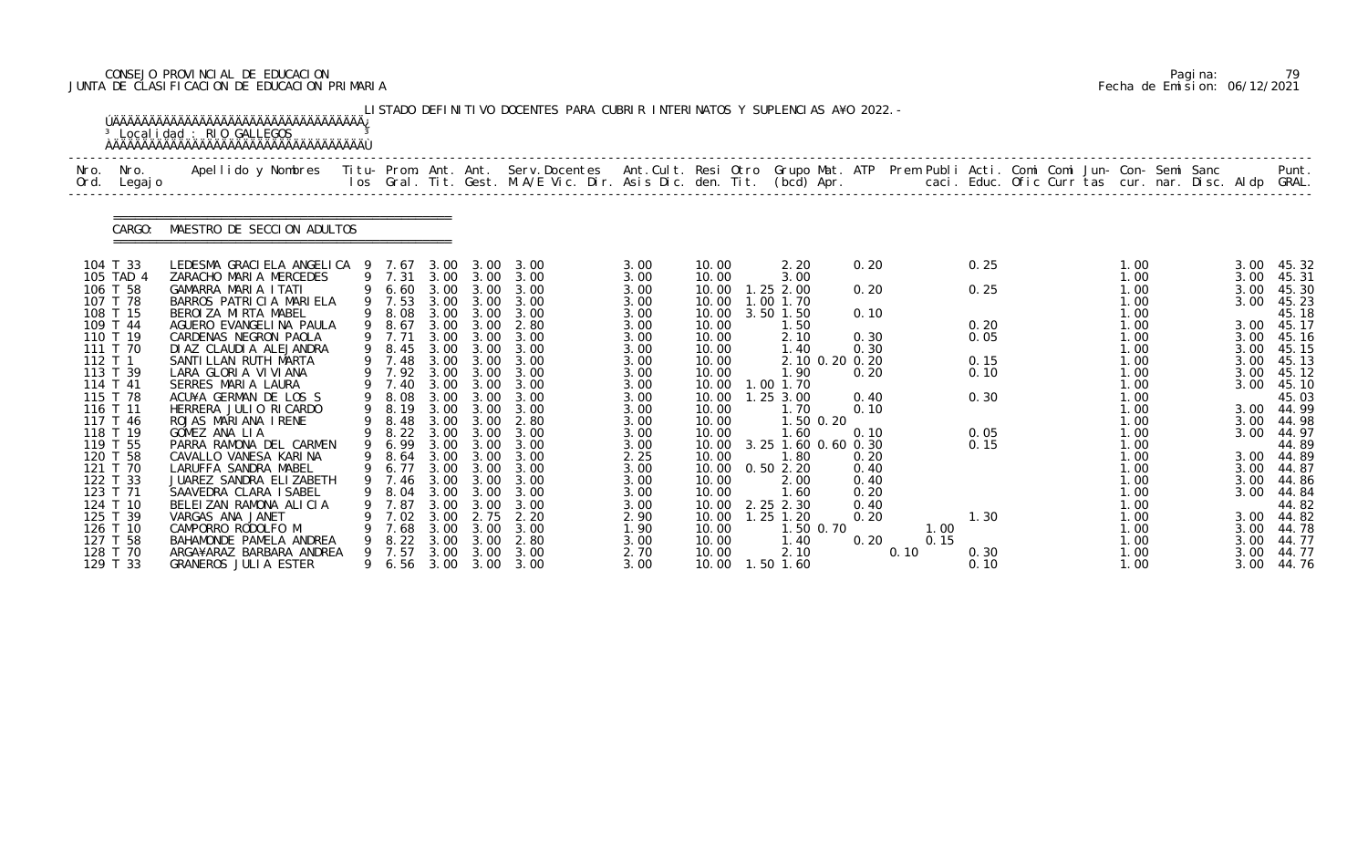# CONSEJO PROVINCIAL DE EDUCACION Pagina: 79 JUNTA DE CLASIFICACION DE EDUCACION PRIMARIA Fecha de Emision: 06/12/2021

|         |                      | <sup>3</sup> Localidad : RIO GALLEGOS<br><b>AAAAAAAAAAAAAAAAAAAAAAAAAAAAAAAAAAAA</b>                                                           |                  |      |                   | LISTADO DEFINITIVO DOCENTES PARA CUBRIR INTERINATOS Y SUPLENCIAS A¥O 2022. -                                                    |              |                |                            |      |      |              |  |              |  |      |                     |
|---------|----------------------|------------------------------------------------------------------------------------------------------------------------------------------------|------------------|------|-------------------|---------------------------------------------------------------------------------------------------------------------------------|--------------|----------------|----------------------------|------|------|--------------|--|--------------|--|------|---------------------|
| Ord.    | Nro. Nro.<br>Legaj o | Apellido y Nombres - Titu- Prom. Ant. Ant. Serv.Docentes - Ant.Cult. Resi Otro Grupo Mat. ATP - Prem Publi Acti. Comi Comi Jun- Con- Semi Sanc |                  |      |                   | los Gral. Tit. Gest. M.A/E Vic. Dir. Asis Dic. den. Tit. (bcd) Apr.        caci. Educ. Ofic Curr tas cur. nar. Disc. Aldp GRAL. |              |                |                            |      |      |              |  |              |  |      | Punt.               |
|         | CARGO:               | MAESTRO DE SECCION ADULTOS                                                                                                                     |                  |      |                   |                                                                                                                                 |              |                |                            |      |      |              |  |              |  |      |                     |
|         | 104 T 33             | LEDESMA GRACI ELA ANGELICA 9 7.67 3.00 3.00 3.00                                                                                               |                  |      |                   |                                                                                                                                 | 3.00         | 10.00          | 2.20                       | 0.20 |      | 0.25         |  | 1.00         |  | 3.00 | 45.32               |
|         | 105 TAD 4            | ZARACHO MARIA MERCEDES                                                                                                                         | 9 7.31           |      | 3.00 3.00         | 3.00                                                                                                                            | 3.00         | 10.00          | 3.00                       |      |      |              |  | 1.00         |  | 3.00 | 45.31               |
|         | 106 T 58             | GAMARRA MARIA ITATI                                                                                                                            |                  |      |                   | 9 6.60 3.00 3.00 3.00                                                                                                           | 3.00         | 10.00          | $1.25$ $2.00$              | 0.20 |      | 0.25         |  | 1.00         |  | 3.00 | 45.30               |
|         | 107 T 78<br>108 T 15 | BARROS PATRICIA MARIELA<br>BEROI ZA MI RTA MABEL                                                                                               | 9 7.53<br>9 8.08 |      |                   | 3.00 3.00 3.00<br>3.00 3.00 3.00                                                                                                | 3.00<br>3.00 | 10.00<br>10.00 | 1.00 1.70<br>$3.50$ $1.50$ | 0.10 |      |              |  | 1.00<br>1.00 |  | 3.00 | 45.23<br>45.18      |
|         | 109 T 44             | AGUERO EVANGELINA PAULA                                                                                                                        | 9 8.67           |      |                   | 3.00 3.00 2.80                                                                                                                  | 3.00         | 10.00          | 1.50                       |      |      | 0.20         |  | 1.00         |  |      | 3.00 45.17          |
|         | 110 T 19             | CARDENAS NEGRON PAOLA                                                                                                                          | 9 7.71           |      | $3.00 \quad 3.00$ | 3.00                                                                                                                            | 3.00         | 10.00          | 2.10                       | 0.30 |      | 0.05         |  | 1.00         |  |      | 3.00 45.16          |
|         | 111 T 70             | DI AZ CLAUDI A ALEJANDRA                                                                                                                       | 9 8.45           | 3.00 | 3.00              | 3.00                                                                                                                            | 3.00         | 10.00          | 1.40                       | 0.30 |      |              |  | 1.00         |  | 3.00 | 45.15               |
| 112 T 1 |                      | SANTI LLAN RUTH MARTA                                                                                                                          | 9 7.48           |      |                   | 3.00 3.00 3.00                                                                                                                  | 3.00         | 10.00          | 2.10 0.20 0.20             |      |      | 0.15         |  | 1.00         |  | 3.00 | 45.13               |
|         | 113 T 39             | LARA GLORIA VIVIANA                                                                                                                            | 9 7.92 3.00 3.00 |      |                   | 3.00                                                                                                                            | 3.00         | 10.00          | 1.90                       | 0.20 |      | 0.10         |  | 1.00         |  | 3.00 | 45.12               |
|         | 114 T 41             | SERRES MARIA LAURA                                                                                                                             | 9 7.40           | 3.00 | 3.00              | 3.00                                                                                                                            | 3.00         | 10.00          | 1.00 1.70                  |      |      |              |  | 1.00         |  | 3.00 | 45.10               |
|         | 115 T 78             | ACU¥A GERMAN DE LOS S                                                                                                                          |                  |      |                   | 9 8.08 3.00 3.00 3.00                                                                                                           | 3.00         |                | 10.00  1.25  3.00          | 0.40 |      | 0.30         |  | 1.00         |  |      | 45.03               |
|         | 116 T 11             | HERRERA JULIO RICARDO                                                                                                                          | 9 8.19           | 3.00 | 3.00              | 3.00                                                                                                                            | 3.00         | 10.00          | 1.70                       | 0.10 |      |              |  | 1.00         |  |      | 3.00 44.99          |
|         | 117 T 46             | ROJAS MARIANA IRENE                                                                                                                            | 9 8.48           | 3.00 | 3.00              | 2.80                                                                                                                            | 3.00         | 10.00          | 1.50 0.20                  |      |      |              |  | 1.00         |  | 3.00 | 44.98               |
|         | 118 T 19<br>119 T 55 | GOMEZ ANA LIA<br>PARRA RAMONA DEL CARMEN                                                                                                       | 9 6.99           |      | 3.00 3.00         | 9 8.22 3.00 3.00 3.00<br>3.00                                                                                                   | 3.00         | 10.00<br>10.00 | .60<br>3.25 1.60 0.60 0.30 | 0.10 |      | 0.05<br>0.15 |  | 1.00         |  | 3.00 | 44.97               |
|         | 120 T 58             | CAVALLO VANESA KARINA                                                                                                                          | 9 8.64           |      |                   | 3.00 3.00 3.00                                                                                                                  | 3.00<br>2.25 | 10.00          | 1.80                       | 0.20 |      |              |  | 1.00<br>1.00 |  |      | 44.89<br>3.00 44.89 |
|         | 121 T 70             | LARUFFA SANDRA MABEL                                                                                                                           |                  |      |                   | 9 6.77 3.00 3.00 3.00                                                                                                           | 3.00         |                | 10.00  0.50  2.20          | 0.40 |      |              |  | 1.00         |  | 3.00 | 44.87               |
|         | 122 T 33             | JUAREZ SANDRA ELIZABETH                                                                                                                        |                  |      |                   | 9 7.46 3.00 3.00 3.00                                                                                                           | 3.00         | 10.00          | 2.00                       | 0.40 |      |              |  | 1.00         |  |      | 3.00 44.86          |
|         | 123 T 71             | SAAVEDRA CLARA ISABEL                                                                                                                          | 8.04             | 3.00 | 3.00              | 3.00                                                                                                                            | 3.00         | 10.00          | 1.60                       | 0.20 |      |              |  | 1.00         |  |      | 3.00 44.84          |
|         | 124 T 10             | BELEIZAN RAMONA ALICIA                                                                                                                         | 7.87             | 3.00 | 3.00              | 3.00                                                                                                                            | 3.00         |                | 10.00 2.25 2.30            | 0.40 |      |              |  | 1.00         |  |      | 44.82               |
|         | 125 T 39             | VARGAS ANA JANET                                                                                                                               | 7.02             | 3.00 | 2.75              | 2.20                                                                                                                            | 2.90         | 10.00          | $1.25$ $1.20$              | 0.20 |      | 1.30         |  | 1.00         |  | 3.00 | 44.82               |
|         | 126 T 10             | CAMPORRO RODOLFO M                                                                                                                             | 7.68             | 3.00 | 3.00              | 3.00                                                                                                                            | 1.90         | 10.00          | 1.50 0.70                  |      | 1.00 |              |  | 1.00         |  | 3.00 | 44.78               |
|         | 127 T 58             | BAHAMONDE PAMELA ANDREA                                                                                                                        | 8.22             | 3.00 | 3.00              | 2.80                                                                                                                            | 3.00         | 10.00          | 1.40                       | 0.20 | 0.15 |              |  | 1.00         |  | 3.00 | 44.77               |
|         | 128 T 70             | ARGA¥ARAZ BARBARA ANDREA                                                                                                                       | 7.57             | 3.00 | 3.00              | 3.00                                                                                                                            | 2.70         | 10.00          | 2.10                       |      | 0.10 | 0.30         |  | 1.00         |  | 3.00 | 44.77               |
|         | 129 T 33             | GRANEROS JULIA ESTER                                                                                                                           | 9 6.56           | 3.00 | 3.00              | 3.00                                                                                                                            | 3.00         |                | 10.00  1.50  1.60          |      |      | 0.10         |  | 1.00         |  | 3.00 | 44.76               |

|  | Pagi na: |                              |
|--|----------|------------------------------|
|  |          | Fecha de Emision: 06/12/2021 |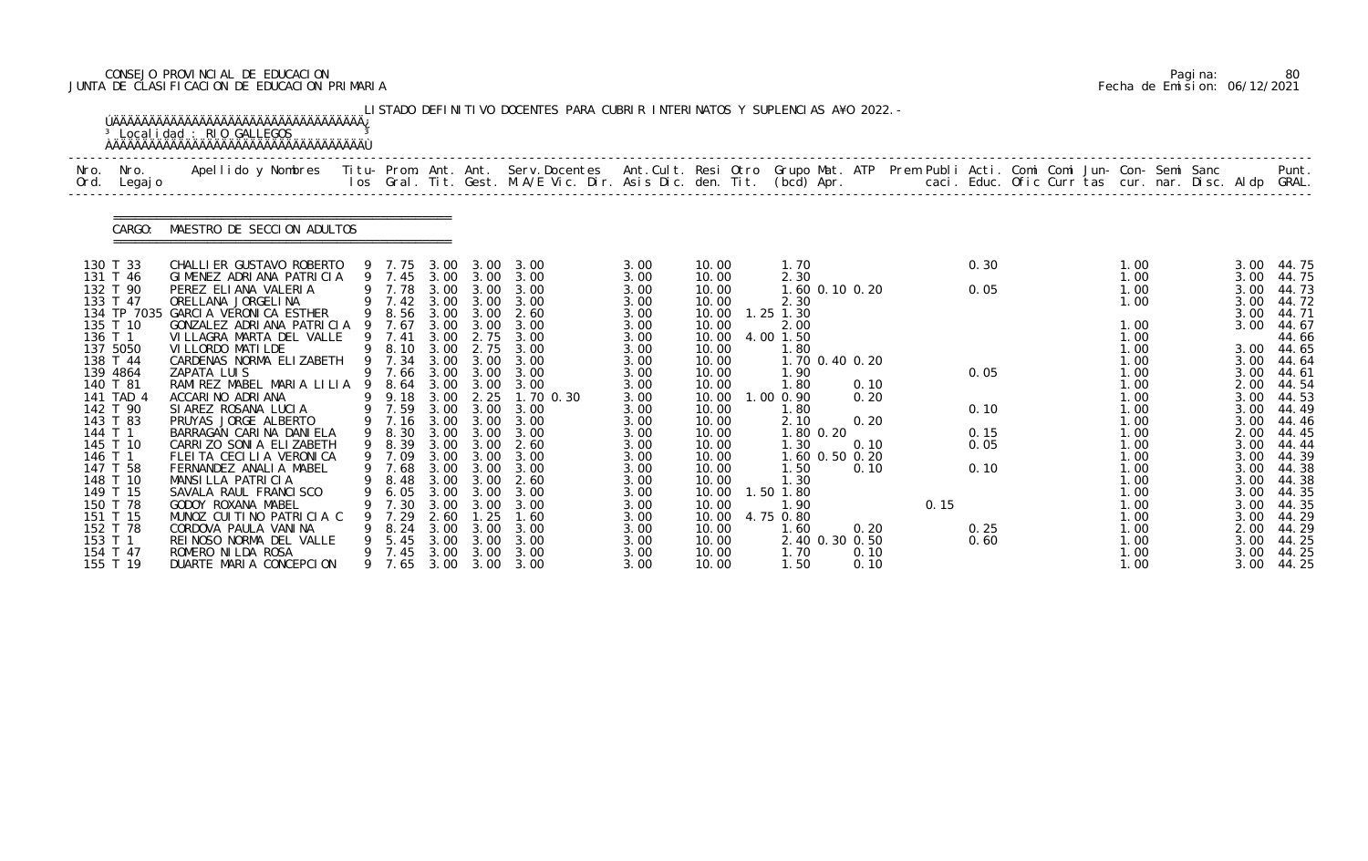# CONSEJO PROVINCIAL DE EDUCACION Pagina: 80 JUNTA DE CLASIFICACION DE EDUCACION PRIMARIA Fecha de Emision: 06/12/2021

|              |                      | <sup>3</sup> Localidad : RIO GALLEGOS                                                                                                                                                                                           |   |                  |              |                                       | LISTADO DEFINITIVO DOCENTES PARA CUBRIR INTERINATOS Y SUPLENCIAS A¥O 2022. - |              |                |                        |      |      |              |  |              |  |              |                |
|--------------|----------------------|---------------------------------------------------------------------------------------------------------------------------------------------------------------------------------------------------------------------------------|---|------------------|--------------|---------------------------------------|------------------------------------------------------------------------------|--------------|----------------|------------------------|------|------|--------------|--|--------------|--|--------------|----------------|
| Nro.<br>Ord. | Nro.<br>Legaj o      | Apellido y Nombres  Titu- Prom. Ant. Ant. Serv.Docentes  Ant.Cult. Resi Otro Grupo Mat. ATP Prem Publi Acti. Comi Comi Jun- Con- Semi Sanc         Punt.<br>Ios Gral. Tit. Gest. M.A/E Vic. Dir. Asis Dic. den. Tit. (bcd) Apr. |   |                  |              |                                       |                                                                              |              |                |                        |      |      |              |  |              |  |              |                |
|              | CARGO:               | MAESTRO DE SECCION ADULTOS                                                                                                                                                                                                      |   |                  |              |                                       |                                                                              |              |                |                        |      |      |              |  |              |  |              |                |
|              | 130 T 33             | CHALLI ER GUSTAVO ROBERTO                                                                                                                                                                                                       |   | 9 7.75           | 3.00         | 3.00                                  | 3.00                                                                         | 3.00         | 10.00          | 1.70                   |      |      | 0.30         |  | 1.00         |  | 3.00         | 44.75          |
|              | 131 T 46             | GIMENEZ ADRIANA PATRICIA                                                                                                                                                                                                        |   | 9 7.45 3.00 3.00 |              |                                       | 3.00                                                                         | 3.00         | 10.00          | 2.30                   |      |      |              |  | 1.00         |  | 3.00         | 44.75          |
|              | 132 T 90<br>133 T 47 | PEREZ ELIANA VALERIA<br>ORELLANA JORGELINA                                                                                                                                                                                      |   | 9 7.78<br>9 7.42 | 3.00<br>3.00 | 3.00<br>3.00                          | 3.00<br>3.00                                                                 | 3.00<br>3.00 | 10.00<br>10.00 | 1.60 0.10 0.20<br>2.30 |      |      | 0.05         |  | 1.00<br>1.00 |  | 3.00<br>3.00 | 44.73<br>44.72 |
|              |                      | 134 TP 7035 GARCIA VERONICA ESTHER                                                                                                                                                                                              |   | 9 8.56           |              | 3.00 3.00                             | 2.60                                                                         | 3.00         | 10.00          | $1.25$ $1.30$          |      |      |              |  |              |  | 3.00         | 44.71          |
|              | 135 T 10             | GONZALEZ ADRIANA PATRICIA 9                                                                                                                                                                                                     |   | 7.67             | 3.00         | 3.00                                  | 3.00                                                                         | 3.00         | 10.00          | 2.00                   |      |      |              |  | 1.00         |  | 3.00         | 44.67          |
|              | 136 T 1              | VILLAGRA MARTA DEL VALLE                                                                                                                                                                                                        |   | 9 7.41           | 3.00         | 2.75                                  | 3.00                                                                         | 3.00         | 10.00          | 4.00 1.50              |      |      |              |  | 1.00         |  |              | 44.66          |
|              | 137 5050             | VI LLORDO MATI LDE<br>CARDENAS NORMA ELIZABETH                                                                                                                                                                                  |   | 8.10             |              | 3.00 2.75<br>3.00                     | 3.00<br>3.00                                                                 | 3.00         | 10.00          | 1.80                   |      |      |              |  | 1.00         |  | 3.00         | 44.65          |
|              | 138 T 44<br>139 4864 | ZAPATA LUIS                                                                                                                                                                                                                     | 9 | 7.34<br>7.66     | 3.00<br>3.00 | 3.00                                  | 3.00                                                                         | 3.00<br>3.00 | 10.00<br>10.00 | 1.70 0.40 0.20<br>1.90 |      |      | 0.05         |  | 1.00<br>1.00 |  | 3.00<br>3.00 | 44.64<br>44.61 |
|              | 140 T 81             | RAMIREZ MABEL MARIA LILIA 9                                                                                                                                                                                                     |   | 8.64             |              |                                       | 3.00                                                                         | 3.00         | 10.00          | 1.80                   | 0.10 |      |              |  | 1.00         |  | 2.00         | 44.54          |
|              | 141 TAD 4            | ACCARINO ADRIANA                                                                                                                                                                                                                | 9 | 9.18             |              | 3.00 3.00<br>3.00 2.25                | 1.70 0.30                                                                    | 3.00         | 10.00          | 1.00 0.90              | 0.20 |      |              |  | 1.00         |  | 3.00         | 44.53          |
|              | 142 T 90             | SIAREZ ROSANA LUCIA                                                                                                                                                                                                             |   | 9 7.59           | 3.00         | 3.00                                  | 3.00                                                                         | 3.00         | 10.00          | 1.80                   |      |      | 0.10         |  | 1.00         |  | 3.00         | 44.49          |
|              | 143 T 83             | PRUYAS JORGE ALBERTO                                                                                                                                                                                                            |   | 9 7.16           | 3.00         | 3.00                                  | 3.00                                                                         | 3.00         | 10.00          | 2.10                   | 0.20 |      |              |  | 1.00         |  | 3.00         | 44.46          |
|              | 144 T 1<br>145 T 10  | BARRAGAN CARINA DANIELA<br>CARRIZO SONIA ELIZABETH                                                                                                                                                                              |   | 8.30<br>9 8.39   | 3.00<br>3.00 | 3.00<br>3.00                          | 3.00<br>2.60                                                                 | 3.00<br>3.00 | 10.00<br>10.00 | 1.80 0.20<br>1.30      | 0.10 |      | 0.15<br>0.05 |  | 1.00<br>1.00 |  | 2.00<br>3.00 | 44.45<br>44.44 |
|              | 146 T 1              | FLEITA CECILIA VERONICA                                                                                                                                                                                                         |   | 9 7.09           |              | $3.00\quad 3.00$                      | 3.00                                                                         | 3.00         | 10.00          | 1.60 0.50 0.20         |      |      |              |  | 1.00         |  | 3.00         | 44.39          |
|              | 147 T 58             | FERNANDEZ ANALIA MABEL                                                                                                                                                                                                          |   | 9 7.68           | 3.00         | 3.00                                  | 3.00                                                                         | 3.00         | 10.00          | 1.50                   | 0.10 |      | 0.10         |  | 1.00         |  | 3.00         | 44.38          |
|              | 148 T 10             | MANSILLA PATRICIA                                                                                                                                                                                                               |   | 9 8.48 3.00 3.00 |              |                                       | 2.60                                                                         | 3.00         | 10.00          | 1.30                   |      |      |              |  | 1.00         |  | 3.00         | 44.38          |
|              | 149 T 15             | SAVALA RAUL FRANCI SCO                                                                                                                                                                                                          |   | 6.05             | 3.00         | 3.00                                  | 3.00                                                                         | 3.00         | 10.00          | 1.50 1.80              |      |      |              |  | 1.00         |  | 3.00         | 44.35          |
|              | 150 T 78             | GODOY ROXANA MABEL                                                                                                                                                                                                              |   | 7.30             | 3.00         | 3.00                                  | 3.00                                                                         | 3.00         | 10.00          | 1.90                   |      | 0.15 |              |  | 1.00         |  | 3.00         | 44.35          |
|              | 151 T 15<br>152 T 78 | MUNOZ CUITINO PATRICIA C<br>CORDOVA PAULA VANINA                                                                                                                                                                                |   | 7.29<br>8.24     | 2.60<br>3.00 | $\overline{\phantom{0}}$ . 25<br>3.00 | 1.60<br>3.00                                                                 | 3.00<br>3.00 | 10.00<br>10.00 | 4.75 0.80<br>1.60      | 0.20 |      | 0.25         |  | 1.00<br>1.00 |  | 3.00<br>2.00 | 44.29<br>44.29 |
|              | 153 T 1              | REINOSO NORMA DEL VALLE                                                                                                                                                                                                         |   | 5.45             | 3.00         | 3.00                                  | 3.00                                                                         | 3.00         | 10.00          | 2.40 0.30 0.50         |      |      | 0.60         |  | 1.00         |  | 3.00         | 44.25          |
|              | 154 T 47             | ROMERO NI LDA ROSA                                                                                                                                                                                                              |   | 7.45             | 3.00         | 3.00                                  | 3.00                                                                         | 3.00         | 10.00          | 1.70                   | 0.10 |      |              |  | 1.00         |  | 3.00         | 44.25          |
|              | 155 T 19             | DUARTE MARIA CONCEPCION                                                                                                                                                                                                         |   | 9 7.65           | 3.00         |                                       | 3.00 3.00                                                                    | 3.00         | 10.00          | 1.50                   | 0.10 |      |              |  | 1.00         |  | 3.00         | 44.25          |

|  | Pagi na: | 80                           |
|--|----------|------------------------------|
|  |          | Fecha de Emision: 06/12/2021 |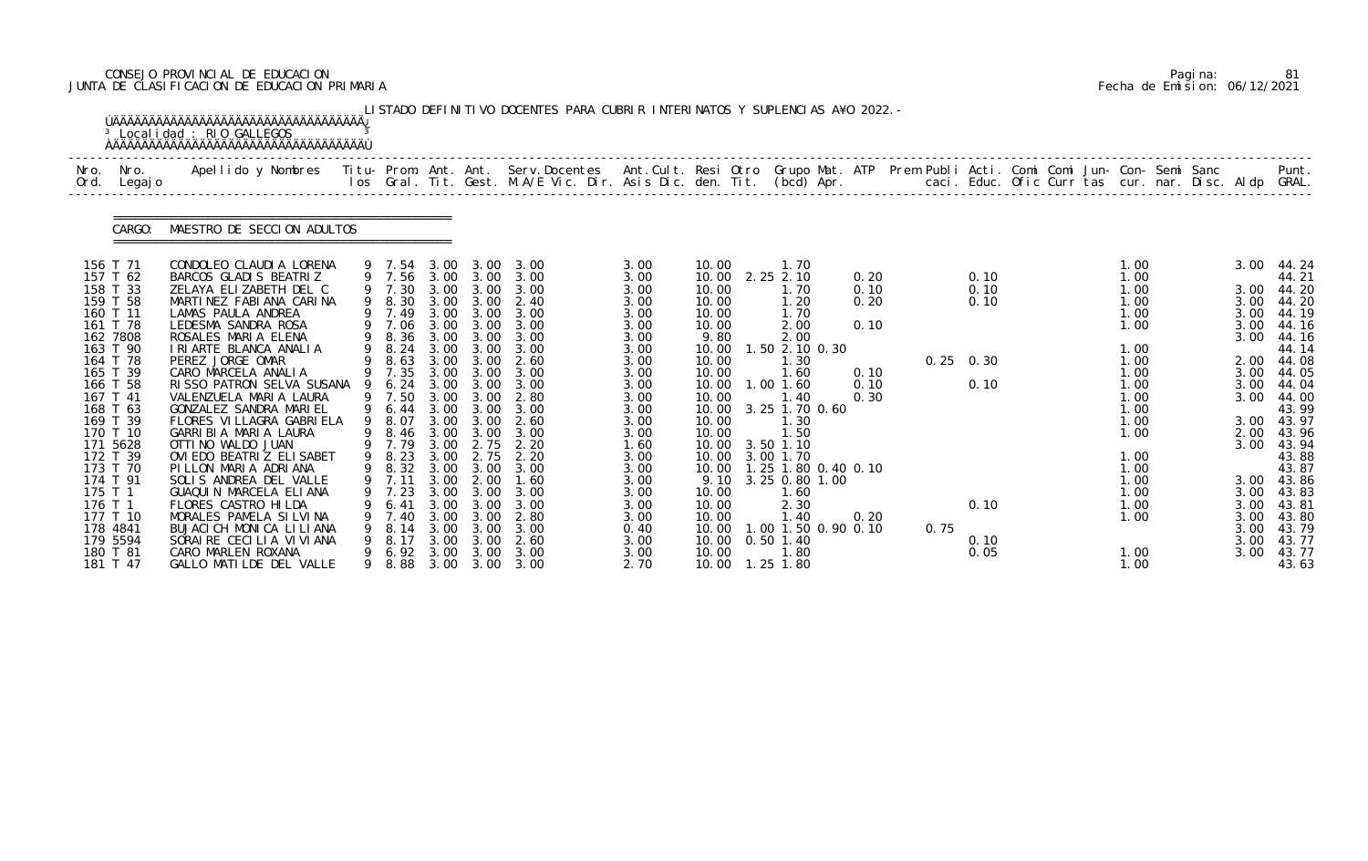# CONSEJO PROVINCIAL DE EDUCACION Pagina: 81 JUNTA DE CLASIFICACION DE EDUCACION PRIMARIA Fecha de Emision: 06/12/2021

| Nro.<br>Ord.       | Nro.<br>Legaj o      | Apellido y Nombres - Titu- Prom. Ant. Ant. Serv.Docentes - Ant.Cult. Resi Otro Grupo Mat. ATP - Prem Publi Acti. Comi Comi Jun- Con- Semi Sanc |   |                  |              |                   | los Gral. Tit. Gest. M.A/E Vic. Dir. Asis Dic. den. Tit. (bcd) Apr.       caci. Educ. Ofic Curr tas cur. nar. Disc. Aldp GRAL. |              |                |                               |      |      |                   |  |              |  |              | Punt.          |
|--------------------|----------------------|------------------------------------------------------------------------------------------------------------------------------------------------|---|------------------|--------------|-------------------|--------------------------------------------------------------------------------------------------------------------------------|--------------|----------------|-------------------------------|------|------|-------------------|--|--------------|--|--------------|----------------|
|                    | CARGO:               | MAESTRO DE SECCION ADULTOS                                                                                                                     |   |                  |              |                   |                                                                                                                                |              |                |                               |      |      |                   |  |              |  |              |                |
| 156 T 71           |                      | CONDOLEO CLAUDIA LORENA                                                                                                                        |   | 9 7.54           | 3.00         | 3.00              | 3.00                                                                                                                           | 3.00         | 10.00          | 1.70                          |      |      |                   |  | 1.00         |  | 3.00         | 44.24          |
|                    | 157 T 62             | BARCOS GLADIS BEATRIZ                                                                                                                          |   | 9 7.56 3.00 3.00 |              |                   | 3.00                                                                                                                           | 3.00         | 10.00          | 2.25 2.10                     | 0.20 |      | 0.10              |  | 1.00         |  |              | 44.21          |
|                    | 158 T 33             | ZELAYA ELIZABETH DEL C                                                                                                                         |   | 9 7.30           | 3.00         |                   | 3.00 3.00                                                                                                                      | 3.00         | 10.00          | 1.70                          | 0.10 |      | 0.10              |  | 1.00         |  | 3.00         | 44.20          |
|                    | 159 T 58<br>160 T 11 | MARTINEZ FABIANA CARINA<br>LAMAS PAULA ANDREA                                                                                                  |   | 9 8.30<br>9 7.49 | 3.00         | 3.00              | 2.40<br>3.00 3.00 3.00                                                                                                         | 3.00<br>3.00 | 10.00<br>10.00 | 1.20<br>1.70                  | 0.20 |      | 0.10              |  | 1.00<br>1.00 |  | 3.00<br>3.00 | 44.20<br>44.19 |
|                    | 161 T 78             | LEDESMA SANDRA ROSA                                                                                                                            |   | 9 7.06           | 3.00         | 3.00              | 3.00                                                                                                                           | 3.00         | 10.00          | 2.00                          | 0.10 |      |                   |  | 1.00         |  | 3.00         | 44.16          |
|                    | 162 7808             | ROSALES MARIA ELENA                                                                                                                            |   | 9 8.36           | 3.00         | 3.00              | 3.00                                                                                                                           | 3.00         | 9.80           | 2.00                          |      |      |                   |  |              |  | 3.00         | 44.16          |
|                    | 163 T 90             | I RI ARTE BLANCA ANALIA                                                                                                                        |   | 9 8.24           | 3.00         | 3.00              | 3.00                                                                                                                           | 3.00         | 10.00          | 1.50 2.10 0.30                |      |      |                   |  | 1.00         |  |              | 44.14          |
|                    | 164 T 78             | PEREZ JORGE OMAR                                                                                                                               |   | 8.63             | 3.00         | 3.00              | 2.60                                                                                                                           | 3.00         | 10.00          | 1.30                          |      |      | $0.25 \quad 0.30$ |  | 1.00         |  | 2.00         | 44.08          |
|                    | 165 T 39             | CARO MARCELA ANALIA                                                                                                                            |   | 9 7.35           |              | 3.00 3.00         | 3.00                                                                                                                           | 3.00         | 10.00          | 1.60                          | 0.10 |      |                   |  | 1.00         |  |              | 3.00 44.05     |
|                    | 166 T 58             | RISSO PATRON SELVA SUSANA 9                                                                                                                    |   | 6.24             | 3.00         |                   | $3.00 \quad 3.00$                                                                                                              | 3.00         | 10.00          | $1.00$ $1.60$                 | 0.10 |      | 0.10              |  | 1.00         |  | 3.00         | 44.04          |
|                    | 167 T 41             | VALENZUELA MARIA LAURA                                                                                                                         |   | 9 7.50           | 3.00         | 3.00              | 2.80                                                                                                                           | 3.00         | 10.00          | 1.40                          | 0.30 |      |                   |  | 1.00         |  | 3.00         | 44.00          |
|                    | 168 T 63             | GONZALEZ SANDRA MARIEL                                                                                                                         |   | 9 6.44           |              | $3.00 \quad 3.00$ | 3.00                                                                                                                           | 3.00         |                | 10.00 3.25 1.70 0.60          |      |      |                   |  | 1.00         |  |              | 43.99          |
|                    | 169 T 39             | FLORES VILLAGRA GABRIELA                                                                                                                       | 9 | 8.07             | 3.00         | 3.00              | 2.60                                                                                                                           | 3.00         | 10.00          | 1.30                          |      |      |                   |  | 1.00         |  |              | 3.00 43.97     |
|                    | 170 T 10             | GARRIBIA MARIA LAURA                                                                                                                           |   | 8.46             | 3.00         | 3.00              | 3.00                                                                                                                           | 3.00         | 10.00          | 1.50                          |      |      |                   |  | 1.00         |  | 2.00         | 43.96          |
|                    | 171 5628             | OTTI NO WALDO JUAN                                                                                                                             |   | 9 7.79           |              | 3.00 2.75         | 2.20                                                                                                                           | 1.60         |                | 10.00 3.50 1.10               |      |      |                   |  |              |  | 3.00         | 43.94          |
|                    | 172 T 39             | OVI EDO BEATRIZ ELI SABET                                                                                                                      |   | 9 8.23           |              |                   | 3.00 2.75 2.20                                                                                                                 | 3.00         |                | 10.00 3.00 1.70               |      |      |                   |  | 1.00         |  |              | 43.88          |
|                    | 173 T 70             | PILLON MARIA ADRIANA                                                                                                                           |   | 9 8.32 3.00 3.00 |              |                   | 3.00                                                                                                                           | 3.00         |                | 10.00  1.25  1.80  0.40  0.10 |      |      |                   |  | 1.00         |  |              | 43.87          |
|                    | 174 T 91             | SOLIS ANDREA DEL VALLE                                                                                                                         |   | 9 7.11 3.00 2.00 |              |                   | 1.60                                                                                                                           | 3.00         |                | 9.10 3.25 0.80 1.00           |      |      |                   |  | 1.00         |  |              | 3.00 43.86     |
| 175 T 1<br>176 T 1 |                      | GUAQUIN MARCELA ELIANA                                                                                                                         |   | 7.23             | 3.00<br>3.00 | 3.00<br>3.00      | 3.00                                                                                                                           | 3.00         | 10.00          | 1.60                          |      |      |                   |  | 1.00         |  |              | 3.00 43.83     |
|                    | 177 T 10             | FLORES CASTRO HILDA<br>MORALES PAMELA SILVINA                                                                                                  |   | 6.41             | 3.00         | 3.00              | 3.00<br>2.80                                                                                                                   | 3.00         | 10.00          | 2.30<br>1. 40                 | 0.20 |      | 0.10              |  | 1.00         |  | 3.00         | 43.81<br>43.80 |
|                    | 178 4841             | BUJACI CH MONICA LILIANA                                                                                                                       |   | 7.40<br>8.14     | 3.00         | 3.00              | 3.00                                                                                                                           | 3.00<br>0.40 | 10.00<br>10.00 | 00 1.50 0.90 0.10             |      | 0.75 |                   |  | 1.00         |  | 3.00<br>3.00 | 43.79          |
|                    | 179 5594             | SORAI RE CECILIA VI VI ANA                                                                                                                     |   | 8.17             | 3.00         | 3.00              | 2.60                                                                                                                           | 3.00         | 10.00          | $0.50$ 1.40                   |      |      | 0.10              |  |              |  | 3.00         | 43.77          |
|                    | 180 T 81             | CARO MARLEN ROXANA                                                                                                                             |   | 6.92             | 3.00         | 3.00              | 3.00                                                                                                                           | 3.00         | 10.00          | 1. 80                         |      |      | 0.05              |  | 1.00         |  | 3.00         | 43.77          |
|                    | 181 T 47             | GALLO MATILDE DEL VALLE                                                                                                                        |   | 8.88             | 3.00         | 3.00              | 3.00                                                                                                                           | 2.70         |                | 10.00  1.25  1.80             |      |      |                   |  | 1.00         |  |              | 43.63          |

|  | Pagi na: | 81                           |
|--|----------|------------------------------|
|  |          | Fecha de Emision: 06/12/2021 |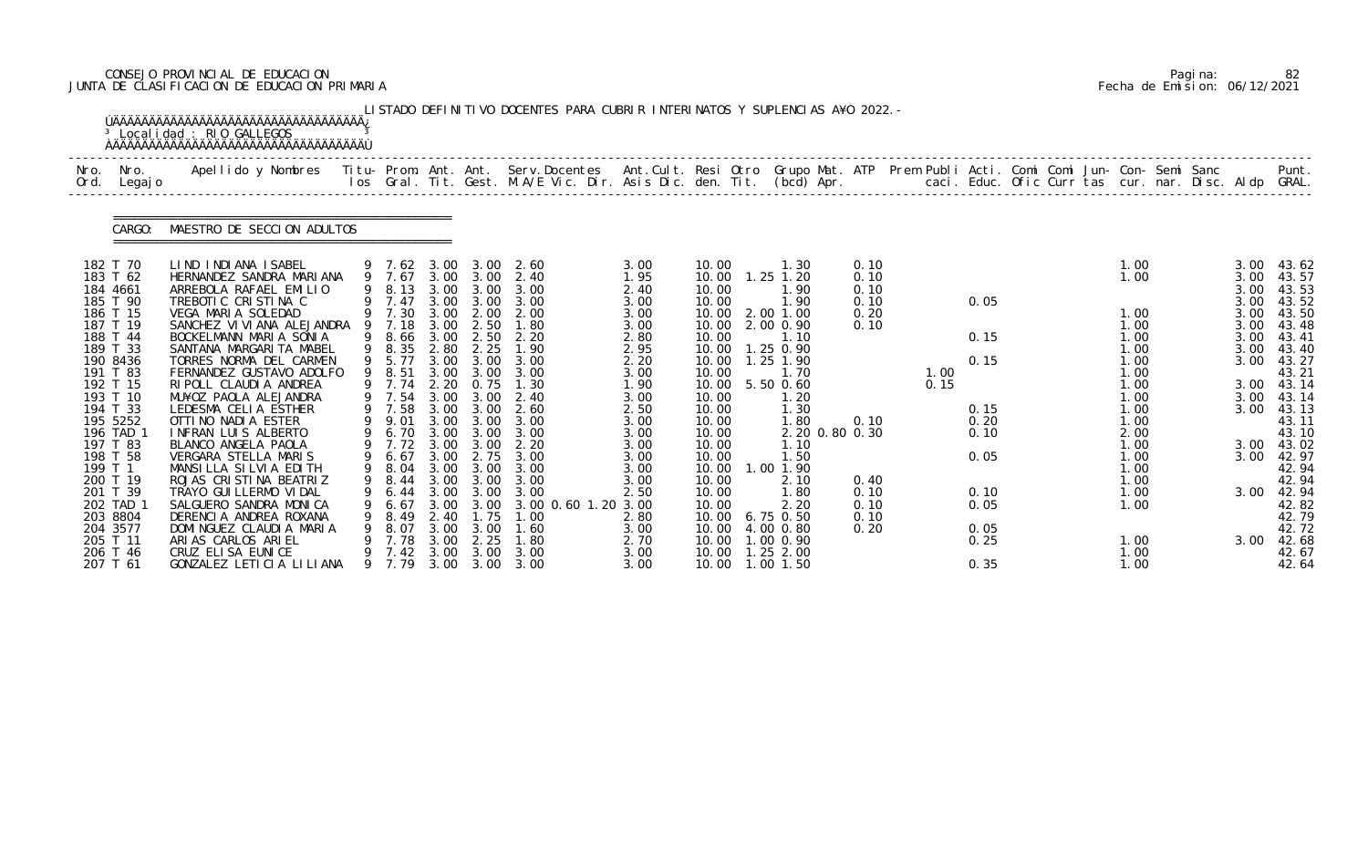# CONSEJO PROVINCIAL DE EDUCACION Pagina: 82 JUNTA DE CLASIFICACION DE EDUCACION PRIMARIA Fecha de Emision: 06/12/2021

| Nro.<br>Ord.                     | Nro.<br>Legaj o | Apellido y Nombres Titu- Prom. Ant. Ant. Serv.Docentes Ant.Cult. Resi Otro Grupo Mat. ATP Prem Publi Acti. Comi Comi Jun- Con- Semi Sanc |   |                            |                      |                                        | los Gral. Tit. Gest. M.A/E Vic. Dir. Asis Dic. den. Tit. (bcd) Apr.        caci. Educ. Ofic Curr tas cur. nar. Disc. Aldp GRAL. |                      |                         |                                        |                      |              |              |  |                      |  |                      | Punt.                        |
|----------------------------------|-----------------|------------------------------------------------------------------------------------------------------------------------------------------|---|----------------------------|----------------------|----------------------------------------|---------------------------------------------------------------------------------------------------------------------------------|----------------------|-------------------------|----------------------------------------|----------------------|--------------|--------------|--|----------------------|--|----------------------|------------------------------|
|                                  | CARGO:          | MAESTRO DE SECCION ADULTOS                                                                                                               |   |                            |                      |                                        |                                                                                                                                 |                      |                         |                                        |                      |              |              |  |                      |  |                      |                              |
| 182 T 70<br>183 T 62<br>184 4661 |                 | LIND INDIANA ISABEL<br>HERNANDEZ SANDRA MARIANA<br>ARREBOLA RAFAEL EMILIO                                                                |   | 9 7.62<br>9 7.67<br>9 8.13 | 3.00<br>3.00         | 3.00<br>3.00 3.00<br>3.00              | 2.60<br>2.40<br>3.00                                                                                                            | 3.00<br>1.95<br>2.40 | 10.00<br>10.00<br>10.00 | 1.30<br>$1.25$ $1.20$<br>1.90          | 0.10<br>0.10<br>0.10 |              |              |  | 1.00<br>1.00         |  | 3.00<br>3.00<br>3.00 | 43.62<br>43.57<br>43.53      |
| 185 T 90<br>186 T 15             |                 | TREBOTIC CRISTINA C<br>VEGA MARIA SOLEDAD                                                                                                |   | 9 7.47<br>9 7.30           | 3.00                 | 3.00<br>3.00 2.00                      | 3.00<br>2.00                                                                                                                    | 3.00<br>3.00         | 10.00<br>10.00          | 1.90<br>2.00 1.00                      | 0.10<br>0.20         |              | 0.05         |  | 1.00                 |  | 3.00<br>3.00         | 43.52<br>43.50               |
| 187 T 19<br>188 T 44<br>189 T 33 |                 | SANCHEZ VI VI ANA ALEJANDRA<br>BOCKELMANN MARIA SONIA<br>SANTANA MARGARI TA MABEL                                                        | 9 | 7.18<br>9 8.66<br>8.35     | 3.00<br>3.00<br>2.80 | 2.50<br>2.50<br>2.25                   | 1.80<br>2.20<br>1.90                                                                                                            | 3.00<br>2.80<br>2.95 | 10.00<br>10.00<br>10.00 | 2.00 0.90<br>1.10<br>1.25 0.90         | 0.10                 |              | 0.15         |  | 1.00<br>1.00<br>1.00 |  | 3.00<br>3.00<br>3.00 | 43.48<br>43.41<br>43.40      |
| 190 8436<br>191 T 83<br>192 T 15 |                 | TORRES NORMA DEL CARMEN<br>FERNANDEZ GUSTAVO ADOLFO<br>RI POLL CLAUDI A ANDREA                                                           |   | 9 5.77<br>9 8.51<br>9 7.74 | 3.00<br>3.00<br>2.20 | 3.00<br>3.00<br>0.75                   | 3.00<br>3.00<br>1.30                                                                                                            | 2.20<br>3.00<br>1.90 | 10.00<br>10.00<br>10.00 | $.25$ 1.90<br>1.70<br>5.50 0.60        |                      | 1.00<br>0.15 | 0.15         |  | 1.00<br>1.00<br>1.00 |  | 3.00<br>3.00         | 43.27<br>43.21<br>43.14      |
| 193 T 10<br>194 T 33             |                 | MU¥OZ PAOLA ALEJANDRA<br>LEDESMA CELIA ESTHER                                                                                            |   | 7.54<br>9 7.58             | 3.00<br>3.00         | 3.00<br>3.00                           | 2.40<br>2.60                                                                                                                    | 3.00<br>2.50         | 10.00<br>10.00          | 1. 20<br>1.30                          |                      |              | 0.15         |  | 1.00<br>1.00         |  | 3.00<br>3.00         | 43.14<br>43.13               |
| 195 5252<br>196 TAD<br>197 T 83  |                 | OTTINO NADIA ESTER<br>INFRAN LUIS ALBERTO<br>BLANCO ANGELA PAOLA                                                                         |   | 9.01<br>6.70<br>7.72       | 3.00<br>3.00<br>3.00 | 3.00<br>3.00<br>3.00                   | 3.00<br>3.00<br>2.20                                                                                                            | 3.00<br>3.00<br>3.00 | 10.00<br>10.00<br>10.00 | 1.80<br>2.20 0.80 0.30<br>1.10         | 0.10                 |              | 0.20<br>0.10 |  | 1.00<br>2.00<br>1.00 |  |                      | 43.11<br>43.10<br>3.00 43.02 |
| 198 T 58<br>199 T 1<br>200 T 19  |                 | VERGARA STELLA MARIS<br>MANSILLA SILVIA EDITH<br>ROJAS CRISTINA BEATRIZ                                                                  | 9 | 6.67<br>9 8.04<br>9 8.44   | 3.00                 | 3.00 2.75<br>3.00<br>$3.00 \quad 3.00$ | 3.00<br>3.00<br>3.00                                                                                                            | 3.00<br>3.00<br>3.00 | 10.00<br>10.00<br>10.00 | 1.50<br>1.00 1.90<br>2.10              | 0.40                 |              | 0.05         |  | 1.00<br>1.00<br>1.00 |  | 3.00                 | 42.97<br>42.94<br>42.94      |
| 201 T 39<br>202 TAD              |                 | TRAYO GUI LLERMO VI DAL<br>SALGUERO SANDRA MONICA                                                                                        |   | 6.44<br>6.67               | 3.00<br>3.00         | 3.00<br>3.00                           | 3.00<br>3.00 0.60 1.20 3.00                                                                                                     | 2.50                 | 10.00<br>10.00          | .80<br>2.20                            | 0.10<br>0.10         |              | 0.10<br>0.05 |  | 1.00<br>1.00         |  | 3.00                 | 42.94<br>42.82               |
| 203 8804<br>204 3577<br>205 T 11 |                 | DERENCIA ANDREA ROXANA<br>DOMINGUEZ CLAUDIA MARIA<br>ARIAS CARLOS ARIEL                                                                  | 9 | 8.49<br>8.07<br>7.78       | 2.40<br>3.00<br>3.00 | 1.75<br>3.00<br>2.25                   | 1.00<br>1.60<br>1.80                                                                                                            | 2.80<br>3.00<br>2.70 | 10.00<br>10.00<br>10.00 | 6.75 0.50<br>4.00 0.80<br>1.00 0.90    | 0.10<br>0.20         |              | 0.05<br>0.25 |  | 1.00                 |  | 3.00                 | 42.79<br>42.72<br>42.68      |
| 206 T 46<br>207 T 61             |                 | CRUZ ELISA EUNICE<br>GONZALEZ LETICIA LILIANA                                                                                            |   | 7.42<br>9 7.79             | 3.00                 | 3.00                                   | 3.00<br>3.00 3.00 3.00                                                                                                          | 3.00<br>3.00         |                         | 10.00  1.25  2.00<br>10.00  1.00  1.50 |                      |              | 0.35         |  | 1.00<br>1.00         |  |                      | 42.67<br>42.64               |

|  | Pagi na: | 82                           |
|--|----------|------------------------------|
|  |          | Fecha de Emision: 06/12/2021 |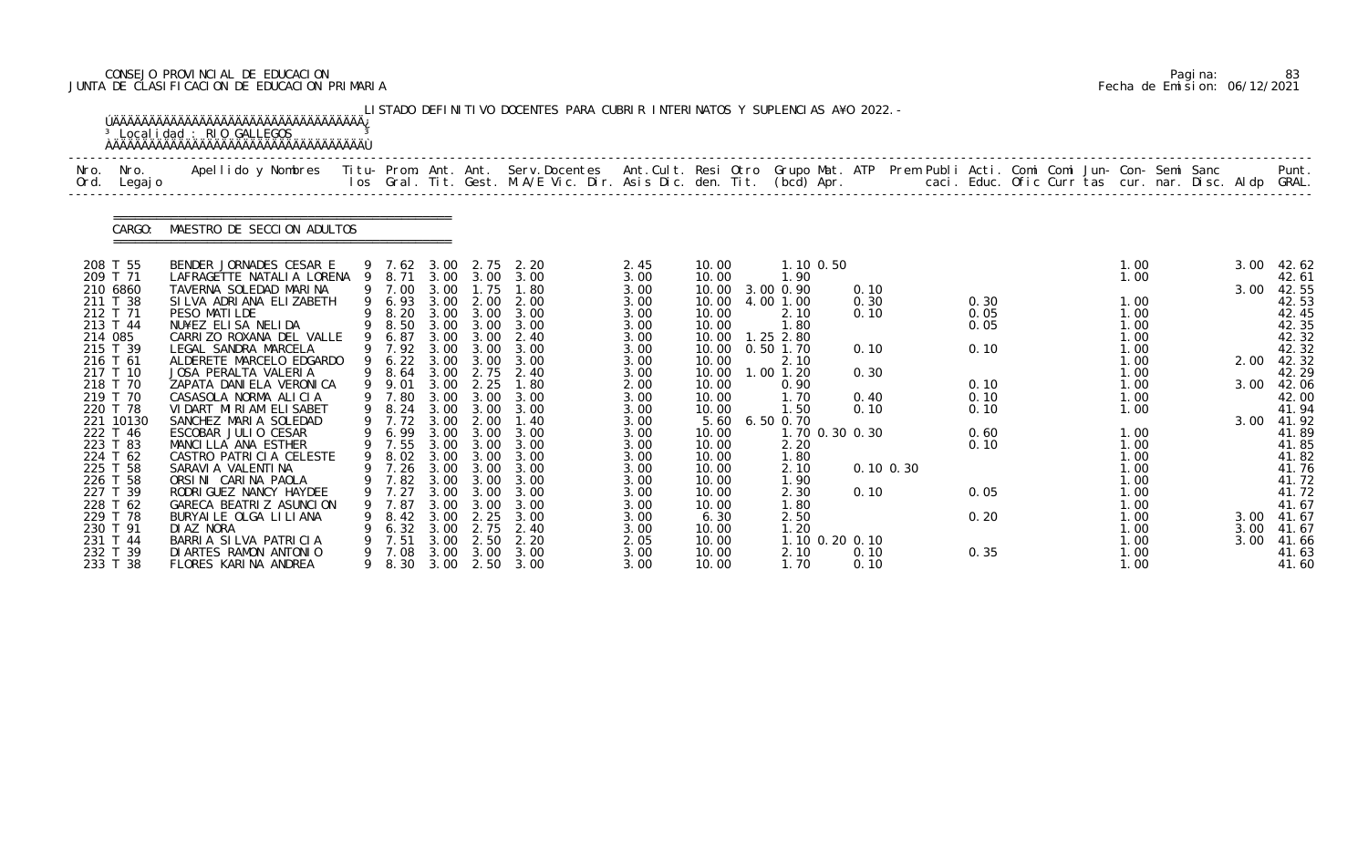# CONSEJO PROVINCIAL DE EDUCACION Pagina: 83 JUNTA DE CLASIFICACION DE EDUCACION PRIMARIA Fecha de Emision: 06/12/2021

|              |                       | <sup>3</sup> Localidad : RIO GALLEGOS                                                                                                                                                                                           |   |                  |              |              | LISTADO DEFINITIVO DOCENTES PARA CUBRIR INTERINATOS Y SUPLENCIAS A¥O 2022. - |              |               |                              |              |           |              |  |      |  |      |                |
|--------------|-----------------------|---------------------------------------------------------------------------------------------------------------------------------------------------------------------------------------------------------------------------------|---|------------------|--------------|--------------|------------------------------------------------------------------------------|--------------|---------------|------------------------------|--------------|-----------|--------------|--|------|--|------|----------------|
| Nro.<br>Ord. | Nro.<br>Legaj o       | Apellido y Nombres  Titu- Prom. Ant. Ant. Serv.Docentes  Ant.Cult. Resi Otro Grupo Mat. ATP Prem Publi Acti. Comi Comi Jun- Con- Semi Sanc         Punt.<br>Ios Gral. Tit. Gest. M.A/E Vic. Dir. Asis Dic. den. Tit. (bcd) Apr. |   |                  |              |              |                                                                              |              |               |                              |              |           |              |  |      |  |      |                |
|              | CARGO:                | MAESTRO DE SECCION ADULTOS                                                                                                                                                                                                      |   |                  |              |              |                                                                              |              |               |                              |              |           |              |  |      |  |      |                |
|              | 208 T 55              | BENDER JORNADES CESAR E                                                                                                                                                                                                         |   | 9 7.62 3.00      |              | 2.75         | 2.20                                                                         | 2.45         | 10.00         | 1.10 0.50                    |              |           |              |  | 1.00 |  | 3.00 | 42.62          |
|              | 209 T 71              | LAFRAGETTE NATALIA LORENA 9                                                                                                                                                                                                     |   | 8.71             |              | 3.00 3.00    | 3.00                                                                         | 3.00         | 10.00         | 1.90                         |              |           |              |  | 1.00 |  |      | 42.61          |
|              | 210 6860<br>211 T 38  | TAVERNA SOLEDAD MARINA<br>SILVA ADRIANA ELIZABETH                                                                                                                                                                               |   | 9 7.00<br>9 6.93 | 3.00<br>3.00 | 1.75<br>2.00 | 1.80<br>2.00                                                                 | 3.00<br>3.00 | 10.00         | 10.00 3.00 0.90<br>4,00 1,00 | 0.10<br>0.30 |           |              |  | 1.00 |  | 3.00 | 42.55<br>42.53 |
|              | 212 T 71              | PESO MATILDE                                                                                                                                                                                                                    |   | 8.20             |              | 3.00 3.00    | 3.00                                                                         | 3.00         | 10.00         | 2.10                         | 0.10         |           | 0.30<br>0.05 |  | 1.00 |  |      | 42.45          |
|              | 213 T 44              | NU¥EZ ELISA NELIDA                                                                                                                                                                                                              |   | 9 8.50           | 3.00         | 3.00         | 3.00                                                                         | 3.00         | 10.00         | 1.80                         |              |           | 0.05         |  | 1.00 |  |      | 42.35          |
| 214 085      |                       | CARRIZO ROXANA DEL VALLE                                                                                                                                                                                                        |   | 6.87             | 3.00         | 3.00         | 2.40                                                                         | 3.00         | 10.00         | $1.25$ 2.80                  |              |           |              |  | 1.00 |  |      | 42.32          |
|              | 215 T 39              | LEGAL SANDRA MARCELA                                                                                                                                                                                                            |   | 9 7.92           | 3.00         | 3.00         | 3.00                                                                         | 3.00         | 10.00         | $0.50$ 1.70                  | 0.10         |           | 0.10         |  | 1.00 |  |      | 42.32          |
|              | 216 T 61              | ALDERETE MARCELO EDGARDO                                                                                                                                                                                                        |   | 6.22             | 3.00         | 3.00         | 3.00                                                                         | 3.00         | 10.00         | 2.10                         |              |           |              |  | 1.00 |  | 2.00 | 42.32          |
|              | 217 T 10              | JOSA PERALTA VALERIA                                                                                                                                                                                                            |   | 8.64             | 3.00         | 2.75         | 2.40                                                                         | 3.00         | 10.00         | $1.00$ $1.20$                | 0.30         |           |              |  | 1.00 |  |      | 42.29          |
|              | 218 T 70              | ZAPATA DANI ELA VERONI CA                                                                                                                                                                                                       | 9 | 9.01             | 3.00         | 2.25         | 1.80                                                                         | 2.00         | 10.00         | 0.90                         |              |           | 0.10         |  | 1.00 |  | 3.00 | 42.06          |
|              | 219 T 70              | CASASOLA NORMA ALICIA                                                                                                                                                                                                           |   | 7.80             | 3.00         | 3.00         | 3.00                                                                         | 3.00         | 10.00         | 1.70                         | 0.40         |           | 0.10         |  | 1.00 |  |      | 42.00          |
|              | 220 T 78              | VIDART MIRIAM ELISABET                                                                                                                                                                                                          | 9 | 8.24             | 3.00         | 3.00         | 3.00                                                                         | 3.00         | 10.00         | 1.50                         | 0.10         |           | 0.10         |  | 1.00 |  |      | 41.94          |
|              | 221 10130<br>222 T 46 | SANCHEZ MARIA SOLEDAD<br>ESCOBAR JULIO CESAR                                                                                                                                                                                    |   | 9 7.72<br>6.99   | 3.00<br>3.00 | 2.00<br>3.00 | 1.40<br>3.00                                                                 | 3.00<br>3.00 | 5.60<br>10.00 | 6.50 0.70<br>1.70 0.30 0.30  |              |           | 0.60         |  | 1.00 |  | 3.00 | 41.92<br>41.89 |
|              | 223 T 83              | MANCILLA ANA ESTHER                                                                                                                                                                                                             |   | 7.55             | 3.00         | 3.00         | 3.00                                                                         | 3.00         | 10.00         | 2.20                         |              |           | 0.10         |  | 1.00 |  |      | 41.85          |
|              | 224 T 62              | CASTRO PATRICIA CELESTE                                                                                                                                                                                                         | 9 | 8.02             |              | 3.00 3.00    | 3.00                                                                         | 3.00         | 10.00         | 1.80                         |              |           |              |  | 1.00 |  |      | 41.82          |
|              | 225 T 58              | SARAVI A VALENTI NA                                                                                                                                                                                                             |   | 9 7.26           | 3.00         | 3.00         | 3.00                                                                         | 3.00         | 10.00         | 2.10                         |              | 0.10 0.30 |              |  | 1.00 |  |      | 41.76          |
|              | 226 T 58              | ORSINI CARINA PAOLA                                                                                                                                                                                                             |   | 9 7.82           |              | 3.00 3.00    | 3.00                                                                         | 3.00         | 10.00         | 1.90                         |              |           |              |  | 1.00 |  |      | 41.72          |
|              | 227 T 39              | RODRI GUEZ NANCY HAYDEE                                                                                                                                                                                                         |   | 7.27             | 3.00         | 3.00         | 3.00                                                                         | 3.00         | 10.00         | 2.30                         | 0.10         |           | 0.05         |  | 1.00 |  |      | 41.72          |
|              | 228 T 62              | GARECA BEATRIZ ASUNCION                                                                                                                                                                                                         |   | 7.87             | 3.00         | 3.00         | 3.00                                                                         | 3.00         | 10.00         | l. 80                        |              |           |              |  | 1.00 |  |      | 41.67          |
|              | 229 T 78              | BURYAILE OLGA LILIANA                                                                                                                                                                                                           |   | 8.42             | 3.00         | 2.25         | 3.00                                                                         | 3.00         | 6.30          | 2.50                         |              |           | 0.20         |  | 1.00 |  |      | 3.00 41.67     |
|              | 230 T 91              | DI AZ NORA                                                                                                                                                                                                                      |   | 6.32             | 3.00         | 2.75         | 2.40                                                                         | 3.00         | 10.00         | 1.20                         |              |           |              |  | 1.00 |  | 3.00 | 41.67          |
|              | 231 T 44              | BARRIA SILVA PATRICIA                                                                                                                                                                                                           |   | 7.51             | 3.00         | 2.50         | 2.20                                                                         | 2.05         | 10.00         | 1.10 0.20 0.10               |              |           |              |  | 1.00 |  | 3.00 | 41.66          |
|              | 232 T 39              | DI ARTES RAMON ANTONIO                                                                                                                                                                                                          |   | 7.08             | 3.00         | 3.00         | 3.00                                                                         | 3.00         | 10.00         | 2.10                         | 0.10         |           | 0.35         |  | 1.00 |  |      | 41.63          |
|              | 233 T 38              | FLORES KARINA ANDREA                                                                                                                                                                                                            | 9 |                  |              |              | 8.30 3.00 2.50 3.00                                                          | 3.00         | 10.00         | 1.70                         | 0.10         |           |              |  | 1.00 |  |      | 41.60          |

|  | Pagi na: | 83                           |
|--|----------|------------------------------|
|  |          | Fecha de Emision: 06/12/2021 |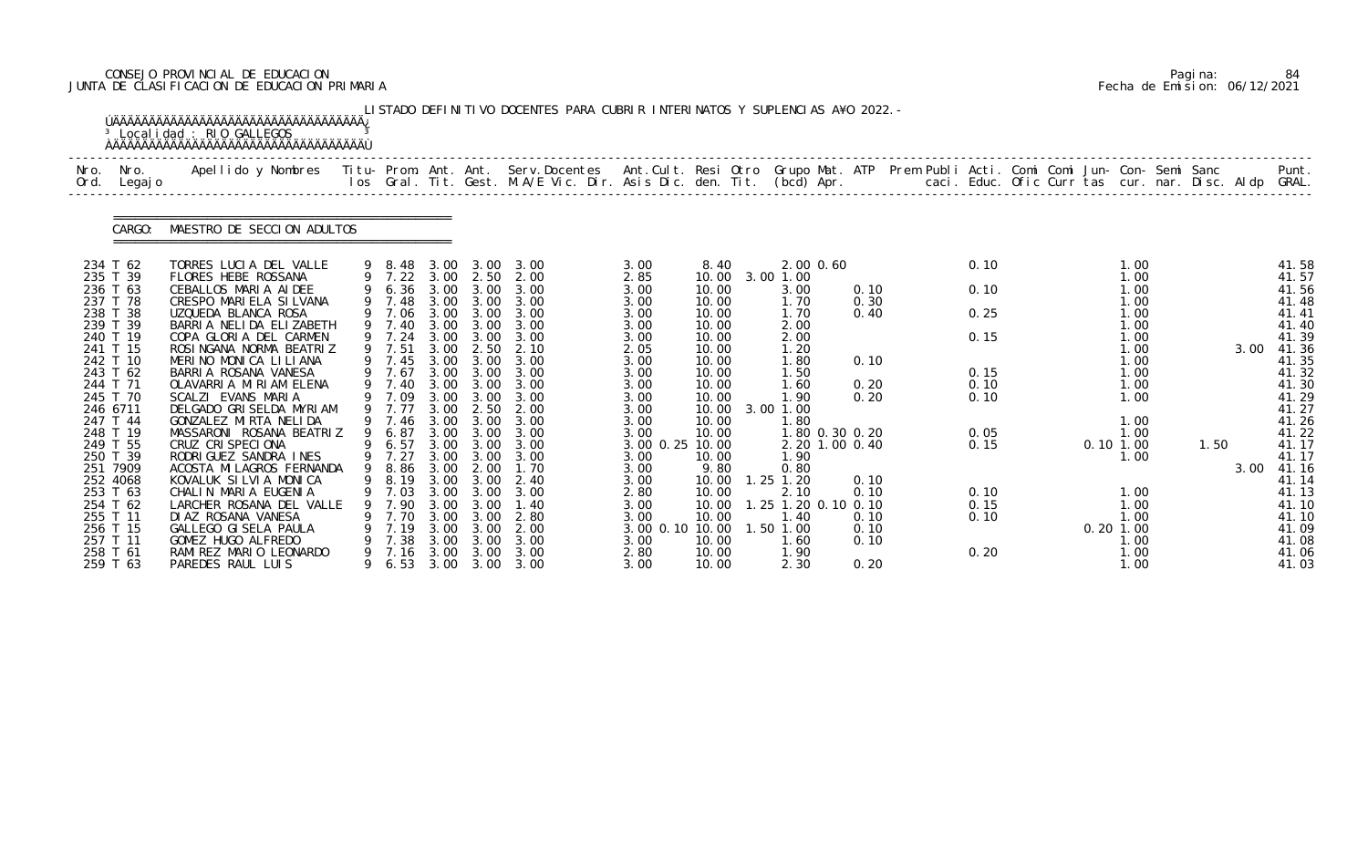# CONSEJO PROVINCIAL DE EDUCACION Pagina: 84 JUNTA DE CLASIFICACION DE EDUCACION PRIMARIA Fecha de Emision: 06/12/2021

| Nro.<br>Ord.         | Nro.<br>Legaj o | Apellido y Nombres - Titu- Prom. Ant. Ant. Serv.Docentes - Ant.Cult. Resi Otro Grupo Mat. ATP Prem Publi Acti. Comi Comi Jun- Con- Semi Sanc |   |                         |              |              | los Gral. Tit. Gest. M.A/E Vic. Dir. Asis Dic. den. Tit. (bcd) Apr. |                         |                |                                  |              |              | caci. Educ. Ofic Curr tas cur. nar. Disc. Aldp GRAL. |             |              |      |      | Punt.          |
|----------------------|-----------------|----------------------------------------------------------------------------------------------------------------------------------------------|---|-------------------------|--------------|--------------|---------------------------------------------------------------------|-------------------------|----------------|----------------------------------|--------------|--------------|------------------------------------------------------|-------------|--------------|------|------|----------------|
|                      | CARGO:          | MAESTRO DE SECCION ADULTOS                                                                                                                   |   |                         |              |              |                                                                     |                         |                |                                  |              |              |                                                      |             |              |      |      |                |
| 234 T 62             |                 | TORRES LUCIA DEL VALLE                                                                                                                       |   | 9 8.48                  | 3.00         | 3.00         | 3.00                                                                | 3.00                    | 8.40           | 2.00 0.60                        |              | 0.10         |                                                      |             | 1.00         |      |      | 41.58          |
| 235 T 39             |                 | FLORES HEBE ROSSANA                                                                                                                          |   | 9 7.22 3.00             |              | 2.50         | 2.00                                                                | 2.85                    | 10.00          | 3.00 1.00                        |              |              |                                                      |             | 1.00         |      |      | 41.57          |
| 236 T 63<br>237 T 78 |                 | CEBALLOS MARIA AIDEE<br>CRESPO MARIELA SILVANA                                                                                               |   | $6.36$ $3.00$<br>9 7.48 | 3.00         | 3.00<br>3.00 | 3.00<br>3.00                                                        | 3.00<br>3.00            | 10.00<br>10.00 | 3.00<br>1.70                     | 0.10<br>0.30 | 0.10         |                                                      |             | 1.00<br>1.00 |      |      | 41.56<br>41.48 |
| 238 T 38             |                 | UZQUEDA BLANCA ROSA                                                                                                                          |   | 9 7.06                  | 3.00         | 3.00         | 3.00                                                                | 3.00                    | 10.00          | 1.70                             | 0.40         | 0.25         |                                                      |             | 1.00         |      |      | 41.41          |
| 239 T 39             |                 | BARRIA NELIDA ELIZABETH                                                                                                                      |   | 9 7.40                  | 3.00         | 3.00         | 3.00                                                                | 3.00                    | 10.00          | 2.00                             |              |              |                                                      |             | 1.00         |      |      | 41.40          |
| 240 T 19             |                 | COPA GLORIA DEL CARMEN                                                                                                                       |   | 9 7.24                  | 3.00         | 3.00         | 3.00                                                                | 3.00                    | 10.00          | 2.00                             |              | 0.15         |                                                      |             | 1.00         |      |      | 41.39          |
| 241 T 15             |                 | ROSINGANA NORMA BEATRIZ                                                                                                                      |   | 9 7.51                  | 3.00         | 2.50         | 2.10                                                                | 2.05                    | 10.00          | 1.20                             |              |              |                                                      |             | 1.00         |      | 3.00 | 41.36          |
| 242 T 10<br>243 T 62 |                 | MERINO MONICA LILIANA<br>BARRIA ROSANA VANESA                                                                                                |   | 9 7.45<br>9 7.67        | 3.00<br>3.00 | 3.00<br>3.00 | 3.00<br>3.00                                                        | 3.00<br>3.00            | 10.00<br>10.00 | 1.80<br>1.50                     | 0.10         | 0.15         |                                                      |             | 1.00<br>1.00 |      |      | 41.35<br>41.32 |
| 244 T 71             |                 | OLAVARRIA MIRIAM ELENA                                                                                                                       |   | 9 7.40                  | 3.00         | 3.00         | 3.00                                                                | 3.00                    | 10.00          | 1.60                             | 0.20         | 0.10         |                                                      |             | 1.00         |      |      | 41.30          |
| 245 T 70             |                 | SCALZI EVANS MARIA                                                                                                                           |   | 9 7.09                  | 3.00         | 3.00         | 3.00                                                                | 3.00                    | 10.00          | 1.90                             | 0.20         | 0.10         |                                                      |             | 1.00         |      |      | 41.29          |
| 246 6711             |                 | DELGADO GRISELDA MYRIAM                                                                                                                      |   | 9 7.77                  | 3.00         | 2.50         | 2.00                                                                | 3.00                    | 10.00          | 3.00 1.00                        |              |              |                                                      |             |              |      |      | 41.27          |
| 247 T 44             |                 | GONZALEZ MIRTA NELIDA                                                                                                                        |   | 9 7.46                  | 3.00         | 3.00         | 3.00                                                                | 3.00                    | 10.00          | 1.80                             |              |              |                                                      |             | 1.00         |      |      | 41.26          |
| 248 T 19<br>249 T 55 |                 | MASSARONI ROSANA BEATRIZ<br>CRUZ CRISPECIONA                                                                                                 |   | 6.87<br>6.57            | 3.00<br>3.00 | 3.00<br>3.00 | 3.00<br>3.00                                                        | 3.00<br>3.00 0.25 10.00 | 10.00          | 1.80 0.30 0.20<br>2.20 1.00 0.40 |              | 0.05<br>0.15 |                                                      | $0.10$ 1.00 | 1.00         | 1.50 |      | 41.22<br>41.17 |
| 250 T 39             |                 | RODRIGUEZ SANDRA INES                                                                                                                        |   | 9 7.27                  | 3.00         | 3.00         | 3.00                                                                | 3.00                    | 10.00          | 1.90                             |              |              |                                                      |             | 1.00         |      |      | 41.17          |
| 251 7909             |                 | ACOSTA MI LAGROS FERNANDA                                                                                                                    | 9 | 8.86                    | 3.00         | 2.00         | 1.70                                                                | 3.00                    | 9.80           | 0.80                             |              |              |                                                      |             |              |      | 3.00 | 41.16          |
| 252 4068             |                 | KOVALUK SILVIA MONICA                                                                                                                        |   | 9 8.19                  |              | 3.00 3.00    | 2.40                                                                | 3.00                    | 10.00          | $1.25$ $1.20$                    | 0.10         |              |                                                      |             |              |      |      | 41.14          |
| 253 T 63             |                 | CHALIN MARIA EUGENIA                                                                                                                         |   | 7.03                    | 3.00         | 3.00         | 3.00                                                                | 2.80                    | 10.00          | 2.10                             | 0.10         | 0.10         |                                                      |             | 1.00         |      |      | 41.13          |
| 254 T 62             |                 | LARCHER ROSANA DEL VALLE                                                                                                                     |   | 7.90                    | 3.00         | 3.00         | 1.40                                                                | 3.00                    | 10.00          | 1.25 1.20 0.10 0.10              |              | 0.15         |                                                      |             | 1.00         |      |      | 41.10          |
| 255 T 11<br>256 T 15 |                 | DI AZ ROSANA VANESA<br>GALLEGO GI SELA PAULA                                                                                                 |   | 7.70<br>7.19            | 3.00<br>3.00 | 3.00<br>3.00 | 2.80<br>2.00                                                        | 3.00<br>3.00 0.10 10.00 | 10.00          | 1.40<br>1.50 1.00                | 0.10<br>0.10 | 0.10         |                                                      | $0.20$ 1.00 | 1.00         |      |      | 41.10<br>41.09 |
| 257 T 11             |                 | GOMEZ HUGO ALFREDO                                                                                                                           |   | 7.38                    | 3.00         | 3.00         | 3.00                                                                | 3.00                    | 10.00          | 1.60                             | 0.10         |              |                                                      |             | 1.00         |      |      | 41.08          |
| 258 T 61             |                 | RAMI REZ MARIO LEONARDO                                                                                                                      | 9 | 7.16                    | 3.00         | 3.00         | 3.00                                                                | 2.80                    | 10.00          | 1.90                             |              | 0.20         |                                                      |             | 1.00         |      |      | 41.06          |
| 259 T 63             |                 | PAREDES RAUL LUIS                                                                                                                            |   | 6.53                    | 3.00         | 3.00         | 3.00                                                                | 3.00                    | 10.00          | 2.30                             | 0.20         |              |                                                      |             | 1.00         |      |      | 41.03          |

|  | Pagi na: | 84                           |
|--|----------|------------------------------|
|  |          | Fecha de Emision: 06/12/2021 |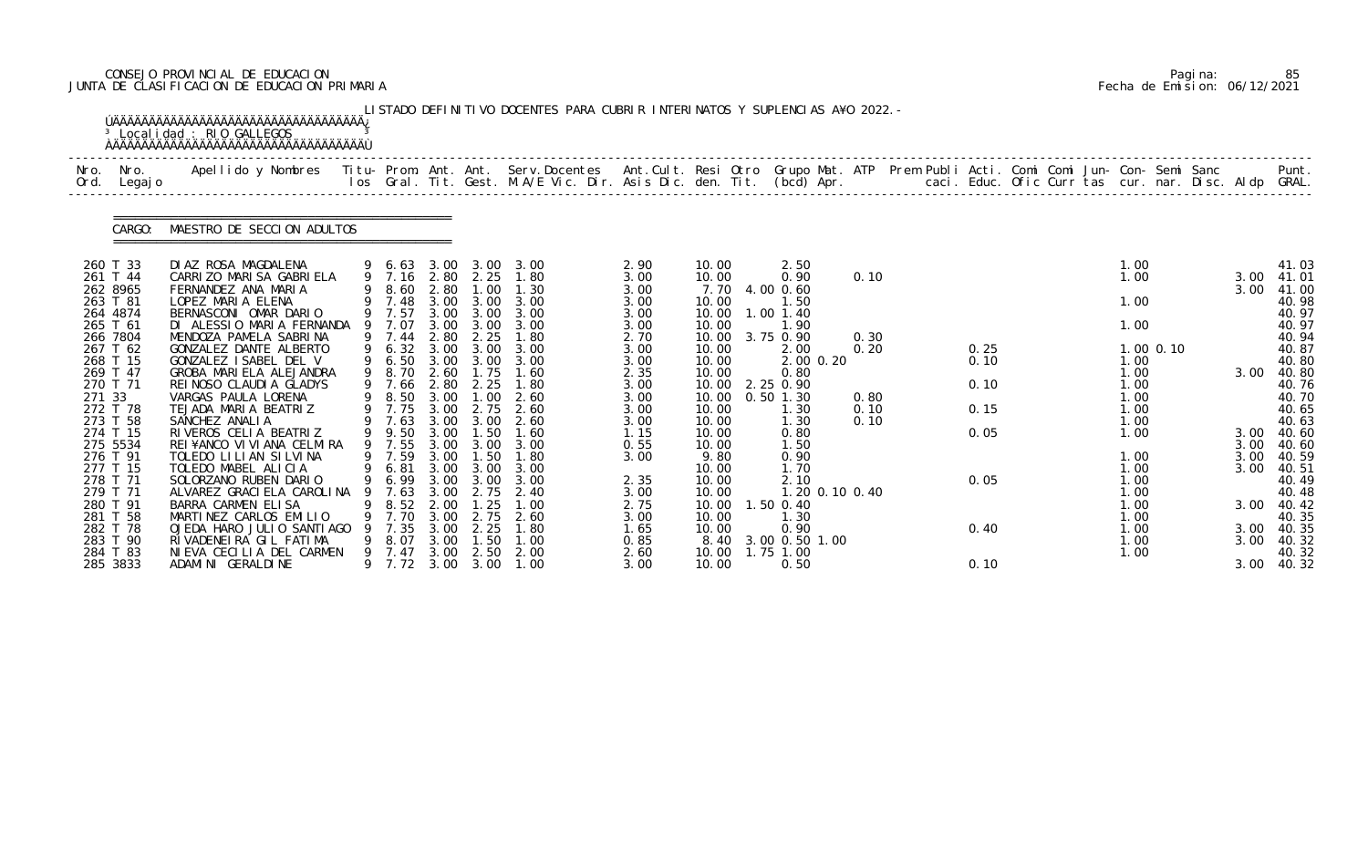# CONSEJO PROVINCIAL DE EDUCACION Pagina: 85 JUNTA DE CLASIFICACION DE EDUCACION PRIMARIA Fecha de Emision: 06/12/2021

| Nro.<br>Ord. | Nro.<br>Legaj o                                          | Apellido y Nombres  Titu- Prom. Ant. Ant. Serv.Docentes  Ant.Cult. Resi Otro Grupo Mat. ATP Prem Publi Acti. Comi Comi Jun- Con- Semi Sanc         Punt.<br>Ios Gral. Tit. Gest. M.A/E Vic. Dir. Asis Dic. den. Tit. (bcd) Apr. |    |                                                        |                                      |                                      |                                           |                                       |                                           |                                                          |                      |  |                      |  |                                      |           |                      |                                           |
|--------------|----------------------------------------------------------|---------------------------------------------------------------------------------------------------------------------------------------------------------------------------------------------------------------------------------|----|--------------------------------------------------------|--------------------------------------|--------------------------------------|-------------------------------------------|---------------------------------------|-------------------------------------------|----------------------------------------------------------|----------------------|--|----------------------|--|--------------------------------------|-----------|----------------------|-------------------------------------------|
|              | CARGO:                                                   | MAESTRO DE SECCION ADULTOS                                                                                                                                                                                                      |    |                                                        |                                      |                                      |                                           |                                       |                                           |                                                          |                      |  |                      |  |                                      |           |                      |                                           |
|              | 260 T 33<br>261 T 44<br>262 8965<br>263 T 81<br>264 4874 | DIAZ ROSA MAGDALENA<br>CARRIZO MARISA GABRIELA<br>FERNANDEZ ANA MARIA<br>LOPEZ MARIA ELENA<br>BERNASCONI OMAR DARIO                                                                                                             |    | 9 6.63<br>9 7.16 2.80 2.25<br>8.60<br>9 7.48<br>9 7.57 | 3.00<br>2.80<br>3.00<br>3.00         | 1.00<br>3.00<br>3.00                 | 3.00 3.00<br>1.80<br>1.30<br>3.00<br>3.00 | 2.90<br>3.00<br>3.00<br>3.00<br>3.00  | 10.00<br>10.00<br>7.70<br>10.00<br>10.00  | 2.50<br>0.90<br>4.00 0.60<br>1.50<br>1.00 1.40           | 0.10                 |  |                      |  | 1.00<br>1.00<br>1.00                 |           | 3.00<br>3.00         | 41.03<br>41.01<br>41.00<br>40.98<br>40.97 |
|              | 265 T 61<br>266 7804<br>267 T 62<br>268 T 15<br>269 T 47 | DI ALESSIO MARIA FERNANDA<br>MENDOZA PAMELA SABRINA<br>GONZALEZ DANTE ALBERTO<br>GONZALEZ ISABEL DEL V<br>GROBA MARIELA ALEJANDRA                                                                                               |    | 7.07<br>9 7.44<br>9 6.32<br>6.50<br>9 8.70             | 3.00<br>2.80<br>3.00<br>3.00<br>2.60 | 3.00<br>2.25<br>3.00<br>3.00<br>1.75 | 3.00<br>1.80<br>3.00<br>3.00<br>1.60      | 3.00<br>2.70<br>3.00<br>3.00<br>2.35  | 10.00<br>10.00<br>10.00<br>10.00<br>10.00 | 1.90<br>3.75 0.90<br>2.00<br>2.00 0.20<br>0.80           | 0.30<br>0.20         |  | 0.25<br>0.10         |  | 1.00<br>1.00<br>1.00                 | 1.00 0.10 | 3.00                 | 40.97<br>40.94<br>40.87<br>40.80<br>40.80 |
| 271 33       | 270 T 71<br>272 T 78<br>273 T 58<br>274 T 15             | REI NOSO CLAUDI A GLADYS<br>VARGAS PAULA LORENA<br>TEJADA MARIA BEATRIZ<br>SANCHEZ ANALIA<br>RIVEROS CELIA BEATRIZ                                                                                                              |    | 9 7.66<br>8.50<br>9 7.75<br>9 7.63<br>9.50             | 2.80<br>3.00<br>3.00<br>3.00<br>3.00 | 2.25<br>.00<br>2.75<br>3.00<br>1.50  | 1.80<br>2.60<br>2.60<br>2.60<br>1.60      | 3.00<br>3.00<br>3.00<br>3.00<br>1.15  | 10.00<br>10.00<br>10.00<br>10.00<br>10.00 | 2.25 0.90<br>$0.50$ 1.30<br>1.30<br>1.30<br>0.80         | 0.80<br>0.10<br>0.10 |  | 0.10<br>0.15<br>0.05 |  | 1.00<br>1.00<br>1.00<br>1.00<br>1.00 |           | 3.00                 | 40.76<br>40.70<br>40.65<br>40.63<br>40.60 |
|              | 275 5534<br>276 T 91<br>277 T 15<br>278 T 71<br>279 T 71 | REI¥ANCO VI VI ANA CELMIRA<br>TOLEDO LILIAN SILVINA<br>TOLEDO MABEL ALICIA<br>SOLORZANO RUBEN DARIO<br>ALVAREZ GRACI ELA CAROLINA                                                                                               | -9 | 9 7.55<br>9 7.59<br>9 6.81<br>9 6.99<br>7.63           | 3.00<br>3.00<br>3.00<br>3.00<br>3.00 | 3.00<br>1.50<br>3.00<br>3.00<br>2.75 | 3.00<br>1.80<br>3.00<br>3.00<br>-2.40     | 0.55<br>3.00<br>2.35<br>3.00          | 10.00<br>9.80<br>10.00<br>10.00<br>10.00  | 1.50<br>0.90<br>1.70<br>2.10<br>1.20 0.10 0.40           |                      |  | 0.05                 |  | 1.00<br>1.00<br>1.00<br>1.00         |           | 3.00<br>3.00<br>3.00 | 40.60<br>40.59<br>40.51<br>40.49<br>40.48 |
|              | 280 T 91<br>281 T 58<br>282 T 78<br>283 T 90<br>284 T 83 | BARRA CARMEN ELISA<br>MARTINEZ CARLOS EMILIO<br>OJEDA HARO JULIO SANTIAGO<br>RIVADENEIRA GIL FATIMA<br>NIEVA CECILIA DEL CARMEN                                                                                                 |    | 8.52<br>7.70<br>7.35<br>8. 07<br>9 7.47                | 2.00<br>3.00<br>3.00<br>3.00<br>3.00 | . 25<br>2.75<br>2.25<br>1.50<br>2.50 | 1.00<br>2.60<br>1.80<br>1.00<br>2.00      | 2.75<br>3.00<br>1. 65<br>0.85<br>2.60 | 10.00<br>10.00<br>10.00<br>8.40<br>10.00  | 1.50 0.40<br>1.30<br>0.90<br>3.00 0.50 1.00<br>1.75 1.00 |                      |  | 0.40                 |  | 1.00<br>1.00<br>1.00<br>1.00<br>1.00 |           | 3.00<br>3.00<br>3.00 | 40.42<br>40.35<br>40.35<br>40.32<br>40.32 |
|              | 285 3833                                                 | ADAMINI GERALDINE                                                                                                                                                                                                               |    | 9 7.72                                                 | 3.00                                 | 3.00                                 | 1.00                                      | 3.00                                  | 10.00                                     | 0.50                                                     |                      |  | 0.10                 |  |                                      |           | 3.00                 | 40.32                                     |

|  | Pagi na: | 85                           |
|--|----------|------------------------------|
|  |          | Fecha de Emision: 06/12/2021 |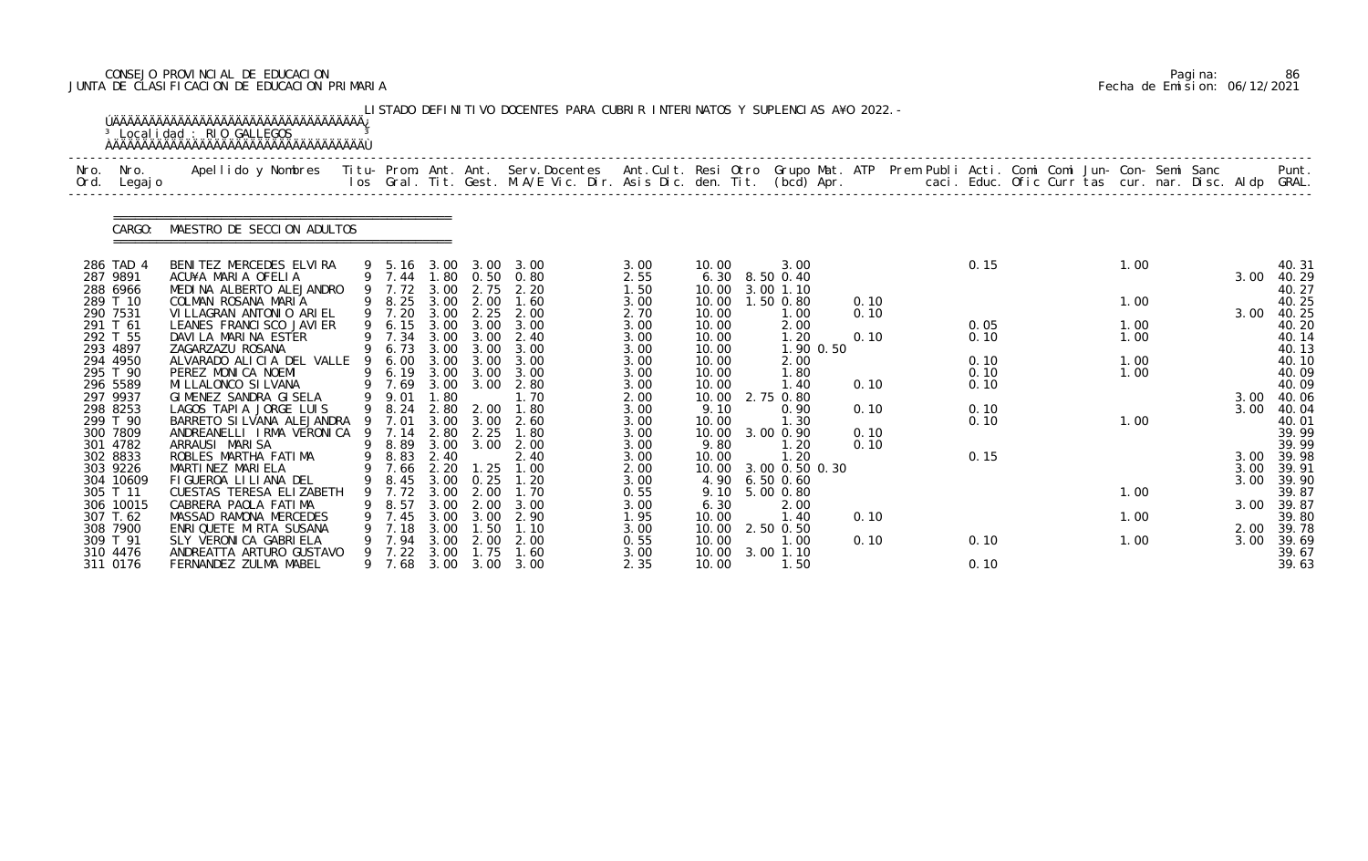# CONSEJO PROVINCIAL DE EDUCACION Pagina: 86 JUNTA DE CLASIFICACION DE EDUCACION PRIMARIA Fecha de Emision: 06/12/2021

| Nro.<br>Ord. | Nro.<br>Legaj o       | Apellido y Nombres  Titu- Prom. Ant. Ant.  Serv.Docentes  Ant.Cult. Resi Otro  Grupo Mat. ATP  Prem Publi Acti. Comi Comi Jun- Con- Semi Sanc              Punt.<br>Ios Gral. Tit. Gest. M.A/E Vic. Dir. Asis Dic. den. Tit. (bcd |   |                          |              |              |                             |              |                |                             |              |      |  |      |              |                |
|--------------|-----------------------|-----------------------------------------------------------------------------------------------------------------------------------------------------------------------------------------------------------------------------------|---|--------------------------|--------------|--------------|-----------------------------|--------------|----------------|-----------------------------|--------------|------|--|------|--------------|----------------|
|              | CARGO:                | MAESTRO DE SECCION ADULTOS                                                                                                                                                                                                        |   |                          |              |              |                             |              |                |                             |              |      |  |      |              |                |
|              | 286 TAD 4<br>287 9891 | BENITEZ MERCEDES ELVIRA<br>ACU¥A MARIA OFELIA                                                                                                                                                                                     |   | 9 5.16 3.00<br>9 7.44    |              |              | 3.00 3.00<br>1.80 0.50 0.80 | 3.00<br>2.55 | 10.00<br>6.30  | 3.00<br>8.50 0.40           |              | 0.15 |  | 1.00 | 3.00         | 40.31<br>40.29 |
|              | 288 6966<br>289 T 10  | MEDINA ALBERTO ALEJANDRO<br>COLMAN ROSANA MARIA                                                                                                                                                                                   |   | 9 7.72<br>9 8.25         | 3.00<br>3.00 | 2.75<br>2.00 | 2.20<br>1.60                | 1.50<br>3.00 | 10.00<br>10.00 | 3.00 1.10<br>1.50 0.80      | 0.10         |      |  | 1.00 |              | 40.27<br>40.25 |
|              | 290 7531              | VILLAGRAN ANTONIO ARIEL                                                                                                                                                                                                           |   | 9 7.20                   | 3.00         | 2.25         | 2.00                        | 2.70         | 10.00          | 1.00                        | 0.10         |      |  |      | 3.00         | 40.25          |
|              | 291 T 61              | LEANES FRANCI SCO JAVI ER                                                                                                                                                                                                         |   | 9 6.15                   | 3.00         | 3.00         | 3.00                        | 3.00         | 10.00          | 2.00                        |              | 0.05 |  | 1.00 |              | 40.20          |
|              | 292 T 55<br>293 4897  | DAVILA MARINA ESTER<br>ZAGARZAZU ROSANA                                                                                                                                                                                           |   | 9 7.34<br>9 6.73         | 3.00<br>3.00 | 3.00<br>3.00 | 2.40<br>3.00                | 3.00<br>3.00 | 10.00<br>10.00 | 1.20<br>1.90 0.50           | 0.10         | 0.10 |  | 1.00 |              | 40.14<br>40.13 |
|              | 294 4950              | ALVARADO ALICIA DEL VALLE                                                                                                                                                                                                         | 9 | 6.00                     | 3.00         | 3.00         | 3.00                        | 3.00         | 10.00          | 2.00                        |              | 0.10 |  | 1.00 |              | 40.10          |
|              | 295 T 90              | PEREZ MONICA NOEMI                                                                                                                                                                                                                |   | 9 6.19 3.00              |              | 3.00         | 3.00                        | 3.00         | 10.00          | 1.80                        |              | 0.10 |  | 1.00 |              | 40.09          |
|              | 296 5589<br>297 9937  | MI LLALONCO SI LVANA<br>GIMENEZ SANDRA GISELA                                                                                                                                                                                     |   | 9 7.69<br>9 9.01         | 3.00<br>1.80 | 3.00         | 2.80<br>1.70                | 3.00<br>2.00 | 10.00<br>10.00 | 1.40<br>2.75 0.80           | 0.10         | 0.10 |  |      | 3.00         | 40.09<br>40.06 |
|              | 298 8253              | LAGOS TAPIA JORGE LUIS                                                                                                                                                                                                            |   | 9 8.24                   | 2.80         | 2.00         | 1.80                        | 3.00         | 9.10           | 0.90                        | 0.10         | 0.10 |  |      | 3.00         | 40.04          |
|              | 299 T 90              | BARRETO SI LVANA ALEJANDRA                                                                                                                                                                                                        |   | 9 7.01                   | 3.00         | 3.00         | 2.60                        | 3.00         | 10.00          | 1.30                        |              | 0.10 |  | 1.00 |              | 40.01          |
|              | 300 7809<br>301 4782  | ANDREANELLI IRMA VERONICA<br>ARRAUSI MARISA                                                                                                                                                                                       | 9 | 7.14<br>9 8.89           | 2.80<br>3.00 | 2.25<br>3.00 | 1.80<br>2.00                | 3.00<br>3.00 | 10.00<br>9.80  | 3.00 0.90<br>1.20           | 0.10<br>0.10 |      |  |      |              | 39.99<br>39.99 |
|              | 302 8833              | ROBLES MARTHA FATIMA                                                                                                                                                                                                              |   | 9 8.83                   | 2.40         |              | 2.40                        | 3.00         | 10.00          | 1.20                        |              | 0.15 |  |      | 3.00         | 39.98          |
|              | 303 9226              | MARTINEZ MARIELA                                                                                                                                                                                                                  |   | 9 7.66 2.20              |              | 1.25         | 1.00                        | 2.00         | 10.00          | 3.00 0.50 0.30              |              |      |  |      | 3.00         | 39.91          |
|              | 304 10609<br>305 T 11 | FIGUEROA LILIANA DEL<br>CUESTAS TERESA ELIZABETH                                                                                                                                                                                  | 9 | 9 8.45 3.00 0.25<br>7.72 | 3.00         | 2.00         | 1.20<br>1.70                | 3.00<br>0.55 | 9.10           | 4.90 6.50 0.60<br>5.00 0.80 |              |      |  | 1.00 | 3.00         | 39.90<br>39.87 |
|              | 306 10015             | CABRERA PAOLA FATIMA                                                                                                                                                                                                              |   | 8.57                     | 3.00         | 2.00         | 3.00                        | 3.00         | 6.30           | 2.00                        |              |      |  |      | 3.00         | 39.87          |
|              | 307 T.62              | MASSAD RAMONA MERCEDES                                                                                                                                                                                                            |   | 9 7.45                   | 3.00         | 3.00         | 2.90                        | 1.95         | 10.00          | 1.40                        | 0.10         |      |  | 1.00 |              | 39.80          |
|              | 308 7900<br>309 T 91  | ENRIQUETE MIRTA SUSANA<br>SLY VERONI CA GABRI ELA                                                                                                                                                                                 |   | 7.18<br>7.94             | 3.00<br>3.00 | 1.50<br>2.00 | 1.10<br>2.00                | 3.00<br>0.55 | 10.00<br>10.00 | 2.50 0.50<br>1.00           | 0.10         | 0.10 |  | 1.00 | 2.00<br>3.00 | 39.78<br>39.69 |
|              | 310 4476              | ANDREATTA ARTURO GUSTAVO                                                                                                                                                                                                          |   | 9 7.22                   | 3.00         | 1.75         | 1.60                        | 3.00         | 10.00          | 3.00 1.10                   |              |      |  |      |              | 39.67          |
|              | 311 0176              | FERNANDEZ ZULMA MABEL                                                                                                                                                                                                             |   | 9 7.68                   | 3.00         | 3.00         | 3.00                        | 2.35         | 10.00          | 1.50                        |              | 0.10 |  |      |              | 39.63          |

|  | Pagi na: | 86                           |
|--|----------|------------------------------|
|  |          | Fecha de Emision: 06/12/2021 |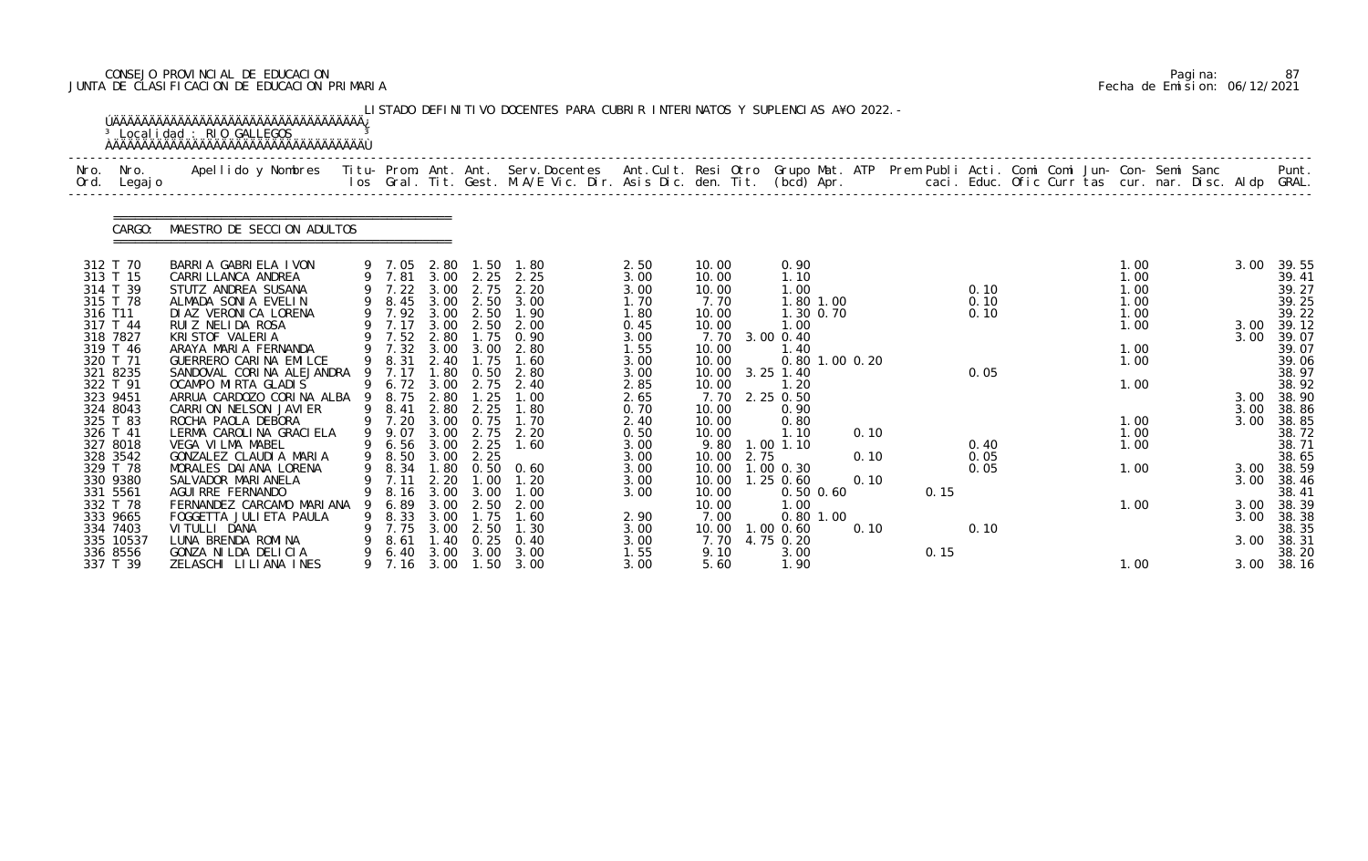# CONSEJO PROVINCIAL DE EDUCACION Pagina: 87 JUNTA DE CLASIFICACION DE EDUCACION PRIMARIA Fecha de Emision: 06/12/2021

| Nro.<br>Ord. | Nro.<br>Legaj o                                          | Apellido y Nombres  Titu- Prom. Ant. Ant. Serv.Docentes  Ant.Cult. Resi Otro Grupo Mat. ATP Prem Publi Acti. Comi Comi Jun- Con- Semi Sanc           Punt.<br>Ios Gral. Tit. Gest. M.A/E Vic. Dir. Asis Dic. den. Tit. (bcd) Apr. |    |                                                      |                                     |                                                            |                                                   |                                      |                                          |                                                          |              |      |              |  |                              |  |                      |                                                    |
|--------------|----------------------------------------------------------|-----------------------------------------------------------------------------------------------------------------------------------------------------------------------------------------------------------------------------------|----|------------------------------------------------------|-------------------------------------|------------------------------------------------------------|---------------------------------------------------|--------------------------------------|------------------------------------------|----------------------------------------------------------|--------------|------|--------------|--|------------------------------|--|----------------------|----------------------------------------------------|
|              | CARGO:                                                   | MAESTRO DE SECCION ADULTOS                                                                                                                                                                                                        |    |                                                      |                                     |                                                            |                                                   |                                      |                                          |                                                          |              |      |              |  |                              |  |                      |                                                    |
|              | 312 T 70<br>313 T 15<br>314 T 39<br>315 T 78             | BARRIA GABRIELA IVON<br>CARRI LLANCA ANDREA<br>STUTZ ANDREA SUSANA<br>ALMADA SONIA EVELIN                                                                                                                                         |    | 9 7.05<br>9 7.81<br>$9$ 7.22<br>9 8.45               | 2.80<br>3.00<br>3.00                | 1.50<br>$3.00 \quad 2.25$<br>2.75<br>2.50                  | 1.80<br>2.25<br>2.20<br>3.00                      | 2.50<br>3.00<br>3.00<br>1.70         | 10.00<br>10.00<br>10.00<br>7.70          | 0.90<br>1.10<br>1.00<br>1.80 1.00                        |              |      | 0.10<br>0.10 |  | 1.00<br>1.00<br>1.00<br>1.00 |  | 3.00                 | 39.55<br>39.41<br>39.27<br>39.25                   |
| 316 T11      | 317 T 44<br>318 7827<br>319 T 46<br>320 T 71<br>321 8235 | DI AZ VERONICA LORENA<br>RUIZ NELIDA ROSA<br>KRI STOF VALERIA<br>ARAYA MARIA FERNANDA<br>GUERRERO CARINA EMILCE<br>SANDOVAL CORINA ALEJANDRA                                                                                      |    | 9 7.92<br>7.17<br>9 7.52<br>9 7.32<br>9 8.31<br>7.17 | 3.00<br>3.00<br>2.80<br>2.40<br>.80 | 2.50<br>1.75<br>3.00 3.00<br>1.75<br>0.50                  | 2.50 1.90<br>2.00<br>0.90<br>2.80<br>1.60<br>2.80 | 1.80<br>0.45<br>3.00<br>1.55<br>3.00 | 10.00<br>10.00<br>7.70<br>10.00<br>10.00 | 1.30 0.70<br>1.00<br>3.00 0.40<br>1.40<br>0.80 1.00 0.20 |              |      | 0.10<br>0.05 |  | 1.00<br>1.00<br>1.00<br>1.00 |  | 3.00<br>3.00         | 39.22<br>39.12<br>39.07<br>39.07<br>39.06<br>38.97 |
|              | 322 T 91<br>323 9451<br>324 8043<br>325 T 83             | OCAMPO MIRTA GLADIS<br>ARRUA CARDOZO CORINA ALBA<br>CARRION NELSON JAVIER<br>ROCHA PAOLA DEBORA                                                                                                                                   |    | 9 6.72<br>8. 75<br>9 8.41<br>9 7.20                  | 3.00<br>2.80<br>2.80                | 2.75<br>$\overline{\phantom{0}}$ . 25<br>2.25<br>3.00 0.75 | 2.40<br>1.00<br>1.80<br>1.70                      | 3.00<br>2.85<br>2.65<br>0.70<br>2.40 | 10.00<br>10.00<br>7.70<br>10.00<br>10.00 | $3.25$ 1.40<br>1.20<br>2.25 0.50<br>0.90<br>0.80         |              |      |              |  | 1.00<br>1.00                 |  | 3.00<br>3.00<br>3.00 | 38.92<br>38.90<br>38.86<br>38.85                   |
|              | 326 T 41<br>327 8018<br>328 3542                         | LERMA CAROLINA GRACIELA<br>VEGA VILMA MABEL<br>GONZALEZ CLAUDIA MARIA                                                                                                                                                             |    | 9 9.07<br>9 6.56<br>9 8.50                           | 3.00<br>3.00<br>3.00                | 2.75<br>2.25<br>2.25                                       | 2.20<br>1.60                                      | 0.50<br>3.00<br>3.00                 | 10.00<br>9.80<br>2.75<br>10.00           | 1.10<br>$1.00$ $1.10$                                    | 0.10<br>0.10 |      | 0.40<br>0.05 |  | 1.00<br>1.00                 |  |                      | 38.72<br>38.71<br>38.65                            |
|              | 329 T 78<br>330 9380                                     | MORALES DAI ANA LORENA<br>SALVADOR MARI ANELA                                                                                                                                                                                     |    | 9 8.34<br>9 7.11                                     | 1.80<br>2.20                        | 1.00                                                       | $0.50 \quad 0.60$<br>1.20                         | 3.00<br>3.00                         | 10.00<br>10.00  1.25  0.60               | $1.00$ 0.30                                              | 0.10         |      | 0.05         |  | 1.00                         |  | 3.00<br>3.00         | 38.59<br>38.46                                     |
|              | 331 5561<br>332 T 78<br>333 9665                         | AGUI RRE FERNANDO<br>FERNANDEZ CARCAMO MARIANA<br>FOGGETTA JULI ETA PAULA                                                                                                                                                         | 9  | 8.16<br>6.89<br>8.33                                 | 3.00<br>3.00<br>3.00                | 3.00<br>2.50<br>1.75                                       | 1.00<br>2.00<br>1.60                              | 3.00<br>2.90                         | 10.00<br>10.00<br>7.00                   | 0.50 0.60<br>1.00<br>$0.80$ 1.00                         |              | 0.15 |              |  | 1.00                         |  | 3.00<br>3.00         | 38.41<br>38.39<br>38.38                            |
|              | 334 7403<br>335 10537                                    | VI TULLI DANA<br>LUNA BRENDA ROMINA                                                                                                                                                                                               | 9  | 7.75<br>8.61                                         | 3.00<br>40                          | 2.50<br>0.25                                               | 1. 30<br>0.40                                     | 3.00<br>3.00                         | 10.00<br>7.70                            | $1.00$ $0.60$<br>4.75 0.20                               | 0.10         |      | 0.10         |  |                              |  | 3.00                 | 38.35<br>38.31                                     |
|              | 336 8556<br>337 T 39                                     | GONZA NILDA DELICIA<br>ZELASCHI LILIANA INES                                                                                                                                                                                      | 9. | 6.40<br>9 7.16                                       | 3.00<br>3.00                        | 3.00                                                       | 3.00<br>$1.50 \quad 3.00$                         | 1.55<br>3.00                         | 9.10<br>5.60                             | 3.00<br>1.90                                             |              | 0.15 |              |  | 1.00                         |  | 3.00                 | 38.20<br>38.16                                     |

|  | Pagi na: | 87                           |
|--|----------|------------------------------|
|  |          | Fecha de Emision: 06/12/2021 |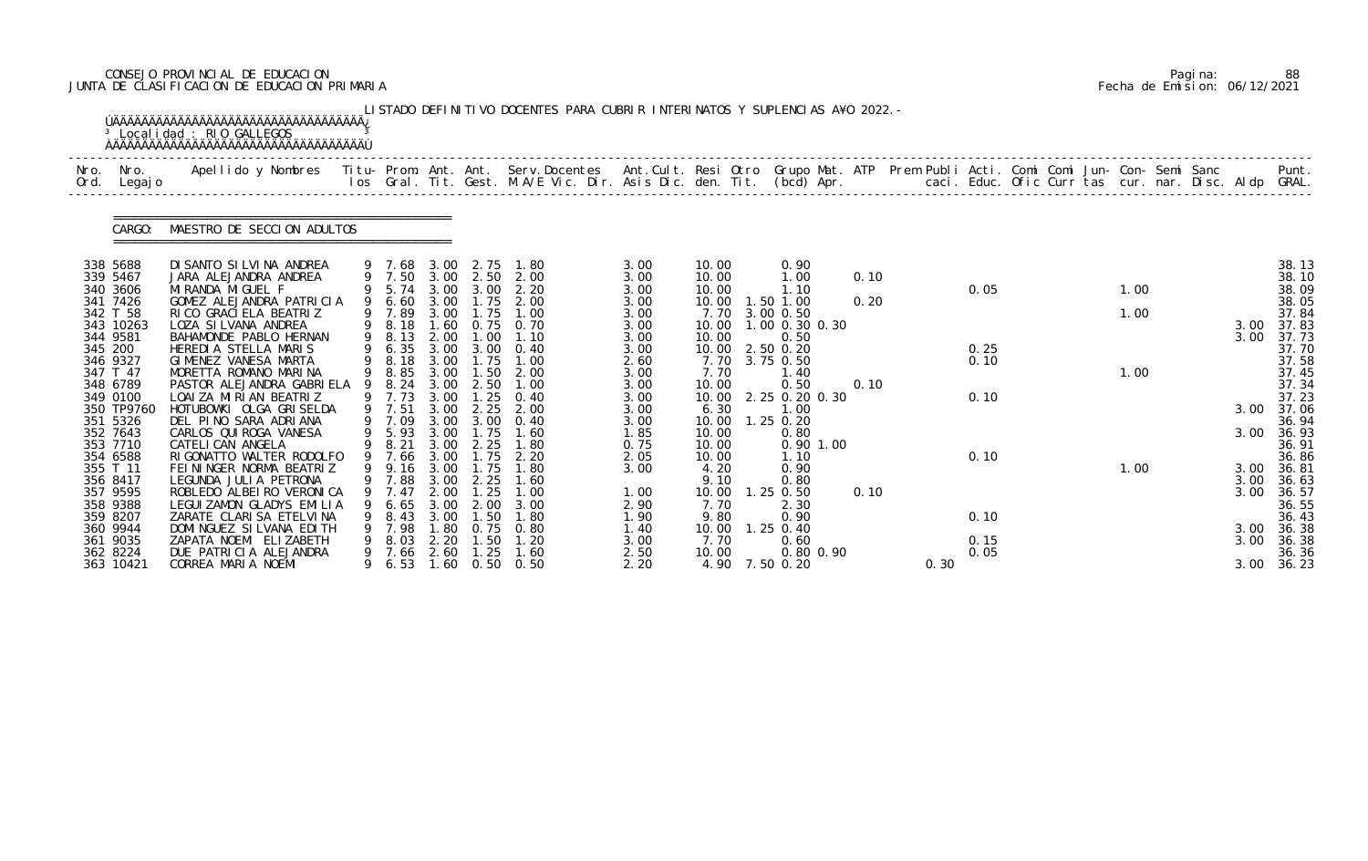# CONSEJO PROVINCIAL DE EDUCACION Pagina: 88 JUNTA DE CLASIFICACION DE EDUCACION PRIMARIA Fecha de Emision: 06/12/2021

| Nro.<br>Ord. | Nro.<br>Legaj o        | .Apellido y Nombres  Titu- Prom. Ant. Ant.  Serv.Docentes  Ant.Cult. Resi Otro  Grupo Mat. ATP  Prem Publi Acti. Comi Comi Jun- Con- Semi Sanc              Punt<br>Ios Gral. Tit. Gest. M.A/E Vic. Dir. Asis Dic. den. Tit. (bcd |   |                  |              |                   |                       |              |                |                        |      |      |      |  |      |  |              |                |
|--------------|------------------------|-----------------------------------------------------------------------------------------------------------------------------------------------------------------------------------------------------------------------------------|---|------------------|--------------|-------------------|-----------------------|--------------|----------------|------------------------|------|------|------|--|------|--|--------------|----------------|
|              | CARGO:                 | MAESTRO DE SECCION ADULTOS                                                                                                                                                                                                        |   |                  |              |                   |                       |              |                |                        |      |      |      |  |      |  |              |                |
|              | 338 5688<br>339 5467   | DI SANTO SI LVI NA ANDREA<br>JARA ALEJANDRA ANDREA                                                                                                                                                                                |   | 9 7.68<br>9 7.50 | 3.00         | 2.75<br>3.00 2.50 | 1.80<br>2.00          | 3.00<br>3.00 | 10.00<br>10.00 | 0.90<br>1.00           | 0.10 |      |      |  |      |  |              | 38.13<br>38.10 |
|              | 340 3606               | MI RANDA MI GUEL F                                                                                                                                                                                                                |   |                  |              |                   | 9 5.74 3.00 3.00 2.20 | 3.00         | 10.00          | 1.10                   |      |      | 0.05 |  | 1.00 |  |              | 38.09          |
|              | 341 7426<br>342 T 58   | GOMEZ ALEJANDRA PATRICIA<br>RI CO GRACI ELA BEATRIZ                                                                                                                                                                               |   | 9 6.60<br>9 7.89 | 3.00         | 3.00 1.75<br>1.75 | 2.00<br>1.00          | 3.00<br>3.00 | 10.00<br>7.70  | 1.50 1.00<br>3.00 0.50 | 0.20 |      |      |  | 1.00 |  |              | 38.05<br>37.84 |
|              | 343 10263              | LOZA SI LVANA ANDREA                                                                                                                                                                                                              |   | 9 8.18           | 1.60         |                   | 0.75 0.70             | 3.00         | 10.00          | 1.00 0.30 0.30         |      |      |      |  |      |  | 3.00         | 37.83          |
|              | 344 9581<br>345 200    | BAHAMONDE PABLO HERNAN<br>HEREDIA STELLA MARIS                                                                                                                                                                                    |   | 9 8.13<br>9 6.35 | 2.00<br>3.00 | 1.00<br>3.00      | 1.10<br>0.40          | 3.00<br>3.00 | 10.00<br>10.00 | 0.50<br>2.50 0.20      |      |      | 0.25 |  |      |  | 3.00         | 37.73<br>37.70 |
|              | 346 9327               | GIMENEZ VANESA MARTA                                                                                                                                                                                                              |   | 9 8.18           | 3.00         | 1.75              | 1.00                  | 2.60         | 7.70           | 3.75 0.50              |      |      | 0.10 |  |      |  |              | 37.58          |
|              | 347 T 47<br>348 6789   | MORETTA ROMANO MARINA<br>PASTOR ALEJANDRA GABRIELA                                                                                                                                                                                | 9 | 9 8.85<br>8.24   | 3.00<br>3.00 | 1.50<br>2.50      | 2.00<br>1.00          | 3.00<br>3.00 | 7.70<br>10.00  | 1.40<br>0.50           | 0.10 |      |      |  | 1.00 |  |              | 37.45<br>37.34 |
|              | 349 0100               | LOAIZA MIRIAN BEATRIZ                                                                                                                                                                                                             |   | 9 7.73           | 3.00         | 1.25              | 0.40                  | 3.00         | 10.00          | 2.25 0.20 0.30         |      |      | 0.10 |  |      |  |              | 37.23          |
|              | 350 TP9760<br>351 5326 | HOTUBOWKI OLGA GRISELDA<br>DEL PINO SARA ADRIANA                                                                                                                                                                                  |   | 9 7.51<br>9 7.09 | 3.00<br>3.00 | 2.25<br>3.00      | 2.00<br>0.40          | 3.00<br>3.00 | 6.30<br>10.00  | 1.00<br>$1.25$ 0.20    |      |      |      |  |      |  | 3.00         | 37.06<br>36.94 |
|              | 352 7643               | CARLOS QUI ROGA VANESA                                                                                                                                                                                                            |   | 9 5.93           | 3.00         | 1.75              | 1.60                  | 1.85         | 10.00          | 0.80                   |      |      |      |  |      |  | 3.00         | 36.93          |
|              | 353 7710               | CATELI CAN ANGELA<br>RIGONATTO WALTER RODOLFO                                                                                                                                                                                     |   | 9 8.21<br>9 7.66 | 3.00<br>3.00 | 2.25<br>1.75      | 1.80<br>2.20          | 0.75         | 10.00          | 0.90 1.00              |      |      | 0.10 |  |      |  |              | 36.91          |
|              | 354 6588<br>355 T 11   | FEININGER NORMA BEATRIZ                                                                                                                                                                                                           |   | 9 9.16 3.00      |              | 1.75              | 1.80                  | 2.05<br>3.00 | 10.00<br>4.20  | 1.10<br>0.90           |      |      |      |  | 1.00 |  | 3.00         | 36.86<br>36.81 |
|              | 356 8417               | LEGUNDA JULIA PETRONA                                                                                                                                                                                                             |   | 9 7.88           | 3.00         | 2.25              | 1.60                  |              | 9.10           | 0.80                   |      |      |      |  |      |  | 3.00         | 36.63          |
|              | 357 9595<br>358 9388   | ROBLEDO ALBEIRO VERONICA<br>LEGUI ZAMON GLADYS EMILIA                                                                                                                                                                             |   | 7.47<br>6.65     | 2.00<br>3.00 | . 25<br>2.00      | 3.00                  | 1.00<br>2.90 | 10.00<br>7.70  | $1.25$ 0.50<br>2.30    | 0.10 |      |      |  |      |  | 3.00         | 36.57<br>36.55 |
|              | 359 8207               | ZARATE CLARISA ETELVINA                                                                                                                                                                                                           |   | 8.43             | 3.00         | . 50              | 1.80                  | 1.90         | 9.80           | 0.90                   |      |      | 0.10 |  |      |  |              | 36.43          |
|              | 360 9944<br>361 9035   | DOMI NGUEZ SI LVANA EDI TH<br>ZAPATA NOEMI ELIZABETH                                                                                                                                                                              |   | 7.98<br>8.03     | . 80<br>2.20 | 0.75<br>1.50      | 0.80<br>1.20          | 1.40<br>3.00 | 10.00<br>7.70  | $1.25$ 0.40<br>0.60    |      |      | 0.15 |  |      |  | 3.00<br>3.00 | 36.38<br>36.38 |
|              | 362 8224               | DUE PATRICIA ALEJANDRA                                                                                                                                                                                                            |   | 7.66             | 2.60         | 1.25              | 1.60                  | 2.50         | 10.00          | 0.80 0.90              |      |      | 0.05 |  |      |  |              | 36.36          |
|              | 363 10421              | CORREA MARIA NOEMI                                                                                                                                                                                                                |   | 6.53             | 1.60         | 0.50              | 0.50                  | 2.20         | 4.90 7.50 0.20 |                        |      | 0.30 |      |  |      |  | 3.00         | 36.23          |

|  | Pagi na: | 88                           |
|--|----------|------------------------------|
|  |          | Fecha de Emision: 06/12/2021 |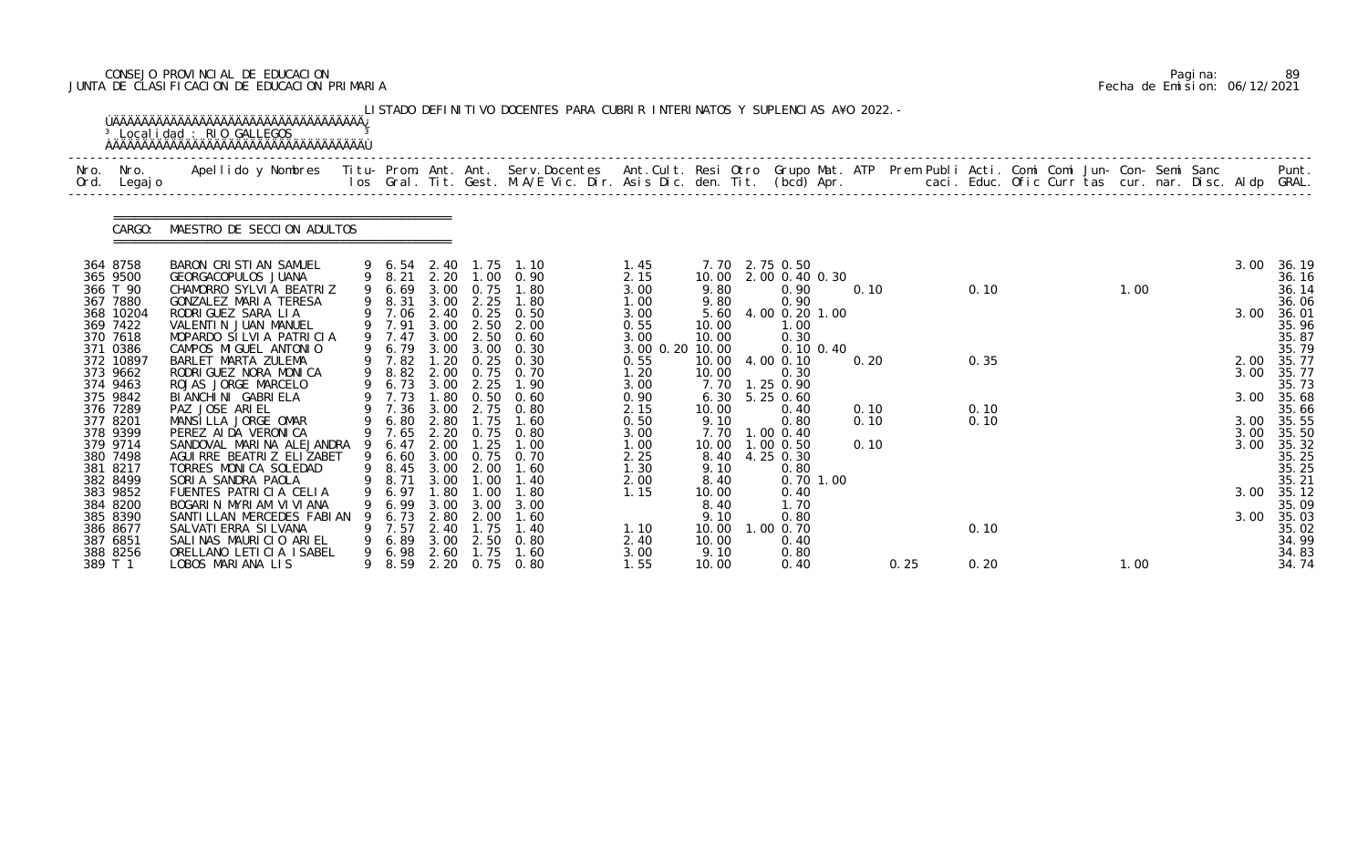# CONSEJO PROVINCIAL DE EDUCACION Pagina: 89 JUNTA DE CLASIFICACION DE EDUCACION PRIMARIA Fecha de Emision: 06/12/2021

| Nro.    | Nro. In the Nro.<br>Ord. Legajo | Apellido y Nombres  Titu- Prom. Ant. Ant.  Serv.Docentes  Ant.Cult. Resi Otro  Grupo Mat. ATP  Prem Publi Acti. Comi Comi Jun- Con- Semi Sanc              Punt.<br>Ios Gral. Tit. Gest. M.A/E Vic. Dir. Asis Dic. den. Tit. (bcd |        |                  |              |                          |                                    |                         |               |                              |              |      |              |  |      |  |      |                     |
|---------|---------------------------------|-----------------------------------------------------------------------------------------------------------------------------------------------------------------------------------------------------------------------------------|--------|------------------|--------------|--------------------------|------------------------------------|-------------------------|---------------|------------------------------|--------------|------|--------------|--|------|--|------|---------------------|
|         | CARGO:                          | MAESTRO DE SECCION ADULTOS                                                                                                                                                                                                        |        |                  |              |                          |                                    |                         |               |                              |              |      |              |  |      |  |      |                     |
|         | 364 8758                        | BARON CRISTIAN SAMUEL                                                                                                                                                                                                             |        |                  |              |                          | 9 6.54 2.40 1.75 1.10              | 1. 45                   |               | 7.70 2.75 0.50               |              |      |              |  |      |  | 3.00 | 36.19               |
|         | 365 9500<br>366 T 90            | GEORGACOPULOS JUANA<br>CHAMORRO SYLVIA BEATRIZ                                                                                                                                                                                    |        | 9 8.21           | 2.20         |                          | 1.00 0.90<br>9 6.69 3.00 0.75 1.80 | 2.15<br>3.00            | 9.80          | 10.00 2.00 0.40 0.30<br>0.90 | 0.10         |      | 0.10         |  | 1.00 |  |      | 36.16<br>36.14      |
|         | 367 7880                        | GONZALEZ MARIA TERESA                                                                                                                                                                                                             |        | 9 8.31           |              |                          | 3.00 2.25 1.80                     | 1.00                    | 9.80          | 0.90                         |              |      |              |  |      |  |      | 36.06               |
|         | 368 10204                       | RODRI GUEZ SARA LIA                                                                                                                                                                                                               |        | 9 7.06           |              |                          | 2.40 0.25 0.50                     | 3.00                    |               | 5.60 4.00 0.20 1.00          |              |      |              |  |      |  | 3.00 | 36.01               |
|         | 369 7422                        | VALENTIN JUAN MANUEL                                                                                                                                                                                                              |        | 9 7.91           | 3.00         |                          | 2.50 2.00                          | 0.55                    | 10.00         | 1.00                         |              |      |              |  |      |  |      | 35.96               |
|         | 370 7618<br>371 0386            | MOPARDO SILVIA PATRICIA<br>CAMPOS MIGUEL ANTONIO                                                                                                                                                                                  |        | 9 7.47<br>9 6.79 | 3.00         | 3.00 2.50<br>3.00        | 0.60<br>0.30                       | 3.00<br>3.00 0.20 10.00 | 10.00         | 0.30<br>$0.10 \, 0.40$       |              |      |              |  |      |  |      | 35.87<br>35.79      |
|         | 372 10897                       | BARLET MARTA ZULEMA                                                                                                                                                                                                               |        |                  |              |                          | 9 7.82 1.20 0.25 0.30              | 0.55                    |               | 10.00 4.00 0.10              | 0.20         |      | 0.35         |  |      |  |      | 2.00 35.77          |
|         | 373 9662                        | RODRIGUEZ NORA MONICA                                                                                                                                                                                                             |        | 9 8.82           |              |                          | 2.00 0.75 0.70                     | 1.20                    | 10.00         | 0.30                         |              |      |              |  |      |  |      | 3.00 35.77          |
|         | 374 9463                        | ROJAS JORGE MARCELO                                                                                                                                                                                                               |        | 9 6.73           | 3.00         | 2.25                     | 1.90                               | 3.00                    |               | 7.70 1.25 0.90               |              |      |              |  |      |  |      | 35.73               |
|         | 375 9842                        | BI ANCHI NI GABRI ELA                                                                                                                                                                                                             |        | 9 7.73           | 1. 80        |                          | $0.50 \quad 0.60$                  | 0.90                    |               | $6.30$ $5.25$ 0.60           |              |      |              |  |      |  |      | 3.00 35.68          |
|         | 376 7289<br>377 8201            | PAZ JOSE ARIEL<br>MANSILLA JORGE OMAR                                                                                                                                                                                             |        | 6.80             | 2.80         | 1.75                     | 9 7.36 3.00 2.75 0.80<br>1.60      | 2.15<br>0.50            | 10.00<br>9.10 | 0.40<br>0.80                 | 0.10<br>0.10 |      | 0.10<br>0.10 |  |      |  | 3.00 | 35.66<br>35.55      |
|         | 378 9399                        | PEREZ AI DA VERONICA                                                                                                                                                                                                              |        |                  |              |                          | 9 7.65 2.20 0.75 0.80              | 3.00                    |               | 7.70 1.00 0.40               |              |      |              |  |      |  | 3.00 | 35.50               |
|         | 379 9714                        | SANDOVAL MARINA ALEJANDRA                                                                                                                                                                                                         | 9      | 6.47             | 2.00         | 1.25                     | 1.00                               | 1.00                    |               | 10.00  1.00  0.50            | 0.10         |      |              |  |      |  | 3.00 | 35.32               |
|         | 380 7498                        | AGUI RRE BEATRIZ ELIZABET                                                                                                                                                                                                         |        | 9 6.60           |              |                          | 3.00 0.75 0.70                     | 2.25                    |               | 8.40 4.25 0.30               |              |      |              |  |      |  |      | 35.25               |
|         | 381 8217                        | TORRES MONICA SOLEDAD                                                                                                                                                                                                             |        |                  |              | 9 8.45 3.00 2.00         | 1.60                               | 1.30                    | 9.10          | 0.80                         |              |      |              |  |      |  |      | 35.25               |
|         | 382 8499<br>383 9852            | SORIA SANDRA PAOLA<br>FUENTES PATRICIA CELIA                                                                                                                                                                                      |        | 6.97             | . 80         | 9 8.71 3.00 1.00<br>. 00 | 1.40<br>1. 80                      | 2.00<br>1.15            | 8.40<br>10.00 | 0.70 1.00<br>0.40            |              |      |              |  |      |  |      | 35.21<br>3.00 35.12 |
|         | 384 8200                        | BOGARIN MYRIAM VIVIANA                                                                                                                                                                                                            |        | 6.99             | 3.00         | 3.00                     | 3.00                               |                         | 8.40          | 1. 70                        |              |      |              |  |      |  |      | 35.09               |
|         | 385 8390                        | SANTILLAN MERCEDES FABIAN                                                                                                                                                                                                         |        | 6.73             | 2.80         | 2.00                     | 1.60                               |                         | 9.10          | 0.80                         |              |      |              |  |      |  | 3.00 | 35.03               |
|         | 386 8677                        | SALVATI ERRA SI LVANA                                                                                                                                                                                                             |        | 7.57             | 2.40         | $\overline{.75}$         | 1.40                               | 1.10                    | 10.00         | .0000.70                     |              |      | 0.10         |  |      |  |      | 35.02               |
|         | 387 6851                        | SALINAS MAURICIO ARIEL                                                                                                                                                                                                            |        | 6.89             | 3.00         | 2.50                     | 0.80                               | 2.40                    | 10.00         | 0.40                         |              |      |              |  |      |  |      | 34.99               |
| 389 T 1 | 388 8256                        | ORELLANO LETICIA ISABEL<br>LOBOS MARIANA LIS                                                                                                                                                                                      | 9<br>9 | 6.98<br>8. 59    | 2.60<br>2.20 | 1.75<br>0.75             | 1.60<br>0.80                       | 3.00<br>1.55            | 9.10<br>10.00 | 0.80<br>0.40                 |              | 0.25 | 0.20         |  | 1.00 |  |      | 34.83<br>34.74      |

|  | Pagi na: | 89                           |
|--|----------|------------------------------|
|  |          | Fecha de Emision: 06/12/2021 |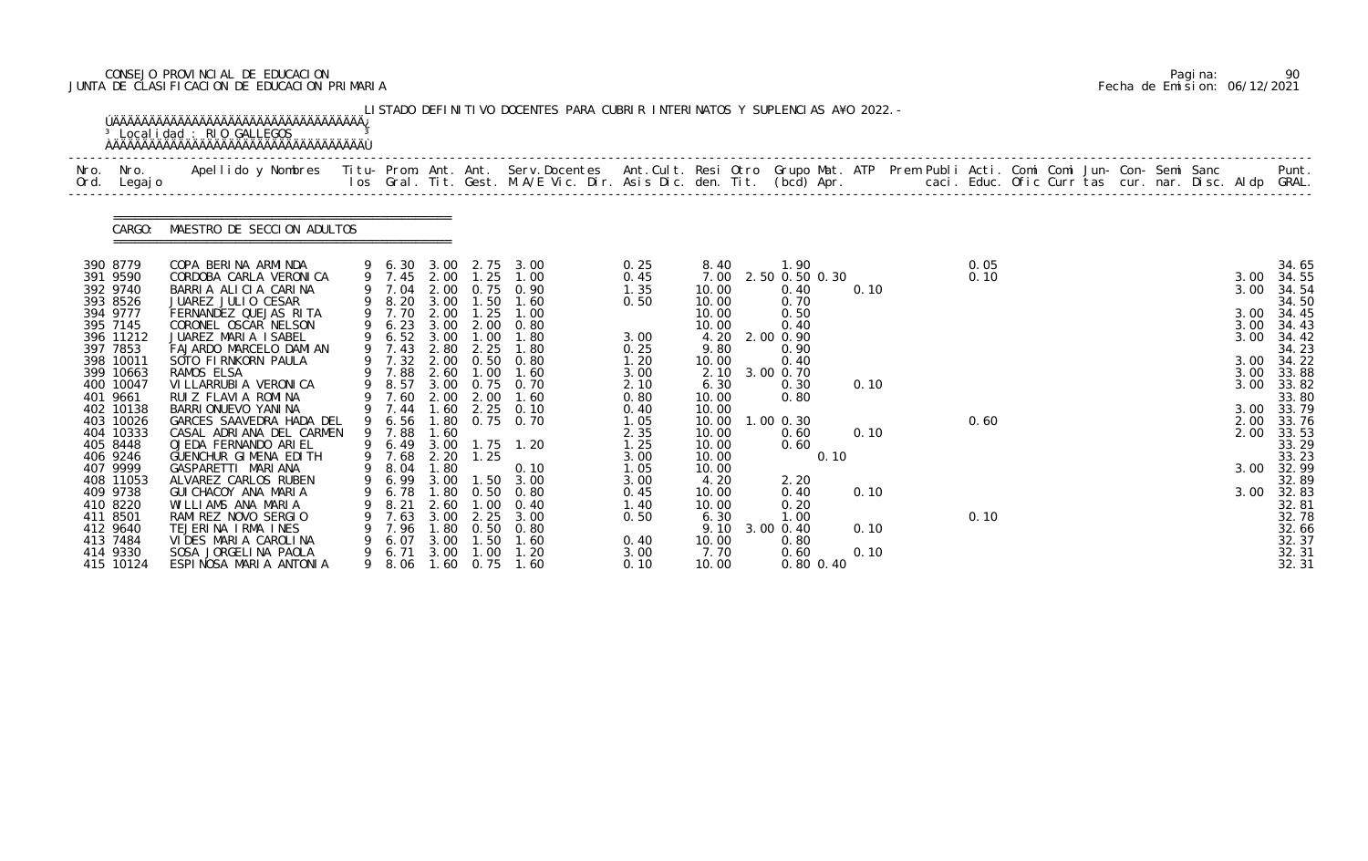# CONSEJO PROVINCIAL DE EDUCACION Pagina: 90 JUNTA DE CLASIFICACION DE EDUCACION PRIMARIA Fecha de Emision: 06/12/2021

| Nro.<br>Ord.         | Nro.<br>Legaj o        | Apellido y Nombres  Titu- Prom. Ant. Ant. Serv.Docentes  Ant.Cult. Resi Otro Grupo Mat. ATP Prem Publi Acti. Comi Comi Jun- Con- Semi Sanc         Punt.<br>Ios Gral. Tit. Gest. M.A/E Vic. Dir. Asis Dic. den. Tit. (bcd) Apr. |    |                  |               |                   |                                                |              |                |                        |      |      |  |  |  |              |                |
|----------------------|------------------------|---------------------------------------------------------------------------------------------------------------------------------------------------------------------------------------------------------------------------------|----|------------------|---------------|-------------------|------------------------------------------------|--------------|----------------|------------------------|------|------|--|--|--|--------------|----------------|
|                      | CARGO:                 | MAESTRO DE SECCION ADULTOS                                                                                                                                                                                                      |    |                  |               |                   |                                                |              |                |                        |      |      |  |  |  |              |                |
| 390 8779             |                        | COPA BERINA ARMINDA                                                                                                                                                                                                             |    |                  |               |                   | 9 6.30 3.00 2.75 3.00<br>9 7.45 2.00 1.25 1.00 | 0.25         | 8.40           | 1.90                   |      | 0.05 |  |  |  |              | 34.65          |
| 391 9590<br>392 9740 |                        | CORDOBA CARLA VERONICA                                                                                                                                                                                                          |    | 9 7.04           | 2.00          |                   |                                                | 0.45<br>1.35 | 7.00           | 2.50 0.50 0.30<br>0.40 | 0.10 | 0.10 |  |  |  | 3.00<br>3.00 | 34.55          |
| 393 8526             |                        | BARRIA ALICIA CARINA<br>JUAREZ JULIO CESAR                                                                                                                                                                                      |    | 9 8.20 3.00      |               | 1.50              | 0.75 0.90<br>1.60                              | 0.50         | 10.00<br>10.00 | 0.70                   |      |      |  |  |  |              | 34.54<br>34.50 |
| 394 9777             |                        | FERNANDEZ QUEJAS RITA                                                                                                                                                                                                           |    | 9 7.70           | 2.00          | 1.25              | 1.00                                           |              | 10.00          | 0.50                   |      |      |  |  |  | 3.00         | 34.45          |
| 395 7145             |                        | CORONEL OSCAR NELSON                                                                                                                                                                                                            |    | 9 6.23           | 3.00          | 2.00              | 0.80                                           |              | 10.00          | 0.40                   |      |      |  |  |  | 3.00         | 34.43          |
|                      | 396 11212              | JUAREZ MARIA ISABEL                                                                                                                                                                                                             |    | 9 6.52 3.00      |               | 1.00              | 1.80                                           | 3.00         | 4.20 2.00 0.90 |                        |      |      |  |  |  | 3.00         | 34.42          |
| 397 7853             | 398 10011              | FAJARDO MARCELO DAMIAN<br>SOTO FIRNKORN PAULA                                                                                                                                                                                   |    | 9 7.43<br>9 7.32 | 2.80<br>2.00  | 2.25              | 1.80<br>$0.50 \quad 0.80$                      | 0.25<br>1.20 | 9.80<br>10.00  | 0.90<br>0.40           |      |      |  |  |  | 3.00         | 34.23<br>34.22 |
|                      | 399 10663              | RAMOS ELSA                                                                                                                                                                                                                      |    | 9 7.88           | 2.60          | 1.00              | 1.60                                           | 3.00         | 2.10           | 3.00 0.70              |      |      |  |  |  | 3.00         | 33.88          |
|                      | 400 10047              | VI LLARRUBI A VERONI CA                                                                                                                                                                                                         |    | 9 8.57           |               |                   | 3.00 0.75 0.70                                 | 2.10         | 6.30           | 0.30                   | 0.10 |      |  |  |  | 3.00         | 33.82          |
| 401 9661             |                        | RUIZ FLAVIA ROMINA                                                                                                                                                                                                              |    | 9 7.60           | 2.00          | 2.00              | 1.60                                           | 0.80         | 10.00          | 0.80                   |      |      |  |  |  |              | 33.80          |
|                      | 402 10138              | BARRI ONUEVO YANI NA                                                                                                                                                                                                            |    | 9 7.44           |               | $1.60$ $2.25$     | 0.10                                           | 0.40         | 10.00          |                        |      |      |  |  |  |              | 3.00 33.79     |
|                      | 403 10026<br>404 10333 | GARCES SAAVEDRA HADA DEL<br>CASAL ADRIANA DEL CARMEN                                                                                                                                                                            |    | 9 6.56<br>9 7.88 | 1.60          |                   | 1.80 0.75 0.70                                 | 1.05<br>2.35 | 10.00<br>10.00 | $1.00$ 0.30<br>0.60    | 0.10 | 0.60 |  |  |  | 2.00<br>2.00 | 33.76<br>33.53 |
| 405 8448             |                        | OJEDA FERNANDO ARIEL                                                                                                                                                                                                            |    | 9 6.49           | 3.00          |                   | $1.75$ $1.20$                                  | 1.25         | 10.00          | 0.60                   |      |      |  |  |  |              | 33.29          |
| 406 9246             |                        | GUENCHUR GIMENA EDITH                                                                                                                                                                                                           |    | 9 7.68           | 2.20          | 1.25              |                                                | 3.00         | 10.00          | 0.10                   |      |      |  |  |  |              | 33.23          |
| 407 9999             |                        | GASPARETTI MARIANA                                                                                                                                                                                                              |    | 9 8.04           | 1.80          |                   | 0.10                                           | 1.05         | 10.00          |                        |      |      |  |  |  | 3.00         | 32.99          |
|                      | 408 11053              | ALVAREZ CARLOS RUBEN                                                                                                                                                                                                            |    | 9 6.99 3.00      |               |                   | $1.50$ $3.00$                                  | 3.00         | 4.20           | 2.20                   |      |      |  |  |  |              | 32.89          |
| 409 9738<br>410 8220 |                        | GUI CHACOY ANA MARIA<br>WILLIAMS ANA MARIA                                                                                                                                                                                      |    | 6. 78<br>8.21    | 1. 80<br>2.60 | 0. 50<br>$.00 \,$ | 0.80<br>0.40                                   | 0.45<br>1.40 | 10.00<br>10.00 | 0.40<br>0.20           | 0.10 |      |  |  |  | 3.00         | 32.83<br>32.81 |
| 411 8501             |                        | RAMIREZ NOVO SERGIO                                                                                                                                                                                                             |    | 7.63             | 3.00          | 2.25              | 3.00                                           | 0.50         | 6.30           | 1.00                   |      | 0.10 |  |  |  |              | 32.78          |
| 412 9640             |                        | TEJERINA IRMA INES                                                                                                                                                                                                              |    | 7.96             | . 80          | 0.50              | 0.80                                           |              | 9.10           | 3.00 0.40              | 0.10 |      |  |  |  |              | 32.66          |
| 413 7484             |                        | VIDES MARIA CAROLINA                                                                                                                                                                                                            |    | 6.07             | 3.00          | 1.50              | 1.60                                           | 0.40         | 10.00          | 0.80                   |      |      |  |  |  |              | 32.37          |
|                      | 414 9330               | SOSA JORGELINA PAOLA                                                                                                                                                                                                            | 9. | 6.71             | 3.00          | 1.00              | 1.20                                           | 3.00         | 7.70           | 0.60                   | 0.10 |      |  |  |  |              | 32.31          |

|  | Pagi na: |                              |
|--|----------|------------------------------|
|  |          | Fecha de Emision: 06/12/2021 |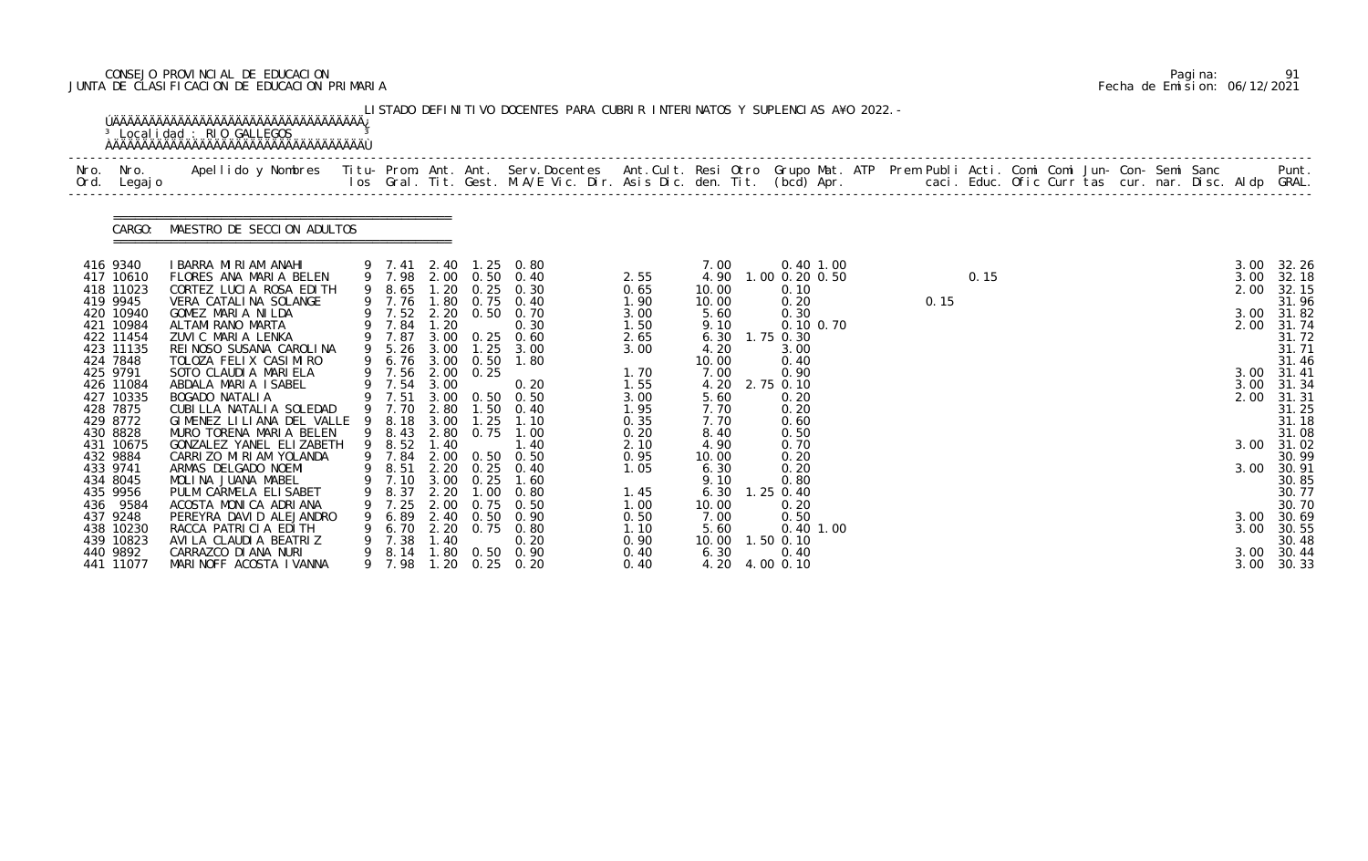# CONSEJO PROVINCIAL DE EDUCACION Pagina: 91 JUNTA DE CLASIFICACION DE EDUCACION PRIMARIA Fecha de Emision: 06/12/2021

|                                                                                                                                                                                                                                                                                            | Ord. Legajo |                                                                                                                                                                                                                                                                                                                                                                                                                                                                                                                                                                                   |                                                                                                      |                               |                                                                                   |                                                                                                                                                                                                                                                                                                                                                                                                   |                                                                                                                                                              |                                                                                                                                                                                           |                                                                                                                                                                                                                              |      |      |  |  |  |                                                                                      |                                                                                                                                                                                                                  |
|--------------------------------------------------------------------------------------------------------------------------------------------------------------------------------------------------------------------------------------------------------------------------------------------|-------------|-----------------------------------------------------------------------------------------------------------------------------------------------------------------------------------------------------------------------------------------------------------------------------------------------------------------------------------------------------------------------------------------------------------------------------------------------------------------------------------------------------------------------------------------------------------------------------------|------------------------------------------------------------------------------------------------------|-------------------------------|-----------------------------------------------------------------------------------|---------------------------------------------------------------------------------------------------------------------------------------------------------------------------------------------------------------------------------------------------------------------------------------------------------------------------------------------------------------------------------------------------|--------------------------------------------------------------------------------------------------------------------------------------------------------------|-------------------------------------------------------------------------------------------------------------------------------------------------------------------------------------------|------------------------------------------------------------------------------------------------------------------------------------------------------------------------------------------------------------------------------|------|------|--|--|--|--------------------------------------------------------------------------------------|------------------------------------------------------------------------------------------------------------------------------------------------------------------------------------------------------------------|
|                                                                                                                                                                                                                                                                                            |             | CARGO: MAESTRO DE SECCION ADULTOS                                                                                                                                                                                                                                                                                                                                                                                                                                                                                                                                                 |                                                                                                      |                               |                                                                                   |                                                                                                                                                                                                                                                                                                                                                                                                   |                                                                                                                                                              |                                                                                                                                                                                           |                                                                                                                                                                                                                              |      |      |  |  |  |                                                                                      |                                                                                                                                                                                                                  |
| 416 9340<br>417 10610<br>418 11023<br>419 9945<br>420 10940<br>421 10984<br>422 11454<br>423 11135<br>424 7848<br>425 9791<br>426 11084<br>427 10335<br>428 7875<br>429 8772<br>430 8828<br>431 10675<br>432 9884<br>433 9741<br>434 8045<br>435 9956<br>436 9584<br>437 9248<br>438 10230 |             | IBARRA MIRIAM ANAHI<br>FLORES ANA MARIA BELEN<br>CORTEZ LUCIA ROSA EDITH<br>VERA CATALINA SOLANGE<br>GOMEZ MARIA NILDA<br>ALTAMI RANO MARTA<br>ZUVIC MARIA LENKA<br>REI NOSO SUSANA CAROLINA<br>TOLOZA FELIX CASIMIRO<br>SOTO CLAUDIA MARIELA<br>ABDALA MARIA ISABEL<br>BOGADO NATALIA<br>CUBILLA NATALIA SOLEDAD<br>GIMENEZ LILIANA DEL VALLE<br>MURO TORENA MARIA BELEN<br>GONZALEZ YANEL ELIZABETH<br>CARRIZO MIRIAM YOLANDA<br>ARMAS DELGADO NOEMI<br>MOLINA JUANA MABEL<br>PULM CARMELA ELISABET<br>ACOSTA MONICA ADRIANA<br>PEREYRA DAVID ALEJANDRO<br>RACCA PATRICIA EDITH | 9 7.84 1.20<br>9 5.26 3.00<br>9 7.54 3.00<br>9 8.18 3.00<br>9 8.52<br>8.37<br>9 7.25<br>6.89<br>6.70 | 1.40<br>2. 20<br>2.00<br>2.20 | 9 7.56 2.00 0.25<br>1.25<br>9 7.10 3.00 0.25<br>1.00<br>0.75<br>2.40 0.50<br>0.75 | 9 7.41 2.40 1.25 0.80<br>9 7.98 2.00 0.50 0.40<br>9 8.65 1.20 0.25 0.30<br>9 7.76 1.80 0.75 0.40<br>9 7.52 2.20 0.50 0.70<br>0.30<br>9 7.87 3.00 0.25 0.60<br>$1.25$ $3.00$<br>9 6.76 3.00 0.50 1.80<br>0.20<br>9 7.51 3.00 0.50 0.50<br>9 7.70 2.80 1.50 0.40<br>1.10<br>9 8.43 2.80 0.75 1.00<br>1.40<br>9 7.84 2.00 0.50 0.50<br>9 8.51 2.20 0.25 0.40<br>1.60<br>0.80<br>0.50<br>0.90<br>0.80 | 2.55<br>0.65<br>1.90<br>3.00<br>1.50<br>2.65<br>3.00<br>1.70<br>1.55<br>3.00<br>1.95<br>0.35<br>0.20<br>2.10<br>0.95<br>1.05<br>1.45<br>1.00<br>0.50<br>1.10 | 7.00<br>4.90<br>10.00<br>10.00<br>5.60<br>9.10<br>6.30<br>4.20<br>10.00<br>7.00<br>4.20<br>5.60<br>7.70<br>7.70<br>8.40<br>4.90<br>10.00<br>6.30<br>9.10<br>6.30<br>10.00<br>7.00<br>5.60 | 0.40 1.00<br>1.00 0.20 0.50<br>0.10<br>0.20<br>0.30<br>0.10 0.70<br>1.75 0.30<br>3.00<br>0.40<br>0.90<br>2.75 0.10<br>0.20<br>0.20<br>0.60<br>0.50<br>0.70<br>0.20<br>0.20<br>0.80<br>1.25 0.40<br>0.20<br>0.50<br>0.40 1.00 | 0.15 | 0.15 |  |  |  | 3.00<br>3.00<br>2.00<br>3.00<br>2.00<br>3.00<br>3.00<br>2.00<br>3.00<br>3.00<br>3.00 | 32.26<br>32.18<br>32.15<br>31.96<br>31.82<br>31.74<br>31.72<br>31.71<br>31.46<br>31.41<br>31.34<br>31.31<br>31.25<br>31.18<br>31.08<br>3.00 31.02<br>30.99<br>30.91<br>30.85<br>30.77<br>30.70<br>30.69<br>30.55 |

|  | Pagi na: | 91                           |
|--|----------|------------------------------|
|  |          | Fecha de Emision: 06/12/2021 |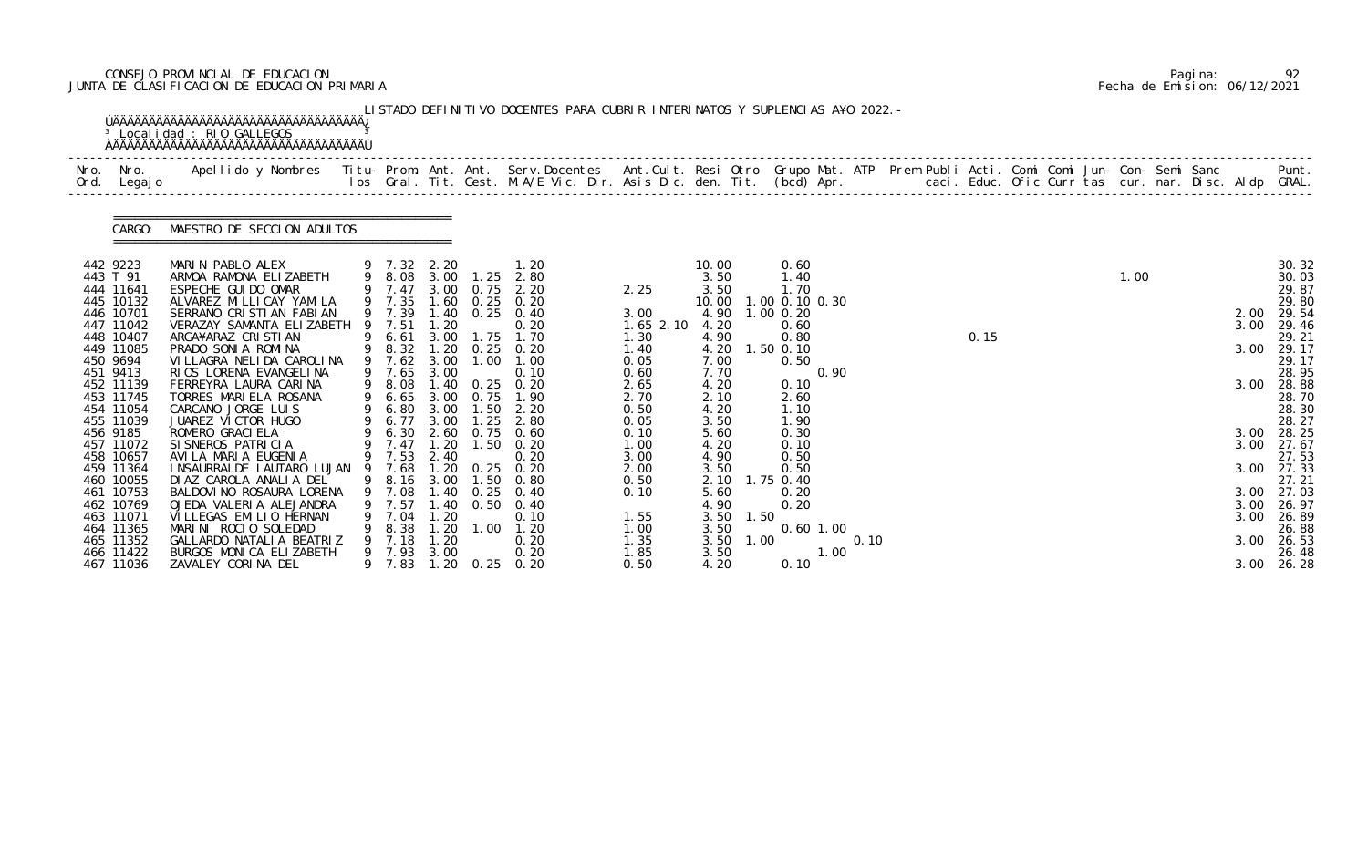# CONSEJO PROVINCIAL DE EDUCACION Pagina: 92 JUNTA DE CLASIFICACION DE EDUCACION PRIMARIA Fecha de Emision: 06/12/2021

| Nro. Nro.<br>Ord. Legajo | Apellido y Nombres  Titu- Prom. Ant. Ant. Serv.Docentes  Ant.Cult. Resi Otro Grupo Mat. ATP Prem Publi Acti. Comi Comi Jun- Con- Semi Sanc           Punt.<br>Ios Gral. Tit. Gest. M.A/E Vic. Dir. Asis Dic. den. Tit. (bcd) Apr. |   |                     |               |                                |                                           |               |               |      |                        |      |      |  |      |  |      |                |
|--------------------------|-----------------------------------------------------------------------------------------------------------------------------------------------------------------------------------------------------------------------------------|---|---------------------|---------------|--------------------------------|-------------------------------------------|---------------|---------------|------|------------------------|------|------|--|------|--|------|----------------|
| CARGO:                   | MAESTRO DE SECCION ADULTOS                                                                                                                                                                                                        |   |                     |               |                                |                                           |               |               |      |                        |      |      |  |      |  |      |                |
| 442 9223<br>443 T 91     | MARIN PABLO ALEX<br>ARMOA RAMONA ELIZABETH                                                                                                                                                                                        |   |                     |               |                                | 9 7.32 2.20 1.20<br>9 8.08 3.00 1.25 2.80 |               | 10.00<br>3.50 |      | 0.60<br>1.40           |      |      |  | 1.00 |  |      | 30.32<br>30.03 |
| 444 11641<br>445 10132   | ESPECHE GUI DO OMAR<br>ALVAREZ MI LLI CAY YAMI LA                                                                                                                                                                                 |   | 9 7.47<br>9 7.35    |               | 3.00 0.75<br>$1.60 \quad 0.25$ | 2.20<br>0.20                              | 2.25          | 3.50<br>10.00 |      | 1.70<br>1.00 0.10 0.30 |      |      |  |      |  |      | 29.87<br>29.80 |
| 446 10701                | SERRANO CRISTIAN FABIAN                                                                                                                                                                                                           |   | 9 7.39              |               | $1.40 \quad 0.25$              | 0.40                                      | 3.00          | 4.90          |      | $1.00$ 0.20            |      |      |  |      |  | 2.00 | 29.54          |
| 447 11042                | VERAZAY SAMANTA ELIZABETH                                                                                                                                                                                                         |   | 9 7.51              | 1.20          |                                | 0.20                                      | $1.65$ $2.10$ | 4.20          |      | 0.60                   |      |      |  |      |  | 3.00 | 29.46          |
| 448 10407                | ARGA¥ARAZ CRISTIAN                                                                                                                                                                                                                |   | 9 6.61              |               | 3.00 1.75                      | 1.70                                      | 1.30          | 4.90          |      | 0.80                   |      | 0.15 |  |      |  |      | 29.21          |
| 449 11085<br>450 9694    | PRADO SONIA ROMINA<br>VI LLAGRA NELI DA CAROLI NA                                                                                                                                                                                 |   | 9 8.32<br>9 7.62    | 3.00          | 1.20 0.25 0.20<br>1.00         | 1.00                                      | 1.40<br>0.05  | 4.20<br>7.00  |      | $1.50$ 0.10<br>0.50    |      |      |  |      |  | 3.00 | 29.17<br>29.17 |
| 451 9413                 | RIOS LORENA EVANGELINA                                                                                                                                                                                                            |   | 9 7.65              | 3.00          |                                | 0.10                                      | 0.60          | 7.70          |      | 0.90                   |      |      |  |      |  |      | 28.95          |
| 452 11139                | FERREYRA LAURA CARINA                                                                                                                                                                                                             |   | 9 8.08              |               | 1.40 0.25 0.20                 |                                           | 2.65          | 4.20          |      | 0.10                   |      |      |  |      |  | 3.00 | 28.88          |
| 453 11745                | TORRES MARIELA ROSANA                                                                                                                                                                                                             | 9 | 6.65                |               | 3.00 0.75                      | 1.90                                      | 2.70          | 2.10          |      | 2.60                   |      |      |  |      |  |      | 28.70          |
| 454 11054<br>455 11039   | CARCANO JORGE LUIS<br>JUAREZ VICTOR HUGO                                                                                                                                                                                          | 9 | 9 6.80 3.00<br>6.77 |               | 1.50<br>$3.00$ 1.25            | 2.20<br>2.80                              | 0.50          | 4.20<br>3.50  |      | 1.10<br>1.90           |      |      |  |      |  |      | 28.30<br>28.27 |
| 456 9185                 | ROMERO GRACI ELA                                                                                                                                                                                                                  |   |                     |               |                                | 6.30 2.60 0.75 0.60                       | 0.05<br>0.10  | 5.60          |      | 0.30                   |      |      |  |      |  | 3.00 | 28.25          |
| 457 11072                | SI SNEROS PATRICIA                                                                                                                                                                                                                |   | 9 7.47 1.20         |               | 1.50                           | 0.20                                      | 1.00          | 4.20          |      | 0.10                   |      |      |  |      |  | 3.00 | 27.67          |
| 458 10657                | AVILA MARIA EUGENIA                                                                                                                                                                                                               |   | 9 7.53 2.40         |               |                                | 0.20                                      | 3.00          | 4.90          |      | 0.50                   |      |      |  |      |  |      | 27.53          |
| 459 11364                | INSAURRALDE LAUTARO LUJAN 9 7.68                                                                                                                                                                                                  |   |                     |               | 1.20 0.25 0.20                 |                                           | 2.00          | 3.50          |      | 0.50                   |      |      |  |      |  | 3.00 | 27.33          |
| 460 10055<br>461 10753   | DI AZ CAROLA ANALIA DEL<br>BALDOVI NO ROSAURA LORENA                                                                                                                                                                              | 9 | 9 8.16 3.00<br>7.08 | 1.40          | 1.50<br>0.25                   | 0.80<br>0.40                              | 0.50<br>0.10  | 2.10<br>5.60  |      | 1.75 0.40<br>0.20      |      |      |  |      |  | 3.00 | 27.21<br>27.03 |
| 462 10769                | OJEDA VALERIA ALEJANDRA                                                                                                                                                                                                           |   | 7.57                | . 40          | 0. 50                          | 0.40                                      |               | 4.90          |      | 0.20                   |      |      |  |      |  | 3.00 | 26.97          |
| 463 11071                | VI LLEGAS EMILIO HERNAN                                                                                                                                                                                                           |   | 9 7.04              | .20           |                                | 0.10                                      | 1.55          | 3.50          | 1.50 |                        |      |      |  |      |  | 3.00 | 26.89          |
| 464 11365                | MARINI ROCIO SOLEDAD                                                                                                                                                                                                              |   | 8.38                | 1.20          | 1.00                           | 1.20                                      | 1.00          | 3.50          |      | $0.60$ 1.00            |      |      |  |      |  |      | 26.88          |
| 465 11352                | GALLARDO NATALI A BEATRIZ                                                                                                                                                                                                         |   | 7.18                | 1.20          |                                | 0.20                                      | 1.35          | 3.50          | 1.00 |                        | 0.10 |      |  |      |  | 3.00 | 26.53          |
| 466 11422<br>467 11036   | BURGOS MONICA ELIZABETH<br>ZAVALEY CORINA DEL                                                                                                                                                                                     |   | 9 7.93<br>9 7.83    | 3.00<br>1. 20 | 0.25                           | 0.20<br>0.20                              | 1.85<br>0.50  | 3.50<br>4.20  |      | 1.00<br>0.10           |      |      |  |      |  | 3.00 | 26.48<br>26.28 |

|  | Pagi na: |                              |
|--|----------|------------------------------|
|  |          | Fecha de Emision: 06/12/2021 |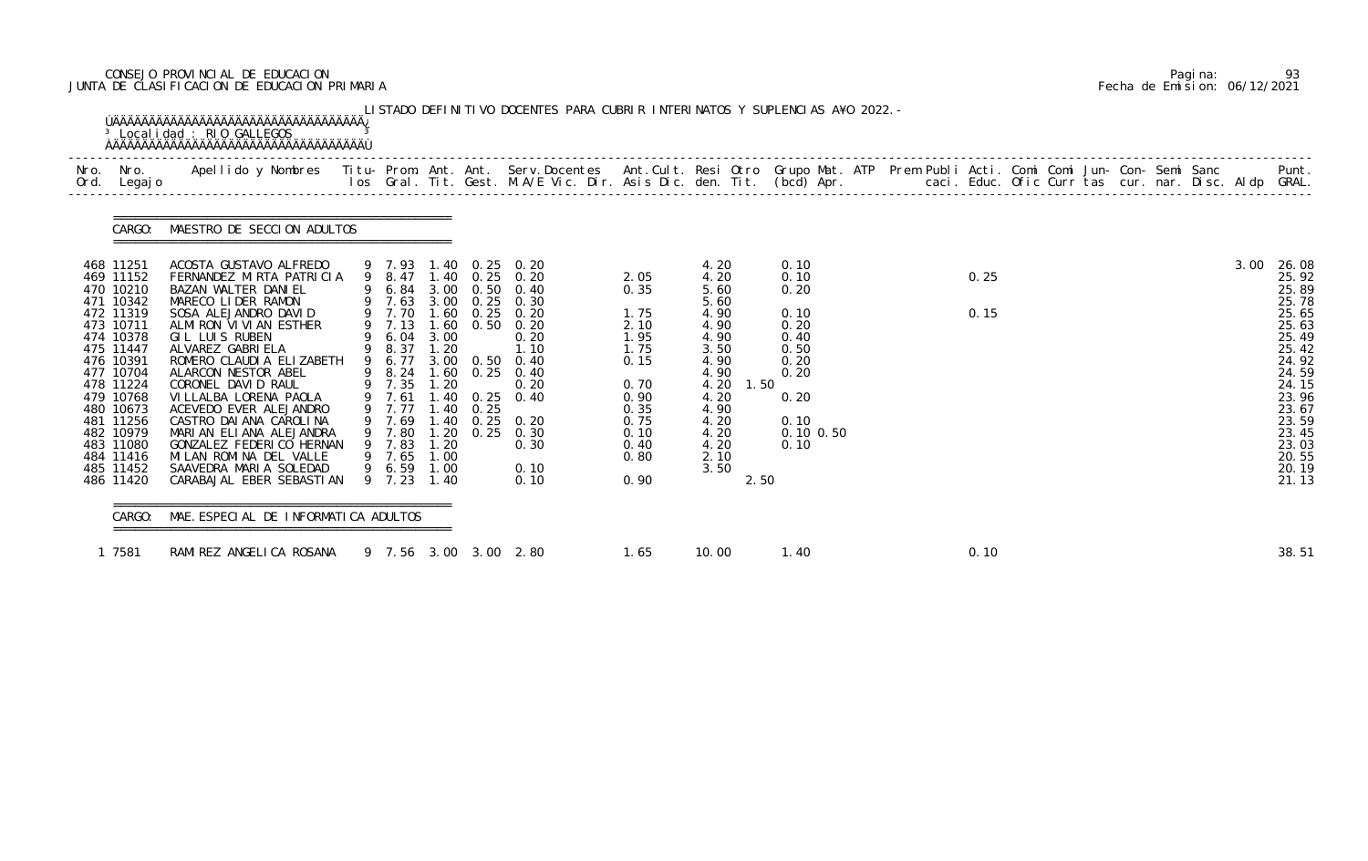# CONSEJO PROVINCIAL DE EDUCACION Pagina: 93 JUNTA DE CLASIFICACION DE EDUCACION PRIMARIA Fecha de Emision: 06/12/2021

|                                                                                                                                                                                                                                                     | CARGO: MAESTRO DE SECCION ADULTOS                                                                                                                                                                                                                                                                                                                                                                                                                                                        |                                                                                                                      |                                                                              |              |                                                                                                                                                                                                                                                                                              |                                                                                                                      |                                                                                                                                                              |                                                                                                               |              |  |  |      |                                                                                                                                                                         |
|-----------------------------------------------------------------------------------------------------------------------------------------------------------------------------------------------------------------------------------------------------|------------------------------------------------------------------------------------------------------------------------------------------------------------------------------------------------------------------------------------------------------------------------------------------------------------------------------------------------------------------------------------------------------------------------------------------------------------------------------------------|----------------------------------------------------------------------------------------------------------------------|------------------------------------------------------------------------------|--------------|----------------------------------------------------------------------------------------------------------------------------------------------------------------------------------------------------------------------------------------------------------------------------------------------|----------------------------------------------------------------------------------------------------------------------|--------------------------------------------------------------------------------------------------------------------------------------------------------------|---------------------------------------------------------------------------------------------------------------|--------------|--|--|------|-------------------------------------------------------------------------------------------------------------------------------------------------------------------------|
| 468 11251<br>469 11152<br>470 10210<br>471 10342<br>472 11319<br>473 10711<br>474 10378<br>475 11447<br>476 10391<br>477 10704<br>478 11224<br>479 10768<br>480 10673<br>481 11256<br>482 10979<br>483 11080<br>484 11416<br>485 11452<br>486 11420 | ACOSTA GUSTAVO ALFREDO<br>FERNANDEZ MIRTA PATRICIA<br>BAZAN WALTER DANIEL<br>MARECO LIDER RAMON<br>SOSA ALEJANDRO DAVID<br>ALMIRON VIVIAN ESTHER<br>GIL LUIS RUBEN<br>ALVAREZ GABRI ELA<br>ROMERO CLAUDIA ELIZABETH<br>ALARCON NESTOR ABEL<br>CORONEL DAVID RAUL<br>VI LLALBA LORENA PAOLA<br>ACEVEDO EVER ALEJANDRO<br>CASTRO DAI ANA CAROLINA<br>MARIAN ELIANA ALEJANDRA<br>GONZALEZ FEDERICO HERNAN<br>MI LAN ROMI NA DEL VALLE<br>SAAVEDRA MARIA SOLEDAD<br>CARABAJAL EBER SEBASTIAN | 9 8.47<br>9 7.13<br>9 6.04<br>9 8.37<br>9 7.35<br>9 7.77<br>9 7.69<br>9 7.80<br>9 7.83<br>9 7.65<br>9 6.59<br>9 7.23 | 3.00<br>1.20<br>1.20<br>1.40<br>1.40<br>1.20<br>1.20<br>1.00<br>1.00<br>1.40 | 0.25<br>0.25 | 9 7.93 1.40 0.25 0.20<br>1.40 0.25 0.20<br>9 6.84 3.00 0.50 0.40<br>9 7.63 3.00 0.25 0.30<br>9 7.70 1.60 0.25 0.20<br>1.60 0.50 0.20<br>0.20<br>1.10<br>9 6.77 3.00 0.50 0.40<br>9 8.24 1.60 0.25 0.40<br>0.20<br>9 7.61 1.40 0.25 0.40<br>0.20<br>$0.25 \quad 0.30$<br>0.30<br>0.10<br>0.10 | 2.05<br>0.35<br>1.75<br>2.10<br>1.95<br>1.75<br>0.15<br>0.70<br>0.90<br>0.35<br>0.75<br>0.10<br>0.40<br>0.80<br>0.90 | 4.20<br>4.20<br>5.60<br>5.60<br>4.90<br>4.90<br>4.90<br>3.50<br>4.90<br>4.90<br>4.20<br>1.50<br>4.20<br>4.90<br>4.20<br>4.20<br>4.20<br>2.10<br>3.50<br>2.50 | 0.10<br>0.10<br>0.20<br>0.10<br>0.20<br>0.40<br>0.50<br>0.20<br>0.20<br>0.20<br>0.10<br>$0.10$ $0.50$<br>0.10 | 0.25<br>0.15 |  |  | 3.00 | 26.08<br>25.92<br>25.89<br>25.78<br>25.65<br>25.63<br>25.49<br>25.42<br>24.92<br>24.59<br>24.15<br>23.96<br>23.67<br>23.59<br>23.45<br>23.03<br>20.55<br>20.19<br>21.13 |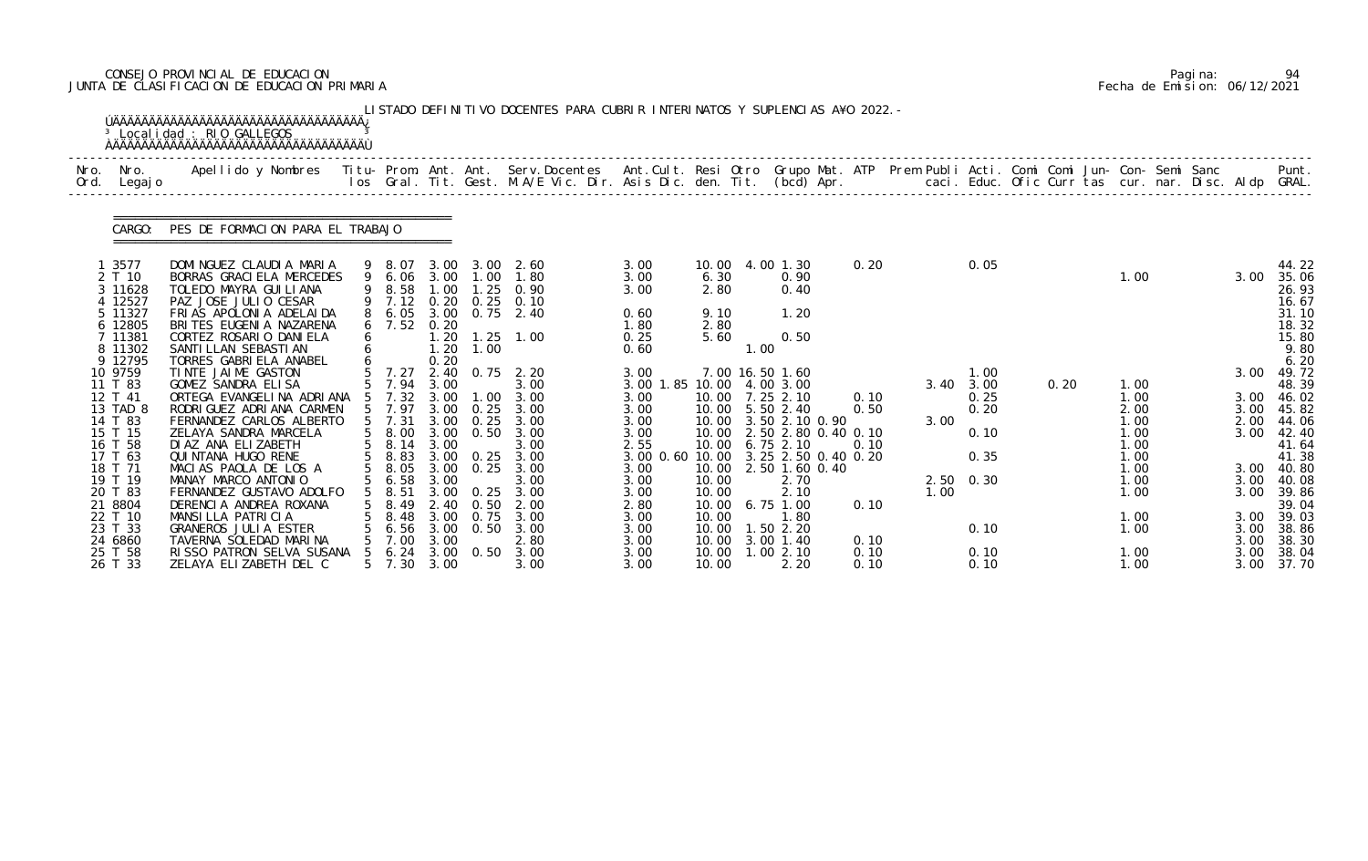# CONSEJO PROVINCIAL DE EDUCACION Pagina: 94 JUNTA DE CLASIFICACION DE EDUCACION PRIMARIA Fecha de Emision: 06/12/2021

|              |                                                                                                                                                                    | <sup>3</sup> Localidad : RIO GALLEGOS                                                                                                                                                                                                                                                                                                                                                      |   |                                                                                                                                          |                                                                                                              |                                                                                                          | LISTADO DEFINITIVO DOCENTES PARA CUBRIR INTERINATOS Y SUPLENCIAS A¥O 2022. -                                                          |                                                                                                                         |                                                                               |      |                                                                                                                                                                                                                                                              |                                      |              |                                                                                     |      |                                                                                              |                                                      |                                                                                                                                                         |
|--------------|--------------------------------------------------------------------------------------------------------------------------------------------------------------------|--------------------------------------------------------------------------------------------------------------------------------------------------------------------------------------------------------------------------------------------------------------------------------------------------------------------------------------------------------------------------------------------|---|------------------------------------------------------------------------------------------------------------------------------------------|--------------------------------------------------------------------------------------------------------------|----------------------------------------------------------------------------------------------------------|---------------------------------------------------------------------------------------------------------------------------------------|-------------------------------------------------------------------------------------------------------------------------|-------------------------------------------------------------------------------|------|--------------------------------------------------------------------------------------------------------------------------------------------------------------------------------------------------------------------------------------------------------------|--------------------------------------|--------------|-------------------------------------------------------------------------------------|------|----------------------------------------------------------------------------------------------|------------------------------------------------------|---------------------------------------------------------------------------------------------------------------------------------------------------------|
| Nro.<br>Ord. | Nro.<br>Legaj o                                                                                                                                                    | Apellido y Nombres - Titu- Prom. Ant. Ant. Serv.Docentes - Ant.Cult. Resi Otro Grupo Mat. ATP Prem Publi Acti. Comi Comi Jun- Con- Semi Sanc - - - Punt.<br>Ios Gral. Tit. Gest. M.A/E Vic. Dir. Asis Dic. den. Tit. (bcd) Apr. -                                                                                                                                                          |   |                                                                                                                                          |                                                                                                              |                                                                                                          |                                                                                                                                       |                                                                                                                         |                                                                               |      |                                                                                                                                                                                                                                                              |                                      |              |                                                                                     |      |                                                                                              |                                                      |                                                                                                                                                         |
|              | CARGO:                                                                                                                                                             | PES DE FORMACION PARA EL TRABAJO                                                                                                                                                                                                                                                                                                                                                           |   |                                                                                                                                          |                                                                                                              |                                                                                                          |                                                                                                                                       |                                                                                                                         |                                                                               |      |                                                                                                                                                                                                                                                              |                                      |              |                                                                                     |      |                                                                                              |                                                      |                                                                                                                                                         |
|              | 1 3577<br>2 T 10<br>3 11628<br>4 12527<br>5 11327<br>6 12805<br>7 11381<br>8 11302<br>9 12795                                                                      | DOMINGUEZ CLAUDIA MARIA<br>BORRAS GRACI ELA MERCEDES<br>TOLEDO MAYRA GUI LI ANA<br>PAZ JOSE JULIO CESAR<br>FRIAS APOLONIA ADELAIDA<br>BRITES EUGENIA NAZARENA<br>CORTEZ ROSARIO DANIELA<br>SANTI LLAN SEBASTI AN<br>TORRES GABRIELA ANABEL                                                                                                                                                 | 6 | 9 8.07<br>9 6.06<br>8.58<br>9 7.12<br>8 6.05<br>$6$ 7.52                                                                                 | 3.00<br>3.00<br>1.00<br>0.20<br>0.20<br>1.20<br>1.20                                                         | 1.00<br>$\overline{\phantom{0}}$ . 25<br>0.25<br>1.00                                                    | $3.00\quad 2.60$<br>1.80<br>0.90<br>0.10<br>3.00 0.75 2.40<br>$1.25$ 1.00                                                             | 3.00<br>3.00<br>3.00<br>0.60<br>1.80<br>0.25<br>0.60                                                                    | 6.30<br>2.80<br>9.10<br>2.80<br>5.60                                          | 1.00 | 10.00 4.00 1.30<br>0.90<br>0.40<br>1.20<br>0.50                                                                                                                                                                                                              | 0.20                                 |              | 0.05                                                                                |      | 1.00                                                                                         | 3.00                                                 | 44.22<br>35.06<br>26.93<br>16.67<br>31.10<br>18.32<br>15.80<br>9.80<br>6.20                                                                             |
|              | 10 9759<br>11 T 83<br>12 T 41<br>13 TAD 8<br>14 T 83<br>15 T 15<br>16 T 58<br>17 T 63<br>18 T 71<br>19 T 19<br>20 T 83<br>21 8804<br>22 T 10<br>23 T 33<br>24 6860 | TINTE JAIME GASTON<br>GOMEZ SANDRA ELISA<br>ORTEGA EVANGELINA ADRIANA<br>RODRI GUEZ ADRI ANA CARMEN<br>FERNANDEZ CARLOS ALBERTO<br>ZELAYA SANDRA MARCELA<br>DI AZ ANA ELIZABETH<br>QUI NTANA HUGO RENE<br>MACIAS PAOLA DE LOS A<br>MANAY MARCO ANTONIO<br>FERNANDEZ GUSTAVO ADOLFO<br>DERENCIA ANDREA ROXANA<br>MANSILLA PATRICIA<br><b>GRANEROS JULIA ESTER</b><br>TAVERNA SOLEDAD MARINA |   | 5 7.27<br>5 7.94<br>7.32<br>5 7.97<br>$5$ 7.31<br>5 8.00<br>5 8.14<br>5 8.83<br>5 8.05<br>5 6.58<br>8.51<br>8.49<br>8.48<br>6.56<br>7.00 | 0.20<br>2.40<br>3.00<br>3.00<br>3.00<br>3.00<br>3.00<br>3.00<br>3.00<br>3.00<br>2.40<br>3.00<br>3.00<br>3.00 | $\overline{\phantom{0}}$ .<br>0.25<br>0.25<br>0.50<br>$3.00 \quad 0.25$<br>0.25<br>0. 50<br>0.75<br>0.50 | $0.75$ 2.20<br>3.00<br>3.00<br>3.00<br>3.00<br>3.00<br>3.00<br>3.00 0.25 3.00<br>3.00<br>3.00<br>3.00<br>2.00<br>3.00<br>3.00<br>2.80 | 3.00<br>3.00 1.85 10.00<br>3.00<br>3.00<br>3.00<br>3.00<br>2.55<br>3.00<br>3.00<br>3.00<br>2.80<br>3.00<br>3.00<br>3.00 | 10.00<br>10.00<br>10.00<br>10.00<br>10.00<br>10.00<br>10.00<br>10.00<br>10.00 |      | 7.00 16.50 1.60<br>4.00 3.00<br>10.00 7.25 2.10<br>10.00 5.50 2.40<br>10.00 3.50 2.10 0.90<br>2.50 2.80 0.40 0.10<br>$6.75$ 2.10<br>3.00 0.60 10.00 3.25 2.50 0.40 0.20<br>2.50 1.60 0.40<br>2.70<br>2.10<br>$6.75$ 1.00<br>1.80<br>1.50 2.20<br>$3.00$ 1.40 | 0.10<br>0.50<br>0.10<br>0.10<br>0.10 | 3.00<br>1.00 | 1.00<br>$3.40 \quad 3.00$<br>0.25<br>0.20<br>0.10<br>0.35<br>$2.50 \t 0.30$<br>0.10 | 0.20 | 1.00<br>1.00<br>2.00<br>1.00<br>1.00<br>1.00<br>1.00<br>1.00<br>1.00<br>1.00<br>1.00<br>1.00 | 3.00<br>3.00<br>3.00<br>2.00<br>3.00<br>3.00<br>3.00 | 49.72<br>48.39<br>46.02<br>45.82<br>44.06<br>42.40<br>41.64<br>41.38<br>3.00 40.80<br>3.00 40.08<br>3.00 39.86<br>39.04<br>3.00 39.03<br>38.86<br>38.30 |
|              | 25 T 58<br>26 T 33                                                                                                                                                 | RISSO PATRON SELVA SUSANA<br>ZELAYA ELIZABETH DEL C                                                                                                                                                                                                                                                                                                                                        |   | 6.24<br>5 7.30                                                                                                                           | 3.00<br>3.00                                                                                                 | 0. 50                                                                                                    | 3.00<br>3.00                                                                                                                          | 3.00<br>3.00                                                                                                            | 10.00<br>10.00                                                                |      | 1.002.10<br>2.20                                                                                                                                                                                                                                             | 0.10<br>0.10                         |              | 0.10<br>0.10                                                                        |      | 1.00<br>1.00                                                                                 | 3.00<br>3.00                                         | 38.04<br>37.70                                                                                                                                          |

|  | Pagi na: | 94                           |
|--|----------|------------------------------|
|  |          | Fecha de Emision: 06/12/2021 |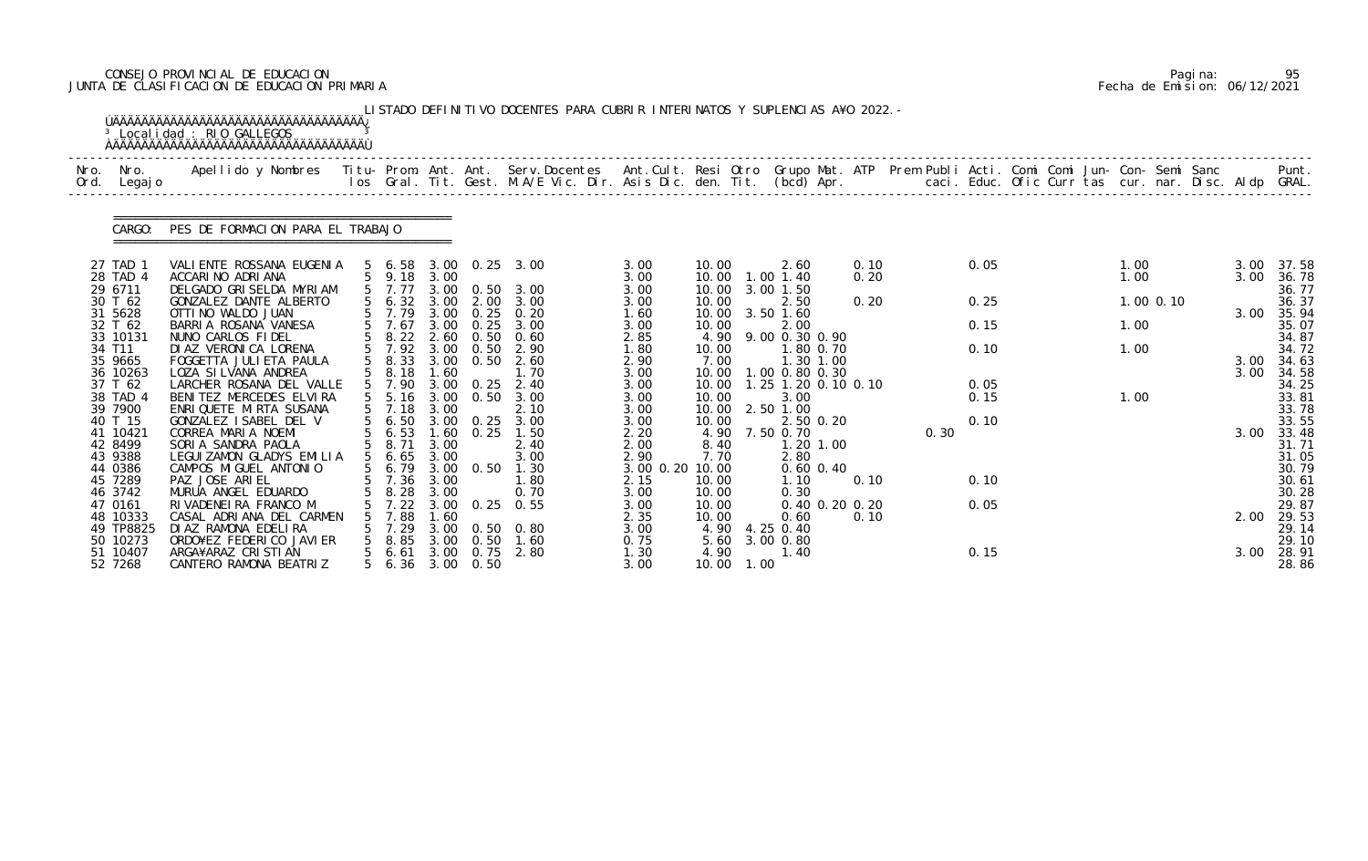# CONSEJO PROVINCIAL DE EDUCACION Pagina: 95 JUNTA DE CLASIFICACION DE EDUCACION PRIMARIA Fecha de Emision: 06/12/2021

|              |                     | <sup>3</sup> Localidad : RIO GALLEGOS                                                                                                                                                                                             |                         |              |                   |                       |                 |                |            |                             |      |      |              |  |             |      |                |
|--------------|---------------------|-----------------------------------------------------------------------------------------------------------------------------------------------------------------------------------------------------------------------------------|-------------------------|--------------|-------------------|-----------------------|-----------------|----------------|------------|-----------------------------|------|------|--------------|--|-------------|------|----------------|
| Nro.<br>Ord. | Nro.<br>Legaj o     | Apellido y Nombres - Titu- Prom. Ant. Ant. Serv.Docentes - Ant.Cult. Resi Otro Grupo Mat. ATP Prem Publi Acti. Comi Comi Jun- Con- Semi Sanc - - - Punt.<br>Ios Gral. Tit. Gest. M.A/E Vic. Dir. Asis Dic. den. Tit. (bcd) Apr. - |                         |              |                   |                       |                 |                |            |                             |      |      |              |  |             |      |                |
|              | CARGO:              | PES DE FORMACION PARA EL TRABAJO                                                                                                                                                                                                  |                         |              |                   |                       |                 |                |            |                             |      |      |              |  |             |      |                |
|              | 27 TAD 1            | VALI ENTE ROSSANA EUGENIA                                                                                                                                                                                                         |                         |              |                   | 5 6.58 3.00 0.25 3.00 | 3.00            | 10.00          |            | 2.60                        | 0.10 |      | 0.05         |  | 1.00        | 3.00 | 37.58          |
|              | 28 TAD 4<br>29 6711 | ACCARINO ADRIANA<br>DELGADO GRISELDA MYRIAM                                                                                                                                                                                       | 5 9.18<br>5 7.77        | 3.00         |                   | 3.00 0.50 3.00        | 3.00<br>3.00    | 10.00<br>10.00 |            | 1.00 1.40<br>3.00 1.50      | 0.20 |      |              |  | 1.00        | 3.00 | 36.78<br>36.77 |
|              | 30 T 62             | GONZALEZ DANTE ALBERTO                                                                                                                                                                                                            | 56.32                   | 3.00         |                   | 2.00 3.00             | 3.00            | 10.00          |            | 2.50                        | 0.20 |      | 0.25         |  | $1.00$ 0.10 |      | 36.37          |
|              | 31 5628             | OTTI NO WALDO JUAN                                                                                                                                                                                                                | 5 7.79                  |              |                   | 3.00 0.25 0.20        | 1.60            | 10.00          |            | 3.50 1.60                   |      |      |              |  |             | 3.00 | 35.94          |
|              | 32 T 62             | BARRIA ROSANA VANESA                                                                                                                                                                                                              | 7.67                    | 3.00         | 0.25              | 3.00<br>0.60          | 3.00            | 10.00          |            | 2.00                        |      |      | 0.15         |  | 1.00        |      | 35.07          |
|              | 33 10131<br>34 T11  | NUNO CARLOS FIDEL<br>DI AZ VERONI CA LORENA                                                                                                                                                                                       | 8.22<br>5 7.92          | 2.60         | 0.50<br>3.00 0.50 | 2.90                  | 2.85<br>1.80    | 4.90<br>10.00  |            | 9.00 0.30 0.90<br>1.80 0.70 |      |      | 0.10         |  | 1.00        |      | 34.87<br>34.72 |
|              | 35 9665             | FOGGETTA JULI ETA PAULA                                                                                                                                                                                                           | 8.33                    | 3.00         | 0.50              | 2.60                  | 2.90            | 7.00           |            | 1.30 1.00                   |      |      |              |  |             | 3.00 | 34.63          |
|              | 36 10263            | LOZA SI LVANA ANDREA                                                                                                                                                                                                              | 8.18                    | 1.60         |                   | 1.70                  | 3.00            | 10.00          |            | 1.00 0.80 0.30              |      |      |              |  |             | 3.00 | 34.58          |
|              | 37 T 62<br>38 TAD 4 | LARCHER ROSANA DEL VALLE<br>BENITEZ MERCEDES ELVIRA                                                                                                                                                                               | 5 7.90<br>$5\quad 5.16$ | 3.00<br>3.00 | 0.25<br>0.50      | 2.40<br>3.00          | 3.00<br>3.00    | 10.00<br>10.00 |            | 1.25 1.20 0.10 0.10<br>3.00 |      |      | 0.05<br>0.15 |  | 1.00        |      | 34.25<br>33.81 |
|              | 39 7900             | ENRIQUETE MIRTA SUSANA                                                                                                                                                                                                            | $5$ 7.18                | 3.00         |                   | 2.10                  | 3.00            | 10.00          |            | 2.50 1.00                   |      |      |              |  |             |      | 33.78          |
|              | 40 T 15             | GONZALEZ ISABEL DEL V                                                                                                                                                                                                             | $5\quad 6.50$           |              | $3.00 \quad 0.25$ | 3.00                  | 3.00            | 10.00          |            | 2.50 0.20                   |      |      | 0.10         |  |             |      | 33.55          |
|              | 41 10421            | CORREA MARIA NOEMI                                                                                                                                                                                                                | 6.53                    | 1.60         | 0.25              | 1.50                  | 2.20            | 4.90           |            | 7.50 0.70                   |      | 0.30 |              |  |             | 3.00 | 33.48          |
|              | 42 8499<br>43 9388  | SORIA SANDRA PAOLA<br>LEGUI ZAMON GLADYS EMILIA                                                                                                                                                                                   | 5 8.71<br>$5\quad 6.65$ | 3.00<br>3.00 |                   | 2.40<br>3.00          | 2.00<br>2.90    | 8.40<br>7.70   |            | 1.20 1.00<br>2.80           |      |      |              |  |             |      | 31.71<br>31.05 |
|              | 44 0386             | CAMPOS MIGUEL ANTONIO                                                                                                                                                                                                             | 5 6.79                  |              | 3.00 0.50         | 1.30                  | 3.00 0.20 10.00 |                |            | $0.60$ $0.40$               |      |      |              |  |             |      | 30.79          |
|              | 45 7289             | PAZ JOSE ARIEL                                                                                                                                                                                                                    | 5 7.36 3.00             |              |                   | 1.80                  | 2.15            | 10.00          |            | 1.10                        | 0.10 |      | 0.10         |  |             |      | 30.61          |
|              | 46 3742             | MURUA ANGEL EDUARDO                                                                                                                                                                                                               | 8.28                    | 3.00         |                   | 0.70                  | 3.00            | 10.00          |            | 0.30                        |      |      |              |  |             |      | 30.28          |
|              | 47 0161<br>48 10333 | RIVADENEIRA FRANCO M<br>CASAL ADRIANA DEL CARMEN                                                                                                                                                                                  | 7.22<br>7.88            | 1.60         |                   | 3.00 0.25 0.55        | 3.00<br>2.35    | 10.00<br>10.00 |            | 0.40 0.20 0.20<br>0.60      | 0.10 |      | 0.05         |  |             | 2.00 | 29.87<br>29.53 |
|              | 49 TP8825           | DI AZ RAMONA EDELIRA                                                                                                                                                                                                              | 7.29                    |              |                   | 3.00 0.50 0.80        | 3.00            |                |            | 4.90 4.25 0.40              |      |      |              |  |             |      | 29.14          |
|              | 50 10273            | ORDO¥EZ FEDERICO JAVIER                                                                                                                                                                                                           | 8.85                    |              | $3.00 \quad 0.50$ | 1.60                  | 0.75            | 5.60           |            | 3.00 0.80                   |      |      |              |  |             |      | 29.10          |
|              | 51 10407            | ARGA¥ARAZ CRISTIAN                                                                                                                                                                                                                | 6.61                    |              |                   | 3.00 0.75 2.80        | 1.30            | 4.90           |            | 1.40                        |      |      | 0.15         |  |             | 3.00 | 28.91          |
|              | 52 7268             | CANTERO RAMONA BEATRIZ                                                                                                                                                                                                            | 5 6.36 3.00 0.50        |              |                   |                       | 3.00            |                | 10.00 1.00 |                             |      |      |              |  |             |      | 28.86          |

|  | Pagi na: | 95                           |
|--|----------|------------------------------|
|  |          | Fecha de Emision: 06/12/2021 |